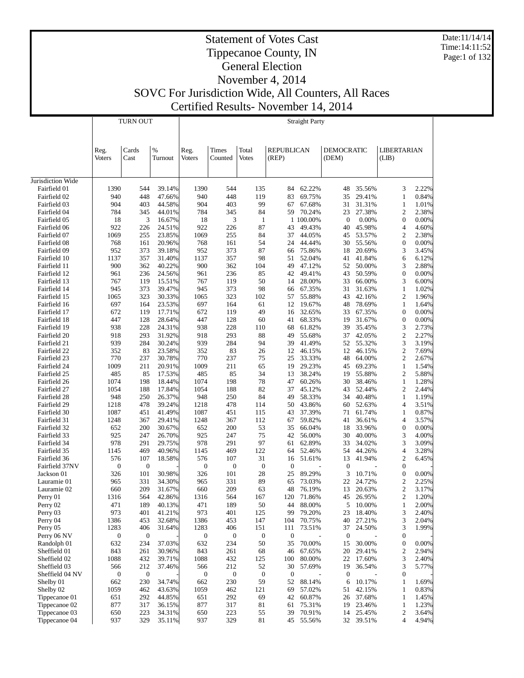Date:11/14/14 Time:14:11:52 Page:1 of 132

#### Statement of Votes Cast Tippecanoe County, IN General Election November 4, 2014

|                              |                       | TURN OUT         |                  | <b>Straight Party</b> |                         |                       |                            |                  |                            |                  |                                |                |
|------------------------------|-----------------------|------------------|------------------|-----------------------|-------------------------|-----------------------|----------------------------|------------------|----------------------------|------------------|--------------------------------|----------------|
|                              | Reg.<br><b>Voters</b> | Cards<br>Cast    | $\%$<br>Turnout  | Reg.<br><b>Voters</b> | <b>Times</b><br>Counted | Total<br><b>Votes</b> | <b>REPUBLICAN</b><br>(REP) |                  | <b>DEMOCRATIC</b><br>(DEM) |                  | LIBERTARIAN<br>(LIB)           |                |
| Jurisdiction Wide            |                       |                  |                  |                       |                         |                       |                            |                  |                            |                  |                                |                |
| Fairfield 01                 | 1390                  | 544              | 39.14%           | 1390                  | 544                     | 135                   | 84                         | 62.22%           | 48                         | 35.56%           | 3                              | 2.22%          |
| Fairfield 02                 | 940                   | 448              | 47.66%           | 940                   | 448                     | 119                   | 83                         | 69.75%           | 35                         | 29.41%           | $\mathbf{1}$                   | 0.84%          |
| Fairfield 03                 | 904                   | 403              | 44.58%           | 904                   | 403                     | 99                    | 67                         | 67.68%           | 31                         | 31.31%           | $\mathbf{1}$                   | 1.01%          |
| Fairfield 04                 | 784                   | 345              | 44.01%           | 784                   | 345                     | 84                    | 59                         | 70.24%           | 23                         | 27.38%           | $\mathfrak{2}$                 | 2.38%          |
| Fairfield 05                 | 18                    | 3                | 16.67%           | 18                    | 3                       | $\mathbf{1}$          |                            | 1 100.00%        | $\boldsymbol{0}$           | 0.00%            | $\boldsymbol{0}$               | 0.00%          |
| Fairfield 06                 | 922                   | 226              | 24.51%           | 922                   | 226                     | 87                    | 43                         | 49.43%           | 40                         | 45.98%           | 4                              | 4.60%          |
| Fairfield 07                 | 1069                  | 255              | 23.85%           | 1069                  | 255                     | 84                    | 37                         | 44.05%           | 45                         | 53.57%           | $\mathfrak{2}$                 | 2.38%          |
| Fairfield 08                 | 768                   | 161              | 20.96%<br>39.18% | 768                   | 161<br>373              | 54<br>87              | 24                         | 44.44%<br>75.86% | 30                         | 55.56%           | $\boldsymbol{0}$               | 0.00%          |
| Fairfield 09<br>Fairfield 10 | 952<br>1137           | 373<br>357       | 31.40%           | 952<br>1137           | 357                     | 98                    | 66<br>51                   | 52.04%           | 18<br>41                   | 20.69%<br>41.84% | 3<br>6                         | 3.45%<br>6.12% |
| Fairfield 11                 | 900                   | 362              | 40.22%           | 900                   | 362                     | 104                   | 49                         | 47.12%           | 52                         | 50.00%           | 3                              | 2.88%          |
| Fairfield 12                 | 961                   | 236              | 24.56%           | 961                   | 236                     | 85                    | 42                         | 49.41%           | 43                         | 50.59%           | $\boldsymbol{0}$               | 0.00%          |
| Fairfield 13                 | 767                   | 119              | 15.51%           | 767                   | 119                     | 50                    | 14                         | 28.00%           | 33                         | 66.00%           | 3                              | 6.00%          |
| Fairfield 14                 | 945                   | 373              | 39.47%           | 945                   | 373                     | 98                    | 66                         | 67.35%           | 31                         | 31.63%           | $\mathbf{1}$                   | 1.02%          |
| Fairfield 15                 | 1065                  | 323              | 30.33%           | 1065                  | 323                     | 102                   | 57                         | 55.88%           | 43                         | 42.16%           | $\mathfrak{2}$                 | 1.96%          |
| Fairfield 16                 | 697                   | 164              | 23.53%           | 697                   | 164                     | 61                    | 12                         | 19.67%           | 48                         | 78.69%           | $\mathbf{1}$                   | 1.64%          |
| Fairfield 17                 | 672                   | 119              | 17.71%           | 672                   | 119                     | 49                    | 16                         | 32.65%           | 33                         | 67.35%           | $\boldsymbol{0}$               | 0.00%          |
| Fairfield 18                 | 447                   | 128              | 28.64%           | 447                   | 128                     | 60                    | 41                         | 68.33%           | 19                         | 31.67%           | $\boldsymbol{0}$               | 0.00%          |
| Fairfield 19                 | 938                   | 228              | 24.31%           | 938                   | 228                     | 110                   | 68                         | 61.82%           | 39                         | 35.45%           | 3                              | 2.73%          |
| Fairfield 20                 | 918                   | 293              | 31.92%           | 918                   | 293                     | 88                    | 49                         | 55.68%           | 37                         | 42.05%           | $\sqrt{2}$                     | 2.27%          |
| Fairfield 21                 | 939                   | 284              | 30.24%           | 939                   | 284                     | 94                    | 39                         | 41.49%           | 52                         | 55.32%           | 3                              | 3.19%          |
| Fairfield 22                 | 352                   | 83               | 23.58%           | 352                   | 83                      | 26                    | 12                         | 46.15%           | 12                         | 46.15%           | $\boldsymbol{2}$               | 7.69%          |
| Fairfield 23                 | 770                   | 237              | 30.78%           | 770                   | 237                     | 75                    | 25                         | 33.33%           | 48                         | 64.00%           | $\overline{2}$                 | 2.67%          |
| Fairfield 24                 | 1009                  | 211              | 20.91%           | 1009                  | 211                     | 65                    | 19                         | 29.23%           | 45                         | 69.23%           | $\mathbf{1}$                   | 1.54%          |
| Fairfield 25                 | 485<br>1074           | 85               | 17.53%<br>18.44% | 485<br>1074           | 85<br>198               | 34<br>78              | 13<br>47                   | 38.24%           | 19<br>30                   | 55.88%<br>38.46% | $\mathfrak{2}$<br>$\mathbf{1}$ | 5.88%          |
| Fairfield 26<br>Fairfield 27 | 1054                  | 198<br>188       | 17.84%           | 1054                  | 188                     | 82                    | 37                         | 60.26%<br>45.12% | 43                         | 52.44%           | $\mathfrak{2}$                 | 1.28%<br>2.44% |
| Fairfield 28                 | 948                   | 250              | 26.37%           | 948                   | 250                     | 84                    | 49                         | 58.33%           | 34                         | 40.48%           | $\mathbf{1}$                   | 1.19%          |
| Fairfield 29                 | 1218                  | 478              | 39.24%           | 1218                  | 478                     | 114                   | 50                         | 43.86%           | 60                         | 52.63%           | $\overline{4}$                 | 3.51%          |
| Fairfield 30                 | 1087                  | 451              | 41.49%           | 1087                  | 451                     | 115                   | 43                         | 37.39%           | 71                         | 61.74%           | 1                              | 0.87%          |
| Fairfield 31                 | 1248                  | 367              | 29.41%           | 1248                  | 367                     | 112                   | 67                         | 59.82%           | 41                         | 36.61%           | $\overline{4}$                 | 3.57%          |
| Fairfield 32                 | 652                   | 200              | 30.67%           | 652                   | 200                     | 53                    | 35                         | 66.04%           | 18                         | 33.96%           | $\boldsymbol{0}$               | 0.00%          |
| Fairfield 33                 | 925                   | 247              | 26.70%           | 925                   | 247                     | 75                    | 42                         | 56.00%           | 30                         | 40.00%           | 3                              | 4.00%          |
| Fairfield 34                 | 978                   | 291              | 29.75%           | 978                   | 291                     | 97                    | 61                         | 62.89%           | 33                         | 34.02%           | 3                              | 3.09%          |
| Fairfield 35                 | 1145                  | 469              | 40.96%           | 1145                  | 469                     | 122                   | 64                         | 52.46%           | 54                         | 44.26%           | $\overline{4}$                 | 3.28%          |
| Fairfield 36                 | 576                   | 107              | 18.58%           | 576                   | 107                     | 31                    | 16                         | 51.61%           | 13                         | 41.94%           | $\boldsymbol{2}$               | 6.45%          |
| Fairfield 37NV               | $\boldsymbol{0}$      | $\boldsymbol{0}$ |                  | $\boldsymbol{0}$      | $\boldsymbol{0}$        | $\mathbf{0}$          | $\mathbf{0}$               |                  | $\boldsymbol{0}$           |                  | $\boldsymbol{0}$               |                |
| Jackson 01                   | 326                   | 101              | 30.98%           | 326                   | 101                     | 28                    | 25                         | 89.29%           | 3                          | 10.71%           | $\boldsymbol{0}$               | 0.00%          |
| Lauramie 01                  | 965                   | 331              | 34.30%           | 965                   | 331                     | 89                    | 65                         | 73.03%           | 22                         | 24.72%           | $\boldsymbol{2}$               | 2.25%          |
| Lauramie 02                  | 660                   | 209              | 31.67%           | 660                   | 209                     | 63                    | 48                         | 76.19%           | 13                         | 20.63%           | $\boldsymbol{2}$               | 3.17%          |
| Perry 01                     | 1316                  | 564              | 42.86%           | 1316                  | 564                     | 167                   | 120                        | 71.86%           | 45                         | 26.95%           | $\mathfrak{2}$                 | 1.20%          |
| Perry 02<br>Perry 03         | 471<br>973            | 189<br>401       | 40.13%<br>41.21% | 471<br>973            | 189<br>401              | 50<br>125             | 44<br>99                   | 88.00%<br>79.20% | 5<br>23                    | 10.00%<br>18.40% | 1<br>3                         | 2.00%<br>2.40% |
| Perry 04                     | 1386                  | 453              | 32.68%           | 1386                  | 453                     | 147                   | 104                        | 70.75%           | 40                         | 27.21%           | 3                              | 2.04%          |
| Perry 05                     | 1283                  | 406              | 31.64%           | 1283                  | 406                     | 151                   | 111                        | 73.51%           | 37                         | 24.50%           | 3                              | 1.99%          |
| Perry 06 NV                  | 0                     | $\boldsymbol{0}$ |                  | $\boldsymbol{0}$      | $\boldsymbol{0}$        | $\bf{0}$              | $\boldsymbol{0}$           |                  | $\boldsymbol{0}$           |                  | 0                              |                |
| Randolph 01                  | 632                   | 234              | 37.03%           | 632                   | 234                     | 50                    | 35                         | 70.00%           | 15                         | 30.00%           | $\boldsymbol{0}$               | 0.00%          |
| Sheffield 01                 | 843                   | 261              | 30.96%           | 843                   | 261                     | 68                    | 46                         | 67.65%           | 20                         | 29.41%           | $\overline{c}$                 | 2.94%          |
| Sheffield 02                 | 1088                  | 432              | 39.71%           | 1088                  | 432                     | 125                   | 100                        | 80.00%           | 22                         | 17.60%           | 3                              | 2.40%          |
| Sheffield 03                 | 566                   | 212              | 37.46%           | 566                   | 212                     | 52                    | 30                         | 57.69%           | 19                         | 36.54%           | 3                              | 5.77%          |
| Sheffield 04 NV              | $\boldsymbol{0}$      | $\boldsymbol{0}$ |                  | $\boldsymbol{0}$      | $\boldsymbol{0}$        | $\boldsymbol{0}$      | $\boldsymbol{0}$           |                  | $\boldsymbol{0}$           |                  | $\boldsymbol{0}$               |                |
| Shelby 01                    | 662                   | 230              | 34.74%           | 662                   | 230                     | 59                    | 52                         | 88.14%           | 6                          | 10.17%           | 1                              | 1.69%          |
| Shelby 02                    | 1059                  | 462              | 43.63%           | 1059                  | 462                     | 121                   | 69                         | 57.02%           | 51                         | 42.15%           | 1                              | 0.83%          |
| Tippecanoe 01                | 651                   | 292              | 44.85%           | 651                   | 292                     | 69                    | 42                         | 60.87%           | 26                         | 37.68%           | 1                              | 1.45%          |
| Tippecanoe 02                | 877                   | 317              | 36.15%           | 877                   | 317                     | 81                    | 61                         | 75.31%           | 19                         | 23.46%           | 1                              | 1.23%          |
| Tippecanoe 03                | 650                   | 223              | 34.31%           | 650                   | 223                     | 55                    | 39                         | 70.91%           | 14                         | 25.45%           | 2                              | 3.64%          |
| Tippecanoe 04                | 937                   | 329              | 35.11%           | 937                   | 329                     | 81                    | 45                         | 55.56%           | 32                         | 39.51%           | $\overline{4}$                 | 4.94%          |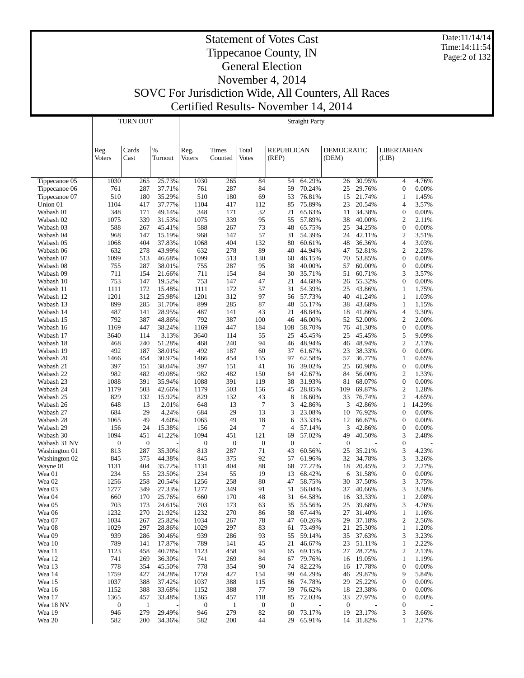Date:11/14/14 Time:14:11:54 Page:2 of 132

# Statement of Votes Cast Tippecanoe County, IN General Election November 4, 2014 SOVC For Jurisdiction Wide, All Counters, All Races

Certified Results- November 14, 2014

|                        |                      | <b>TURN OUT</b>     |                  | <b>Straight Party</b>    |                     |                         |                        |                  |                        |                  |                                      |                 |
|------------------------|----------------------|---------------------|------------------|--------------------------|---------------------|-------------------------|------------------------|------------------|------------------------|------------------|--------------------------------------|-----------------|
|                        |                      |                     |                  |                          |                     |                         |                        |                  |                        |                  |                                      |                 |
|                        | Reg.                 | Cards               | %                | Reg.                     | Times               | Total                   | <b>REPUBLICAN</b>      |                  | <b>DEMOCRATIC</b>      |                  | <b>LIBERTARIAN</b>                   |                 |
|                        | Voters               | Cast                | Turnout          | <b>Voters</b>            | Counted             | <b>Votes</b>            | (REP)                  |                  | (DEM)                  |                  | (LIB)                                |                 |
|                        |                      |                     |                  |                          |                     |                         |                        |                  |                        |                  |                                      |                 |
| Tippecanoe 05          | 1030                 | 265                 | 25.73%           | 1030                     | 265                 | 84                      | 54                     | 64.29%           | 26                     | 30.95%           | 4                                    | 4.76%           |
| Tippecanoe 06          | 761                  | 287                 | 37.71%           | 761                      | 287                 | 84                      | 59                     | 70.24%           | 25                     | 29.76%           | $\boldsymbol{0}$                     | 0.00%           |
| Tippecanoe 07          | 510                  | 180                 | 35.29%           | 510                      | 180                 | 69                      | 53                     | 76.81%           | 15                     | 21.74%           | $\mathbf{1}$                         | 1.45%           |
| Union 01               | 1104                 | 417                 | 37.77%           | 1104                     | 417                 | 112                     | 85                     | 75.89%           | 23                     | 20.54%           | $\overline{4}$                       | 3.57%           |
| Wabash 01<br>Wabash 02 | 348<br>1075          | 171<br>339          | 49.14%<br>31.53% | 348<br>1075              | 171<br>339          | 32<br>95                | 21<br>55               | 65.63%<br>57.89% | 11<br>38               | 34.38%<br>40.00% | $\boldsymbol{0}$<br>$\overline{c}$   | 0.00%<br>2.11%  |
| Wabash 03              | 588                  | 267                 | 45.41%           | 588                      | 267                 | 73                      | 48                     | 65.75%           | 25                     | 34.25%           | $\boldsymbol{0}$                     | 0.00%           |
| Wabash 04              | 968                  | 147                 | 15.19%           | 968                      | 147                 | 57                      | 31                     | 54.39%           | 24                     | 42.11%           | $\overline{c}$                       | 3.51%           |
| Wabash 05              | 1068                 | 404                 | 37.83%           | 1068                     | 404                 | 132                     | 80                     | 60.61%           | 48                     | 36.36%           | $\overline{4}$                       | 3.03%           |
| Wabash 06              | 632                  | 278                 | 43.99%           | 632                      | 278                 | 89                      | 40                     | 44.94%           | 47                     | 52.81%           | $\mathfrak{2}$                       | 2.25%           |
| Wabash 07              | 1099                 | 513                 | 46.68%           | 1099                     | 513                 | 130                     | 60                     | 46.15%           | 70                     | 53.85%           | $\boldsymbol{0}$                     | 0.00%           |
| Wabash 08              | 755                  | 287                 | 38.01%           | 755                      | 287                 | 95                      | 38                     | 40.00%           | 57                     | 60.00%           | $\boldsymbol{0}$                     | 0.00%           |
| Wabash 09<br>Wabash 10 | 711<br>753           | 154<br>147          | 21.66%<br>19.52% | 711<br>753               | 154<br>147          | 84<br>47                | 30<br>21               | 35.71%<br>44.68% | 51<br>26               | 60.71%<br>55.32% | 3<br>$\boldsymbol{0}$                | 3.57%<br>0.00%  |
| Wabash 11              | 1111                 | 172                 | 15.48%           | 1111                     | 172                 | 57                      | 31                     | 54.39%           | 25                     | 43.86%           | $\mathbf{1}$                         | 1.75%           |
| Wabash 12              | 1201                 | 312                 | 25.98%           | 1201                     | 312                 | 97                      | 56                     | 57.73%           | 40                     | 41.24%           | $\mathbf{1}$                         | 1.03%           |
| Wabash 13              | 899                  | 285                 | 31.70%           | 899                      | 285                 | 87                      | 48                     | 55.17%           | 38                     | 43.68%           | $\mathbf{1}$                         | 1.15%           |
| Wabash 14              | 487                  | 141                 | 28.95%           | 487                      | 141                 | 43                      | 21                     | 48.84%           | 18                     | 41.86%           | $\overline{4}$                       | 9.30%           |
| Wabash 15              | 792                  | 387                 | 48.86%           | 792                      | 387                 | 100                     | 46                     | 46.00%           | 52                     | 52.00%           | 2                                    | 2.00%           |
| Wabash 16              | 1169                 | 447                 | 38.24%           | 1169                     | 447                 | 184                     | 108                    | 58.70%           | 76                     | 41.30%           | $\boldsymbol{0}$                     | 0.00%           |
| Wabash 17              | 3640                 | 114                 | 3.13%            | 3640                     | 114<br>240          | 55<br>94                | 25                     | 45.45%<br>48.94% | 25                     | 45.45%           | 5<br>$\overline{c}$                  | 9.09%           |
| Wabash 18<br>Wabash 19 | 468<br>492           | 240<br>187          | 51.28%<br>38.01% | 468<br>492               | 187                 | 60                      | 46<br>37               | 61.67%           | 46<br>23               | 48.94%<br>38.33% | $\boldsymbol{0}$                     | 2.13%<br>0.00%  |
| Wabash 20              | 1466                 | 454                 | 30.97%           | 1466                     | 454                 | 155                     | 97                     | 62.58%           | 57                     | 36.77%           | 1                                    | 0.65%           |
| Wabash 21              | 397                  | 151                 | 38.04%           | 397                      | 151                 | 41                      | 16                     | 39.02%           | 25                     | 60.98%           | $\boldsymbol{0}$                     | 0.00%           |
| Wabash 22              | 982                  | 482                 | 49.08%           | 982                      | 482                 | 150                     | 64                     | 42.67%           | 84                     | 56.00%           | $\overline{c}$                       | 1.33%           |
| Wabash 23              | 1088                 | 391                 | 35.94%           | 1088                     | 391                 | 119                     | 38                     | 31.93%           | 81                     | 68.07%           | $\boldsymbol{0}$                     | 0.00%           |
| Wabash 24              | 1179                 | 503                 | 42.66%           | 1179                     | 503                 | 156                     | 45                     | 28.85%           | 109                    | 69.87%           | 2                                    | 1.28%           |
| Wabash 25              | 829                  | 132                 | 15.92%           | 829                      | 132                 | 43                      | 8                      | 18.60%           | 33                     | 76.74%           | $\overline{c}$                       | 4.65%           |
| Wabash 26<br>Wabash 27 | 648<br>684           | 13<br>29            | 2.01%<br>4.24%   | 648<br>684               | 13<br>29            | 7<br>13                 | 3<br>3                 | 42.86%<br>23.08% | 3<br>10                | 42.86%<br>76.92% | $\mathbf{1}$<br>$\boldsymbol{0}$     | 14.29%<br>0.00% |
| Wabash 28              | 1065                 | 49                  | 4.60%            | 1065                     | 49                  | 18                      | 6                      | 33.33%           | 12                     | 66.67%           | $\boldsymbol{0}$                     | 0.00%           |
| Wabash 29              | 156                  | 24                  | 15.38%           | 156                      | 24                  | 7                       | 4                      | 57.14%           | 3                      | 42.86%           | $\boldsymbol{0}$                     | 0.00%           |
| Wabash 30              | 1094                 | 451                 | 41.22%           | 1094                     | 451                 | 121                     | 69                     | 57.02%           | 49                     | 40.50%           | 3                                    | 2.48%           |
| Wabash 31 NV           | $\boldsymbol{0}$     | $\mathbf{0}$        |                  | $\boldsymbol{0}$         | $\boldsymbol{0}$    | $\boldsymbol{0}$        | $\boldsymbol{0}$       |                  | $\boldsymbol{0}$       |                  | $\boldsymbol{0}$                     |                 |
| Washington 01          | 813                  | 287                 | 35.30%           | 813                      | 287                 | 71                      | 43                     | 60.56%           | 25                     | 35.21%           | 3                                    | 4.23%           |
| Washington 02          | 845                  | 375                 | 44.38%<br>35.72% | 845                      | 375                 | 92                      | 57                     | 61.96%           | 32                     | 34.78%           | 3<br>$\overline{c}$                  | 3.26%           |
| Wayne 01<br>Wea 01     | 1131<br>234          | 404<br>55           | 23.50%           | 1131<br>234              | 404<br>55           | 88<br>19                | 68<br>13               | 77.27%<br>68.42% | 18<br>6                | 20.45%<br>31.58% | $\boldsymbol{0}$                     | 2.27%<br>0.00%  |
| Wea 02                 | 1256                 | 258                 | 20.54%           | 1256                     | 258                 | 80                      | 47                     | 58.75%           | 30                     | 37.50%           | 3                                    | 3.75%           |
| Wea 03                 | 1277                 | 349                 | 27.33%           | 1277                     | 349                 | 91                      | 51                     | 56.04%           | 37                     | 40.66%           | 3                                    | 3.30%           |
| Wea 04                 | 660                  | 170                 | 25.76%           | 660                      | 170                 | 48                      | 31                     | 64.58%           | 16                     | 33.33%           | $\mathbf{1}$                         | 2.08%           |
| Wea 05                 | 703                  | 173                 | 24.61%           | 703                      | 173                 | 63                      | 35                     | 55.56%           | 25                     | 39.68%           | 3                                    | 4.76%           |
| Wea 06                 | 1232                 | 270                 | 21.92%           | 1232                     | 270                 | 86                      | 58                     | 67.44%           | 27                     | 31.40%           | $\mathbf{1}$                         | 1.16%           |
| Wea 07                 | 1034                 | 267                 | 25.82%           | 1034                     | 267                 | 78                      | 47                     | 60.26%           | 29                     | 37.18%           | 2                                    | 2.56%           |
| Wea 08<br>Wea 09       | 1029<br>939          | 297<br>286          | 28.86%<br>30.46% | 1029<br>939              | 297<br>286          | 83<br>93                | 61<br>55               | 73.49%<br>59.14% | 21<br>35               | 25.30%<br>37.63% | $\mathbf{1}$<br>3                    | 1.20%<br>3.23%  |
| Wea 10                 | 789                  | 141                 | 17.87%           | 789                      | 141                 | 45                      | 21                     | 46.67%           | 23                     | 51.11%           | $\mathbf{1}$                         | 2.22%           |
| Wea 11                 | 1123                 | 458                 | 40.78%           | 1123                     | 458                 | 94                      | 65                     | 69.15%           | 27                     | 28.72%           | 2                                    | 2.13%           |
| Wea 12                 | 741                  | 269                 | 36.30%           | 741                      | 269                 | 84                      | 67                     | 79.76%           | 16                     | 19.05%           | $\mathbf{1}$                         | 1.19%           |
| Wea 13                 | 778                  | 354                 | 45.50%           | 778                      | 354                 | 90                      | 74                     | 82.22%           | 16                     | 17.78%           | $\boldsymbol{0}$                     | 0.00%           |
| Wea 14                 | 1759                 | 427                 | 24.28%           | 1759                     | 427                 | 154                     | 99                     | 64.29%           | 46                     | 29.87%           | 9                                    | 5.84%           |
| Wea 15                 | 1037                 | 388                 | 37.42%           | 1037                     | 388                 | 115                     | 86                     | 74.78%           | 29                     | 25.22%           | $\boldsymbol{0}$                     | 0.00%           |
| Wea 16                 | 1152                 | 388                 | 33.68%           | 1152                     | 388                 | 77                      | 59                     | 76.62%           | 18                     | 23.38%           | $\boldsymbol{0}$                     | 0.00%           |
| Wea 17<br>Wea 18 NV    | 1365<br>$\mathbf{0}$ | 457<br>$\mathbf{1}$ | 33.48%           | 1365<br>$\boldsymbol{0}$ | 457<br>$\mathbf{1}$ | 118<br>$\boldsymbol{0}$ | 85<br>$\boldsymbol{0}$ | 72.03%           | 33<br>$\boldsymbol{0}$ | 27.97%           | $\boldsymbol{0}$<br>$\boldsymbol{0}$ | 0.00%           |
| Wea 19                 | 946                  | 279                 | 29.49%           | 946                      | 279                 | 82                      | 60                     | 73.17%           | 19                     | 23.17%           | 3                                    | 3.66%           |
| Wea 20                 | 582                  | 200                 | 34.36%           | 582                      | 200                 | 44                      | 29                     | 65.91%           |                        | 14 31.82%        | $\mathbf{1}$                         | 2.27%           |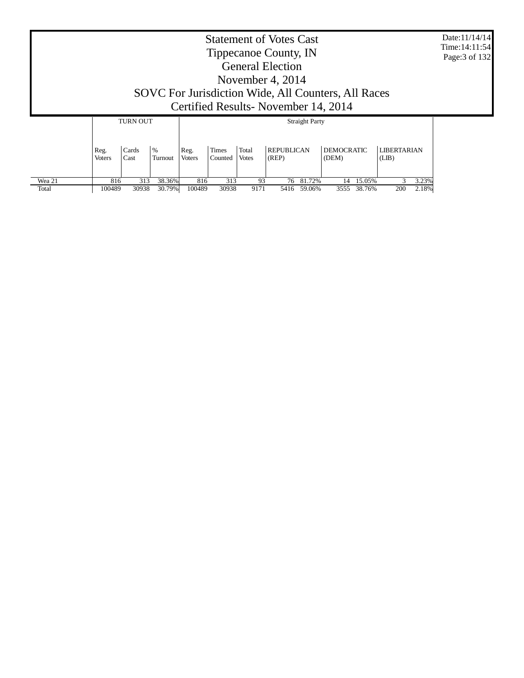| <b>Statement of Votes Cast</b><br>Tippecanoe County, IN<br><b>General Election</b><br>November 4, $2014$<br>SOVC For Jurisdiction Wide, All Counters, All Races<br>Certified Results - November 14, 2014              |  |  |  |  |  |  |  |  |  |  |  |
|-----------------------------------------------------------------------------------------------------------------------------------------------------------------------------------------------------------------------|--|--|--|--|--|--|--|--|--|--|--|
| <b>TURN OUT</b><br><b>Straight Party</b>                                                                                                                                                                              |  |  |  |  |  |  |  |  |  |  |  |
| $\frac{9}{6}$<br><b>REPUBLICAN</b><br><b>DEMOCRATIC</b><br>Total<br><b>LIBERTARIAN</b><br>Cards<br>Times<br>Reg.<br>Reg.<br><b>Voters</b><br>Voters<br>(REP)<br>(DEM)<br>Cast<br>Counted<br>Votes<br>(LIB)<br>Turnout |  |  |  |  |  |  |  |  |  |  |  |
| 38.36%<br>Wea 21<br>313<br>313<br>76 81.72%<br>14 15.05%<br>3.23%<br>816<br>816<br>93<br>30938<br>30.79%<br>100489<br>30938<br>3555 38.76%<br>200<br>2.18%<br>Total<br>100489<br>9171<br>5416 59.06%                  |  |  |  |  |  |  |  |  |  |  |  |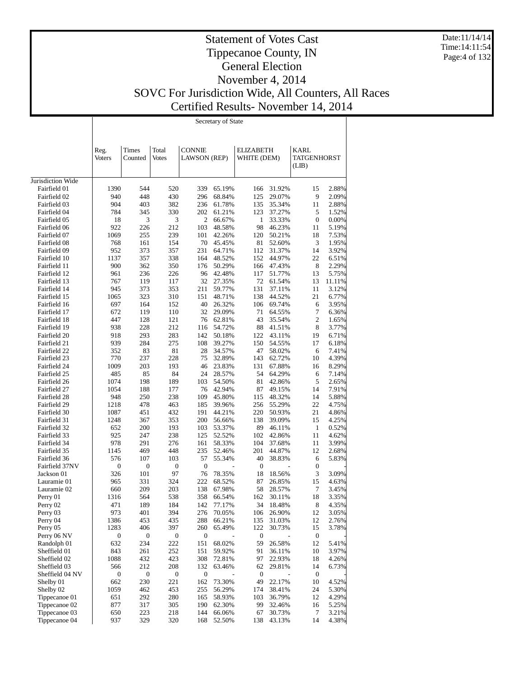Date:11/14/14 Time:14:11:54 Page:4 of 132

# Statement of Votes Cast Tippecanoe County, IN General Election November 4, 2014 SOVC For Jurisdiction Wide, All Counters, All Races Certified Results- November 14, 2014

 $\overline{\mathbf{S}}$   $\overline{\mathbf{S}}$   $\overline{\mathbf{S}}$   $\overline{\mathbf{S}}$   $\overline{\mathbf{S}}$   $\overline{\mathbf{S}}$   $\overline{\mathbf{S}}$   $\overline{\mathbf{S}}$   $\overline{\mathbf{S}}$   $\overline{\mathbf{S}}$   $\overline{\mathbf{S}}$   $\overline{\mathbf{S}}$   $\overline{\mathbf{S}}$   $\overline{\mathbf{S}}$   $\overline{\mathbf{S}}$   $\overline{\mathbf{S}}$   $\overline{\mathbf{S}}$   $\overline{\mathbf{S}}$   $\overline{\$ 

| <b>CONNIE</b><br>Times<br>Total<br><b>ELIZABETH</b><br>KARL<br>Reg.<br><b>Votes</b><br><b>LAWSON</b> (REP)<br>WHITE (DEM)<br>TATGENHORST<br>Voters<br>Counted<br>(LIB)<br>Jurisdiction Wide<br>Fairfield 01<br>1390<br>544<br>520<br>339<br>65.19%<br>166<br>31.92%<br>15<br>2.88%<br>448<br>430<br>Fairfield 02<br>940<br>296<br>68.84%<br>125<br>29.07%<br>9<br>2.09%<br>382<br>904<br>403<br>236<br>61.78%<br>135<br>35.34%<br>2.88%<br>Fairfield 03<br>11<br>123<br>Fairfield 04<br>784<br>345<br>330<br>202<br>37.27%<br>5<br>1.52%<br>61.21%<br>3<br>3<br>2<br>33.33%<br>$\boldsymbol{0}$<br>0.00%<br>Fairfield 05<br>18<br>66.67%<br>1<br>212<br>Fairfield 06<br>922<br>226<br>103<br>48.58%<br>98<br>46.23%<br>11<br>5.19%<br>239<br>1069<br>255<br>101<br>42.26%<br>120<br>50.21%<br>18<br>7.53%<br>Fairfield 07<br>Fairfield 08<br>768<br>161<br>154<br>70<br>45.45%<br>81<br>52.60%<br>3<br>1.95%<br>231<br>Fairfield 09<br>952<br>373<br>357<br>64.71%<br>112<br>31.37%<br>3.92%<br>14<br>338<br>Fairfield 10<br>1137<br>357<br>164<br>48.52%<br>152<br>44.97%<br>22<br>6.51%<br>900<br>362<br>350<br>176<br>50.29%<br>166<br>47.43%<br>8<br>2.29%<br>Fairfield 11<br>Fairfield 12<br>961<br>236<br>226<br>96<br>42.48%<br>117<br>51.77%<br>13<br>5.75%<br>32<br>767<br>119<br>117<br>27.35%<br>72<br>61.54%<br>13<br>11.11%<br>Fairfield 13<br>Fairfield 14<br>945<br>373<br>353<br>211<br>59.77%<br>131<br>37.11%<br>11<br>3.12%<br>21<br>1065<br>323<br>310<br>151<br>48.71%<br>138<br>44.52%<br>6.77%<br>Fairfield 15<br>Fairfield 16<br>697<br>164<br>152<br>40<br>26.32%<br>106<br>69.74%<br>3.95%<br>6<br>32<br>672<br>119<br>110<br>29.09%<br>71<br>64.55%<br>7<br>6.36%<br>Fairfield 17<br>Fairfield 18<br>447<br>128<br>121<br>76<br>62.81%<br>43<br>35.54%<br>2<br>1.65%<br>Fairfield 19<br>938<br>228<br>212<br>116<br>54.72%<br>88<br>41.51%<br>8<br>3.77%<br>Fairfield 20<br>293<br>283<br>142<br>50.18%<br>122<br>43.11%<br>19<br>6.71%<br>918<br>Fairfield 21<br>939<br>284<br>275<br>108<br>39.27%<br>150<br>54.55%<br>6.18%<br>17<br>Fairfield 22<br>352<br>83<br>81<br>28<br>34.57%<br>47<br>58.02%<br>6<br>7.41%<br>228<br>Fairfield 23<br>770<br>237<br>75<br>32.89%<br>143<br>62.72%<br>10<br>4.39%<br>Fairfield 24<br>1009<br>203<br>193<br>46<br>23.83%<br>131<br>67.88%<br>8.29%<br>16<br>Fairfield 25<br>485<br>85<br>84<br>24<br>28.57%<br>54<br>64.29%<br>7.14%<br>6<br>Fairfield 26<br>1074<br>198<br>189<br>103<br>54.50%<br>81<br>42.86%<br>5<br>2.65%<br>Fairfield 27<br>188<br>177<br>76<br>42.94%<br>87<br>49.15%<br>7.91%<br>1054<br>14<br>238<br>948<br>250<br>109<br>45.80%<br>115<br>48.32%<br>14<br>5.88%<br>Fairfield 28<br>Fairfield 29<br>478<br>463<br>185<br>39.96%<br>256<br>55.29%<br>22<br>4.75%<br>1218<br>Fairfield 30<br>1087<br>451<br>432<br>191<br>44.21%<br>220<br>50.93%<br>21<br>4.86%<br>367<br>353<br>200<br>56.66%<br>138<br>39.09%<br>15<br>4.25%<br>Fairfield 31<br>1248<br>652<br>200<br>193<br>103<br>53.37%<br>89<br>46.11%<br>$\mathbf{1}$<br>0.52%<br>Fairfield 32<br>238<br>Fairfield 33<br>925<br>247<br>125<br>52.52%<br>102<br>42.86%<br>11<br>4.62%<br>Fairfield 34<br>978<br>291<br>276<br>161<br>58.33%<br>104<br>37.68%<br>11<br>3.99%<br>Fairfield 35<br>1145<br>469<br>448<br>235<br>52.46%<br>201<br>44.87%<br>12<br>2.68%<br>107<br>103<br>57<br>55.34%<br>40<br>38.83%<br>5.83%<br>Fairfield 36<br>576<br>6<br>Fairfield 37NV<br>$\boldsymbol{0}$<br>$\boldsymbol{0}$<br>$\boldsymbol{0}$<br>0<br>0<br>0<br>76<br>326<br>101<br>97<br>78.35%<br>18<br>18.56%<br>3<br>3.09%<br>Jackson 01<br>222<br>331<br>324<br>68.52%<br>87<br>26.85%<br>15<br>Lauramie 01<br>965<br>4.63%<br>660<br>209<br>203<br>138<br>67.98%<br>58<br>28.57%<br>7<br>3.45%<br>Lauramie 02<br>538<br>358<br>162<br>30.11%<br>18<br>3.35%<br>Perry 01<br>1316<br>564<br>66.54%<br>189<br>184<br>142<br>34<br>18.48%<br>$\,8\,$<br>4.35%<br>Perry 02<br>471<br>77.17%<br>Perry 03<br>26.90%<br>3.05%<br>973<br>401<br>394<br>276<br>70.05%<br>12<br>106<br>Perry 04<br>1386<br>453<br>435<br>288<br>135<br>31.03%<br>2.76%<br>66.21%<br>12<br>1283<br>406<br>397<br>260<br>122<br>30.73%<br>3.78%<br>Perry 05<br>65.49%<br>15<br>0<br>$\boldsymbol{0}$<br>$\boldsymbol{0}$<br>$\boldsymbol{0}$<br>$\boldsymbol{0}$<br>$\boldsymbol{0}$<br>Perry 06 NV<br>632<br>234<br>222<br>151<br>59<br>26.58%<br>12<br>Randolph 01<br>68.02%<br>5.41%<br>Sheffield 01<br>843<br>252<br>91<br>36.11%<br>3.97%<br>261<br>151<br>59.92%<br>10<br>Sheffield 02<br>1088<br>432<br>423<br>308<br>22.93%<br>72.81%<br>97<br>18<br>4.26%<br>Sheffield 03<br>212<br>208<br>132<br>29.81%<br>6.73%<br>566<br>63.46%<br>62<br>14<br>$\boldsymbol{0}$<br>Sheffield 04 NV<br>0<br>$\boldsymbol{0}$<br>0<br>$\boldsymbol{0}$<br>$\bf{0}$<br>662<br>230<br>221<br>162<br>73.30%<br>49<br>22.17%<br>10<br>4.52%<br>Shelby 01<br>1059<br>453<br>255<br>38.41%<br>5.30%<br>Shelby 02<br>462<br>56.29%<br>174<br>24<br>292<br>280<br>36.79%<br>4.29%<br>Tippecanoe 01<br>651<br>165<br>58.93%<br>103<br>12<br>305<br>190<br>99<br>5.25%<br>Tippecanoe 02<br>877<br>317<br>62.30%<br>32.46%<br>16<br>Tippecanoe 03<br>650<br>223<br>218<br>144<br>30.73%<br>7<br>3.21%<br>66.06%<br>67<br>937<br>320<br>43.13%<br>52.50% |               | Secretary of State |  |     |  |     |  |    |       |  |  |
|--------------------------------------------------------------------------------------------------------------------------------------------------------------------------------------------------------------------------------------------------------------------------------------------------------------------------------------------------------------------------------------------------------------------------------------------------------------------------------------------------------------------------------------------------------------------------------------------------------------------------------------------------------------------------------------------------------------------------------------------------------------------------------------------------------------------------------------------------------------------------------------------------------------------------------------------------------------------------------------------------------------------------------------------------------------------------------------------------------------------------------------------------------------------------------------------------------------------------------------------------------------------------------------------------------------------------------------------------------------------------------------------------------------------------------------------------------------------------------------------------------------------------------------------------------------------------------------------------------------------------------------------------------------------------------------------------------------------------------------------------------------------------------------------------------------------------------------------------------------------------------------------------------------------------------------------------------------------------------------------------------------------------------------------------------------------------------------------------------------------------------------------------------------------------------------------------------------------------------------------------------------------------------------------------------------------------------------------------------------------------------------------------------------------------------------------------------------------------------------------------------------------------------------------------------------------------------------------------------------------------------------------------------------------------------------------------------------------------------------------------------------------------------------------------------------------------------------------------------------------------------------------------------------------------------------------------------------------------------------------------------------------------------------------------------------------------------------------------------------------------------------------------------------------------------------------------------------------------------------------------------------------------------------------------------------------------------------------------------------------------------------------------------------------------------------------------------------------------------------------------------------------------------------------------------------------------------------------------------------------------------------------------------------------------------------------------------------------------------------------------------------------------------------------------------------------------------------------------------------------------------------------------------------------------------------------------------------------------------------------------------------------------------------------------------------------------------------------------------------------------------------------------------------------------------------------------------------------------------------------------------------------------------------------------------------------------------------------------------------------------------------------------------------------------------------------------------------------------------------------------------------------------------------------------------------------------------------------------------------------------------------------------------------------------------------------------------------------------------------------------------------------------------------------------------------------------------------------------------------------------------------------------------------------------------------------------------------------------------------------------------------------------------------------------------------------------------------------------------------------------------------------------------------------------------------------------------------------------------------------------------|---------------|--------------------|--|-----|--|-----|--|----|-------|--|--|
|                                                                                                                                                                                                                                                                                                                                                                                                                                                                                                                                                                                                                                                                                                                                                                                                                                                                                                                                                                                                                                                                                                                                                                                                                                                                                                                                                                                                                                                                                                                                                                                                                                                                                                                                                                                                                                                                                                                                                                                                                                                                                                                                                                                                                                                                                                                                                                                                                                                                                                                                                                                                                                                                                                                                                                                                                                                                                                                                                                                                                                                                                                                                                                                                                                                                                                                                                                                                                                                                                                                                                                                                                                                                                                                                                                                                                                                                                                                                                                                                                                                                                                                                                                                                                                                                                                                                                                                                                                                                                                                                                                                                                                                                                                                                                                                                                                                                                                                                                                                                                                                                                                                                                                                                                                                        |               |                    |  |     |  |     |  |    |       |  |  |
|                                                                                                                                                                                                                                                                                                                                                                                                                                                                                                                                                                                                                                                                                                                                                                                                                                                                                                                                                                                                                                                                                                                                                                                                                                                                                                                                                                                                                                                                                                                                                                                                                                                                                                                                                                                                                                                                                                                                                                                                                                                                                                                                                                                                                                                                                                                                                                                                                                                                                                                                                                                                                                                                                                                                                                                                                                                                                                                                                                                                                                                                                                                                                                                                                                                                                                                                                                                                                                                                                                                                                                                                                                                                                                                                                                                                                                                                                                                                                                                                                                                                                                                                                                                                                                                                                                                                                                                                                                                                                                                                                                                                                                                                                                                                                                                                                                                                                                                                                                                                                                                                                                                                                                                                                                                        |               |                    |  |     |  |     |  |    |       |  |  |
|                                                                                                                                                                                                                                                                                                                                                                                                                                                                                                                                                                                                                                                                                                                                                                                                                                                                                                                                                                                                                                                                                                                                                                                                                                                                                                                                                                                                                                                                                                                                                                                                                                                                                                                                                                                                                                                                                                                                                                                                                                                                                                                                                                                                                                                                                                                                                                                                                                                                                                                                                                                                                                                                                                                                                                                                                                                                                                                                                                                                                                                                                                                                                                                                                                                                                                                                                                                                                                                                                                                                                                                                                                                                                                                                                                                                                                                                                                                                                                                                                                                                                                                                                                                                                                                                                                                                                                                                                                                                                                                                                                                                                                                                                                                                                                                                                                                                                                                                                                                                                                                                                                                                                                                                                                                        |               |                    |  |     |  |     |  |    |       |  |  |
|                                                                                                                                                                                                                                                                                                                                                                                                                                                                                                                                                                                                                                                                                                                                                                                                                                                                                                                                                                                                                                                                                                                                                                                                                                                                                                                                                                                                                                                                                                                                                                                                                                                                                                                                                                                                                                                                                                                                                                                                                                                                                                                                                                                                                                                                                                                                                                                                                                                                                                                                                                                                                                                                                                                                                                                                                                                                                                                                                                                                                                                                                                                                                                                                                                                                                                                                                                                                                                                                                                                                                                                                                                                                                                                                                                                                                                                                                                                                                                                                                                                                                                                                                                                                                                                                                                                                                                                                                                                                                                                                                                                                                                                                                                                                                                                                                                                                                                                                                                                                                                                                                                                                                                                                                                                        |               |                    |  |     |  |     |  |    |       |  |  |
|                                                                                                                                                                                                                                                                                                                                                                                                                                                                                                                                                                                                                                                                                                                                                                                                                                                                                                                                                                                                                                                                                                                                                                                                                                                                                                                                                                                                                                                                                                                                                                                                                                                                                                                                                                                                                                                                                                                                                                                                                                                                                                                                                                                                                                                                                                                                                                                                                                                                                                                                                                                                                                                                                                                                                                                                                                                                                                                                                                                                                                                                                                                                                                                                                                                                                                                                                                                                                                                                                                                                                                                                                                                                                                                                                                                                                                                                                                                                                                                                                                                                                                                                                                                                                                                                                                                                                                                                                                                                                                                                                                                                                                                                                                                                                                                                                                                                                                                                                                                                                                                                                                                                                                                                                                                        |               |                    |  |     |  |     |  |    |       |  |  |
|                                                                                                                                                                                                                                                                                                                                                                                                                                                                                                                                                                                                                                                                                                                                                                                                                                                                                                                                                                                                                                                                                                                                                                                                                                                                                                                                                                                                                                                                                                                                                                                                                                                                                                                                                                                                                                                                                                                                                                                                                                                                                                                                                                                                                                                                                                                                                                                                                                                                                                                                                                                                                                                                                                                                                                                                                                                                                                                                                                                                                                                                                                                                                                                                                                                                                                                                                                                                                                                                                                                                                                                                                                                                                                                                                                                                                                                                                                                                                                                                                                                                                                                                                                                                                                                                                                                                                                                                                                                                                                                                                                                                                                                                                                                                                                                                                                                                                                                                                                                                                                                                                                                                                                                                                                                        |               |                    |  |     |  |     |  |    |       |  |  |
|                                                                                                                                                                                                                                                                                                                                                                                                                                                                                                                                                                                                                                                                                                                                                                                                                                                                                                                                                                                                                                                                                                                                                                                                                                                                                                                                                                                                                                                                                                                                                                                                                                                                                                                                                                                                                                                                                                                                                                                                                                                                                                                                                                                                                                                                                                                                                                                                                                                                                                                                                                                                                                                                                                                                                                                                                                                                                                                                                                                                                                                                                                                                                                                                                                                                                                                                                                                                                                                                                                                                                                                                                                                                                                                                                                                                                                                                                                                                                                                                                                                                                                                                                                                                                                                                                                                                                                                                                                                                                                                                                                                                                                                                                                                                                                                                                                                                                                                                                                                                                                                                                                                                                                                                                                                        |               |                    |  |     |  |     |  |    |       |  |  |
|                                                                                                                                                                                                                                                                                                                                                                                                                                                                                                                                                                                                                                                                                                                                                                                                                                                                                                                                                                                                                                                                                                                                                                                                                                                                                                                                                                                                                                                                                                                                                                                                                                                                                                                                                                                                                                                                                                                                                                                                                                                                                                                                                                                                                                                                                                                                                                                                                                                                                                                                                                                                                                                                                                                                                                                                                                                                                                                                                                                                                                                                                                                                                                                                                                                                                                                                                                                                                                                                                                                                                                                                                                                                                                                                                                                                                                                                                                                                                                                                                                                                                                                                                                                                                                                                                                                                                                                                                                                                                                                                                                                                                                                                                                                                                                                                                                                                                                                                                                                                                                                                                                                                                                                                                                                        |               |                    |  |     |  |     |  |    |       |  |  |
|                                                                                                                                                                                                                                                                                                                                                                                                                                                                                                                                                                                                                                                                                                                                                                                                                                                                                                                                                                                                                                                                                                                                                                                                                                                                                                                                                                                                                                                                                                                                                                                                                                                                                                                                                                                                                                                                                                                                                                                                                                                                                                                                                                                                                                                                                                                                                                                                                                                                                                                                                                                                                                                                                                                                                                                                                                                                                                                                                                                                                                                                                                                                                                                                                                                                                                                                                                                                                                                                                                                                                                                                                                                                                                                                                                                                                                                                                                                                                                                                                                                                                                                                                                                                                                                                                                                                                                                                                                                                                                                                                                                                                                                                                                                                                                                                                                                                                                                                                                                                                                                                                                                                                                                                                                                        |               |                    |  |     |  |     |  |    |       |  |  |
|                                                                                                                                                                                                                                                                                                                                                                                                                                                                                                                                                                                                                                                                                                                                                                                                                                                                                                                                                                                                                                                                                                                                                                                                                                                                                                                                                                                                                                                                                                                                                                                                                                                                                                                                                                                                                                                                                                                                                                                                                                                                                                                                                                                                                                                                                                                                                                                                                                                                                                                                                                                                                                                                                                                                                                                                                                                                                                                                                                                                                                                                                                                                                                                                                                                                                                                                                                                                                                                                                                                                                                                                                                                                                                                                                                                                                                                                                                                                                                                                                                                                                                                                                                                                                                                                                                                                                                                                                                                                                                                                                                                                                                                                                                                                                                                                                                                                                                                                                                                                                                                                                                                                                                                                                                                        |               |                    |  |     |  |     |  |    |       |  |  |
|                                                                                                                                                                                                                                                                                                                                                                                                                                                                                                                                                                                                                                                                                                                                                                                                                                                                                                                                                                                                                                                                                                                                                                                                                                                                                                                                                                                                                                                                                                                                                                                                                                                                                                                                                                                                                                                                                                                                                                                                                                                                                                                                                                                                                                                                                                                                                                                                                                                                                                                                                                                                                                                                                                                                                                                                                                                                                                                                                                                                                                                                                                                                                                                                                                                                                                                                                                                                                                                                                                                                                                                                                                                                                                                                                                                                                                                                                                                                                                                                                                                                                                                                                                                                                                                                                                                                                                                                                                                                                                                                                                                                                                                                                                                                                                                                                                                                                                                                                                                                                                                                                                                                                                                                                                                        |               |                    |  |     |  |     |  |    |       |  |  |
|                                                                                                                                                                                                                                                                                                                                                                                                                                                                                                                                                                                                                                                                                                                                                                                                                                                                                                                                                                                                                                                                                                                                                                                                                                                                                                                                                                                                                                                                                                                                                                                                                                                                                                                                                                                                                                                                                                                                                                                                                                                                                                                                                                                                                                                                                                                                                                                                                                                                                                                                                                                                                                                                                                                                                                                                                                                                                                                                                                                                                                                                                                                                                                                                                                                                                                                                                                                                                                                                                                                                                                                                                                                                                                                                                                                                                                                                                                                                                                                                                                                                                                                                                                                                                                                                                                                                                                                                                                                                                                                                                                                                                                                                                                                                                                                                                                                                                                                                                                                                                                                                                                                                                                                                                                                        |               |                    |  |     |  |     |  |    |       |  |  |
|                                                                                                                                                                                                                                                                                                                                                                                                                                                                                                                                                                                                                                                                                                                                                                                                                                                                                                                                                                                                                                                                                                                                                                                                                                                                                                                                                                                                                                                                                                                                                                                                                                                                                                                                                                                                                                                                                                                                                                                                                                                                                                                                                                                                                                                                                                                                                                                                                                                                                                                                                                                                                                                                                                                                                                                                                                                                                                                                                                                                                                                                                                                                                                                                                                                                                                                                                                                                                                                                                                                                                                                                                                                                                                                                                                                                                                                                                                                                                                                                                                                                                                                                                                                                                                                                                                                                                                                                                                                                                                                                                                                                                                                                                                                                                                                                                                                                                                                                                                                                                                                                                                                                                                                                                                                        |               |                    |  |     |  |     |  |    |       |  |  |
|                                                                                                                                                                                                                                                                                                                                                                                                                                                                                                                                                                                                                                                                                                                                                                                                                                                                                                                                                                                                                                                                                                                                                                                                                                                                                                                                                                                                                                                                                                                                                                                                                                                                                                                                                                                                                                                                                                                                                                                                                                                                                                                                                                                                                                                                                                                                                                                                                                                                                                                                                                                                                                                                                                                                                                                                                                                                                                                                                                                                                                                                                                                                                                                                                                                                                                                                                                                                                                                                                                                                                                                                                                                                                                                                                                                                                                                                                                                                                                                                                                                                                                                                                                                                                                                                                                                                                                                                                                                                                                                                                                                                                                                                                                                                                                                                                                                                                                                                                                                                                                                                                                                                                                                                                                                        |               |                    |  |     |  |     |  |    |       |  |  |
|                                                                                                                                                                                                                                                                                                                                                                                                                                                                                                                                                                                                                                                                                                                                                                                                                                                                                                                                                                                                                                                                                                                                                                                                                                                                                                                                                                                                                                                                                                                                                                                                                                                                                                                                                                                                                                                                                                                                                                                                                                                                                                                                                                                                                                                                                                                                                                                                                                                                                                                                                                                                                                                                                                                                                                                                                                                                                                                                                                                                                                                                                                                                                                                                                                                                                                                                                                                                                                                                                                                                                                                                                                                                                                                                                                                                                                                                                                                                                                                                                                                                                                                                                                                                                                                                                                                                                                                                                                                                                                                                                                                                                                                                                                                                                                                                                                                                                                                                                                                                                                                                                                                                                                                                                                                        |               |                    |  |     |  |     |  |    |       |  |  |
|                                                                                                                                                                                                                                                                                                                                                                                                                                                                                                                                                                                                                                                                                                                                                                                                                                                                                                                                                                                                                                                                                                                                                                                                                                                                                                                                                                                                                                                                                                                                                                                                                                                                                                                                                                                                                                                                                                                                                                                                                                                                                                                                                                                                                                                                                                                                                                                                                                                                                                                                                                                                                                                                                                                                                                                                                                                                                                                                                                                                                                                                                                                                                                                                                                                                                                                                                                                                                                                                                                                                                                                                                                                                                                                                                                                                                                                                                                                                                                                                                                                                                                                                                                                                                                                                                                                                                                                                                                                                                                                                                                                                                                                                                                                                                                                                                                                                                                                                                                                                                                                                                                                                                                                                                                                        |               |                    |  |     |  |     |  |    |       |  |  |
|                                                                                                                                                                                                                                                                                                                                                                                                                                                                                                                                                                                                                                                                                                                                                                                                                                                                                                                                                                                                                                                                                                                                                                                                                                                                                                                                                                                                                                                                                                                                                                                                                                                                                                                                                                                                                                                                                                                                                                                                                                                                                                                                                                                                                                                                                                                                                                                                                                                                                                                                                                                                                                                                                                                                                                                                                                                                                                                                                                                                                                                                                                                                                                                                                                                                                                                                                                                                                                                                                                                                                                                                                                                                                                                                                                                                                                                                                                                                                                                                                                                                                                                                                                                                                                                                                                                                                                                                                                                                                                                                                                                                                                                                                                                                                                                                                                                                                                                                                                                                                                                                                                                                                                                                                                                        |               |                    |  |     |  |     |  |    |       |  |  |
|                                                                                                                                                                                                                                                                                                                                                                                                                                                                                                                                                                                                                                                                                                                                                                                                                                                                                                                                                                                                                                                                                                                                                                                                                                                                                                                                                                                                                                                                                                                                                                                                                                                                                                                                                                                                                                                                                                                                                                                                                                                                                                                                                                                                                                                                                                                                                                                                                                                                                                                                                                                                                                                                                                                                                                                                                                                                                                                                                                                                                                                                                                                                                                                                                                                                                                                                                                                                                                                                                                                                                                                                                                                                                                                                                                                                                                                                                                                                                                                                                                                                                                                                                                                                                                                                                                                                                                                                                                                                                                                                                                                                                                                                                                                                                                                                                                                                                                                                                                                                                                                                                                                                                                                                                                                        |               |                    |  |     |  |     |  |    |       |  |  |
|                                                                                                                                                                                                                                                                                                                                                                                                                                                                                                                                                                                                                                                                                                                                                                                                                                                                                                                                                                                                                                                                                                                                                                                                                                                                                                                                                                                                                                                                                                                                                                                                                                                                                                                                                                                                                                                                                                                                                                                                                                                                                                                                                                                                                                                                                                                                                                                                                                                                                                                                                                                                                                                                                                                                                                                                                                                                                                                                                                                                                                                                                                                                                                                                                                                                                                                                                                                                                                                                                                                                                                                                                                                                                                                                                                                                                                                                                                                                                                                                                                                                                                                                                                                                                                                                                                                                                                                                                                                                                                                                                                                                                                                                                                                                                                                                                                                                                                                                                                                                                                                                                                                                                                                                                                                        |               |                    |  |     |  |     |  |    |       |  |  |
|                                                                                                                                                                                                                                                                                                                                                                                                                                                                                                                                                                                                                                                                                                                                                                                                                                                                                                                                                                                                                                                                                                                                                                                                                                                                                                                                                                                                                                                                                                                                                                                                                                                                                                                                                                                                                                                                                                                                                                                                                                                                                                                                                                                                                                                                                                                                                                                                                                                                                                                                                                                                                                                                                                                                                                                                                                                                                                                                                                                                                                                                                                                                                                                                                                                                                                                                                                                                                                                                                                                                                                                                                                                                                                                                                                                                                                                                                                                                                                                                                                                                                                                                                                                                                                                                                                                                                                                                                                                                                                                                                                                                                                                                                                                                                                                                                                                                                                                                                                                                                                                                                                                                                                                                                                                        |               |                    |  |     |  |     |  |    |       |  |  |
|                                                                                                                                                                                                                                                                                                                                                                                                                                                                                                                                                                                                                                                                                                                                                                                                                                                                                                                                                                                                                                                                                                                                                                                                                                                                                                                                                                                                                                                                                                                                                                                                                                                                                                                                                                                                                                                                                                                                                                                                                                                                                                                                                                                                                                                                                                                                                                                                                                                                                                                                                                                                                                                                                                                                                                                                                                                                                                                                                                                                                                                                                                                                                                                                                                                                                                                                                                                                                                                                                                                                                                                                                                                                                                                                                                                                                                                                                                                                                                                                                                                                                                                                                                                                                                                                                                                                                                                                                                                                                                                                                                                                                                                                                                                                                                                                                                                                                                                                                                                                                                                                                                                                                                                                                                                        |               |                    |  |     |  |     |  |    |       |  |  |
|                                                                                                                                                                                                                                                                                                                                                                                                                                                                                                                                                                                                                                                                                                                                                                                                                                                                                                                                                                                                                                                                                                                                                                                                                                                                                                                                                                                                                                                                                                                                                                                                                                                                                                                                                                                                                                                                                                                                                                                                                                                                                                                                                                                                                                                                                                                                                                                                                                                                                                                                                                                                                                                                                                                                                                                                                                                                                                                                                                                                                                                                                                                                                                                                                                                                                                                                                                                                                                                                                                                                                                                                                                                                                                                                                                                                                                                                                                                                                                                                                                                                                                                                                                                                                                                                                                                                                                                                                                                                                                                                                                                                                                                                                                                                                                                                                                                                                                                                                                                                                                                                                                                                                                                                                                                        |               |                    |  |     |  |     |  |    |       |  |  |
|                                                                                                                                                                                                                                                                                                                                                                                                                                                                                                                                                                                                                                                                                                                                                                                                                                                                                                                                                                                                                                                                                                                                                                                                                                                                                                                                                                                                                                                                                                                                                                                                                                                                                                                                                                                                                                                                                                                                                                                                                                                                                                                                                                                                                                                                                                                                                                                                                                                                                                                                                                                                                                                                                                                                                                                                                                                                                                                                                                                                                                                                                                                                                                                                                                                                                                                                                                                                                                                                                                                                                                                                                                                                                                                                                                                                                                                                                                                                                                                                                                                                                                                                                                                                                                                                                                                                                                                                                                                                                                                                                                                                                                                                                                                                                                                                                                                                                                                                                                                                                                                                                                                                                                                                                                                        |               |                    |  |     |  |     |  |    |       |  |  |
|                                                                                                                                                                                                                                                                                                                                                                                                                                                                                                                                                                                                                                                                                                                                                                                                                                                                                                                                                                                                                                                                                                                                                                                                                                                                                                                                                                                                                                                                                                                                                                                                                                                                                                                                                                                                                                                                                                                                                                                                                                                                                                                                                                                                                                                                                                                                                                                                                                                                                                                                                                                                                                                                                                                                                                                                                                                                                                                                                                                                                                                                                                                                                                                                                                                                                                                                                                                                                                                                                                                                                                                                                                                                                                                                                                                                                                                                                                                                                                                                                                                                                                                                                                                                                                                                                                                                                                                                                                                                                                                                                                                                                                                                                                                                                                                                                                                                                                                                                                                                                                                                                                                                                                                                                                                        |               |                    |  |     |  |     |  |    |       |  |  |
|                                                                                                                                                                                                                                                                                                                                                                                                                                                                                                                                                                                                                                                                                                                                                                                                                                                                                                                                                                                                                                                                                                                                                                                                                                                                                                                                                                                                                                                                                                                                                                                                                                                                                                                                                                                                                                                                                                                                                                                                                                                                                                                                                                                                                                                                                                                                                                                                                                                                                                                                                                                                                                                                                                                                                                                                                                                                                                                                                                                                                                                                                                                                                                                                                                                                                                                                                                                                                                                                                                                                                                                                                                                                                                                                                                                                                                                                                                                                                                                                                                                                                                                                                                                                                                                                                                                                                                                                                                                                                                                                                                                                                                                                                                                                                                                                                                                                                                                                                                                                                                                                                                                                                                                                                                                        |               |                    |  |     |  |     |  |    |       |  |  |
|                                                                                                                                                                                                                                                                                                                                                                                                                                                                                                                                                                                                                                                                                                                                                                                                                                                                                                                                                                                                                                                                                                                                                                                                                                                                                                                                                                                                                                                                                                                                                                                                                                                                                                                                                                                                                                                                                                                                                                                                                                                                                                                                                                                                                                                                                                                                                                                                                                                                                                                                                                                                                                                                                                                                                                                                                                                                                                                                                                                                                                                                                                                                                                                                                                                                                                                                                                                                                                                                                                                                                                                                                                                                                                                                                                                                                                                                                                                                                                                                                                                                                                                                                                                                                                                                                                                                                                                                                                                                                                                                                                                                                                                                                                                                                                                                                                                                                                                                                                                                                                                                                                                                                                                                                                                        |               |                    |  |     |  |     |  |    |       |  |  |
|                                                                                                                                                                                                                                                                                                                                                                                                                                                                                                                                                                                                                                                                                                                                                                                                                                                                                                                                                                                                                                                                                                                                                                                                                                                                                                                                                                                                                                                                                                                                                                                                                                                                                                                                                                                                                                                                                                                                                                                                                                                                                                                                                                                                                                                                                                                                                                                                                                                                                                                                                                                                                                                                                                                                                                                                                                                                                                                                                                                                                                                                                                                                                                                                                                                                                                                                                                                                                                                                                                                                                                                                                                                                                                                                                                                                                                                                                                                                                                                                                                                                                                                                                                                                                                                                                                                                                                                                                                                                                                                                                                                                                                                                                                                                                                                                                                                                                                                                                                                                                                                                                                                                                                                                                                                        |               |                    |  |     |  |     |  |    |       |  |  |
|                                                                                                                                                                                                                                                                                                                                                                                                                                                                                                                                                                                                                                                                                                                                                                                                                                                                                                                                                                                                                                                                                                                                                                                                                                                                                                                                                                                                                                                                                                                                                                                                                                                                                                                                                                                                                                                                                                                                                                                                                                                                                                                                                                                                                                                                                                                                                                                                                                                                                                                                                                                                                                                                                                                                                                                                                                                                                                                                                                                                                                                                                                                                                                                                                                                                                                                                                                                                                                                                                                                                                                                                                                                                                                                                                                                                                                                                                                                                                                                                                                                                                                                                                                                                                                                                                                                                                                                                                                                                                                                                                                                                                                                                                                                                                                                                                                                                                                                                                                                                                                                                                                                                                                                                                                                        |               |                    |  |     |  |     |  |    |       |  |  |
|                                                                                                                                                                                                                                                                                                                                                                                                                                                                                                                                                                                                                                                                                                                                                                                                                                                                                                                                                                                                                                                                                                                                                                                                                                                                                                                                                                                                                                                                                                                                                                                                                                                                                                                                                                                                                                                                                                                                                                                                                                                                                                                                                                                                                                                                                                                                                                                                                                                                                                                                                                                                                                                                                                                                                                                                                                                                                                                                                                                                                                                                                                                                                                                                                                                                                                                                                                                                                                                                                                                                                                                                                                                                                                                                                                                                                                                                                                                                                                                                                                                                                                                                                                                                                                                                                                                                                                                                                                                                                                                                                                                                                                                                                                                                                                                                                                                                                                                                                                                                                                                                                                                                                                                                                                                        |               |                    |  |     |  |     |  |    |       |  |  |
|                                                                                                                                                                                                                                                                                                                                                                                                                                                                                                                                                                                                                                                                                                                                                                                                                                                                                                                                                                                                                                                                                                                                                                                                                                                                                                                                                                                                                                                                                                                                                                                                                                                                                                                                                                                                                                                                                                                                                                                                                                                                                                                                                                                                                                                                                                                                                                                                                                                                                                                                                                                                                                                                                                                                                                                                                                                                                                                                                                                                                                                                                                                                                                                                                                                                                                                                                                                                                                                                                                                                                                                                                                                                                                                                                                                                                                                                                                                                                                                                                                                                                                                                                                                                                                                                                                                                                                                                                                                                                                                                                                                                                                                                                                                                                                                                                                                                                                                                                                                                                                                                                                                                                                                                                                                        |               |                    |  |     |  |     |  |    |       |  |  |
|                                                                                                                                                                                                                                                                                                                                                                                                                                                                                                                                                                                                                                                                                                                                                                                                                                                                                                                                                                                                                                                                                                                                                                                                                                                                                                                                                                                                                                                                                                                                                                                                                                                                                                                                                                                                                                                                                                                                                                                                                                                                                                                                                                                                                                                                                                                                                                                                                                                                                                                                                                                                                                                                                                                                                                                                                                                                                                                                                                                                                                                                                                                                                                                                                                                                                                                                                                                                                                                                                                                                                                                                                                                                                                                                                                                                                                                                                                                                                                                                                                                                                                                                                                                                                                                                                                                                                                                                                                                                                                                                                                                                                                                                                                                                                                                                                                                                                                                                                                                                                                                                                                                                                                                                                                                        |               |                    |  |     |  |     |  |    |       |  |  |
|                                                                                                                                                                                                                                                                                                                                                                                                                                                                                                                                                                                                                                                                                                                                                                                                                                                                                                                                                                                                                                                                                                                                                                                                                                                                                                                                                                                                                                                                                                                                                                                                                                                                                                                                                                                                                                                                                                                                                                                                                                                                                                                                                                                                                                                                                                                                                                                                                                                                                                                                                                                                                                                                                                                                                                                                                                                                                                                                                                                                                                                                                                                                                                                                                                                                                                                                                                                                                                                                                                                                                                                                                                                                                                                                                                                                                                                                                                                                                                                                                                                                                                                                                                                                                                                                                                                                                                                                                                                                                                                                                                                                                                                                                                                                                                                                                                                                                                                                                                                                                                                                                                                                                                                                                                                        |               |                    |  |     |  |     |  |    |       |  |  |
|                                                                                                                                                                                                                                                                                                                                                                                                                                                                                                                                                                                                                                                                                                                                                                                                                                                                                                                                                                                                                                                                                                                                                                                                                                                                                                                                                                                                                                                                                                                                                                                                                                                                                                                                                                                                                                                                                                                                                                                                                                                                                                                                                                                                                                                                                                                                                                                                                                                                                                                                                                                                                                                                                                                                                                                                                                                                                                                                                                                                                                                                                                                                                                                                                                                                                                                                                                                                                                                                                                                                                                                                                                                                                                                                                                                                                                                                                                                                                                                                                                                                                                                                                                                                                                                                                                                                                                                                                                                                                                                                                                                                                                                                                                                                                                                                                                                                                                                                                                                                                                                                                                                                                                                                                                                        |               |                    |  |     |  |     |  |    |       |  |  |
|                                                                                                                                                                                                                                                                                                                                                                                                                                                                                                                                                                                                                                                                                                                                                                                                                                                                                                                                                                                                                                                                                                                                                                                                                                                                                                                                                                                                                                                                                                                                                                                                                                                                                                                                                                                                                                                                                                                                                                                                                                                                                                                                                                                                                                                                                                                                                                                                                                                                                                                                                                                                                                                                                                                                                                                                                                                                                                                                                                                                                                                                                                                                                                                                                                                                                                                                                                                                                                                                                                                                                                                                                                                                                                                                                                                                                                                                                                                                                                                                                                                                                                                                                                                                                                                                                                                                                                                                                                                                                                                                                                                                                                                                                                                                                                                                                                                                                                                                                                                                                                                                                                                                                                                                                                                        |               |                    |  |     |  |     |  |    |       |  |  |
|                                                                                                                                                                                                                                                                                                                                                                                                                                                                                                                                                                                                                                                                                                                                                                                                                                                                                                                                                                                                                                                                                                                                                                                                                                                                                                                                                                                                                                                                                                                                                                                                                                                                                                                                                                                                                                                                                                                                                                                                                                                                                                                                                                                                                                                                                                                                                                                                                                                                                                                                                                                                                                                                                                                                                                                                                                                                                                                                                                                                                                                                                                                                                                                                                                                                                                                                                                                                                                                                                                                                                                                                                                                                                                                                                                                                                                                                                                                                                                                                                                                                                                                                                                                                                                                                                                                                                                                                                                                                                                                                                                                                                                                                                                                                                                                                                                                                                                                                                                                                                                                                                                                                                                                                                                                        |               |                    |  |     |  |     |  |    |       |  |  |
|                                                                                                                                                                                                                                                                                                                                                                                                                                                                                                                                                                                                                                                                                                                                                                                                                                                                                                                                                                                                                                                                                                                                                                                                                                                                                                                                                                                                                                                                                                                                                                                                                                                                                                                                                                                                                                                                                                                                                                                                                                                                                                                                                                                                                                                                                                                                                                                                                                                                                                                                                                                                                                                                                                                                                                                                                                                                                                                                                                                                                                                                                                                                                                                                                                                                                                                                                                                                                                                                                                                                                                                                                                                                                                                                                                                                                                                                                                                                                                                                                                                                                                                                                                                                                                                                                                                                                                                                                                                                                                                                                                                                                                                                                                                                                                                                                                                                                                                                                                                                                                                                                                                                                                                                                                                        |               |                    |  |     |  |     |  |    |       |  |  |
|                                                                                                                                                                                                                                                                                                                                                                                                                                                                                                                                                                                                                                                                                                                                                                                                                                                                                                                                                                                                                                                                                                                                                                                                                                                                                                                                                                                                                                                                                                                                                                                                                                                                                                                                                                                                                                                                                                                                                                                                                                                                                                                                                                                                                                                                                                                                                                                                                                                                                                                                                                                                                                                                                                                                                                                                                                                                                                                                                                                                                                                                                                                                                                                                                                                                                                                                                                                                                                                                                                                                                                                                                                                                                                                                                                                                                                                                                                                                                                                                                                                                                                                                                                                                                                                                                                                                                                                                                                                                                                                                                                                                                                                                                                                                                                                                                                                                                                                                                                                                                                                                                                                                                                                                                                                        |               |                    |  |     |  |     |  |    |       |  |  |
|                                                                                                                                                                                                                                                                                                                                                                                                                                                                                                                                                                                                                                                                                                                                                                                                                                                                                                                                                                                                                                                                                                                                                                                                                                                                                                                                                                                                                                                                                                                                                                                                                                                                                                                                                                                                                                                                                                                                                                                                                                                                                                                                                                                                                                                                                                                                                                                                                                                                                                                                                                                                                                                                                                                                                                                                                                                                                                                                                                                                                                                                                                                                                                                                                                                                                                                                                                                                                                                                                                                                                                                                                                                                                                                                                                                                                                                                                                                                                                                                                                                                                                                                                                                                                                                                                                                                                                                                                                                                                                                                                                                                                                                                                                                                                                                                                                                                                                                                                                                                                                                                                                                                                                                                                                                        |               |                    |  |     |  |     |  |    |       |  |  |
|                                                                                                                                                                                                                                                                                                                                                                                                                                                                                                                                                                                                                                                                                                                                                                                                                                                                                                                                                                                                                                                                                                                                                                                                                                                                                                                                                                                                                                                                                                                                                                                                                                                                                                                                                                                                                                                                                                                                                                                                                                                                                                                                                                                                                                                                                                                                                                                                                                                                                                                                                                                                                                                                                                                                                                                                                                                                                                                                                                                                                                                                                                                                                                                                                                                                                                                                                                                                                                                                                                                                                                                                                                                                                                                                                                                                                                                                                                                                                                                                                                                                                                                                                                                                                                                                                                                                                                                                                                                                                                                                                                                                                                                                                                                                                                                                                                                                                                                                                                                                                                                                                                                                                                                                                                                        |               |                    |  |     |  |     |  |    |       |  |  |
|                                                                                                                                                                                                                                                                                                                                                                                                                                                                                                                                                                                                                                                                                                                                                                                                                                                                                                                                                                                                                                                                                                                                                                                                                                                                                                                                                                                                                                                                                                                                                                                                                                                                                                                                                                                                                                                                                                                                                                                                                                                                                                                                                                                                                                                                                                                                                                                                                                                                                                                                                                                                                                                                                                                                                                                                                                                                                                                                                                                                                                                                                                                                                                                                                                                                                                                                                                                                                                                                                                                                                                                                                                                                                                                                                                                                                                                                                                                                                                                                                                                                                                                                                                                                                                                                                                                                                                                                                                                                                                                                                                                                                                                                                                                                                                                                                                                                                                                                                                                                                                                                                                                                                                                                                                                        |               |                    |  |     |  |     |  |    |       |  |  |
|                                                                                                                                                                                                                                                                                                                                                                                                                                                                                                                                                                                                                                                                                                                                                                                                                                                                                                                                                                                                                                                                                                                                                                                                                                                                                                                                                                                                                                                                                                                                                                                                                                                                                                                                                                                                                                                                                                                                                                                                                                                                                                                                                                                                                                                                                                                                                                                                                                                                                                                                                                                                                                                                                                                                                                                                                                                                                                                                                                                                                                                                                                                                                                                                                                                                                                                                                                                                                                                                                                                                                                                                                                                                                                                                                                                                                                                                                                                                                                                                                                                                                                                                                                                                                                                                                                                                                                                                                                                                                                                                                                                                                                                                                                                                                                                                                                                                                                                                                                                                                                                                                                                                                                                                                                                        |               |                    |  |     |  |     |  |    |       |  |  |
|                                                                                                                                                                                                                                                                                                                                                                                                                                                                                                                                                                                                                                                                                                                                                                                                                                                                                                                                                                                                                                                                                                                                                                                                                                                                                                                                                                                                                                                                                                                                                                                                                                                                                                                                                                                                                                                                                                                                                                                                                                                                                                                                                                                                                                                                                                                                                                                                                                                                                                                                                                                                                                                                                                                                                                                                                                                                                                                                                                                                                                                                                                                                                                                                                                                                                                                                                                                                                                                                                                                                                                                                                                                                                                                                                                                                                                                                                                                                                                                                                                                                                                                                                                                                                                                                                                                                                                                                                                                                                                                                                                                                                                                                                                                                                                                                                                                                                                                                                                                                                                                                                                                                                                                                                                                        |               |                    |  |     |  |     |  |    |       |  |  |
|                                                                                                                                                                                                                                                                                                                                                                                                                                                                                                                                                                                                                                                                                                                                                                                                                                                                                                                                                                                                                                                                                                                                                                                                                                                                                                                                                                                                                                                                                                                                                                                                                                                                                                                                                                                                                                                                                                                                                                                                                                                                                                                                                                                                                                                                                                                                                                                                                                                                                                                                                                                                                                                                                                                                                                                                                                                                                                                                                                                                                                                                                                                                                                                                                                                                                                                                                                                                                                                                                                                                                                                                                                                                                                                                                                                                                                                                                                                                                                                                                                                                                                                                                                                                                                                                                                                                                                                                                                                                                                                                                                                                                                                                                                                                                                                                                                                                                                                                                                                                                                                                                                                                                                                                                                                        |               |                    |  |     |  |     |  |    |       |  |  |
|                                                                                                                                                                                                                                                                                                                                                                                                                                                                                                                                                                                                                                                                                                                                                                                                                                                                                                                                                                                                                                                                                                                                                                                                                                                                                                                                                                                                                                                                                                                                                                                                                                                                                                                                                                                                                                                                                                                                                                                                                                                                                                                                                                                                                                                                                                                                                                                                                                                                                                                                                                                                                                                                                                                                                                                                                                                                                                                                                                                                                                                                                                                                                                                                                                                                                                                                                                                                                                                                                                                                                                                                                                                                                                                                                                                                                                                                                                                                                                                                                                                                                                                                                                                                                                                                                                                                                                                                                                                                                                                                                                                                                                                                                                                                                                                                                                                                                                                                                                                                                                                                                                                                                                                                                                                        |               |                    |  |     |  |     |  |    |       |  |  |
|                                                                                                                                                                                                                                                                                                                                                                                                                                                                                                                                                                                                                                                                                                                                                                                                                                                                                                                                                                                                                                                                                                                                                                                                                                                                                                                                                                                                                                                                                                                                                                                                                                                                                                                                                                                                                                                                                                                                                                                                                                                                                                                                                                                                                                                                                                                                                                                                                                                                                                                                                                                                                                                                                                                                                                                                                                                                                                                                                                                                                                                                                                                                                                                                                                                                                                                                                                                                                                                                                                                                                                                                                                                                                                                                                                                                                                                                                                                                                                                                                                                                                                                                                                                                                                                                                                                                                                                                                                                                                                                                                                                                                                                                                                                                                                                                                                                                                                                                                                                                                                                                                                                                                                                                                                                        |               |                    |  |     |  |     |  |    |       |  |  |
|                                                                                                                                                                                                                                                                                                                                                                                                                                                                                                                                                                                                                                                                                                                                                                                                                                                                                                                                                                                                                                                                                                                                                                                                                                                                                                                                                                                                                                                                                                                                                                                                                                                                                                                                                                                                                                                                                                                                                                                                                                                                                                                                                                                                                                                                                                                                                                                                                                                                                                                                                                                                                                                                                                                                                                                                                                                                                                                                                                                                                                                                                                                                                                                                                                                                                                                                                                                                                                                                                                                                                                                                                                                                                                                                                                                                                                                                                                                                                                                                                                                                                                                                                                                                                                                                                                                                                                                                                                                                                                                                                                                                                                                                                                                                                                                                                                                                                                                                                                                                                                                                                                                                                                                                                                                        |               |                    |  |     |  |     |  |    |       |  |  |
|                                                                                                                                                                                                                                                                                                                                                                                                                                                                                                                                                                                                                                                                                                                                                                                                                                                                                                                                                                                                                                                                                                                                                                                                                                                                                                                                                                                                                                                                                                                                                                                                                                                                                                                                                                                                                                                                                                                                                                                                                                                                                                                                                                                                                                                                                                                                                                                                                                                                                                                                                                                                                                                                                                                                                                                                                                                                                                                                                                                                                                                                                                                                                                                                                                                                                                                                                                                                                                                                                                                                                                                                                                                                                                                                                                                                                                                                                                                                                                                                                                                                                                                                                                                                                                                                                                                                                                                                                                                                                                                                                                                                                                                                                                                                                                                                                                                                                                                                                                                                                                                                                                                                                                                                                                                        |               |                    |  |     |  |     |  |    |       |  |  |
|                                                                                                                                                                                                                                                                                                                                                                                                                                                                                                                                                                                                                                                                                                                                                                                                                                                                                                                                                                                                                                                                                                                                                                                                                                                                                                                                                                                                                                                                                                                                                                                                                                                                                                                                                                                                                                                                                                                                                                                                                                                                                                                                                                                                                                                                                                                                                                                                                                                                                                                                                                                                                                                                                                                                                                                                                                                                                                                                                                                                                                                                                                                                                                                                                                                                                                                                                                                                                                                                                                                                                                                                                                                                                                                                                                                                                                                                                                                                                                                                                                                                                                                                                                                                                                                                                                                                                                                                                                                                                                                                                                                                                                                                                                                                                                                                                                                                                                                                                                                                                                                                                                                                                                                                                                                        |               |                    |  |     |  |     |  |    |       |  |  |
|                                                                                                                                                                                                                                                                                                                                                                                                                                                                                                                                                                                                                                                                                                                                                                                                                                                                                                                                                                                                                                                                                                                                                                                                                                                                                                                                                                                                                                                                                                                                                                                                                                                                                                                                                                                                                                                                                                                                                                                                                                                                                                                                                                                                                                                                                                                                                                                                                                                                                                                                                                                                                                                                                                                                                                                                                                                                                                                                                                                                                                                                                                                                                                                                                                                                                                                                                                                                                                                                                                                                                                                                                                                                                                                                                                                                                                                                                                                                                                                                                                                                                                                                                                                                                                                                                                                                                                                                                                                                                                                                                                                                                                                                                                                                                                                                                                                                                                                                                                                                                                                                                                                                                                                                                                                        |               |                    |  |     |  |     |  |    |       |  |  |
|                                                                                                                                                                                                                                                                                                                                                                                                                                                                                                                                                                                                                                                                                                                                                                                                                                                                                                                                                                                                                                                                                                                                                                                                                                                                                                                                                                                                                                                                                                                                                                                                                                                                                                                                                                                                                                                                                                                                                                                                                                                                                                                                                                                                                                                                                                                                                                                                                                                                                                                                                                                                                                                                                                                                                                                                                                                                                                                                                                                                                                                                                                                                                                                                                                                                                                                                                                                                                                                                                                                                                                                                                                                                                                                                                                                                                                                                                                                                                                                                                                                                                                                                                                                                                                                                                                                                                                                                                                                                                                                                                                                                                                                                                                                                                                                                                                                                                                                                                                                                                                                                                                                                                                                                                                                        |               |                    |  |     |  |     |  |    |       |  |  |
|                                                                                                                                                                                                                                                                                                                                                                                                                                                                                                                                                                                                                                                                                                                                                                                                                                                                                                                                                                                                                                                                                                                                                                                                                                                                                                                                                                                                                                                                                                                                                                                                                                                                                                                                                                                                                                                                                                                                                                                                                                                                                                                                                                                                                                                                                                                                                                                                                                                                                                                                                                                                                                                                                                                                                                                                                                                                                                                                                                                                                                                                                                                                                                                                                                                                                                                                                                                                                                                                                                                                                                                                                                                                                                                                                                                                                                                                                                                                                                                                                                                                                                                                                                                                                                                                                                                                                                                                                                                                                                                                                                                                                                                                                                                                                                                                                                                                                                                                                                                                                                                                                                                                                                                                                                                        |               |                    |  |     |  |     |  |    |       |  |  |
|                                                                                                                                                                                                                                                                                                                                                                                                                                                                                                                                                                                                                                                                                                                                                                                                                                                                                                                                                                                                                                                                                                                                                                                                                                                                                                                                                                                                                                                                                                                                                                                                                                                                                                                                                                                                                                                                                                                                                                                                                                                                                                                                                                                                                                                                                                                                                                                                                                                                                                                                                                                                                                                                                                                                                                                                                                                                                                                                                                                                                                                                                                                                                                                                                                                                                                                                                                                                                                                                                                                                                                                                                                                                                                                                                                                                                                                                                                                                                                                                                                                                                                                                                                                                                                                                                                                                                                                                                                                                                                                                                                                                                                                                                                                                                                                                                                                                                                                                                                                                                                                                                                                                                                                                                                                        |               |                    |  |     |  |     |  |    |       |  |  |
|                                                                                                                                                                                                                                                                                                                                                                                                                                                                                                                                                                                                                                                                                                                                                                                                                                                                                                                                                                                                                                                                                                                                                                                                                                                                                                                                                                                                                                                                                                                                                                                                                                                                                                                                                                                                                                                                                                                                                                                                                                                                                                                                                                                                                                                                                                                                                                                                                                                                                                                                                                                                                                                                                                                                                                                                                                                                                                                                                                                                                                                                                                                                                                                                                                                                                                                                                                                                                                                                                                                                                                                                                                                                                                                                                                                                                                                                                                                                                                                                                                                                                                                                                                                                                                                                                                                                                                                                                                                                                                                                                                                                                                                                                                                                                                                                                                                                                                                                                                                                                                                                                                                                                                                                                                                        |               |                    |  |     |  |     |  |    |       |  |  |
|                                                                                                                                                                                                                                                                                                                                                                                                                                                                                                                                                                                                                                                                                                                                                                                                                                                                                                                                                                                                                                                                                                                                                                                                                                                                                                                                                                                                                                                                                                                                                                                                                                                                                                                                                                                                                                                                                                                                                                                                                                                                                                                                                                                                                                                                                                                                                                                                                                                                                                                                                                                                                                                                                                                                                                                                                                                                                                                                                                                                                                                                                                                                                                                                                                                                                                                                                                                                                                                                                                                                                                                                                                                                                                                                                                                                                                                                                                                                                                                                                                                                                                                                                                                                                                                                                                                                                                                                                                                                                                                                                                                                                                                                                                                                                                                                                                                                                                                                                                                                                                                                                                                                                                                                                                                        |               |                    |  |     |  |     |  |    |       |  |  |
|                                                                                                                                                                                                                                                                                                                                                                                                                                                                                                                                                                                                                                                                                                                                                                                                                                                                                                                                                                                                                                                                                                                                                                                                                                                                                                                                                                                                                                                                                                                                                                                                                                                                                                                                                                                                                                                                                                                                                                                                                                                                                                                                                                                                                                                                                                                                                                                                                                                                                                                                                                                                                                                                                                                                                                                                                                                                                                                                                                                                                                                                                                                                                                                                                                                                                                                                                                                                                                                                                                                                                                                                                                                                                                                                                                                                                                                                                                                                                                                                                                                                                                                                                                                                                                                                                                                                                                                                                                                                                                                                                                                                                                                                                                                                                                                                                                                                                                                                                                                                                                                                                                                                                                                                                                                        |               |                    |  |     |  |     |  |    |       |  |  |
|                                                                                                                                                                                                                                                                                                                                                                                                                                                                                                                                                                                                                                                                                                                                                                                                                                                                                                                                                                                                                                                                                                                                                                                                                                                                                                                                                                                                                                                                                                                                                                                                                                                                                                                                                                                                                                                                                                                                                                                                                                                                                                                                                                                                                                                                                                                                                                                                                                                                                                                                                                                                                                                                                                                                                                                                                                                                                                                                                                                                                                                                                                                                                                                                                                                                                                                                                                                                                                                                                                                                                                                                                                                                                                                                                                                                                                                                                                                                                                                                                                                                                                                                                                                                                                                                                                                                                                                                                                                                                                                                                                                                                                                                                                                                                                                                                                                                                                                                                                                                                                                                                                                                                                                                                                                        |               |                    |  |     |  |     |  |    |       |  |  |
|                                                                                                                                                                                                                                                                                                                                                                                                                                                                                                                                                                                                                                                                                                                                                                                                                                                                                                                                                                                                                                                                                                                                                                                                                                                                                                                                                                                                                                                                                                                                                                                                                                                                                                                                                                                                                                                                                                                                                                                                                                                                                                                                                                                                                                                                                                                                                                                                                                                                                                                                                                                                                                                                                                                                                                                                                                                                                                                                                                                                                                                                                                                                                                                                                                                                                                                                                                                                                                                                                                                                                                                                                                                                                                                                                                                                                                                                                                                                                                                                                                                                                                                                                                                                                                                                                                                                                                                                                                                                                                                                                                                                                                                                                                                                                                                                                                                                                                                                                                                                                                                                                                                                                                                                                                                        | Tippecanoe 04 | 329                |  | 168 |  | 138 |  | 14 | 4.38% |  |  |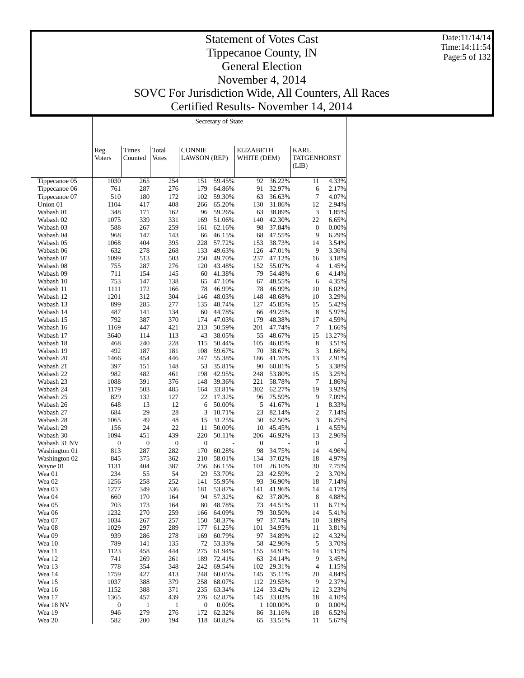Date:11/14/14 Time:14:11:54 Page:5 of 132

# Statement of Votes Cast Tippecanoe County, IN General Election November 4, 2014 SOVC For Jurisdiction Wide, All Counters, All Races Certified Results- November 14, 2014

т

|                                |                         |                     |                     |                         | Secretary of State |                  |                     |                  |                |
|--------------------------------|-------------------------|---------------------|---------------------|-------------------------|--------------------|------------------|---------------------|------------------|----------------|
|                                |                         |                     |                     |                         |                    |                  |                     |                  |                |
|                                |                         |                     |                     |                         |                    |                  |                     |                  |                |
|                                | Reg.                    | Times               | Total               | <b>CONNIE</b>           |                    | <b>ELIZABETH</b> |                     | KARL             |                |
|                                | <b>Voters</b>           | Counted             | <b>Votes</b>        | <b>LAWSON</b> (REP)     |                    | WHITE (DEM)      |                     | TATGENHORST      |                |
|                                |                         |                     |                     |                         |                    |                  |                     | (LIB)            |                |
|                                |                         |                     |                     |                         |                    |                  |                     |                  |                |
| Tippecanoe 05<br>Tippecanoe 06 | 1030<br>761             | 265<br>287          | 254<br>276          | 151<br>179              | 59.45%<br>64.86%   | 92<br>91         | 36.22%<br>32.97%    | 11<br>6          | 4.33%<br>2.17% |
| Tippecanoe 07                  | 510                     | 180                 | 172                 | 102                     | 59.30%             | 63               | 36.63%              | 7                | 4.07%          |
| Union 01                       | 1104                    | 417                 | 408                 | 266                     | 65.20%             | 130              | 31.86%              | 12               | 2.94%          |
| Wabash 01                      | 348                     | 171                 | 162                 | 96                      | 59.26%             | 63               | 38.89%              | $\mathfrak{Z}$   | 1.85%          |
| Wabash 02                      | 1075                    | 339                 | 331                 | 169                     | 51.06%             | 140              | 42.30%              | 22               | 6.65%          |
| Wabash 03                      | 588                     | 267                 | 259                 | 161                     | 62.16%             | 98               | 37.84%              | $\boldsymbol{0}$ | 0.00%          |
| Wabash 04                      | 968                     | 147                 | 143                 | 66                      | 46.15%             | 68               | 47.55%              | 9                | 6.29%          |
| Wabash 05                      | 1068                    | 404                 | 395                 | 228                     | 57.72%             | 153              | 38.73%              | 14               | 3.54%          |
| Wabash 06<br>Wabash 07         | 632<br>1099             | 278<br>513          | 268<br>503          | 133<br>250              | 49.63%<br>49.70%   | 126<br>237       | 47.01%<br>47.12%    | 9<br>16          | 3.36%<br>3.18% |
| Wabash 08                      | 755                     | 287                 | 276                 | 120                     | 43.48%             | 152              | 55.07%              | 4                | 1.45%          |
| Wabash 09                      | 711                     | 154                 | 145                 | 60                      | 41.38%             | 79               | 54.48%              | 6                | 4.14%          |
| Wabash 10                      | 753                     | 147                 | 138                 | 65                      | 47.10%             | 67               | 48.55%              | 6                | 4.35%          |
| Wabash 11                      | 1111                    | 172                 | 166                 | 78                      | 46.99%             | 78               | 46.99%              | 10               | 6.02%          |
| Wabash 12                      | 1201                    | 312                 | 304                 | 146                     | 48.03%             | 148              | 48.68%              | 10               | 3.29%          |
| Wabash 13                      | 899                     | 285                 | 277                 | 135                     | 48.74%             | 127              | 45.85%              | 15               | 5.42%          |
| Wabash 14                      | 487                     | 141                 | 134                 | 60                      | 44.78%             | 66               | 49.25%              | 8                | 5.97%          |
| Wabash 15<br>Wabash 16         | 792<br>1169             | 387<br>447          | 370<br>421          | 174<br>213              | 47.03%<br>50.59%   | 179<br>201       | 48.38%<br>47.74%    | 17<br>7          | 4.59%<br>1.66% |
| Wabash 17                      | 3640                    | 114                 | 113                 | 43                      | 38.05%             | 55               | 48.67%              | 15               | 13.27%         |
| Wabash 18                      | 468                     | 240                 | 228                 | 115                     | 50.44%             | 105              | 46.05%              | 8                | 3.51%          |
| Wabash 19                      | 492                     | 187                 | 181                 | 108                     | 59.67%             | 70               | 38.67%              | $\mathfrak{Z}$   | 1.66%          |
| Wabash 20                      | 1466                    | 454                 | 446                 | 247                     | 55.38%             | 186              | 41.70%              | 13               | 2.91%          |
| Wabash 21                      | 397                     | 151                 | 148                 | 53                      | 35.81%             | 90               | 60.81%              | 5                | 3.38%          |
| Wabash 22                      | 982                     | 482                 | 461                 | 198                     | 42.95%             | 248              | 53.80%              | 15               | 3.25%          |
| Wabash 23                      | 1088                    | 391                 | 376                 | 148                     | 39.36%             | 221              | 58.78%              | 7                | 1.86%          |
| Wabash 24<br>Wabash 25         | 1179<br>829             | 503<br>132          | 485<br>127          | 164<br>22               | 33.81%             | 302<br>96        | 62.27%<br>75.59%    | 19<br>9          | 3.92%<br>7.09% |
| Wabash 26                      | 648                     | 13                  | 12                  | 6                       | 17.32%<br>50.00%   | 5                | 41.67%              | 1                | 8.33%          |
| Wabash 27                      | 684                     | 29                  | 28                  | 3                       | 10.71%             | 23               | 82.14%              | $\mathfrak{2}$   | 7.14%          |
| Wabash 28                      | 1065                    | 49                  | 48                  | 15                      | 31.25%             | 30               | 62.50%              | 3                | 6.25%          |
| Wabash 29                      | 156                     | 24                  | 22                  | 11                      | 50.00%             | 10               | 45.45%              | $\mathbf{1}$     | 4.55%          |
| Wabash 30                      | 1094                    | 451                 | 439                 | 220                     | 50.11%             | 206              | 46.92%              | 13               | 2.96%          |
| Wabash 31 NV                   | $\boldsymbol{0}$        | $\boldsymbol{0}$    | $\boldsymbol{0}$    | $\boldsymbol{0}$        |                    | $\boldsymbol{0}$ |                     | $\boldsymbol{0}$ |                |
| Washington 01                  | 813                     | 287                 | 282                 | 170                     | 60.28%             | 98               | 34.75%              | 14               | 4.96%          |
| Washington 02                  | 845<br>1131             | 375<br>404          | 362<br>387          | 210<br>256              | 58.01%<br>66.15%   | 134<br>101       | 37.02%<br>26.10%    | 18<br>30         | 4.97%<br>7.75% |
| Wayne 01<br>Wea 01             | 234                     | 55                  | 54                  | 29                      | 53.70%             | 23               | 42.59%              | 2                | 3.70%          |
| Wea 02                         | 1256                    | 258                 | 252                 | 141                     | 55.95%             | 93               | 36.90%              | 18               | 7.14%          |
| Wea 03                         | 1277                    | 349                 | 336                 | 181                     | 53.87%             | 141              | 41.96%              | 14               | 4.17%          |
| Wea 04                         | 660                     | 170                 | 164                 | 94                      | 57.32%             | 62               | 37.80%              | 8                | 4.88%          |
| Wea 05                         | 703                     | 173                 | 164                 | 80                      | 48.78%             |                  | 73 44.51%           | 11               | 6.71%          |
| Wea 06                         | 1232                    | 270                 | 259                 | 166                     | 64.09%             | 79               | 30.50%              | 14               | 5.41%          |
| Wea 07                         | 1034                    | 267                 | 257                 | 150                     | 58.37%             | 97               | 37.74%              | 10               | 3.89%          |
| Wea 08                         | 1029                    | 297                 | 289                 | 177                     | 61.25%             | 101              | 34.95%              | 11               | 3.81%          |
| Wea 09<br>Wea 10               | 939<br>789              | 286<br>141          | 278<br>135          | 169<br>72               | 60.79%<br>53.33%   | 97<br>58         | 34.89%<br>42.96%    | 12<br>5          | 4.32%<br>3.70% |
| Wea 11                         | 1123                    | 458                 | 444                 | 275                     | 61.94%             | 155              | 34.91%              | 14               | 3.15%          |
| Wea 12                         | 741                     | 269                 | 261                 | 189                     | 72.41%             | 63               | 24.14%              | 9                | 3.45%          |
| Wea 13                         | 778                     | 354                 | 348                 | 242                     | 69.54%             | 102              | 29.31%              | 4                | 1.15%          |
| Wea 14                         | 1759                    | 427                 | 413                 | 248                     | 60.05%             | 145              | 35.11%              | 20               | 4.84%          |
| Wea 15                         | 1037                    | 388                 | 379                 | 258                     | 68.07%             | 112              | 29.55%              | 9                | 2.37%          |
| Wea 16                         | 1152                    | 388                 | 371                 | 235                     | 63.34%             | 124              | 33.42%              | 12               | 3.23%          |
| Wea 17                         | 1365                    | 457                 | 439                 | 276                     | 62.87%             | 145              | 33.03%              | 18               | 4.10%          |
| Wea 18 NV                      | $\boldsymbol{0}$<br>946 | $\mathbf{1}$<br>279 | $\mathbf{1}$<br>276 | $\boldsymbol{0}$<br>172 | 0.00%<br>62.32%    |                  | 1 100.00%<br>31.16% | $\boldsymbol{0}$ | 0.00%<br>6.52% |
| Wea 19<br>Wea 20               | 582                     | 200                 | 194                 | 118                     | 60.82%             | 86<br>65         | 33.51%              | 18<br>11         | 5.67%          |
|                                |                         |                     |                     |                         |                    |                  |                     |                  |                |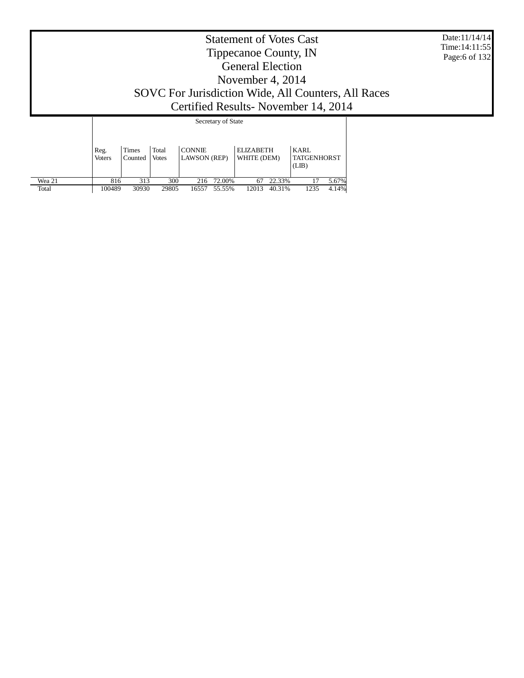| <b>Statement of Votes Cast</b><br>Tippecanoe County, IN<br><b>General Election</b><br>November 4, 2014<br>SOVC For Jurisdiction Wide, All Counters, All Races<br>Certified Results-November 14, 2014 |                  |  |                    |  |  |  |  |  |  |
|------------------------------------------------------------------------------------------------------------------------------------------------------------------------------------------------------|------------------|--|--------------------|--|--|--|--|--|--|
|                                                                                                                                                                                                      |                  |  | Secretary of State |  |  |  |  |  |  |
| Reg.<br><b>Voters</b>                                                                                                                                                                                | Times<br>Counted |  |                    |  |  |  |  |  |  |

816 313 300 216 72.00% 67 22.33% 17 5.67% 100489 30930 29805 16557 55.55% 12013 40.31% 1235 4.14%

 Wea 21 Total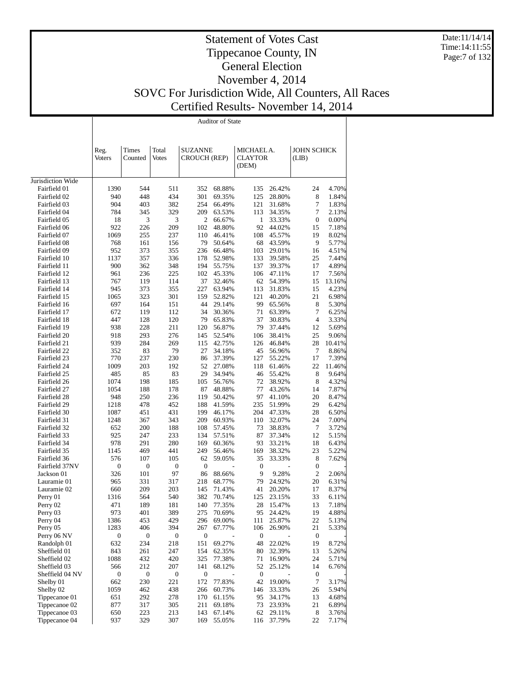Date:11/14/14 Time:14:11:55 Page:7 of 132

# Statement of Votes Cast Tippecanoe County, IN General Election November 4, 2014

Τ

SOVC For Jurisdiction Wide, All Counters, All Races

# Certified Results- November 14, 2014

|                              |                  |                  |                  |                     | <b>Auditor of State</b> |                         |                  |                      |                |
|------------------------------|------------------|------------------|------------------|---------------------|-------------------------|-------------------------|------------------|----------------------|----------------|
|                              |                  |                  |                  |                     |                         |                         |                  |                      |                |
|                              |                  |                  |                  |                     |                         |                         |                  |                      |                |
|                              | Reg.             | Times            | Total            | <b>SUZANNE</b>      |                         | MICHAEL A.              |                  | <b>JOHN SCHICK</b>   |                |
|                              | Voters           | Counted          | <b>Votes</b>     | <b>CROUCH (REP)</b> |                         | <b>CLAYTOR</b><br>(DEM) |                  | (LIB)                |                |
|                              |                  |                  |                  |                     |                         |                         |                  |                      |                |
| Jurisdiction Wide            |                  |                  |                  |                     |                         |                         |                  |                      |                |
| Fairfield 01                 | 1390             | 544              | 511              | 352                 | 68.88%                  | 135                     | 26.42%           | 24                   | 4.70%          |
| Fairfield 02                 | 940              | 448              | 434              | 301                 | 69.35%                  | 125                     | 28.80%           | 8                    | 1.84%          |
| Fairfield 03<br>Fairfield 04 | 904<br>784       | 403<br>345       | 382<br>329       | 254<br>209          | 66.49%<br>63.53%        | 121<br>113              | 31.68%<br>34.35% | 7<br>7               | 1.83%<br>2.13% |
| Fairfield 05                 | 18               | 3                | 3                | 2                   | 66.67%                  | $\mathbf{1}$            | 33.33%           | $\mathbf{0}$         | 0.00%          |
| Fairfield 06                 | 922              | 226              | 209              | 102                 | 48.80%                  | 92                      | 44.02%           | 15                   | 7.18%          |
| Fairfield 07                 | 1069             | 255              | 237              | 110                 | 46.41%                  | 108                     | 45.57%           | 19                   | 8.02%          |
| Fairfield 08                 | 768              | 161              | 156              | 79                  | 50.64%                  | 68                      | 43.59%           | 9                    | 5.77%          |
| Fairfield 09                 | 952              | 373              | 355              | 236                 | 66.48%                  | 103                     | 29.01%           | 16                   | 4.51%          |
| Fairfield 10<br>Fairfield 11 | 1137<br>900      | 357<br>362       | 336<br>348       | 178<br>194          | 52.98%<br>55.75%        | 133<br>137              | 39.58%<br>39.37% | 25<br>17             | 7.44%<br>4.89% |
| Fairfield 12                 | 961              | 236              | 225              | 102                 | 45.33%                  | 106                     | 47.11%           | 17                   | 7.56%          |
| Fairfield 13                 | 767              | 119              | 114              | 37                  | 32.46%                  | 62                      | 54.39%           | 15                   | 13.16%         |
| Fairfield 14                 | 945              | 373              | 355              | 227                 | 63.94%                  | 113                     | 31.83%           | 15                   | 4.23%          |
| Fairfield 15                 | 1065             | 323              | 301              | 159                 | 52.82%                  | 121                     | 40.20%           | 21                   | 6.98%          |
| Fairfield 16                 | 697              | 164              | 151              | 44                  | 29.14%                  | 99                      | 65.56%           | 8                    | 5.30%          |
| Fairfield 17                 | 672              | 119              | 112              | 34                  | 30.36%                  | 71                      | 63.39%           | 7                    | 6.25%          |
| Fairfield 18<br>Fairfield 19 | 447<br>938       | 128<br>228       | 120<br>211       | 79<br>120           | 65.83%<br>56.87%        | 37<br>79                | 30.83%<br>37.44% | $\overline{4}$<br>12 | 3.33%<br>5.69% |
| Fairfield 20                 | 918              | 293              | 276              | 145                 | 52.54%                  | 106                     | 38.41%           | 25                   | 9.06%          |
| Fairfield 21                 | 939              | 284              | 269              | 115                 | 42.75%                  | 126                     | 46.84%           | 28                   | 10.41%         |
| Fairfield 22                 | 352              | 83               | 79               | 27                  | 34.18%                  | 45                      | 56.96%           | 7                    | 8.86%          |
| Fairfield 23                 | 770              | 237              | 230              | 86                  | 37.39%                  | 127                     | 55.22%           | 17                   | 7.39%          |
| Fairfield 24                 | 1009             | 203              | 192              | 52                  | 27.08%                  | 118                     | 61.46%           | 22                   | 11.46%         |
| Fairfield 25                 | 485              | 85               | 83               | 29                  | 34.94%                  | 46                      | 55.42%           | 8                    | 9.64%          |
| Fairfield 26                 | 1074             | 198              | 185              | 105                 | 56.76%                  | 72<br>77                | 38.92%           | 8                    | 4.32%<br>7.87% |
| Fairfield 27<br>Fairfield 28 | 1054<br>948      | 188<br>250       | 178<br>236       | 87<br>119           | 48.88%<br>50.42%        | 97                      | 43.26%<br>41.10% | 14<br>20             | 8.47%          |
| Fairfield 29                 | 1218             | 478              | 452              | 188                 | 41.59%                  | 235                     | 51.99%           | 29                   | 6.42%          |
| Fairfield 30                 | 1087             | 451              | 431              | 199                 | 46.17%                  | 204                     | 47.33%           | 28                   | 6.50%          |
| Fairfield 31                 | 1248             | 367              | 343              | 209                 | 60.93%                  | 110                     | 32.07%           | 24                   | 7.00%          |
| Fairfield 32                 | 652              | 200              | 188              | 108                 | 57.45%                  | 73                      | 38.83%           | 7                    | 3.72%          |
| Fairfield 33                 | 925              | 247              | 233              | 134                 | 57.51%                  | 87                      | 37.34%           | 12                   | 5.15%          |
| Fairfield 34                 | 978              | 291              | 280              | 169                 | 60.36%                  | 93                      | 33.21%           | 18                   | 6.43%          |
| Fairfield 35<br>Fairfield 36 | 1145<br>576      | 469<br>107       | 441<br>105       | 249<br>62           | 56.46%<br>59.05%        | 169<br>35               | 38.32%<br>33.33% | 23<br>8              | 5.22%<br>7.62% |
| Fairfield 37NV               | $\boldsymbol{0}$ | $\boldsymbol{0}$ | $\boldsymbol{0}$ | $\boldsymbol{0}$    |                         | $\boldsymbol{0}$        |                  | $\boldsymbol{0}$     |                |
| Jackson 01                   | 326              | 101              | 97               | 86                  | 88.66%                  | 9                       | 9.28%            | $\overline{2}$       | 2.06%          |
| Lauramie 01                  | 965              | 331              | 317              | 218                 | 68.77%                  | 79                      | 24.92%           | 20                   | 6.31%          |
| Lauramie 02                  | 660              | 209              | 203              | 145                 | 71.43%                  | 41                      | 20.20%           | 17                   | 8.37%          |
| Perry 01                     | 1316             | 564              | 540              | 382                 | 70.74%                  | 125                     | 23.15%           | 33                   | 6.11%          |
| Perry 02                     | 471              | 189              | 181              | 140                 | 77.35%                  | 28                      | 15.47%           | 13                   | 7.18%          |
| Perry 03<br>Perry 04         | 973<br>1386      | 401<br>453       | 389<br>429       | 275<br>296          | 70.69%<br>69.00%        | 95<br>111               | 24.42%<br>25.87% | 19<br>22             | 4.88%<br>5.13% |
| Perry 05                     | 1283             | 406              | 394              | 267                 | 67.77%                  | 106                     | 26.90%           | 21                   | 5.33%          |
| Perry 06 NV                  | 0                | $\boldsymbol{0}$ | $\boldsymbol{0}$ | 0                   |                         | $\boldsymbol{0}$        |                  | $\boldsymbol{0}$     |                |
| Randolph 01                  | 632              | 234              | 218              | 151                 | 69.27%                  | 48                      | 22.02%           | 19                   | 8.72%          |
| Sheffield 01                 | 843              | 261              | 247              | 154                 | 62.35%                  | 80                      | 32.39%           | 13                   | 5.26%          |
| Sheffield 02                 | 1088             | 432              | 420              | 325                 | 77.38%                  | 71                      | 16.90%           | 24                   | 5.71%          |
| Sheffield 03                 | 566              | 212              | 207              | 141                 | 68.12%                  | 52                      | 25.12%           | 14                   | 6.76%          |
| Sheffield 04 NV              | 0                | $\boldsymbol{0}$ | $\boldsymbol{0}$ | 0                   |                         | $\boldsymbol{0}$        |                  | $\boldsymbol{0}$     | 3.17%          |
| Shelby 01<br>Shelby 02       | 662<br>1059      | 230<br>462       | 221<br>438       | 172<br>266          | 77.83%<br>60.73%        | 42<br>146               | 19.00%<br>33.33% | 7<br>26              | 5.94%          |
| Tippecanoe 01                | 651              | 292              | 278              | 170                 | 61.15%                  | 95                      | 34.17%           | 13                   | 4.68%          |
| Tippecanoe 02                | 877              | 317              | 305              | 211                 | 69.18%                  | 73                      | 23.93%           | 21                   | 6.89%          |
| Tippecanoe 03                | 650              | 223              | 213              | 143                 | 67.14%                  | 62                      | 29.11%           | 8                    | 3.76%          |
| Tippecanoe 04                | 937              | 329              | 307              | 169                 | 55.05%                  | 116                     | 37.79%           | 22                   | 7.17%          |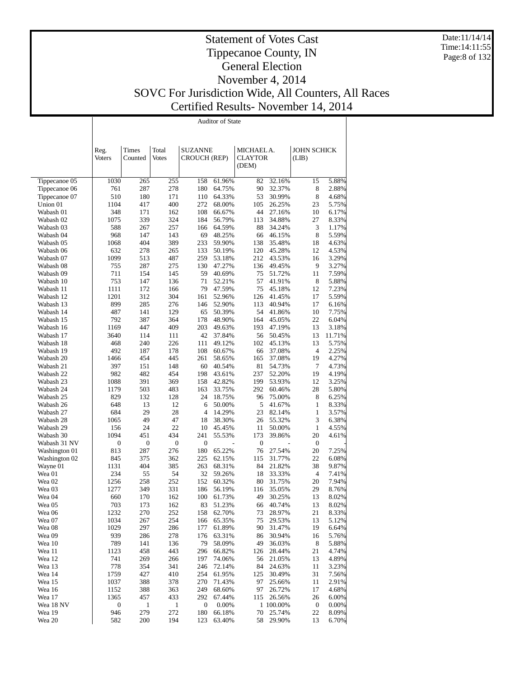Date:11/14/14 Time:14:11:55 Page:8 of 132

|                        |                  |              |                  |                     | <b>Auditor of State</b> |                  |                  |                    |                |
|------------------------|------------------|--------------|------------------|---------------------|-------------------------|------------------|------------------|--------------------|----------------|
|                        |                  |              |                  |                     |                         |                  |                  |                    |                |
|                        | Reg.             | Times        | Total            | <b>SUZANNE</b>      |                         | MICHAEL A.       |                  | <b>JOHN SCHICK</b> |                |
|                        | Voters           | Counted      | Votes            | <b>CROUCH (REP)</b> |                         | <b>CLAYTOR</b>   |                  | (LIB)              |                |
|                        |                  |              |                  |                     |                         | (DEM)            |                  |                    |                |
| Tippecanoe 05          | 1030             | 265          | 255              | 158                 | 61.96%                  | 82               | 32.16%           | 15                 | 5.88%          |
| Tippecanoe 06          | 761              | 287          | 278              | 180                 | 64.75%                  | 90               | 32.37%           | 8                  | 2.88%          |
| Tippecanoe 07          | 510              | 180          | 171              | 110                 | 64.33%                  | 53               | 30.99%           | 8                  | 4.68%          |
| Union 01               | 1104             | 417          | 400              | 272                 | 68.00%                  | 105              | 26.25%           | 23                 | 5.75%          |
| Wabash 01<br>Wabash 02 | 348<br>1075      | 171<br>339   | 162<br>324       | 108<br>184          | 66.67%<br>56.79%        | 44<br>113        | 27.16%<br>34.88% | 10<br>27           | 6.17%<br>8.33% |
| Wabash 03              | 588              | 267          | 257              | 166                 | 64.59%                  | 88               | 34.24%           | 3                  | 1.17%          |
| Wabash 04              | 968              | 147          | 143              | 69                  | 48.25%                  | 66               | 46.15%           | 8                  | 5.59%          |
| Wabash 05              | 1068             | 404          | 389              | 233                 | 59.90%                  | 138              | 35.48%           | 18                 | 4.63%          |
| Wabash 06              | 632              | 278          | 265              | 133                 | 50.19%                  | 120              | 45.28%           | 12                 | 4.53%          |
| Wabash 07              | 1099             | 513          | 487              | 259                 | 53.18%                  | 212              | 43.53%           | 16                 | 3.29%          |
| Wabash 08<br>Wabash 09 | 755<br>711       | 287<br>154   | 275<br>145       | 130<br>59           | 47.27%<br>40.69%        | 136<br>75        | 49.45%<br>51.72% | 9<br>11            | 3.27%<br>7.59% |
| Wabash 10              | 753              | 147          | 136              | 71                  | 52.21%                  | 57               | 41.91%           | 8                  | 5.88%          |
| Wabash 11              | 1111             | 172          | 166              | 79                  | 47.59%                  | 75               | 45.18%           | 12                 | 7.23%          |
| Wabash 12              | 1201             | 312          | 304              | 161                 | 52.96%                  | 126              | 41.45%           | 17                 | 5.59%          |
| Wabash 13              | 899              | 285          | 276              | 146                 | 52.90%                  | 113              | 40.94%           | 17                 | 6.16%          |
| Wabash 14              | 487              | 141          | 129              | 65                  | 50.39%                  | 54               | 41.86%           | 10                 | 7.75%          |
| Wabash 15<br>Wabash 16 | 792<br>1169      | 387<br>447   | 364<br>409       | 178<br>203          | 48.90%<br>49.63%        | 164<br>193       | 45.05%<br>47.19% | 22<br>13           | 6.04%<br>3.18% |
| Wabash 17              | 3640             | 114          | 111              | 42                  | 37.84%                  | 56               | 50.45%           | 13                 | 11.71%         |
| Wabash 18              | 468              | 240          | 226              | 111                 | 49.12%                  | 102              | 45.13%           | 13                 | 5.75%          |
| Wabash 19              | 492              | 187          | 178              | 108                 | 60.67%                  | 66               | 37.08%           | 4                  | 2.25%          |
| Wabash 20              | 1466             | 454          | 445              | 261                 | 58.65%                  | 165              | 37.08%           | 19                 | 4.27%          |
| Wabash 21              | 397              | 151          | 148              | 60                  | 40.54%                  | 81               | 54.73%           | 7                  | 4.73%          |
| Wabash 22<br>Wabash 23 | 982<br>1088      | 482<br>391   | 454<br>369       | 198<br>158          | 43.61%<br>42.82%        | 237<br>199       | 52.20%<br>53.93% | 19<br>12           | 4.19%<br>3.25% |
| Wabash 24              | 1179             | 503          | 483              | 163                 | 33.75%                  | 292              | 60.46%           | 28                 | 5.80%          |
| Wabash 25              | 829              | 132          | 128              | 24                  | 18.75%                  | 96               | 75.00%           | 8                  | 6.25%          |
| Wabash 26              | 648              | 13           | 12               | 6                   | 50.00%                  | 5                | 41.67%           | $\mathbf{1}$       | 8.33%          |
| Wabash 27              | 684              | 29           | 28               | $\overline{4}$      | 14.29%                  | 23               | 82.14%           | $\mathbf{1}$       | 3.57%          |
| Wabash 28              | 1065             | 49           | 47               | 18                  | 38.30%                  | 26               | 55.32%           | 3                  | 6.38%          |
| Wabash 29<br>Wabash 30 | 156<br>1094      | 24<br>451    | 22<br>434        | 10<br>241           | 45.45%<br>55.53%        | 11<br>173        | 50.00%<br>39.86% | $\mathbf{1}$<br>20 | 4.55%<br>4.61% |
| Wabash 31 NV           | $\mathbf{0}$     | 0            | $\boldsymbol{0}$ | $\boldsymbol{0}$    |                         | $\boldsymbol{0}$ |                  | $\boldsymbol{0}$   |                |
| Washington 01          | 813              | 287          | 276              | 180                 | 65.22%                  | 76               | 27.54%           | 20                 | 7.25%          |
| Washington 02          | 845              | 375          | 362              | 225                 | 62.15%                  | 115              | 31.77%           | 22                 | 6.08%          |
| Wayne 01               | 1131             | 404          | 385              | 263                 | 68.31%                  | 84               | 21.82%           | 38                 | 9.87%          |
| Wea 01                 | 234              | 55           | 54               | 32                  | 59.26%                  | 18               | 33.33%           | 4                  | 7.41%          |
| Wea 02<br>Wea 03       | 1256<br>1277     | 258<br>349   | 252<br>331       | 152<br>186          | 60.32%<br>56.19%        | 80<br>116        | 31.75%<br>35.05% | 20<br>29           | 7.94%<br>8.76% |
| Wea 04                 | 660              | 170          | 162              | 100                 | 61.73%                  | 49               | 30.25%           | 13                 | 8.02%          |
| Wea 05                 | 703              | 173          | 162              | 83                  | 51.23%                  | 66               | 40.74%           | 13                 | 8.02%          |
| Wea 06                 | 1232             | 270          | 252              | 158                 | 62.70%                  | 73               | 28.97%           | 21                 | 8.33%          |
| Wea 07                 | 1034             | 267          | 254              | 166                 | 65.35%                  | 75               | 29.53%           | 13                 | 5.12%          |
| Wea 08                 | 1029             | 297          | 286              | 177                 | 61.89%                  | 90               | 31.47%           | 19                 | 6.64%          |
| Wea 09<br>Wea 10       | 939<br>789       | 286<br>141   | 278<br>136       | 176<br>79           | 63.31%<br>58.09%        | 86<br>49         | 30.94%<br>36.03% | 16<br>8            | 5.76%<br>5.88% |
| Wea 11                 | 1123             | 458          | 443              | 296                 | 66.82%                  | 126              | 28.44%           | 21                 | 4.74%          |
| Wea 12                 | 741              | 269          | 266              | 197                 | 74.06%                  | 56               | 21.05%           | 13                 | 4.89%          |
| Wea 13                 | 778              | 354          | 341              | 246                 | 72.14%                  | 84               | 24.63%           | 11                 | 3.23%          |
| Wea 14                 | 1759             | 427          | 410              | 254                 | 61.95%                  | 125              | 30.49%           | 31                 | 7.56%          |
| Wea 15                 | 1037             | 388          | 378              | 270                 | 71.43%                  | 97               | 25.66%           | 11                 | 2.91%          |
| Wea 16<br>Wea 17       | 1152<br>1365     | 388<br>457   | 363<br>433       | 249<br>292          | 68.60%<br>67.44%        | 97<br>115        | 26.72%<br>26.56% | 17<br>26           | 4.68%<br>6.00% |
| Wea 18 NV              | $\boldsymbol{0}$ | $\mathbf{1}$ | $\mathbf{1}$     | $\boldsymbol{0}$    | 0.00%                   |                  | 1 100.00%        | $\boldsymbol{0}$   | 0.00%          |
| Wea 19                 | 946              | 279          | 272              | 180                 | 66.18%                  | 70               | 25.74%           | 22                 | 8.09%          |
| Wea 20                 | 582              | 200          | 194              | 123                 | 63.40%                  | 58               | 29.90%           | 13                 | 6.70%          |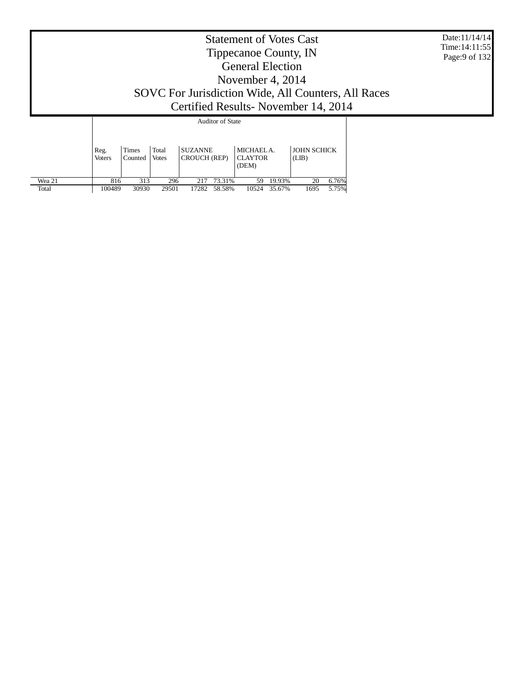|        | Date:11/14/14<br>Time: 14:11:55<br>Page: 9 of 132                                                                                                                                                                                                |  |  |  |  |  |  |  |  |  |  |
|--------|--------------------------------------------------------------------------------------------------------------------------------------------------------------------------------------------------------------------------------------------------|--|--|--|--|--|--|--|--|--|--|
|        | Certified Results - November 14, 2014<br><b>Auditor of State</b><br>Total<br><b>JOHN SCHICK</b><br><b>SUZANNE</b><br>MICHAEL A.<br>Times<br>Reg.<br>CROUCH (REP)<br><b>CLAYTOR</b><br><b>Voters</b><br>Counted<br><b>Votes</b><br>(LIB)<br>(DEM) |  |  |  |  |  |  |  |  |  |  |
| Wea 21 |                                                                                                                                                                                                                                                  |  |  |  |  |  |  |  |  |  |  |

100489 30930 29501 17282 58.58% 10524 35.67% 1695 5.75%

Total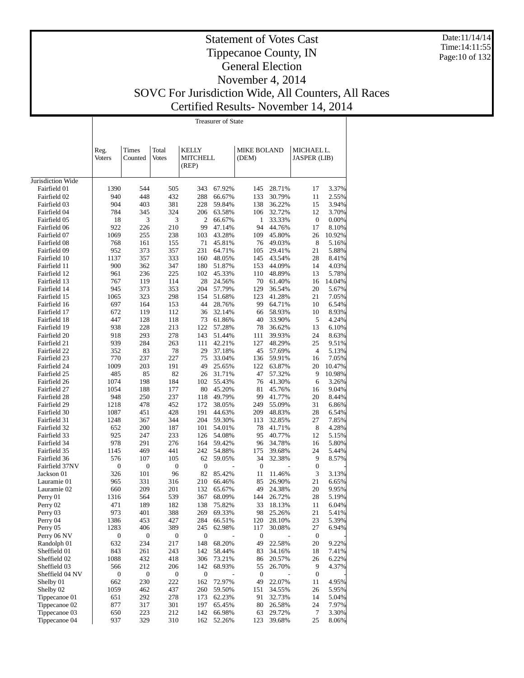Date:11/14/14 Time:14:11:55 Page:10 of 132

|                              | Treasurer of State    |                  |                  |                                          |                  |                             |                  |                                   |                |
|------------------------------|-----------------------|------------------|------------------|------------------------------------------|------------------|-----------------------------|------------------|-----------------------------------|----------------|
|                              | Reg.<br><b>Voters</b> | Times<br>Counted | Total<br>Votes   | <b>KELLY</b><br><b>MITCHELL</b><br>(REP) |                  | <b>MIKE BOLAND</b><br>(DEM) |                  | MICHAEL L.<br><b>JASPER (LIB)</b> |                |
| Jurisdiction Wide            |                       |                  |                  |                                          |                  |                             |                  |                                   |                |
| Fairfield 01                 | 1390                  | 544              | 505              | 343                                      | 67.92%           | 145                         | 28.71%           | 17                                | 3.37%          |
| Fairfield 02                 | 940                   | 448              | 432              | 288                                      | 66.67%           | 133                         | 30.79%           | 11                                | 2.55%          |
| Fairfield 03                 | 904                   | 403              | 381              | 228                                      | 59.84%           | 138                         | 36.22%           | 15                                | 3.94%          |
| Fairfield 04                 | 784                   | 345              | 324              | 206                                      | 63.58%           | 106                         | 32.72%           | 12                                | 3.70%          |
| Fairfield 05                 | 18                    | 3                | 3                | $\overline{c}$                           | 66.67%           | $\mathbf{1}$                | 33.33%           | $\boldsymbol{0}$                  | 0.00%          |
| Fairfield 06                 | 922                   | 226              | 210              | 99                                       | 47.14%           | 94                          | 44.76%           | 17                                | 8.10%          |
| Fairfield 07                 | 1069                  | 255              | 238              | 103                                      | 43.28%           | 109                         | 45.80%           | 26                                | 10.92%         |
| Fairfield 08                 | 768                   | 161              | 155              | 71                                       | 45.81%           | 76                          | 49.03%           | 8                                 | 5.16%          |
| Fairfield 09                 | 952                   | 373              | 357              | 231                                      | 64.71%           | 105                         | 29.41%           | 21                                | 5.88%          |
| Fairfield 10                 | 1137                  | 357              | 333              | 160                                      | 48.05%           | 145                         | 43.54%           | 28                                | 8.41%          |
| Fairfield 11                 | 900                   | 362              | 347              | 180                                      | 51.87%           | 153                         | 44.09%           | 14                                | 4.03%          |
| Fairfield 12                 | 961                   | 236              | 225              | 102                                      | 45.33%           | 110                         | 48.89%           | 13                                | 5.78%          |
| Fairfield 13                 | 767                   | 119              | 114              | 28                                       | 24.56%           | 70                          | 61.40%           | 16                                | 14.04%         |
| Fairfield 14                 | 945                   | 373              | 353              | 204                                      | 57.79%           | 129                         | 36.54%           | 20                                | 5.67%          |
| Fairfield 15                 | 1065                  | 323              | 298              | 154                                      | 51.68%           | 123                         | 41.28%           | 21                                | 7.05%          |
| Fairfield 16                 | 697                   | 164              | 153              | 44                                       | 28.76%           | 99                          | 64.71%           | 10                                | 6.54%          |
| Fairfield 17                 | 672                   | 119              | 112              | 36                                       | 32.14%           | 66                          | 58.93%           | 10                                | 8.93%          |
| Fairfield 18                 | 447                   | 128              | 118              | 73                                       | 61.86%           | 40                          | 33.90%           | 5                                 | 4.24%          |
| Fairfield 19                 | 938                   | 228              | 213              | 122                                      | 57.28%           | 78                          | 36.62%           | 13                                | 6.10%          |
| Fairfield 20                 | 918                   | 293              | 278              | 143                                      | 51.44%           | 111                         | 39.93%           | 24                                | 8.63%          |
| Fairfield 21                 | 939                   | 284              | 263              | 111                                      | 42.21%           | 127                         | 48.29%           | 25                                | 9.51%          |
| Fairfield 22                 | 352                   | 83               | 78               | 29                                       | 37.18%           | 45                          | 57.69%           | $\overline{4}$                    | 5.13%          |
| Fairfield 23                 | 770                   | 237              | 227              | 75                                       | 33.04%           | 136                         | 59.91%           | 16                                | 7.05%          |
| Fairfield 24                 | 1009                  | 203              | 191              | 49                                       | 25.65%           | 122                         | 63.87%           | 20                                | 10.47%         |
| Fairfield 25                 | 485                   | 85               | 82               | 26                                       | 31.71%           | 47                          | 57.32%           | 9                                 | 10.98%         |
| Fairfield 26<br>Fairfield 27 | 1074                  | 198              | 184<br>177       | 102<br>80                                | 55.43%           | 76<br>81                    | 41.30%           | 6                                 | 3.26%          |
|                              | 1054                  | 188<br>250       | 237              | 118                                      | 45.20%<br>49.79% | 99                          | 45.76%<br>41.77% | 16<br>20                          | 9.04%<br>8.44% |
| Fairfield 28                 | 948                   | 478              | 452              | 172                                      | 38.05%           | 249                         | 55.09%           | 31                                | 6.86%          |
| Fairfield 29<br>Fairfield 30 | 1218<br>1087          | 451              | 428              | 191                                      | 44.63%           | 209                         | 48.83%           | 28                                | 6.54%          |
| Fairfield 31                 | 1248                  | 367              | 344              | 204                                      | 59.30%           | 113                         | 32.85%           | 27                                | 7.85%          |
| Fairfield 32                 | 652                   | 200              | 187              | 101                                      | 54.01%           | 78                          | 41.71%           | 8                                 | 4.28%          |
| Fairfield 33                 | 925                   | 247              | 233              | 126                                      | 54.08%           | 95                          | 40.77%           | 12                                | 5.15%          |
| Fairfield 34                 | 978                   | 291              | 276              | 164                                      | 59.42%           | 96                          | 34.78%           | 16                                | 5.80%          |
| Fairfield 35                 | 1145                  | 469              | 441              | 242                                      | 54.88%           | 175                         | 39.68%           | 24                                | 5.44%          |
| Fairfield 36                 | 576                   | 107              | 105              | 62                                       | 59.05%           | 34                          | 32.38%           | 9                                 | 8.57%          |
| Fairfield 37NV               | $\boldsymbol{0}$      | $\boldsymbol{0}$ | $\boldsymbol{0}$ | $\boldsymbol{0}$                         |                  | $\boldsymbol{0}$            |                  | $\boldsymbol{0}$                  |                |
| Jackson 01                   | 326                   | 101              | 96               | 82                                       | 85.42%           | 11                          | 11.46%           | 3                                 | 3.13%          |
| Lauramie 01                  | 965                   | 331              | 316              | 210                                      | 66.46%           | 85                          | 26.90%           | 21                                | 6.65%          |
| Lauramie 02                  | 660                   | 209              | 201              | 132                                      | 65.67%           | 49                          | 24.38%           | 20                                | 9.95%          |
| Perry 01                     | 1316                  | 564              | 539              | 367                                      | 68.09%           | 144                         | 26.72%           | 28                                | 5.19%          |
| Perry 02                     | 471                   | 189              | 182              | 138                                      | 75.82%           | 33                          | 18.13%           | 11                                | 6.04%          |
| Perry 03                     | 973                   | 401              | 388              | 269                                      | 69.33%           | 98                          | 25.26%           | 21                                | 5.41%          |
| Perry 04                     | 1386                  | 453              | 427              | 284                                      | 66.51%           | 120                         | 28.10%           | 23                                | 5.39%          |
| Perry 05                     | 1283                  | 406              | 389              | 245                                      | 62.98%           | 117                         | 30.08%           | 27                                | 6.94%          |
| Perry 06 NV                  | 0                     | 0                | $\boldsymbol{0}$ | 0                                        |                  | $\bf{0}$                    |                  | $\boldsymbol{0}$                  |                |
| Randolph 01                  | 632                   | 234              | 217              | 148                                      | 68.20%           | 49                          | 22.58%           | 20                                | 9.22%          |
| Sheffield 01                 | 843                   | 261              | 243              | 142                                      | 58.44%           | 83                          | 34.16%           | 18                                | 7.41%          |
| Sheffield 02                 | 1088                  | 432              | 418              | 306                                      | 73.21%           | 86                          | 20.57%           | 26                                | 6.22%          |
| Sheffield 03                 | 566                   | 212              | 206              | 142                                      | 68.93%           | 55                          | 26.70%           | 9                                 | 4.37%          |
| Sheffield 04 NV              | 0                     | $\boldsymbol{0}$ | $\boldsymbol{0}$ | $\boldsymbol{0}$                         |                  | $\boldsymbol{0}$            |                  | 0                                 |                |
| Shelby 01                    | 662                   | 230              | 222              | 162                                      | 72.97%           | 49                          | 22.07%           | 11                                | 4.95%          |
| Shelby 02                    | 1059                  | 462              | 437              | 260                                      | 59.50%           | 151                         | 34.55%           | 26                                | 5.95%          |
| Tippecanoe 01                | 651                   | 292              | 278              | 173                                      | 62.23%           | 91                          | 32.73%           | 14                                | 5.04%          |
| Tippecanoe 02                | 877                   | 317              | 301              | 197                                      | 65.45%           | 80                          | 26.58%           | 24                                | 7.97%          |
| Tippecanoe 03                | 650                   | 223              | 212              | 142                                      | 66.98%           | 63                          | 29.72%           | 7                                 | 3.30%          |
| Tippecanoe 04                | 937                   | 329              | 310              | 162                                      | 52.26%           | 123                         | 39.68%           | 25                                | 8.06%          |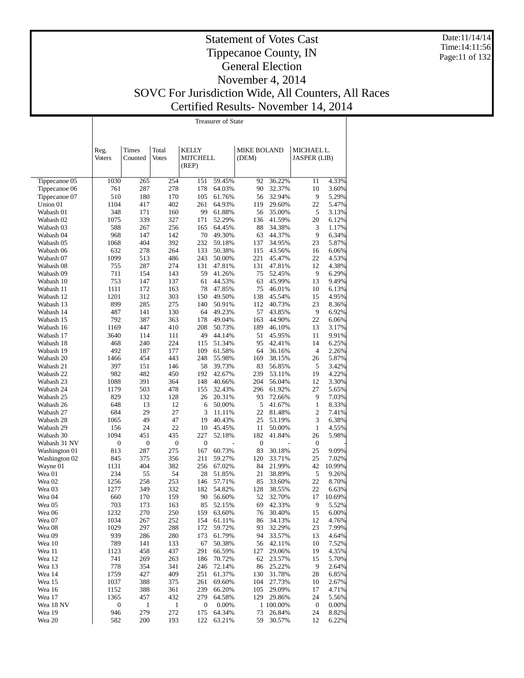Date:11/14/14 Time:14:11:56 Page:11 of 132

# Statement of Votes Cast Tippecanoe County, IN General Election November 4, 2014 SOVC For Jurisdiction Wide, All Counters, All Races Certified Results- November 14, 2014

|                        |                          |                     |                     |                         | Treasurer of State |                    |                     |                        |                 |
|------------------------|--------------------------|---------------------|---------------------|-------------------------|--------------------|--------------------|---------------------|------------------------|-----------------|
|                        |                          |                     |                     |                         |                    |                    |                     |                        |                 |
|                        |                          |                     |                     |                         |                    |                    |                     |                        |                 |
|                        | Reg.                     | Times               | Total               | <b>KELLY</b>            |                    | <b>MIKE BOLAND</b> |                     | MICHAEL L.             |                 |
|                        | <b>Voters</b>            | Counted             | <b>Votes</b>        | <b>MITCHELL</b>         |                    | (DEM)              |                     | <b>JASPER</b> (LIB)    |                 |
|                        |                          |                     |                     | (REP)                   |                    |                    |                     |                        |                 |
| Tippecanoe 05          | 1030                     | 265                 | 254                 | 151                     | 59.45%             | 92                 | 36.22%              | 11                     | 4.33%           |
| Tippecanoe 06          | 761                      | 287                 | 278                 | 178                     | 64.03%             | 90                 | 32.37%              | 10                     | 3.60%           |
| Tippecanoe 07          | 510                      | 180                 | 170                 | 105                     | 61.76%             | 56                 | 32.94%              | 9                      | 5.29%           |
| Union 01               | 1104                     | 417                 | 402                 | 261                     | 64.93%             | 119                | 29.60%              | 22                     | 5.47%           |
| Wabash 01<br>Wabash 02 | 348<br>1075              | 171<br>339          | 160<br>327          | 99<br>171               | 61.88%<br>52.29%   | 56<br>136          | 35.00%<br>41.59%    | 5<br>20                | 3.13%<br>6.12%  |
| Wabash 03              | 588                      | 267                 | 256                 | 165                     | 64.45%             | 88                 | 34.38%              | 3                      | 1.17%           |
| Wabash 04              | 968                      | 147                 | 142                 | 70                      | 49.30%             | 63                 | 44.37%              | 9                      | 6.34%           |
| Wabash 05              | 1068                     | 404                 | 392                 | 232                     | 59.18%             | 137                | 34.95%              | 23                     | 5.87%           |
| Wabash 06              | 632                      | 278                 | 264                 | 133                     | 50.38%             | 115                | 43.56%              | 16                     | 6.06%           |
| Wabash 07              | 1099                     | 513                 | 486                 | 243                     | 50.00%             | 221                | 45.47%              | 22                     | 4.53%           |
| Wabash 08              | 755                      | 287<br>154          | 274                 | 131<br>59               | 47.81%<br>41.26%   | 131<br>75          | 47.81%              | 12<br>9                | 4.38%           |
| Wabash 09<br>Wabash 10 | 711<br>753               | 147                 | 143<br>137          | 61                      | 44.53%             | 63                 | 52.45%<br>45.99%    | 13                     | 6.29%<br>9.49%  |
| Wabash 11              | 1111                     | 172                 | 163                 | 78                      | 47.85%             | 75                 | 46.01%              | 10                     | 6.13%           |
| Wabash 12              | 1201                     | 312                 | 303                 | 150                     | 49.50%             | 138                | 45.54%              | 15                     | 4.95%           |
| Wabash 13              | 899                      | 285                 | 275                 | 140                     | 50.91%             | 112                | 40.73%              | 23                     | 8.36%           |
| Wabash 14              | 487                      | 141                 | 130                 | 64                      | 49.23%             | 57                 | 43.85%              | 9                      | 6.92%           |
| Wabash 15              | 792                      | 387                 | 363                 | 178                     | 49.04%             | 163                | 44.90%              | 22                     | 6.06%           |
| Wabash 16              | 1169                     | 447                 | 410                 | 208                     | 50.73%             | 189                | 46.10%              | 13                     | 3.17%           |
| Wabash 17<br>Wabash 18 | 3640<br>468              | 114<br>240          | 111<br>224          | 49<br>115               | 44.14%<br>51.34%   | 51<br>95           | 45.95%<br>42.41%    | 11<br>14               | 9.91%<br>6.25%  |
| Wabash 19              | 492                      | 187                 | 177                 | 109                     | 61.58%             | 64                 | 36.16%              | 4                      | 2.26%           |
| Wabash 20              | 1466                     | 454                 | 443                 | 248                     | 55.98%             | 169                | 38.15%              | 26                     | 5.87%           |
| Wabash 21              | 397                      | 151                 | 146                 | 58                      | 39.73%             | 83                 | 56.85%              | 5                      | 3.42%           |
| Wabash 22              | 982                      | 482                 | 450                 | 192                     | 42.67%             | 239                | 53.11%              | 19                     | 4.22%           |
| Wabash 23              | 1088                     | 391                 | 364                 | 148                     | 40.66%             | 204                | 56.04%              | 12                     | 3.30%           |
| Wabash 24              | 1179                     | 503                 | 478                 | 155                     | 32.43%             | 296                | 61.92%              | 27                     | 5.65%           |
| Wabash 25              | 829<br>648               | 132<br>13           | 128<br>12           | 26                      | 20.31%             | 93<br>5            | 72.66%<br>41.67%    | 9<br>$\mathbf{1}$      | 7.03%           |
| Wabash 26<br>Wabash 27 | 684                      | 29                  | 27                  | 6<br>3                  | 50.00%<br>11.11%   | 22                 | 81.48%              | $\overline{c}$         | 8.33%<br>7.41%  |
| Wabash 28              | 1065                     | 49                  | 47                  | 19                      | 40.43%             | 25                 | 53.19%              | 3                      | 6.38%           |
| Wabash 29              | 156                      | 24                  | 22                  | 10                      | 45.45%             | 11                 | 50.00%              | $\mathbf{1}$           | 4.55%           |
| Wabash 30              | 1094                     | 451                 | 435                 | 227                     | 52.18%             | 182                | 41.84%              | 26                     | 5.98%           |
| Wabash 31 NV           | $\boldsymbol{0}$         | 0                   | $\boldsymbol{0}$    | $\boldsymbol{0}$        |                    | $\boldsymbol{0}$   |                     | $\boldsymbol{0}$       |                 |
| Washington 01          | 813                      | 287                 | 275                 | 167                     | 60.73%             | 83                 | 30.18%              | 25                     | 9.09%           |
| Washington 02          | 845                      | 375                 | 356<br>382          | 211                     | 59.27%             | 120                | 33.71%              | 25                     | 7.02%<br>10.99% |
| Wayne 01<br>Wea 01     | 1131<br>234              | 404<br>55           | 54                  | 256<br>28               | 67.02%<br>51.85%   | 84<br>21           | 21.99%<br>38.89%    | 42<br>5                | 9.26%           |
| Wea 02                 | 1256                     | 258                 | 253                 | 146                     | 57.71%             | 85                 | 33.60%              | 22                     | 8.70%           |
| Wea 03                 | 1277                     | 349                 | 332                 | 182                     | 54.82%             | 128                | 38.55%              | 22                     | 6.63%           |
| Wea 04                 | 660                      | 170                 | 159                 | 90                      | 56.60%             | 52                 | 32.70%              |                        | 17 10.69%       |
| Wea 05                 | 703                      | 173                 | 163                 | 85                      | 52.15%             |                    | 69 42.33%           | 9                      | 5.52%           |
| Wea 06                 | 1232                     | 270                 | 250                 | 159                     | 63.60%             | 76                 | 30.40%              | 15                     | 6.00%           |
| Wea 07                 | 1034                     | 267                 | 252                 | 154                     | 61.11%             | 86                 | 34.13%              | 12                     | 4.76%           |
| Wea 08<br>Wea 09       | 1029                     | 297                 | 288                 | 172                     | 59.72%             | 93                 | 32.29%<br>33.57%    | 23                     | 7.99%           |
| Wea 10                 | 939<br>789               | 286<br>141          | 280<br>133          | 173<br>67               | 61.79%<br>50.38%   | 94<br>56           | 42.11%              | 13<br>10               | 4.64%<br>7.52%  |
| Wea 11                 | 1123                     | 458                 | 437                 | 291                     | 66.59%             | 127                | 29.06%              | 19                     | 4.35%           |
| Wea 12                 | 741                      | 269                 | 263                 | 186                     | 70.72%             | 62                 | 23.57%              | 15                     | 5.70%           |
| Wea 13                 | 778                      | 354                 | 341                 | 246                     | 72.14%             | 86                 | 25.22%              | 9                      | 2.64%           |
| Wea 14                 | 1759                     | 427                 | 409                 | 251                     | 61.37%             | 130                | 31.78%              | 28                     | 6.85%           |
| Wea 15                 | 1037                     | 388                 | 375                 | 261                     | 69.60%             | 104                | 27.73%              | 10                     | 2.67%           |
| Wea 16                 | 1152                     | 388                 | 361                 | 239                     | 66.20%             | 105                | 29.09%              | 17                     | 4.71%           |
| Wea 17                 | 1365<br>$\boldsymbol{0}$ | 457<br>$\mathbf{1}$ | 432<br>$\mathbf{1}$ | 279<br>$\boldsymbol{0}$ | 64.58%             | 129                | 29.86%<br>1 100.00% | 24                     | 5.56%<br>0.00%  |
| Wea 18 NV<br>Wea 19    | 946                      | 279                 | 272                 | 175                     | 0.00%<br>64.34%    | 73                 | 26.84%              | $\boldsymbol{0}$<br>24 | 8.82%           |
| Wea 20                 | 582                      | 200                 | 193                 | 122                     | 63.21%             |                    | 59 30.57%           | 12                     | 6.22%           |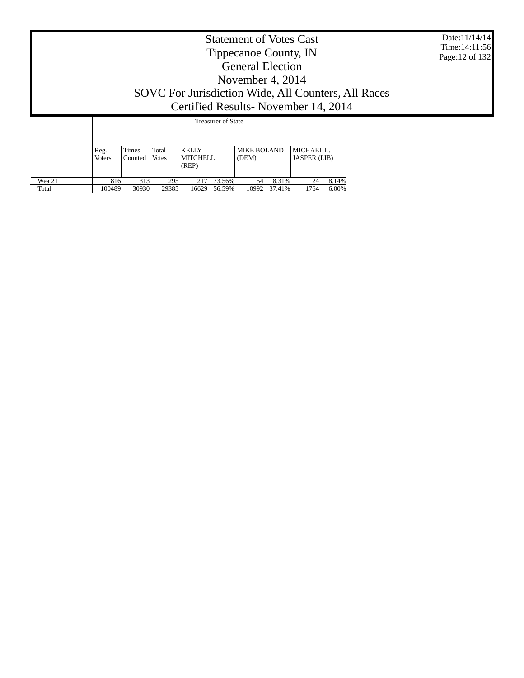|                 | <b>Statement of Votes Cast</b><br>Tippecanoe County, IN<br><b>General Election</b><br>November 4, 2014<br>SOVC For Jurisdiction Wide, All Counters, All Races<br>Certified Results - November 14, 2014 |                  |                |                                          |                  |                             |                  |                                   |                |  |  |
|-----------------|--------------------------------------------------------------------------------------------------------------------------------------------------------------------------------------------------------|------------------|----------------|------------------------------------------|------------------|-----------------------------|------------------|-----------------------------------|----------------|--|--|
|                 |                                                                                                                                                                                                        |                  |                |                                          |                  |                             |                  |                                   |                |  |  |
|                 | Reg.<br><b>Voters</b>                                                                                                                                                                                  | Times<br>Counted | Total<br>Votes | <b>KELLY</b><br><b>MITCHELL</b><br>(REP) |                  | <b>MIKE BOLAND</b><br>(DEM) |                  | MICHAEL L.<br><b>JASPER</b> (LIB) |                |  |  |
| Wea 21<br>Total | 816<br>100489                                                                                                                                                                                          | 313<br>30930     | 295<br>29385   | 217<br>16629                             | 73.56%<br>56.59% | 54<br>10992                 | 18.31%<br>37.41% | 24<br>1764                        | 8.14%<br>6.00% |  |  |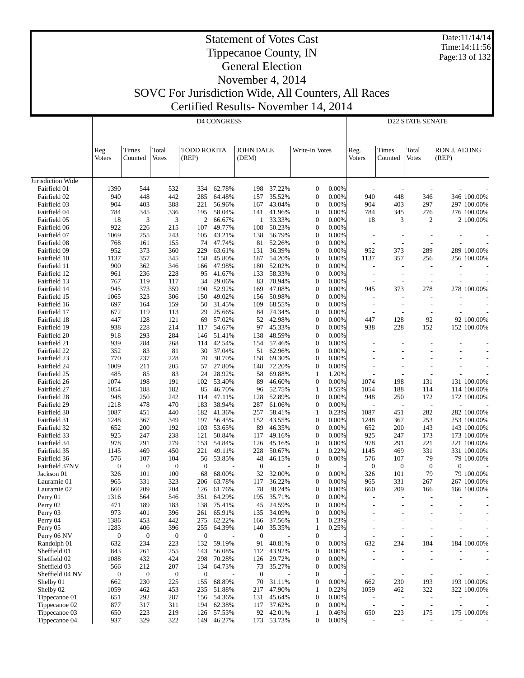Date:11/14/14 Time:14:11:56 Page:13 of 132

#### Statement of Votes Cast Tippecanoe County, IN General Election

# November 4, 2014 SOVC For Jurisdiction Wide, All Counters, All Races

Certified Results- November 14, 2014

|                              |                          |                         |                       |                             | <b>D4 CONGRESS</b> |                           |                  |                                      |                |                          |                          | <b>D22 STATE SENATE</b>         |                               |                            |
|------------------------------|--------------------------|-------------------------|-----------------------|-----------------------------|--------------------|---------------------------|------------------|--------------------------------------|----------------|--------------------------|--------------------------|---------------------------------|-------------------------------|----------------------------|
|                              | Reg.<br><b>Voters</b>    | Times<br>Counted        | Total<br><b>Votes</b> | <b>TODD ROKITA</b><br>(REP) |                    | <b>JOHN DALE</b><br>(DEM) |                  | Write-In Votes                       |                | Reg.<br><b>Voters</b>    | Times<br>Counted         | Total<br><b>Votes</b>           | <b>RON J. ALTING</b><br>(REP) |                            |
| Jurisdiction Wide            |                          |                         |                       |                             |                    |                           |                  |                                      |                |                          |                          |                                 |                               |                            |
| Fairfield 01                 | 1390                     | 544                     | 532                   | 334                         | 62.78%             | 198                       | 37.22%           | $\mathbf{0}$                         | 0.00%          |                          |                          |                                 |                               |                            |
| Fairfield 02                 | 940                      | 448                     | 442                   | 285                         | 64.48%             | 157                       | 35.52%           | $\boldsymbol{0}$                     | 0.00%          | 940                      | 448                      | 346                             |                               | 346 100.00%                |
| Fairfield 03                 | 904                      | 403                     | 388                   | 221                         | 56.96%             | 167                       | 43.04%           | $\boldsymbol{0}$                     | 0.00%          | 904                      | 403                      | 297                             |                               | 297 100.00%                |
| Fairfield 04                 | 784                      | 345                     | 336                   | 195                         | 58.04%             | 141                       | 41.96%           | $\boldsymbol{0}$                     | 0.00%          | 784                      | 345                      | 276                             |                               | 276 100.00%                |
| Fairfield 05                 | 18                       | 3                       | 3                     | $\mathfrak{2}$              | 66.67%             | 1                         | 33.33%           | $\boldsymbol{0}$                     | 0.00%          | 18                       | 3                        | $\mathfrak{2}$                  |                               | 2 100.00%                  |
| Fairfield 06                 | 922                      | 226                     | 215                   | 107                         | 49.77%             | 108                       | 50.23%           | $\boldsymbol{0}$                     | 0.00%          |                          | $\overline{\phantom{a}}$ |                                 |                               |                            |
| Fairfield 07                 | 1069                     | 255                     | 243                   | 105                         | 43.21%             | 138                       | 56.79%           | $\boldsymbol{0}$                     | 0.00%          | $\overline{a}$           |                          |                                 |                               |                            |
| Fairfield 08                 | 768                      | 161                     | 155                   | 74                          | 47.74%             | 81                        | 52.26%           | $\boldsymbol{0}$                     | 0.00%          |                          |                          |                                 |                               |                            |
| Fairfield 09                 | 952                      | 373                     | 360                   | 229                         | 63.61%             | 131                       | 36.39%           | $\boldsymbol{0}$                     | 0.00%          | 952                      | 373                      | 289                             |                               | 289 100.00%                |
| Fairfield 10                 | 1137                     | 357                     | 345                   | 158                         | 45.80%             | 187                       | 54.20%           | $\boldsymbol{0}$                     | 0.00%          | 1137                     | 357                      | 256                             |                               | 256 100.00%                |
| Fairfield 11                 | 900                      | 362                     | 346                   | 166                         | 47.98%             | 180                       | 52.02%           | $\boldsymbol{0}$                     | 0.00%          | L,                       |                          |                                 |                               |                            |
| Fairfield 12                 | 961                      | 236                     | 228                   | 95                          | 41.67%             | 133                       | 58.33%           | $\boldsymbol{0}$                     | 0.00%          | $\overline{a}$           | $\overline{\phantom{a}}$ |                                 |                               |                            |
| Fairfield 13                 | 767                      | 119<br>373              | 117<br>359            | 34<br>190                   | 29.06%             | 83<br>169                 | 70.94%<br>47.08% | $\boldsymbol{0}$<br>$\boldsymbol{0}$ | 0.00%<br>0.00% |                          | 373                      | 278                             |                               | 278 100.00%                |
| Fairfield 14<br>Fairfield 15 | 945<br>1065              | 323                     | 306                   | 150                         | 52.92%<br>49.02%   | 156                       | 50.98%           | $\boldsymbol{0}$                     | 0.00%          | 945                      |                          |                                 |                               |                            |
| Fairfield 16                 | 697                      | 164                     | 159                   | 50                          | 31.45%             | 109                       | 68.55%           | $\boldsymbol{0}$                     | 0.00%          | $\overline{a}$           | $\overline{\phantom{a}}$ |                                 |                               |                            |
| Fairfield 17                 | 672                      | 119                     | 113                   | 29                          | 25.66%             | 84                        | 74.34%           | $\boldsymbol{0}$                     | 0.00%          |                          |                          |                                 |                               |                            |
| Fairfield 18                 | 447                      | 128                     | 121                   | 69                          | 57.02%             | 52                        | 42.98%           | $\boldsymbol{0}$                     | 0.00%          | 447                      | 128                      | 92                              |                               | 92 100.00%                 |
| Fairfield 19                 | 938                      | 228                     | 214                   | 117                         | 54.67%             | 97                        | 45.33%           | $\boldsymbol{0}$                     | 0.00%          | 938                      | 228                      | 152                             |                               | 152 100.00%                |
| Fairfield 20                 | 918                      | 293                     | 284                   | 146                         | 51.41%             | 138                       | 48.59%           | $\boldsymbol{0}$                     | 0.00%          | ÷,                       |                          |                                 |                               |                            |
| Fairfield 21                 | 939                      | 284                     | 268                   | 114                         | 42.54%             | 154                       | 57.46%           | $\boldsymbol{0}$                     | 0.00%          |                          |                          |                                 |                               |                            |
| Fairfield 22                 | 352                      | 83                      | 81                    | 30                          | 37.04%             | 51                        | 62.96%           | $\boldsymbol{0}$                     | 0.00%          |                          |                          |                                 | $\overline{\phantom{a}}$      |                            |
| Fairfield 23                 | 770                      | 237                     | 228                   | 70                          | 30.70%             | 158                       | 69.30%           | $\boldsymbol{0}$                     | 0.00%          |                          |                          |                                 |                               |                            |
| Fairfield 24                 | 1009                     | 211                     | 205                   | 57                          | 27.80%             | 148                       | 72.20%           | $\boldsymbol{0}$                     | 0.00%          |                          |                          |                                 |                               |                            |
| Fairfield 25                 | 485                      | 85                      | 83                    | 24                          | 28.92%             | 58                        | 69.88%           | $\mathbf{1}$                         | 1.20%          |                          |                          |                                 |                               |                            |
| Fairfield 26                 | 1074                     | 198                     | 191                   | 102                         | 53.40%             | 89                        | 46.60%           | $\boldsymbol{0}$                     | 0.00%          | 1074                     | 198                      | 131                             |                               | 131 100.00%                |
| Fairfield 27                 | 1054                     | 188                     | 182                   | 85                          | 46.70%             | 96                        | 52.75%           | $\mathbf{1}$                         | 0.55%          | 1054                     | 188                      | 114                             |                               | 114 100.00%                |
| Fairfield 28                 | 948                      | 250                     | 242                   | 114                         | 47.11%             | 128                       | 52.89%           | $\boldsymbol{0}$                     | 0.00%          | 948                      | 250                      | 172                             |                               | 172 100.00%                |
| Fairfield 29                 | 1218                     | 478                     | 470                   | 183                         | 38.94%             | 287                       | 61.06%           | $\boldsymbol{0}$                     | 0.00%          |                          |                          | $\overline{\phantom{a}}$<br>282 |                               |                            |
| Fairfield 30<br>Fairfield 31 | 1087<br>1248             | 451<br>367              | 440<br>349            | 182<br>197                  | 41.36%<br>56.45%   | 257<br>152                | 58.41%<br>43.55% | 1<br>$\boldsymbol{0}$                | 0.23%<br>0.00% | 1087<br>1248             | 451<br>367               | 253                             |                               | 282 100.00%<br>253 100.00% |
| Fairfield 32                 | 652                      | 200                     | 192                   | 103                         | 53.65%             | 89                        | 46.35%           | $\boldsymbol{0}$                     | 0.00%          | 652                      | 200                      | 143                             |                               | 143 100.00%                |
| Fairfield 33                 | 925                      | 247                     | 238                   | 121                         | 50.84%             | 117                       | 49.16%           | $\mathbf{0}$                         | 0.00%          | 925                      | 247                      | 173                             |                               | 173 100.00%                |
| Fairfield 34                 | 978                      | 291                     | 279                   | 153                         | 54.84%             | 126                       | 45.16%           | $\mathbf{0}$                         | 0.00%          | 978                      | 291                      | 221                             |                               | 221 100.00%                |
| Fairfield 35                 | 1145                     | 469                     | 450                   | 221                         | 49.11%             | 228                       | 50.67%           | $\mathbf{1}$                         | 0.22%          | 1145                     | 469                      | 331                             |                               | 331 100.00%                |
| Fairfield 36                 | 576                      | 107                     | 104                   | 56                          | 53.85%             | 48                        | 46.15%           | $\boldsymbol{0}$                     | 0.00%          | 576                      | 107                      | 79                              |                               | 79 100.00%                 |
| Fairfield 37NV               | $\mathbf{0}$             | $\mathbf{0}$            | $\boldsymbol{0}$      | $\boldsymbol{0}$            |                    | $\mathbf{0}$              |                  | $\mathbf{0}$                         |                | $\boldsymbol{0}$         | $\boldsymbol{0}$         | $\mathbf{0}$                    | 0                             |                            |
| Jackson 01                   | 326                      | 101                     | 100                   | 68                          | 68.00%             | 32                        | 32.00%           | $\boldsymbol{0}$                     | 0.00%          | 326                      | 101                      | 79                              |                               | 79 100.00%                 |
| Lauramie 01                  | 965                      | 331                     | 323                   | 206                         | 63.78%             | 117                       | 36.22%           | $\boldsymbol{0}$                     | 0.00%          | 965                      | 331                      | 267                             |                               | 267 100.00%                |
| Lauramie 02                  | 660                      | 209                     | 204                   | 126                         | 61.76%             | 78                        | 38.24%           | $\overline{0}$                       | 0.00%          | 660                      | 209                      | 166                             |                               | 166 100.00%                |
| Perry 01                     | 1316                     | 564                     | 546                   | 351                         | 64.29%             | 195                       | 35.71%           | $\mathbf{0}$                         | 0.00%          |                          |                          |                                 |                               |                            |
| Perry 02                     | 471                      | 189                     | 183                   | 138                         | 75.41%             | 45                        | 24.59%           | $\boldsymbol{0}$                     | $0.00\%$       |                          |                          |                                 |                               |                            |
| Perry 03                     | 973                      | 401                     | 396                   | 261                         | 65.91%             | 135                       | 34.09%           | $\boldsymbol{0}$                     | 0.00%          |                          | $\overline{\phantom{0}}$ |                                 | $\overline{\phantom{a}}$      |                            |
| Perry 04                     | 1386                     | 453                     | 442                   | 275<br>255                  | 62.22%             | 166                       | 37.56%           | $\mathbf{1}$                         | 0.23%          |                          |                          |                                 | $\overline{\phantom{a}}$      |                            |
| Perry 05<br>Perry 06 NV      | 1283<br>$\boldsymbol{0}$ | 406<br>$\boldsymbol{0}$ | 396<br>$\mathbf{0}$   | $\boldsymbol{0}$            | 64.39%             | 140<br>$\boldsymbol{0}$   | 35.35%           | $\mathbf{1}$<br>$\mathbf{0}$         | 0.25%          |                          |                          | $\overline{\phantom{a}}$        |                               |                            |
| Randolph 01                  | 632                      | 234                     | 223                   | 132                         | 59.19%             | 91                        | 40.81%           | $\boldsymbol{0}$                     | 0.00%          | 632                      | 234                      | 184                             |                               | 184 100.00%                |
| Sheffield 01                 | 843                      | 261                     | 255                   | 143                         | 56.08%             | 112                       | 43.92%           | $\mathbf{0}$                         | 0.00%          |                          |                          |                                 |                               |                            |
| Sheffield 02                 | 1088                     | 432                     | 424                   | 298                         | 70.28%             | 126                       | 29.72%           | $\boldsymbol{0}$                     | 0.00%          | $\overline{a}$           | $\overline{\phantom{a}}$ | $\overline{\phantom{a}}$        | $\overline{a}$                |                            |
| Sheffield 03                 | 566                      | 212                     | 207                   | 134                         | 64.73%             | 73                        | 35.27%           | $\mathbf{0}$                         | 0.00%          | $\overline{\phantom{a}}$ | $\overline{\phantom{a}}$ |                                 |                               |                            |
| Sheffield 04 NV              | $\boldsymbol{0}$         | $\boldsymbol{0}$        | $\mathbf{0}$          | $\boldsymbol{0}$            |                    | $\mathbf{0}$              |                  | $\boldsymbol{0}$                     |                |                          | $\overline{\phantom{a}}$ | $\overline{\phantom{a}}$        |                               |                            |
| Shelby 01                    | 662                      | 230                     | 225                   | 155                         | 68.89%             | 70                        | 31.11%           | $\boldsymbol{0}$                     | 0.00%          | 662                      | 230                      | 193                             |                               | 193 100.00%                |
| Shelby 02                    | 1059                     | 462                     | 453                   | 235                         | 51.88%             | 217                       | 47.90%           | $\mathbf{1}$                         | 0.22%          | 1059                     | 462                      | 322                             |                               | 322 100.00%                |
| Tippecanoe 01                | 651                      | 292                     | 287                   | 156                         | 54.36%             | 131                       | 45.64%           | $\mathbf{0}$                         | 0.00%          | $\overline{\phantom{a}}$ | $\overline{a}$           | $\overline{a}$                  |                               |                            |
| Tippecanoe 02                | 877                      | 317                     | 311                   | 194                         | 62.38%             | 117                       | 37.62%           | $\boldsymbol{0}$                     | 0.00%          | $\overline{\phantom{a}}$ | $\overline{a}$           | $\overline{\phantom{a}}$        |                               |                            |
| Tippecanoe 03                | 650                      | 223                     | 219                   |                             | 126 57.53%         | 92                        | 42.01%           | $\mathbf{1}$                         | 0.46%          | 650                      | 223                      | 175                             |                               | 175 100.00%                |
| Tippecanoe 04                | 937                      | 329                     | 322                   |                             | 149 46.27%         |                           | 173 53.73%       | $\overline{0}$                       | 0.00%          |                          | $\overline{a}$           | $\overline{\phantom{a}}$        |                               |                            |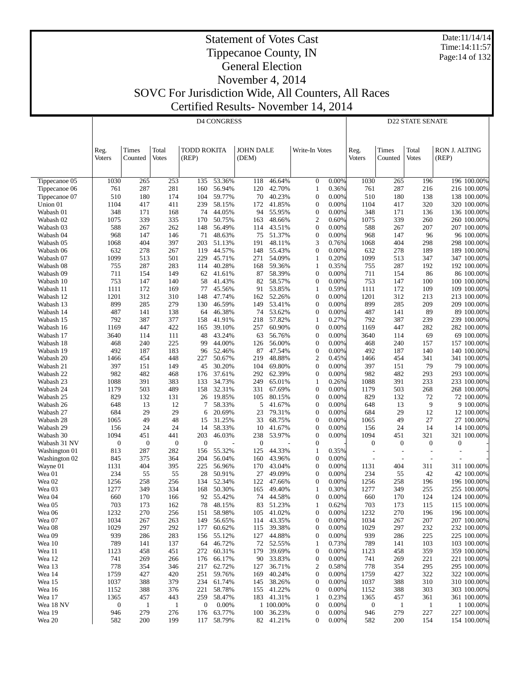Date:11/14/14 Time:14:11:57 Page:14 of 132

#### Statement of Votes Cast Tippecanoe County, IN General Election November 4, 2014

SOVC For Jurisdiction Wide, All Counters, All Races

Certified Results- November 14, 2014

|                        |                       |                  |                       |                             | <b>D4 CONGRESS</b>       |                           |                         |                                      | <b>D22 STATE SENATE</b> |                                  |                                 |                                 |                               |                            |
|------------------------|-----------------------|------------------|-----------------------|-----------------------------|--------------------------|---------------------------|-------------------------|--------------------------------------|-------------------------|----------------------------------|---------------------------------|---------------------------------|-------------------------------|----------------------------|
|                        |                       |                  |                       |                             |                          |                           |                         |                                      |                         |                                  |                                 |                                 |                               |                            |
|                        |                       |                  |                       |                             |                          |                           |                         |                                      |                         |                                  |                                 |                                 |                               |                            |
|                        | Reg.<br><b>Voters</b> | Times<br>Counted | Total<br><b>Votes</b> | <b>TODD ROKITA</b><br>(REP) |                          | <b>JOHN DALE</b><br>(DEM) |                         | Write-In Votes                       |                         | Reg.<br>Voters                   | Times<br>Counted                | Total<br><b>Votes</b>           | <b>RON J. ALTING</b><br>(REP) |                            |
|                        |                       |                  |                       |                             |                          |                           |                         |                                      |                         |                                  |                                 |                                 |                               |                            |
| Tippecanoe 05          | 1030                  | 265              | 253                   | 135                         | 53.36%                   | 118                       | 46.64%                  | $\boldsymbol{0}$                     | 0.00%                   | 1030                             | 265                             | 196                             |                               | 196 100.00%                |
| Tippecanoe 06          | 761                   | 287              | 281                   | 160                         | 56.94%                   | 120                       | 42.70%                  | 1                                    | 0.36%                   | 761                              | 287                             | 216                             |                               | 216 100.00%                |
| Tippecanoe 07          | 510                   | 180              | 174                   | 104<br>239                  | 59.77%                   | 70                        | 40.23%<br>41.85%        | $\boldsymbol{0}$<br>$\boldsymbol{0}$ | 0.00%<br>0.00%          | 510<br>1104                      | 180                             | 138                             |                               | 138 100.00%                |
| Union 01<br>Wabash 01  | 1104<br>348           | 417<br>171       | 411<br>168            | 74                          | 58.15%<br>44.05%         | 172<br>94                 | 55.95%                  | $\boldsymbol{0}$                     | 0.00%                   | 348                              | 417<br>171                      | 320<br>136                      |                               | 320 100.00%<br>136 100.00% |
| Wabash 02              | 1075                  | 339              | 335                   | 170                         | 50.75%                   | 163                       | 48.66%                  | $\overline{c}$                       | 0.60%                   | 1075                             | 339                             | 260                             |                               | 260 100.00%                |
| Wabash 03              | 588                   | 267              | 262                   | 148                         | 56.49%                   | 114                       | 43.51%                  | $\boldsymbol{0}$                     | 0.00%                   | 588                              | 267                             | 207                             |                               | 207 100.00%                |
| Wabash 04<br>Wabash 05 | 968<br>1068           | 147<br>404       | 146<br>397            | 71<br>203                   | 48.63%<br>51.13%         | 75<br>191                 | 51.37%<br>48.11%        | $\boldsymbol{0}$<br>3                | 0.00%<br>0.76%          | 968<br>1068                      | 147<br>404                      | 96<br>298                       |                               | 96 100.00%<br>298 100.00%  |
| Wabash 06              | 632                   | 278              | 267                   | 119                         | 44.57%                   | 148                       | 55.43%                  | $\boldsymbol{0}$                     | 0.00%                   | 632                              | 278                             | 189                             |                               | 189 100.00%                |
| Wabash 07              | 1099                  | 513              | 501                   | 229                         | 45.71%                   | 271                       | 54.09%                  | 1                                    | 0.20%                   | 1099                             | 513                             | 347                             |                               | 347 100.00%                |
| Wabash 08              | 755<br>711            | 287              | 283<br>149            | 114                         | 40.28%<br>41.61%         | 168                       | 59.36%<br>58.39%        | $\mathbf{1}$<br>$\boldsymbol{0}$     | 0.35%<br>0.00%          | 755                              | 287<br>154                      | 192<br>86                       |                               | 192 100.00%                |
| Wabash 09<br>Wabash 10 | 753                   | 154<br>147       | 140                   | 62<br>58                    | 41.43%                   | 87<br>82                  | 58.57%                  | $\boldsymbol{0}$                     | 0.00%                   | 711<br>753                       | 147                             | 100                             |                               | 86 100.00%<br>100 100.00%  |
| Wabash 11              | 1111                  | 172              | 169                   | 77                          | 45.56%                   | 91                        | 53.85%                  | 1                                    | 0.59%                   | 1111                             | 172                             | 109                             |                               | 109 100.00%                |
| Wabash 12              | 1201                  | 312              | 310                   | 148                         | 47.74%                   | 162                       | 52.26%                  | $\boldsymbol{0}$                     | 0.00%                   | 1201                             | 312                             | 213                             |                               | 213 100.00%                |
| Wabash 13              | 899                   | 285              | 279                   | 130                         | 46.59%                   | 149                       | 53.41%<br>53.62%        | $\boldsymbol{0}$                     | 0.00%                   | 899                              | 285                             | 209                             |                               | 209 100.00%                |
| Wabash 14<br>Wabash 15 | 487<br>792            | 141<br>387       | 138<br>377            | 64<br>158                   | 46.38%<br>41.91%         | 74<br>218                 | 57.82%                  | $\boldsymbol{0}$<br>1                | 0.00%<br>0.27%          | 487<br>792                       | 141<br>387                      | 89<br>239                       |                               | 89 100.00%<br>239 100.00%  |
| Wabash 16              | 1169                  | 447              | 422                   | 165                         | 39.10%                   | 257                       | 60.90%                  | $\boldsymbol{0}$                     | 0.00%                   | 1169                             | 447                             | 282                             |                               | 282 100.00%                |
| Wabash 17              | 3640                  | 114              | 111                   | 48                          | 43.24%                   | 63                        | 56.76%                  | $\boldsymbol{0}$                     | 0.00%                   | 3640                             | 114                             | 69                              |                               | 69 100.00%                 |
| Wabash 18              | 468                   | 240              | 225                   | 99                          | 44.00%                   | 126                       | 56.00%                  | $\boldsymbol{0}$                     | 0.00%                   | 468                              | 240                             | 157                             |                               | 157 100.00%                |
| Wabash 19<br>Wabash 20 | 492<br>1466           | 187<br>454       | 183<br>448            | 96<br>227                   | 52.46%<br>50.67%         | 87<br>219                 | 47.54%<br>48.88%        | $\boldsymbol{0}$<br>$\boldsymbol{2}$ | 0.00%<br>0.45%          | 492<br>1466                      | 187<br>454                      | 140<br>341                      |                               | 140 100,00%<br>341 100.00% |
| Wabash 21              | 397                   | 151              | 149                   | 45                          | 30.20%                   | 104                       | 69.80%                  | $\boldsymbol{0}$                     | 0.00%                   | 397                              | 151                             | 79                              |                               | 79 100.00%                 |
| Wabash 22              | 982                   | 482              | 468                   | 176                         | 37.61%                   | 292                       | 62.39%                  | $\boldsymbol{0}$                     | 0.00%                   | 982                              | 482                             | 293                             |                               | 293 100.00%                |
| Wabash 23              | 1088                  | 391              | 383                   | 133                         | 34.73%                   | 249                       | 65.01%                  | 1                                    | 0.26%                   | 1088                             | 391                             | 233                             |                               | 233 100.00%                |
| Wabash 24<br>Wabash 25 | 1179<br>829           | 503<br>132       | 489<br>131            | 158<br>26                   | 32.31%<br>19.85%         | 331<br>105                | 67.69%<br>80.15%        | $\boldsymbol{0}$<br>$\boldsymbol{0}$ | 0.00%<br>0.00%          | 1179<br>829                      | 503<br>132                      | 268<br>72                       |                               | 268 100.00%<br>72 100.00%  |
| Wabash 26              | 648                   | 13               | 12                    | 7                           | 58.33%                   | 5                         | 41.67%                  | $\boldsymbol{0}$                     | 0.00%                   | 648                              | 13                              | 9                               |                               | 9 100.00%                  |
| Wabash 27              | 684                   | 29               | 29                    | 6                           | 20.69%                   | 23                        | 79.31%                  | $\boldsymbol{0}$                     | 0.00%                   | 684                              | 29                              | 12                              |                               | 12 100.00%                 |
| Wabash 28              | 1065<br>156           | 49<br>24         | 48<br>24              | 15<br>14                    | 31.25%<br>58.33%         | 33<br>10                  | 68.75%<br>41.67%        | $\boldsymbol{0}$<br>$\boldsymbol{0}$ | 0.00%<br>0.00%          | 1065<br>156                      | 49<br>24                        | 27<br>14                        |                               | 27 100.00%<br>14 100.00%   |
| Wabash 29<br>Wabash 30 | 1094                  | 451              | 441                   | 203                         | 46.03%                   | 238                       | 53.97%                  | $\boldsymbol{0}$                     | 0.00%                   | 1094                             | 451                             | 321                             |                               | 321 100.00%                |
| Wabash 31 NV           | $\boldsymbol{0}$      | $\boldsymbol{0}$ | $\mathbf{0}$          | $\mathbf{0}$                |                          | $\boldsymbol{0}$          |                         | $\boldsymbol{0}$                     |                         | $\boldsymbol{0}$                 | $\boldsymbol{0}$                | $\mathbf{0}$                    | $\overline{0}$                |                            |
| Washington 01          | 813                   | 287              | 282                   | 156                         | 55.32%                   | 125                       | 44.33%                  | $\mathbf{1}$                         | 0.35%                   | $\overline{a}$                   | $\overline{a}$                  | $\overline{\phantom{a}}$        |                               |                            |
| Washington 02          | 845<br>1131           | 375<br>404       | 364<br>395            | 204<br>225                  | 56.04%<br>56.96%         | 160                       | 43.96%<br>43.04%        | $\boldsymbol{0}$<br>$\boldsymbol{0}$ | 0.00%<br>0.00%          | $\overline{\phantom{a}}$<br>1131 | $\overline{\phantom{a}}$<br>404 | $\overline{\phantom{a}}$<br>311 |                               | 311 100.00%                |
| Wayne 01<br>Wea 01     | 234                   | 55               | 55                    | 28                          | 50.91%                   | 170<br>27                 | 49.09%                  | $\boldsymbol{0}$                     | 0.00%                   | 234                              | 55                              | 42                              |                               | 42 100.00%                 |
| Wea 02                 | 1256                  | 258              | 256                   | 134                         | 52.34%                   | 122                       | 47.66%                  | $\boldsymbol{0}$                     | 0.00%                   | 1256                             | 258                             | 196                             |                               | 196 100.00%                |
| Wea 03                 | 1277                  | 349              | 334                   |                             | 168 50.30%               | 165                       | 49.40%                  | 1                                    | 0.30%                   | 1277                             | 349                             | 255                             |                               | 255 100.00%                |
| Wea 04                 | 660                   | 170              | 166                   |                             | 92 55.42%                | 74                        | 44.58%                  | $\boldsymbol{0}$                     | 0.00%                   | 660                              | 170                             | 124                             |                               | 124 100.00%                |
| Wea 05<br>Wea 06       | 703<br>1232           | 173<br>270       | 162<br>256            | 151                         | 78 48.15%<br>58.98%      | 83<br>105                 | 51.23%<br>41.02%        | 1<br>$\boldsymbol{0}$                | 0.62%<br>0.00%          | 703<br>1232                      | 173<br>270                      | 115<br>196                      |                               | 115 100.00%<br>196 100.00% |
| Wea 07                 | 1034                  | 267              | 263                   | 149                         | 56.65%                   | 114                       | 43.35%                  | $\boldsymbol{0}$                     | 0.00%                   | 1034                             | 267                             | 207                             |                               | 207 100.00%                |
| Wea 08                 | 1029                  | 297              | 292                   | 177                         | 60.62%                   | 115                       | 39.38%                  | $\boldsymbol{0}$                     | 0.00%                   | 1029                             | 297                             | 232                             |                               | 232 100.00%                |
| Wea 09<br>Wea 10       | 939<br>789            | 286              | 283                   | 64                          | 156 55.12%<br>46.72%     | 127<br>72                 | 44.88%<br>52.55%        | $\boldsymbol{0}$                     | 0.00%<br>0.73%          | 939<br>789                       | 286                             | 225                             |                               | 225 100.00%<br>103 100.00% |
| Wea 11                 | 1123                  | 141<br>458       | 137<br>451            |                             | 272 60.31%               | 179                       | 39.69%                  | $\mathbf{1}$<br>$\boldsymbol{0}$     | 0.00%                   | 1123                             | 141<br>458                      | 103<br>359                      |                               | 359 100.00%                |
| Wea 12                 | 741                   | 269              | 266                   | 176                         | 66.17%                   | 90                        | 33.83%                  | $\boldsymbol{0}$                     | 0.00%                   | 741                              | 269                             | 221                             |                               | 221 100.00%                |
| Wea 13                 | 778                   | 354              | 346                   | 217                         | 62.72%                   | 127                       | 36.71%                  | $\overline{\mathbf{c}}$              | 0.58%                   | 778                              | 354                             | 295                             |                               | 295 100.00%                |
| Wea 14<br>Wea 15       | 1759<br>1037          | 427              | 420                   | 251                         | 59.76%<br>234 61.74%     | 169                       | 40.24%<br>38.26%        | $\boldsymbol{0}$<br>$\boldsymbol{0}$ | 0.00%                   | 1759                             | 427                             | 322                             |                               | 322 100.00%<br>310 100.00% |
| Wea 16                 | 1152                  | 388<br>388       | 379<br>376            | 221                         | 58.78%                   | 145<br>155                | 41.22%                  | $\boldsymbol{0}$                     | 0.00%<br>0.00%          | 1037<br>1152                     | 388<br>388                      | 310<br>303                      |                               | 303 100.00%                |
| Wea 17                 | 1365                  | 457              | 443                   |                             | 259 58.47%               | 183                       | 41.31%                  | 1                                    | 0.23%                   | 1365                             | 457                             | 361                             |                               | 361 100.00%                |
| Wea 18 NV              | $\boldsymbol{0}$      | -1               | $\mathbf{1}$          | 0                           | 0.00%                    |                           | 1 100.00%               | $\boldsymbol{0}$                     | 0.00%                   | $\bf{0}$                         | $\mathbf{1}$                    | -1                              |                               | 1 100.00%                  |
| Wea 19<br>Wea 20       | 946<br>582            | 279<br>200       | 276<br>199            |                             | 176 63.77%<br>117 58.79% |                           | 100 36.23%<br>82 41.21% | $\boldsymbol{0}$<br>$\boldsymbol{0}$ | 0.00%<br>0.00%          | 946<br>582                       | 279<br>200                      | 227<br>154                      |                               | 227 100.00%<br>154 100.00% |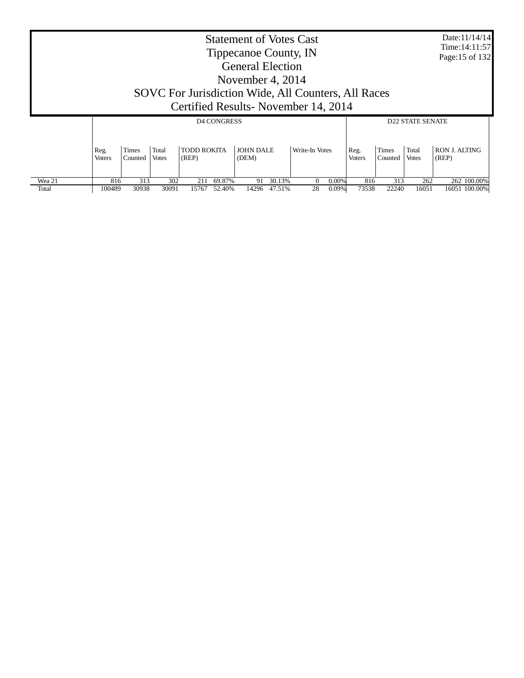|                 | <b>Statement of Votes Cast</b><br>Tippecanoe County, IN<br><b>General Election</b><br>November 4, $2014$<br>SOVC For Jurisdiction Wide, All Counters, All Races<br>Certified Results - November 14, 2014 |              |              |              |                    |             |                  |                |                         |               |                  |                       | Date:11/14/14<br>Time: 14:11:57<br>Page:15 of 132 |  |
|-----------------|----------------------------------------------------------------------------------------------------------------------------------------------------------------------------------------------------------|--------------|--------------|--------------|--------------------|-------------|------------------|----------------|-------------------------|---------------|------------------|-----------------------|---------------------------------------------------|--|
|                 |                                                                                                                                                                                                          |              |              |              | <b>D4 CONGRESS</b> |             |                  |                | <b>D22 STATE SENATE</b> |               |                  |                       |                                                   |  |
|                 | Total<br><b>TODD ROKITA</b><br><b>JOHN DALE</b><br>Times<br>Write-In Votes<br>Reg.<br>Reg.<br>Counted<br><b>Voters</b><br><b>Votes</b><br>(REP)<br>(DEM)                                                 |              |              |              |                    |             |                  |                |                         | <b>Voters</b> | Times<br>Counted | Total<br><b>Votes</b> | <b>RON J. ALTING</b><br>(REP)                     |  |
| Wea 21<br>Total | 816<br>100489                                                                                                                                                                                            | 313<br>30938 | 302<br>30091 | 211<br>15767 | 69.87%<br>52.40%   | 91<br>14296 | 30.13%<br>47.51% | $\Omega$<br>28 | 0.00%<br>$0.09\%$       | 816<br>73538  | 313<br>22240     | 262<br>16051          | 262 100.00%<br>16051 100.00%                      |  |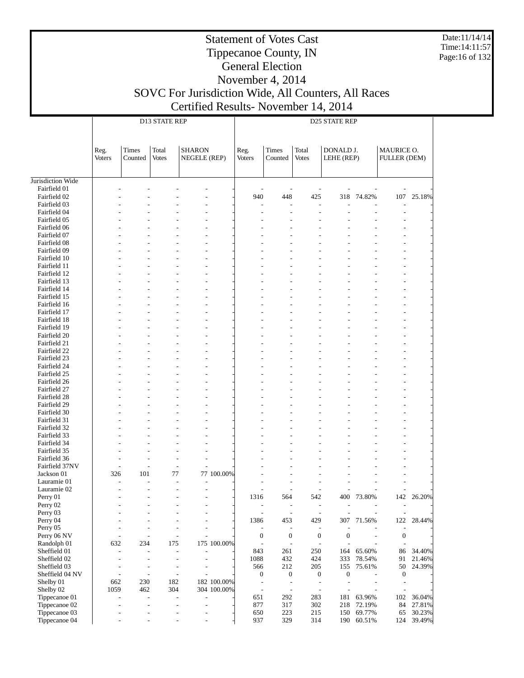Date:11/14/14 Time:14:11:57 Page:16 of 132

## Statement of Votes Cast Tippecanoe County, IN General Election

|                              |                       |                                       | D13 STATE REP                              |                               |             | D25 STATE REP                                |                                              |                                              |                                    |        |                                              |        |  |
|------------------------------|-----------------------|---------------------------------------|--------------------------------------------|-------------------------------|-------------|----------------------------------------------|----------------------------------------------|----------------------------------------------|------------------------------------|--------|----------------------------------------------|--------|--|
|                              | Reg.<br><b>Voters</b> | Times<br>Counted                      | Total<br><b>Votes</b>                      | <b>SHARON</b><br>NEGELE (REP) |             | Reg.<br><b>Voters</b>                        | Times<br>Counted                             | Total<br><b>Votes</b>                        | DONALD J.<br>LEHE (REP)            |        | MAURICE O.<br>FULLER (DEM)                   |        |  |
|                              |                       |                                       |                                            |                               |             |                                              |                                              |                                              |                                    |        |                                              |        |  |
| Jurisdiction Wide            |                       |                                       |                                            |                               |             |                                              |                                              |                                              |                                    |        |                                              |        |  |
| Fairfield 01                 |                       |                                       |                                            |                               |             |                                              |                                              |                                              |                                    |        |                                              |        |  |
| Fairfield 02                 |                       |                                       |                                            |                               |             | 940                                          | 448                                          | 425                                          | 318                                | 74.82% | $107\,$                                      | 25.18% |  |
| Fairfield 03                 |                       |                                       |                                            |                               |             |                                              |                                              |                                              |                                    |        |                                              |        |  |
| Fairfield 04                 |                       |                                       |                                            |                               |             |                                              |                                              |                                              |                                    |        | L,                                           |        |  |
| Fairfield 05                 |                       |                                       |                                            |                               |             |                                              |                                              |                                              |                                    |        |                                              |        |  |
| Fairfield 06                 |                       |                                       |                                            |                               |             |                                              |                                              |                                              |                                    |        |                                              |        |  |
| Fairfield 07                 |                       |                                       |                                            |                               |             |                                              |                                              |                                              |                                    |        |                                              |        |  |
| Fairfield 08                 |                       |                                       |                                            |                               |             |                                              |                                              |                                              |                                    |        |                                              |        |  |
| Fairfield 09                 |                       |                                       |                                            |                               |             |                                              |                                              |                                              |                                    |        |                                              |        |  |
| Fairfield 10                 |                       |                                       |                                            |                               |             |                                              |                                              |                                              |                                    |        |                                              |        |  |
| Fairfield 11                 |                       |                                       |                                            |                               |             |                                              |                                              |                                              |                                    |        |                                              |        |  |
| Fairfield 12                 |                       |                                       |                                            |                               |             |                                              |                                              |                                              |                                    |        |                                              |        |  |
| Fairfield 13                 |                       |                                       |                                            |                               |             |                                              |                                              |                                              |                                    |        |                                              |        |  |
| Fairfield 14                 |                       |                                       |                                            |                               |             |                                              |                                              |                                              |                                    |        | ÷                                            |        |  |
| Fairfield 15                 |                       |                                       |                                            |                               |             |                                              |                                              |                                              |                                    |        |                                              |        |  |
| Fairfield 16<br>Fairfield 17 |                       |                                       |                                            |                               |             |                                              |                                              |                                              |                                    |        |                                              |        |  |
| Fairfield 18                 |                       |                                       |                                            |                               |             |                                              |                                              |                                              |                                    |        | ÷                                            |        |  |
| Fairfield 19                 |                       |                                       |                                            |                               |             |                                              |                                              |                                              |                                    |        |                                              |        |  |
| Fairfield 20                 |                       |                                       |                                            |                               |             |                                              |                                              |                                              |                                    |        |                                              |        |  |
| Fairfield 21                 |                       |                                       |                                            |                               |             |                                              |                                              |                                              |                                    |        |                                              |        |  |
| Fairfield 22                 |                       |                                       |                                            |                               |             |                                              |                                              |                                              |                                    |        | ÷                                            |        |  |
| Fairfield 23                 |                       |                                       |                                            |                               |             |                                              |                                              |                                              |                                    |        |                                              |        |  |
| Fairfield 24                 |                       |                                       |                                            |                               |             |                                              |                                              |                                              |                                    |        |                                              |        |  |
| Fairfield 25                 |                       |                                       |                                            |                               |             |                                              |                                              |                                              |                                    |        |                                              |        |  |
| Fairfield 26                 |                       |                                       |                                            |                               |             |                                              |                                              |                                              |                                    |        |                                              |        |  |
| Fairfield 27                 |                       |                                       |                                            |                               |             |                                              |                                              |                                              |                                    |        |                                              |        |  |
| Fairfield 28                 |                       |                                       |                                            |                               |             |                                              |                                              |                                              |                                    |        |                                              |        |  |
| Fairfield 29                 |                       |                                       |                                            |                               |             |                                              |                                              |                                              |                                    |        |                                              |        |  |
| Fairfield 30                 |                       |                                       |                                            |                               |             |                                              |                                              |                                              |                                    |        |                                              |        |  |
| Fairfield 31                 |                       |                                       |                                            |                               |             |                                              |                                              |                                              |                                    |        |                                              |        |  |
| Fairfield 32                 |                       |                                       |                                            |                               |             |                                              |                                              |                                              |                                    |        |                                              |        |  |
| Fairfield 33                 |                       |                                       |                                            |                               |             |                                              |                                              |                                              |                                    |        |                                              |        |  |
| Fairfield 34<br>Fairfield 35 |                       |                                       |                                            |                               |             |                                              |                                              |                                              |                                    |        |                                              |        |  |
| Fairfield 36                 |                       |                                       |                                            |                               |             |                                              |                                              |                                              |                                    |        |                                              |        |  |
| Fairfield 37NV               |                       |                                       | $\overline{a}$                             |                               |             |                                              |                                              |                                              |                                    |        |                                              |        |  |
| Jackson 01                   | 326                   | 101                                   | 77                                         |                               | 77 100.00%  |                                              |                                              |                                              |                                    |        |                                              |        |  |
| Lauramie 01                  |                       |                                       | ÷,                                         |                               |             |                                              |                                              |                                              |                                    |        |                                              |        |  |
| Lauramie 02                  |                       |                                       | L.                                         |                               |             |                                              |                                              |                                              |                                    |        |                                              |        |  |
| Perry 01                     |                       |                                       | ÷                                          |                               |             | 1316                                         | 564                                          | 542                                          | 400                                | 73.80% | 142                                          | 26.20% |  |
| Perry 02                     |                       |                                       |                                            |                               |             | $\overline{a}$                               | $\overline{\phantom{a}}$                     | $\overline{\phantom{0}}$                     |                                    |        | $\overline{\phantom{a}}$                     |        |  |
| Perry 03                     |                       |                                       |                                            |                               |             | $\overline{a}$                               | $\sim$                                       | $\overline{a}$                               |                                    |        | $\overline{\phantom{a}}$                     |        |  |
| Perry 04                     |                       |                                       |                                            |                               |             | 1386                                         | 453                                          | 429                                          | 307                                | 71.56% | 122                                          | 28.44% |  |
| Perry 05                     |                       |                                       |                                            |                               |             |                                              | $\overline{a}$                               | $\overline{a}$                               |                                    |        |                                              |        |  |
| Perry 06 NV                  |                       |                                       | Ĭ.                                         |                               |             | $\mathbf{0}$                                 | $\boldsymbol{0}$                             | $\boldsymbol{0}$                             | $\boldsymbol{0}$                   | ÷,     | $\boldsymbol{0}$                             |        |  |
| Randolph 01                  | 632                   | 234                                   | 175                                        |                               | 175 100.00% | $\overline{\phantom{a}}$                     | $\overline{\phantom{a}}$                     | $\overline{\phantom{a}}$                     |                                    |        | $\overline{\phantom{a}}$                     |        |  |
| Sheffield 01                 |                       | $\overline{a}$<br>$\overline{a}$      | $\overline{\phantom{a}}$                   | $\overline{a}$                |             | 843                                          | 261                                          | 250                                          | 164                                | 65.60% | 86                                           | 34.40% |  |
| Sheffield 02                 |                       | $\overline{\phantom{a}}$              | $\overline{a}$                             | $\overline{a}$                |             | 1088                                         | 432                                          | 424                                          | 333                                | 78.54% | 91                                           | 21.46% |  |
| Sheffield 03                 |                       | $\overline{a}$<br>$\overline{a}$      | $\overline{\phantom{a}}$                   |                               |             | 566                                          | 212                                          | 205                                          | 155                                | 75.61% | 50                                           | 24.39% |  |
| Sheffield 04 NV<br>Shelby 01 | 662                   | ÷,<br>$\overline{\phantom{a}}$<br>230 | $\overline{\phantom{a}}$<br>182            |                               | 182 100.00% | $\boldsymbol{0}$<br>$\overline{\phantom{a}}$ | $\boldsymbol{0}$<br>$\overline{\phantom{a}}$ | $\boldsymbol{0}$<br>$\overline{\phantom{a}}$ | $\boldsymbol{0}$<br>$\overline{a}$ |        | $\boldsymbol{0}$<br>$\overline{\phantom{a}}$ |        |  |
| Shelby 02                    | 1059                  | 462                                   | 304                                        |                               | 304 100.00% | $\overline{\phantom{a}}$                     | $\overline{\phantom{a}}$                     | $\overline{\phantom{a}}$                     |                                    |        | $\overline{a}$                               |        |  |
| Tippecanoe 01                |                       | $\overline{a}$                        | $\blacksquare$<br>$\overline{\phantom{a}}$ | $\overline{a}$                |             | 651                                          | 292                                          | 283                                          | 181                                | 63.96% | 102                                          | 36.04% |  |
| Tippecanoe 02                |                       | $\overline{\phantom{a}}$              | $\overline{a}$                             | $\overline{a}$                |             | 877                                          | 317                                          | 302                                          | 218                                | 72.19% | 84                                           | 27.81% |  |
| Tippecanoe 03                |                       |                                       | $\overline{a}$<br>$\overline{\phantom{a}}$ | $\overline{a}$                |             | 650                                          | 223                                          | 215                                          | 150                                | 69.77% | 65                                           | 30.23% |  |
| Tippecanoe 04                |                       |                                       |                                            |                               |             | 937                                          | 329                                          | 314                                          | 190                                | 60.51% | 124                                          | 39.49% |  |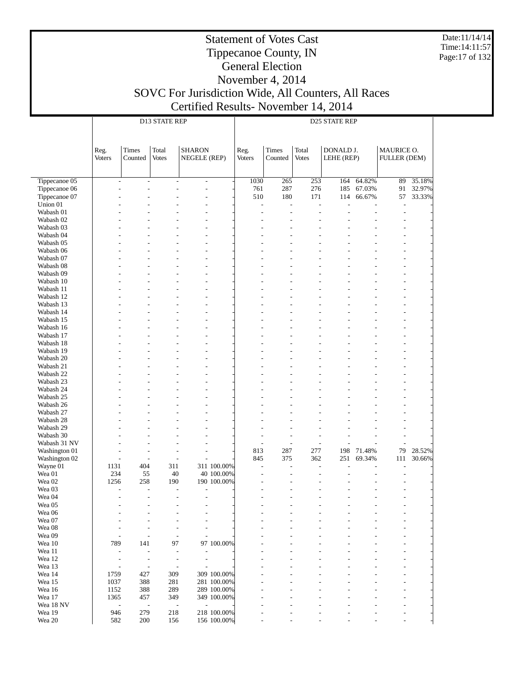Date:11/14/14 Time:14:11:57 Page:17 of 132

#### Statement of Votes Cast Tippecanoe County, IN General Election November 4, 2014

|                               |                          |                          | D13 STATE REP            |                                            |                            | D25 STATE REP                   |           |                |            |        |              |        |  |
|-------------------------------|--------------------------|--------------------------|--------------------------|--------------------------------------------|----------------------------|---------------------------------|-----------|----------------|------------|--------|--------------|--------|--|
|                               |                          |                          |                          |                                            |                            |                                 |           |                |            |        |              |        |  |
|                               |                          |                          |                          |                                            |                            |                                 |           |                |            |        |              |        |  |
|                               | Reg.                     | Times                    | Total                    | <b>SHARON</b>                              |                            | Reg.                            | Times     | Total          | DONALD J.  |        | MAURICE O.   |        |  |
|                               | <b>Voters</b>            | Counted                  | <b>Votes</b>             | NEGELE (REP)                               |                            | <b>Voters</b>                   | Counted   | <b>Votes</b>   | LEHE (REP) |        | FULLER (DEM) |        |  |
|                               |                          |                          |                          |                                            |                            |                                 |           |                |            |        |              |        |  |
| Tippecanoe 05                 | $\overline{a}$           | $\overline{a}$           | $\overline{a}$           |                                            |                            | 1030                            | 265       | 253            | 164        | 64.82% | 89           | 35.18% |  |
| Tippecanoe 06                 |                          |                          |                          | $\overline{\phantom{0}}$<br>$\overline{a}$ |                            | 761                             | 287       | 276            | 185        | 67.03% | 91           | 32.97% |  |
| Tippecanoe 07                 |                          |                          |                          |                                            |                            | 510                             | 180       | 171            | 114        | 66.67% | 57           | 33.33% |  |
| Union 01                      |                          |                          |                          |                                            |                            | L,                              | L,        | L,             |            |        | L,           |        |  |
| Wabash 01                     |                          |                          |                          |                                            |                            |                                 | ٠         | ÷,             |            |        | ÷,           |        |  |
| Wabash 02                     |                          |                          |                          |                                            |                            |                                 |           |                |            |        |              |        |  |
| Wabash 03                     |                          |                          |                          |                                            |                            |                                 |           |                |            |        |              |        |  |
| Wabash 04<br>Wabash 05        |                          |                          |                          |                                            |                            |                                 |           |                |            |        |              |        |  |
| Wabash 06                     |                          |                          |                          |                                            |                            |                                 |           |                |            |        |              |        |  |
| Wabash 07                     |                          |                          |                          |                                            |                            |                                 |           |                |            |        |              |        |  |
| Wabash 08                     |                          |                          |                          |                                            |                            |                                 |           |                |            |        |              |        |  |
| Wabash 09                     |                          |                          |                          |                                            |                            |                                 |           |                |            |        |              |        |  |
| Wabash 10                     |                          |                          |                          |                                            |                            |                                 |           |                |            |        |              |        |  |
| Wabash 11                     |                          |                          |                          |                                            |                            |                                 |           |                |            |        |              |        |  |
| Wabash 12                     |                          |                          |                          |                                            |                            |                                 |           |                |            |        |              |        |  |
| Wabash 13<br>Wabash 14        |                          |                          |                          |                                            |                            |                                 |           |                |            |        |              |        |  |
| Wabash 15                     |                          |                          |                          |                                            |                            |                                 |           |                |            |        |              |        |  |
| Wabash 16                     |                          |                          |                          |                                            |                            |                                 |           |                |            |        |              |        |  |
| Wabash 17                     |                          |                          |                          |                                            |                            |                                 |           |                |            |        |              |        |  |
| Wabash 18                     |                          |                          |                          |                                            |                            |                                 |           |                |            |        |              |        |  |
| Wabash 19                     |                          |                          |                          |                                            |                            |                                 |           |                |            |        |              |        |  |
| Wabash 20                     |                          |                          |                          |                                            |                            |                                 |           |                |            |        |              |        |  |
| Wabash 21                     |                          |                          |                          |                                            |                            |                                 |           |                |            |        |              |        |  |
| Wabash 22                     |                          |                          |                          |                                            |                            |                                 |           |                |            |        |              |        |  |
| Wabash 23<br>Wabash 24        |                          |                          |                          |                                            |                            |                                 |           |                |            |        |              |        |  |
| Wabash 25                     |                          |                          |                          |                                            |                            |                                 |           |                |            |        |              |        |  |
| Wabash 26                     |                          |                          |                          |                                            |                            |                                 |           |                |            |        |              |        |  |
| Wabash 27                     |                          |                          |                          |                                            |                            |                                 |           |                |            |        |              |        |  |
| Wabash 28                     |                          |                          |                          |                                            |                            |                                 |           |                |            |        |              |        |  |
| Wabash 29                     |                          |                          |                          |                                            |                            |                                 |           |                |            |        |              |        |  |
| Wabash 30                     |                          |                          |                          |                                            |                            |                                 |           | ٠              |            |        |              |        |  |
| Wabash 31 NV<br>Washington 01 |                          |                          | $\overline{\phantom{a}}$ | $\overline{a}$                             |                            | $\overline{\phantom{a}}$<br>813 | L,<br>287 | L,<br>277      | 198        | 71.48% | 79           | 28.52% |  |
| Washington 02                 | ٠                        | $\overline{\phantom{a}}$ | $\overline{a}$           | $\overline{a}$                             |                            | 845                             | 375       | 362            | 251        | 69.34% | 111          | 30.66% |  |
| Wayne 01                      | 1131                     | 404                      | 311                      |                                            | 311 100.00%                | $\overline{\phantom{a}}$        | L,        | $\overline{a}$ |            |        |              |        |  |
| Wea 01                        | 234                      | 55                       | 40                       |                                            | 40 100.00%                 |                                 |           |                |            |        |              |        |  |
| Wea 02                        | 1256                     | 258                      | 190                      |                                            | 190 100.00%                |                                 |           |                |            |        |              |        |  |
| Wea 03                        |                          | $\overline{\phantom{a}}$ | $\overline{a}$           | $\overline{a}$                             |                            |                                 |           |                |            |        |              |        |  |
| Wea 04                        |                          | $\overline{a}$           | $\overline{\phantom{a}}$ | ۰                                          |                            |                                 |           |                |            |        |              |        |  |
| Wea 05<br>Wea 06              |                          |                          |                          |                                            |                            |                                 |           |                |            |        |              |        |  |
| Wea 07                        |                          |                          |                          |                                            |                            |                                 |           |                |            |        |              |        |  |
| Wea 08                        |                          |                          |                          | L,                                         |                            |                                 |           |                |            |        |              |        |  |
| Wea 09                        |                          |                          | $\overline{\phantom{0}}$ | $\overline{a}$                             |                            |                                 |           |                |            |        |              |        |  |
| Wea 10                        | 789                      | 141                      | 97                       |                                            | 97 100.00%                 |                                 |           |                |            |        |              |        |  |
| Wea 11                        | $\overline{a}$           | $\overline{a}$           |                          |                                            |                            |                                 |           |                |            |        |              |        |  |
| Wea 12                        |                          | $\overline{a}$           | $\overline{a}$           | -                                          |                            |                                 |           |                |            |        |              |        |  |
| Wea 13                        | $\overline{a}$           | $\overline{a}$           | $\overline{\phantom{0}}$ |                                            |                            |                                 |           |                |            |        |              |        |  |
| Wea 14<br>Wea 15              | 1759<br>1037             | 427<br>388               | 309<br>281               |                                            | 309 100.00%<br>281 100.00% |                                 |           |                |            |        |              |        |  |
| Wea 16                        | 1152                     | 388                      | 289                      |                                            | 289 100.00%                |                                 |           |                |            |        |              |        |  |
| Wea 17                        | 1365                     | 457                      | 349                      |                                            | 349 100.00%                |                                 |           |                |            |        |              |        |  |
| Wea 18 NV                     | $\overline{\phantom{a}}$ | $\overline{\phantom{a}}$ | $\overline{a}$           | $\overline{a}$                             |                            |                                 |           |                |            |        |              |        |  |
| Wea 19                        | 946                      | 279                      | 218                      |                                            | 218 100.00%                |                                 |           |                |            |        |              |        |  |
| Wea 20                        | 582                      | 200                      | 156                      |                                            | 156 100.00%                |                                 |           |                |            |        |              |        |  |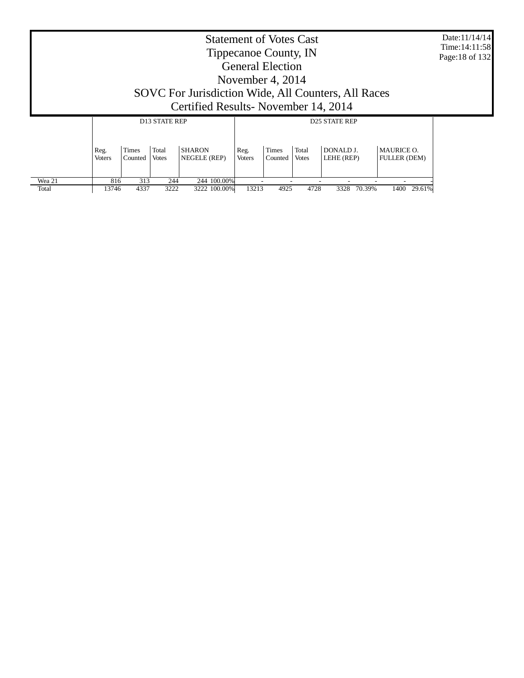| <b>Statement of Votes Cast</b><br>Tippecanoe County, IN<br><b>General Election</b><br>November 4, 2014<br>SOVC For Jurisdiction Wide, All Counters, All Races<br>Certified Results - November 14, 2014 |                                  |                         |                                               |                               |                       |                  |                       |                                                 |                                          | Date:11/14/14<br>Time: 14:11:58<br>Page: 18 of 132 |
|--------------------------------------------------------------------------------------------------------------------------------------------------------------------------------------------------------|----------------------------------|-------------------------|-----------------------------------------------|-------------------------------|-----------------------|------------------|-----------------------|-------------------------------------------------|------------------------------------------|----------------------------------------------------|
|                                                                                                                                                                                                        | Reg.<br><b>Voters</b>            | <b>Times</b><br>Counted | <b>D13 STATE REP</b><br>Total<br><b>Votes</b> | <b>SHARON</b><br>NEGELE (REP) | Reg.<br><b>Voters</b> | Times<br>Counted | Total<br><b>Votes</b> | <b>D25 STATE REP</b><br>DONALD J.<br>LEHE (REP) | <b>MAURICE O.</b><br><b>FULLER (DEM)</b> |                                                    |
| Wea 21                                                                                                                                                                                                 | 816<br>313<br>244<br>244 100.00% |                         |                                               |                               |                       |                  |                       |                                                 |                                          |                                                    |

13746 4337 3222 3222 100.00% 13213 4925 4728 3328 70.39% 1400 29.61%

Total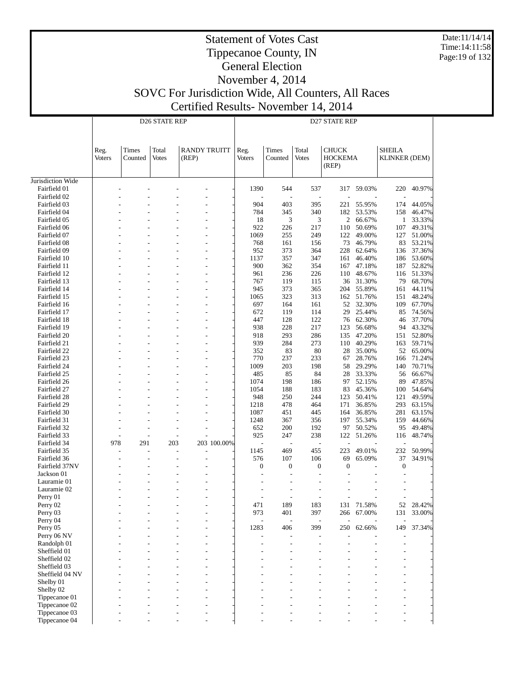Date:11/14/14 Time:14:11:58 Page:19 of 132

# Statement of Votes Cast Tippecanoe County, IN General Election November 4, 2014

# SOVC For Jurisdiction Wide, All Counters, All Races

Certified Results- November 14, 2014

| <b>RANDY TRUITT</b><br>Times<br>Total<br>Times<br>Total<br><b>CHUCK</b><br><b>SHEILA</b><br>Reg.<br>Reg.<br><b>Votes</b><br>Counted<br><b>HOCKEMA</b><br><b>KLINKER (DEM)</b><br>Voters<br>Counted<br>(REP)<br><b>Voters</b><br><b>Votes</b><br>(REP)<br>Jurisdiction Wide<br>1390<br>544<br>537<br>59.03%<br>40.97%<br>Fairfield 01<br>317<br>220<br>Fairfield 02<br>904<br>403<br>44.05%<br>Fairfield 03<br>395<br>221<br>55.95%<br>174<br>784<br>340<br>53.53%<br>Fairfield 04<br>345<br>182<br>158<br>46.47%<br>18<br>3<br>3<br>$\overline{c}$<br>Fairfield 05<br>66.67%<br>$\mathbf{1}$<br>33.33%<br>922<br>49.31%<br>Fairfield 06<br>226<br>217<br>50.69%<br>107<br>110<br>249<br>51.00%<br>Fairfield 07<br>1069<br>255<br>122<br>49.00%<br>127<br>53.21%<br>Fairfield 08<br>768<br>161<br>156<br>73<br>46.79%<br>83<br>228<br>37.36%<br>Fairfield 09<br>952<br>373<br>364<br>62.64%<br>136<br>357<br>347<br>53.60%<br>Fairfield 10<br>1137<br>161<br>46.40%<br>186<br>٠<br>900<br>354<br>52.82%<br>Fairfield 11<br>362<br>167<br>47.18%<br>187<br>Fairfield 12<br>236<br>226<br>110<br>48.67%<br>116<br>51.33%<br>961<br>68.70%<br>767<br>119<br>115<br>36<br>31.30%<br>79<br>Fairfield 13<br>373<br>365<br>55.89%<br>Fairfield 14<br>945<br>204<br>161<br>44.11%<br>L,<br>323<br>313<br>48.24%<br>Fairfield 15<br>1065<br>162<br>51.76%<br>151<br>32.30%<br>67.70%<br>Fairfield 16<br>697<br>164<br>161<br>52<br>109<br>119<br>114<br>25.44%<br>74.56%<br>Fairfield 17<br>672<br>29<br>85<br>122<br>Fairfield 18<br>447<br>128<br>76<br>62.30%<br>37.70%<br>46<br>L,<br>228<br>217<br>43.32%<br>Fairfield 19<br>938<br>123<br>56.68%<br>94<br>293<br>286<br>52.80%<br>Fairfield 20<br>918<br>135<br>47.20%<br>151<br>939<br>284<br>273<br>40.29%<br>59.71%<br>Fairfield 21<br>110<br>163<br>83<br>80<br>65.00%<br>Fairfield 22<br>352<br>28<br>35.00%<br>52<br>L,<br>233<br>Fairfield 23<br>770<br>237<br>67<br>28.76%<br>166<br>71.24%<br>1009<br>203<br>198<br>29.29%<br>70.71%<br>Fairfield 24<br>58<br>140<br>85<br>84<br>28<br>33.33%<br>66.67%<br>Fairfield 25<br>485<br>56<br>198<br>47.85%<br>Fairfield 26<br>1074<br>186<br>97<br>52.15%<br>89<br>L,<br>1054<br>Fairfield 27<br>188<br>183<br>83<br>45.36%<br>54.64%<br>100<br>244<br>49.59%<br>948<br>250<br>123<br>50.41%<br>121<br>Fairfield 28<br>478<br>464<br>63.15%<br>Fairfield 29<br>1218<br>171<br>36.85%<br>293<br>63.15%<br>Fairfield 30<br>1087<br>451<br>445<br>36.85%<br>281<br>164<br>356<br>55.34%<br>44.66%<br>Fairfield 31<br>1248<br>367<br>197<br>159<br>Fairfield 32<br>652<br>200<br>192<br>97<br>50.52%<br>95<br>49.48%<br>238<br>925<br>247<br>122<br>51.26%<br>48.74%<br>Fairfield 33<br>116<br>978<br>203<br>203 100.00%<br>Fairfield 34<br>291<br>J.<br>50.99%<br>469<br>223<br>49.01%<br>232<br>Fairfield 35<br>1145<br>455<br>$\overline{a}$<br>576<br>37<br>34.91%<br>Fairfield 36<br>107<br>106<br>69<br>65.09%<br>Fairfield 37NV<br>$\boldsymbol{0}$<br>$\boldsymbol{0}$<br>$\boldsymbol{0}$<br>$\boldsymbol{0}$<br>$\boldsymbol{0}$<br>Jackson 01<br>L,<br>$\overline{a}$<br>Lauramie 01<br>Lauramie 02<br>Perry 01<br>L,<br>$\overline{a}$<br>٠<br>$\overline{\phantom{a}}$<br>Perry 02<br>471<br>189<br>183<br>131<br>71.58%<br>52<br>28.42%<br>973<br>397<br>67.00%<br>33.00%<br>Perry 03<br>401<br>266<br>131<br>Perry 04<br>399<br>37.34%<br>Perry 05<br>1283<br>406<br>250<br>62.66%<br>149<br>Perry 06 NV<br>Randolph 01<br>Sheffield 01<br>Sheffield 02<br>Sheffield 03<br>Sheffield 04 NV<br>Shelby 01<br>Shelby 02<br>Tippecanoe 01<br>Tippecanoe 02<br>Tippecanoe 03<br>Tippecanoe 04 |  | D26 STATE REP | D27 STATE REP |  |  |  |  |  |  |  |  |
|-----------------------------------------------------------------------------------------------------------------------------------------------------------------------------------------------------------------------------------------------------------------------------------------------------------------------------------------------------------------------------------------------------------------------------------------------------------------------------------------------------------------------------------------------------------------------------------------------------------------------------------------------------------------------------------------------------------------------------------------------------------------------------------------------------------------------------------------------------------------------------------------------------------------------------------------------------------------------------------------------------------------------------------------------------------------------------------------------------------------------------------------------------------------------------------------------------------------------------------------------------------------------------------------------------------------------------------------------------------------------------------------------------------------------------------------------------------------------------------------------------------------------------------------------------------------------------------------------------------------------------------------------------------------------------------------------------------------------------------------------------------------------------------------------------------------------------------------------------------------------------------------------------------------------------------------------------------------------------------------------------------------------------------------------------------------------------------------------------------------------------------------------------------------------------------------------------------------------------------------------------------------------------------------------------------------------------------------------------------------------------------------------------------------------------------------------------------------------------------------------------------------------------------------------------------------------------------------------------------------------------------------------------------------------------------------------------------------------------------------------------------------------------------------------------------------------------------------------------------------------------------------------------------------------------------------------------------------------------------------------------------------------------------------------------------------------------------------------------------------------------------------------------------------------------------------------------------------------------------------------------------------------------------------------------------------------------------------------------------------------------------------------------------------------------------------------------------------------------------------------------------------------------------------------------------------------------------------------------|--|---------------|---------------|--|--|--|--|--|--|--|--|
|                                                                                                                                                                                                                                                                                                                                                                                                                                                                                                                                                                                                                                                                                                                                                                                                                                                                                                                                                                                                                                                                                                                                                                                                                                                                                                                                                                                                                                                                                                                                                                                                                                                                                                                                                                                                                                                                                                                                                                                                                                                                                                                                                                                                                                                                                                                                                                                                                                                                                                                                                                                                                                                                                                                                                                                                                                                                                                                                                                                                                                                                                                                                                                                                                                                                                                                                                                                                                                                                                                                                                                                                     |  |               |               |  |  |  |  |  |  |  |  |
|                                                                                                                                                                                                                                                                                                                                                                                                                                                                                                                                                                                                                                                                                                                                                                                                                                                                                                                                                                                                                                                                                                                                                                                                                                                                                                                                                                                                                                                                                                                                                                                                                                                                                                                                                                                                                                                                                                                                                                                                                                                                                                                                                                                                                                                                                                                                                                                                                                                                                                                                                                                                                                                                                                                                                                                                                                                                                                                                                                                                                                                                                                                                                                                                                                                                                                                                                                                                                                                                                                                                                                                                     |  |               |               |  |  |  |  |  |  |  |  |
|                                                                                                                                                                                                                                                                                                                                                                                                                                                                                                                                                                                                                                                                                                                                                                                                                                                                                                                                                                                                                                                                                                                                                                                                                                                                                                                                                                                                                                                                                                                                                                                                                                                                                                                                                                                                                                                                                                                                                                                                                                                                                                                                                                                                                                                                                                                                                                                                                                                                                                                                                                                                                                                                                                                                                                                                                                                                                                                                                                                                                                                                                                                                                                                                                                                                                                                                                                                                                                                                                                                                                                                                     |  |               |               |  |  |  |  |  |  |  |  |
|                                                                                                                                                                                                                                                                                                                                                                                                                                                                                                                                                                                                                                                                                                                                                                                                                                                                                                                                                                                                                                                                                                                                                                                                                                                                                                                                                                                                                                                                                                                                                                                                                                                                                                                                                                                                                                                                                                                                                                                                                                                                                                                                                                                                                                                                                                                                                                                                                                                                                                                                                                                                                                                                                                                                                                                                                                                                                                                                                                                                                                                                                                                                                                                                                                                                                                                                                                                                                                                                                                                                                                                                     |  |               |               |  |  |  |  |  |  |  |  |
|                                                                                                                                                                                                                                                                                                                                                                                                                                                                                                                                                                                                                                                                                                                                                                                                                                                                                                                                                                                                                                                                                                                                                                                                                                                                                                                                                                                                                                                                                                                                                                                                                                                                                                                                                                                                                                                                                                                                                                                                                                                                                                                                                                                                                                                                                                                                                                                                                                                                                                                                                                                                                                                                                                                                                                                                                                                                                                                                                                                                                                                                                                                                                                                                                                                                                                                                                                                                                                                                                                                                                                                                     |  |               |               |  |  |  |  |  |  |  |  |
|                                                                                                                                                                                                                                                                                                                                                                                                                                                                                                                                                                                                                                                                                                                                                                                                                                                                                                                                                                                                                                                                                                                                                                                                                                                                                                                                                                                                                                                                                                                                                                                                                                                                                                                                                                                                                                                                                                                                                                                                                                                                                                                                                                                                                                                                                                                                                                                                                                                                                                                                                                                                                                                                                                                                                                                                                                                                                                                                                                                                                                                                                                                                                                                                                                                                                                                                                                                                                                                                                                                                                                                                     |  |               |               |  |  |  |  |  |  |  |  |
|                                                                                                                                                                                                                                                                                                                                                                                                                                                                                                                                                                                                                                                                                                                                                                                                                                                                                                                                                                                                                                                                                                                                                                                                                                                                                                                                                                                                                                                                                                                                                                                                                                                                                                                                                                                                                                                                                                                                                                                                                                                                                                                                                                                                                                                                                                                                                                                                                                                                                                                                                                                                                                                                                                                                                                                                                                                                                                                                                                                                                                                                                                                                                                                                                                                                                                                                                                                                                                                                                                                                                                                                     |  |               |               |  |  |  |  |  |  |  |  |
|                                                                                                                                                                                                                                                                                                                                                                                                                                                                                                                                                                                                                                                                                                                                                                                                                                                                                                                                                                                                                                                                                                                                                                                                                                                                                                                                                                                                                                                                                                                                                                                                                                                                                                                                                                                                                                                                                                                                                                                                                                                                                                                                                                                                                                                                                                                                                                                                                                                                                                                                                                                                                                                                                                                                                                                                                                                                                                                                                                                                                                                                                                                                                                                                                                                                                                                                                                                                                                                                                                                                                                                                     |  |               |               |  |  |  |  |  |  |  |  |
|                                                                                                                                                                                                                                                                                                                                                                                                                                                                                                                                                                                                                                                                                                                                                                                                                                                                                                                                                                                                                                                                                                                                                                                                                                                                                                                                                                                                                                                                                                                                                                                                                                                                                                                                                                                                                                                                                                                                                                                                                                                                                                                                                                                                                                                                                                                                                                                                                                                                                                                                                                                                                                                                                                                                                                                                                                                                                                                                                                                                                                                                                                                                                                                                                                                                                                                                                                                                                                                                                                                                                                                                     |  |               |               |  |  |  |  |  |  |  |  |
|                                                                                                                                                                                                                                                                                                                                                                                                                                                                                                                                                                                                                                                                                                                                                                                                                                                                                                                                                                                                                                                                                                                                                                                                                                                                                                                                                                                                                                                                                                                                                                                                                                                                                                                                                                                                                                                                                                                                                                                                                                                                                                                                                                                                                                                                                                                                                                                                                                                                                                                                                                                                                                                                                                                                                                                                                                                                                                                                                                                                                                                                                                                                                                                                                                                                                                                                                                                                                                                                                                                                                                                                     |  |               |               |  |  |  |  |  |  |  |  |
|                                                                                                                                                                                                                                                                                                                                                                                                                                                                                                                                                                                                                                                                                                                                                                                                                                                                                                                                                                                                                                                                                                                                                                                                                                                                                                                                                                                                                                                                                                                                                                                                                                                                                                                                                                                                                                                                                                                                                                                                                                                                                                                                                                                                                                                                                                                                                                                                                                                                                                                                                                                                                                                                                                                                                                                                                                                                                                                                                                                                                                                                                                                                                                                                                                                                                                                                                                                                                                                                                                                                                                                                     |  |               |               |  |  |  |  |  |  |  |  |
|                                                                                                                                                                                                                                                                                                                                                                                                                                                                                                                                                                                                                                                                                                                                                                                                                                                                                                                                                                                                                                                                                                                                                                                                                                                                                                                                                                                                                                                                                                                                                                                                                                                                                                                                                                                                                                                                                                                                                                                                                                                                                                                                                                                                                                                                                                                                                                                                                                                                                                                                                                                                                                                                                                                                                                                                                                                                                                                                                                                                                                                                                                                                                                                                                                                                                                                                                                                                                                                                                                                                                                                                     |  |               |               |  |  |  |  |  |  |  |  |
|                                                                                                                                                                                                                                                                                                                                                                                                                                                                                                                                                                                                                                                                                                                                                                                                                                                                                                                                                                                                                                                                                                                                                                                                                                                                                                                                                                                                                                                                                                                                                                                                                                                                                                                                                                                                                                                                                                                                                                                                                                                                                                                                                                                                                                                                                                                                                                                                                                                                                                                                                                                                                                                                                                                                                                                                                                                                                                                                                                                                                                                                                                                                                                                                                                                                                                                                                                                                                                                                                                                                                                                                     |  |               |               |  |  |  |  |  |  |  |  |
|                                                                                                                                                                                                                                                                                                                                                                                                                                                                                                                                                                                                                                                                                                                                                                                                                                                                                                                                                                                                                                                                                                                                                                                                                                                                                                                                                                                                                                                                                                                                                                                                                                                                                                                                                                                                                                                                                                                                                                                                                                                                                                                                                                                                                                                                                                                                                                                                                                                                                                                                                                                                                                                                                                                                                                                                                                                                                                                                                                                                                                                                                                                                                                                                                                                                                                                                                                                                                                                                                                                                                                                                     |  |               |               |  |  |  |  |  |  |  |  |
|                                                                                                                                                                                                                                                                                                                                                                                                                                                                                                                                                                                                                                                                                                                                                                                                                                                                                                                                                                                                                                                                                                                                                                                                                                                                                                                                                                                                                                                                                                                                                                                                                                                                                                                                                                                                                                                                                                                                                                                                                                                                                                                                                                                                                                                                                                                                                                                                                                                                                                                                                                                                                                                                                                                                                                                                                                                                                                                                                                                                                                                                                                                                                                                                                                                                                                                                                                                                                                                                                                                                                                                                     |  |               |               |  |  |  |  |  |  |  |  |
|                                                                                                                                                                                                                                                                                                                                                                                                                                                                                                                                                                                                                                                                                                                                                                                                                                                                                                                                                                                                                                                                                                                                                                                                                                                                                                                                                                                                                                                                                                                                                                                                                                                                                                                                                                                                                                                                                                                                                                                                                                                                                                                                                                                                                                                                                                                                                                                                                                                                                                                                                                                                                                                                                                                                                                                                                                                                                                                                                                                                                                                                                                                                                                                                                                                                                                                                                                                                                                                                                                                                                                                                     |  |               |               |  |  |  |  |  |  |  |  |
|                                                                                                                                                                                                                                                                                                                                                                                                                                                                                                                                                                                                                                                                                                                                                                                                                                                                                                                                                                                                                                                                                                                                                                                                                                                                                                                                                                                                                                                                                                                                                                                                                                                                                                                                                                                                                                                                                                                                                                                                                                                                                                                                                                                                                                                                                                                                                                                                                                                                                                                                                                                                                                                                                                                                                                                                                                                                                                                                                                                                                                                                                                                                                                                                                                                                                                                                                                                                                                                                                                                                                                                                     |  |               |               |  |  |  |  |  |  |  |  |
|                                                                                                                                                                                                                                                                                                                                                                                                                                                                                                                                                                                                                                                                                                                                                                                                                                                                                                                                                                                                                                                                                                                                                                                                                                                                                                                                                                                                                                                                                                                                                                                                                                                                                                                                                                                                                                                                                                                                                                                                                                                                                                                                                                                                                                                                                                                                                                                                                                                                                                                                                                                                                                                                                                                                                                                                                                                                                                                                                                                                                                                                                                                                                                                                                                                                                                                                                                                                                                                                                                                                                                                                     |  |               |               |  |  |  |  |  |  |  |  |
|                                                                                                                                                                                                                                                                                                                                                                                                                                                                                                                                                                                                                                                                                                                                                                                                                                                                                                                                                                                                                                                                                                                                                                                                                                                                                                                                                                                                                                                                                                                                                                                                                                                                                                                                                                                                                                                                                                                                                                                                                                                                                                                                                                                                                                                                                                                                                                                                                                                                                                                                                                                                                                                                                                                                                                                                                                                                                                                                                                                                                                                                                                                                                                                                                                                                                                                                                                                                                                                                                                                                                                                                     |  |               |               |  |  |  |  |  |  |  |  |
|                                                                                                                                                                                                                                                                                                                                                                                                                                                                                                                                                                                                                                                                                                                                                                                                                                                                                                                                                                                                                                                                                                                                                                                                                                                                                                                                                                                                                                                                                                                                                                                                                                                                                                                                                                                                                                                                                                                                                                                                                                                                                                                                                                                                                                                                                                                                                                                                                                                                                                                                                                                                                                                                                                                                                                                                                                                                                                                                                                                                                                                                                                                                                                                                                                                                                                                                                                                                                                                                                                                                                                                                     |  |               |               |  |  |  |  |  |  |  |  |
|                                                                                                                                                                                                                                                                                                                                                                                                                                                                                                                                                                                                                                                                                                                                                                                                                                                                                                                                                                                                                                                                                                                                                                                                                                                                                                                                                                                                                                                                                                                                                                                                                                                                                                                                                                                                                                                                                                                                                                                                                                                                                                                                                                                                                                                                                                                                                                                                                                                                                                                                                                                                                                                                                                                                                                                                                                                                                                                                                                                                                                                                                                                                                                                                                                                                                                                                                                                                                                                                                                                                                                                                     |  |               |               |  |  |  |  |  |  |  |  |
|                                                                                                                                                                                                                                                                                                                                                                                                                                                                                                                                                                                                                                                                                                                                                                                                                                                                                                                                                                                                                                                                                                                                                                                                                                                                                                                                                                                                                                                                                                                                                                                                                                                                                                                                                                                                                                                                                                                                                                                                                                                                                                                                                                                                                                                                                                                                                                                                                                                                                                                                                                                                                                                                                                                                                                                                                                                                                                                                                                                                                                                                                                                                                                                                                                                                                                                                                                                                                                                                                                                                                                                                     |  |               |               |  |  |  |  |  |  |  |  |
|                                                                                                                                                                                                                                                                                                                                                                                                                                                                                                                                                                                                                                                                                                                                                                                                                                                                                                                                                                                                                                                                                                                                                                                                                                                                                                                                                                                                                                                                                                                                                                                                                                                                                                                                                                                                                                                                                                                                                                                                                                                                                                                                                                                                                                                                                                                                                                                                                                                                                                                                                                                                                                                                                                                                                                                                                                                                                                                                                                                                                                                                                                                                                                                                                                                                                                                                                                                                                                                                                                                                                                                                     |  |               |               |  |  |  |  |  |  |  |  |
|                                                                                                                                                                                                                                                                                                                                                                                                                                                                                                                                                                                                                                                                                                                                                                                                                                                                                                                                                                                                                                                                                                                                                                                                                                                                                                                                                                                                                                                                                                                                                                                                                                                                                                                                                                                                                                                                                                                                                                                                                                                                                                                                                                                                                                                                                                                                                                                                                                                                                                                                                                                                                                                                                                                                                                                                                                                                                                                                                                                                                                                                                                                                                                                                                                                                                                                                                                                                                                                                                                                                                                                                     |  |               |               |  |  |  |  |  |  |  |  |
|                                                                                                                                                                                                                                                                                                                                                                                                                                                                                                                                                                                                                                                                                                                                                                                                                                                                                                                                                                                                                                                                                                                                                                                                                                                                                                                                                                                                                                                                                                                                                                                                                                                                                                                                                                                                                                                                                                                                                                                                                                                                                                                                                                                                                                                                                                                                                                                                                                                                                                                                                                                                                                                                                                                                                                                                                                                                                                                                                                                                                                                                                                                                                                                                                                                                                                                                                                                                                                                                                                                                                                                                     |  |               |               |  |  |  |  |  |  |  |  |
|                                                                                                                                                                                                                                                                                                                                                                                                                                                                                                                                                                                                                                                                                                                                                                                                                                                                                                                                                                                                                                                                                                                                                                                                                                                                                                                                                                                                                                                                                                                                                                                                                                                                                                                                                                                                                                                                                                                                                                                                                                                                                                                                                                                                                                                                                                                                                                                                                                                                                                                                                                                                                                                                                                                                                                                                                                                                                                                                                                                                                                                                                                                                                                                                                                                                                                                                                                                                                                                                                                                                                                                                     |  |               |               |  |  |  |  |  |  |  |  |
|                                                                                                                                                                                                                                                                                                                                                                                                                                                                                                                                                                                                                                                                                                                                                                                                                                                                                                                                                                                                                                                                                                                                                                                                                                                                                                                                                                                                                                                                                                                                                                                                                                                                                                                                                                                                                                                                                                                                                                                                                                                                                                                                                                                                                                                                                                                                                                                                                                                                                                                                                                                                                                                                                                                                                                                                                                                                                                                                                                                                                                                                                                                                                                                                                                                                                                                                                                                                                                                                                                                                                                                                     |  |               |               |  |  |  |  |  |  |  |  |
|                                                                                                                                                                                                                                                                                                                                                                                                                                                                                                                                                                                                                                                                                                                                                                                                                                                                                                                                                                                                                                                                                                                                                                                                                                                                                                                                                                                                                                                                                                                                                                                                                                                                                                                                                                                                                                                                                                                                                                                                                                                                                                                                                                                                                                                                                                                                                                                                                                                                                                                                                                                                                                                                                                                                                                                                                                                                                                                                                                                                                                                                                                                                                                                                                                                                                                                                                                                                                                                                                                                                                                                                     |  |               |               |  |  |  |  |  |  |  |  |
|                                                                                                                                                                                                                                                                                                                                                                                                                                                                                                                                                                                                                                                                                                                                                                                                                                                                                                                                                                                                                                                                                                                                                                                                                                                                                                                                                                                                                                                                                                                                                                                                                                                                                                                                                                                                                                                                                                                                                                                                                                                                                                                                                                                                                                                                                                                                                                                                                                                                                                                                                                                                                                                                                                                                                                                                                                                                                                                                                                                                                                                                                                                                                                                                                                                                                                                                                                                                                                                                                                                                                                                                     |  |               |               |  |  |  |  |  |  |  |  |
|                                                                                                                                                                                                                                                                                                                                                                                                                                                                                                                                                                                                                                                                                                                                                                                                                                                                                                                                                                                                                                                                                                                                                                                                                                                                                                                                                                                                                                                                                                                                                                                                                                                                                                                                                                                                                                                                                                                                                                                                                                                                                                                                                                                                                                                                                                                                                                                                                                                                                                                                                                                                                                                                                                                                                                                                                                                                                                                                                                                                                                                                                                                                                                                                                                                                                                                                                                                                                                                                                                                                                                                                     |  |               |               |  |  |  |  |  |  |  |  |
|                                                                                                                                                                                                                                                                                                                                                                                                                                                                                                                                                                                                                                                                                                                                                                                                                                                                                                                                                                                                                                                                                                                                                                                                                                                                                                                                                                                                                                                                                                                                                                                                                                                                                                                                                                                                                                                                                                                                                                                                                                                                                                                                                                                                                                                                                                                                                                                                                                                                                                                                                                                                                                                                                                                                                                                                                                                                                                                                                                                                                                                                                                                                                                                                                                                                                                                                                                                                                                                                                                                                                                                                     |  |               |               |  |  |  |  |  |  |  |  |
|                                                                                                                                                                                                                                                                                                                                                                                                                                                                                                                                                                                                                                                                                                                                                                                                                                                                                                                                                                                                                                                                                                                                                                                                                                                                                                                                                                                                                                                                                                                                                                                                                                                                                                                                                                                                                                                                                                                                                                                                                                                                                                                                                                                                                                                                                                                                                                                                                                                                                                                                                                                                                                                                                                                                                                                                                                                                                                                                                                                                                                                                                                                                                                                                                                                                                                                                                                                                                                                                                                                                                                                                     |  |               |               |  |  |  |  |  |  |  |  |
|                                                                                                                                                                                                                                                                                                                                                                                                                                                                                                                                                                                                                                                                                                                                                                                                                                                                                                                                                                                                                                                                                                                                                                                                                                                                                                                                                                                                                                                                                                                                                                                                                                                                                                                                                                                                                                                                                                                                                                                                                                                                                                                                                                                                                                                                                                                                                                                                                                                                                                                                                                                                                                                                                                                                                                                                                                                                                                                                                                                                                                                                                                                                                                                                                                                                                                                                                                                                                                                                                                                                                                                                     |  |               |               |  |  |  |  |  |  |  |  |
|                                                                                                                                                                                                                                                                                                                                                                                                                                                                                                                                                                                                                                                                                                                                                                                                                                                                                                                                                                                                                                                                                                                                                                                                                                                                                                                                                                                                                                                                                                                                                                                                                                                                                                                                                                                                                                                                                                                                                                                                                                                                                                                                                                                                                                                                                                                                                                                                                                                                                                                                                                                                                                                                                                                                                                                                                                                                                                                                                                                                                                                                                                                                                                                                                                                                                                                                                                                                                                                                                                                                                                                                     |  |               |               |  |  |  |  |  |  |  |  |
|                                                                                                                                                                                                                                                                                                                                                                                                                                                                                                                                                                                                                                                                                                                                                                                                                                                                                                                                                                                                                                                                                                                                                                                                                                                                                                                                                                                                                                                                                                                                                                                                                                                                                                                                                                                                                                                                                                                                                                                                                                                                                                                                                                                                                                                                                                                                                                                                                                                                                                                                                                                                                                                                                                                                                                                                                                                                                                                                                                                                                                                                                                                                                                                                                                                                                                                                                                                                                                                                                                                                                                                                     |  |               |               |  |  |  |  |  |  |  |  |
|                                                                                                                                                                                                                                                                                                                                                                                                                                                                                                                                                                                                                                                                                                                                                                                                                                                                                                                                                                                                                                                                                                                                                                                                                                                                                                                                                                                                                                                                                                                                                                                                                                                                                                                                                                                                                                                                                                                                                                                                                                                                                                                                                                                                                                                                                                                                                                                                                                                                                                                                                                                                                                                                                                                                                                                                                                                                                                                                                                                                                                                                                                                                                                                                                                                                                                                                                                                                                                                                                                                                                                                                     |  |               |               |  |  |  |  |  |  |  |  |
|                                                                                                                                                                                                                                                                                                                                                                                                                                                                                                                                                                                                                                                                                                                                                                                                                                                                                                                                                                                                                                                                                                                                                                                                                                                                                                                                                                                                                                                                                                                                                                                                                                                                                                                                                                                                                                                                                                                                                                                                                                                                                                                                                                                                                                                                                                                                                                                                                                                                                                                                                                                                                                                                                                                                                                                                                                                                                                                                                                                                                                                                                                                                                                                                                                                                                                                                                                                                                                                                                                                                                                                                     |  |               |               |  |  |  |  |  |  |  |  |
|                                                                                                                                                                                                                                                                                                                                                                                                                                                                                                                                                                                                                                                                                                                                                                                                                                                                                                                                                                                                                                                                                                                                                                                                                                                                                                                                                                                                                                                                                                                                                                                                                                                                                                                                                                                                                                                                                                                                                                                                                                                                                                                                                                                                                                                                                                                                                                                                                                                                                                                                                                                                                                                                                                                                                                                                                                                                                                                                                                                                                                                                                                                                                                                                                                                                                                                                                                                                                                                                                                                                                                                                     |  |               |               |  |  |  |  |  |  |  |  |
|                                                                                                                                                                                                                                                                                                                                                                                                                                                                                                                                                                                                                                                                                                                                                                                                                                                                                                                                                                                                                                                                                                                                                                                                                                                                                                                                                                                                                                                                                                                                                                                                                                                                                                                                                                                                                                                                                                                                                                                                                                                                                                                                                                                                                                                                                                                                                                                                                                                                                                                                                                                                                                                                                                                                                                                                                                                                                                                                                                                                                                                                                                                                                                                                                                                                                                                                                                                                                                                                                                                                                                                                     |  |               |               |  |  |  |  |  |  |  |  |
|                                                                                                                                                                                                                                                                                                                                                                                                                                                                                                                                                                                                                                                                                                                                                                                                                                                                                                                                                                                                                                                                                                                                                                                                                                                                                                                                                                                                                                                                                                                                                                                                                                                                                                                                                                                                                                                                                                                                                                                                                                                                                                                                                                                                                                                                                                                                                                                                                                                                                                                                                                                                                                                                                                                                                                                                                                                                                                                                                                                                                                                                                                                                                                                                                                                                                                                                                                                                                                                                                                                                                                                                     |  |               |               |  |  |  |  |  |  |  |  |
|                                                                                                                                                                                                                                                                                                                                                                                                                                                                                                                                                                                                                                                                                                                                                                                                                                                                                                                                                                                                                                                                                                                                                                                                                                                                                                                                                                                                                                                                                                                                                                                                                                                                                                                                                                                                                                                                                                                                                                                                                                                                                                                                                                                                                                                                                                                                                                                                                                                                                                                                                                                                                                                                                                                                                                                                                                                                                                                                                                                                                                                                                                                                                                                                                                                                                                                                                                                                                                                                                                                                                                                                     |  |               |               |  |  |  |  |  |  |  |  |
|                                                                                                                                                                                                                                                                                                                                                                                                                                                                                                                                                                                                                                                                                                                                                                                                                                                                                                                                                                                                                                                                                                                                                                                                                                                                                                                                                                                                                                                                                                                                                                                                                                                                                                                                                                                                                                                                                                                                                                                                                                                                                                                                                                                                                                                                                                                                                                                                                                                                                                                                                                                                                                                                                                                                                                                                                                                                                                                                                                                                                                                                                                                                                                                                                                                                                                                                                                                                                                                                                                                                                                                                     |  |               |               |  |  |  |  |  |  |  |  |
|                                                                                                                                                                                                                                                                                                                                                                                                                                                                                                                                                                                                                                                                                                                                                                                                                                                                                                                                                                                                                                                                                                                                                                                                                                                                                                                                                                                                                                                                                                                                                                                                                                                                                                                                                                                                                                                                                                                                                                                                                                                                                                                                                                                                                                                                                                                                                                                                                                                                                                                                                                                                                                                                                                                                                                                                                                                                                                                                                                                                                                                                                                                                                                                                                                                                                                                                                                                                                                                                                                                                                                                                     |  |               |               |  |  |  |  |  |  |  |  |
|                                                                                                                                                                                                                                                                                                                                                                                                                                                                                                                                                                                                                                                                                                                                                                                                                                                                                                                                                                                                                                                                                                                                                                                                                                                                                                                                                                                                                                                                                                                                                                                                                                                                                                                                                                                                                                                                                                                                                                                                                                                                                                                                                                                                                                                                                                                                                                                                                                                                                                                                                                                                                                                                                                                                                                                                                                                                                                                                                                                                                                                                                                                                                                                                                                                                                                                                                                                                                                                                                                                                                                                                     |  |               |               |  |  |  |  |  |  |  |  |
|                                                                                                                                                                                                                                                                                                                                                                                                                                                                                                                                                                                                                                                                                                                                                                                                                                                                                                                                                                                                                                                                                                                                                                                                                                                                                                                                                                                                                                                                                                                                                                                                                                                                                                                                                                                                                                                                                                                                                                                                                                                                                                                                                                                                                                                                                                                                                                                                                                                                                                                                                                                                                                                                                                                                                                                                                                                                                                                                                                                                                                                                                                                                                                                                                                                                                                                                                                                                                                                                                                                                                                                                     |  |               |               |  |  |  |  |  |  |  |  |
|                                                                                                                                                                                                                                                                                                                                                                                                                                                                                                                                                                                                                                                                                                                                                                                                                                                                                                                                                                                                                                                                                                                                                                                                                                                                                                                                                                                                                                                                                                                                                                                                                                                                                                                                                                                                                                                                                                                                                                                                                                                                                                                                                                                                                                                                                                                                                                                                                                                                                                                                                                                                                                                                                                                                                                                                                                                                                                                                                                                                                                                                                                                                                                                                                                                                                                                                                                                                                                                                                                                                                                                                     |  |               |               |  |  |  |  |  |  |  |  |
|                                                                                                                                                                                                                                                                                                                                                                                                                                                                                                                                                                                                                                                                                                                                                                                                                                                                                                                                                                                                                                                                                                                                                                                                                                                                                                                                                                                                                                                                                                                                                                                                                                                                                                                                                                                                                                                                                                                                                                                                                                                                                                                                                                                                                                                                                                                                                                                                                                                                                                                                                                                                                                                                                                                                                                                                                                                                                                                                                                                                                                                                                                                                                                                                                                                                                                                                                                                                                                                                                                                                                                                                     |  |               |               |  |  |  |  |  |  |  |  |
|                                                                                                                                                                                                                                                                                                                                                                                                                                                                                                                                                                                                                                                                                                                                                                                                                                                                                                                                                                                                                                                                                                                                                                                                                                                                                                                                                                                                                                                                                                                                                                                                                                                                                                                                                                                                                                                                                                                                                                                                                                                                                                                                                                                                                                                                                                                                                                                                                                                                                                                                                                                                                                                                                                                                                                                                                                                                                                                                                                                                                                                                                                                                                                                                                                                                                                                                                                                                                                                                                                                                                                                                     |  |               |               |  |  |  |  |  |  |  |  |
|                                                                                                                                                                                                                                                                                                                                                                                                                                                                                                                                                                                                                                                                                                                                                                                                                                                                                                                                                                                                                                                                                                                                                                                                                                                                                                                                                                                                                                                                                                                                                                                                                                                                                                                                                                                                                                                                                                                                                                                                                                                                                                                                                                                                                                                                                                                                                                                                                                                                                                                                                                                                                                                                                                                                                                                                                                                                                                                                                                                                                                                                                                                                                                                                                                                                                                                                                                                                                                                                                                                                                                                                     |  |               |               |  |  |  |  |  |  |  |  |
|                                                                                                                                                                                                                                                                                                                                                                                                                                                                                                                                                                                                                                                                                                                                                                                                                                                                                                                                                                                                                                                                                                                                                                                                                                                                                                                                                                                                                                                                                                                                                                                                                                                                                                                                                                                                                                                                                                                                                                                                                                                                                                                                                                                                                                                                                                                                                                                                                                                                                                                                                                                                                                                                                                                                                                                                                                                                                                                                                                                                                                                                                                                                                                                                                                                                                                                                                                                                                                                                                                                                                                                                     |  |               |               |  |  |  |  |  |  |  |  |
|                                                                                                                                                                                                                                                                                                                                                                                                                                                                                                                                                                                                                                                                                                                                                                                                                                                                                                                                                                                                                                                                                                                                                                                                                                                                                                                                                                                                                                                                                                                                                                                                                                                                                                                                                                                                                                                                                                                                                                                                                                                                                                                                                                                                                                                                                                                                                                                                                                                                                                                                                                                                                                                                                                                                                                                                                                                                                                                                                                                                                                                                                                                                                                                                                                                                                                                                                                                                                                                                                                                                                                                                     |  |               |               |  |  |  |  |  |  |  |  |
|                                                                                                                                                                                                                                                                                                                                                                                                                                                                                                                                                                                                                                                                                                                                                                                                                                                                                                                                                                                                                                                                                                                                                                                                                                                                                                                                                                                                                                                                                                                                                                                                                                                                                                                                                                                                                                                                                                                                                                                                                                                                                                                                                                                                                                                                                                                                                                                                                                                                                                                                                                                                                                                                                                                                                                                                                                                                                                                                                                                                                                                                                                                                                                                                                                                                                                                                                                                                                                                                                                                                                                                                     |  |               |               |  |  |  |  |  |  |  |  |
|                                                                                                                                                                                                                                                                                                                                                                                                                                                                                                                                                                                                                                                                                                                                                                                                                                                                                                                                                                                                                                                                                                                                                                                                                                                                                                                                                                                                                                                                                                                                                                                                                                                                                                                                                                                                                                                                                                                                                                                                                                                                                                                                                                                                                                                                                                                                                                                                                                                                                                                                                                                                                                                                                                                                                                                                                                                                                                                                                                                                                                                                                                                                                                                                                                                                                                                                                                                                                                                                                                                                                                                                     |  |               |               |  |  |  |  |  |  |  |  |
|                                                                                                                                                                                                                                                                                                                                                                                                                                                                                                                                                                                                                                                                                                                                                                                                                                                                                                                                                                                                                                                                                                                                                                                                                                                                                                                                                                                                                                                                                                                                                                                                                                                                                                                                                                                                                                                                                                                                                                                                                                                                                                                                                                                                                                                                                                                                                                                                                                                                                                                                                                                                                                                                                                                                                                                                                                                                                                                                                                                                                                                                                                                                                                                                                                                                                                                                                                                                                                                                                                                                                                                                     |  |               |               |  |  |  |  |  |  |  |  |
|                                                                                                                                                                                                                                                                                                                                                                                                                                                                                                                                                                                                                                                                                                                                                                                                                                                                                                                                                                                                                                                                                                                                                                                                                                                                                                                                                                                                                                                                                                                                                                                                                                                                                                                                                                                                                                                                                                                                                                                                                                                                                                                                                                                                                                                                                                                                                                                                                                                                                                                                                                                                                                                                                                                                                                                                                                                                                                                                                                                                                                                                                                                                                                                                                                                                                                                                                                                                                                                                                                                                                                                                     |  |               |               |  |  |  |  |  |  |  |  |
|                                                                                                                                                                                                                                                                                                                                                                                                                                                                                                                                                                                                                                                                                                                                                                                                                                                                                                                                                                                                                                                                                                                                                                                                                                                                                                                                                                                                                                                                                                                                                                                                                                                                                                                                                                                                                                                                                                                                                                                                                                                                                                                                                                                                                                                                                                                                                                                                                                                                                                                                                                                                                                                                                                                                                                                                                                                                                                                                                                                                                                                                                                                                                                                                                                                                                                                                                                                                                                                                                                                                                                                                     |  |               |               |  |  |  |  |  |  |  |  |
|                                                                                                                                                                                                                                                                                                                                                                                                                                                                                                                                                                                                                                                                                                                                                                                                                                                                                                                                                                                                                                                                                                                                                                                                                                                                                                                                                                                                                                                                                                                                                                                                                                                                                                                                                                                                                                                                                                                                                                                                                                                                                                                                                                                                                                                                                                                                                                                                                                                                                                                                                                                                                                                                                                                                                                                                                                                                                                                                                                                                                                                                                                                                                                                                                                                                                                                                                                                                                                                                                                                                                                                                     |  |               |               |  |  |  |  |  |  |  |  |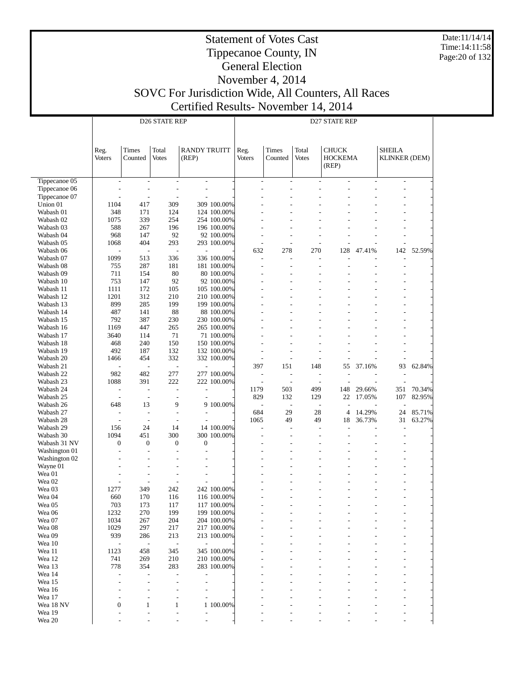Date:11/14/14 Time:14:11:58 Page:20 of 132

#### Statement of Votes Cast Tippecanoe County, IN General Election November 4, 2014

|                        |                                 |                          | D <sub>26</sub> STATE REP       |                              |                            | D27 STATE REP                              |                                |                                  |                                         |                |                                                      |        |  |
|------------------------|---------------------------------|--------------------------|---------------------------------|------------------------------|----------------------------|--------------------------------------------|--------------------------------|----------------------------------|-----------------------------------------|----------------|------------------------------------------------------|--------|--|
|                        | Reg.<br><b>Voters</b>           | Times<br>Counted         | Total<br><b>Votes</b>           | <b>RANDY TRUITT</b><br>(REP) |                            | Reg.<br><b>Voters</b>                      | Times<br>Counted               | Total<br><b>Votes</b>            | <b>CHUCK</b><br><b>HOCKEMA</b><br>(REP) |                | <b>SHEILA</b><br><b>KLINKER (DEM)</b>                |        |  |
| Tippecanoe 05          | $\overline{\phantom{a}}$        | $\overline{\phantom{a}}$ | $\overline{\phantom{a}}$        | $\sim$                       |                            | $\overline{a}$                             | $\overline{\phantom{a}}$       | $\overline{\phantom{a}}$         | $\sim$                                  | $\overline{a}$ | $\overline{\phantom{a}}$                             |        |  |
| Tippecanoe 06          |                                 | $\overline{a}$           | $\overline{a}$                  | $\overline{\phantom{a}}$     |                            | $\overline{a}$                             | L.                             | L.                               |                                         |                | $\overline{a}$                                       |        |  |
| Tippecanoe 07          |                                 | $\overline{\phantom{a}}$ | $\overline{a}$                  |                              |                            |                                            | ÷,                             | ÷                                |                                         |                | $\overline{\phantom{a}}$                             |        |  |
| Union 01<br>Wabash 01  | 1104<br>348                     | 417<br>171               | 309<br>124                      |                              | 309 100.00%<br>124 100.00% |                                            |                                | $\overline{a}$                   |                                         |                | ٠<br>L,                                              |        |  |
| Wabash 02              | 1075                            | 339                      | 254                             |                              | 254 100.00%                |                                            |                                |                                  |                                         |                |                                                      |        |  |
| Wabash 03              | 588                             | 267                      | 196                             |                              | 196 100.00%                |                                            |                                | $\overline{a}$                   |                                         |                | ٠                                                    |        |  |
| Wabash 04              | 968                             | 147                      | 92                              |                              | 92 100.00%                 |                                            |                                | $\overline{\phantom{a}}$         |                                         |                | $\overline{\phantom{a}}$                             |        |  |
| Wabash 05              | 1068                            | 404                      | 293                             |                              | 293 100.00%                | $\overline{\phantom{a}}$                   | $\overline{\phantom{a}}$       | $\overline{a}$                   |                                         |                | $\overline{\phantom{a}}$                             |        |  |
| Wabash 06              |                                 | $\sim$                   | $\overline{a}$                  |                              |                            | 632                                        | 278                            | 270                              | 128                                     | 47.41%         | 142                                                  | 52.59% |  |
| Wabash 07              | 1099                            | 513                      | 336                             |                              | 336 100.00%                | $\overline{a}$                             | $\overline{\phantom{a}}$       | $\sim$                           |                                         |                | $\overline{a}$                                       |        |  |
| Wabash 08              | 755                             | 287                      | 181                             |                              | 181 100.00%                | $\overline{a}$                             | ٠                              | $\overline{\phantom{a}}$         |                                         |                | $\overline{\phantom{a}}$                             |        |  |
| Wabash 09<br>Wabash 10 | 711<br>753                      | 154<br>147               | 80<br>92                        |                              | 80 100.00%<br>92 100.00%   |                                            | ٠                              | $\overline{a}$<br>$\overline{a}$ |                                         |                | ٠                                                    |        |  |
| Wabash 11              | 1111                            | 172                      | 105                             |                              | 105 100.00%                |                                            | ٠                              | $\overline{a}$                   |                                         |                | ٠                                                    |        |  |
| Wabash 12              | 1201                            | 312                      | 210                             |                              | 210 100.00%                |                                            |                                |                                  |                                         |                | L,                                                   |        |  |
| Wabash 13              | 899                             | 285                      | 199                             |                              | 199 100.00%                |                                            | ٠                              | ÷                                |                                         |                | $\overline{\phantom{a}}$                             |        |  |
| Wabash 14              | 487                             | 141                      | 88                              |                              | 88 100.00%                 |                                            |                                |                                  |                                         |                | L.                                                   |        |  |
| Wabash 15              | 792                             | 387                      | 230                             |                              | 230 100.00%                |                                            | ٠                              | $\overline{a}$                   |                                         |                | ٠                                                    |        |  |
| Wabash 16              | 1169                            | 447                      | 265                             |                              | 265 100.00%                |                                            |                                |                                  |                                         |                |                                                      |        |  |
| Wabash 17              | 3640                            | 114                      | 71                              |                              | 71 100.00%                 |                                            |                                | $\overline{a}$                   |                                         |                | ٠                                                    |        |  |
| Wabash 18              | 468                             | 240                      | 150                             |                              | 150 100.00%                |                                            |                                |                                  |                                         |                |                                                      |        |  |
| Wabash 19<br>Wabash 20 | 492<br>1466                     | 187<br>454               | 132<br>332                      |                              | 132 100.00%<br>332 100.00% | $\overline{\phantom{a}}$<br>$\overline{a}$ | $\overline{\phantom{a}}$<br>÷, | $\overline{a}$<br>$\sim$         |                                         |                | $\overline{\phantom{a}}$<br>$\overline{\phantom{a}}$ |        |  |
| Wabash 21              | $\overline{\phantom{a}}$        | $\overline{\phantom{a}}$ | $\overline{a}$                  |                              |                            | 397                                        | 151                            | 148                              | 55                                      | 37.16%         | 93                                                   | 62.84% |  |
| Wabash 22              | 982                             | 482                      | 277                             |                              | 277 100.00%                | $\overline{a}$                             | $\overline{\phantom{a}}$       | $\overline{\phantom{a}}$         |                                         |                | $\overline{\phantom{a}}$                             |        |  |
| Wabash 23              | 1088                            | 391                      | 222                             |                              | 222 100.00%                | $\overline{a}$                             | $\qquad \qquad \blacksquare$   | $\overline{\phantom{a}}$         |                                         |                |                                                      |        |  |
| Wabash 24              | $\overline{\phantom{a}}$        | $\overline{\phantom{a}}$ | $\overline{a}$                  |                              |                            | 1179                                       | 503                            | 499                              | 148                                     | 29.66%         | 351                                                  | 70.34% |  |
| Wabash 25              | $\overline{\phantom{a}}$        | $\overline{\phantom{a}}$ | $\overline{\phantom{a}}$        |                              |                            | 829                                        | 132                            | 129                              | 22                                      | 17.05%         | 107                                                  | 82.95% |  |
| Wabash 26              | 648                             | 13                       | 9                               |                              | 9 100.00%                  | $\overline{a}$                             | $\overline{\phantom{a}}$       | $\overline{\phantom{a}}$         |                                         |                | $\overline{\phantom{a}}$                             |        |  |
| Wabash 27              | $\sim$                          | $\sim$                   | $\overline{\phantom{a}}$        |                              |                            | 684                                        | 29                             | 28                               | $\overline{4}$                          | 14.29%         | 24                                                   | 85.71% |  |
| Wabash 28<br>Wabash 29 | $\overline{\phantom{a}}$<br>156 | $\sim$<br>24             | $\overline{a}$<br>14            |                              | 14 100.00%                 | 1065<br>$\overline{a}$                     | 49<br>$\overline{\phantom{a}}$ | 49<br>$\overline{\phantom{a}}$   | 18                                      | 36.73%         | 31                                                   | 63.27% |  |
| Wabash 30              | 1094                            | 451                      | 300                             |                              | 300 100.00%                |                                            | ٠                              | $\overline{\phantom{a}}$         |                                         |                | $\overline{\phantom{a}}$<br>٠                        |        |  |
| Wabash 31 NV           | $\boldsymbol{0}$                | $\mathbf{0}$             | $\boldsymbol{0}$                | $\mathbf{0}$                 |                            | $\overline{a}$                             | ٠                              | $\overline{\phantom{a}}$         |                                         |                | $\overline{\phantom{a}}$                             |        |  |
| Washington 01          | $\overline{a}$                  | $\overline{a}$           | $\overline{\phantom{a}}$        |                              |                            |                                            |                                |                                  |                                         |                |                                                      |        |  |
| Washington 02          |                                 | $\overline{\phantom{a}}$ | $\overline{\phantom{a}}$        |                              |                            |                                            |                                | $\overline{a}$                   |                                         |                | ٠                                                    |        |  |
| Wayne 01               |                                 | L,                       | $\overline{\phantom{a}}$        |                              |                            |                                            |                                |                                  |                                         |                | L.                                                   |        |  |
| Wea 01                 |                                 | $\overline{\phantom{a}}$ | $\overline{a}$                  | $\overline{\phantom{a}}$     |                            |                                            |                                | $\overline{a}$                   |                                         |                | ٠                                                    |        |  |
| Wea 02                 |                                 | ÷,                       | $\overline{a}$                  |                              |                            |                                            |                                |                                  |                                         |                |                                                      |        |  |
| Wea 03<br>Wea 04       | 1277<br>660                     | 349<br>170               | 242<br>116                      |                              | 242 100.00%<br>116 100.00% |                                            |                                | $\overline{a}$                   |                                         |                | ٠<br>$\overline{\phantom{a}}$                        |        |  |
| Wea 05                 | 703                             | 173                      | 117                             |                              | 117 100.00%                |                                            |                                |                                  |                                         |                |                                                      |        |  |
| Wea 06                 | 1232                            | 270                      | 199                             |                              | 199 100.00%                |                                            |                                |                                  |                                         |                |                                                      |        |  |
| Wea 07                 | 1034                            | 267                      | 204                             |                              | 204 100.00%                |                                            |                                |                                  |                                         |                |                                                      |        |  |
| Wea 08                 | 1029                            | 297                      | 217                             |                              | 217 100.00%                |                                            |                                |                                  |                                         |                |                                                      |        |  |
| Wea 09                 | 939                             | 286                      | 213                             |                              | 213 100.00%                |                                            |                                |                                  |                                         |                |                                                      |        |  |
| Wea 10                 | $\overline{a}$                  | $\overline{\phantom{a}}$ | $\overline{\phantom{a}}$        | $\overline{a}$               |                            |                                            |                                |                                  |                                         |                |                                                      |        |  |
| Wea 11                 | 1123                            | 458                      | 345                             |                              | 345 100.00%                |                                            |                                |                                  |                                         |                |                                                      |        |  |
| Wea 12<br>Wea 13       | 741                             | 269                      | 210                             |                              | 210 100.00%                |                                            |                                |                                  |                                         |                |                                                      |        |  |
| Wea 14                 | 778                             | 354<br>٠                 | 283<br>$\overline{\phantom{a}}$ |                              | 283 100.00%                |                                            |                                |                                  |                                         |                |                                                      |        |  |
| Wea 15                 |                                 | ٠                        | $\overline{\phantom{a}}$        | $\overline{\phantom{a}}$     |                            |                                            |                                |                                  |                                         |                |                                                      |        |  |
| Wea 16                 |                                 |                          |                                 |                              |                            |                                            |                                |                                  |                                         |                |                                                      |        |  |
| Wea 17                 |                                 | ۰                        | $\overline{\phantom{a}}$        |                              |                            |                                            |                                |                                  |                                         |                |                                                      |        |  |
| Wea 18 NV              | $\boldsymbol{0}$                | 1                        | $\mathbf{1}$                    |                              | 1 100.00%                  |                                            |                                |                                  |                                         |                |                                                      |        |  |
| Wea 19                 |                                 | L,                       |                                 |                              |                            |                                            |                                |                                  |                                         |                |                                                      |        |  |
| Wea 20                 |                                 |                          |                                 | $\overline{a}$               |                            |                                            |                                |                                  |                                         |                |                                                      |        |  |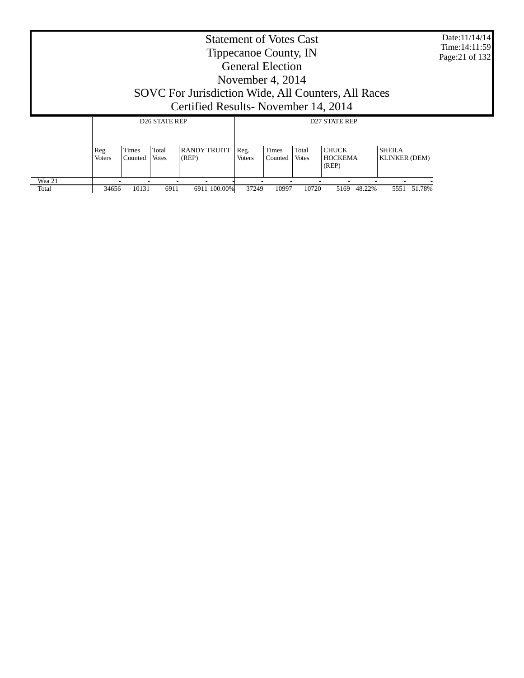| <b>Statement of Votes Cast</b><br>Time: 14:11:59<br>Tippecanoe County, IN<br>Page: 21 of 132<br><b>General Election</b><br>November 4, 2014<br>SOVC For Jurisdiction Wide, All Counters, All Races |                                                                                                                                                                                                                                                                     |       |                      |                                     |       |       |       |                |             |  |  |
|----------------------------------------------------------------------------------------------------------------------------------------------------------------------------------------------------|---------------------------------------------------------------------------------------------------------------------------------------------------------------------------------------------------------------------------------------------------------------------|-------|----------------------|-------------------------------------|-------|-------|-------|----------------|-------------|--|--|
|                                                                                                                                                                                                    |                                                                                                                                                                                                                                                                     |       |                      | Certified Results-November 14, 2014 |       |       |       |                |             |  |  |
|                                                                                                                                                                                                    |                                                                                                                                                                                                                                                                     |       | <b>D26 STATE REP</b> |                                     |       |       |       |                |             |  |  |
|                                                                                                                                                                                                    | <b>RANDY TRUITT</b><br><b>CHUCK</b><br><b>SHEILA</b><br>Times<br>Total<br>Total<br><b>Times</b><br>Reg.<br>Reg.<br>(REP)<br><b>HOCKEMA</b><br><b>KLINKER (DEM)</b><br><b>Voters</b><br>Counted<br><b>Votes</b><br><b>Voters</b><br>Counted<br><b>Votes</b><br>(REP) |       |                      |                                     |       |       |       |                |             |  |  |
| Wea 21<br>Total                                                                                                                                                                                    | 34656                                                                                                                                                                                                                                                               | 10131 | 6911                 | 6911 100.00%                        | 37249 | 10997 | 10720 | 48.22%<br>5169 | 5551 51.78% |  |  |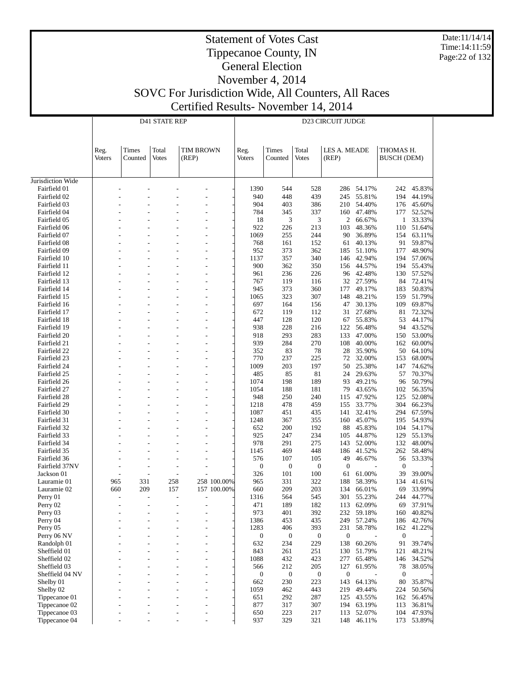Date:11/14/14 Time:14:11:59 Page:22 of 132

#### Statement of Votes Cast Tippecanoe County, IN General Election

November 4, 2014

|                              |        |                | <b>D41 STATE REP</b> |             | <b>D23 CIRCUIT JUDGE</b> |                         |                         |                         |                  |                        |                  |  |
|------------------------------|--------|----------------|----------------------|-------------|--------------------------|-------------------------|-------------------------|-------------------------|------------------|------------------------|------------------|--|
|                              |        |                |                      |             |                          |                         |                         |                         |                  |                        |                  |  |
|                              |        |                |                      |             |                          |                         |                         |                         |                  |                        |                  |  |
|                              | Reg.   | Times          | Total                | TIM BROWN   | Reg.                     | Times                   | Total                   | LES A. MEADE            |                  | THOMAS H.              |                  |  |
|                              | Voters | Counted        | Votes                | (REP)       | <b>Voters</b>            | Counted                 | <b>Votes</b>            | (REP)                   |                  | <b>BUSCH (DEM)</b>     |                  |  |
|                              |        |                |                      |             |                          |                         |                         |                         |                  |                        |                  |  |
| Jurisdiction Wide            |        |                |                      |             |                          |                         |                         |                         |                  |                        |                  |  |
| Fairfield 01                 |        |                |                      |             | 1390                     | 544                     | 528                     | 286                     | 54.17%           | 242                    | 45.83%           |  |
| Fairfield 02                 |        |                |                      |             | 940                      | 448                     | 439                     | 245                     | 55.81%           | 194                    | 44.19%           |  |
| Fairfield 03                 |        |                |                      |             | 904                      | 403                     | 386                     | 210                     | 54.40%           | 176                    | 45.60%           |  |
| Fairfield 04                 |        |                |                      |             | 784                      | 345                     | 337                     | 160                     | 47.48%           | 177                    | 52.52%           |  |
| Fairfield 05                 |        |                |                      |             | 18                       | 3                       | 3                       | 2                       | 66.67%           | 1                      | 33.33%           |  |
| Fairfield 06                 |        |                |                      |             | 922                      | 226                     | 213                     | 103                     | 48.36%           | 110                    | 51.64%           |  |
| Fairfield 07                 |        |                |                      | L,          | 1069                     | 255                     | 244                     | 90                      | 36.89%           | 154                    | 63.11%           |  |
| Fairfield 08<br>Fairfield 09 |        |                |                      |             | 768                      | 161<br>373              | 152<br>362              | 61                      | 40.13%<br>51.10% | 91<br>177              | 59.87%<br>48.90% |  |
| Fairfield 10                 |        |                |                      |             | 952<br>1137              | 357                     | 340                     | 185<br>146              | 42.94%           | 194                    | 57.06%           |  |
| Fairfield 11                 |        |                |                      | L,          | 900                      | 362                     | 350                     | 156                     | 44.57%           | 194                    | 55.43%           |  |
| Fairfield 12                 |        |                |                      |             | 961                      | 236                     | 226                     | 96                      | 42.48%           | 130                    | 57.52%           |  |
| Fairfield 13                 |        |                |                      |             | 767                      | 119                     | 116                     | 32                      | 27.59%           | 84                     | 72.41%           |  |
| Fairfield 14                 |        |                |                      |             | 945                      | 373                     | 360                     | 177                     | 49.17%           | 183                    | 50.83%           |  |
| Fairfield 15                 |        |                |                      | L,          | 1065                     | 323                     | 307                     | 148                     | 48.21%           | 159                    | 51.79%           |  |
| Fairfield 16                 |        |                |                      |             | 697                      | 164                     | 156                     | 47                      | 30.13%           | 109                    | 69.87%           |  |
| Fairfield 17                 |        |                |                      |             | 672                      | 119                     | 112                     | 31                      | 27.68%           | 81                     | 72.32%           |  |
| Fairfield 18                 |        |                |                      |             | 447                      | 128                     | 120                     | 67                      | 55.83%           | 53                     | 44.17%           |  |
| Fairfield 19                 |        |                |                      | L,          | 938                      | 228                     | 216                     | 122                     | 56.48%           | 94                     | 43.52%           |  |
| Fairfield 20                 |        |                |                      |             | 918                      | 293                     | 283                     | 133                     | 47.00%           | 150                    | 53.00%           |  |
| Fairfield 21                 |        |                |                      |             | 939                      | 284                     | 270                     | 108                     | 40.00%<br>35.90% | 162                    | 60.00%<br>64.10% |  |
| Fairfield 22<br>Fairfield 23 |        |                |                      | L,          | 352<br>770               | 83<br>237               | 78<br>225               | 28<br>72                | 32.00%           | 50<br>153              | 68.00%           |  |
| Fairfield 24                 |        |                |                      |             | 1009                     | 203                     | 197                     | 50                      | 25.38%           | 147                    | 74.62%           |  |
| Fairfield 25                 |        |                |                      |             | 485                      | 85                      | 81                      | 24                      | 29.63%           | 57                     | 70.37%           |  |
| Fairfield 26                 |        |                |                      |             | 1074                     | 198                     | 189                     | 93                      | 49.21%           | 96                     | 50.79%           |  |
| Fairfield 27                 |        |                |                      | L,          | 1054                     | 188                     | 181                     | 79                      | 43.65%           | 102                    | 56.35%           |  |
| Fairfield 28                 |        |                |                      |             | 948                      | 250                     | 240                     | 115                     | 47.92%           | 125                    | 52.08%           |  |
| Fairfield 29                 |        |                |                      |             | 1218                     | 478                     | 459                     | 155                     | 33.77%           | 304                    | 66.23%           |  |
| Fairfield 30                 |        |                |                      |             | 1087                     | 451                     | 435                     | 141                     | 32.41%           | 294                    | 67.59%           |  |
| Fairfield 31                 |        |                |                      | L,          | 1248                     | 367                     | 355                     | 160                     | 45.07%           | 195                    | 54.93%           |  |
| Fairfield 32                 |        |                |                      |             | 652                      | 200                     | 192                     | 88                      | 45.83%           | 104                    | 54.17%           |  |
| Fairfield 33                 |        |                |                      |             | 925                      | 247                     | 234                     | 105                     | 44.87%           | 129                    | 55.13%           |  |
| Fairfield 34<br>Fairfield 35 |        |                |                      |             | 978<br>1145              | 291<br>469              | 275<br>448              | 143<br>186              | 52.00%<br>41.52% | 132<br>262             | 48.00%<br>58.48% |  |
| Fairfield 36                 |        |                |                      |             | 576                      | 107                     | 105                     | 49                      | 46.67%           | 56                     | 53.33%           |  |
| Fairfield 37NV               |        |                |                      |             | $\boldsymbol{0}$         | $\mathbf{0}$            | $\boldsymbol{0}$        | $\boldsymbol{0}$        |                  | $\boldsymbol{0}$       |                  |  |
| Jackson 01                   |        |                |                      |             | 326                      | 101                     | 100                     | 61                      | 61.00%           | 39                     | 39.00%           |  |
| Lauramie 01                  | 965    | 331            | 258                  | 258 100.00% | 965                      | 331                     | 322                     | 188                     | 58.39%           | 134                    | 41.61%           |  |
| Lauramie 02                  | 660    | 209            | 157                  | 157 100.00% | 660                      | 209                     | 203                     | 134                     | 66.01%           | 69                     | 33.99%           |  |
| Perry 01                     |        |                |                      |             | 1316                     | 564                     | 545                     | 301                     | 55.23%           | 244                    | 44.77%           |  |
| Perry 02                     |        |                |                      |             | 471                      | 189                     | 182                     | 113                     | 62.09%           | 69                     | 37.91%           |  |
| Perry 03                     |        |                |                      |             | 973                      | 401                     | 392                     | 232                     | 59.18%           | 160                    | 40.82%           |  |
| Perry 04                     |        |                |                      |             | 1386                     | 453                     | 435                     | 249                     | 57.24%           | 186                    | 42.76%           |  |
| Perry 05                     |        |                |                      | ٠           | 1283                     | 406                     | 393                     | 231                     | 58.78%           | 162                    | 41.22%           |  |
| Perry 06 NV<br>Randolph 01   |        |                |                      | L,<br>L,    | $\boldsymbol{0}$<br>632  | $\boldsymbol{0}$<br>234 | $\boldsymbol{0}$<br>229 | $\boldsymbol{0}$<br>138 | 60.26%           | $\boldsymbol{0}$<br>91 | 39.74%           |  |
| Sheffield 01                 |        |                |                      | L,          | 843                      | 261                     | 251                     | 130                     | 51.79%           | 121                    | 48.21%           |  |
| Sheffield 02                 |        |                |                      | ٠           | 1088                     | 432                     | 423                     | 277                     | 65.48%           | 146                    | 34.52%           |  |
| Sheffield 03                 |        |                |                      | L,          | 566                      | 212                     | 205                     | 127                     | 61.95%           | 78                     | 38.05%           |  |
| Sheffield 04 NV              |        |                |                      | ٠           | $\boldsymbol{0}$         | $\boldsymbol{0}$        | $\mathbf{0}$            | $\boldsymbol{0}$        |                  | $\mathbf{0}$           |                  |  |
| Shelby 01                    |        |                |                      | L,          | 662                      | 230                     | 223                     | 143                     | 64.13%           | 80                     | 35.87%           |  |
| Shelby 02                    |        |                |                      | L,          | 1059                     | 462                     | 443                     | 219                     | 49.44%           | 224                    | 50.56%           |  |
| Tippecanoe 01                |        |                |                      | L,          | 651                      | 292                     | 287                     | 125                     | 43.55%           | 162                    | 56.45%           |  |
| Tippecanoe 02                |        |                |                      | ٠           | 877                      | 317                     | 307                     | 194                     | 63.19%           | 113                    | 36.81%           |  |
| Tippecanoe 03                |        |                |                      | L,          | 650                      | 223                     | 217                     | 113                     | 52.07%           | 104                    | 47.93%           |  |
| Tippecanoe 04                |        | $\overline{a}$ |                      | L,          | 937                      | 329                     | 321                     | 148                     | 46.11%           | 173                    | 53.89%           |  |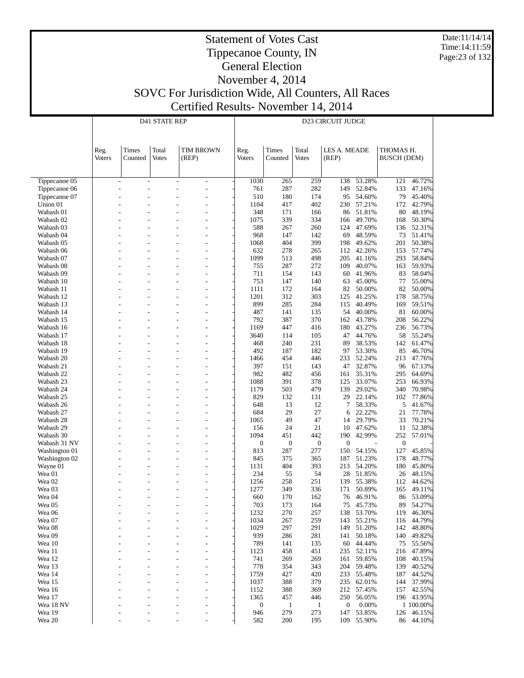Date:11/14/14 Time:14:11:59 Page:23 of 132

#### Statement of Votes Cast Tippecanoe County, IN General Election November 4, 2014

|                                | <b>D41 STATE REP</b> |                                                      |              |                                                                                          |               | <b>D23 CIRCUIT JUDGE</b> |                  |                  |                  |                    |                  |  |  |
|--------------------------------|----------------------|------------------------------------------------------|--------------|------------------------------------------------------------------------------------------|---------------|--------------------------|------------------|------------------|------------------|--------------------|------------------|--|--|
|                                |                      |                                                      |              |                                                                                          |               |                          |                  |                  |                  |                    |                  |  |  |
|                                |                      |                                                      |              |                                                                                          |               |                          |                  |                  |                  |                    |                  |  |  |
|                                | Reg.                 | Times                                                | Total        | <b>TIM BROWN</b>                                                                         | Reg.          | Times                    | Total            | LES A. MEADE     |                  | THOMAS H.          |                  |  |  |
|                                | Voters               | Counted                                              | <b>Votes</b> | (REP)                                                                                    | <b>Voters</b> | Counted                  | <b>Votes</b>     | (REP)            |                  | <b>BUSCH (DEM)</b> |                  |  |  |
|                                |                      |                                                      |              |                                                                                          |               |                          |                  |                  |                  |                    |                  |  |  |
|                                |                      |                                                      |              |                                                                                          |               |                          |                  |                  |                  |                    |                  |  |  |
| Tippecanoe 05<br>Tippecanoe 06 |                      | $\overline{\phantom{a}}$<br>$\overline{\phantom{a}}$ |              | $\overline{\phantom{a}}$<br>$\overline{\phantom{a}}$<br>$\overline{a}$<br>$\overline{a}$ | 1030<br>761   | 265<br>287               | 259<br>282       | 138<br>149       | 53.28%<br>52.84% | 121<br>133         | 46.72%<br>47.16% |  |  |
| Tippecanoe 07                  |                      |                                                      |              |                                                                                          | 510           | 180                      | 174              | 95               | 54.60%           | 79                 | 45.40%           |  |  |
| Union 01                       |                      |                                                      |              |                                                                                          | 1104          | 417                      | 402              | 230              | 57.21%           | 172                | 42.79%           |  |  |
| Wabash 01                      |                      |                                                      |              |                                                                                          | 348           | 171                      | 166              | 86               | 51.81%           | 80                 | 48.19%           |  |  |
| Wabash 02                      |                      |                                                      |              |                                                                                          | 1075          | 339                      | 334              | 166              | 49.70%           | 168                | 50.30%           |  |  |
| Wabash 03                      |                      |                                                      |              |                                                                                          | 588           | 267                      | 260              | 124              | 47.69%           | 136                | 52.31%           |  |  |
| Wabash 04                      |                      |                                                      |              |                                                                                          | 968           | 147                      | 142              | 69               | 48.59%           | 73                 | 51.41%           |  |  |
| Wabash 05                      |                      |                                                      |              | $\overline{a}$                                                                           | 1068          | 404                      | 399              | 198              | 49.62%           | 201                | 50.38%           |  |  |
| Wabash 06<br>Wabash 07         |                      |                                                      |              | $\overline{a}$                                                                           | 632<br>1099   | 278<br>513               | 265<br>498       | 112<br>205       | 42.26%<br>41.16% | 153<br>293         | 57.74%<br>58.84% |  |  |
| Wabash 08                      |                      |                                                      |              |                                                                                          | 755           | 287                      | 272              | 109              | 40.07%           | 163                | 59.93%           |  |  |
| Wabash 09                      |                      |                                                      |              | $\overline{a}$<br>$\overline{\phantom{a}}$                                               | 711           | 154                      | 143              | 60               | 41.96%           | 83                 | 58.04%           |  |  |
| Wabash 10                      |                      |                                                      |              |                                                                                          | 753           | 147                      | 140              | 63               | 45.00%           | 77                 | 55.00%           |  |  |
| Wabash 11                      |                      |                                                      |              |                                                                                          | 1111          | 172                      | 164              | 82               | 50.00%           | 82                 | 50.00%           |  |  |
| Wabash 12                      |                      |                                                      |              |                                                                                          | 1201          | 312                      | 303              | 125              | 41.25%           | 178                | 58.75%           |  |  |
| Wabash 13                      |                      |                                                      |              |                                                                                          | 899           | 285                      | 284              | 115              | 40.49%           | 169                | 59.51%           |  |  |
| Wabash 14                      |                      |                                                      |              |                                                                                          | 487           | 141                      | 135              | 54               | 40.00%           | 81                 | 60.00%           |  |  |
| Wabash 15                      |                      |                                                      |              |                                                                                          | 792           | 387                      | 370              | 162              | 43.78%           | 208                | 56.22%           |  |  |
| Wabash 16<br>Wabash 17         |                      |                                                      |              |                                                                                          | 1169<br>3640  | 447<br>114               | 416<br>105       | 180<br>47        | 43.27%<br>44.76% | 236<br>58          | 56.73%<br>55.24% |  |  |
| Wabash 18                      |                      |                                                      |              |                                                                                          | 468           | 240                      | 231              | 89               | 38.53%           | 142                | 61.47%           |  |  |
| Wabash 19                      |                      |                                                      |              |                                                                                          | 492           | 187                      | 182              | 97               | 53.30%           | 85                 | 46.70%           |  |  |
| Wabash 20                      |                      |                                                      |              |                                                                                          | 1466          | 454                      | 446              | 233              | 52.24%           | 213                | 47.76%           |  |  |
| Wabash 21                      |                      |                                                      |              |                                                                                          | 397           | 151                      | 143              | 47               | 32.87%           | 96                 | 67.13%           |  |  |
| Wabash 22                      |                      |                                                      |              |                                                                                          | 982           | 482                      | 456              | 161              | 35.31%           | 295                | 64.69%           |  |  |
| Wabash 23                      |                      |                                                      |              |                                                                                          | 1088          | 391                      | 378              | 125              | 33.07%           | 253                | 66.93%           |  |  |
| Wabash 24                      |                      |                                                      |              |                                                                                          | 1179          | 503                      | 479              | 139              | 29.02%           | 340                | 70.98%           |  |  |
| Wabash 25                      |                      |                                                      |              |                                                                                          | 829           | 132                      | 131              | 29               | 22.14%           | 102                | 77.86%           |  |  |
| Wabash 26<br>Wabash 27         |                      |                                                      |              |                                                                                          | 648<br>684    | 13<br>29                 | 12<br>27         | 7                | 58.33%<br>22.22% | 5<br>21            | 41.67%<br>77.78% |  |  |
| Wabash 28                      |                      |                                                      |              |                                                                                          | 1065          | 49                       | 47               | 6<br>14          | 29.79%           | 33                 | 70.21%           |  |  |
| Wabash 29                      |                      |                                                      |              |                                                                                          | 156           | 24                       | 21               | 10               | 47.62%           | 11                 | 52.38%           |  |  |
| Wabash 30                      |                      |                                                      |              |                                                                                          | 1094          | 451                      | 442              | 190              | 42.99%           | 252                | 57.01%           |  |  |
| Wabash 31 NV                   |                      |                                                      |              |                                                                                          | 0             | $\boldsymbol{0}$         | $\boldsymbol{0}$ | $\overline{0}$   |                  | $\boldsymbol{0}$   |                  |  |  |
| Washington 01                  |                      |                                                      |              |                                                                                          | 813           | 287                      | 277              | 150              | 54.15%           | 127                | 45.85%           |  |  |
| Washington 02                  |                      |                                                      |              |                                                                                          | 845           | 375                      | 365              | 187              | 51.23%           | 178                | 48.77%           |  |  |
| Wayne 01                       |                      |                                                      |              |                                                                                          | 1131          | 404                      | 393              | 213              | 54.20%           | 180                | 45.80%           |  |  |
| Wea 01                         |                      |                                                      |              |                                                                                          | 234           | 55                       | 54               | 28               | 51.85%           | 26                 | 48.15%           |  |  |
| Wea 02                         |                      |                                                      |              |                                                                                          | 1256          | 258                      | 251              | 139              | 55.38%           | 112                | 44.62%<br>49.11% |  |  |
| Wea 03<br>Wea 04               |                      |                                                      |              |                                                                                          | 1277<br>660   | 349<br>170               | 336<br>162       | 171<br>76        | 50.89%<br>46.91% | 165<br>86          | 53.09%           |  |  |
| Wea 05                         |                      |                                                      |              |                                                                                          | 703           | 173                      | 164              | 75               | 45.73%           | 89                 | 54.27%           |  |  |
| Wea 06                         |                      |                                                      |              |                                                                                          | 1232          | 270                      | 257              | 138              | 53.70%           | 119                | 46.30%           |  |  |
| Wea 07                         |                      |                                                      |              |                                                                                          | 1034          | 267                      | 259              | 143              | 55.21%           | 116                | 44.79%           |  |  |
| Wea 08                         |                      |                                                      |              |                                                                                          | 1029          | 297                      | 291              | 149              | 51.20%           | 142                | 48.80%           |  |  |
| Wea 09                         |                      |                                                      |              |                                                                                          | 939           | 286                      | 281              | 141              | 50.18%           | 140                | 49.82%           |  |  |
| Wea 10                         |                      |                                                      |              |                                                                                          | 789           | 141                      | 135              | 60               | 44.44%           | 75                 | 55.56%           |  |  |
| Wea 11                         |                      |                                                      |              |                                                                                          | 1123          | 458                      | 451              | 235              | 52.11%           | 216                | 47.89%           |  |  |
| Wea 12                         |                      |                                                      |              |                                                                                          | 741           | 269                      | 269              | 161              | 59.85%           | 108                | 40.15%           |  |  |
| Wea 13                         |                      |                                                      |              |                                                                                          | 778           | 354                      | 343              | 204              | 59.48%           | 139                | 40.52%           |  |  |
| Wea 14                         |                      |                                                      |              |                                                                                          | 1759          | 427                      | 420              | 233              | 55.48%           | 187                | 44.52%           |  |  |
| Wea 15<br>Wea 16               |                      |                                                      |              |                                                                                          | 1037<br>1152  | 388<br>388               | 379<br>369       | 235<br>212       | 62.01%<br>57.45% | 144<br>157         | 37.99%<br>42.55% |  |  |
| Wea 17                         |                      |                                                      |              |                                                                                          | 1365          | 457                      | 446              | 250              | 56.05%           |                    | 196 43.95%       |  |  |
| Wea 18 NV                      |                      |                                                      |              |                                                                                          | 0             | $\mathbf{1}$             | $\mathbf{1}$     | $\boldsymbol{0}$ | 0.00%            |                    | 1 100.00%        |  |  |
| Wea 19                         |                      |                                                      |              |                                                                                          | 946           | 279                      | 273              | 147              | 53.85%           | 126                | 46.15%           |  |  |
| Wea 20                         |                      |                                                      |              |                                                                                          | 582           | 200                      | 195              | 109              | 55.90%           |                    | 86 44.10%        |  |  |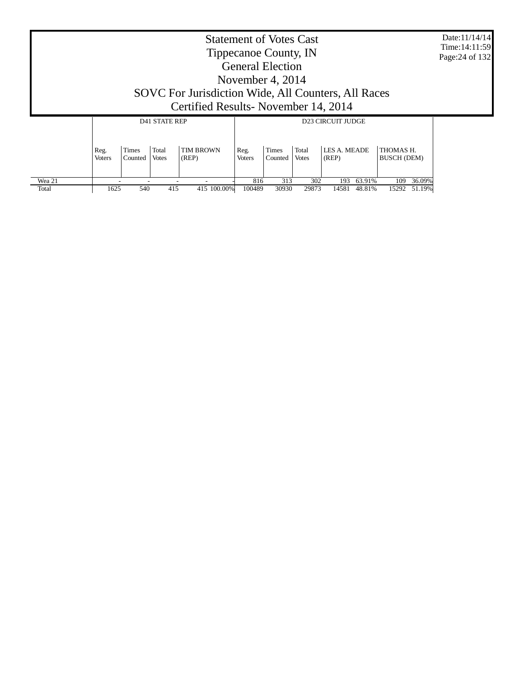| Date:11/14/14   |
|-----------------|
| Time: 14:11:59  |
| Page: 24 of 132 |

| <b>Statement of Votes Cast</b> |                                                     |  |  |  |  |  |  |  |  |
|--------------------------------|-----------------------------------------------------|--|--|--|--|--|--|--|--|
|                                | Tippecanoe County, IN                               |  |  |  |  |  |  |  |  |
|                                | <b>General Election</b>                             |  |  |  |  |  |  |  |  |
|                                | November 4, $2014$                                  |  |  |  |  |  |  |  |  |
|                                | SOVC For Jurisdiction Wide, All Counters, All Races |  |  |  |  |  |  |  |  |
|                                | Certified Results - November 14, 2014               |  |  |  |  |  |  |  |  |
| <b>D41 STATE REP</b>           | <b>D23 CIRCUIT JUDGE</b>                            |  |  |  |  |  |  |  |  |
|                                |                                                     |  |  |  |  |  |  |  |  |

|        | Reg.<br><b>Voters</b> | Times<br>Counted | Total<br><b>Votes</b> | <b>TIM BROWN</b><br>(REP) | Reg.<br>Voters | Times<br>Counted | Total<br><b>Votes</b> | LES A. MEADE<br>(REP) |        | THOMAS H.<br><b>BUSCH (DEM)</b> |              |
|--------|-----------------------|------------------|-----------------------|---------------------------|----------------|------------------|-----------------------|-----------------------|--------|---------------------------------|--------------|
| Wea 21 |                       |                  |                       |                           | 816            | 313              | 302                   | 193                   | 63.91% | 109                             | 36.09%       |
| Total  | 1625                  | 540              | 415                   | 415 100.00%               | 100489         | 30930            | 29873                 | 14581                 | 48.81% |                                 | 15292 51.19% |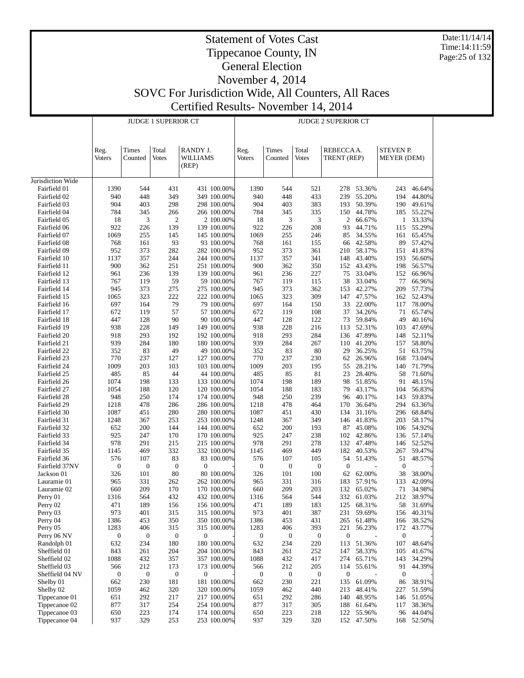Date:11/14/14 Time:14:11:59 Page:25 of 132

# Statement of Votes Cast Tippecanoe County, IN General Election

|                                 |                       |                                    | <b>JUDGE 1 SUPERIOR CT</b> |                               | <b>JUDGE 2 SUPERIOR CT</b> |                         |                         |                          |                  |                                 |                  |  |  |
|---------------------------------|-----------------------|------------------------------------|----------------------------|-------------------------------|----------------------------|-------------------------|-------------------------|--------------------------|------------------|---------------------------------|------------------|--|--|
|                                 | Reg.<br><b>Voters</b> | Times<br>Counted                   | Total<br>Votes             | RANDY J.<br>WILLIAMS<br>(REP) | Reg.<br><b>Voters</b>      | Times<br>Counted        | Total<br><b>Votes</b>   | REBECCAA.<br>TRENT (REP) |                  | STEVEN P.<br><b>MEYER</b> (DEM) |                  |  |  |
| Jurisdiction Wide               |                       |                                    |                            |                               |                            |                         |                         |                          |                  |                                 |                  |  |  |
| Fairfield 01                    | 1390                  | 544                                | 431                        | 431 100.00%                   | 1390                       | 544                     | 521                     | 278                      | 53.36%           | 243                             | 46.64%           |  |  |
| Fairfield 02                    | 940                   | 448                                | 349                        | 349 100.00%                   | 940                        | 448                     | 433                     | 239                      | 55.20%           | 194                             | 44.80%           |  |  |
| Fairfield 03                    | 904                   | 403                                | 298                        | 298 100.00%                   | 904                        | 403                     | 383                     | 193                      | 50.39%           | 190                             | 49.61%           |  |  |
| Fairfield 04                    | 784                   | 345                                | 266                        | 266 100.00%                   | 784                        | 345                     | 335                     | 150                      | 44.78%           | 185                             | 55.22%           |  |  |
| Fairfield 05<br>Fairfield 06    | 18<br>922             | $\ensuremath{\mathfrak{Z}}$<br>226 | $\mathfrak{2}$<br>139      | 2 100.00%<br>139 100.00%      | 18<br>922                  | 3<br>226                | 3<br>208                | 2<br>93                  | 66.67%<br>44.71% | 1<br>115                        | 33.33%<br>55.29% |  |  |
| Fairfield 07                    | 1069                  | 255                                | 145                        | 145 100.00%                   | 1069                       | 255                     | 246                     | 85                       | 34.55%           | 161                             | 65.45%           |  |  |
| Fairfield 08                    | 768                   | 161                                | 93                         | 93 100.00%                    | 768                        | 161                     | 155                     | 66                       | 42.58%           | 89                              | 57.42%           |  |  |
| Fairfield 09                    | 952                   | 373                                | 282                        | 282 100.00%                   | 952                        | 373                     | 361                     | 210                      | 58.17%           | 151                             | 41.83%           |  |  |
| Fairfield 10                    | 1137                  | 357                                | 244                        | 244 100.00%                   | 1137                       | 357                     | 341                     | 148                      | 43.40%           | 193                             | 56.60%           |  |  |
| Fairfield 11                    | 900                   | 362                                | 251                        | 251 100.00%                   | 900                        | 362                     | 350                     | 152                      | 43.43%           | 198                             | 56.57%           |  |  |
| Fairfield 12                    | 961                   | 236                                | 139                        | 139 100.00%                   | 961                        | 236                     | 227                     | 75                       | 33.04%           | 152                             | 66.96%           |  |  |
| Fairfield 13                    | 767                   | 119                                | 59                         | 59 100.00%                    | 767                        | 119                     | 115                     | 38                       | 33.04%           | 77                              | 66.96%           |  |  |
| Fairfield 14                    | 945                   | 373                                | 275                        | 275 100.00%                   | 945                        | 373                     | 362                     | 153                      | 42.27%           | 209                             | 57.73%           |  |  |
| Fairfield 15                    | 1065                  | 323                                | 222                        | 222 100.00%                   | 1065                       | 323                     | 309                     | 147                      | 47.57%           | 162                             | 52.43%           |  |  |
| Fairfield 16                    | 697                   | 164                                | 79                         | 79 100.00%                    | 697                        | 164                     | 150                     | 33                       | 22.00%           | 117                             | 78.00%           |  |  |
| Fairfield 17                    | 672                   | 119                                | 57                         | 57 100.00%                    | 672                        | 119                     | 108                     | 37                       | 34.26%           | 71                              | 65.74%           |  |  |
| Fairfield 18                    | 447                   | 128                                | 90                         | 90 100.00%                    | 447                        | 128                     | 122                     | 73                       | 59.84%           | 49                              | 40.16%           |  |  |
| Fairfield 19                    | 938                   | 228                                | 149                        | 149 100.00%                   | 938                        | 228                     | 216                     | 113                      | 52.31%           | 103                             | 47.69%           |  |  |
| Fairfield 20                    | 918<br>939            | 293<br>284                         | 192<br>180                 | 192 100.00%<br>180 100.00%    | 918<br>939                 | 293<br>284              | 284<br>267              | 136<br>110               | 47.89%<br>41.20% | 148                             | 52.11%<br>58.80% |  |  |
| Fairfield 21<br>Fairfield 22    | 352                   | 83                                 | 49                         | 49 100.00%                    | 352                        | 83                      | 80                      | 29                       | 36.25%           | 157<br>51                       | 63.75%           |  |  |
| Fairfield 23                    | 770                   | 237                                | 127                        | 127 100.00%                   | 770                        | 237                     | 230                     | 62                       | 26.96%           | 168                             | 73.04%           |  |  |
| Fairfield 24                    | 1009                  | 203                                | 103                        | 103 100.00%                   | 1009                       | 203                     | 195                     | 55                       | 28.21%           | 140                             | 71.79%           |  |  |
| Fairfield 25                    | 485                   | 85                                 | 44                         | 44 100.00%                    | 485                        | 85                      | 81                      | 23                       | 28.40%           | 58                              | 71.60%           |  |  |
| Fairfield 26                    | 1074                  | 198                                | 133                        | 133 100.00%                   | 1074                       | 198                     | 189                     | 98                       | 51.85%           | 91                              | 48.15%           |  |  |
| Fairfield 27                    | 1054                  | 188                                | 120                        | 120 100.00%                   | 1054                       | 188                     | 183                     | 79                       | 43.17%           | 104                             | 56.83%           |  |  |
| Fairfield 28                    | 948                   | 250                                | 174                        | 174 100.00%                   | 948                        | 250                     | 239                     | 96                       | 40.17%           | 143                             | 59.83%           |  |  |
| Fairfield 29                    | 1218                  | 478                                | 286                        | 286 100.00%                   | 1218                       | 478                     | 464                     | 170                      | 36.64%           | 294                             | 63.36%           |  |  |
| Fairfield 30                    | 1087                  | 451                                | 280                        | 280 100.00%                   | 1087                       | 451                     | 430                     | 134                      | 31.16%           | 296                             | 68.84%           |  |  |
| Fairfield 31                    | 1248                  | 367                                | 253                        | 253 100.00%                   | 1248                       | 367                     | 349                     | 146                      | 41.83%           | 203                             | 58.17%           |  |  |
| Fairfield 32                    | 652                   | 200                                | 144                        | 144 100.00%                   | 652                        | 200                     | 193                     | 87                       | 45.08%           | 106                             | 54.92%           |  |  |
| Fairfield 33                    | 925                   | 247                                | 170                        | 170 100.00%                   | 925                        | 247                     | 238                     | 102                      | 42.86%           | 136                             | 57.14%           |  |  |
| Fairfield 34                    | 978<br>1145           | 291<br>469                         | 215<br>332                 | 215 100.00%<br>332 100.00%    | 978<br>1145                | 291<br>469              | 278<br>449              | 132<br>182               | 47.48%<br>40.53% | 146<br>267                      | 52.52%<br>59.47% |  |  |
| Fairfield 35<br>Fairfield 36    | 576                   | 107                                | 83                         | 83 100.00%                    | 576                        | 107                     | 105                     | 54                       | 51.43%           | 51                              | 48.57%           |  |  |
| Fairfield 37NV                  | $\boldsymbol{0}$      | $\boldsymbol{0}$                   | $\boldsymbol{0}$           | 0                             | $\boldsymbol{0}$           | $\boldsymbol{0}$        | $\boldsymbol{0}$        | $\mathbf{0}$             |                  | $\mathbf{0}$                    |                  |  |  |
| Jackson 01                      | 326                   | 101                                | 80                         | 80 100.00%                    | 326                        | 101                     | 100                     | 62                       | 62.00%           | 38                              | 38.00%           |  |  |
| Lauramie 01                     | 965                   | 331                                | 262                        | 262 100.00%                   | 965                        | 331                     | 316                     | 183                      | 57.91%           | 133                             | 42.09%           |  |  |
| Lauramie 02                     | 660                   | 209                                | 170                        | 170 100.00%                   | 660                        | 209                     | 203                     | 132                      | 65.02%           | 71                              | 34.98%           |  |  |
| Perry 01                        | 1316                  | 564                                | 432                        | 432 100.00%                   | 1316                       | 564                     | 544                     | 332                      | 61.03%           | 212                             | 38.97%           |  |  |
| Perry 02                        | 471                   | 189                                | 156                        | 156 100.00%                   | 471                        | 189                     | 183                     | 125                      | 68.31%           | 58                              | 31.69%           |  |  |
| Perry 03                        | 973                   | 401                                | 315                        | 315 100.00%                   | 973                        | 401                     | 387                     | 231                      | 59.69%           | 156                             | 40.31%           |  |  |
| Perry 04                        | 1386                  | 453                                | 350                        | 350 100.00%                   | 1386                       | 453                     | 431                     | 265                      | 61.48%           | 166                             | 38.52%           |  |  |
| Perry 05                        | 1283                  | 406                                | 315                        | 315 100.00%                   | 1283                       | 406                     | 393                     | 221                      | 56.23%           | 172                             | 43.77%           |  |  |
| Perry 06 NV                     | $\mathbf{0}$          | $\mathbf{0}$                       | $\bf{0}$                   | 0                             | 0                          | 0                       | $\mathbf{0}$            | $\boldsymbol{0}$         |                  | $\boldsymbol{0}$                |                  |  |  |
| Randolph 01                     | 632                   | 234                                | 180                        | 180 100.00%                   | 632                        | 234                     | 220                     | 113                      | 51.36%           | 107                             | 48.64%           |  |  |
| Sheffield 01<br>Sheffield 02    | 843                   | 261                                | 204                        | 204 100.00%                   | 843                        | 261                     | 252                     | 147                      | 58.33%           | 105                             | 41.67%           |  |  |
|                                 | 1088                  | 432                                | 357                        | 357 100.00%<br>173 100.00%    | 1088                       | 432                     | 417                     | 274                      | 65.71%           | 143                             | 34.29%           |  |  |
| Sheffield 03<br>Sheffield 04 NV | 566<br>$\mathbf{0}$   | 212<br>$\boldsymbol{0}$            | 173<br>$\boldsymbol{0}$    | $\boldsymbol{0}$              | 566<br>0                   | 212<br>$\boldsymbol{0}$ | 205<br>$\boldsymbol{0}$ | 114<br>$\boldsymbol{0}$  | 55.61%           | 91<br>$\boldsymbol{0}$          | 44.39%           |  |  |
| Shelby 01                       | 662                   | 230                                | 181                        | 181 100.00%                   | 662                        | 230                     | 221                     | 135                      | 61.09%           | 86                              | 38.91%           |  |  |
| Shelby 02                       | 1059                  | 462                                | 320                        | 320 100.00%                   | 1059                       | 462                     | 440                     | 213                      | 48.41%           | 227                             | 51.59%           |  |  |
| Tippecanoe 01                   | 651                   | 292                                | 217                        | 217 100.00%                   | 651                        | 292                     | 286                     | 140                      | 48.95%           | 146                             | 51.05%           |  |  |
| Tippecanoe 02                   | 877                   | 317                                | 254                        | 254 100.00%                   | 877                        | 317                     | 305                     | 188                      | 61.64%           | 117                             | 38.36%           |  |  |
| Tippecanoe 03                   | 650                   | 223                                | 174                        | 174 100.00%                   | 650                        | 223                     | 218                     | 122                      | 55.96%           | 96                              | 44.04%           |  |  |
| Tippecanoe 04                   | 937                   | 329                                | 253                        | 253 100.00%                   | 937                        | 329                     | 320                     | 152                      | 47.50%           | 168                             | 52.50%           |  |  |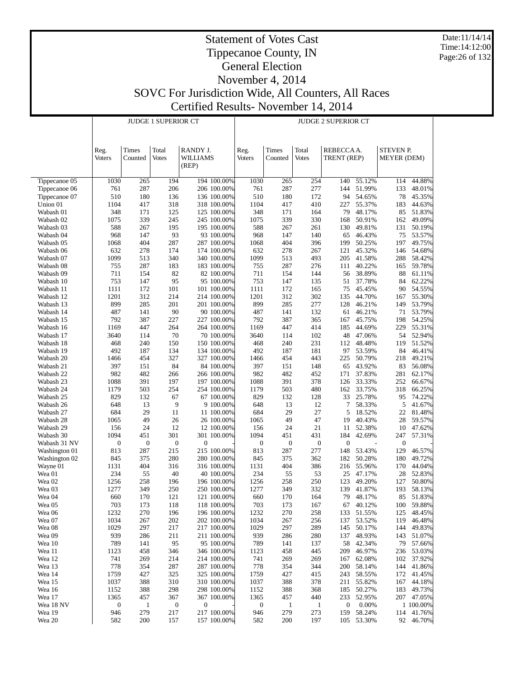Date:11/14/14 Time:14:12:00 Page:26 of 132

# Statement of Votes Cast Tippecanoe County, IN General Election November 4, 2014

SOVC For Jurisdiction Wide, All Counters, All Races

|                            | SOVC For Jurisdiction Wide, All Counters, All Races |
|----------------------------|-----------------------------------------------------|
|                            | Certified Results - November 14, 2014               |
| <b>JUDGE 1 SUPERIOR CT</b> | <b>JUDGE 2 SUPERIOR CT</b>                          |

|                        |                  |                     | <b>JUDGE 1 SUPERIOR CT</b> |                            | <b>JUDGE 2 SUPERIOR CT</b> |                     |                     |                         |                  |                    |                         |  |  |
|------------------------|------------------|---------------------|----------------------------|----------------------------|----------------------------|---------------------|---------------------|-------------------------|------------------|--------------------|-------------------------|--|--|
|                        |                  |                     |                            |                            |                            |                     |                     |                         |                  |                    |                         |  |  |
|                        |                  |                     |                            |                            |                            |                     |                     |                         |                  |                    |                         |  |  |
|                        | Reg.             | Times               | Total                      | RANDY J.                   | Reg.                       | Times               | Total               | REBECCAA.               |                  |                    | <b>STEVEN P.</b>        |  |  |
|                        | <b>Voters</b>    | Counted             | <b>Votes</b>               | WILLIAMS                   | Voters                     | Counted             | <b>Votes</b>        | TRENT (REP)             |                  | <b>MEYER</b> (DEM) |                         |  |  |
|                        |                  |                     |                            | (REP)                      |                            |                     |                     |                         |                  |                    |                         |  |  |
|                        |                  |                     |                            |                            |                            |                     |                     |                         |                  |                    |                         |  |  |
| Tippecanoe 05          | 1030             | 265                 | 194                        | 194 100.00%                | 1030                       | 265                 | 254                 | 140                     | 55.12%           | 114                | 44.88%                  |  |  |
| Tippecanoe 06          | 761              | 287                 | 206                        | 206 100.00%                | 761                        | 287                 | 277                 | 144                     | 51.99%           | 133                | 48.01%                  |  |  |
| Tippecanoe 07          | 510              | 180                 | 136                        | 136 100.00%                | 510                        | 180                 | 172                 | 94                      | 54.65%           | 78                 | 45.35%                  |  |  |
| Union 01               | 1104             | 417                 | 318                        | 318 100.00%                | 1104                       | 417                 | 410                 | 227                     | 55.37%           | 183                | 44.63%                  |  |  |
| Wabash 01              | 348              | 171                 | 125                        | 125 100.00%                | 348                        | 171                 | 164                 | 79                      | 48.17%           | 85                 | 51.83%                  |  |  |
| Wabash 02              | 1075             | 339                 | 245                        | 245 100.00%                | 1075                       | 339                 | 330                 | 168                     | 50.91%           | 162                | 49.09%                  |  |  |
| Wabash 03              | 588              | 267                 | 195                        | 195 100.00%                | 588                        | 267                 | 261                 | 130                     | 49.81%           | 131                | 50.19%                  |  |  |
| Wabash 04              | 968              | 147<br>404          | 93<br>287                  | 93 100.00%<br>287 100.00%  | 968<br>1068                | 147<br>404          | 140<br>396          | 65<br>199               | 46.43%<br>50.25% | 75<br>197          | 53.57%                  |  |  |
| Wabash 05<br>Wabash 06 | 1068<br>632      | 278                 | 174                        | 174 100.00%                | 632                        | 278                 | 267                 | 121                     | 45.32%           | 146                | 49.75%<br>54.68%        |  |  |
| Wabash 07              | 1099             | 513                 | 340                        | 340 100.00%                | 1099                       | 513                 | 493                 | 205                     | 41.58%           | 288                | 58.42%                  |  |  |
| Wabash 08              | 755              | 287                 | 183                        | 183 100.00%                | 755                        | 287                 | 276                 | 111                     | 40.22%           | 165                | 59.78%                  |  |  |
| Wabash 09              | 711              | 154                 | 82                         | 82 100.00%                 | 711                        | 154                 | 144                 | 56                      | 38.89%           | 88                 | 61.11%                  |  |  |
| Wabash 10              | 753              | 147                 | 95                         | 95 100.00%                 | 753                        | 147                 | 135                 | 51                      | 37.78%           | 84                 | 62.22%                  |  |  |
| Wabash 11              | 1111             | 172                 | 101                        | 101 100,00%                | 1111                       | 172                 | 165                 | 75                      | 45.45%           | 90                 | 54.55%                  |  |  |
| Wabash 12              | 1201             | 312                 | 214                        | 214 100.00%                | 1201                       | 312                 | 302                 | 135                     | 44.70%           | 167                | 55.30%                  |  |  |
| Wabash 13              | 899              | 285                 | 201                        | 201 100.00%                | 899                        | 285                 | 277                 | 128                     | 46.21%           | 149                | 53.79%                  |  |  |
| Wabash 14              | 487              | 141                 | 90                         | 90 100.00%                 | 487                        | 141                 | 132                 | 61                      | 46.21%           | 71                 | 53.79%                  |  |  |
| Wabash 15              | 792              | 387                 | 227                        | 227 100.00%                | 792                        | 387                 | 365                 | 167                     | 45.75%           | 198                | 54.25%                  |  |  |
| Wabash 16              | 1169             | 447                 | 264                        | 264 100.00%                | 1169                       | 447                 | 414                 | 185                     | 44.69%           | 229                | 55.31%                  |  |  |
| Wabash 17              | 3640<br>468      | 114<br>240          | 70<br>150                  | 70 100.00%                 | 3640<br>468                | 114<br>240          | 102<br>231          | 48                      | 47.06%<br>48.48% | 54<br>119          | 52.94%<br>51.52%        |  |  |
| Wabash 18<br>Wabash 19 | 492              | 187                 | 134                        | 150 100.00%<br>134 100.00% | 492                        | 187                 | 181                 | 112<br>97               | 53.59%           | 84                 | 46.41%                  |  |  |
| Wabash 20              | 1466             | 454                 | 327                        | 327 100.00%                | 1466                       | 454                 | 443                 | 225                     | 50.79%           | 218                | 49.21%                  |  |  |
| Wabash 21              | 397              | 151                 | 84                         | 84 100.00%                 | 397                        | 151                 | 148                 | 65                      | 43.92%           | 83                 | 56.08%                  |  |  |
| Wabash 22              | 982              | 482                 | 266                        | 266 100.00%                | 982                        | 482                 | 452                 | 171                     | 37.83%           | 281                | 62.17%                  |  |  |
| Wabash 23              | 1088             | 391                 | 197                        | 197 100.00%                | 1088                       | 391                 | 378                 | 126                     | 33.33%           | 252                | 66.67%                  |  |  |
| Wabash 24              | 1179             | 503                 | 254                        | 254 100.00%                | 1179                       | 503                 | 480                 | 162                     | 33.75%           | 318                | 66.25%                  |  |  |
| Wabash 25              | 829              | 132                 | 67                         | 67 100.00%                 | 829                        | 132                 | 128                 | 33                      | 25.78%           | 95                 | 74.22%                  |  |  |
| Wabash 26              | 648              | 13                  | 9                          | 9 100.00%                  | 648                        | 13                  | 12                  | 7                       | 58.33%           | 5                  | 41.67%                  |  |  |
| Wabash 27              | 684              | 29<br>49            | 11<br>26                   | 11 100.00%                 | 684                        | 29<br>49            | 27<br>47            | 5                       | 18.52%           | 22                 | 81.48%                  |  |  |
| Wabash 28<br>Wabash 29 | 1065<br>156      | 24                  | 12                         | 26 100.00%<br>12 100.00%   | 1065<br>156                | 24                  | 21                  | 19<br>11                | 40.43%<br>52.38% | 28<br>10           | 59.57%<br>47.62%        |  |  |
| Wabash 30              | 1094             | 451                 | 301                        | 301 100.00%                | 1094                       | 451                 | 431                 | 184                     | 42.69%           | 247                | 57.31%                  |  |  |
| Wabash 31 NV           | $\boldsymbol{0}$ | $\boldsymbol{0}$    | $\mathbf{0}$               | $\boldsymbol{0}$           | $\boldsymbol{0}$           | $\mathbf{0}$        | $\boldsymbol{0}$    | $\mathbf{0}$            |                  | $\boldsymbol{0}$   |                         |  |  |
| Washington 01          | 813              | 287                 | 215                        | 215 100.00%                | 813                        | 287                 | 277                 | 148                     | 53.43%           | 129                | 46.57%                  |  |  |
| Washington 02          | 845              | 375                 | 280                        | 280 100.00%                | 845                        | 375                 | 362                 | 182                     | 50.28%           | 180                | 49.72%                  |  |  |
| Wayne 01               | 1131             | 404                 | 316                        | 316 100.00%                | 1131                       | 404                 | 386                 | 216                     | 55.96%           | 170                | 44.04%                  |  |  |
| Wea 01                 | 234              | 55                  | 40                         | 40 100.00%                 | 234                        | 55                  | 53                  | 25                      | 47.17%           | 28                 | 52.83%                  |  |  |
| Wea 02                 | 1256             | 258                 | 196                        | 196 100.00%                | 1256                       | 258                 | 250                 | 123                     | 49.20%           | 127                | 50.80%                  |  |  |
| Wea 03                 | 1277             | 349                 | 250                        | 250 100.00%                | 1277                       | 349                 | 332                 | 139                     | 41.87%           | 193                | 58.13%                  |  |  |
| Wea 04                 | 660              | 170                 | 121                        | 121 100.00%                | 660                        | 170                 | 164                 | 79                      | 48.17%           | 85                 | 51.83%                  |  |  |
| Wea 05<br>Wea 06       | 703<br>1232      | 173<br>270          | 118<br>196                 | 118 100.00%<br>196 100.00% | 703<br>1232                | 173<br>270          | 167<br>258          | 67<br>133               | 40.12%<br>51.55% | 100<br>125         | 59.88%<br>48.45%        |  |  |
| Wea 07                 | 1034             | 267                 | 202                        | 202 100.00%                | 1034                       | 267                 | 256                 | 137                     | 53.52%           | 119                | 46.48%                  |  |  |
| Wea 08                 | 1029             | 297                 | 217                        | 217 100.00%                | 1029                       | 297                 | 289                 | 145                     | 50.17%           |                    | 144 49.83%              |  |  |
| Wea 09                 | 939              | 286                 | 211                        | 211 100.00%                | 939                        | 286                 | 280                 | 137                     | 48.93%           | 143                | 51.07%                  |  |  |
| Wea 10                 | 789              | 141                 | 95                         | 95 100.00%                 | 789                        | 141                 | 137                 | 58                      | 42.34%           | 79                 | 57.66%                  |  |  |
| Wea 11                 | 1123             | 458                 | 346                        | 346 100.00%                | 1123                       | 458                 | 445                 | 209                     | 46.97%           | 236                | 53.03%                  |  |  |
| Wea 12                 | 741              | 269                 | 214                        | 214 100.00%                | 741                        | 269                 | 269                 | 167                     | 62.08%           | 102                | 37.92%                  |  |  |
| Wea 13                 | 778              | 354                 | 287                        | 287 100.00%                | 778                        | 354                 | 344                 | 200                     | 58.14%           | 144                | 41.86%                  |  |  |
| Wea 14                 | 1759             | 427                 | 325                        | 325 100.00%                | 1759                       | 427                 | 415                 | 243                     | 58.55%           | 172                | 41.45%                  |  |  |
| Wea 15                 | 1037             | 388                 | 310                        | 310 100.00%                | 1037                       | 388                 | 378                 | 211                     | 55.82%           | 167                | 44.18%                  |  |  |
| Wea 16                 | 1152             | 388                 | 298                        | 298 100.00%                | 1152                       | 388                 | 368                 | 185                     | 50.27%           | 183                | 49.73%                  |  |  |
| Wea 17<br>Wea 18 NV    | 1365<br>0        | 457<br>$\mathbf{1}$ | 367<br>$\boldsymbol{0}$    | 367 100.00%<br>0           | 1365<br>$\boldsymbol{0}$   | 457<br>$\mathbf{1}$ | 440<br>$\mathbf{1}$ | 233<br>$\boldsymbol{0}$ | 52.95%<br>0.00%  |                    | 207 47.05%<br>1 100.00% |  |  |
| Wea 19                 | 946              | 279                 | 217                        | 217 100.00%                | 946                        | 279                 | 273                 | 159                     | 58.24%           |                    | 114 41.76%              |  |  |
| Wea 20                 | 582              | 200                 | 157                        | 157 100.00%                | 582                        | 200                 | 197                 |                         | 105 53.30%       |                    | 92 46.70%               |  |  |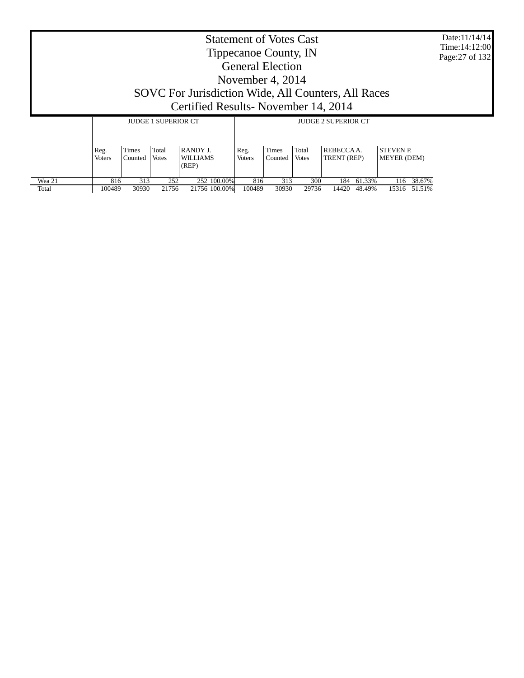| <b>Statement of Votes Cast</b><br>Tippecanoe County, IN<br><b>General Election</b><br>November 4, 2014<br>SOVC For Jurisdiction Wide, All Counters, All Races<br>Certified Results - November 14, 2014<br><b>JUDGE 1 SUPERIOR CT</b><br><b>JUDGE 2 SUPERIOR CT</b> |                       |                  |                       |                      |                       |  |  |  |  |  |
|--------------------------------------------------------------------------------------------------------------------------------------------------------------------------------------------------------------------------------------------------------------------|-----------------------|------------------|-----------------------|----------------------|-----------------------|--|--|--|--|--|
|                                                                                                                                                                                                                                                                    | Reg.<br><b>Voters</b> | Times<br>Counted | Total<br><b>Votes</b> | RANDY J.<br>WILLIAMS | Reg.<br><b>Voters</b> |  |  |  |  |  |

816 313 252 252 100.00% 816 313 300 184 61.33% 116 38.67% 100489 30930 21756 21756 100.00% 100489 30930 29736 14420 48.49% 15316 51.51%

 Wea 21 Total

 $\mathbf{I}$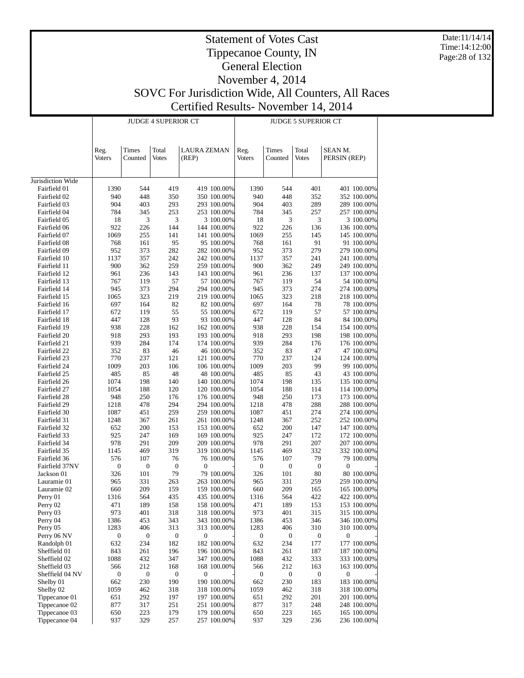Date:11/14/14 Time:14:12:00 Page:28 of 132

# Statement of Votes Cast Tippecanoe County, IN General Election November 4, 2014 SOVC For Jurisdiction Wide, All Counters, All Races

Certified Results- November 14, 2014 JUDGE 4 SUPERIOR CT JUDGE 5 SUPERIOR CT т Τ

|                              |                  |                  | UE 4 SUFENIUN UT |                            |                  | JUDUE J SUFENIUN UT |                  |                            |  |  |  |  |
|------------------------------|------------------|------------------|------------------|----------------------------|------------------|---------------------|------------------|----------------------------|--|--|--|--|
|                              |                  |                  |                  |                            |                  |                     |                  |                            |  |  |  |  |
|                              | Reg.             | Times            | Total            | <b>LAURA ZEMAN</b>         | Reg.             | Times               | Total            | SEAN M.                    |  |  |  |  |
|                              | <b>Voters</b>    | Counted          | <b>Votes</b>     | (REP)                      | Voters           | Counted             | <b>Votes</b>     | PERSIN (REP)               |  |  |  |  |
|                              |                  |                  |                  |                            |                  |                     |                  |                            |  |  |  |  |
| Jurisdiction Wide            |                  |                  |                  |                            |                  |                     |                  |                            |  |  |  |  |
| Fairfield 01                 | 1390             | 544              | 419              | 419 100.00%                | 1390             | 544                 | 401              | 401 100.00%                |  |  |  |  |
| Fairfield 02                 | 940<br>904       | 448<br>403       | 350<br>293       | 350 100.00%                | 940<br>904       | 448<br>403          | 352<br>289       | 352 100.00%                |  |  |  |  |
| Fairfield 03<br>Fairfield 04 | 784              | 345              | 253              | 293 100.00%<br>253 100.00% | 784              | 345                 | 257              | 289 100.00%<br>257 100.00% |  |  |  |  |
| Fairfield 05                 | 18               | 3                | 3                | 3 100.00%                  | 18               | 3                   | 3                | 3 100.00%                  |  |  |  |  |
| Fairfield 06                 | 922              | 226              | 144              | 144 100.00%                | 922              | 226                 | 136              | 136 100.00%                |  |  |  |  |
| Fairfield 07                 | 1069             | 255              | 141              | 141 100.00%                | 1069             | 255                 | 145              | 145 100.00%                |  |  |  |  |
| Fairfield 08                 | 768              | 161              | 95               | 95 100.00%                 | 768              | 161                 | 91               | 91 100.00%                 |  |  |  |  |
| Fairfield 09                 | 952              | 373              | 282              | 282 100.00%                | 952              | 373                 | 279              | 279 100.00%                |  |  |  |  |
| Fairfield 10                 | 1137             | 357              | 242              | 242 100.00%                | 1137             | 357                 | 241              | 241 100.00%                |  |  |  |  |
| Fairfield 11                 | 900              | 362              | 259              | 259 100.00%                | 900              | 362                 | 249              | 249 100.00%                |  |  |  |  |
| Fairfield 12                 | 961              | 236              | 143              | 143 100.00%                | 961              | 236                 | 137              | 137 100.00%                |  |  |  |  |
| Fairfield 13                 | 767              | 119              | 57               | 57 100.00%                 | 767              | 119                 | 54               | 54 100.00%                 |  |  |  |  |
| Fairfield 14                 | 945              | 373              | 294              | 294 100.00%                | 945              | 373                 | 274              | 274 100.00%                |  |  |  |  |
| Fairfield 15                 | 1065             | 323              | 219              | 219 100.00%                | 1065             | 323                 | 218              | 218 100.00%                |  |  |  |  |
| Fairfield 16                 | 697              | 164              | 82               | 82 100.00%                 | 697              | 164                 | 78               | 78 100.00%                 |  |  |  |  |
| Fairfield 17                 | 672              | 119              | 55               | 55 100.00%                 | 672              | 119                 | 57               | 57 100.00%                 |  |  |  |  |
| Fairfield 18                 | 447              | 128              | 93               | 93 100.00%                 | 447              | 128                 | 84               | 84 100.00%                 |  |  |  |  |
| Fairfield 19                 | 938              | 228              | 162              | 162 100.00%                | 938              | 228                 | 154              | 154 100.00%                |  |  |  |  |
| Fairfield 20                 | 918              | 293              | 193              | 193 100.00%                | 918              | 293                 | 198              | 198 100.00%                |  |  |  |  |
| Fairfield 21                 | 939              | 284              | 174              | 174 100.00%                | 939              | 284                 | 176              | 176 100.00%                |  |  |  |  |
| Fairfield 22                 | 352              | 83               | 46               | 46 100.00%                 | 352              | 83                  | 47               | 47 100.00%                 |  |  |  |  |
| Fairfield 23<br>Fairfield 24 | 770<br>1009      | 237<br>203       | 121<br>106       | 121 100.00%                | 770<br>1009      | 237<br>203          | 124<br>99        | 124 100.00%                |  |  |  |  |
| Fairfield 25                 | 485              | 85               | 48               | 106 100.00%<br>48 100.00%  | 485              | 85                  | 43               | 99 100.00%<br>43 100.00%   |  |  |  |  |
| Fairfield 26                 | 1074             | 198              | 140              | 140 100.00%                | 1074             | 198                 | 135              | 135 100.00%                |  |  |  |  |
| Fairfield 27                 | 1054             | 188              | 120              | 120 100.00%                | 1054             | 188                 | 114              | 114 100.00%                |  |  |  |  |
| Fairfield 28                 | 948              | 250              | 176              | 176 100.00%                | 948              | 250                 | 173              | 173 100.00%                |  |  |  |  |
| Fairfield 29                 | 1218             | 478              | 294              | 294 100.00%                | 1218             | 478                 | 288              | 288 100.00%                |  |  |  |  |
| Fairfield 30                 | 1087             | 451              | 259              | 259 100.00%                | 1087             | 451                 | 274              | 274 100.00%                |  |  |  |  |
| Fairfield 31                 | 1248             | 367              | 261              | 261 100.00%                | 1248             | 367                 | 252              | 252 100.00%                |  |  |  |  |
| Fairfield 32                 | 652              | 200              | 153              | 153 100.00%                | 652              | 200                 | 147              | 147 100.00%                |  |  |  |  |
| Fairfield 33                 | 925              | 247              | 169              | 169 100.00%                | 925              | 247                 | 172              | 172 100.00%                |  |  |  |  |
| Fairfield 34                 | 978              | 291              | 209              | 209 100.00%                | 978              | 291                 | 207              | 207 100.00%                |  |  |  |  |
| Fairfield 35                 | 1145             | 469              | 319              | 319 100.00%                | 1145             | 469                 | 332              | 332 100.00%                |  |  |  |  |
| Fairfield 36                 | 576              | 107              | 76               | 76 100.00%                 | 576              | 107                 | 79               | 79 100.00%                 |  |  |  |  |
| Fairfield 37NV               | $\boldsymbol{0}$ | $\boldsymbol{0}$ | $\boldsymbol{0}$ | $\boldsymbol{0}$           | $\boldsymbol{0}$ | $\boldsymbol{0}$    | $\boldsymbol{0}$ | $\boldsymbol{0}$           |  |  |  |  |
| Jackson 01                   | 326              | 101              | 79               | 79 100.00%                 | 326              | 101                 | 80               | 80 100.00%                 |  |  |  |  |
| Lauramie 01                  | 965              | 331              | 263              | 263 100.00%                | 965              | 331                 | 259              | 259 100.00%                |  |  |  |  |
| Lauramie 02                  | 660              | 209              | 159              | 159 100.00%                | 660              | 209                 | 165              | 165 100.00%                |  |  |  |  |
| Perry 01                     | 1316             | 564              | 435              | 435 100.00%                | 1316             | 564                 | 422              | 422 100.00%                |  |  |  |  |
| Perry 02                     | 471              | 189              | 158              | 158 100.00%<br>318 100.00% | 471<br>973       | 189<br>401          | 153              | 153 100.00%<br>315 100.00% |  |  |  |  |
| Perry 03<br>Perry 04         | 973<br>1386      | 401<br>453       | 318<br>343       | 343 100.00%                | 1386             | 453                 | 315<br>346       | 346 100.00%                |  |  |  |  |
| Perry 05                     | 1283             | 406              | 313              | 313 100.00%                | 1283             | 406                 | 310              | 310 100.00%                |  |  |  |  |
| Perry 06 NV                  | $\boldsymbol{0}$ | $\boldsymbol{0}$ | $\boldsymbol{0}$ | $\boldsymbol{0}$           | 0                | $\bf{0}$            | $\boldsymbol{0}$ | $\boldsymbol{0}$           |  |  |  |  |
| Randolph 01                  | 632              | 234              | 182              | 182 100.00%                | 632              | 234                 | 177              | 177 100.00%                |  |  |  |  |
| Sheffield 01                 | 843              | 261              | 196              | 196 100.00%                | 843              | 261                 | 187              | 187 100.00%                |  |  |  |  |
| Sheffield 02                 | 1088             | 432              | 347              | 347 100.00%                | 1088             | 432                 | 333              | 333 100.00%                |  |  |  |  |
| Sheffield 03                 | 566              | 212              | 168              | 168 100.00%                | 566              | 212                 | 163              | 163 100.00%                |  |  |  |  |
| Sheffield 04 NV              | $\boldsymbol{0}$ | $\boldsymbol{0}$ | $\boldsymbol{0}$ | 0                          | 0                | 0                   | $\boldsymbol{0}$ | $\boldsymbol{0}$           |  |  |  |  |
| Shelby 01                    | 662              | 230              | 190              | 190 100.00%                | 662              | 230                 | 183              | 183 100.00%                |  |  |  |  |
| Shelby 02                    | 1059             | 462              | 318              | 318 100.00%                | 1059             | 462                 | 318              | 318 100.00%                |  |  |  |  |
| Tippecanoe 01                | 651              | 292              | 197              | 197 100.00%                | 651              | 292                 | 201              | 201 100.00%                |  |  |  |  |
| Tippecanoe 02                | 877              | 317              | 251              | 251 100.00%                | 877              | 317                 | 248              | 248 100.00%                |  |  |  |  |
| Tippecanoe 03                | 650              | 223              | 179              | 179 100.00%                | 650              | 223                 | 165              | 165 100.00%                |  |  |  |  |
| Tippecanoe 04                | 937              | 329              | 257              | 257 100.00%                | 937              | 329                 | 236              | 236 100.00%                |  |  |  |  |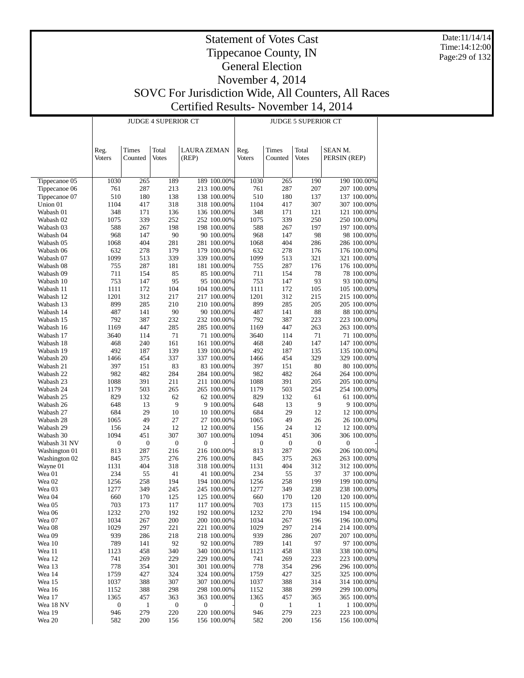Date:11/14/14 Time:14:12:00 Page:29 of 132

|                        |                       |                  | <b>JUDGE 4 SUPERIOR CT</b> |                             |                            | <b>JUDGE 5 SUPERIOR CT</b> |                  |                       |                         |                           |  |
|------------------------|-----------------------|------------------|----------------------------|-----------------------------|----------------------------|----------------------------|------------------|-----------------------|-------------------------|---------------------------|--|
|                        | Reg.<br><b>Voters</b> | Times<br>Counted | Total<br><b>Votes</b>      | <b>LAURA ZEMAN</b><br>(REP) |                            | Reg.<br><b>Voters</b>      | Times<br>Counted | Total<br><b>Votes</b> | SEAN M.<br>PERSIN (REP) |                           |  |
| Tippecanoe 05          | 1030                  | 265              | 189                        |                             | 189 100.00%                | 1030                       | 265              | 190                   |                         | 190 100.00%               |  |
| Tippecanoe 06          | 761                   | 287              | 213                        |                             | 213 100.00%                | 761                        | 287              | 207                   |                         | 207 100.00%               |  |
| Tippecanoe 07          | 510                   | 180              | 138                        |                             | 138 100.00%                | 510                        | 180              | 137                   |                         | 137 100.00%               |  |
| Union 01               | 1104                  | 417              | 318                        |                             | 318 100.00%                | 1104                       | 417              | 307                   |                         | 307 100.00%               |  |
| Wabash 01              | 348                   | 171              | 136                        |                             | 136 100.00%                | 348                        | 171              | 121                   |                         | 121 100.00%               |  |
| Wabash 02              | 1075                  | 339              | 252                        |                             | 252 100.00%                | 1075                       | 339              | 250                   |                         | 250 100.00%               |  |
| Wabash 03              | 588                   | 267              | 198                        |                             | 198 100.00%                | 588                        | 267              | 197                   |                         | 197 100.00%               |  |
| Wabash 04              | 968<br>1068           | 147<br>404       | 90<br>281                  |                             | 90 100.00%                 | 968<br>1068                | 147<br>404       | 98<br>286             |                         | 98 100.00%<br>286 100.00% |  |
| Wabash 05<br>Wabash 06 | 632                   | 278              | 179                        |                             | 281 100.00%<br>179 100.00% | 632                        | 278              | 176                   |                         | 176 100.00%               |  |
| Wabash 07              | 1099                  | 513              | 339                        |                             | 339 100.00%                | 1099                       | 513              | 321                   |                         | 321 100.00%               |  |
| Wabash 08              | 755                   | 287              | 181                        |                             | 181 100.00%                | 755                        | 287              | 176                   |                         | 176 100.00%               |  |
| Wabash 09              | 711                   | 154              | 85                         |                             | 85 100.00%                 | 711                        | 154              | 78                    |                         | 78 100.00%                |  |
| Wabash 10              | 753                   | 147              | 95                         |                             | 95 100.00%                 | 753                        | 147              | 93                    |                         | 93 100.00%                |  |
| Wabash 11              | 1111                  | 172              | 104                        |                             | 104 100.00%                | 1111                       | 172              | 105                   |                         | 105 100.00%               |  |
| Wabash 12              | 1201                  | 312              | 217                        |                             | 217 100.00%                | 1201                       | 312              | 215                   |                         | 215 100.00%               |  |
| Wabash 13              | 899                   | 285              | 210                        |                             | 210 100.00%                | 899                        | 285              | 205                   |                         | 205 100.00%               |  |
| Wabash 14              | 487                   | 141              | 90<br>232                  |                             | 90 100.00%<br>232 100.00%  | 487<br>792                 | 141<br>387       | 88<br>223             |                         | 88 100.00%<br>223 100.00% |  |
| Wabash 15<br>Wabash 16 | 792<br>1169           | 387<br>447       | 285                        |                             | 285 100.00%                | 1169                       | 447              | 263                   |                         | 263 100.00%               |  |
| Wabash 17              | 3640                  | 114              | 71                         |                             | 71 100.00%                 | 3640                       | 114              | 71                    |                         | 71 100.00%                |  |
| Wabash 18              | 468                   | 240              | 161                        |                             | 161 100.00%                | 468                        | 240              | 147                   |                         | 147 100.00%               |  |
| Wabash 19              | 492                   | 187              | 139                        |                             | 139 100.00%                | 492                        | 187              | 135                   |                         | 135 100.00%               |  |
| Wabash 20              | 1466                  | 454              | 337                        |                             | 337 100.00%                | 1466                       | 454              | 329                   |                         | 329 100.00%               |  |
| Wabash 21              | 397                   | 151              | 83                         |                             | 83 100.00%                 | 397                        | 151              | 80                    |                         | 80 100.00%                |  |
| Wabash 22              | 982                   | 482              | 284                        |                             | 284 100.00%                | 982                        | 482              | 264                   |                         | 264 100.00%               |  |
| Wabash 23              | 1088                  | 391              | 211                        |                             | 211 100.00%                | 1088                       | 391              | 205                   |                         | 205 100.00%               |  |
| Wabash 24<br>Wabash 25 | 1179<br>829           | 503<br>132       | 265<br>62                  |                             | 265 100.00%<br>62 100.00%  | 1179<br>829                | 503<br>132       | 254<br>61             |                         | 254 100.00%<br>61 100.00% |  |
| Wabash 26              | 648                   | 13               | 9                          |                             | 9 100.00%                  | 648                        | 13               | 9                     |                         | 9 100.00%                 |  |
| Wabash 27              | 684                   | 29               | 10                         |                             | 10 100.00%                 | 684                        | 29               | 12                    |                         | 12 100.00%                |  |
| Wabash 28              | 1065                  | 49               | 27                         |                             | 27 100.00%                 | 1065                       | 49               | 26                    |                         | 26 100.00%                |  |
| Wabash 29              | 156                   | 24               | 12                         |                             | 12 100.00%                 | 156                        | 24               | 12                    |                         | 12 100.00%                |  |
| Wabash 30              | 1094                  | 451              | 307                        |                             | 307 100.00%                | 1094                       | 451              | 306                   |                         | 306 100.00%               |  |
| Wabash 31 NV           | 0                     | $\boldsymbol{0}$ | $\boldsymbol{0}$           | $\boldsymbol{0}$            |                            | $\boldsymbol{0}$           | $\boldsymbol{0}$ | $\boldsymbol{0}$      | $\boldsymbol{0}$        |                           |  |
| Washington 01          | 813                   | 287              | 216                        |                             | 216 100.00%                | 813                        | 287              | 206                   |                         | 206 100.00%               |  |
| Washington 02          | 845                   | 375              | 276                        |                             | 276 100.00%                | 845                        | 375<br>404       | 263                   |                         | 263 100.00%               |  |
| Wayne 01<br>Wea 01     | 1131<br>234           | 404<br>55        | 318<br>41                  |                             | 318 100.00%<br>41 100.00%  | 1131<br>234                | 55               | 312<br>37             |                         | 312 100.00%<br>37 100.00% |  |
| Wea 02                 | 1256                  | 258              | 194                        |                             | 194 100.00%                | 1256                       | 258              | 199                   |                         | 199 100.00%               |  |
| Wea 03                 | 1277                  | 349              | 245                        |                             | 245 100.00%                | 1277                       | 349              | 238                   |                         | 238 100.00%               |  |
| Wea 04                 | 660                   | 170              | 125                        |                             | 125 100.00%                | 660                        | 170              | 120                   |                         | 120 100.00%               |  |
| Wea 05                 | 703                   | 173              | 117                        |                             | 117 100.00%                | 703                        | 173              | 115                   |                         | 115 100.00%               |  |
| Wea 06                 | 1232                  | 270              | 192                        |                             | 192 100.00%                | 1232                       | 270              | 194                   |                         | 194 100.00%               |  |
| Wea 07                 | 1034                  | 267              | 200                        |                             | 200 100.00%                | 1034                       | 267              | 196                   |                         | 196 100.00%               |  |
| Wea 08                 | 1029                  | 297              | 221                        |                             | 221 100.00%                | 1029                       | 297              | 214                   |                         | 214 100.00%               |  |
| Wea 09<br>Wea 10       | 939<br>789            | 286<br>141       | 218<br>92                  |                             | 218 100.00%<br>92 100.00%  | 939<br>789                 | 286<br>141       | 207<br>97             |                         | 207 100.00%<br>97 100.00% |  |
| Wea 11                 | 1123                  | 458              | 340                        |                             | 340 100.00%                | 1123                       | 458              | 338                   |                         | 338 100.00%               |  |
| Wea 12                 | 741                   | 269              | 229                        |                             | 229 100.00%                | 741                        | 269              | 223                   |                         | 223 100.00%               |  |
| Wea 13                 | 778                   | 354              | 301                        |                             | 301 100.00%                | 778                        | 354              | 296                   |                         | 296 100.00%               |  |
| Wea 14                 | 1759                  | 427              | 324                        |                             | 324 100.00%                | 1759                       | 427              | 325                   |                         | 325 100.00%               |  |
| Wea 15                 | 1037                  | 388              | 307                        |                             | 307 100.00%                | 1037                       | 388              | 314                   |                         | 314 100.00%               |  |
| Wea 16                 | 1152                  | 388              | 298                        |                             | 298 100.00%                | 1152                       | 388              | 299                   |                         | 299 100.00%               |  |
| Wea 17                 | 1365                  | 457              | 363                        |                             | 363 100.00%                | 1365                       | 457              | 365                   |                         | 365 100.00%               |  |
| Wea 18 NV              | 0                     | 1                | $\boldsymbol{0}$           | $\boldsymbol{0}$            |                            | $\boldsymbol{0}$           | $\mathbf{1}$     | $\mathbf{1}$          |                         | 1 100.00%                 |  |
| Wea 19                 | 946                   | 279              | 220                        |                             | 220 100.00%<br>156 100.00% | 946                        | 279              | 223                   |                         | 223 100.00%               |  |
| Wea 20                 | 582                   | 200              | 156                        |                             |                            | 582                        | 200              | 156                   |                         | 156 100.00%               |  |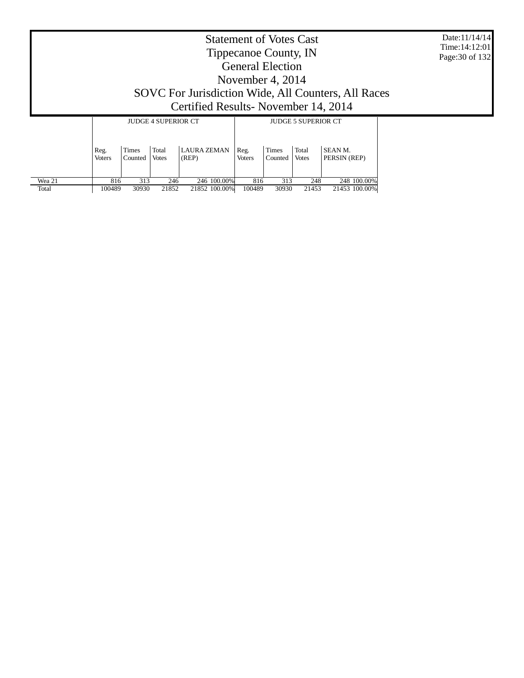| Date:11/14/14    |
|------------------|
| Time: $14:12:01$ |
| Page: 30 of 132  |

|                            | <b>Statement of Votes Cast</b>                      |
|----------------------------|-----------------------------------------------------|
|                            | Tippecanoe County, IN                               |
|                            | <b>General Election</b>                             |
|                            | November 4, 2014                                    |
|                            | SOVC For Jurisdiction Wide, All Counters, All Races |
|                            | Certified Results - November 14, 2014               |
| HIDCE <i>L</i> CUPPDIOD CE | HIDCE E CUPPDIOD CE                                 |

|        |                       |                         | <b>JUDGE 4 SUPERIOR CT</b> |                             | <b>JUDGE 5 SUPERIOR CT</b> |                         |                       |                         |  |  |  |
|--------|-----------------------|-------------------------|----------------------------|-----------------------------|----------------------------|-------------------------|-----------------------|-------------------------|--|--|--|
|        | Reg.<br><b>Voters</b> | <b>Times</b><br>Counted | Total<br><b>Votes</b>      | <b>LAURA ZEMAN</b><br>(REP) | Reg.<br><b>Voters</b>      | <b>Times</b><br>Counted | Total<br><b>Votes</b> | SEAN M.<br>PERSIN (REP) |  |  |  |
| Wea 21 | 816                   | 313                     | 246                        | 246 100.00%                 | 816                        | 313                     | 248                   | 248 100,00%             |  |  |  |
| Total  | 100489                | 30930                   | 21852                      | 21852 100.00%               | 100489                     | 30930                   | 21453                 | 21453 100.00%           |  |  |  |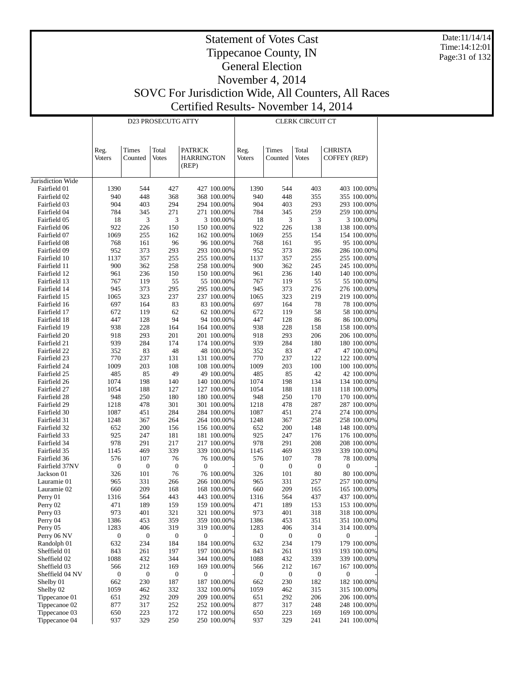Date:11/14/14 Time:14:12:01 Page:31 of 132

|                                 |                         |                         | D23 PROSECUTG ATTY     |                                              |                            | CLERK CIRCUIT CT        |                         |                        |                                       |                            |  |
|---------------------------------|-------------------------|-------------------------|------------------------|----------------------------------------------|----------------------------|-------------------------|-------------------------|------------------------|---------------------------------------|----------------------------|--|
|                                 | Reg.<br><b>Voters</b>   | Times<br>Counted        | Total<br><b>Votes</b>  | <b>PATRICK</b><br><b>HARRINGTON</b><br>(REP) |                            | Reg.<br>Voters          | Times<br>Counted        | Total<br><b>Votes</b>  | <b>CHRISTA</b><br><b>COFFEY (REP)</b> |                            |  |
| Jurisdiction Wide               |                         |                         |                        |                                              |                            |                         |                         |                        |                                       |                            |  |
| Fairfield 01                    | 1390                    | 544                     | 427                    |                                              | 427 100.00%                | 1390                    | 544                     | 403                    |                                       | 403 100.00%                |  |
| Fairfield 02                    | 940                     | 448                     | 368                    |                                              | 368 100.00%                | 940                     | 448                     | 355                    |                                       | 355 100.00%                |  |
| Fairfield 03                    | 904                     | 403                     | 294                    |                                              | 294 100.00%                | 904                     | 403                     | 293                    |                                       | 293 100.00%                |  |
| Fairfield 04                    | 784                     | 345                     | 271                    |                                              | 271 100.00%                | 784                     | 345                     | 259                    |                                       | 259 100.00%                |  |
| Fairfield 05                    | 18                      | 3                       | 3                      |                                              | 3 100.00%                  | 18                      | 3                       | 3                      |                                       | 3 100.00%                  |  |
| Fairfield 06                    | 922                     | 226                     | 150                    |                                              | 150 100.00%                | 922                     | 226                     | 138                    |                                       | 138 100.00%                |  |
| Fairfield 07                    | 1069                    | 255                     | 162                    |                                              | 162 100.00%                | 1069                    | 255                     | 154                    |                                       | 154 100.00%                |  |
| Fairfield 08                    | 768                     | 161                     | 96                     |                                              | 96 100.00%                 | 768                     | 161                     | 95                     |                                       | 95 100.00%                 |  |
| Fairfield 09                    | 952                     | 373<br>357              | 293                    |                                              | 293 100.00%                | 952                     | 373                     | 286<br>255             |                                       | 286 100.00%                |  |
| Fairfield 10<br>Fairfield 11    | 1137<br>900             | 362                     | 255<br>258             |                                              | 255 100.00%<br>258 100.00% | 1137<br>900             | 357<br>362              | 245                    |                                       | 255 100.00%<br>245 100.00% |  |
| Fairfield 12                    | 961                     | 236                     | 150                    |                                              | 150 100.00%                | 961                     | 236                     | 140                    |                                       | 140 100.00%                |  |
| Fairfield 13                    | 767                     | 119                     | 55                     |                                              | 55 100.00%                 | 767                     | 119                     | 55                     |                                       | 55 100.00%                 |  |
| Fairfield 14                    | 945                     | 373                     | 295                    |                                              | 295 100.00%                | 945                     | 373                     | 276                    |                                       | 276 100.00%                |  |
| Fairfield 15                    | 1065                    | 323                     | 237                    |                                              | 237 100.00%                | 1065                    | 323                     | 219                    |                                       | 219 100.00%                |  |
| Fairfield 16                    | 697                     | 164                     | 83                     |                                              | 83 100.00%                 | 697                     | 164                     | 78                     |                                       | 78 100.00%                 |  |
| Fairfield 17                    | 672                     | 119                     | 62                     |                                              | 62 100.00%                 | 672                     | 119                     | 58                     |                                       | 58 100.00%                 |  |
| Fairfield 18                    | 447                     | 128                     | 94                     |                                              | 94 100.00%                 | 447                     | 128                     | 86                     |                                       | 86 100.00%                 |  |
| Fairfield 19                    | 938                     | 228                     | 164                    |                                              | 164 100.00%                | 938                     | 228                     | 158                    |                                       | 158 100.00%                |  |
| Fairfield 20                    | 918                     | 293                     | 201                    |                                              | 201 100.00%                | 918                     | 293                     | 206                    |                                       | 206 100.00%                |  |
| Fairfield 21                    | 939                     | 284                     | 174                    |                                              | 174 100.00%                | 939                     | 284                     | 180                    |                                       | 180 100.00%                |  |
| Fairfield 22                    | 352                     | 83                      | 48                     |                                              | 48 100.00%                 | 352                     | 83                      | 47                     |                                       | 47 100.00%                 |  |
| Fairfield 23                    | 770<br>1009             | 237<br>203              | 131                    |                                              | 131 100.00%                | 770                     | 237<br>203              | 122                    |                                       | 122 100.00%                |  |
| Fairfield 24<br>Fairfield 25    | 485                     | 85                      | 108<br>49              |                                              | 108 100.00%<br>49 100.00%  | 1009<br>485             | 85                      | 100<br>42              |                                       | 100 100.00%<br>42 100.00%  |  |
| Fairfield 26                    | 1074                    | 198                     | 140                    |                                              | 140 100.00%                | 1074                    | 198                     | 134                    |                                       | 134 100.00%                |  |
| Fairfield 27                    | 1054                    | 188                     | 127                    |                                              | 127 100.00%                | 1054                    | 188                     | 118                    |                                       | 118 100.00%                |  |
| Fairfield 28                    | 948                     | 250                     | 180                    |                                              | 180 100.00%                | 948                     | 250                     | 170                    |                                       | 170 100.00%                |  |
| Fairfield 29                    | 1218                    | 478                     | 301                    |                                              | 301 100.00%                | 1218                    | 478                     | 287                    |                                       | 287 100.00%                |  |
| Fairfield 30                    | 1087                    | 451                     | 284                    |                                              | 284 100.00%                | 1087                    | 451                     | 274                    |                                       | 274 100.00%                |  |
| Fairfield 31                    | 1248                    | 367                     | 264                    |                                              | 264 100.00%                | 1248                    | 367                     | 258                    |                                       | 258 100.00%                |  |
| Fairfield 32                    | 652                     | 200                     | 156                    |                                              | 156 100.00%                | 652                     | 200                     | 148                    |                                       | 148 100.00%                |  |
| Fairfield 33                    | 925                     | 247                     | 181                    |                                              | 181 100.00%                | 925                     | 247                     | 176                    |                                       | 176 100.00%                |  |
| Fairfield 34                    | 978                     | 291                     | 217                    |                                              | 217 100.00%                | 978                     | 291                     | 208                    |                                       | 208 100.00%                |  |
| Fairfield 35                    | 1145                    | 469                     | 339                    |                                              | 339 100.00%                | 1145                    | 469                     | 339                    |                                       | 339 100.00%                |  |
| Fairfield 36<br>Fairfield 37NV  | 576<br>$\boldsymbol{0}$ | 107<br>$\boldsymbol{0}$ | 76<br>$\boldsymbol{0}$ | $\mathbf 0$                                  | 76 100.00%                 | 576<br>$\boldsymbol{0}$ | 107<br>$\boldsymbol{0}$ | 78<br>$\boldsymbol{0}$ | $\boldsymbol{0}$                      | 78 100.00%                 |  |
| Jackson 01                      | 326                     | 101                     | 76                     |                                              | 76 100.00%                 | 326                     | 101                     | 80                     |                                       | 80 100.00%                 |  |
| Lauramie 01                     | 965                     | 331                     | 266                    |                                              | 266 100.00%                | 965                     | 331                     | 257                    |                                       | 257 100.00%                |  |
| Lauramie 02                     | 660                     | 209                     | 168                    |                                              | 168 100.00%                | 660                     | 209                     | 165                    |                                       | 165 100.00%                |  |
| Perry 01                        | 1316                    | 564                     | 443                    |                                              | 443 100.00%                | 1316                    | 564                     | 437                    |                                       | 437 100.00%                |  |
| Perry 02                        | 471                     | 189                     | 159                    |                                              | 159 100.00%                | 471                     | 189                     | 153                    |                                       | 153 100.00%                |  |
| Perry 03                        | 973                     | 401                     | 321                    |                                              | 321 100.00%                | 973                     | 401                     | 318                    |                                       | 318 100.00%                |  |
| Perry 04                        | 1386                    | 453                     | 359                    |                                              | 359 100.00%                | 1386                    | 453                     | 351                    |                                       | 351 100.00%                |  |
| Perry 05                        | 1283                    | 406                     | 319                    |                                              | 319 100.00%                | 1283                    | 406                     | 314                    |                                       | 314 100.00%                |  |
| Perry 06 NV                     | 0                       | 0                       | $\boldsymbol{0}$       | 0                                            |                            | 0                       | $\boldsymbol{0}$        | 0                      | 0                                     |                            |  |
| Randolph 01                     | 632                     | 234                     | 184                    |                                              | 184 100.00%                | 632                     | 234                     | 179                    |                                       | 179 100.00%                |  |
| Sheffield 01<br>Sheffield 02    | 843                     | 261                     | 197                    |                                              | 197 100.00%                | 843                     | 261                     | 193                    |                                       | 193 100.00%                |  |
|                                 | 1088                    | 432<br>212              | 344<br>169             |                                              | 344 100.00%                | 1088                    | 432<br>212              | 339<br>167             |                                       | 339 100.00%<br>167 100.00% |  |
| Sheffield 03<br>Sheffield 04 NV | 566<br>0                | $\boldsymbol{0}$        | $\boldsymbol{0}$       | $\boldsymbol{0}$                             | 169 100.00%                | 566<br>0                | $\boldsymbol{0}$        | $\boldsymbol{0}$       | 0                                     |                            |  |
| Shelby 01                       | 662                     | 230                     | 187                    |                                              | 187 100.00%                | 662                     | 230                     | 182                    |                                       | 182 100.00%                |  |
| Shelby 02                       | 1059                    | 462                     | 332                    |                                              | 332 100.00%                | 1059                    | 462                     | 315                    |                                       | 315 100.00%                |  |
| Tippecanoe 01                   | 651                     | 292                     | 209                    |                                              | 209 100.00%                | 651                     | 292                     | 206                    |                                       | 206 100.00%                |  |
| Tippecanoe 02                   | 877                     | 317                     | 252                    |                                              | 252 100.00%                | 877                     | 317                     | 248                    |                                       | 248 100.00%                |  |
| Tippecanoe 03                   | 650                     | 223                     | 172                    |                                              | 172 100.00%                | 650                     | 223                     | 169                    |                                       | 169 100.00%                |  |
| Tippecanoe 04                   | 937                     | 329                     | 250                    |                                              | 250 100.00%                | 937                     | 329                     | 241                    |                                       | 241 100.00%                |  |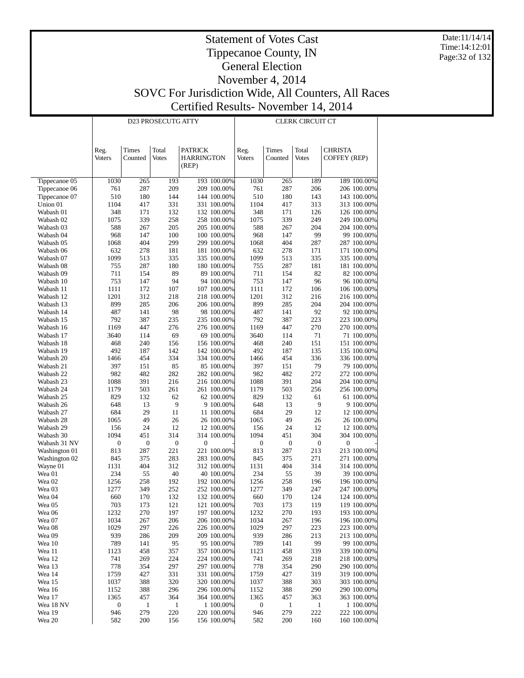Date:11/14/14 Time:14:12:01 Page:32 of 132

|                        |                       |                  | D23 PROSECUTG ATTY    |                                       | <b>CLERK CIRCUIT CT</b>    |                  |                  |                       |                                |                            |
|------------------------|-----------------------|------------------|-----------------------|---------------------------------------|----------------------------|------------------|------------------|-----------------------|--------------------------------|----------------------------|
|                        | Reg.<br><b>Voters</b> | Times<br>Counted | Total<br><b>Votes</b> | <b>PATRICK</b><br>HARRINGTON<br>(REP) |                            | Reg.<br>Voters   | Times<br>Counted | Total<br><b>Votes</b> | <b>CHRISTA</b><br>COFFEY (REP) |                            |
| Tippecanoe 05          | 1030                  | 265              | 193                   |                                       | 193 100.00%                | 1030             | 265              | 189                   |                                | 189 100.00%                |
| Tippecanoe 06          | 761                   | 287              | 209                   |                                       | 209 100.00%                | 761              | 287              | 206                   |                                | 206 100.00%                |
| Tippecanoe 07          | 510                   | 180              | 144                   |                                       | 144 100.00%                | 510              | 180              | 143                   |                                | 143 100.00%                |
| Union 01               | 1104                  | 417              | 331                   |                                       | 331 100.00%                | 1104             | 417              | 313                   |                                | 313 100.00%                |
| Wabash 01              | 348                   | 171              | 132                   |                                       | 132 100.00%                | 348              | 171              | 126                   |                                | 126 100.00%                |
| Wabash 02              | 1075                  | 339              | 258                   |                                       | 258 100.00%                | 1075             | 339              | 249                   |                                | 249 100.00%                |
| Wabash 03              | 588                   | 267              | 205                   |                                       | 205 100.00%                | 588              | 267              | 204                   |                                | 204 100.00%                |
| Wabash 04              | 968<br>1068           | 147<br>404       | 100<br>299            |                                       | 100 100.00%<br>299 100.00% | 968<br>1068      | 147<br>404       | 99<br>287             |                                | 99 100.00%<br>287 100.00%  |
| Wabash 05<br>Wabash 06 | 632                   | 278              | 181                   |                                       | 181 100.00%                | 632              | 278              | 171                   |                                | 171 100.00%                |
| Wabash 07              | 1099                  | 513              | 335                   |                                       | 335 100.00%                | 1099             | 513              | 335                   |                                | 335 100.00%                |
| Wabash 08              | 755                   | 287              | 180                   |                                       | 180 100.00%                | 755              | 287              | 181                   |                                | 181 100.00%                |
| Wabash 09              | 711                   | 154              | 89                    |                                       | 89 100.00%                 | 711              | 154              | 82                    |                                | 82 100.00%                 |
| Wabash 10              | 753                   | 147              | 94                    |                                       | 94 100.00%                 | 753              | 147              | 96                    |                                | 96 100.00%                 |
| Wabash 11              | 1111                  | 172              | 107                   |                                       | 107 100.00%                | 1111             | 172              | 106                   |                                | 106 100.00%                |
| Wabash 12              | 1201                  | 312              | 218                   |                                       | 218 100.00%                | 1201             | 312              | 216                   |                                | 216 100.00%                |
| Wabash 13              | 899                   | 285              | 206                   |                                       | 206 100.00%                | 899              | 285              | 204                   |                                | 204 100.00%                |
| Wabash 14              | 487                   | 141              | 98                    |                                       | 98 100.00%                 | 487              | 141              | 92                    |                                | 92 100.00%                 |
| Wabash 15              | 792                   | 387              | 235                   |                                       | 235 100.00%                | 792              | 387              | 223                   |                                | 223 100.00%                |
| Wabash 16              | 1169                  | 447              | 276                   |                                       | 276 100.00%                | 1169             | 447              | 270                   |                                | 270 100.00%                |
| Wabash 17              | 3640                  | 114              | 69                    |                                       | 69 100.00%                 | 3640             | 114              | 71                    |                                | 71 100.00%                 |
| Wabash 18              | 468                   | 240              | 156                   |                                       | 156 100.00%                | 468              | 240              | 151                   |                                | 151 100.00%                |
| Wabash 19              | 492                   | 187              | 142                   |                                       | 142 100.00%                | 492              | 187              | 135                   |                                | 135 100.00%                |
| Wabash 20              | 1466                  | 454              | 334                   |                                       | 334 100.00%                | 1466             | 454              | 336                   |                                | 336 100.00%                |
| Wabash 21              | 397                   | 151              | 85                    |                                       | 85 100.00%                 | 397              | 151              | 79                    |                                | 79 100.00%                 |
| Wabash 22              | 982                   | 482              | 282<br>216            |                                       | 282 100.00%                | 982              | 482<br>391       | 272<br>204            |                                | 272 100.00%                |
| Wabash 23<br>Wabash 24 | 1088<br>1179          | 391<br>503       | 261                   |                                       | 216 100.00%<br>261 100.00% | 1088<br>1179     | 503              | 256                   |                                | 204 100.00%<br>256 100.00% |
| Wabash 25              | 829                   | 132              | 62                    |                                       | 62 100.00%                 | 829              | 132              | 61                    |                                | 61 100.00%                 |
| Wabash 26              | 648                   | 13               | 9                     |                                       | 9 100.00%                  | 648              | 13               | 9                     |                                | 9 100.00%                  |
| Wabash 27              | 684                   | 29               | 11                    |                                       | 11 100.00%                 | 684              | 29               | 12                    |                                | 12 100.00%                 |
| Wabash 28              | 1065                  | 49               | 26                    |                                       | 26 100.00%                 | 1065             | 49               | 26                    |                                | 26 100.00%                 |
| Wabash 29              | 156                   | 24               | 12                    |                                       | 12 100.00%                 | 156              | 24               | 12                    |                                | 12 100.00%                 |
| Wabash 30              | 1094                  | 451              | 314                   |                                       | 314 100.00%                | 1094             | 451              | 304                   |                                | 304 100.00%                |
| Wabash 31 NV           | $\boldsymbol{0}$      | 0                | $\boldsymbol{0}$      | $\boldsymbol{0}$                      |                            | $\boldsymbol{0}$ | $\boldsymbol{0}$ | $\boldsymbol{0}$      | $\boldsymbol{0}$               |                            |
| Washington 01          | 813                   | 287              | 221                   |                                       | 221 100.00%                | 813              | 287              | 213                   |                                | 213 100.00%                |
| Washington 02          | 845                   | 375              | 283                   |                                       | 283 100.00%                | 845              | 375              | 271                   |                                | 271 100.00%                |
| Wayne 01               | 1131                  | 404              | 312                   |                                       | 312 100.00%                | 1131             | 404              | 314                   |                                | 314 100.00%                |
| Wea 01                 | 234                   | 55               | 40                    |                                       | 40 100.00%                 | 234              | 55               | 39                    |                                | 39 100.00%                 |
| Wea <sub>02</sub>      | 1256                  | 258              | 192                   |                                       | 192 100.00%                | 1256             | 258              | 196                   |                                | 196 100.00%                |
| Wea 03                 | 1277                  | 349              | 252                   |                                       | 252 100.00%                | 1277             | 349              | 247                   |                                | 247 100.00%                |
| Wea 04                 | 660                   | 170              | 132                   |                                       | 132 100.00%<br>121 100.00% | 660              | 170              | 124                   |                                | 124 100.00%<br>119 100.00% |
| Wea 05<br>Wea 06       | 703<br>1232           | 173<br>270       | 121<br>197            |                                       | 197 100.00%                | 703<br>1232      | 173<br>270       | 119<br>193            |                                | 193 100.00%                |
| Wea 07                 | 1034                  | 267              | 206                   |                                       | 206 100.00%                | 1034             | 267              | 196                   |                                | 196 100.00%                |
| Wea 08                 | 1029                  | 297              | 226                   |                                       | 226 100.00%                | 1029             | 297              | 223                   |                                | 223 100.00%                |
| Wea 09                 | 939                   | 286              | 209                   |                                       | 209 100.00%                | 939              | 286              | 213                   |                                | 213 100.00%                |
| Wea 10                 | 789                   | 141              | 95                    |                                       | 95 100.00%                 | 789              | 141              | 99                    |                                | 99 100.00%                 |
| Wea 11                 | 1123                  | 458              | 357                   |                                       | 357 100.00%                | 1123             | 458              | 339                   |                                | 339 100.00%                |
| Wea 12                 | 741                   | 269              | 224                   |                                       | 224 100.00%                | 741              | 269              | 218                   |                                | 218 100.00%                |
| Wea 13                 | 778                   | 354              | 297                   |                                       | 297 100.00%                | 778              | 354              | 290                   |                                | 290 100.00%                |
| Wea 14                 | 1759                  | 427              | 331                   |                                       | 331 100.00%                | 1759             | 427              | 319                   |                                | 319 100.00%                |
| Wea 15                 | 1037                  | 388              | 320                   |                                       | 320 100.00%                | 1037             | 388              | 303                   |                                | 303 100.00%                |
| Wea 16                 | 1152                  | 388              | 296                   |                                       | 296 100.00%                | 1152             | 388              | 290                   |                                | 290 100.00%                |
| Wea 17                 | 1365                  | 457              | 364                   |                                       | 364 100.00%                | 1365             | 457              | 363                   |                                | 363 100.00%                |
| Wea 18 NV              | 0                     | $\mathbf{1}$     | $\mathbf{1}$          |                                       | 1 100.00%                  | $\boldsymbol{0}$ | $\mathbf{1}$     | $\mathbf{1}$          |                                | 1 100.00%                  |
| Wea 19                 | 946                   | 279              | 220                   |                                       | 220 100.00%                | 946              | 279              | 222                   |                                | 222 100.00%                |
| Wea 20                 | 582                   | 200              | 156                   |                                       | 156 100.00%                | 582              | 200              | 160                   |                                | 160 100.00%                |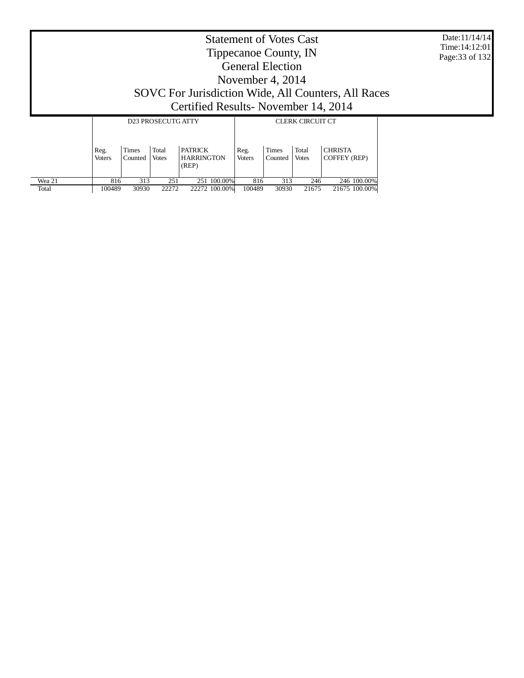Date:11/14/14 Time:14:12:01 Page:33 of 132

|        |                       |                  | <b>D23 PROSECUTG ATTY</b> |                                              | <b>CLERK CIRCUIT CT</b> |                         |                       |                                       |  |
|--------|-----------------------|------------------|---------------------------|----------------------------------------------|-------------------------|-------------------------|-----------------------|---------------------------------------|--|
|        | Reg.<br><b>Voters</b> | Times<br>Counted | Total<br><b>Votes</b>     | <b>PATRICK</b><br><b>HARRINGTON</b><br>(REP) | Reg.<br><b>Voters</b>   | <b>Times</b><br>Counted | Total<br><b>Votes</b> | <b>CHRISTA</b><br><b>COFFEY (REP)</b> |  |
| Wea 21 | 816                   | 313              | 251                       | 251 100.00%                                  | 816                     | 313                     | 246                   | 246 100,00%                           |  |
| Total  | 100489                | 30930            | 22272                     | 22272 100.00%                                | 100489                  | 30930                   | 21675                 | 21675 100.00%                         |  |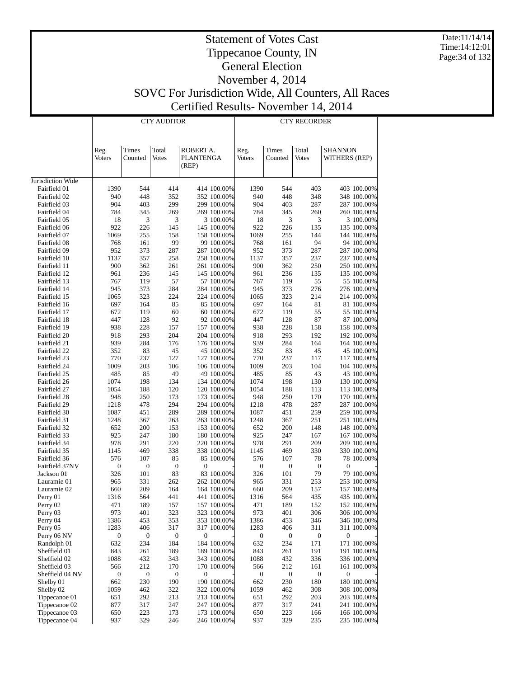Date:11/14/14 Time:14:12:01 Page:34 of 132

|                              |                       |                  | <b>CTY AUDITOR</b>     |                                        | <b>CTY RECORDER</b>        |                  |                  |                        |                                 |                            |
|------------------------------|-----------------------|------------------|------------------------|----------------------------------------|----------------------------|------------------|------------------|------------------------|---------------------------------|----------------------------|
|                              | Reg.<br><b>Voters</b> | Times<br>Counted | Total<br>Votes         | ROBERT A.<br><b>PLANTENGA</b><br>(REP) |                            | Reg.<br>Voters   | Times<br>Counted | Total<br>Votes         | <b>SHANNON</b><br>WITHERS (REP) |                            |
| Jurisdiction Wide            |                       |                  |                        |                                        |                            |                  |                  |                        |                                 |                            |
| Fairfield 01                 | 1390                  | 544              | 414                    |                                        | 414 100.00%                | 1390             | 544              | 403                    |                                 | 403 100.00%                |
| Fairfield 02                 | 940                   | 448              | 352                    |                                        | 352 100.00%                | 940              | 448              | 348                    |                                 | 348 100.00%                |
| Fairfield 03                 | 904                   | 403              | 299                    |                                        | 299 100.00%                | 904              | 403              | 287                    |                                 | 287 100.00%                |
| Fairfield 04                 | 784                   | 345              | 269                    |                                        | 269 100.00%                | 784              | 345              | 260                    |                                 | 260 100.00%                |
| Fairfield 05                 | 18                    | 3                | 3                      |                                        | 3 100.00%                  | 18               | 3                | 3                      |                                 | 3 100.00%                  |
| Fairfield 06                 | 922                   | 226              | 145                    |                                        | 145 100.00%                | 922              | 226              | 135                    |                                 | 135 100.00%                |
| Fairfield 07                 | 1069                  | 255              | 158                    |                                        | 158 100.00%                | 1069             | 255              | 144                    |                                 | 144 100.00%                |
| Fairfield 08                 | 768                   | 161              | 99                     |                                        | 99 100.00%                 | 768              | 161              | 94                     |                                 | 94 100.00%                 |
| Fairfield 09<br>Fairfield 10 | 952                   | 373<br>357       | 287                    |                                        | 287 100.00%                | 952<br>1137      | 373              | 287<br>237             |                                 | 287 100.00%                |
| Fairfield 11                 | 1137<br>900           | 362              | 258<br>261             |                                        | 258 100.00%<br>261 100.00% | 900              | 357<br>362       | 250                    |                                 | 237 100.00%<br>250 100.00% |
| Fairfield 12                 | 961                   | 236              | 145                    |                                        | 145 100.00%                | 961              | 236              | 135                    |                                 | 135 100.00%                |
| Fairfield 13                 | 767                   | 119              | 57                     |                                        | 57 100.00%                 | 767              | 119              | 55                     |                                 | 55 100.00%                 |
| Fairfield 14                 | 945                   | 373              | 284                    |                                        | 284 100.00%                | 945              | 373              | 276                    |                                 | 276 100.00%                |
| Fairfield 15                 | 1065                  | 323              | 224                    |                                        | 224 100.00%                | 1065             | 323              | 214                    |                                 | 214 100.00%                |
| Fairfield 16                 | 697                   | 164              | 85                     |                                        | 85 100.00%                 | 697              | 164              | 81                     |                                 | 81 100.00%                 |
| Fairfield 17                 | 672                   | 119              | 60                     |                                        | 60 100.00%                 | 672              | 119              | 55                     |                                 | 55 100.00%                 |
| Fairfield 18                 | 447                   | 128              | 92                     |                                        | 92 100.00%                 | 447              | 128              | 87                     |                                 | 87 100.00%                 |
| Fairfield 19                 | 938                   | 228              | 157                    |                                        | 157 100.00%                | 938              | 228              | 158                    |                                 | 158 100.00%                |
| Fairfield 20                 | 918                   | 293              | 204                    |                                        | 204 100.00%                | 918              | 293              | 192                    |                                 | 192 100.00%                |
| Fairfield 21                 | 939                   | 284              | 176                    |                                        | 176 100.00%                | 939              | 284              | 164                    |                                 | 164 100.00%                |
| Fairfield 22                 | 352                   | 83               | 45                     |                                        | 45 100.00%                 | 352              | 83               | 45                     |                                 | 45 100.00%                 |
| Fairfield 23                 | 770                   | 237              | 127                    |                                        | 127 100.00%                | 770              | 237              | 117                    |                                 | 117 100.00%                |
| Fairfield 24                 | 1009                  | 203              | 106                    |                                        | 106 100.00%                | 1009             | 203              | 104                    |                                 | 104 100.00%                |
| Fairfield 25                 | 485                   | 85               | 49                     |                                        | 49 100.00%                 | 485              | 85               | 43                     |                                 | 43 100.00%                 |
| Fairfield 26                 | 1074                  | 198              | 134                    |                                        | 134 100.00%                | 1074             | 198              | 130                    |                                 | 130 100.00%                |
| Fairfield 27                 | 1054                  | 188              | 120                    |                                        | 120 100.00%                | 1054             | 188              | 113                    |                                 | 113 100.00%                |
| Fairfield 28                 | 948                   | 250              | 173                    |                                        | 173 100.00%                | 948              | 250              | 170                    |                                 | 170 100.00%                |
| Fairfield 29                 | 1218                  | 478              | 294                    |                                        | 294 100.00%                | 1218             | 478              | 287                    |                                 | 287 100.00%                |
| Fairfield 30                 | 1087                  | 451              | 289                    |                                        | 289 100.00%                | 1087             | 451              | 259                    |                                 | 259 100.00%                |
| Fairfield 31                 | 1248                  | 367              | 263                    |                                        | 263 100.00%                | 1248             | 367              | 251                    |                                 | 251 100.00%                |
| Fairfield 32                 | 652                   | 200              | 153                    |                                        | 153 100.00%                | 652              | 200              | 148                    |                                 | 148 100.00%                |
| Fairfield 33                 | 925                   | 247              | 180                    |                                        | 180 100.00%                | 925              | 247              | 167                    |                                 | 167 100.00%                |
| Fairfield 34                 | 978                   | 291              | 220                    |                                        | 220 100.00%                | 978              | 291              | 209                    |                                 | 209 100.00%                |
| Fairfield 35                 | 1145                  | 469              | 338                    |                                        | 338 100.00%                | 1145             | 469              | 330                    |                                 | 330 100.00%                |
| Fairfield 36                 | 576                   | 107              | 85                     |                                        | 85 100.00%                 | 576              | 107              | 78                     |                                 | 78 100.00%                 |
| Fairfield 37NV               | $\boldsymbol{0}$      | $\boldsymbol{0}$ | $\boldsymbol{0}$<br>83 | $\boldsymbol{0}$                       | 83 100.00%                 | $\boldsymbol{0}$ | $\boldsymbol{0}$ | $\boldsymbol{0}$<br>79 | $\boldsymbol{0}$                |                            |
| Jackson 01<br>Lauramie 01    | 326<br>965            | 101<br>331       | 262                    |                                        | 262 100.00%                | 326<br>965       | 101<br>331       | 253                    |                                 | 79 100.00%<br>253 100.00%  |
| Lauramie 02                  | 660                   | 209              | 164                    |                                        | 164 100.00%                | 660              | 209              | 157                    |                                 | 157 100.00%                |
| Perry 01                     | 1316                  | 564              | 441                    |                                        | 441 100.00%                | 1316             | 564              | 435                    |                                 | 435 100.00%                |
| Perry 02                     | 471                   | 189              | 157                    |                                        | 157 100.00%                | 471              | 189              | 152                    |                                 | 152 100.00%                |
| Perry 03                     | 973                   | 401              | 323                    |                                        | 323 100.00%                | 973              | 401              | 306                    |                                 | 306 100.00%                |
| Perry 04                     | 1386                  | 453              | 353                    |                                        | 353 100.00%                | 1386             | 453              | 346                    |                                 | 346 100.00%                |
| Perry 05                     | 1283                  | 406              | 317                    |                                        | 317 100.00%                | 1283             | 406              | 311                    |                                 | 311 100.00%                |
| Perry 06 NV                  | 0                     | $\boldsymbol{0}$ | $\boldsymbol{0}$       | $\boldsymbol{0}$                       |                            | 0                | 0                | $\boldsymbol{0}$       | $\boldsymbol{0}$                |                            |
| Randolph 01                  | 632                   | 234              | 184                    |                                        | 184 100.00%                | 632              | 234              | 171                    |                                 | 171 100.00%                |
| Sheffield 01                 | 843                   | 261              | 189                    |                                        | 189 100.00%                | 843              | 261              | 191                    |                                 | 191 100.00%                |
| Sheffield 02                 | 1088                  | 432              | 343                    |                                        | 343 100.00%                | 1088             | 432              | 336                    |                                 | 336 100.00%                |
| Sheffield 03                 | 566                   | 212              | 170                    |                                        | 170 100.00%                | 566              | 212              | 161                    |                                 | 161 100.00%                |
| Sheffield 04 NV              | $\boldsymbol{0}$      | $\boldsymbol{0}$ | $\boldsymbol{0}$       | $\boldsymbol{0}$                       |                            | 0                | $\boldsymbol{0}$ | $\boldsymbol{0}$       | $\boldsymbol{0}$                |                            |
| Shelby 01                    | 662                   | 230              | 190                    |                                        | 190 100.00%                | 662              | 230              | 180                    |                                 | 180 100.00%                |
| Shelby 02                    | 1059                  | 462              | 322                    |                                        | 322 100.00%                | 1059             | 462              | 308                    |                                 | 308 100.00%                |
| Tippecanoe 01                | 651                   | 292              | 213                    |                                        | 213 100.00%                | 651              | 292              | 203                    |                                 | 203 100.00%                |
| Tippecanoe 02                | 877                   | 317              | 247                    |                                        | 247 100.00%                | 877              | 317              | 241                    |                                 | 241 100.00%                |
| Tippecanoe 03                | 650                   | 223              | 173                    |                                        | 173 100.00%                | 650              | 223              | 166                    |                                 | 166 100.00%                |
| Tippecanoe 04                | 937                   | 329              | 246                    |                                        | 246 100.00%                | 937              | 329              | 235                    |                                 | 235 100.00%                |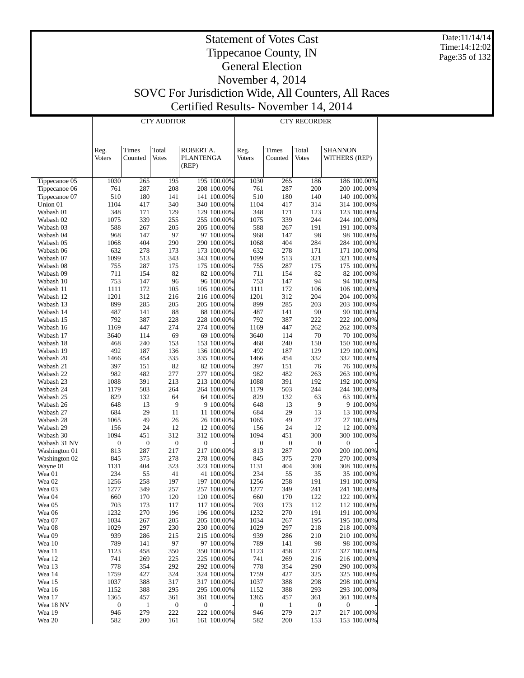Date:11/14/14 Time:14:12:02 Page:35 of 132

|                        |                       | <b>CTY AUDITOR</b> |                       | <b>CTY RECORDER</b>                    |                            |                  |                  |                       |                                 |                            |
|------------------------|-----------------------|--------------------|-----------------------|----------------------------------------|----------------------------|------------------|------------------|-----------------------|---------------------------------|----------------------------|
|                        | Reg.<br><b>Voters</b> | Times<br>Counted   | Total<br><b>Votes</b> | ROBERT A.<br><b>PLANTENGA</b><br>(REP) |                            | Reg.<br>Voters   | Times<br>Counted | Total<br><b>Votes</b> | <b>SHANNON</b><br>WITHERS (REP) |                            |
| Tippecanoe 05          | 1030                  | 265                | 195                   |                                        | 195 100.00%                | 1030             | 265              | 186                   |                                 | 186 100.00%                |
| Tippecanoe 06          | 761                   | 287                | 208                   |                                        | 208 100.00%                | 761              | 287              | 200                   |                                 | 200 100.00%                |
| Tippecanoe 07          | 510                   | 180                | 141                   |                                        | 141 100.00%                | 510              | 180              | 140                   |                                 | 140 100.00%                |
| Union 01               | 1104                  | 417                | 340                   |                                        | 340 100.00%                | 1104             | 417              | 314                   |                                 | 314 100.00%                |
| Wabash 01              | 348                   | 171                | 129                   |                                        | 129 100.00%                | 348              | 171              | 123                   |                                 | 123 100.00%                |
| Wabash 02              | 1075                  | 339                | 255                   |                                        | 255 100.00%                | 1075             | 339              | 244                   |                                 | 244 100.00%                |
| Wabash 03              | 588                   | 267                | 205                   |                                        | 205 100.00%                | 588              | 267              | 191                   |                                 | 191 100.00%                |
| Wabash 04              | 968                   | 147                | 97                    |                                        | 97 100.00%                 | 968              | 147              | 98                    |                                 | 98 100.00%                 |
| Wabash 05              | 1068<br>632           | 404<br>278         | 290<br>173            |                                        | 290 100.00%                | 1068<br>632      | 404<br>278       | 284<br>171            |                                 | 284 100.00%                |
| Wabash 06<br>Wabash 07 | 1099                  | 513                | 343                   |                                        | 173 100.00%<br>343 100.00% | 1099             | 513              | 321                   |                                 | 171 100.00%<br>321 100.00% |
| Wabash 08              | 755                   | 287                | 175                   |                                        | 175 100.00%                | 755              | 287              | 175                   |                                 | 175 100.00%                |
| Wabash 09              | 711                   | 154                | 82                    |                                        | 82 100.00%                 | 711              | 154              | 82                    |                                 | 82 100.00%                 |
| Wabash 10              | 753                   | 147                | 96                    |                                        | 96 100.00%                 | 753              | 147              | 94                    |                                 | 94 100.00%                 |
| Wabash 11              | 1111                  | 172                | 105                   |                                        | 105 100.00%                | 1111             | 172              | 106                   |                                 | 106 100.00%                |
| Wabash 12              | 1201                  | 312                | 216                   |                                        | 216 100.00%                | 1201             | 312              | 204                   |                                 | 204 100.00%                |
| Wabash 13              | 899                   | 285                | 205                   |                                        | 205 100.00%                | 899              | 285              | 203                   |                                 | 203 100.00%                |
| Wabash 14              | 487                   | 141                | 88                    |                                        | 88 100.00%                 | 487              | 141              | 90                    |                                 | 90 100.00%                 |
| Wabash 15              | 792                   | 387                | 228                   |                                        | 228 100.00%                | 792              | 387              | 222                   |                                 | 222 100.00%                |
| Wabash 16              | 1169                  | 447                | 274                   |                                        | 274 100.00%                | 1169             | 447              | 262                   |                                 | 262 100.00%                |
| Wabash 17              | 3640                  | 114                | 69                    |                                        | 69 100.00%                 | 3640             | 114              | 70                    |                                 | 70 100.00%                 |
| Wabash 18              | 468                   | 240                | 153                   |                                        | 153 100.00%                | 468              | 240              | 150                   |                                 | 150 100.00%                |
| Wabash 19              | 492                   | 187                | 136                   |                                        | 136 100.00%                | 492              | 187              | 129                   |                                 | 129 100.00%                |
| Wabash 20              | 1466                  | 454                | 335                   |                                        | 335 100.00%                | 1466             | 454              | 332                   |                                 | 332 100.00%                |
| Wabash 21              | 397<br>982            | 151<br>482         | 82<br>277             |                                        | 82 100.00%                 | 397<br>982       | 151<br>482       | 76<br>263             |                                 | 76 100.00%<br>263 100.00%  |
| Wabash 22<br>Wabash 23 | 1088                  | 391                | 213                   |                                        | 277 100.00%<br>213 100.00% | 1088             | 391              | 192                   |                                 | 192 100.00%                |
| Wabash 24              | 1179                  | 503                | 264                   |                                        | 264 100.00%                | 1179             | 503              | 244                   |                                 | 244 100.00%                |
| Wabash 25              | 829                   | 132                | 64                    |                                        | 64 100.00%                 | 829              | 132              | 63                    |                                 | 63 100.00%                 |
| Wabash 26              | 648                   | 13                 | 9                     |                                        | 9 100.00%                  | 648              | 13               | 9                     |                                 | 9 100.00%                  |
| Wabash 27              | 684                   | 29                 | 11                    |                                        | 11 100.00%                 | 684              | 29               | 13                    |                                 | 13 100.00%                 |
| Wabash 28              | 1065                  | 49                 | 26                    |                                        | 26 100.00%                 | 1065             | 49               | 27                    |                                 | 27 100.00%                 |
| Wabash 29              | 156                   | 24                 | 12                    |                                        | 12 100.00%                 | 156              | 24               | 12                    |                                 | 12 100.00%                 |
| Wabash 30              | 1094                  | 451                | 312                   |                                        | 312 100.00%                | 1094             | 451              | 300                   |                                 | 300 100.00%                |
| Wabash 31 NV           | $\boldsymbol{0}$      | $\boldsymbol{0}$   | $\boldsymbol{0}$      | 0                                      |                            | $\boldsymbol{0}$ | $\boldsymbol{0}$ | 0                     | $\boldsymbol{0}$                |                            |
| Washington 01          | 813                   | 287                | 217                   |                                        | 217 100.00%                | 813              | 287              | 200                   |                                 | 200 100.00%                |
| Washington 02          | 845                   | 375                | 278                   |                                        | 278 100.00%                | 845              | 375              | 270                   |                                 | 270 100.00%                |
| Wayne 01               | 1131                  | 404                | 323                   |                                        | 323 100.00%                | 1131             | 404              | 308                   |                                 | 308 100.00%                |
| Wea 01<br>Wea 02       | 234<br>1256           | 55<br>258          | 41<br>197             |                                        | 41 100.00%<br>197 100.00%  | 234<br>1256      | 55<br>258        | 35<br>191             |                                 | 35 100.00%<br>191 100.00%  |
| Wea 03                 | 1277                  | 349                | 257                   |                                        | 257 100.00%                | 1277             | 349              | 241                   |                                 | 241 100.00%                |
| Wea 04                 | 660                   | 170                | 120                   |                                        | 120 100.00%                | 660              | 170              | 122                   |                                 | 122 100.00%                |
| Wea 05                 | 703                   | 173                | 117                   |                                        | 117 100.00%                | 703              | 173              | 112                   |                                 | 112 100.00%                |
| Wea 06                 | 1232                  | 270                | 196                   |                                        | 196 100.00%                | 1232             | 270              | 191                   |                                 | 191 100.00%                |
| Wea 07                 | 1034                  | 267                | 205                   |                                        | 205 100.00%                | 1034             | 267              | 195                   |                                 | 195 100.00%                |
| Wea 08                 | 1029                  | 297                | 230                   |                                        | 230 100.00%                | 1029             | 297              | 218                   |                                 | 218 100.00%                |
| Wea 09                 | 939                   | 286                | 215                   |                                        | 215 100.00%                | 939              | 286              | 210                   |                                 | 210 100.00%                |
| Wea 10                 | 789                   | 141                | 97                    |                                        | 97 100.00%                 | 789              | 141              | 98                    |                                 | 98 100.00%                 |
| Wea 11                 | 1123                  | 458                | 350                   |                                        | 350 100.00%                | 1123             | 458              | 327                   |                                 | 327 100.00%                |
| Wea 12                 | 741                   | 269                | 225                   |                                        | 225 100.00%                | 741              | 269              | 216                   |                                 | 216 100.00%                |
| Wea 13                 | 778                   | 354                | 292                   |                                        | 292 100.00%                | 778              | 354              | 290                   |                                 | 290 100.00%                |
| Wea 14                 | 1759                  | 427                | 324                   |                                        | 324 100.00%                | 1759             | 427              | 325                   |                                 | 325 100.00%                |
| Wea 15<br>Wea 16       | 1037<br>1152          | 388<br>388         | 317<br>295            |                                        | 317 100.00%<br>295 100.00% | 1037<br>1152     | 388<br>388       | 298<br>293            |                                 | 298 100.00%<br>293 100.00% |
| Wea 17                 | 1365                  | 457                | 361                   |                                        | 361 100.00%                | 1365             | 457              | 361                   |                                 | 361 100.00%                |
| Wea 18 NV              | 0                     | 1                  | $\boldsymbol{0}$      | $\boldsymbol{0}$                       |                            | 0                | 1                | $\boldsymbol{0}$      | $\boldsymbol{0}$                |                            |
| Wea 19                 | 946                   | 279                | 222                   |                                        | 222 100.00%                | 946              | 279              | 217                   |                                 | 217 100.00%                |
| Wea 20                 | 582                   | 200                | 161                   |                                        | 161 100.00%                | 582              | 200              | 153                   |                                 | 153 100.00%                |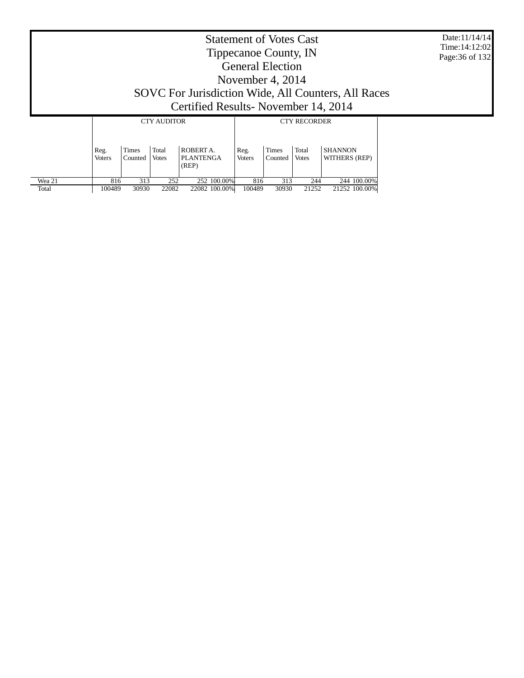| Date: 11/14/14 |
|----------------|
| Time: 14:12:02 |
| Page:36 of 132 |

|        |                       |                         | <b>CTY AUDITOR</b>    |                                        | <b>CTY RECORDER</b>   |                         |                       |                                 |  |
|--------|-----------------------|-------------------------|-----------------------|----------------------------------------|-----------------------|-------------------------|-----------------------|---------------------------------|--|
|        | Reg.<br><b>Voters</b> | <b>Times</b><br>Counted | Total<br><b>Votes</b> | ROBERT A.<br><b>PLANTENGA</b><br>(REP) | Reg.<br><b>Voters</b> | <b>Times</b><br>Counted | Total<br><b>Votes</b> | <b>SHANNON</b><br>WITHERS (REP) |  |
| Wea 21 | 816                   | 313                     | 252                   | 252 100.00%                            | 816                   | 313                     | 244                   | 244 100,00%                     |  |
| Total  | 100489                | 30930                   | 22082                 | 22082 100.00%                          | 100489                | 30930                   | 21252                 | 21252 100.00%                   |  |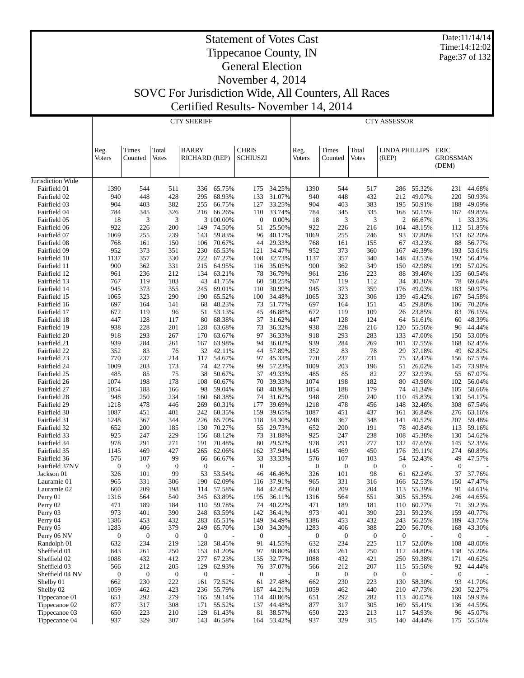Date:11/14/14 Time:14:12:02 Page:37 of 132

#### Statement of Votes Cast Tippecanoe County, IN General Election November 4, 2014

SOVC For Jurisdiction Wide, All Counters, All Races

Certified Results- November 14, 2014 CTY SHERIFF

|                              |                       |                  |                  | <b>CTY SHERIFF</b>   |                  |                  |                  |                       |                  |                       | <b>CTY ASSESSOR</b>   |                  |                         |                  |
|------------------------------|-----------------------|------------------|------------------|----------------------|------------------|------------------|------------------|-----------------------|------------------|-----------------------|-----------------------|------------------|-------------------------|------------------|
|                              |                       |                  |                  |                      |                  |                  |                  |                       |                  |                       |                       |                  |                         |                  |
|                              |                       |                  |                  | <b>BARRY</b>         |                  | <b>CHRIS</b>     |                  |                       |                  |                       | <b>LINDA PHILLIPS</b> |                  |                         |                  |
|                              | Reg.<br><b>Voters</b> | Times<br>Counted | Total<br>Votes   | <b>RICHARD (REP)</b> |                  | <b>SCHIUSZI</b>  |                  | Reg.<br><b>Voters</b> | Times<br>Counted | Total<br><b>Votes</b> | (REP)                 |                  | <b>ERIC</b><br>GROSSMAN |                  |
|                              |                       |                  |                  |                      |                  |                  |                  |                       |                  |                       |                       |                  | (DEM)                   |                  |
| Jurisdiction Wide            |                       |                  |                  |                      |                  |                  |                  |                       |                  |                       |                       |                  |                         |                  |
| Fairfield 01                 | 1390                  | 544              | 511              | 336                  | 65.75%           | 175              | 34.25%           | 1390                  | 544              | 517                   | 286                   | 55.32%           | 231                     | 44.68%           |
| Fairfield 02                 | 940                   | 448              | 428              | 295                  | 68.93%           | 133              | 31.07%           | 940                   | 448              | 432                   | 212                   | 49.07%           | 220                     | 50.93%           |
| Fairfield 03                 | 904                   | 403              | 382              | 255                  | 66.75%           | 127              | 33.25%           | 904                   | 403              | 383                   | 195                   | 50.91%           | 188                     | 49.09%           |
| Fairfield 04                 | 784                   | 345              | 326              | 216                  | 66.26%           | 110              | 33.74%           | 784                   | 345              | 335                   | 168                   | 50.15%           | 167                     | 49.85%           |
| Fairfield 05                 | 18                    | 3                | 3                |                      | 3 100.00%        | $\boldsymbol{0}$ | 0.00%            | 18                    | 3                | 3                     | 2                     | 66.67%           | 1                       | 33.33%           |
| Fairfield 06<br>Fairfield 07 | 922<br>1069           | 226<br>255       | 200<br>239       | 149<br>143           | 74.50%<br>59.83% | 51<br>96         | 25.50%<br>40.17% | 922<br>1069           | 226<br>255       | 216<br>246            | 104<br>93             | 48.15%<br>37.80% | 112<br>153              | 51.85%<br>62.20% |
| Fairfield 08                 | 768                   | 161              | 150              | 106                  | 70.67%           | 44               | 29.33%           | 768                   | 161              | 155                   | 67                    | 43.23%           | 88                      | 56.77%           |
| Fairfield 09                 | 952                   | 373              | 351              | 230                  | 65.53%           | 121              | 34.47%           | 952                   | 373              | 360                   | 167                   | 46.39%           | 193                     | 53.61%           |
| Fairfield 10                 | 1137                  | 357              | 330              | 222                  | 67.27%           | 108              | 32.73%           | 1137                  | 357              | 340                   | 148                   | 43.53%           | 192                     | 56.47%           |
| Fairfield 11                 | 900                   | 362              | 331              | 215                  | 64.95%           | 116              | 35.05%           | 900                   | 362              | 349                   | 150                   | 42.98%           | 199                     | 57.02%           |
| Fairfield 12                 | 961                   | 236              | 212              | 134                  | 63.21%           | 78               | 36.79%           | 961                   | 236              | 223                   | 88                    | 39.46%           | 135                     | 60.54%           |
| Fairfield 13                 | 767                   | 119              | 103              | 43                   | 41.75%           | 60               | 58.25%           | 767                   | 119              | 112                   | 34                    | 30.36%           | 78                      | 69.64%           |
| Fairfield 14                 | 945                   | 373              | 355              | 245                  | 69.01%           | 110              | 30.99%           | 945                   | 373              | 359                   | 176                   | 49.03%           | 183                     | 50.97%           |
| Fairfield 15                 | 1065                  | 323              | 290              | 190                  | 65.52%           | 100              | 34.48%           | 1065                  | 323              | 306                   | 139                   | 45.42%           | 167                     | 54.58%           |
| Fairfield 16                 | 697                   | 164              | 141              | 68                   | 48.23%           | 73               | 51.77%           | 697                   | 164              | 151                   | 45                    | 29.80%           | 106                     | 70.20%           |
| Fairfield 17                 | 672                   | 119              | 96               | 51                   | 53.13%           | 45               | 46.88%           | 672                   | 119              | 109                   | 26                    | 23.85%           | 83                      | 76.15%           |
| Fairfield 18<br>Fairfield 19 | 447<br>938            | 128<br>228       | 117<br>201       | 80<br>128            | 68.38%<br>63.68% | 37<br>73         | 31.62%<br>36.32% | 447<br>938            | 128<br>228       | 124<br>216            | 64<br>120             | 51.61%<br>55.56% | 60<br>96                | 48.39%<br>44.44% |
| Fairfield 20                 | 918                   | 293              | 267              | 170                  | 63.67%           | 97               | 36.33%           | 918                   | 293              | 283                   | 133                   | 47.00%           | 150                     | 53.00%           |
| Fairfield 21                 | 939                   | 284              | 261              | 167                  | 63.98%           | 94               | 36.02%           | 939                   | 284              | 269                   | 101                   | 37.55%           | 168                     | 62.45%           |
| Fairfield 22                 | 352                   | 83               | 76               | 32                   | 42.11%           | 44               | 57.89%           | 352                   | 83               | 78                    | 29                    | 37.18%           | 49                      | 62.82%           |
| Fairfield 23                 | 770                   | 237              | 214              | 117                  | 54.67%           | 97               | 45.33%           | 770                   | 237              | 231                   | 75                    | 32.47%           | 156                     | 67.53%           |
| Fairfield 24                 | 1009                  | 203              | 173              | 74                   | 42.77%           | 99               | 57.23%           | 1009                  | 203              | 196                   | 51                    | 26.02%           | 145                     | 73.98%           |
| Fairfield 25                 | 485                   | 85               | 75               | 38                   | 50.67%           | 37               | 49.33%           | 485                   | 85               | 82                    | 27                    | 32.93%           | 55                      | 67.07%           |
| Fairfield 26                 | 1074                  | 198              | 178              | 108                  | 60.67%           | 70               | 39.33%           | 1074                  | 198              | 182                   | 80                    | 43.96%           | 102                     | 56.04%           |
| Fairfield 27                 | 1054                  | 188              | 166              | 98                   | 59.04%           | 68               | 40.96%           | 1054                  | 188              | 179                   | 74                    | 41.34%           | 105                     | 58.66%           |
| Fairfield 28                 | 948                   | 250              | 234              | 160                  | 68.38%           | 74               | 31.62%           | 948                   | 250              | 240                   | 110                   | 45.83%           | 130                     | 54.17%           |
| Fairfield 29                 | 1218                  | 478              | 446              | 269                  | 60.31%           | 177              | 39.69%           | 1218                  | 478              | 456                   | 148                   | 32.46%           | 308                     | 67.54%           |
| Fairfield 30                 | 1087                  | 451              | 401              | 242                  | 60.35%           | 159              | 39.65%           | 1087                  | 451              | 437                   | 161                   | 36.84%           | 276                     | 63.16%           |
| Fairfield 31                 | 1248                  | 367              | 344              | 226                  | 65.70%           | 118              | 34.30%           | 1248                  | 367              | 348                   | 141                   | 40.52%           | 207                     | 59.48%           |
| Fairfield 32                 | 652                   | 200              | 185              | 130                  | 70.27%           | 55               | 29.73%           | 652                   | 200              | 191                   | 78                    | 40.84%           | 113                     | 59.16%           |
| Fairfield 33<br>Fairfield 34 | 925<br>978            | 247<br>291       | 229<br>271       | 156<br>191           | 68.12%<br>70.48% | 73<br>80         | 31.88%<br>29.52% | 925<br>978            | 247<br>291       | 238<br>277            | 108<br>132            | 45.38%<br>47.65% | 130<br>145              | 54.62%<br>52.35% |
| Fairfield 35                 | 1145                  | 469              | 427              | 265                  | 62.06%           | 162              | 37.94%           | 1145                  | 469              | 450                   | 176                   | 39.11%           | 274                     | 60.89%           |
| Fairfield 36                 | 576                   | 107              | 99               | 66                   | 66.67%           | 33               | 33.33%           | 576                   | 107              | 103                   | 54                    | 52.43%           | 49                      | 47.57%           |
| Fairfield 37NV               | $\boldsymbol{0}$      | $\boldsymbol{0}$ | $\mathbf{0}$     | $\boldsymbol{0}$     |                  | $\boldsymbol{0}$ |                  | $\boldsymbol{0}$      | $\mathbf{0}$     | $\mathbf{0}$          | $\mathbf{0}$          |                  | $\mathbf{0}$            |                  |
| Jackson 01                   | 326                   | 101              | 99               | 53                   | 53.54%           | 46               | 46.46%           | 326                   | 101              | 98                    | 61                    | 62.24%           | 37                      | 37.76%           |
| Lauramie 01                  | 965                   | 331              | 306              | 190                  | 62.09%           | 116              | 37.91%           | 965                   | 331              | 316                   | 166                   | 52.53%           | 150                     | 47.47%           |
| Lauramie 02                  | 660                   | 209              | 198              | 114                  | 57.58%           | 84               | 42.42%           | 660                   | 209              | 204                   | 113                   | 55.39%           | 91                      | 44.61%           |
| Perry 01                     | 1316                  | 564              | 540              | 345                  | 63.89%           | 195              | 36.11%           | 1316                  | 564              | 551                   | 305                   | 55.35%           | 246                     | 44.65%           |
| Perry 02                     | 471                   | 189              | 184              | 110                  | 59.78%           | 74               | 40.22%           | 471                   | 189              | 181                   | 110                   | 60.77%           | 71                      | 39.23%           |
| Perry 03                     | 973                   | 401              | 390              | 248                  | 63.59%           | 142              | 36.41%           | 973                   | 401              | 390                   | 231                   | 59.23%           | 159                     | 40.77%           |
| Perry 04                     | 1386                  | 453              | 432              | 283                  | 65.51%           | 149              | 34.49%           | 1386                  | 453              | 432                   | 243                   | 56.25%           | 189                     | 43.75%           |
| Perry 05                     | 1283                  | 406              | 379              | 249                  | 65.70%           | 130              | 34.30%           | 1283                  | 406              | 388                   | 220                   | 56.70%           | 168                     | 43.30%           |
| Perry 06 NV                  | $\boldsymbol{0}$      | $\boldsymbol{0}$ | $\mathbf{0}$     | $\boldsymbol{0}$     |                  | $\mathbf{0}$     |                  | $\boldsymbol{0}$      | $\boldsymbol{0}$ | $\boldsymbol{0}$      | $\boldsymbol{0}$      |                  | $\mathbf{0}$            |                  |
| Randolph 01<br>Sheffield 01  | 632<br>843            | 234              | 219<br>250       | 128<br>153           | 58.45%<br>61.20% | 91<br>97         | 41.55%<br>38.80% | 632<br>843            | 234<br>261       | 225<br>250            | 117<br>112            | 52.00%<br>44.80% | 108<br>138              | 48.00%<br>55.20% |
| Sheffield 02                 | 1088                  | 261<br>432       | 412              | 277                  | 67.23%           | 135              | 32.77%           | 1088                  | 432              | 421                   |                       | 250 59.38%       | 171                     | 40.62%           |
| Sheffield 03                 | 566                   | 212              | 205              | 129                  | 62.93%           | 76               | 37.07%           | 566                   | 212              | 207                   | 115                   | 55.56%           | 92                      | 44.44%           |
| Sheffield 04 NV              | $\boldsymbol{0}$      | $\boldsymbol{0}$ | $\boldsymbol{0}$ | $\boldsymbol{0}$     |                  | $\boldsymbol{0}$ |                  | $\boldsymbol{0}$      | $\boldsymbol{0}$ | $\mathbf{0}$          | $\boldsymbol{0}$      |                  | $\mathbf{0}$            |                  |
| Shelby 01                    | 662                   | 230              | 222              | 161                  | 72.52%           | 61               | 27.48%           | 662                   | 230              | 223                   | 130                   | 58.30%           | 93                      | 41.70%           |
| Shelby 02                    | 1059                  | 462              | 423              | 236                  | 55.79%           | 187              | 44.21%           | 1059                  | 462              | 440                   | 210                   | 47.73%           | 230                     | 52.27%           |
| Tippecanoe 01                | 651                   | 292              | 279              | 165                  | 59.14%           | 114              | 40.86%           | 651                   | 292              | 282                   | 113                   | 40.07%           | 169                     | 59.93%           |
| Tippecanoe 02                | 877                   | 317              | 308              | 171                  | 55.52%           | 137              | 44.48%           | 877                   | 317              | 305                   | 169                   | 55.41%           | 136                     | 44.59%           |
| Tippecanoe 03                | 650                   | 223              | 210              | 129                  | 61.43%           | 81               | 38.57%           | 650                   | 223              | 213                   | 117                   | 54.93%           | 96                      | 45.07%           |
| Tippecanoe 04                | 937                   | 329              | 307              |                      | 143 46.58%       | 164              | 53.42%           | 937                   | 329              | 315                   |                       | 140 44.44%       |                         | 175 55.56%       |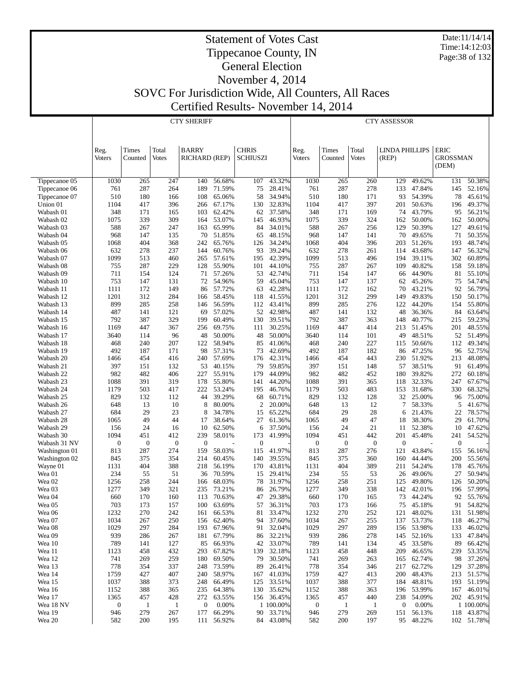Date:11/14/14 Time:14:12:03 Page:38 of 132

## Statement of Votes Cast Tippecanoe County, IN General Election November 4, 2014 SOVC For Jurisdiction Wide, All Counters, All Races

Certified Results- November 14, 2014

CTY SHERIFF

|                        | Reg.<br><b>Voters</b> | Times<br>Counted | Total<br><b>Votes</b> | <b>BARRY</b><br>RICHARD (REP) |                          | <b>CHRIS</b><br>SCHIUSZI |                     | Reg.<br><b>Voters</b> | Times<br>Counted | Total<br><b>Votes</b> | <b>LINDA PHILLIPS</b><br>(REP) |                      | <b>ERIC</b><br><b>GROSSMAN</b> |                          |
|------------------------|-----------------------|------------------|-----------------------|-------------------------------|--------------------------|--------------------------|---------------------|-----------------------|------------------|-----------------------|--------------------------------|----------------------|--------------------------------|--------------------------|
|                        |                       |                  |                       |                               |                          |                          |                     |                       |                  |                       |                                |                      | (DEM)                          |                          |
| Tippecanoe 05          | 1030                  | 265              | 247                   | 140                           | 56.68%                   | 107                      | 43.32%              | 1030                  | 265              | 260                   | 129                            | 49.62%               | 131                            | 50.38%                   |
| Tippecanoe 06          | 761                   | 287              | 264                   | 189                           | 71.59%                   | 75                       | 28.41%              | 761                   | 287              | 278                   | 133                            | 47.84%               | 145                            | 52.16%                   |
| Tippecanoe 07          | 510                   | 180              | 166                   | 108                           | 65.06%                   | 58                       | 34.94%              | 510                   | 180              | 171                   | 93                             | 54.39%               | 78                             | 45.61%                   |
| Union 01               | 1104                  | 417              | 396                   | 266                           | 67.17%                   | 130                      | 32.83%              | 1104                  | 417              | 397                   | 201                            | 50.63%               | 196                            | 49.37%                   |
| Wabash 01              | 348                   | 171              | 165                   | 103                           | 62.42%                   | 62                       | 37.58%              | 348                   | 171              | 169                   | 74                             | 43.79%               | 95                             | 56.21%                   |
| Wabash 02              | 1075                  | 339              | 309                   | 164                           | 53.07%                   | 145                      | 46.93%              | 1075                  | 339              | 324                   | 162                            | 50.00%               | 162                            | 50.00%                   |
| Wabash 03              | 588                   | 267              | 247                   | 163                           | 65.99%                   | 84                       | 34.01%              | 588                   | 267              | 256                   | 129                            | 50.39%               | 127                            | 49.61%                   |
| Wabash 04              | 968                   | 147              | 135                   | 70                            | 51.85%                   | 65                       | 48.15%              | 968                   | 147              | 141                   | 70                             | 49.65%               | 71                             | 50.35%                   |
| Wabash 05              | 1068                  | 404              | 368                   | 242                           | 65.76%                   | 126                      | 34.24%              | 1068                  | 404              | 396                   | 203                            | 51.26%               | 193                            | 48.74%                   |
| Wabash 06              | 632<br>1099           | 278<br>513       | 237<br>460            | 144                           | 60.76%                   | 93<br>195                | 39.24%<br>42.39%    | 632                   | 278<br>513       | 261<br>496            | 114<br>194                     | 43.68%<br>39.11%     | 147                            | 56.32%<br>60.89%         |
| Wabash 07<br>Wabash 08 | 755                   | 287              | 229                   | 265<br>128                    | 57.61%<br>55.90%         | 101                      | 44.10%              | 1099<br>755           | 287              | 267                   | 109                            | 40.82%               | 302<br>158                     | 59.18%                   |
| Wabash 09              | 711                   | 154              | 124                   | 71                            | 57.26%                   | 53                       | 42.74%              | 711                   | 154              | 147                   | 66                             | 44.90%               | 81                             | 55.10%                   |
| Wabash 10              | 753                   | 147              | 131                   | 72                            | 54.96%                   | 59                       | 45.04%              | 753                   | 147              | 137                   | 62                             | 45.26%               | 75                             | 54.74%                   |
| Wabash 11              | 1111                  | 172              | 149                   | 86                            | 57.72%                   | 63                       | 42.28%              | 1111                  | 172              | 162                   | 70                             | 43.21%               | 92                             | 56.79%                   |
| Wabash 12              | 1201                  | 312              | 284                   | 166                           | 58.45%                   | 118                      | 41.55%              | 1201                  | 312              | 299                   | 149                            | 49.83%               | 150                            | 50.17%                   |
| Wabash 13              | 899                   | 285              | 258                   | 146                           | 56.59%                   | 112                      | 43.41%              | 899                   | 285              | 276                   | 122                            | 44.20%               | 154                            | 55.80%                   |
| Wabash 14              | 487                   | 141              | 121                   | 69                            | 57.02%                   | 52                       | 42.98%              | 487                   | 141              | 132                   | 48                             | 36.36%               | 84                             | 63.64%                   |
| Wabash 15              | 792                   | 387              | 329                   | 199                           | 60.49%                   | 130                      | 39.51%              | 792                   | 387              | 363                   | 148                            | 40.77%               | 215                            | 59.23%                   |
| Wabash 16              | 1169                  | 447              | 367                   | 256                           | 69.75%                   | 111                      | 30.25%              | 1169                  | 447              | 414                   | 213                            | 51.45%               | 201                            | 48.55%                   |
| Wabash 17              | 3640                  | 114              | 96                    | 48                            | 50.00%                   | 48                       | 50.00%              | 3640                  | 114              | 101                   | 49                             | 48.51%               | 52                             | 51.49%                   |
| Wabash 18              | 468                   | 240              | 207                   | 122                           | 58.94%                   | 85                       | 41.06%              | 468                   | 240              | 227                   | 115                            | 50.66%               | 112                            | 49.34%                   |
| Wabash 19              | 492                   | 187              | 171                   | 98                            | 57.31%                   | 73                       | 42.69%              | 492                   | 187              | 182                   | 86                             | 47.25%               | 96                             | 52.75%                   |
| Wabash 20              | 1466                  | 454              | 416                   | 240                           | 57.69%                   | 176                      | 42.31%              | 1466                  | 454              | 443                   |                                | 230 51.92%           | 213                            | 48.08%                   |
| Wabash 21              | 397                   | 151              | 132                   | 53                            | 40.15%                   | 79                       | 59.85%              | 397                   | 151              | 148                   | 57                             | 38.51%               | 91                             | 61.49%                   |
| Wabash 22              | 982                   | 482              | 406                   | 227                           | 55.91%                   | 179                      | 44.09%              | 982                   | 482              | 452                   | 180                            | 39.82%               | 272                            | 60.18%                   |
| Wabash 23              | 1088                  | 391              | 319                   | 178                           | 55.80%                   | 141                      | 44.20%              | 1088                  | 391              | 365                   | 118                            | 32.33%               | 247                            | 67.67%                   |
| Wabash 24<br>Wabash 25 | 1179<br>829           | 503<br>132       | 417<br>112            | 222<br>44                     | 53.24%<br>39.29%         | 195<br>68                | 46.76%<br>60.71%    | 1179<br>829           | 503<br>132       | 483<br>128            | 153<br>32                      | 31.68%<br>25.00%     | 330<br>96                      | 68.32%<br>75.00%         |
| Wabash 26              | 648                   | 13               | 10                    | 8                             | 80.00%                   | 2                        | 20.00%              | 648                   | 13               | 12                    | 7                              | 58.33%               | 5                              | 41.67%                   |
| Wabash 27              | 684                   | 29               | 23                    | 8                             | 34.78%                   | 15                       | 65.22%              | 684                   | 29               | 28                    | 6                              | 21.43%               | 22                             | 78.57%                   |
| Wabash 28              | 1065                  | 49               | 44                    | 17                            | 38.64%                   | 27                       | 61.36%              | 1065                  | 49               | 47                    | 18                             | 38.30%               | 29                             | 61.70%                   |
| Wabash 29              | 156                   | 24               | 16                    | 10                            | 62.50%                   | 6                        | 37.50%              | 156                   | 24               | 21                    | 11                             | 52.38%               | 10                             | 47.62%                   |
| Wabash 30              | 1094                  | 451              | 412                   | 239                           | 58.01%                   | 173                      | 41.99%              | 1094                  | 451              | 442                   | 201                            | 45.48%               | 241                            | 54.52%                   |
| Wabash 31 NV           | $\boldsymbol{0}$      | $\mathbf{0}$     | $\mathbf{0}$          | $\mathbf{0}$                  |                          | $\mathbf{0}$             |                     | $\boldsymbol{0}$      | $\mathbf{0}$     | $\mathbf{0}$          | $\theta$                       |                      | $\mathbf{0}$                   |                          |
| Washington 01          | 813                   | 287              | 274                   | 159                           | 58.03%                   | 115                      | 41.97%              | 813                   | 287              | 276                   | 121                            | 43.84%               | 155                            | 56.16%                   |
| Washington 02          | 845                   | 375              | 354                   | 214                           | 60.45%                   | 140                      | 39.55%              | 845                   | 375              | 360                   | 160                            | 44.44%               | 200                            | 55.56%                   |
| Wayne 01               | 1131                  | 404              | 388                   | 218                           | 56.19%                   | 170                      | 43.81%              | 1131                  | 404              | 389                   | 211                            | 54.24%               | 178                            | 45.76%                   |
| Wea 01                 | 234                   | 55               | 51                    | 36                            | 70.59%                   | 15                       | 29.41%              | 234                   | 55               | 53                    | 26                             | 49.06%               | 27                             | 50.94%                   |
| Wea 02                 | 1256                  | 258              | 244                   | 166                           | 68.03%                   | 78                       | 31.97%              | 1256                  | 258              | 251                   | 125                            | 49.80%               | 126                            | 50.20%                   |
| Wea 03                 | 1277                  | 349              | 321                   | 235                           | 73.21%                   | 86                       | 26.79%              | 1277                  | 349              | 338                   | 142                            | 42.01%               | 196                            | 57.99%                   |
| Wea 04                 | 660                   | 170              | 160                   | 113                           | 70.63%                   | 47                       | 29.38%              | 660                   | 170              | 165                   | 73                             | 44.24%               | 92                             | 55.76%                   |
| Wea 05                 | 703                   | 173              | 157                   | 100                           | 63.69%                   | 57                       | 36.31%              | 703                   | 173              | 166                   | 75                             | 45.18%               | 91                             | 54.82%                   |
| Wea 06<br>Wea 07       | 1232<br>1034          | 270<br>267       | 242<br>250            | 161                           | 66.53%                   | 81<br>94                 | 33.47%              | 1232<br>1034          | 270<br>267       | 252<br>255            | 121                            | 48.02%<br>137 53.73% |                                | 131 51.98%<br>118 46.27% |
| Wea 08                 | 1029                  | 297              | 284                   |                               | 156 62.40%<br>193 67.96% |                          | 37.60%<br>91 32.04% | 1029                  | 297              | 289                   |                                | 156 53.98%           |                                | 133 46.02%               |
| Wea 09                 | 939                   | 286              | 267                   | 181                           | 67.79%                   | 86                       | 32.21%              | 939                   | 286              | 278                   | 145                            | 52.16%               |                                | 133 47.84%               |
| Wea 10                 | 789                   | 141              | 127                   | 85                            | 66.93%                   | 42                       | 33.07%              | 789                   | 141              | 134                   |                                | 45 33.58%            | 89                             | 66.42%                   |
| Wea 11                 | 1123                  | 458              | 432                   | 293                           | 67.82%                   | 139                      | 32.18%              | 1123                  | 458              | 448                   | 209                            | 46.65%               | 239                            | 53.35%                   |
| Wea 12                 | 741                   | 269              | 259                   | 180                           | 69.50%                   | 79                       | 30.50%              | 741                   | 269              | 263                   |                                | 165 62.74%           |                                | 98 37.26%                |
| Wea 13                 | 778                   | 354              | 337                   | 248                           | 73.59%                   | 89                       | 26.41%              | 778                   | 354              | 346                   | 217                            | 62.72%               | 129                            | 37.28%                   |
| Wea 14                 | 1759                  | 427              | 407                   |                               | 240 58.97%               | 167                      | 41.03%              | 1759                  | 427              | 413                   |                                | 200 48.43%           |                                | 213 51.57%               |
| Wea 15                 | 1037                  | 388              | 373                   | 248                           | 66.49%                   | 125                      | 33.51%              | 1037                  | 388              | 377                   | 184                            | 48.81%               | 193                            | 51.19%                   |
| Wea 16                 | 1152                  | 388              | 365                   |                               | 235 64.38%               | 130                      | 35.62%              | 1152                  | 388              | 363                   |                                | 196 53.99%           |                                | 167 46.01%               |
| Wea 17                 | 1365                  | 457              | 428                   | 272                           | 63.55%                   | 156                      | 36.45%              | 1365                  | 457              | 440                   | 238                            | 54.09%               |                                | 202 45.91%               |
| Wea 18 NV              | 0                     | $\mathbf{1}$     | -1                    | $\boldsymbol{0}$              | 0.00%                    |                          | 1 100.00%           | $\boldsymbol{0}$      | $\mathbf{1}$     | $\mathbf{1}$          | $\mathbf{0}$                   | $0.00\%$             |                                | 1 100.00%                |
| Wea 19                 | 946                   | 279              | 267                   | 177                           | 66.29%                   |                          | 90 33.71%           | 946                   | 279              | 269                   | 151                            | 56.13%               |                                | 118 43.87%               |
| Wea 20                 | 582                   | 200              | 195                   |                               | 111 56.92%               |                          | 84 43.08%           | 582                   | 200              | 197                   |                                | 95 48.22%            |                                | 102 51.78%               |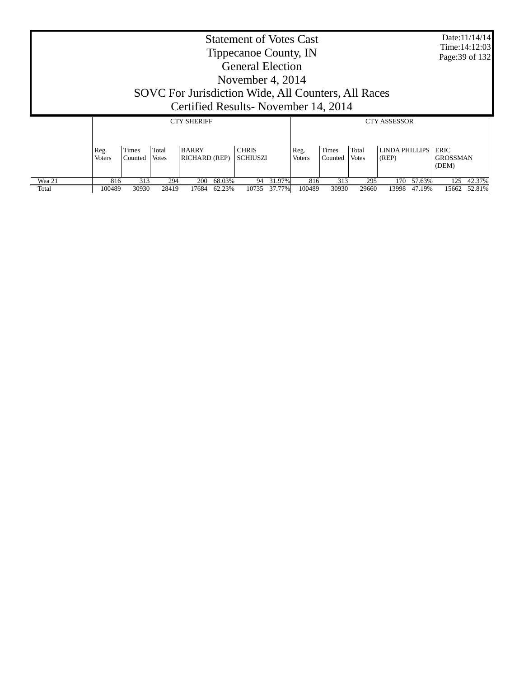|                 |                       |                  |                |                                      |                  | Tippecanoe County, IN<br><b>General Election</b><br>November 4, 2014<br>SOVC For Jurisdiction Wide, All Counters, All Races<br>Certified Results-November 14, 2014 |                  | <b>Statement of Votes Cast</b> |                  |                       |                         |                  | Page: 39 of 132                         | Date:11/14/14<br>Time: 14:12:03 |
|-----------------|-----------------------|------------------|----------------|--------------------------------------|------------------|--------------------------------------------------------------------------------------------------------------------------------------------------------------------|------------------|--------------------------------|------------------|-----------------------|-------------------------|------------------|-----------------------------------------|---------------------------------|
|                 |                       |                  |                | <b>CTY SHERIFF</b>                   |                  |                                                                                                                                                                    |                  |                                |                  |                       | <b>CTY ASSESSOR</b>     |                  |                                         |                                 |
|                 | Reg.<br><b>Voters</b> | Times<br>Counted | Total<br>Votes | <b>BARRY</b><br><b>RICHARD (REP)</b> |                  | <b>CHRIS</b><br><b>SCHIUSZI</b>                                                                                                                                    |                  | Reg.<br><b>Voters</b>          | Times<br>Counted | Total<br><b>Votes</b> | LINDA PHILLIPS<br>(REP) |                  | <b>ERIC</b><br><b>GROSSMAN</b><br>(DEM) |                                 |
| Wea 21<br>Total | 816<br>100489         | 313<br>30930     | 294<br>28419   | <b>200</b><br>17684                  | 68.03%<br>62.23% | 94<br>10735                                                                                                                                                        | 31.97%<br>37.77% | 816<br>100489                  | 313<br>30930     | 295<br>29660          | 170<br>13998            | 57.63%<br>47.19% | 125<br>15662                            | 42.37%<br>52.81%                |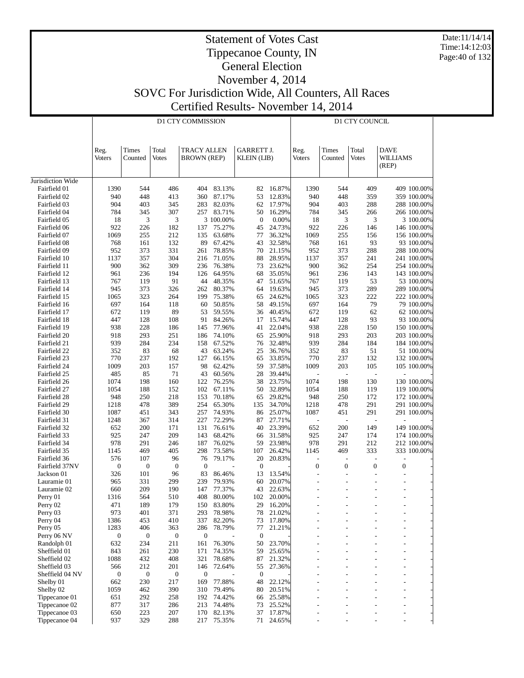Date:11/14/14 Time:14:12:03 Page:40 of 132

#### Statement of Votes Cast Tippecanoe County, IN General Election

# November 4, 2014 SOVC For Jurisdiction Wide, All Counters, All Races

Certified Results- November 14, 2014

|                                |                  |                  |                       | <b>D1 CTY COMMISSION</b>                 |                  |                                         |                  |                  |                          | D1 CTY COUNCIL |                                  |                            |
|--------------------------------|------------------|------------------|-----------------------|------------------------------------------|------------------|-----------------------------------------|------------------|------------------|--------------------------|----------------|----------------------------------|----------------------------|
|                                | Reg.<br>Voters   | Times<br>Counted | Total<br><b>Votes</b> | <b>TRACY ALLEN</b><br><b>BROWN</b> (REP) |                  | <b>GARRETT J.</b><br><b>KLEIN</b> (LIB) |                  | Reg.<br>Voters   | Times<br>Counted         | Total<br>Votes | <b>DAVE</b><br>WILLIAMS<br>(REP) |                            |
| Jurisdiction Wide              |                  |                  |                       |                                          |                  |                                         |                  |                  |                          |                |                                  |                            |
| Fairfield 01                   | 1390             | 544              | 486                   | 404                                      | 83.13%           | 82                                      | 16.87%           | 1390             | 544                      | 409            |                                  | 409 100.00%                |
| Fairfield 02                   | 940              | 448              | 413                   | 360                                      | 87.17%           | 53                                      | 12.83%           | 940              | 448                      | 359            |                                  | 359 100.00%                |
| Fairfield 03                   | 904              | 403              | 345                   | 283                                      | 82.03%           | 62                                      | 17.97%           | 904              | 403                      | 288            |                                  | 288 100.00%                |
| Fairfield 04                   | 784              | 345              | 307                   | 257                                      | 83.71%           | 50                                      | 16.29%           | 784              | 345                      | 266            |                                  | 266 100.00%                |
| Fairfield 05                   | 18               | 3                | 3                     |                                          | 3 100.00%        | $\mathbf{0}$                            | 0.00%            | 18               | 3                        | 3              |                                  | 3 100.00%                  |
| Fairfield 06                   | 922              | 226              | 182                   | 137                                      | 75.27%           | 45                                      | 24.73%           | 922              | 226                      | 146            |                                  | 146 100.00%                |
| Fairfield 07                   | 1069             | 255              | 212                   | 135                                      | 63.68%           | 77                                      | 36.32%           | 1069             | 255                      | 156            |                                  | 156 100.00%                |
| Fairfield 08<br>Fairfield 09   | 768<br>952       | 161<br>373       | 132<br>331            | 89<br>261                                | 67.42%<br>78.85% | 43<br>70                                | 32.58%<br>21.15% | 768<br>952       | 161<br>373               | 93<br>288      |                                  | 93 100.00%<br>288 100.00%  |
| Fairfield 10                   | 1137             | 357              | 304                   | 216                                      | 71.05%           | 88                                      | 28.95%           | 1137             | 357                      | 241            |                                  | 241 100.00%                |
| Fairfield 11                   | 900              | 362              | 309                   | 236                                      | 76.38%           | 73                                      | 23.62%           | 900              | 362                      | 254            |                                  | 254 100.00%                |
| Fairfield 12                   | 961              | 236              | 194                   | 126                                      | 64.95%           | 68                                      | 35.05%           | 961              | 236                      | 143            |                                  | 143 100.00%                |
| Fairfield 13                   | 767              | 119              | 91                    | 44                                       | 48.35%           | 47                                      | 51.65%           | 767              | 119                      | 53             |                                  | 53 100.00%                 |
| Fairfield 14                   | 945              | 373              | 326                   | 262                                      | 80.37%           | 64                                      | 19.63%           | 945              | 373                      | 289            |                                  | 289 100.00%                |
| Fairfield 15                   | 1065             | 323              | 264                   | 199                                      | 75.38%           | 65                                      | 24.62%           | 1065             | 323                      | 222            |                                  | 222 100.00%                |
| Fairfield 16                   | 697              | 164              | 118                   | 60                                       | 50.85%           | 58                                      | 49.15%           | 697              | 164                      | 79             |                                  | 79 100.00%                 |
| Fairfield 17                   | 672              | 119              | 89                    | 53                                       | 59.55%           | 36                                      | 40.45%           | 672              | 119                      | 62             |                                  | 62 100.00%                 |
| Fairfield 18                   | 447              | 128<br>228       | 108                   | 91                                       | 84.26%<br>77.96% | 17                                      | 15.74%<br>22.04% | 447<br>938       | 128<br>228               | 93<br>150      |                                  | 93 100.00%                 |
| Fairfield 19<br>Fairfield 20   | 938<br>918       | 293              | 186<br>251            | 145<br>186                               | 74.10%           | 41<br>65                                | 25.90%           | 918              | 293                      | 203            |                                  | 150 100.00%<br>203 100.00% |
| Fairfield 21                   | 939              | 284              | 234                   | 158                                      | 67.52%           | 76                                      | 32.48%           | 939              | 284                      | 184            |                                  | 184 100.00%                |
| Fairfield 22                   | 352              | 83               | 68                    | 43                                       | 63.24%           | 25                                      | 36.76%           | 352              | 83                       | 51             |                                  | 51 100.00%                 |
| Fairfield 23                   | 770              | 237              | 192                   | 127                                      | 66.15%           | 65                                      | 33.85%           | 770              | 237                      | 132            |                                  | 132 100.00%                |
| Fairfield 24                   | 1009             | 203              | 157                   | 98                                       | 62.42%           | 59                                      | 37.58%           | 1009             | 203                      | 105            |                                  | 105 100.00%                |
| Fairfield 25                   | 485              | 85               | 71                    | 43                                       | 60.56%           | 28                                      | 39.44%           |                  |                          |                |                                  |                            |
| Fairfield 26                   | 1074             | 198              | 160                   | 122                                      | 76.25%           | 38                                      | 23.75%           | 1074             | 198                      | 130            |                                  | 130 100.00%                |
| Fairfield 27                   | 1054             | 188              | 152                   | 102                                      | 67.11%           | 50                                      | 32.89%           | 1054             | 188                      | 119            |                                  | 119 100.00%                |
| Fairfield 28                   | 948              | 250              | 218                   | 153                                      | 70.18%           | 65                                      | 29.82%           | 948              | 250                      | 172            |                                  | 172 100.00%                |
| Fairfield 29                   | 1218             | 478              | 389                   | 254                                      | 65.30%           | 135                                     | 34.70%           | 1218             | 478                      | 291            |                                  | 291 100.00%                |
| Fairfield 30                   | 1087<br>1248     | 451<br>367       | 343                   | 257<br>227                               | 74.93%<br>72.29% | 86<br>87                                | 25.07%<br>27.71% | 1087             | 451<br>$\overline{a}$    | 291            |                                  | 291 100.00%                |
| Fairfield 31<br>Fairfield 32   | 652              | 200              | 314<br>171            | 131                                      | 76.61%           | 40                                      | 23.39%           | 652              | 200                      | 149            |                                  | 149 100.00%                |
| Fairfield 33                   | 925              | 247              | 209                   | 143                                      | 68.42%           | 66                                      | 31.58%           | 925              | 247                      | 174            |                                  | 174 100.00%                |
| Fairfield 34                   | 978              | 291              | 246                   | 187                                      | 76.02%           | 59                                      | 23.98%           | 978              | 291                      | 212            |                                  | 212 100.00%                |
| Fairfield 35                   | 1145             | 469              | 405                   | 298                                      | 73.58%           | 107                                     | 26.42%           | 1145             | 469                      | 333            |                                  | 333 100.00%                |
| Fairfield 36                   | 576              | 107              | 96                    | 76                                       | 79.17%           | $20\,$                                  | 20.83%           |                  | $\overline{a}$           | L,             | L,                               |                            |
| Fairfield 37NV                 | $\boldsymbol{0}$ | $\boldsymbol{0}$ | $\boldsymbol{0}$      | $\boldsymbol{0}$                         |                  | $\mathbf{0}$                            |                  | $\boldsymbol{0}$ | $\boldsymbol{0}$         | $\mathbf{0}$   | $\boldsymbol{0}$                 |                            |
| Jackson 01                     | 326              | 101              | 96                    | 83                                       | 86.46%           | 13                                      | 13.54%           | $\overline{a}$   | $\overline{a}$           | $\overline{a}$ | $\overline{a}$                   |                            |
| Lauramie 01                    | 965              | 331              | 299                   | 239                                      | 79.93%           | 60                                      | 20.07%           |                  |                          | L,             | $\overline{a}$                   |                            |
| Lauramie 02                    | 660              | 209              | 190                   | 147                                      | 77.37%           | 43                                      | 22.63%           |                  |                          |                | $\overline{a}$                   |                            |
| Perry 01                       | 1316             | 564              | 510                   | 408                                      | 80.00%           | 102                                     | 20.00%           |                  | $\overline{\phantom{a}}$ | $\overline{a}$ | $\overline{\phantom{a}}$         |                            |
| Perry 02<br>Perry 03           | 471<br>973       | 189<br>401       | 179<br>371            | 150<br>293                               | 83.80%<br>78.98% | 29<br>78                                | 16.20%<br>21.02% |                  |                          |                |                                  |                            |
| Perry 04                       | 1386             | 453              | 410                   | 337                                      | 82.20%           | 73                                      | 17.80%           |                  |                          |                |                                  |                            |
| Perry 05                       | 1283             | 406              | 363                   | 286                                      | 78.79%           | 77                                      | 21.21%           |                  |                          |                |                                  |                            |
| Perry 06 NV                    | $\boldsymbol{0}$ | $\mathbf{0}$     | 0                     | $\boldsymbol{0}$                         |                  | $\boldsymbol{0}$                        |                  |                  |                          |                |                                  |                            |
| Randolph 01                    | 632              | 234              | 211                   | 161                                      | 76.30%           | 50                                      | 23.70%           |                  |                          |                |                                  |                            |
| Sheffield 01                   | 843              | 261              | 230                   | 171                                      | 74.35%           | 59                                      | 25.65%           |                  |                          |                | $\overline{\phantom{a}}$         |                            |
| Sheffield 02                   | 1088             | 432              | 408                   | 321                                      | 78.68%           | 87                                      | 21.32%           |                  |                          |                |                                  |                            |
| Sheffield 03                   | 566              | 212              | 201                   | 146                                      | 72.64%           | 55                                      | 27.36%           |                  |                          |                | $\overline{\phantom{a}}$         |                            |
| Sheffield 04 NV                | $\boldsymbol{0}$ | $\boldsymbol{0}$ | $\boldsymbol{0}$      | $\mathbf{0}$                             |                  | $\mathbf{0}$                            |                  |                  |                          |                |                                  |                            |
| Shelby 01                      | 662              | 230              | 217                   | 169                                      | 77.88%           | 48                                      | 22.12%           |                  |                          |                | $\overline{\phantom{a}}$         |                            |
| Shelby 02                      | 1059             | 462              | 390                   | 310                                      | 79.49%           | 80                                      | 20.51%           |                  |                          |                |                                  |                            |
| Tippecanoe 01<br>Tippecanoe 02 | 651<br>877       | 292<br>317       | 258<br>286            | 192<br>213                               | 74.42%<br>74.48% | 66<br>73                                | 25.58%<br>25.52% |                  |                          |                |                                  |                            |
| Tippecanoe 03                  | 650              | 223              | 207                   | 170                                      | 82.13%           | 37                                      | 17.87%           |                  |                          | ۳              | $\overline{\phantom{a}}$         |                            |
| Tippecanoe 04                  | 937              | 329              | 288                   | 217                                      | 75.35%           | 71                                      | 24.65%           |                  |                          | $\overline{a}$ |                                  |                            |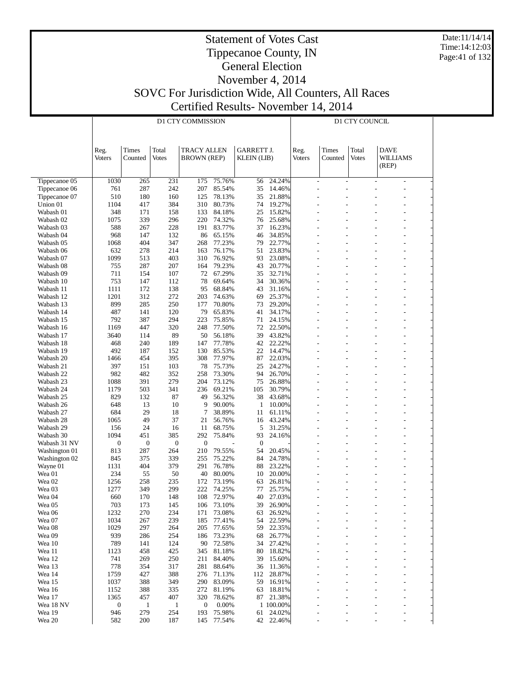Date:11/14/14 Time:14:12:03 Page:41 of 132

#### Statement of Votes Cast Tippecanoe County, IN General Election

#### November 4, 2014 SOVC For Jurisdiction Wide, All Counters, All Races Certified Results- November 14, 2014

|                               |                          |                     |                     | D1 CTY COMMISSION       |                  |                        |                     |               |                          | D1 CTY COUNCIL |                                  |  |
|-------------------------------|--------------------------|---------------------|---------------------|-------------------------|------------------|------------------------|---------------------|---------------|--------------------------|----------------|----------------------------------|--|
|                               |                          |                     |                     |                         |                  |                        |                     |               |                          |                |                                  |  |
|                               |                          |                     |                     |                         |                  |                        |                     |               |                          |                |                                  |  |
|                               | Reg.                     | Times               | Total               | <b>TRACY ALLEN</b>      |                  | <b>GARRETT J.</b>      |                     | Reg.          | Times                    | Total          | <b>DAVE</b>                      |  |
|                               | <b>Voters</b>            | Counted             | Votes               | <b>BROWN</b> (REP)      |                  | <b>KLEIN</b> (LIB)     |                     | <b>Voters</b> | Counted                  | <b>Votes</b>   | WILLIAMS<br>(REP)                |  |
|                               |                          |                     |                     |                         |                  |                        |                     |               |                          |                |                                  |  |
| Tippecanoe 05                 | 1030                     | 265                 | 231                 | 175                     | 75.76%           | 56                     | 24.24%              |               | $\overline{a}$<br>$\sim$ |                | $\overline{\phantom{a}}$         |  |
| Tippecanoe 06                 | 761                      | 287                 | 242                 | 207                     | 85.54%           | 35                     | 14.46%              |               |                          |                | $\overline{a}$                   |  |
| Tippecanoe 07<br>Union 01     | 510<br>1104              | 180<br>417          | 160<br>384          | 125<br>310              | 78.13%<br>80.73% | 35<br>74               | 21.88%<br>19.27%    |               |                          |                | $\overline{a}$                   |  |
| Wabash 01                     | 348                      | 171                 | 158                 | 133                     | 84.18%           | 25                     | 15.82%              |               |                          |                |                                  |  |
| Wabash 02                     | 1075                     | 339                 | 296                 | 220                     | 74.32%           | 76                     | 25.68%              |               |                          |                | $\overline{a}$                   |  |
| Wabash 03                     | 588                      | 267                 | 228                 | 191                     | 83.77%           | 37                     | 16.23%              |               |                          |                |                                  |  |
| Wabash 04                     | 968<br>1068              | 147<br>404          | 132<br>347          | 86<br>268               | 65.15%<br>77.23% | 46<br>79               | 34.85%<br>22.77%    |               |                          |                | $\overline{a}$<br>$\overline{a}$ |  |
| Wabash 05<br>Wabash 06        | 632                      | 278                 | 214                 | 163                     | 76.17%           | 51                     | 23.83%              |               |                          |                |                                  |  |
| Wabash 07                     | 1099                     | 513                 | 403                 | 310                     | 76.92%           | 93                     | 23.08%              |               |                          |                |                                  |  |
| Wabash 08                     | 755                      | 287                 | 207                 | 164                     | 79.23%           | 43                     | 20.77%              |               |                          |                |                                  |  |
| Wabash 09                     | 711                      | 154                 | 107                 | 72                      | 67.29%           | 35                     | 32.71%              |               |                          |                |                                  |  |
| Wabash 10                     | 753                      | 147                 | 112                 | 78                      | 69.64%           | 34                     | 30.36%              |               |                          |                |                                  |  |
| Wabash 11<br>Wabash 12        | 1111<br>1201             | 172<br>312          | 138<br>272          | 95<br>203               | 68.84%<br>74.63% | 43<br>69               | 31.16%<br>25.37%    |               |                          |                |                                  |  |
| Wabash 13                     | 899                      | 285                 | 250                 | 177                     | 70.80%           | 73                     | 29.20%              |               |                          |                |                                  |  |
| Wabash 14                     | 487                      | 141                 | 120                 | 79                      | 65.83%           | 41                     | 34.17%              |               |                          |                |                                  |  |
| Wabash 15                     | 792                      | 387                 | 294                 | 223                     | 75.85%           | 71                     | 24.15%              |               |                          |                |                                  |  |
| Wabash 16                     | 1169                     | 447                 | 320                 | 248                     | 77.50%           | 72                     | 22.50%              |               |                          |                | $\overline{a}$                   |  |
| Wabash 17                     | 3640                     | 114                 | 89                  | 50                      | 56.18%           | 39                     | 43.82%              |               |                          |                | $\overline{a}$                   |  |
| Wabash 18<br>Wabash 19        | 468<br>492               | 240<br>187          | 189<br>152          | 147<br>130              | 77.78%<br>85.53% | 42<br>22               | 22.22%<br>14.47%    |               |                          |                | $\overline{a}$<br>$\overline{a}$ |  |
| Wabash 20                     | 1466                     | 454                 | 395                 | 308                     | 77.97%           | 87                     | 22.03%              |               |                          |                | $\overline{a}$                   |  |
| Wabash 21                     | 397                      | 151                 | 103                 | 78                      | 75.73%           | 25                     | 24.27%              |               |                          |                | $\overline{a}$                   |  |
| Wabash 22                     | 982                      | 482                 | 352                 | 258                     | 73.30%           | 94                     | 26.70%              |               |                          |                | L,                               |  |
| Wabash 23                     | 1088                     | 391                 | 279                 | 204                     | 73.12%           | 75                     | 26.88%              |               |                          |                |                                  |  |
| Wabash 24<br>Wabash 25        | 1179<br>829              | 503<br>132          | 341<br>87           | 236<br>49               | 69.21%<br>56.32% | 105<br>38              | 30.79%<br>43.68%    |               |                          |                |                                  |  |
| Wabash 26                     | 648                      | 13                  | 10                  | 9                       | 90.00%           | 1                      | 10.00%              |               |                          |                |                                  |  |
| Wabash 27                     | 684                      | 29                  | 18                  | 7                       | 38.89%           | 11                     | 61.11%              |               |                          |                |                                  |  |
| Wabash 28                     | 1065                     | 49                  | 37                  | 21                      | 56.76%           | 16                     | 43.24%              |               |                          |                |                                  |  |
| Wabash 29                     | 156                      | 24                  | 16                  | 11                      | 68.75%           | 5                      | 31.25%              |               |                          |                |                                  |  |
| Wabash 30                     | 1094                     | 451                 | 385                 | 292                     | 75.84%           | 93                     | 24.16%              |               |                          |                |                                  |  |
| Wabash 31 NV<br>Washington 01 | $\boldsymbol{0}$<br>813  | $\mathbf{0}$<br>287 | $\mathbf{0}$<br>264 | $\boldsymbol{0}$<br>210 | 79.55%           | $\boldsymbol{0}$<br>54 | 20.45%              |               |                          |                | L<br>$\overline{a}$              |  |
| Washington 02                 | 845                      | 375                 | 339                 | 255                     | 75.22%           | 84                     | 24.78%              |               |                          |                | $\overline{a}$                   |  |
| Wayne 01                      | 1131                     | 404                 | 379                 | 291                     | 76.78%           | 88                     | 23.22%              |               |                          |                | $\overline{a}$                   |  |
| Wea 01                        | 234                      | 55                  | 50                  | 40                      | 80.00%           | 10                     | 20.00%              |               |                          |                |                                  |  |
| Wea 02                        | 1256                     | 258                 | 235                 | 172                     | 73.19%           | 63                     | 26.81%              |               |                          |                |                                  |  |
| Wea 03<br>Wea 04              | 1277<br>660              | 349<br>170          | 299<br>148          | 222<br>108              | 74.25%<br>72.97% | 77<br>40               | 25.75%<br>27.03%    |               |                          |                | ٠                                |  |
| Wea 05                        | 703                      | 173                 | 145                 | 106                     | 73.10%           | 39                     | 26.90%              |               |                          |                |                                  |  |
| Wea 06                        | 1232                     | 270                 | 234                 | 171                     | 73.08%           | 63                     | 26.92%              |               |                          |                |                                  |  |
| Wea 07                        | 1034                     | 267                 | 239                 | 185                     | 77.41%           | 54                     | 22.59%              |               |                          |                |                                  |  |
| Wea 08                        | 1029                     | 297                 | 264                 | 205                     | 77.65%           | 59                     | 22.35%              |               |                          |                | $\overline{a}$                   |  |
| Wea 09                        | 939                      | 286                 | 254                 | 186                     | 73.23%           | 68                     | 26.77%              |               |                          |                | L,                               |  |
| Wea 10<br>Wea 11              | 789<br>1123              | 141<br>458          | 124<br>425          | 90<br>345               | 72.58%<br>81.18% | 34<br>80               | 27.42%<br>18.82%    |               |                          |                | L,                               |  |
| Wea 12                        | 741                      | 269                 | 250                 | 211                     | 84.40%           | 39                     | 15.60%              |               |                          |                | $\overline{a}$                   |  |
| Wea 13                        | 778                      | 354                 | 317                 | 281                     | 88.64%           | 36                     | 11.36%              |               |                          |                | $\overline{a}$                   |  |
| Wea 14                        | 1759                     | 427                 | 388                 | 276                     | 71.13%           | 112                    | 28.87%              |               |                          |                | $\overline{a}$                   |  |
| Wea 15                        | 1037                     | 388                 | 349                 | 290                     | 83.09%           | 59                     | 16.91%              |               |                          |                | $\overline{a}$                   |  |
| Wea 16                        | 1152                     | 388                 | 335                 | 272                     | 81.19%           | 63                     | 18.81%<br>87 21.38% |               |                          |                | $\overline{a}$                   |  |
| Wea 17<br>Wea 18 NV           | 1365<br>$\boldsymbol{0}$ | 457<br>$\mathbf{1}$ | 407<br>$\mathbf{1}$ | 320<br>$\boldsymbol{0}$ | 78.62%<br>0.00%  |                        | 1 100.00%           |               |                          |                | $\overline{a}$<br>$\overline{a}$ |  |
| Wea 19                        | 946                      | 279                 | 254                 | 193                     | 75.98%           | 61                     | 24.02%              |               |                          |                | $\overline{a}$                   |  |
| Wea 20                        | 582                      | 200                 | 187                 | 145                     | 77.54%           |                        | 42 22.46%           |               |                          |                |                                  |  |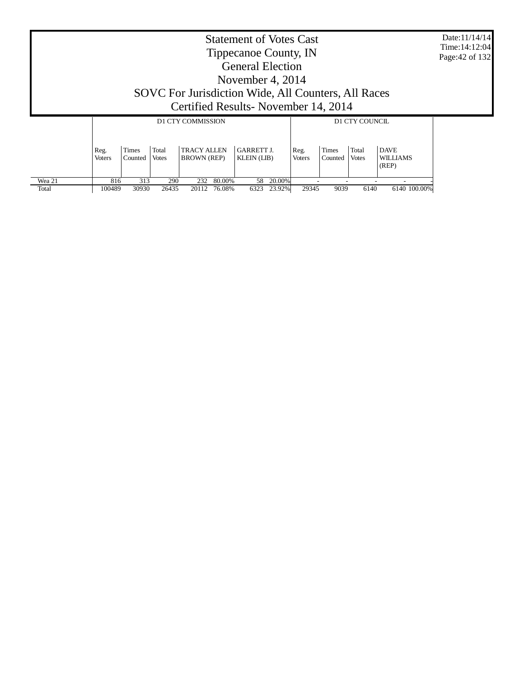|                 |                       |                  |                |                                                                                              |                  | <b>Statement of Votes Cast</b><br>Tippecanoe County, IN<br><b>General Election</b><br>November 4, $2014$ |                  |                       |                  |                       |                                         |              | Date:11/14/14<br>Time: 14:12:04<br>Page: 42 of 132 |
|-----------------|-----------------------|------------------|----------------|----------------------------------------------------------------------------------------------|------------------|----------------------------------------------------------------------------------------------------------|------------------|-----------------------|------------------|-----------------------|-----------------------------------------|--------------|----------------------------------------------------|
|                 |                       |                  |                | SOVC For Jurisdiction Wide, All Counters, All Races<br>Certified Results - November 14, 2014 |                  |                                                                                                          |                  |                       |                  |                       |                                         |              |                                                    |
|                 |                       |                  |                | <b>D1 CTY COMMISSION</b>                                                                     |                  |                                                                                                          |                  |                       |                  | D1 CTY COUNCIL        |                                         |              |                                                    |
|                 | Reg.<br><b>Voters</b> | Times<br>Counted | Total<br>Votes | <b>TRACY ALLEN</b><br><b>BROWN</b> (REP)                                                     |                  | <b>GARRETT J.</b><br><b>KLEIN</b> (LIB)                                                                  |                  | Reg.<br><b>Voters</b> | Times<br>Counted | Total<br><b>Votes</b> | <b>DAVE</b><br><b>WILLIAMS</b><br>(REP) |              |                                                    |
| Wea 21<br>Total | 816<br>100489         | 313<br>30930     | 290<br>26435   | 232<br>20112                                                                                 | 80.00%<br>76.08% | 58<br>6323                                                                                               | 20.00%<br>23.92% | 29345                 | 9039             | 6140                  |                                         | 6140 100.00% |                                                    |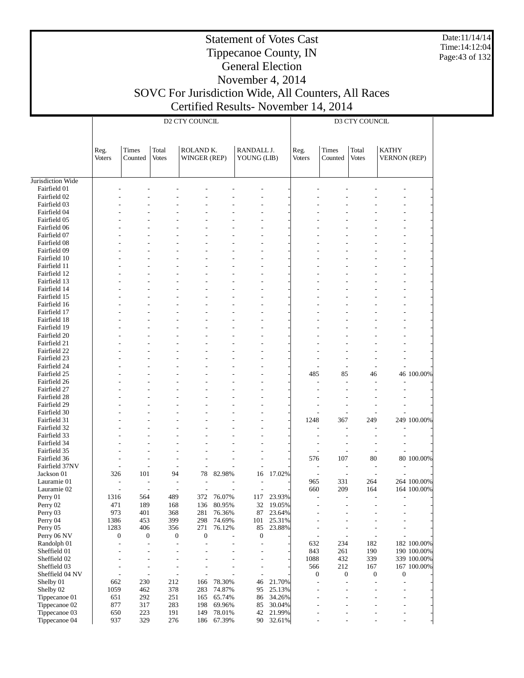Date:11/14/14 Time:14:12:04 Page:43 of 132

#### Statement of Votes Cast Tippecanoe County, IN General Election November 4, 2014

# SOVC For Jurisdiction Wide, All Counters, All Races Certified Results- November 14, 2014

|                                |                       |                  |                              | <b>D2 CTY COUNCIL</b>     |                  |                           |                  |                                            |                  | D3 CTY COUNCIL           |                                     |             |
|--------------------------------|-----------------------|------------------|------------------------------|---------------------------|------------------|---------------------------|------------------|--------------------------------------------|------------------|--------------------------|-------------------------------------|-------------|
|                                | Reg.<br><b>Voters</b> | Times<br>Counted | Total<br><b>Votes</b>        | ROLAND K.<br>WINGER (REP) |                  | RANDALL J.<br>YOUNG (LIB) |                  | Reg.<br><b>Voters</b>                      | Times<br>Counted | Total<br><b>Votes</b>    | <b>KATHY</b><br><b>VERNON</b> (REP) |             |
| Jurisdiction Wide              |                       |                  |                              |                           |                  |                           |                  |                                            |                  |                          |                                     |             |
| Fairfield 01                   |                       |                  |                              |                           |                  |                           |                  |                                            |                  |                          |                                     |             |
| Fairfield 02                   |                       |                  |                              |                           |                  |                           |                  |                                            |                  |                          |                                     |             |
| Fairfield 03                   |                       |                  |                              |                           |                  |                           |                  |                                            |                  |                          |                                     |             |
| Fairfield 04                   |                       |                  |                              |                           |                  |                           |                  |                                            |                  |                          |                                     |             |
| Fairfield 05                   |                       |                  |                              |                           |                  |                           |                  |                                            |                  |                          |                                     |             |
| Fairfield 06                   |                       |                  |                              |                           |                  |                           |                  |                                            |                  |                          |                                     |             |
| Fairfield 07                   |                       |                  |                              |                           |                  |                           |                  |                                            |                  |                          |                                     |             |
| Fairfield 08<br>Fairfield 09   |                       |                  |                              |                           |                  |                           |                  |                                            |                  |                          |                                     |             |
| Fairfield 10                   |                       |                  |                              |                           |                  |                           |                  |                                            |                  |                          |                                     |             |
| Fairfield 11                   |                       |                  |                              |                           |                  |                           |                  |                                            |                  |                          |                                     |             |
| Fairfield 12                   |                       |                  |                              |                           |                  |                           |                  |                                            |                  |                          |                                     |             |
| Fairfield 13                   |                       |                  |                              |                           |                  |                           |                  |                                            |                  |                          |                                     |             |
| Fairfield 14                   |                       |                  |                              |                           |                  |                           |                  |                                            |                  |                          |                                     |             |
| Fairfield 15                   |                       |                  |                              |                           |                  |                           |                  |                                            |                  |                          |                                     |             |
| Fairfield 16                   |                       |                  |                              |                           |                  |                           |                  |                                            |                  |                          |                                     |             |
| Fairfield 17                   |                       |                  |                              |                           |                  |                           |                  |                                            |                  |                          |                                     |             |
| Fairfield 18                   |                       |                  |                              |                           |                  |                           |                  |                                            |                  |                          |                                     |             |
| Fairfield 19                   |                       |                  |                              |                           |                  |                           |                  |                                            |                  |                          |                                     |             |
| Fairfield 20<br>Fairfield 21   |                       |                  |                              |                           |                  |                           |                  |                                            |                  |                          |                                     |             |
| Fairfield 22                   |                       |                  |                              |                           |                  |                           |                  |                                            |                  |                          |                                     |             |
| Fairfield 23                   |                       |                  |                              |                           |                  |                           |                  |                                            |                  |                          |                                     |             |
| Fairfield 24                   |                       |                  |                              |                           |                  |                           |                  |                                            |                  |                          |                                     |             |
| Fairfield 25                   |                       |                  |                              |                           |                  |                           |                  | 485                                        | 85               | 46                       |                                     | 46 100.00%  |
| Fairfield 26                   |                       |                  |                              |                           |                  |                           |                  |                                            |                  |                          |                                     |             |
| Fairfield 27                   |                       |                  |                              |                           |                  |                           |                  |                                            |                  |                          |                                     |             |
| Fairfield 28                   |                       |                  |                              |                           |                  |                           |                  |                                            |                  |                          |                                     |             |
| Fairfield 29                   |                       |                  |                              |                           |                  |                           |                  |                                            |                  |                          |                                     |             |
| Fairfield 30                   |                       |                  |                              |                           |                  |                           |                  |                                            |                  |                          |                                     |             |
| Fairfield 31                   |                       |                  |                              |                           |                  |                           |                  | 1248                                       | 367              | 249                      |                                     | 249 100.00% |
| Fairfield 32<br>Fairfield 33   |                       |                  |                              |                           |                  |                           |                  |                                            |                  |                          |                                     |             |
| Fairfield 34                   |                       |                  |                              |                           |                  |                           |                  |                                            |                  |                          | $\overline{a}$                      |             |
| Fairfield 35                   |                       |                  |                              |                           |                  |                           |                  | L,                                         |                  |                          |                                     |             |
| Fairfield 36                   |                       |                  | ٠                            |                           |                  |                           |                  | 576                                        | 107              | 80                       |                                     | 80 100.00%  |
| Fairfield 37NV                 |                       |                  |                              |                           |                  |                           |                  | $\overline{\phantom{a}}$                   |                  |                          |                                     |             |
| Jackson 01                     | 326                   | 101              | 94                           | 78                        | 82.98%           | 16                        | 17.02%           | $\overline{a}$                             |                  |                          |                                     |             |
| Lauramie 01                    |                       |                  |                              |                           |                  |                           |                  | 965                                        | 331              | 264                      |                                     | 264 100.00% |
| Lauramie 02                    |                       |                  |                              |                           |                  |                           |                  | 660                                        | 209              | 164                      |                                     | 164 100.00% |
| Perry 01                       | 1316                  | 564              | 489                          | 372                       | 76.07%           | 117                       | 23.93%           | $\overline{\phantom{a}}$                   |                  |                          | $\overline{\phantom{a}}$            |             |
| Perry 02<br>Perry 03           | 471<br>973            | 189<br>401       | 168<br>368                   | 136<br>281                | 80.95%<br>76.36% | 32<br>87                  | 19.05%<br>23.64% | $\overline{a}$                             |                  |                          | $\overline{a}$                      |             |
| Perry 04                       | 1386                  | 453              | 399                          | 298                       | 74.69%           | 101                       | 25.31%           | $\overline{a}$                             |                  |                          | $\overline{a}$                      |             |
| Perry 05                       | 1283                  | 406              | 356                          | 271                       | 76.12%           | 85                        | 23.88%           | $\overline{\phantom{a}}$                   |                  |                          | $\overline{\phantom{a}}$            |             |
| Perry 06 NV                    | $\boldsymbol{0}$      | $\boldsymbol{0}$ | 0                            | $\boldsymbol{0}$          |                  | $\boldsymbol{0}$          |                  | $\overline{a}$                             | $\overline{a}$   | $\overline{\phantom{a}}$ | $\overline{a}$                      |             |
| Randolph 01                    | L,                    | $\overline{a}$   | $\qquad \qquad \blacksquare$ |                           |                  | $\overline{\phantom{a}}$  |                  | 632                                        | 234              | 182                      |                                     | 182 100.00% |
| Sheffield 01                   |                       | $\overline{a}$   | $\overline{a}$               |                           |                  | $\overline{\phantom{a}}$  |                  | 843                                        | 261              | 190                      |                                     | 190 100.00% |
| Sheffield 02                   |                       | $\overline{a}$   | L,                           |                           |                  | $\overline{\phantom{a}}$  |                  | 1088                                       | 432              | 339                      |                                     | 339 100.00% |
| Sheffield 03                   |                       | $\overline{a}$   | $\qquad \qquad \blacksquare$ |                           |                  | $\overline{\phantom{a}}$  |                  | 566                                        | 212              | 167                      |                                     | 167 100.00% |
| Sheffield 04 NV                |                       | $\overline{a}$   | $\frac{1}{2}$                |                           |                  | $\overline{\phantom{a}}$  |                  | 0                                          | $\boldsymbol{0}$ | $\boldsymbol{0}$         | 0                                   |             |
| Shelby 01                      | 662                   | 230              | 212                          | 166                       | 78.30%           | 46                        | 21.70%           | $\overline{a}$                             |                  | $\overline{\phantom{a}}$ | $\overline{a}$                      |             |
| Shelby 02                      | 1059                  | 462              | 378                          | 283                       | 74.87%           | 95                        | 25.13%           | $\overline{a}$                             |                  |                          | $\overline{a}$                      |             |
| Tippecanoe 01<br>Tippecanoe 02 | 651<br>877            | 292<br>317       | 251<br>283                   | 165<br>198                | 65.74%<br>69.96% | 86<br>85                  | 34.26%<br>30.04% | $\overline{a}$<br>$\overline{\phantom{a}}$ |                  |                          | $\overline{a}$<br>$\overline{a}$    |             |
| Tippecanoe 03                  | 650                   | 223              | 191                          | 149                       | 78.01%           | 42                        | 21.99%           | ÷,                                         |                  | L,                       | $\overline{a}$                      |             |
| Tippecanoe 04                  | 937                   | 329              | 276                          | 186                       | 67.39%           | 90                        | 32.61%           |                                            |                  | L,                       | $\overline{a}$                      |             |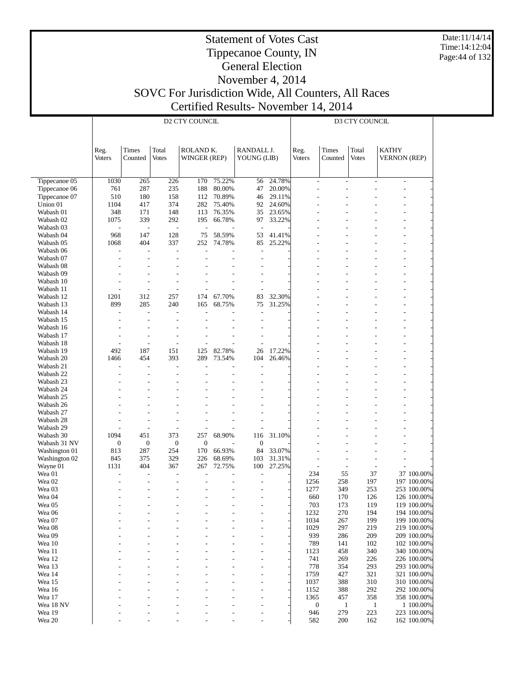Date:11/14/14 Time:14:12:04 Page:44 of 132

#### Statement of Votes Cast Tippecanoe County, IN General Election November 4, 2014

# SOVC For Jurisdiction Wide, All Counters, All Races Certified Results- November 14, 2014

|                                |                         |                                  |                          | <b>D2 CTY COUNCIL</b>     |                  |                           |                  |                       |                      | D3 CTY COUNCIL        |                                     |                            |
|--------------------------------|-------------------------|----------------------------------|--------------------------|---------------------------|------------------|---------------------------|------------------|-----------------------|----------------------|-----------------------|-------------------------------------|----------------------------|
|                                | Reg.<br><b>Voters</b>   | Times<br>Counted                 | Total<br><b>Votes</b>    | ROLAND K.<br>WINGER (REP) |                  | RANDALL J.<br>YOUNG (LIB) |                  | Reg.<br><b>Voters</b> | Times<br>Counted     | Total<br><b>Votes</b> | <b>KATHY</b><br><b>VERNON (REP)</b> |                            |
|                                |                         |                                  |                          |                           |                  |                           |                  |                       |                      |                       |                                     |                            |
| Tippecanoe 05<br>Tippecanoe 06 | 1030<br>761             | 265<br>287                       | 226<br>235               | 170<br>188                | 75.22%<br>80.00% | 56<br>47                  | 24.78%<br>20.00% | ÷<br>$\overline{a}$   | $\overline{a}$<br>÷, |                       | $\sim$<br>$\overline{a}$            |                            |
| Tippecanoe 07                  | 510                     | 180                              | 158                      | 112                       | 70.89%           | 46                        | 29.11%           |                       |                      |                       |                                     |                            |
| Union 01                       | 1104                    | 417                              | 374                      | 282                       | 75.40%           | 92                        | 24.60%           |                       |                      |                       |                                     |                            |
| Wabash 01                      | 348                     | 171                              | 148                      | 113                       | 76.35%           | 35                        | 23.65%           |                       |                      |                       |                                     |                            |
| Wabash 02                      | 1075                    | 339                              | 292                      | 195                       | 66.78%           | 97                        | 33.22%           |                       |                      |                       |                                     |                            |
| Wabash 03                      |                         | $\overline{\phantom{a}}$         | $\overline{\phantom{a}}$ | Ĭ.                        |                  |                           |                  |                       |                      |                       |                                     |                            |
| Wabash 04                      | 968                     | 147                              | 128                      | 75                        | 58.59%           | 53                        | 41.41%           |                       |                      |                       |                                     |                            |
| Wabash 05                      | 1068                    | 404                              | 337                      | 252                       | 74.78%           | 85                        | 25.22%           |                       |                      |                       |                                     |                            |
| Wabash 06                      | ÷                       | L,                               | ÷,                       | L.                        |                  | ÷                         |                  |                       |                      |                       |                                     |                            |
| Wabash 07                      |                         | L.                               | L.                       | L,                        |                  | ÷                         |                  |                       |                      |                       | $\overline{a}$                      |                            |
| Wabash 08                      |                         | ÷                                | ÷                        |                           |                  |                           |                  |                       |                      |                       |                                     |                            |
| Wabash 09                      |                         |                                  | ÷                        |                           |                  | ÷,                        |                  |                       |                      |                       | $\overline{a}$                      |                            |
| Wabash 10                      |                         | ÷,                               | ÷                        |                           |                  | ÷,                        |                  |                       |                      |                       |                                     |                            |
| Wabash 11                      |                         | $\overline{a}$                   | Ĭ.                       |                           |                  |                           |                  |                       |                      |                       | $\overline{a}$                      |                            |
| Wabash 12                      | 1201                    | 312                              | 257                      | 174                       | 67.70%           | 83                        | 32.30%           |                       |                      |                       |                                     |                            |
| Wabash 13                      | 899                     | 285                              | 240                      | 165                       | 68.75%           | 75                        | 31.25%           |                       |                      |                       |                                     |                            |
| Wabash 14<br>Wabash 15         | L,                      | $\overline{a}$<br>$\overline{a}$ | ÷,<br>$\overline{a}$     | Ĭ.<br>L,                  |                  | L,                        |                  |                       |                      |                       | $\overline{a}$                      |                            |
| Wabash 16                      |                         |                                  | ÷                        |                           |                  |                           |                  |                       |                      |                       |                                     |                            |
| Wabash 17                      |                         | L,                               | ÷,                       | L,                        |                  | ÷,                        |                  |                       |                      |                       |                                     |                            |
| Wabash 18                      |                         | L,                               | L,                       |                           |                  |                           |                  |                       |                      |                       |                                     |                            |
| Wabash 19                      | 492                     | 187                              | 151                      | 125                       | 82.78%           | 26                        | 17.22%           |                       |                      |                       | $\overline{a}$                      |                            |
| Wabash 20                      | 1466                    | 454                              | 393                      | 289                       | 73.54%           | 104                       | 26.46%           |                       |                      |                       |                                     |                            |
| Wabash 21                      | ÷                       | $\overline{a}$                   | L.                       | J.                        |                  |                           |                  |                       |                      |                       | $\overline{a}$                      |                            |
| Wabash 22                      |                         | L.                               | L.                       |                           |                  |                           |                  |                       |                      |                       |                                     |                            |
| Wabash 23                      |                         |                                  | ÷,                       |                           |                  |                           |                  |                       |                      |                       | $\overline{a}$                      |                            |
| Wabash 24                      |                         |                                  |                          |                           |                  |                           |                  |                       |                      |                       |                                     |                            |
| Wabash 25                      |                         |                                  | ÷,                       |                           |                  |                           |                  |                       |                      |                       |                                     |                            |
| Wabash 26                      |                         |                                  |                          |                           |                  |                           |                  |                       |                      |                       |                                     |                            |
| Wabash 27                      |                         |                                  | ÷,                       |                           |                  | L,                        |                  |                       |                      |                       | $\overline{a}$                      |                            |
| Wabash 28                      |                         |                                  | ÷,                       |                           |                  |                           |                  |                       |                      |                       |                                     |                            |
| Wabash 29                      |                         | $\overline{a}$                   | $\overline{a}$           | L,                        |                  |                           |                  |                       |                      |                       |                                     |                            |
| Wabash 30                      | 1094                    | 451                              | 373                      | 257                       | 68.90%           | 116                       | 31.10%           |                       |                      |                       |                                     |                            |
| Wabash 31 NV                   | $\boldsymbol{0}$<br>813 | $\boldsymbol{0}$<br>287          | $\boldsymbol{0}$<br>254  | $\boldsymbol{0}$<br>170   | 66.93%           | $\boldsymbol{0}$<br>84    | 33.07%           |                       |                      |                       | $\overline{a}$                      |                            |
| Washington 01<br>Washington 02 | 845                     | 375                              | 329                      | 226                       | 68.69%           | 103                       | 31.31%           | L,                    | ÷                    |                       |                                     |                            |
| Wayne 01                       | 1131                    | 404                              | 367                      | 267                       | 72.75%           | 100                       | 27.25%           | $\overline{a}$        | L,                   | L,                    |                                     |                            |
| Wea 01                         |                         | ÷,                               | ÷,                       |                           |                  |                           |                  | 234                   | 55                   | 37                    |                                     | 37 100.00%                 |
| Wea <sub>02</sub>              |                         | ÷,                               | ÷,                       |                           |                  |                           |                  | 1256                  | 258                  | 197                   |                                     | 197 100.00%                |
| Wea 03                         |                         |                                  | L,                       |                           |                  |                           |                  | 1277                  | 349                  | 253                   |                                     | 253 100.00%                |
| Wea 04                         |                         | L,                               | ÷,                       | L,                        | $\overline{a}$   | L,                        |                  | 660                   | 170                  | 126                   |                                     | 126 100.00%                |
| Wea 05                         |                         |                                  |                          |                           |                  |                           |                  | 703                   | 173                  | 119                   |                                     | 119 100.00%                |
| Wea 06                         |                         |                                  |                          |                           |                  |                           |                  | 1232                  | 270                  | 194                   |                                     | 194 100.00%                |
| Wea 07                         |                         |                                  |                          |                           |                  | ٠                         |                  | 1034                  | 267                  | 199                   |                                     | 199 100.00%                |
| Wea 08                         |                         |                                  |                          |                           |                  |                           |                  | 1029                  | 297                  | 219                   |                                     | 219 100.00%                |
| Wea 09                         |                         |                                  |                          |                           |                  |                           |                  | 939                   | 286                  | 209                   |                                     | 209 100.00%                |
| Wea 10                         |                         |                                  |                          |                           |                  |                           |                  | 789                   | 141                  | 102                   |                                     | 102 100.00%                |
| Wea 11                         |                         |                                  |                          |                           |                  |                           |                  | 1123                  | 458                  | 340                   |                                     | 340 100.00%                |
| Wea 12                         |                         |                                  |                          |                           |                  |                           |                  | 741                   | 269                  | 226                   |                                     | 226 100.00%                |
| Wea 13<br>Wea 14               |                         |                                  |                          |                           |                  |                           |                  | 778<br>1759           | 354<br>427           | 293<br>321            |                                     | 293 100.00%<br>321 100.00% |
| Wea 15                         |                         |                                  |                          |                           |                  |                           |                  | 1037                  | 388                  | 310                   |                                     | 310 100.00%                |
| Wea 16                         |                         |                                  |                          |                           |                  |                           |                  | 1152                  | 388                  | 292                   |                                     | 292 100.00%                |
| Wea 17                         |                         |                                  |                          |                           |                  |                           |                  | 1365                  | 457                  | 358                   |                                     | 358 100.00%                |
| Wea 18 NV                      |                         |                                  |                          |                           |                  |                           |                  | $\boldsymbol{0}$      | $\mathbf{1}$         | $\mathbf{1}$          |                                     | 1 100.00%                  |
| Wea 19                         |                         |                                  |                          |                           |                  |                           |                  | 946                   | 279                  | 223                   |                                     | 223 100.00%                |
| Wea 20                         |                         |                                  |                          |                           |                  |                           |                  | 582                   | 200                  | 162                   |                                     | 162 100.00%                |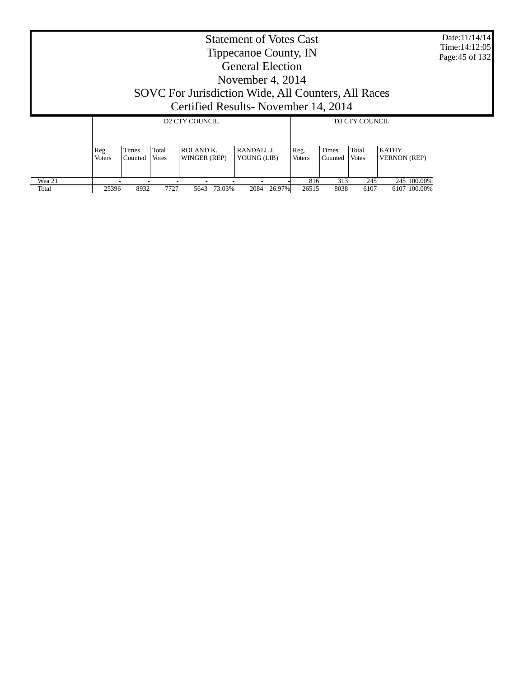| Tippecanoe County, IN<br><b>General Election</b>                                                                                                                                                                                             | Date: 11/14/14<br>Time: 14:12:05<br>Page: 45 of 132 |
|----------------------------------------------------------------------------------------------------------------------------------------------------------------------------------------------------------------------------------------------|-----------------------------------------------------|
| November 4, $2014$                                                                                                                                                                                                                           |                                                     |
| SOVC For Jurisdiction Wide, All Counters, All Races                                                                                                                                                                                          |                                                     |
| Certified Results-November 14, 2014                                                                                                                                                                                                          |                                                     |
| <b>D2 CTY COUNCIL</b><br>D3 CTY COUNCIL                                                                                                                                                                                                      |                                                     |
|                                                                                                                                                                                                                                              |                                                     |
| ROLAND <sub>K</sub><br>Times<br>Total<br>Times<br>Total<br><b>KATHY</b><br>RANDALL J.<br>Reg.<br>Reg.<br><b>VERNON</b> (REP)<br>WINGER (REP)<br>YOUNG (LIB)<br><b>Voters</b><br>Counted<br>Votes<br><b>Voters</b><br>Counted<br><b>Votes</b> |                                                     |
| 313<br>Wea 21<br>245<br>245 100.00%<br>816<br>73.03%<br>26.97%<br>Total<br>25396<br>8932<br>7727<br>2084<br>5643<br>26515<br>8038<br>6107<br>6107 100.00%                                                                                    |                                                     |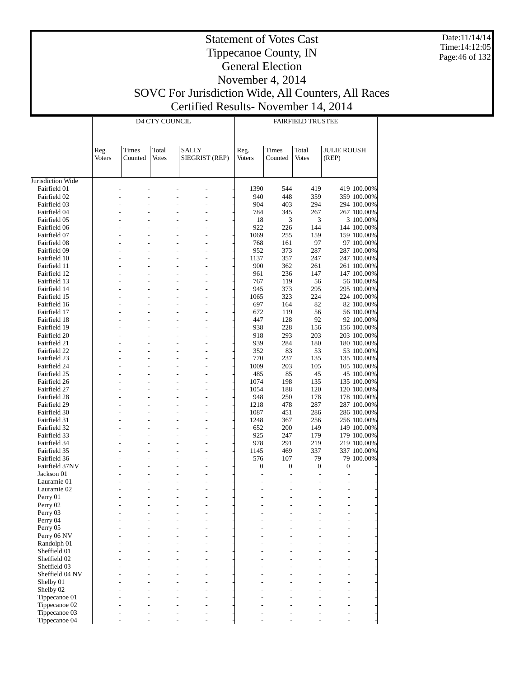Date:11/14/14 Time:14:12:05 Page:46 of 132

#### Statement of Votes Cast Tippecanoe County, IN General Election November 4, 2014 SOVC For Jurisdiction Wide, All Counters, All Races Certified Results- November 14, 2014

|                              |               |         | <b>D4 CTY COUNCIL</b> |              |                |               |                  | <b>FAIRFIELD TRUSTEE</b> |                    |                            |
|------------------------------|---------------|---------|-----------------------|--------------|----------------|---------------|------------------|--------------------------|--------------------|----------------------------|
|                              |               |         |                       |              |                |               |                  |                          |                    |                            |
|                              | Reg.          | Times   | Total                 | <b>SALLY</b> |                | Reg.          | Times            | Total                    | <b>JULIE ROUSH</b> |                            |
|                              | <b>Voters</b> | Counted | <b>Votes</b>          |              | SIEGRIST (REP) | <b>Voters</b> | Counted          | <b>Votes</b>             | (REP)              |                            |
|                              |               |         |                       |              |                |               |                  |                          |                    |                            |
| Jurisdiction Wide            |               |         |                       |              |                |               |                  |                          |                    |                            |
| Fairfield 01                 |               |         |                       |              |                | 1390          | 544              | 419                      |                    | 419 100.00%                |
| Fairfield 02                 |               |         |                       |              |                | 940           | 448              | 359                      |                    | 359 100.00%                |
| Fairfield 03                 |               |         |                       |              |                | 904           | 403              | 294                      |                    | 294 100.00%                |
| Fairfield 04<br>Fairfield 05 |               |         |                       |              |                | 784<br>18     | 345<br>3         | 267<br>3                 |                    | 267 100.00%                |
| Fairfield 06                 |               |         |                       |              |                | 922           | 226              | 144                      |                    | 3 100.00%<br>144 100.00%   |
| Fairfield 07                 |               |         |                       |              |                | 1069          | 255              | 159                      |                    | 159 100.00%                |
| Fairfield 08                 |               |         |                       |              |                | 768           | 161              | 97                       |                    | 97 100.00%                 |
| Fairfield 09                 |               |         |                       |              |                | 952           | 373              | 287                      |                    | 287 100.00%                |
| Fairfield 10                 |               |         |                       |              |                | 1137          | 357              | 247                      |                    | 247 100.00%                |
| Fairfield 11                 |               |         |                       |              |                | 900           | 362              | 261                      |                    | 261 100.00%                |
| Fairfield 12                 |               |         |                       |              |                | 961           | 236              | 147                      |                    | 147 100.00%                |
| Fairfield 13<br>Fairfield 14 |               |         |                       |              |                | 767<br>945    | 119<br>373       | 56<br>295                |                    | 56 100.00%<br>295 100.00%  |
| Fairfield 15                 |               |         |                       |              |                | 1065          | 323              | 224                      |                    | 224 100.00%                |
| Fairfield 16                 |               |         |                       |              |                | 697           | 164              | 82                       |                    | 82 100.00%                 |
| Fairfield 17                 |               |         |                       |              |                | 672           | 119              | 56                       |                    | 56 100.00%                 |
| Fairfield 18                 |               |         |                       |              |                | 447           | 128              | 92                       |                    | 92 100.00%                 |
| Fairfield 19                 |               |         |                       |              |                | 938           | 228              | 156                      |                    | 156 100.00%                |
| Fairfield 20                 |               |         |                       |              |                | 918           | 293              | 203                      |                    | 203 100.00%                |
| Fairfield 21                 |               |         |                       |              |                | 939           | 284              | 180                      |                    | 180 100.00%                |
| Fairfield 22                 |               |         |                       |              |                | 352           | 83               | 53                       |                    | 53 100.00%                 |
| Fairfield 23                 |               |         |                       |              |                | 770           | 237              | 135                      |                    | 135 100.00%                |
| Fairfield 24<br>Fairfield 25 |               |         |                       |              |                | 1009<br>485   | 203<br>85        | 105<br>45                |                    | 105 100.00%<br>45 100.00%  |
| Fairfield 26                 |               |         |                       |              |                | 1074          | 198              | 135                      |                    | 135 100.00%                |
| Fairfield 27                 |               |         |                       |              |                | 1054          | 188              | 120                      |                    | 120 100.00%                |
| Fairfield 28                 |               |         |                       |              |                | 948           | 250              | 178                      |                    | 178 100.00%                |
| Fairfield 29                 |               |         |                       |              |                | 1218          | 478              | 287                      |                    | 287 100.00%                |
| Fairfield 30                 |               |         |                       |              |                | 1087          | 451              | 286                      |                    | 286 100.00%                |
| Fairfield 31                 |               |         |                       |              |                | 1248          | 367              | 256                      |                    | 256 100.00%                |
| Fairfield 32                 |               |         |                       |              |                | 652           | 200              | 149                      |                    | 149 100.00%                |
| Fairfield 33<br>Fairfield 34 |               |         |                       |              |                | 925<br>978    | 247<br>291       | 179                      |                    | 179 100.00%                |
| Fairfield 35                 |               |         |                       |              |                | 1145          | 469              | 219<br>337               |                    | 219 100.00%<br>337 100.00% |
| Fairfield 36                 |               |         |                       |              |                | 576           | 107              | 79                       |                    | 79 100.00%                 |
| Fairfield 37NV               |               |         |                       |              |                | $\mathbf{0}$  | $\boldsymbol{0}$ | $\boldsymbol{0}$         | $\boldsymbol{0}$   |                            |
| Jackson 01                   |               |         |                       |              |                | L.            |                  |                          |                    |                            |
| Lauramie 01                  |               |         |                       |              |                |               |                  |                          |                    |                            |
| Lauramie 02                  |               |         |                       |              |                |               |                  |                          |                    |                            |
| Perry 01                     |               |         |                       |              |                |               |                  |                          |                    |                            |
| Perry 02                     |               |         |                       |              |                |               |                  |                          |                    |                            |
| Perry 03<br>Perry 04         |               |         |                       |              |                |               |                  |                          |                    |                            |
| Perry 05                     |               |         |                       |              |                |               |                  |                          |                    |                            |
| Perry 06 NV                  |               |         |                       |              |                |               |                  |                          |                    |                            |
| Randolph 01                  |               |         |                       |              |                |               |                  |                          |                    |                            |
| Sheffield 01                 |               |         |                       |              |                |               |                  |                          |                    |                            |
| Sheffield 02                 |               |         |                       |              |                |               |                  |                          |                    |                            |
| Sheffield 03                 |               |         |                       |              |                |               |                  |                          |                    |                            |
| Sheffield 04 NV              |               |         |                       |              |                |               |                  |                          |                    |                            |
| Shelby 01                    |               |         |                       |              |                |               |                  |                          |                    |                            |
| Shelby 02<br>Tippecanoe 01   |               |         |                       |              |                |               |                  |                          |                    |                            |
| Tippecanoe 02                |               |         |                       |              |                |               |                  |                          |                    |                            |
| Tippecanoe 03                |               |         |                       |              |                |               |                  |                          |                    |                            |
| Tippecanoe 04                |               |         |                       |              |                |               |                  |                          |                    |                            |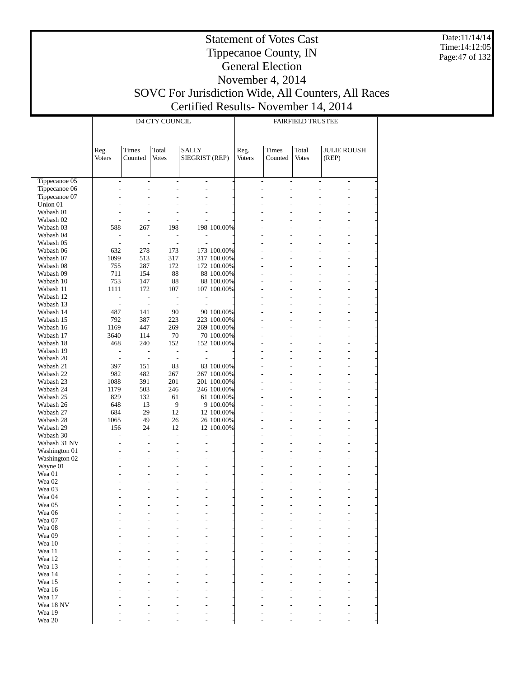Date:11/14/14 Time:14:12:05 Page:47 of 132

### Tippecanoe County, IN General Election November 4, 2014 SOVC For Jurisdiction Wide, All Counters, All Races Certified Results- November 14, 2014

|                                |                                            |                              | D4 CTY COUNCIL           |                              |                            |        |                                            | <b>FAIRFIELD TRUSTEE</b>                   |                                           |                                                      |
|--------------------------------|--------------------------------------------|------------------------------|--------------------------|------------------------------|----------------------------|--------|--------------------------------------------|--------------------------------------------|-------------------------------------------|------------------------------------------------------|
|                                |                                            |                              |                          |                              |                            |        |                                            |                                            |                                           |                                                      |
|                                |                                            |                              |                          |                              |                            |        |                                            |                                            |                                           |                                                      |
|                                | Reg.                                       | Times                        | Total                    | <b>SALLY</b>                 |                            | Reg.   | Times                                      | Total                                      | <b>JULIE ROUSH</b>                        |                                                      |
|                                | <b>Voters</b>                              | Counted                      | <b>Votes</b>             | SIEGRIST (REP)               |                            | Voters | Counted                                    | <b>Votes</b>                               | (REP)                                     |                                                      |
|                                |                                            |                              |                          |                              |                            |        |                                            |                                            |                                           |                                                      |
|                                |                                            | $\overline{a}$               | $\overline{a}$           | $\overline{a}$               |                            |        |                                            |                                            |                                           |                                                      |
| Tippecanoe 05<br>Tippecanoe 06 | $\overline{\phantom{0}}$<br>$\overline{a}$ | $\frac{1}{2}$                | $\overline{a}$           | $\qquad \qquad \blacksquare$ |                            |        | $\overline{\phantom{0}}$<br>$\overline{a}$ | $\overline{\phantom{a}}$<br>$\overline{a}$ | $\overline{\phantom{a}}$<br>$\frac{1}{2}$ | $\overline{\phantom{0}}$<br>$\overline{\phantom{0}}$ |
| Tippecanoe 07                  |                                            |                              |                          | $\overline{a}$               |                            |        |                                            | $\overline{a}$                             |                                           |                                                      |
| Union 01                       |                                            | L,                           | $\overline{a}$           | $\qquad \qquad \blacksquare$ |                            |        |                                            | $\overline{\phantom{0}}$                   | $\overline{a}$                            | $\overline{a}$                                       |
| Wabash 01                      |                                            | L,                           | $\overline{a}$           | L,                           |                            |        |                                            | L,                                         |                                           |                                                      |
| Wabash 02                      | $\overline{a}$                             | $\overline{a}$               | $\overline{a}$           | $\frac{1}{2}$                |                            |        |                                            | $\overline{a}$                             |                                           | $\overline{a}$                                       |
| Wabash 03                      | 588                                        | 267                          | 198                      |                              | 198 100.00%                |        |                                            | L,                                         |                                           |                                                      |
| Wabash 04                      | $\overline{\phantom{m}}$                   | $\qquad \qquad \blacksquare$ | $\overline{a}$           | $\qquad \qquad \blacksquare$ |                            |        | $\overline{\phantom{0}}$                   | $\overline{\phantom{0}}$                   | $\overline{a}$                            | $\overline{a}$                                       |
| Wabash 05                      | $\qquad \qquad \blacksquare$               | $\overline{\phantom{a}}$     | $\frac{1}{2}$            | $\frac{1}{2}$                |                            |        | $\overline{a}$                             | $\overline{a}$                             |                                           |                                                      |
| Wabash 06                      | 632                                        | 278                          | 173                      |                              | 173 100.00%                |        | $\overline{a}$                             | $\overline{a}$                             | L,                                        | $\overline{a}$                                       |
| Wabash 07<br>Wabash 08         | 1099<br>755                                | 513<br>287                   | 317<br>172               |                              | 317 100.00%<br>172 100.00% |        | $\overline{a}$<br>$\overline{a}$           | $\overline{a}$<br>$\overline{\phantom{0}}$ | $\overline{a}$                            | $\overline{\phantom{0}}$                             |
| Wabash 09                      | 711                                        | 154                          | 88                       |                              | 88 100.00%                 |        | $\overline{a}$                             | $\overline{a}$                             |                                           |                                                      |
| Wabash 10                      | 753                                        | 147                          | 88                       |                              | 88 100.00%                 |        | $\overline{a}$                             | $\overline{a}$                             |                                           | $\overline{a}$                                       |
| Wabash 11                      | 1111                                       | 172                          | 107                      |                              | 107 100.00%                |        | $\overline{a}$                             | $\overline{a}$                             |                                           |                                                      |
| Wabash 12                      | $\frac{1}{2}$                              | $\overline{\phantom{a}}$     | $\overline{\phantom{m}}$ | $\overline{\phantom{0}}$     |                            |        | $\overline{a}$                             | $\overline{a}$                             | $\overline{\phantom{0}}$                  | $\overline{\phantom{0}}$                             |
| Wabash 13                      | $\overline{a}$                             | $\overline{\phantom{a}}$     | $\frac{1}{2}$            | $\overline{\phantom{a}}$     |                            |        | $\overline{a}$                             | $\overline{a}$                             |                                           |                                                      |
| Wabash 14                      | 487                                        | 141                          | 90                       |                              | 90 100.00%                 |        | $\overline{a}$                             | $\overline{a}$                             |                                           | $\overline{a}$                                       |
| Wabash 15                      | 792                                        | 387                          | 223                      |                              | 223 100.00%                |        | $\overline{a}$                             | $\overline{a}$                             |                                           |                                                      |
| Wabash 16                      | 1169                                       | 447                          | 269                      |                              | 269 100.00%                |        | $\overline{a}$                             | $\overline{\phantom{0}}$                   | $\overline{a}$                            | $\overline{\phantom{0}}$                             |
| Wabash 17                      | 3640                                       | 114                          | 70                       |                              | 70 100.00%                 |        | $\overline{a}$                             | $\overline{a}$                             |                                           |                                                      |
| Wabash 18                      | 468                                        | 240                          | 152                      |                              | 152 100.00%                |        | $\overline{a}$                             | $\overline{a}$                             |                                           | $\overline{a}$                                       |
| Wabash 19                      | $\overline{\phantom{m}}$                   | $\frac{1}{2}$                | $\overline{\phantom{m}}$ | $\overline{\phantom{m}}$     |                            |        |                                            | $\overline{a}$                             |                                           |                                                      |
| Wabash 20                      | $\overline{\phantom{a}}$                   | $\overline{\phantom{a}}$     | $\frac{1}{2}$            | $\overline{\phantom{a}}$     |                            |        | $\overline{a}$                             | $\overline{\phantom{0}}$                   | $\overline{\phantom{0}}$                  | $\overline{\phantom{0}}$                             |
| Wabash 21                      | 397                                        | 151                          | 83                       |                              | 83 100.00%                 |        | $\overline{a}$                             | $\overline{a}$                             |                                           |                                                      |
| Wabash 22                      | 982                                        | 482                          | 267                      |                              | 267 100.00%                |        | $\overline{a}$                             | $\overline{a}$                             |                                           | $\overline{a}$                                       |
| Wabash 23                      | 1088                                       | 391                          | 201                      |                              | 201 100.00%                |        | $\overline{a}$                             | $\overline{a}$                             |                                           |                                                      |
| Wabash 24                      | 1179                                       | 503                          | 246                      |                              | 246 100.00%                |        | $\overline{a}$                             | $\overline{a}$                             | $\overline{a}$                            | $\overline{\phantom{0}}$                             |
| Wabash 25<br>Wabash 26         | 829<br>648                                 | 132<br>13                    | 61<br>9                  |                              | 61 100.00%                 |        | $\overline{a}$<br>$\overline{a}$           | $\overline{a}$<br>$\overline{a}$           |                                           | $\overline{a}$                                       |
| Wabash 27                      | 684                                        | 29                           | 12                       |                              | 9 100.00%<br>12 100.00%    |        | $\overline{a}$                             | $\overline{a}$                             |                                           |                                                      |
| Wabash 28                      | 1065                                       | 49                           | 26                       |                              | 26 100.00%                 |        | $\overline{a}$                             | $\overline{\phantom{0}}$                   | $\overline{a}$                            | $\overline{\phantom{0}}$                             |
| Wabash 29                      | 156                                        | 24                           | 12                       |                              | 12 100.00%                 |        | $\overline{a}$                             | $\overline{a}$                             |                                           |                                                      |
| Wabash 30                      | $\overline{a}$                             | $\overline{a}$               | $\frac{1}{2}$            | $\overline{\phantom{a}}$     |                            |        | $\overline{\phantom{0}}$                   | $\overline{\phantom{0}}$                   | L,                                        | $\overline{a}$                                       |
| Wabash 31 NV                   | L,                                         | L,                           | $\overline{a}$           | $\frac{1}{2}$                |                            |        |                                            | $\overline{a}$                             |                                           |                                                      |
| Washington 01                  | $\overline{a}$                             | $\frac{1}{2}$                | $\overline{a}$           | $\qquad \qquad \blacksquare$ |                            |        | $\overline{a}$                             | $\overline{a}$                             | $\overline{\phantom{0}}$                  | $\overline{\phantom{0}}$                             |
| Washington 02                  |                                            | $\overline{a}$               | $\overline{a}$           | $\frac{1}{2}$                |                            |        |                                            | $\overline{a}$                             |                                           |                                                      |
| Wayne 01                       |                                            | L                            | $\overline{a}$           | $\qquad \qquad \blacksquare$ |                            |        |                                            | $\overline{\phantom{0}}$                   | L,                                        | $\overline{a}$                                       |
| Wea 01                         |                                            |                              |                          | $\overline{a}$               |                            |        |                                            | $\overline{a}$                             |                                           |                                                      |
| Wea 02                         |                                            |                              |                          | $\overline{\phantom{0}}$     |                            |        |                                            | $\overline{a}$                             |                                           |                                                      |
| Wea 03                         |                                            |                              |                          | $\overline{\phantom{0}}$     |                            |        |                                            |                                            |                                           |                                                      |
| Wea 04                         |                                            |                              |                          |                              |                            |        |                                            |                                            |                                           |                                                      |
| Wea 05                         |                                            |                              |                          |                              |                            |        |                                            |                                            |                                           |                                                      |
| Wea 06                         |                                            |                              |                          |                              |                            |        |                                            |                                            |                                           |                                                      |
| Wea 07                         |                                            |                              |                          |                              |                            |        |                                            |                                            |                                           |                                                      |
| Wea 08<br>Wea 09               |                                            |                              |                          |                              |                            |        |                                            |                                            |                                           |                                                      |
| Wea 10                         |                                            |                              |                          |                              |                            |        |                                            |                                            |                                           |                                                      |
| Wea 11                         |                                            |                              |                          |                              |                            |        |                                            |                                            |                                           |                                                      |
| Wea 12                         |                                            |                              |                          |                              |                            |        |                                            |                                            |                                           |                                                      |
| Wea 13                         |                                            |                              |                          |                              |                            |        |                                            |                                            |                                           |                                                      |
| Wea 14                         |                                            |                              |                          |                              |                            |        |                                            |                                            |                                           |                                                      |
| Wea 15                         |                                            |                              |                          |                              |                            |        |                                            |                                            |                                           |                                                      |
| Wea 16                         |                                            |                              |                          |                              |                            |        |                                            |                                            |                                           |                                                      |
| Wea 17                         |                                            |                              |                          |                              |                            |        |                                            |                                            |                                           |                                                      |
| Wea 18 NV                      |                                            |                              |                          |                              |                            |        |                                            |                                            |                                           |                                                      |
| Wea 19                         |                                            |                              |                          |                              |                            |        |                                            |                                            |                                           |                                                      |
| Wea 20                         |                                            |                              |                          |                              |                            |        |                                            |                                            |                                           |                                                      |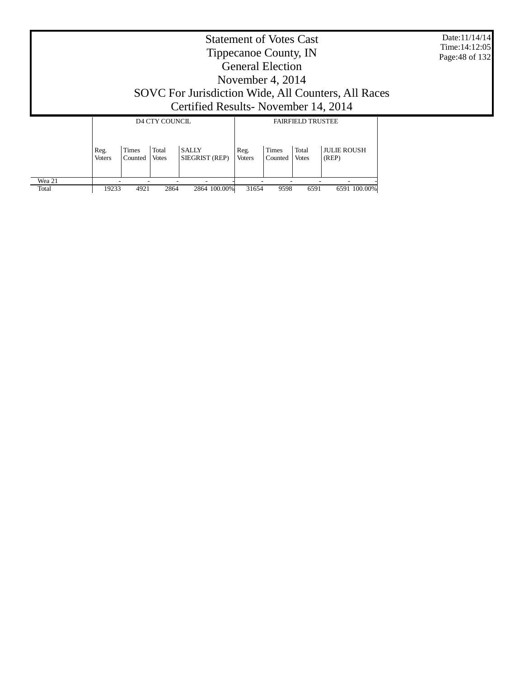Date:11/14/14 Time:14:12:05 Page:48 of 132

# Tippecanoe County, IN General Election November 4, 2014 SOVC For Jurisdiction Wide, All Counters, All Races Certified Results- November 14, 2014

|        |                       |                         | D4 CTY COUNCIL        |                                | <b>FAIRFIELD TRUSTEE</b> |                         |                       |                             |  |
|--------|-----------------------|-------------------------|-----------------------|--------------------------------|--------------------------|-------------------------|-----------------------|-----------------------------|--|
|        | Reg.<br><b>Voters</b> | <b>Times</b><br>Counted | Total<br><b>Votes</b> | <b>SALLY</b><br>SIEGRIST (REP) | Reg.<br><b>Voters</b>    | <b>Times</b><br>Counted | Total<br><b>Votes</b> | <b>JULIE ROUSH</b><br>(REP) |  |
| Wea 21 |                       |                         |                       |                                |                          |                         |                       |                             |  |
| Total  | 19233                 | 4921                    | 2864                  | 2864 100.00%                   | 31654                    | 9598                    | 6591                  | 6591 100.00%                |  |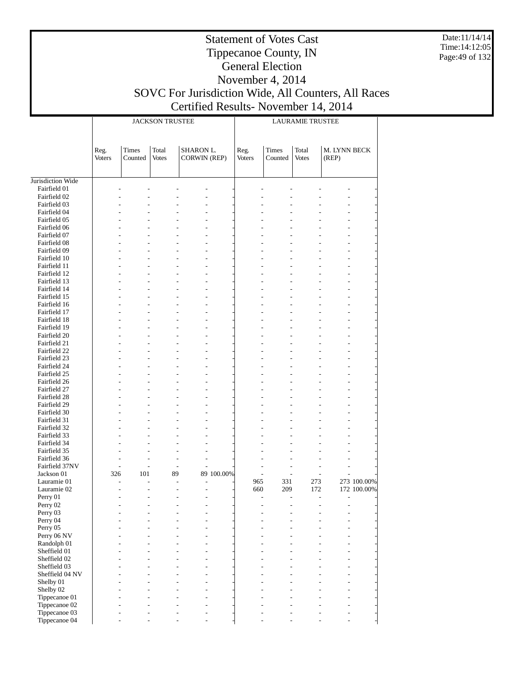Date:11/14/14 Time:14:12:05 Page:49 of 132

# Statement of Votes Cast Tippecanoe County, IN General Election November 4, 2014

# SOVC For Jurisdiction Wide, All Counters, All Races Certified Results- November 14, 2014

|                              |                       |                  | <b>JACKSON TRUSTEE</b> |                                  |            | <b>LAURAMIE TRUSTEE</b> |                                            |                       |                       |             |  |
|------------------------------|-----------------------|------------------|------------------------|----------------------------------|------------|-------------------------|--------------------------------------------|-----------------------|-----------------------|-------------|--|
|                              | Reg.<br><b>Voters</b> | Times<br>Counted | Total<br><b>Votes</b>  | SHARON L.<br><b>CORWIN (REP)</b> |            | Reg.<br>Voters          | Times<br>Counted                           | Total<br><b>Votes</b> | M. LYNN BECK<br>(REP) |             |  |
| Jurisdiction Wide            |                       |                  |                        |                                  |            |                         |                                            |                       |                       |             |  |
| Fairfield 01                 |                       |                  |                        |                                  |            |                         |                                            |                       |                       |             |  |
| Fairfield 02                 |                       |                  |                        |                                  |            |                         |                                            |                       |                       |             |  |
| Fairfield 03                 |                       |                  |                        |                                  |            |                         |                                            |                       |                       |             |  |
| Fairfield 04                 |                       |                  |                        |                                  |            |                         |                                            |                       |                       |             |  |
| Fairfield 05                 |                       |                  |                        |                                  |            |                         |                                            |                       |                       |             |  |
| Fairfield 06                 |                       |                  |                        |                                  |            |                         |                                            |                       |                       |             |  |
| Fairfield 07<br>Fairfield 08 |                       |                  |                        |                                  |            |                         |                                            |                       |                       |             |  |
| Fairfield 09                 |                       |                  |                        |                                  |            |                         |                                            |                       |                       |             |  |
| Fairfield 10                 |                       |                  |                        |                                  |            |                         |                                            |                       |                       |             |  |
| Fairfield 11                 |                       |                  |                        |                                  |            |                         |                                            |                       |                       |             |  |
| Fairfield 12                 |                       |                  |                        |                                  |            |                         |                                            |                       |                       |             |  |
| Fairfield 13                 |                       |                  |                        |                                  |            |                         |                                            |                       |                       |             |  |
| Fairfield 14                 |                       |                  |                        |                                  |            |                         |                                            |                       |                       |             |  |
| Fairfield 15                 |                       |                  |                        |                                  |            |                         |                                            |                       |                       |             |  |
| Fairfield 16<br>Fairfield 17 |                       |                  |                        |                                  |            |                         |                                            |                       |                       |             |  |
| Fairfield 18                 |                       |                  |                        |                                  |            |                         |                                            |                       |                       |             |  |
| Fairfield 19                 |                       |                  |                        |                                  |            |                         |                                            |                       |                       |             |  |
| Fairfield 20                 |                       |                  |                        |                                  |            |                         |                                            |                       |                       |             |  |
| Fairfield 21                 |                       |                  |                        |                                  |            |                         |                                            |                       |                       |             |  |
| Fairfield 22                 |                       |                  |                        |                                  |            |                         |                                            |                       |                       |             |  |
| Fairfield 23                 |                       |                  |                        |                                  |            |                         |                                            |                       |                       |             |  |
| Fairfield 24                 |                       |                  |                        |                                  |            |                         |                                            |                       |                       |             |  |
| Fairfield 25<br>Fairfield 26 |                       |                  |                        |                                  |            |                         |                                            |                       |                       |             |  |
| Fairfield 27                 |                       |                  |                        |                                  |            |                         |                                            |                       |                       |             |  |
| Fairfield 28                 |                       |                  |                        |                                  |            |                         |                                            |                       |                       |             |  |
| Fairfield 29                 |                       |                  |                        |                                  |            |                         |                                            |                       |                       |             |  |
| Fairfield 30                 |                       |                  |                        |                                  |            |                         |                                            |                       |                       |             |  |
| Fairfield 31                 |                       |                  |                        |                                  |            |                         |                                            |                       |                       |             |  |
| Fairfield 32                 |                       |                  |                        |                                  |            |                         |                                            |                       |                       |             |  |
| Fairfield 33                 |                       |                  |                        |                                  |            |                         |                                            |                       |                       |             |  |
| Fairfield 34<br>Fairfield 35 |                       |                  |                        |                                  |            |                         |                                            |                       |                       |             |  |
| Fairfield 36                 | ٠                     |                  |                        |                                  |            |                         |                                            |                       |                       |             |  |
| Fairfield 37NV               | L,                    |                  | L,<br>L,               |                                  |            |                         |                                            |                       |                       |             |  |
| Jackson 01                   | 326                   | 101              | 89                     |                                  | 89 100.00% |                         | $\overline{a}$                             | L,                    |                       |             |  |
| Lauramie 01                  | ÷,                    |                  | L,<br>÷,               |                                  |            | 965                     | 331                                        | 273                   |                       | 273 100.00% |  |
| Lauramie 02                  |                       |                  | ۷<br>÷                 | L,                               |            | 660                     | 209                                        | 172                   |                       | 172 100.00% |  |
| Perry 01                     | ٠                     |                  | $\overline{a}$<br>÷,   | $\overline{a}$                   |            |                         | $\overline{\phantom{a}}$<br>$\overline{a}$ | $\overline{a}$        | ÷,                    |             |  |
| Perry 02                     |                       |                  |                        |                                  |            |                         |                                            |                       |                       |             |  |
| Perry 03<br>Perry 04         |                       |                  |                        |                                  |            |                         |                                            |                       |                       |             |  |
| Perry 05                     |                       |                  |                        |                                  |            |                         |                                            |                       |                       |             |  |
| Perry 06 NV                  |                       |                  |                        |                                  |            |                         |                                            |                       |                       |             |  |
| Randolph 01                  |                       |                  |                        |                                  |            |                         |                                            |                       |                       |             |  |
| Sheffield 01                 |                       |                  |                        |                                  |            |                         |                                            |                       |                       |             |  |
| Sheffield 02                 |                       |                  |                        |                                  |            |                         |                                            |                       |                       |             |  |
| Sheffield 03                 |                       |                  |                        |                                  |            |                         |                                            |                       |                       |             |  |
| Sheffield 04 NV              |                       |                  |                        |                                  |            |                         |                                            |                       |                       |             |  |
| Shelby 01<br>Shelby 02       |                       |                  |                        |                                  |            |                         |                                            |                       |                       |             |  |
| Tippecanoe 01                |                       |                  |                        |                                  |            |                         |                                            |                       |                       |             |  |
| Tippecanoe 02                |                       |                  |                        |                                  |            |                         |                                            |                       |                       |             |  |
| Tippecanoe 03                |                       |                  |                        |                                  |            |                         |                                            |                       |                       |             |  |
| Tippecanoe 04                |                       |                  |                        |                                  |            |                         |                                            |                       |                       |             |  |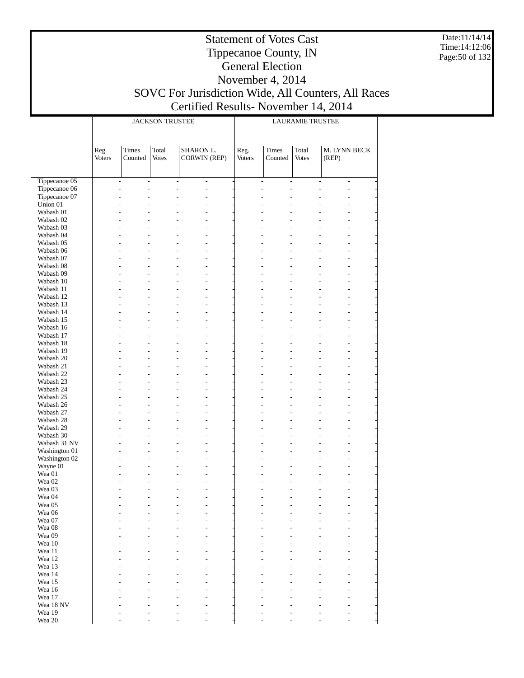Date:11/14/14 Time:14:12:06 Page:50 of 132

### Tippecanoe County, IN General Election November 4, 2014 SOVC For Jurisdiction Wide, All Counters, All Races Certified Results- November 14, 2014

|                        |                |                  | <b>JACKSON TRUSTEE</b> |                                              |                | <b>LAURAMIE TRUSTEE</b>  |                          |                                                    |  |  |  |
|------------------------|----------------|------------------|------------------------|----------------------------------------------|----------------|--------------------------|--------------------------|----------------------------------------------------|--|--|--|
|                        | Reg.<br>Voters | Times<br>Counted | Total<br><b>Votes</b>  | SHARON L.<br><b>CORWIN (REP)</b>             | Reg.<br>Voters | Times<br>Counted         | Total<br><b>Votes</b>    | M. LYNN BECK<br>(REP)                              |  |  |  |
| Tippecanoe 05          |                | ÷,<br>L,         |                        | $\overline{\phantom{a}}$<br>L,               |                | $\overline{\phantom{a}}$ | $\overline{\phantom{a}}$ | $\overline{a}$<br>$\overline{a}$                   |  |  |  |
| Tippecanoe 06          |                | Ĭ.<br>L.         |                        | $\overline{a}$<br>L,                         |                | $\overline{a}$           | $\overline{a}$           | $\overline{a}$                                     |  |  |  |
| Tippecanoe 07          |                | ÷,               |                        | L,                                           |                | ۳                        | ÷,                       |                                                    |  |  |  |
| Union 01               |                |                  |                        | L,                                           |                |                          |                          |                                                    |  |  |  |
| Wabash 01              |                |                  |                        | $\overline{a}$                               |                |                          |                          |                                                    |  |  |  |
| Wabash 02              |                |                  |                        | L,                                           |                |                          |                          |                                                    |  |  |  |
| Wabash 03              |                |                  |                        | $\overline{a}$                               |                |                          |                          | $\overline{a}$                                     |  |  |  |
| Wabash 04              |                |                  |                        | $\overline{a}$                               |                |                          |                          |                                                    |  |  |  |
| Wabash 05<br>Wabash 06 |                |                  |                        | $\overline{a}$<br>L,                         |                |                          |                          |                                                    |  |  |  |
| Wabash 07              |                |                  |                        | $\overline{a}$                               |                |                          |                          | $\overline{a}$                                     |  |  |  |
| Wabash 08              |                |                  |                        | $\overline{a}$                               |                |                          |                          |                                                    |  |  |  |
| Wabash 09              |                |                  |                        | $\overline{a}$                               |                |                          |                          |                                                    |  |  |  |
| Wabash 10              |                |                  |                        | L,                                           |                |                          |                          |                                                    |  |  |  |
| Wabash 11              |                |                  |                        | $\overline{a}$                               |                |                          |                          | $\overline{a}$                                     |  |  |  |
| Wabash 12              |                |                  |                        | $\overline{a}$                               |                |                          |                          |                                                    |  |  |  |
| Wabash 13              |                |                  |                        | $\overline{a}$                               |                |                          |                          |                                                    |  |  |  |
| Wabash 14              |                |                  |                        | L,                                           |                |                          |                          |                                                    |  |  |  |
| Wabash 15              |                |                  |                        | $\overline{a}$<br>$\overline{a}$             |                |                          |                          | $\overline{a}$                                     |  |  |  |
| Wabash 16<br>Wabash 17 |                |                  |                        | $\overline{a}$                               |                |                          |                          |                                                    |  |  |  |
| Wabash 18              |                |                  |                        | L,                                           |                |                          |                          |                                                    |  |  |  |
| Wabash 19              |                |                  |                        | $\overline{a}$                               |                |                          |                          | $\overline{a}$                                     |  |  |  |
| Wabash 20              |                |                  |                        | $\overline{a}$                               |                |                          |                          |                                                    |  |  |  |
| Wabash 21              |                |                  |                        | $\overline{a}$                               |                |                          |                          |                                                    |  |  |  |
| Wabash 22              |                |                  |                        | L,                                           |                |                          |                          |                                                    |  |  |  |
| Wabash 23              |                |                  |                        | $\overline{a}$                               |                |                          |                          | $\overline{a}$                                     |  |  |  |
| Wabash 24              |                |                  |                        | $\overline{a}$                               |                |                          |                          |                                                    |  |  |  |
| Wabash 25              |                |                  |                        | $\overline{a}$                               |                |                          |                          |                                                    |  |  |  |
| Wabash 26              |                |                  |                        | L,                                           |                |                          |                          |                                                    |  |  |  |
| Wabash 27<br>Wabash 28 |                |                  |                        | $\overline{a}$<br>$\overline{a}$             |                |                          |                          | $\overline{a}$                                     |  |  |  |
| Wabash 29              |                |                  |                        | $\overline{a}$                               |                |                          |                          |                                                    |  |  |  |
| Wabash 30              |                |                  |                        | L,                                           |                |                          |                          |                                                    |  |  |  |
| Wabash 31 NV           |                |                  |                        | $\overline{a}$                               |                |                          |                          | $\overline{a}$                                     |  |  |  |
| Washington 01          |                |                  |                        | L,                                           |                |                          |                          |                                                    |  |  |  |
| Washington 02          |                |                  |                        | $\overline{a}$                               |                |                          |                          | $\overline{a}$                                     |  |  |  |
| Wayne 01               |                |                  |                        | L,                                           |                |                          |                          |                                                    |  |  |  |
| Wea 01                 |                | ÷,               |                        | $\overline{a}$<br>$\overline{a}$             |                |                          |                          | $\overline{a}$                                     |  |  |  |
| Wea 02                 |                |                  |                        | $\overline{a}$                               |                |                          |                          | $\overline{a}$                                     |  |  |  |
| Wea 03<br>Wea 04       |                | ÷,               |                        | $\overline{a}$<br>L.<br>L,<br>$\overline{a}$ |                | ۷                        | ÷,                       | $\overline{a}$<br>$\overline{a}$<br>$\overline{a}$ |  |  |  |
| Wea 05                 |                |                  |                        |                                              |                |                          |                          |                                                    |  |  |  |
| Wea 06                 |                |                  |                        |                                              |                |                          |                          |                                                    |  |  |  |
| Wea 07                 |                |                  |                        |                                              |                |                          |                          |                                                    |  |  |  |
| Wea 08                 |                |                  |                        |                                              |                |                          |                          |                                                    |  |  |  |
| Wea 09                 |                |                  |                        |                                              |                |                          |                          |                                                    |  |  |  |
| Wea 10                 |                |                  |                        |                                              |                |                          |                          |                                                    |  |  |  |
| Wea 11                 |                |                  |                        |                                              |                |                          |                          |                                                    |  |  |  |
| Wea 12                 |                |                  |                        |                                              |                |                          |                          |                                                    |  |  |  |
| Wea 13                 |                |                  |                        |                                              |                |                          |                          |                                                    |  |  |  |
| Wea 14<br>Wea 15       |                |                  |                        |                                              |                |                          |                          |                                                    |  |  |  |
| Wea 16                 |                |                  |                        |                                              |                |                          |                          |                                                    |  |  |  |
| Wea 17                 |                |                  |                        |                                              |                |                          |                          |                                                    |  |  |  |
| Wea 18 NV              |                |                  |                        |                                              |                |                          |                          |                                                    |  |  |  |
| Wea 19                 |                |                  |                        |                                              |                |                          |                          |                                                    |  |  |  |
| Wea 20                 |                |                  |                        |                                              |                |                          |                          |                                                    |  |  |  |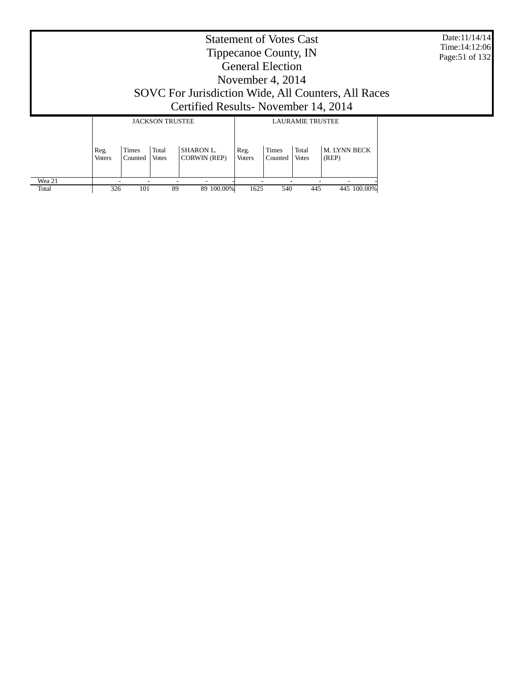Date:11/14/14 Time:14:12:06 Page:51 of 132

# Tippecanoe County, IN General Election November 4, 2014 SOVC For Jurisdiction Wide, All Counters, All Races Certified Results- November 14, 2014

|        |                       |                         | <b>JACKSON TRUSTEE</b> |                                  | <b>LAURAMIE TRUSTEE</b> |                         |                       |                              |  |
|--------|-----------------------|-------------------------|------------------------|----------------------------------|-------------------------|-------------------------|-----------------------|------------------------------|--|
|        | Reg.<br><b>Voters</b> | <b>Times</b><br>Counted | Total<br><b>Votes</b>  | <b>SHARON L.</b><br>CORWIN (REP) | Reg.<br><b>Voters</b>   | <b>Times</b><br>Counted | Total<br><b>Votes</b> | <b>M. LYNN BECK</b><br>(REP) |  |
| Wea 21 |                       |                         |                        | -                                |                         |                         |                       |                              |  |
| Total  | 326                   | 101                     | 89                     | 89 100.00%                       | 1625                    | 540                     | 445                   | 445 100,00%                  |  |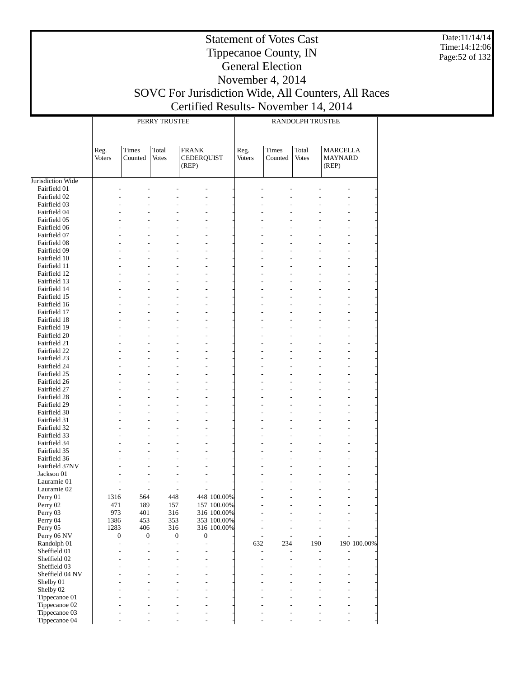Date:11/14/14 Time:14:12:06 Page:52 of 132

### Tippecanoe County, IN General Election November 4, 2014 SOVC For Jurisdiction Wide, All Counters, All Races Certified Results- November 14, 2014

|                                |                          |                     | PERRY TRUSTEE           |                                            |             | RANDOLPH TRUSTEE     |                  |                       |                                            |             |  |
|--------------------------------|--------------------------|---------------------|-------------------------|--------------------------------------------|-------------|----------------------|------------------|-----------------------|--------------------------------------------|-------------|--|
|                                | Reg.<br><b>Voters</b>    | Times<br>Counted    | Total<br><b>Votes</b>   | <b>FRANK</b><br><b>CEDERQUIST</b><br>(REP) |             | Reg.<br>Voters       | Times<br>Counted | Total<br><b>Votes</b> | <b>MARCELLA</b><br><b>MAYNARD</b><br>(REP) |             |  |
|                                |                          |                     |                         |                                            |             |                      |                  |                       |                                            |             |  |
| Jurisdiction Wide              |                          |                     |                         |                                            |             |                      |                  |                       |                                            |             |  |
| Fairfield 01                   |                          |                     |                         |                                            |             |                      |                  |                       |                                            |             |  |
| Fairfield 02<br>Fairfield 03   |                          |                     |                         | L,                                         |             |                      |                  |                       |                                            |             |  |
| Fairfield 04                   |                          |                     |                         |                                            |             |                      |                  |                       |                                            |             |  |
| Fairfield 05                   |                          |                     |                         | L,                                         |             |                      |                  |                       |                                            |             |  |
| Fairfield 06                   |                          |                     |                         |                                            |             |                      |                  |                       |                                            |             |  |
| Fairfield 07                   |                          |                     | L.                      | $\overline{a}$                             |             | L,                   |                  |                       | L,                                         |             |  |
| Fairfield 08                   |                          |                     |                         | L,                                         |             |                      |                  |                       | ä,                                         |             |  |
| Fairfield 09                   |                          |                     |                         | L,                                         |             |                      |                  |                       | L,                                         |             |  |
| Fairfield 10<br>Fairfield 11   |                          |                     | L.                      | L<br>$\overline{a}$                        |             | L,                   |                  |                       | L,                                         |             |  |
| Fairfield 12                   |                          |                     |                         | L,                                         |             |                      |                  |                       | ä,                                         |             |  |
| Fairfield 13                   |                          |                     |                         | L,                                         |             |                      |                  |                       | L,                                         |             |  |
| Fairfield 14                   |                          |                     |                         | ä,                                         |             |                      |                  |                       |                                            |             |  |
| Fairfield 15                   |                          |                     | L.                      | $\overline{a}$                             |             | L,                   |                  |                       | L,                                         |             |  |
| Fairfield 16                   |                          |                     |                         | L,                                         |             |                      |                  |                       | ä,                                         |             |  |
| Fairfield 17                   |                          |                     |                         | L,                                         |             |                      |                  |                       | L,                                         |             |  |
| Fairfield 18<br>Fairfield 19   |                          |                     |                         | L                                          |             |                      |                  |                       |                                            |             |  |
| Fairfield 20                   |                          |                     | L.                      | $\overline{a}$<br>L,                       |             | L,                   |                  |                       | L,<br>ä,                                   |             |  |
| Fairfield 21                   |                          |                     |                         | L,                                         |             |                      |                  |                       | L,                                         |             |  |
| Fairfield 22                   |                          |                     |                         | ä,                                         |             |                      |                  |                       |                                            |             |  |
| Fairfield 23                   |                          |                     | L.                      | $\overline{a}$                             |             | L,                   |                  |                       | L,                                         |             |  |
| Fairfield 24                   |                          |                     |                         | L,                                         |             |                      |                  |                       | ä,                                         |             |  |
| Fairfield 25                   |                          |                     |                         | L,                                         |             |                      |                  |                       | L,                                         |             |  |
| Fairfield 26                   |                          |                     |                         | ä,                                         |             |                      |                  |                       |                                            |             |  |
| Fairfield 27                   |                          |                     | L.                      | $\overline{a}$                             |             | L,                   |                  |                       | L,                                         |             |  |
| Fairfield 28<br>Fairfield 29   |                          |                     |                         | L,<br>L,                                   |             |                      |                  |                       | ä,<br>L,                                   |             |  |
| Fairfield 30                   |                          |                     |                         | ä,                                         |             |                      |                  |                       |                                            |             |  |
| Fairfield 31                   |                          |                     | L.                      | $\overline{a}$                             |             | L,                   |                  |                       | L,                                         |             |  |
| Fairfield 32                   |                          |                     |                         | ä,                                         |             |                      |                  |                       | ä,                                         |             |  |
| Fairfield 33                   |                          |                     |                         | L,                                         |             |                      |                  |                       | L,                                         |             |  |
| Fairfield 34                   |                          |                     |                         | L,                                         |             |                      |                  |                       |                                            |             |  |
| Fairfield 35                   |                          |                     | L.                      | $\overline{a}$                             |             | L,                   |                  |                       | L,                                         |             |  |
| Fairfield 36                   |                          |                     |                         | L,                                         |             |                      |                  |                       |                                            |             |  |
| Fairfield 37NV<br>Jackson 01   |                          |                     |                         | L,<br>L,                                   |             |                      |                  |                       |                                            |             |  |
| Lauramie 01                    |                          |                     | ä,                      | ÷,                                         |             |                      |                  |                       |                                            |             |  |
| Lauramie 02                    |                          |                     | L,                      | ÷,                                         |             |                      |                  |                       |                                            |             |  |
| Perry 01                       | 1316                     | 564                 | 448                     |                                            | 448 100.00% |                      |                  |                       |                                            |             |  |
| Perry 02                       | 471                      | 189                 | 157                     |                                            | 157 100.00% |                      |                  |                       |                                            |             |  |
| Perry 03                       | 973                      | 401                 | 316                     |                                            | 316 100.00% |                      |                  |                       |                                            |             |  |
| Perry 04                       | 1386                     | 453                 | 353                     |                                            | 353 100.00% |                      |                  |                       |                                            |             |  |
| Perry 05                       | 1283<br>$\boldsymbol{0}$ | 406                 | 316<br>$\boldsymbol{0}$ | $\boldsymbol{0}$                           | 316 100.00% | $\overline{a}$<br>L, | $\overline{a}$   |                       | L,                                         |             |  |
| Perry 06 NV<br>Randolph 01     | L.                       | 0<br>$\overline{a}$ | $\overline{a}$          | L.                                         |             | 632                  | 234              | 190                   |                                            | 190 100.00% |  |
| Sheffield 01                   |                          | $\overline{a}$      | $\overline{a}$          | L,                                         |             | L,                   | $\overline{a}$   | $\overline{a}$        |                                            |             |  |
| Sheffield 02                   |                          |                     | L,                      | L,                                         |             | L,                   | L,               | L,                    |                                            |             |  |
| Sheffield 03                   |                          |                     |                         | $\overline{a}$                             |             |                      |                  |                       |                                            |             |  |
| Sheffield 04 NV                |                          |                     |                         | L,                                         |             |                      |                  |                       |                                            |             |  |
| Shelby 01                      |                          |                     |                         |                                            |             |                      |                  |                       |                                            |             |  |
| Shelby 02                      |                          |                     |                         | L,                                         |             |                      |                  |                       |                                            |             |  |
| Tippecanoe 01<br>Tippecanoe 02 |                          |                     |                         | L,<br>۳                                    |             |                      |                  |                       | L,<br>L,                                   |             |  |
| Tippecanoe 03                  |                          |                     |                         |                                            |             |                      |                  |                       | L,                                         |             |  |
| Tippecanoe 04                  |                          |                     |                         |                                            |             |                      |                  |                       |                                            |             |  |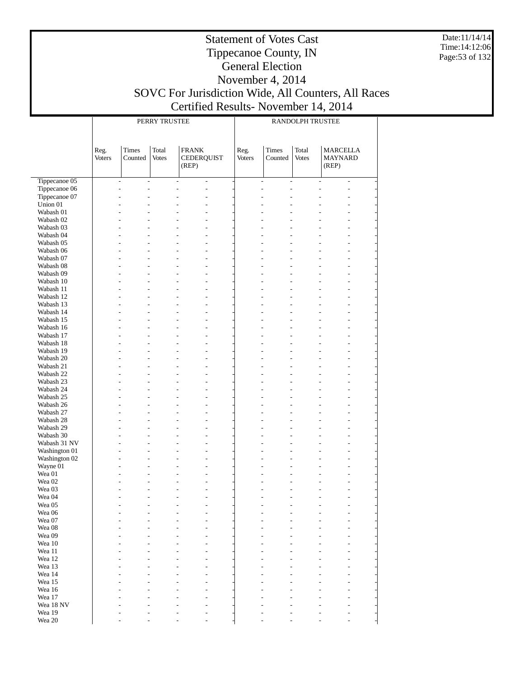Date:11/14/14 Time:14:12:06 Page:53 of 132

### Tippecanoe County, IN General Election November 4, 2014 SOVC For Jurisdiction Wide, All Counters, All Races Certified Results- November 14, 2014

|                        |                |                                            | PERRY TRUSTEE  |                                            |                          | RANDOLPH TRUSTEE |                                            |                       |                                            |  |
|------------------------|----------------|--------------------------------------------|----------------|--------------------------------------------|--------------------------|------------------|--------------------------------------------|-----------------------|--------------------------------------------|--|
|                        |                |                                            |                |                                            |                          |                  |                                            |                       |                                            |  |
|                        | Reg.<br>Voters | Times<br>Counted                           | Total<br>Votes | <b>FRANK</b><br><b>CEDERQUIST</b><br>(REP) |                          | Reg.<br>Voters   | <b>Times</b><br>Counted                    | Total<br><b>Votes</b> | <b>MARCELLA</b><br><b>MAYNARD</b><br>(REP) |  |
| Tippecanoe 05          |                | ÷,<br>$\overline{\phantom{a}}$             |                | $\frac{1}{2}$                              | $\overline{\phantom{a}}$ |                  | $\overline{\phantom{a}}$<br>$\overline{a}$ | $\frac{1}{2}$         | $\overline{\phantom{a}}$                   |  |
| Tippecanoe 06          |                | $\overline{a}$<br>$\overline{\phantom{0}}$ |                | $\overline{a}$                             | L,                       | L,               |                                            |                       | $\overline{a}$                             |  |
| Tippecanoe 07          |                | L,                                         |                |                                            |                          |                  |                                            |                       |                                            |  |
| Union 01               |                |                                            |                |                                            |                          |                  |                                            |                       |                                            |  |
| Wabash 01              |                |                                            |                |                                            |                          |                  |                                            |                       |                                            |  |
| Wabash 02              |                |                                            |                |                                            |                          |                  |                                            |                       |                                            |  |
| Wabash 03<br>Wabash 04 |                |                                            |                |                                            | L,<br>L                  |                  |                                            |                       |                                            |  |
| Wabash 05              |                |                                            |                |                                            | L,                       |                  |                                            |                       |                                            |  |
| Wabash 06              |                |                                            |                |                                            |                          |                  |                                            |                       |                                            |  |
| Wabash 07              |                |                                            |                |                                            | L,                       |                  |                                            |                       |                                            |  |
| Wabash 08              |                |                                            |                |                                            | L                        |                  |                                            |                       |                                            |  |
| Wabash 09              |                |                                            |                |                                            | L,                       |                  |                                            |                       |                                            |  |
| Wabash 10              |                |                                            |                |                                            |                          |                  |                                            |                       |                                            |  |
| Wabash 11              |                |                                            |                |                                            | L,                       |                  |                                            |                       |                                            |  |
| Wabash 12              |                |                                            |                |                                            | L                        |                  |                                            |                       |                                            |  |
| Wabash 13<br>Wabash 14 |                |                                            |                |                                            | L,                       |                  |                                            |                       |                                            |  |
| Wabash 15              |                |                                            |                |                                            | L,                       |                  |                                            |                       |                                            |  |
| Wabash 16              |                |                                            |                |                                            | L                        |                  |                                            |                       |                                            |  |
| Wabash 17              |                |                                            |                |                                            | L,                       |                  |                                            |                       |                                            |  |
| Wabash 18              |                |                                            |                |                                            |                          |                  |                                            |                       |                                            |  |
| Wabash 19              |                |                                            |                |                                            | L,                       |                  |                                            |                       |                                            |  |
| Wabash 20              |                |                                            |                |                                            | L                        |                  |                                            |                       |                                            |  |
| Wabash 21              |                |                                            |                |                                            | L,                       |                  |                                            |                       |                                            |  |
| Wabash 22              |                |                                            |                |                                            |                          |                  |                                            |                       |                                            |  |
| Wabash 23              |                |                                            |                |                                            | L,                       |                  |                                            |                       |                                            |  |
| Wabash 24<br>Wabash 25 |                |                                            |                |                                            | L<br>L,                  |                  |                                            |                       |                                            |  |
| Wabash 26              |                |                                            |                |                                            |                          |                  |                                            |                       |                                            |  |
| Wabash 27              |                |                                            |                |                                            | L,                       |                  |                                            |                       |                                            |  |
| Wabash 28              |                |                                            |                |                                            | L                        |                  |                                            |                       |                                            |  |
| Wabash 29              |                |                                            |                |                                            | L,                       |                  |                                            |                       |                                            |  |
| Wabash 30              |                | L.                                         |                |                                            | L                        |                  |                                            |                       |                                            |  |
| Wabash 31 NV           |                |                                            |                |                                            | L,                       |                  |                                            |                       |                                            |  |
| Washington 01          |                |                                            |                |                                            | L                        |                  |                                            |                       |                                            |  |
| Washington 02          |                |                                            |                |                                            | L,                       |                  |                                            |                       |                                            |  |
| Wayne 01<br>Wea 01     |                | L<br>L,                                    |                |                                            | L<br>L,                  |                  |                                            |                       |                                            |  |
| Wea <sub>02</sub>      |                |                                            |                |                                            |                          |                  |                                            |                       |                                            |  |
| Wea 03                 |                |                                            |                |                                            |                          |                  |                                            |                       |                                            |  |
| Wea 04                 |                |                                            |                |                                            | L,                       |                  |                                            |                       | $\overline{a}$                             |  |
| Wea 05                 |                |                                            |                |                                            |                          |                  |                                            |                       |                                            |  |
| Wea 06                 |                |                                            |                |                                            |                          |                  |                                            |                       |                                            |  |
| Wea 07                 |                |                                            |                |                                            |                          |                  |                                            |                       |                                            |  |
| Wea 08                 |                |                                            |                |                                            |                          |                  |                                            |                       |                                            |  |
| Wea 09<br>Wea 10       |                |                                            |                |                                            |                          |                  |                                            |                       |                                            |  |
| Wea 11                 |                |                                            |                |                                            |                          |                  |                                            |                       |                                            |  |
| Wea 12                 |                |                                            |                |                                            |                          |                  |                                            |                       |                                            |  |
| Wea 13                 |                |                                            |                |                                            |                          |                  |                                            |                       |                                            |  |
| Wea 14                 |                |                                            |                |                                            |                          |                  |                                            |                       |                                            |  |
| Wea 15                 |                |                                            |                |                                            |                          |                  |                                            |                       |                                            |  |
| Wea 16                 |                |                                            |                |                                            |                          |                  |                                            |                       |                                            |  |
| Wea 17                 |                |                                            |                |                                            |                          |                  |                                            |                       |                                            |  |
| Wea 18 NV              |                |                                            |                |                                            |                          |                  |                                            |                       |                                            |  |
| Wea 19                 |                |                                            |                |                                            |                          |                  |                                            |                       |                                            |  |
| Wea 20                 |                |                                            |                |                                            |                          |                  |                                            |                       |                                            |  |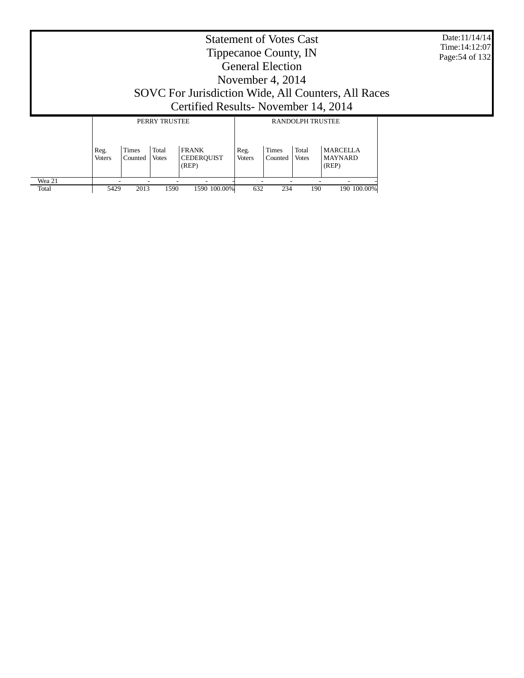Date:11/14/14 Time:14:12:07 Page:54 of 132

#### Statement of Votes Cast Tippecanoe County, IN General Election November 4, 2014 SOVC For Jurisdiction Wide, All Counters, All Races Certified Results- November 14, 2014 PERRY TRUSTEE RANDOLPH TRUSTEE T T

|        |                       |                  | I LIWI INCOILL        |                                            |                       |                         |                       |                                            |  |
|--------|-----------------------|------------------|-----------------------|--------------------------------------------|-----------------------|-------------------------|-----------------------|--------------------------------------------|--|
|        | Reg.<br><b>Voters</b> | Times<br>Counted | Total<br><b>Votes</b> | <b>FRANK</b><br><b>CEDEROUIST</b><br>(REP) | Reg.<br><b>Voters</b> | <b>Times</b><br>Counted | Total<br><b>Votes</b> | <b>MARCELLA</b><br><b>MAYNARD</b><br>(REP) |  |
| Wea 21 |                       |                  | -                     | $\overline{\phantom{a}}$                   |                       | -                       |                       |                                            |  |
| Total  | 5429                  | 2013             | 1590                  | 1590 100.00%                               | 632                   | 234                     | 190                   | 190 100.00%                                |  |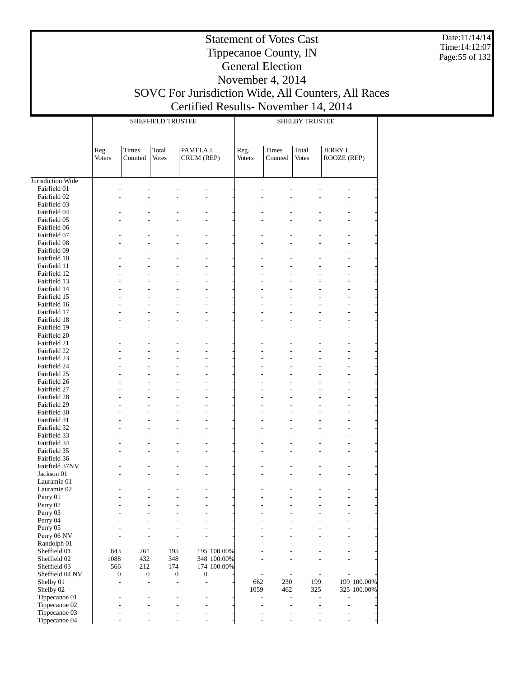Date:11/14/14 Time:14:12:07 Page:55 of 132

#### Tippecanoe County, IN General Election November 4, 2014 SOVC For Jurisdiction Wide, All Counters, All Races Certified Results- November 14, 2014

|                              |        |                                      | <b>SHEFFIELD TRUSTEE</b>                             |                                    |             | <b>SHELBY TRUSTEE</b> |                       |                       |             |             |  |
|------------------------------|--------|--------------------------------------|------------------------------------------------------|------------------------------------|-------------|-----------------------|-----------------------|-----------------------|-------------|-------------|--|
|                              |        |                                      |                                                      |                                    |             |                       |                       |                       |             |             |  |
|                              | Reg.   | <b>Times</b>                         | Total                                                | PAMELA J.                          |             | Reg.                  | Times                 | Total                 | JERRY L.    |             |  |
|                              | Voters | Counted                              | Votes                                                | CRUM (REP)                         |             | Voters                | Counted               | <b>Votes</b>          | ROOZE (REP) |             |  |
|                              |        |                                      |                                                      |                                    |             |                       |                       |                       |             |             |  |
| Jurisdiction Wide            |        |                                      |                                                      |                                    |             |                       |                       |                       |             |             |  |
| Fairfield 01                 |        |                                      |                                                      |                                    |             |                       |                       |                       |             |             |  |
| Fairfield 02                 |        |                                      |                                                      |                                    |             |                       |                       |                       |             |             |  |
| Fairfield 03                 |        |                                      |                                                      |                                    |             |                       |                       |                       |             |             |  |
| Fairfield 04<br>Fairfield 05 |        |                                      |                                                      |                                    |             |                       |                       |                       |             |             |  |
| Fairfield 06                 |        |                                      |                                                      |                                    |             |                       |                       |                       |             |             |  |
| Fairfield 07                 |        |                                      |                                                      |                                    |             |                       |                       |                       |             |             |  |
| Fairfield 08                 |        |                                      |                                                      |                                    |             |                       |                       |                       | L,          |             |  |
| Fairfield 09                 |        |                                      |                                                      |                                    |             |                       |                       |                       | L.          |             |  |
| Fairfield 10<br>Fairfield 11 |        |                                      |                                                      |                                    |             |                       |                       |                       | L,          |             |  |
| Fairfield 12                 |        |                                      |                                                      |                                    |             |                       |                       |                       | L,          |             |  |
| Fairfield 13                 |        |                                      |                                                      |                                    |             |                       |                       |                       | L.          |             |  |
| Fairfield 14                 |        |                                      |                                                      |                                    |             |                       |                       |                       | L,          |             |  |
| Fairfield 15                 |        |                                      |                                                      |                                    |             |                       |                       |                       |             |             |  |
| Fairfield 16                 |        |                                      |                                                      |                                    |             |                       |                       |                       | L,          |             |  |
| Fairfield 17                 |        |                                      |                                                      |                                    |             |                       |                       |                       | L.          |             |  |
| Fairfield 18<br>Fairfield 19 |        |                                      |                                                      |                                    |             |                       |                       |                       |             |             |  |
| Fairfield 20                 |        |                                      |                                                      |                                    |             |                       |                       |                       | L,          |             |  |
| Fairfield 21                 |        |                                      |                                                      |                                    |             |                       |                       |                       | L.          |             |  |
| Fairfield 22                 |        |                                      |                                                      |                                    |             |                       |                       |                       |             |             |  |
| Fairfield 23                 |        |                                      |                                                      |                                    |             |                       |                       |                       |             |             |  |
| Fairfield 24                 |        |                                      |                                                      |                                    |             |                       |                       |                       | L,          |             |  |
| Fairfield 25                 |        |                                      |                                                      |                                    |             |                       |                       |                       | L.          |             |  |
| Fairfield 26                 |        |                                      |                                                      |                                    |             |                       |                       |                       |             |             |  |
| Fairfield 27<br>Fairfield 28 |        |                                      |                                                      |                                    |             |                       |                       |                       | L,          |             |  |
| Fairfield 29                 |        |                                      |                                                      |                                    |             |                       |                       |                       | L.          |             |  |
| Fairfield 30                 |        |                                      |                                                      |                                    |             |                       |                       |                       | L,          |             |  |
| Fairfield 31                 |        |                                      |                                                      |                                    |             |                       |                       |                       |             |             |  |
| Fairfield 32                 |        |                                      |                                                      |                                    |             |                       |                       |                       | L,          |             |  |
| Fairfield 33                 |        |                                      |                                                      |                                    |             |                       |                       |                       | L.          |             |  |
| Fairfield 34                 |        |                                      |                                                      |                                    |             |                       |                       |                       | L,          |             |  |
| Fairfield 35<br>Fairfield 36 |        |                                      | $\overline{a}$                                       | $\overline{a}$                     |             |                       |                       |                       | L.<br>L.    |             |  |
| Fairfield 37NV               |        |                                      |                                                      |                                    |             |                       |                       |                       | L.          |             |  |
| Jackson 01                   |        |                                      |                                                      |                                    |             |                       |                       |                       |             |             |  |
| Lauramie 01                  |        |                                      |                                                      |                                    |             |                       |                       |                       |             |             |  |
| Lauramie 02                  |        |                                      |                                                      |                                    |             |                       |                       |                       |             |             |  |
| Perry 01                     |        |                                      |                                                      |                                    |             |                       |                       |                       |             |             |  |
| Perry 02                     |        |                                      |                                                      |                                    |             |                       |                       |                       |             |             |  |
| Perry 03<br>Perry 04         |        |                                      |                                                      |                                    |             |                       |                       |                       |             |             |  |
| Perry 05                     |        |                                      |                                                      |                                    |             |                       |                       |                       |             |             |  |
| Perry 06 NV                  |        |                                      | ÷,<br>$\overline{a}$                                 | $\overline{a}$                     |             |                       |                       |                       |             |             |  |
| Randolph 01                  |        | ٠                                    | $\overline{a}$<br>$\overline{a}$                     | $\overline{\phantom{a}}$           |             |                       |                       |                       |             |             |  |
| Sheffield 01                 | 843    | 261                                  | 195                                                  |                                    | 195 100.00% |                       |                       |                       |             |             |  |
| Sheffield 02                 | 1088   | 432                                  | 348                                                  |                                    | 348 100.00% |                       |                       |                       |             |             |  |
| Sheffield 03                 | 566    | 212                                  | 174                                                  |                                    | 174 100.00% |                       | L.                    |                       |             |             |  |
| Sheffield 04 NV<br>Shelby 01 |        | $\boldsymbol{0}$<br>$\boldsymbol{0}$ | $\boldsymbol{0}$<br>$\overline{a}$<br>$\overline{a}$ | $\boldsymbol{0}$<br>$\overline{a}$ |             | $\overline{a}$<br>662 | $\overline{a}$<br>230 | $\overline{a}$<br>199 | L,          | 199 100.00% |  |
| Shelby 02                    |        |                                      | L,<br>$\overline{a}$                                 |                                    |             | 1059                  | 462                   | 325                   |             | 325 100.00% |  |
| Tippecanoe 01                |        |                                      | $\overline{a}$<br>÷,                                 | $\overline{a}$                     |             |                       | $\overline{a}$<br>L,  | L,                    |             |             |  |
| Tippecanoe 02                |        |                                      | $\overline{a}$<br>÷,                                 | $\overline{a}$                     |             |                       | L,<br>$\overline{a}$  | L,                    | L,          |             |  |
| Tippecanoe 03                |        |                                      |                                                      | $\overline{\phantom{a}}$           |             |                       | L,                    |                       |             |             |  |
| Tippecanoe 04                |        |                                      |                                                      |                                    |             |                       |                       |                       |             |             |  |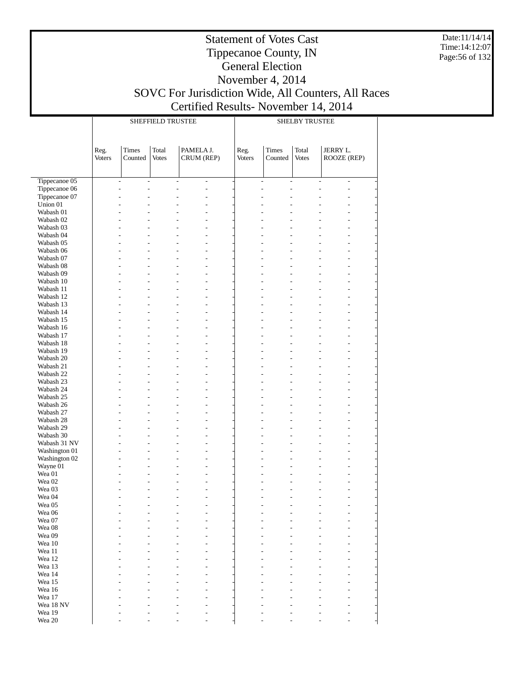Date:11/14/14 Time:14:12:07 Page:56 of 132

### Tippecanoe County, IN General Election November 4, 2014 SOVC For Jurisdiction Wide, All Counters, All Races Certified Results- November 14, 2014

|                        |                       |                                            | <b>SHEFFIELD TRUSTEE</b> |                         |                          | <b>SHELBY TRUSTEE</b> |                                            |                       |                                |  |  |
|------------------------|-----------------------|--------------------------------------------|--------------------------|-------------------------|--------------------------|-----------------------|--------------------------------------------|-----------------------|--------------------------------|--|--|
|                        | Reg.<br><b>Voters</b> | Times<br>Counted                           | Total<br><b>Votes</b>    | PAMELA J.<br>CRUM (REP) |                          | Reg.<br>Voters        | <b>Times</b><br>Counted                    | Total<br><b>Votes</b> | <b>JERRY L.</b><br>ROOZE (REP) |  |  |
| Tippecanoe 05          |                       | $\overline{\phantom{a}}$<br>$\overline{a}$ |                          | $\overline{a}$          | $\overline{\phantom{a}}$ |                       | $\overline{\phantom{a}}$<br>$\overline{a}$ | $\overline{a}$        | $\overline{\phantom{a}}$       |  |  |
| Tippecanoe 06          |                       | $\overline{a}$<br>L.                       |                          | $\overline{a}$          | $\overline{a}$           |                       | $\overline{a}$<br>$\overline{a}$           | L.                    | $\overline{a}$                 |  |  |
| Tippecanoe 07          |                       | L,                                         |                          |                         | ÷,                       | ÷,                    |                                            |                       |                                |  |  |
| Union $01$             |                       |                                            |                          |                         | L,                       |                       |                                            |                       |                                |  |  |
| Wabash 01              |                       |                                            |                          |                         | ÷,                       |                       |                                            |                       |                                |  |  |
| Wabash 02              |                       |                                            |                          |                         | ÷,                       |                       |                                            |                       |                                |  |  |
| Wabash 03              |                       |                                            |                          |                         | L,                       |                       |                                            |                       |                                |  |  |
| Wabash 04<br>Wabash 05 |                       |                                            |                          |                         | L,<br>L,                 |                       |                                            |                       |                                |  |  |
| Wabash 06              |                       |                                            |                          |                         | L,                       |                       |                                            |                       |                                |  |  |
| Wabash 07              |                       |                                            |                          |                         | L,                       |                       |                                            |                       |                                |  |  |
| Wabash 08              |                       |                                            |                          |                         | L,                       |                       |                                            |                       |                                |  |  |
| Wabash 09              |                       |                                            |                          |                         | L,                       |                       |                                            |                       |                                |  |  |
| Wabash 10              |                       |                                            |                          |                         | L,                       |                       |                                            |                       |                                |  |  |
| Wabash 11              |                       |                                            |                          |                         | L,                       |                       |                                            |                       |                                |  |  |
| Wabash 12              |                       |                                            |                          |                         | L,                       |                       |                                            |                       |                                |  |  |
| Wabash 13              |                       |                                            |                          |                         | L,                       |                       |                                            |                       |                                |  |  |
| Wabash 14<br>Wabash 15 |                       |                                            |                          |                         | L,<br>L,                 |                       |                                            |                       |                                |  |  |
| Wabash 16              |                       |                                            |                          |                         | L,                       |                       |                                            |                       |                                |  |  |
| Wabash 17              |                       |                                            |                          |                         | L,                       |                       |                                            |                       |                                |  |  |
| Wabash 18              |                       |                                            |                          |                         | L,                       |                       |                                            |                       |                                |  |  |
| Wabash 19              |                       |                                            |                          |                         | L,                       |                       |                                            |                       |                                |  |  |
| Wabash 20              |                       |                                            |                          |                         | L,                       |                       |                                            |                       |                                |  |  |
| Wabash 21              |                       |                                            |                          |                         | L,                       |                       |                                            |                       |                                |  |  |
| Wabash 22              |                       |                                            |                          |                         | L,                       |                       |                                            |                       |                                |  |  |
| Wabash 23              |                       |                                            |                          |                         | L,                       |                       |                                            |                       |                                |  |  |
| Wabash 24              |                       |                                            |                          |                         | L,                       |                       |                                            |                       |                                |  |  |
| Wabash 25<br>Wabash 26 |                       |                                            |                          |                         | L,<br>L,                 |                       |                                            |                       |                                |  |  |
| Wabash 27              |                       |                                            |                          |                         | L,                       |                       |                                            |                       |                                |  |  |
| Wabash 28              |                       |                                            |                          |                         | L,                       |                       |                                            |                       |                                |  |  |
| Wabash 29              |                       |                                            |                          |                         | L,                       |                       |                                            |                       |                                |  |  |
| Wabash 30              |                       |                                            |                          |                         | L,                       |                       |                                            |                       |                                |  |  |
| Wabash 31 NV           |                       | ÷                                          |                          |                         | L,                       |                       |                                            |                       |                                |  |  |
| Washington 01          |                       |                                            |                          |                         | L,                       |                       |                                            |                       |                                |  |  |
| Washington 02          |                       |                                            |                          |                         | L,                       |                       |                                            |                       |                                |  |  |
| Wayne 01<br>Wea 01     |                       | $\overline{a}$                             |                          |                         | L,<br>L,                 |                       |                                            |                       | $\overline{a}$                 |  |  |
| Wea 02                 |                       | L,                                         |                          |                         | L,                       |                       |                                            |                       |                                |  |  |
| Wea 03                 |                       |                                            |                          |                         | L,                       |                       |                                            |                       | L.                             |  |  |
| Wea 04                 |                       | ÷,                                         |                          | $\overline{a}$          | L,                       |                       |                                            | $\overline{a}$        | $\overline{a}$                 |  |  |
| Wea 05                 |                       |                                            |                          |                         |                          |                       |                                            |                       |                                |  |  |
| Wea 06                 |                       |                                            |                          |                         |                          |                       |                                            |                       |                                |  |  |
| Wea 07                 |                       |                                            |                          |                         |                          |                       |                                            |                       |                                |  |  |
| Wea 08                 |                       |                                            |                          |                         |                          |                       |                                            |                       |                                |  |  |
| Wea 09<br>Wea 10       |                       |                                            |                          |                         |                          |                       |                                            |                       |                                |  |  |
| Wea 11                 |                       |                                            |                          |                         |                          |                       |                                            |                       |                                |  |  |
| Wea 12                 |                       |                                            |                          |                         |                          |                       |                                            |                       |                                |  |  |
| Wea 13                 |                       |                                            |                          |                         |                          |                       |                                            |                       |                                |  |  |
| Wea 14                 |                       |                                            |                          |                         |                          |                       |                                            |                       |                                |  |  |
| Wea 15                 |                       |                                            |                          |                         |                          |                       |                                            |                       |                                |  |  |
| Wea 16                 |                       |                                            |                          |                         |                          |                       |                                            |                       |                                |  |  |
| Wea 17                 |                       |                                            |                          |                         |                          |                       |                                            |                       |                                |  |  |
| Wea 18 NV              |                       |                                            |                          |                         |                          |                       |                                            |                       |                                |  |  |
| Wea 19<br>Wea 20       |                       |                                            |                          |                         |                          |                       |                                            |                       |                                |  |  |
|                        |                       |                                            |                          |                         |                          |                       |                                            |                       |                                |  |  |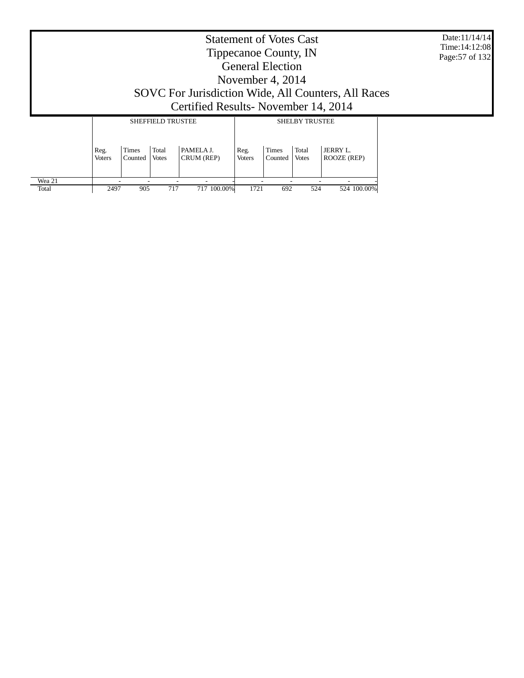Date:11/14/14 Time:14:12:08 Page:57 of 132

#### Statement of Votes Cast Tippecanoe County, IN General Election November 4, 2014 SOVC For Jurisdiction Wide, All Counters, All Races Certified Results- November 14, 2014 SHEFFIELD TRUSTEE Τ SHELBY TRUSTEE

|        |                       |                  | SHEFFIELD IKUSTEE     |                          |                       |                         | SHELD I IKUSIEE       |                         |
|--------|-----------------------|------------------|-----------------------|--------------------------|-----------------------|-------------------------|-----------------------|-------------------------|
|        | Reg.<br><b>Voters</b> | Times<br>Counted | Total<br><b>Votes</b> | PAMELA J.<br>CRUM (REP)  | Reg.<br><b>Voters</b> | <b>Times</b><br>Counted | Total<br><b>Votes</b> | JERRY L.<br>ROOZE (REP) |
| Wea 21 |                       |                  |                       | $\overline{\phantom{a}}$ |                       | -                       |                       |                         |
| Total  | 2497                  | 905              | 717                   | 717 100.00%              | 1721                  | 692                     | 524                   | 524 100.00%             |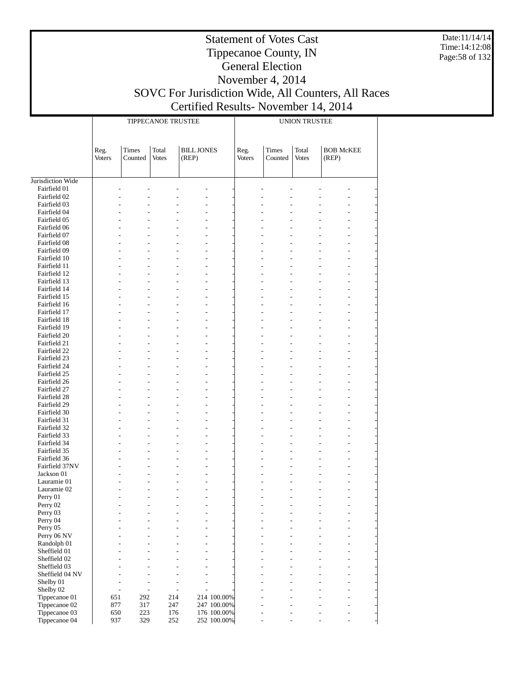Date:11/14/14 Time:14:12:08 Page:58 of 132

## Statement of Votes Cast Tippecanoe County, IN General Election November 4, 2014 SOVC For Jurisdiction Wide, All Counters, All Races

# Certified Results- November 14, 2014

|                                |                |                  | TIPPECANOE TRUSTEE                                   |                            |             | <b>UNION TRUSTEE</b> |                  |                       |                           |  |
|--------------------------------|----------------|------------------|------------------------------------------------------|----------------------------|-------------|----------------------|------------------|-----------------------|---------------------------|--|
|                                |                |                  |                                                      |                            |             |                      |                  |                       |                           |  |
|                                | Reg.<br>Voters | Times<br>Counted | Total<br><b>Votes</b>                                | <b>BILL JONES</b><br>(REP) |             | Reg.<br>Voters       | Times<br>Counted | Total<br><b>Votes</b> | <b>BOB McKEE</b><br>(REP) |  |
|                                |                |                  |                                                      |                            |             |                      |                  |                       |                           |  |
| Jurisdiction Wide              |                |                  |                                                      |                            |             |                      |                  |                       |                           |  |
| Fairfield 01<br>Fairfield 02   |                |                  |                                                      |                            |             |                      |                  |                       |                           |  |
| Fairfield 03                   |                |                  |                                                      |                            |             |                      |                  |                       |                           |  |
| Fairfield 04                   |                |                  |                                                      |                            |             |                      |                  |                       |                           |  |
| Fairfield 05                   |                |                  |                                                      |                            |             |                      |                  |                       |                           |  |
| Fairfield 06                   |                |                  |                                                      |                            |             |                      |                  |                       |                           |  |
| Fairfield 07                   |                |                  |                                                      |                            |             |                      |                  |                       |                           |  |
| Fairfield 08<br>Fairfield 09   |                |                  |                                                      |                            |             |                      |                  |                       |                           |  |
| Fairfield 10                   |                |                  |                                                      |                            |             |                      |                  |                       |                           |  |
| Fairfield 11                   |                |                  |                                                      |                            |             |                      |                  |                       |                           |  |
| Fairfield 12                   |                |                  |                                                      |                            |             |                      |                  |                       |                           |  |
| Fairfield 13                   |                |                  |                                                      |                            |             |                      |                  |                       |                           |  |
| Fairfield 14                   |                |                  |                                                      |                            |             |                      |                  |                       |                           |  |
| Fairfield 15<br>Fairfield 16   |                |                  |                                                      |                            |             |                      |                  |                       |                           |  |
| Fairfield 17                   |                |                  |                                                      |                            |             |                      |                  |                       |                           |  |
| Fairfield 18                   |                |                  |                                                      |                            |             |                      |                  |                       |                           |  |
| Fairfield 19                   |                |                  |                                                      |                            |             |                      |                  |                       |                           |  |
| Fairfield 20                   |                |                  |                                                      |                            |             |                      |                  |                       |                           |  |
| Fairfield 21                   |                |                  |                                                      |                            |             |                      |                  |                       |                           |  |
| Fairfield 22<br>Fairfield 23   |                |                  |                                                      |                            |             |                      |                  |                       |                           |  |
| Fairfield 24                   |                |                  |                                                      |                            |             |                      |                  |                       |                           |  |
| Fairfield 25                   |                |                  |                                                      |                            |             |                      |                  |                       |                           |  |
| Fairfield 26                   |                |                  |                                                      |                            |             |                      |                  |                       |                           |  |
| Fairfield 27                   |                |                  |                                                      |                            |             |                      |                  |                       |                           |  |
| Fairfield 28                   |                |                  |                                                      |                            |             |                      |                  |                       |                           |  |
| Fairfield 29                   |                |                  |                                                      |                            |             |                      |                  |                       |                           |  |
| Fairfield 30<br>Fairfield 31   |                |                  |                                                      |                            |             |                      |                  |                       |                           |  |
| Fairfield 32                   |                |                  |                                                      | L,                         |             |                      |                  |                       |                           |  |
| Fairfield 33                   |                |                  |                                                      |                            |             |                      |                  |                       |                           |  |
| Fairfield 34                   |                |                  |                                                      |                            |             |                      |                  |                       |                           |  |
| Fairfield 35                   |                |                  |                                                      |                            |             |                      |                  |                       |                           |  |
| Fairfield 36<br>Fairfield 37NV |                |                  |                                                      | L,                         |             |                      |                  |                       |                           |  |
| Jackson 01                     |                |                  |                                                      |                            |             |                      |                  |                       |                           |  |
| Lauramie 01                    |                |                  |                                                      |                            |             |                      |                  |                       |                           |  |
| Lauramie 02                    |                |                  |                                                      |                            |             |                      |                  |                       |                           |  |
| Perry 01                       |                |                  |                                                      |                            |             |                      |                  |                       |                           |  |
| Perry 02                       |                |                  |                                                      |                            |             |                      |                  |                       |                           |  |
| Perry 03                       |                |                  |                                                      |                            |             |                      |                  |                       |                           |  |
| Perry 04<br>Perry 05           |                |                  |                                                      |                            |             |                      |                  |                       |                           |  |
| Perry 06 NV                    |                |                  |                                                      |                            |             |                      |                  |                       |                           |  |
| Randolph 01                    |                |                  |                                                      |                            |             |                      |                  |                       |                           |  |
| Sheffield 01                   |                |                  |                                                      |                            |             |                      |                  |                       |                           |  |
| Sheffield 02                   |                |                  |                                                      |                            |             |                      |                  |                       |                           |  |
| Sheffield 03                   |                |                  |                                                      |                            |             |                      |                  |                       |                           |  |
| Sheffield 04 NV<br>Shelby 01   |                |                  |                                                      |                            |             |                      |                  |                       |                           |  |
| Shelby 02                      | $\overline{a}$ |                  | $\overline{\phantom{a}}$<br>$\overline{\phantom{0}}$ | $\overline{a}$             |             |                      |                  |                       |                           |  |
| Tippecanoe 01                  | 651            | 292              | 214                                                  |                            | 214 100.00% |                      |                  |                       |                           |  |
| Tippecanoe 02                  | 877            | 317              | 247                                                  |                            | 247 100.00% |                      |                  |                       |                           |  |
| Tippecanoe 03                  | 650            | 223              | 176                                                  |                            | 176 100.00% |                      |                  |                       |                           |  |
| Tippecanoe 04                  | 937            | 329              | 252                                                  |                            | 252 100.00% |                      |                  |                       |                           |  |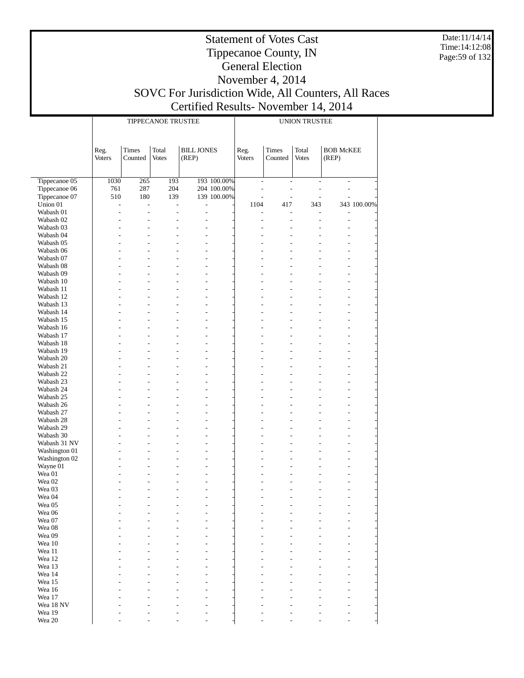Date:11/14/14 Time:14:12:08 Page:59 of 132

#### Statement of Votes Cast Tippecanoe County, IN General Election November 4, 2014 SOVC For Jurisdiction Wide, All Counters, All Races Certified Results- November 14, 2014

|                        |                       |                         | TIPPECANOE TRUSTEE    |                                                      |             | <b>UNION TRUSTEE</b>         |                          |                          |                                  |             |
|------------------------|-----------------------|-------------------------|-----------------------|------------------------------------------------------|-------------|------------------------------|--------------------------|--------------------------|----------------------------------|-------------|
|                        | Reg.<br><b>Voters</b> | <b>Times</b><br>Counted | Total<br><b>Votes</b> | <b>BILL JONES</b><br>(REP)                           |             | Reg.<br><b>Voters</b>        | <b>Times</b><br>Counted  | Total<br><b>Votes</b>    | <b>BOB McKEE</b><br>(REP)        |             |
| Tippecanoe 05          | 1030                  | 265                     | 193                   |                                                      | 193 100.00% | $\overline{\phantom{a}}$     | $\overline{\phantom{a}}$ | $\overline{\phantom{a}}$ | $\overline{\phantom{m}}$         |             |
| Tippecanoe 06          | 761                   | 287                     | 204                   |                                                      | 204 100.00% | $\frac{1}{2}$                | $\overline{a}$           | $\overline{a}$           | $\overline{a}$                   |             |
| Tippecanoe 07          | 510                   | 180                     | 139                   |                                                      | 139 100.00% | $\qquad \qquad \blacksquare$ | $\overline{a}$           |                          | $\overline{a}$                   |             |
| Union 01               | L,                    | $\overline{a}$          | $\frac{1}{2}$         | $\overline{\phantom{0}}$                             |             | 1104                         | 417                      | 343                      |                                  | 343 100.00% |
| Wabash 01              | $\overline{a}$        | $\frac{1}{2}$           | $\overline{a}$        | $\overline{\phantom{0}}$                             |             |                              | L,                       |                          |                                  |             |
| Wabash 02              |                       |                         |                       |                                                      |             | $\overline{a}$               | L,                       | $\overline{a}$           | $\overline{a}$                   |             |
| Wabash 03              |                       | L,                      | $\overline{a}$        | $\overline{a}$                                       |             | $\overline{a}$               | L,                       | $\overline{a}$           | $\overline{a}$                   |             |
| Wabash 04              |                       |                         |                       | $\overline{a}$                                       |             |                              | L,                       |                          |                                  |             |
| Wabash 05              |                       |                         |                       | $\overline{a}$                                       |             |                              |                          |                          |                                  |             |
| Wabash 06<br>Wabash 07 |                       | L                       |                       | $\overline{a}$                                       |             |                              | L,                       |                          | $\overline{a}$                   |             |
| Wabash 08              |                       |                         |                       |                                                      |             |                              |                          |                          | $\overline{a}$                   |             |
| Wabash 09              |                       |                         |                       | $\overline{a}$                                       |             |                              |                          |                          | $\overline{a}$                   |             |
| Wabash 10              |                       |                         |                       |                                                      |             |                              |                          |                          |                                  |             |
| Wabash 11              |                       | $\overline{a}$          | $\overline{a}$        | $\overline{a}$                                       |             |                              | L,                       |                          | $\overline{a}$                   |             |
| Wabash 12              |                       |                         |                       | $\overline{a}$                                       |             |                              |                          |                          | $\overline{a}$                   |             |
| Wabash 13              |                       |                         |                       | $\overline{a}$                                       |             |                              |                          |                          | $\overline{a}$                   |             |
| Wabash 14              |                       |                         |                       |                                                      |             |                              |                          |                          |                                  |             |
| Wabash 15              |                       | $\overline{a}$          | $\overline{a}$        | $\overline{a}$                                       |             |                              | L,                       |                          | $\overline{a}$                   |             |
| Wabash 16              |                       |                         |                       | $\overline{a}$                                       |             |                              |                          |                          | $\overline{a}$                   |             |
| Wabash 17              |                       |                         |                       | $\overline{a}$                                       |             |                              |                          |                          | $\overline{a}$                   |             |
| Wabash 18              |                       | $\overline{a}$          |                       |                                                      |             |                              | L,                       |                          |                                  |             |
| Wabash 19<br>Wabash 20 |                       |                         | $\overline{a}$        | $\overline{a}$<br>$\overline{a}$                     |             |                              |                          |                          | $\overline{a}$<br>$\overline{a}$ |             |
| Wabash 21              |                       |                         |                       | $\overline{a}$                                       |             |                              |                          |                          | $\overline{a}$                   |             |
| Wabash 22              |                       |                         |                       |                                                      |             |                              |                          |                          |                                  |             |
| Wabash 23              |                       | $\overline{a}$          | $\overline{a}$        | $\overline{a}$                                       |             |                              | L,                       |                          | $\overline{a}$                   |             |
| Wabash 24              |                       |                         |                       | $\overline{a}$                                       |             |                              |                          |                          | $\overline{a}$                   |             |
| Wabash 25              |                       |                         |                       | $\overline{a}$                                       |             |                              |                          |                          | $\overline{a}$                   |             |
| Wabash 26              |                       |                         |                       |                                                      |             |                              |                          |                          |                                  |             |
| Wabash 27              |                       | $\overline{a}$          | $\overline{a}$        | $\overline{a}$                                       |             |                              | L,                       |                          | $\overline{a}$                   |             |
| Wabash 28              |                       |                         |                       | $\overline{a}$                                       |             |                              |                          |                          | $\overline{a}$                   |             |
| Wabash 29<br>Wabash 30 |                       |                         |                       | $\overline{a}$<br>$\overline{\phantom{0}}$           |             |                              |                          |                          | $\overline{a}$                   |             |
| Wabash 31 NV           | $\overline{a}$        | $\overline{a}$          |                       | $\overline{\phantom{0}}$                             |             |                              | L,                       |                          | $\overline{a}$                   |             |
| Washington 01          |                       |                         |                       | $\overline{\phantom{0}}$                             |             |                              |                          |                          | $\overline{a}$                   |             |
| Washington 02          |                       | L,                      |                       | $\overline{\phantom{0}}$                             |             |                              |                          |                          | $\overline{a}$                   |             |
| Wayne 01               |                       |                         |                       | $\overline{\phantom{0}}$                             |             |                              |                          |                          |                                  |             |
| Wea 01                 |                       | $\overline{a}$          | $\overline{a}$        | $\overline{\phantom{0}}$                             |             |                              |                          |                          | $\overline{a}$                   |             |
| Wea 02                 |                       |                         |                       | $\overline{\phantom{0}}$                             |             |                              |                          |                          |                                  |             |
| Wea 03<br>Wea 04       |                       | L,                      | $\overline{a}$        | $\overline{\phantom{0}}$<br>$\overline{\phantom{0}}$ |             | $\overline{a}$               | L,                       |                          | $\overline{a}$<br>$\overline{a}$ |             |
| Wea 05                 |                       |                         |                       |                                                      |             |                              |                          |                          |                                  |             |
| Wea 06                 |                       |                         |                       |                                                      |             |                              |                          |                          |                                  |             |
| Wea 07                 |                       |                         |                       |                                                      |             |                              |                          |                          |                                  |             |
| Wea 08                 |                       |                         |                       |                                                      |             |                              |                          |                          |                                  |             |
| Wea 09                 |                       |                         |                       |                                                      |             |                              |                          |                          |                                  |             |
| Wea 10                 |                       |                         |                       |                                                      |             |                              |                          |                          |                                  |             |
| Wea 11<br>Wea 12       |                       |                         |                       |                                                      |             |                              |                          |                          |                                  |             |
| Wea 13                 |                       |                         |                       |                                                      |             |                              |                          |                          |                                  |             |
| Wea 14                 |                       |                         |                       |                                                      |             |                              |                          |                          |                                  |             |
| Wea 15                 |                       |                         |                       |                                                      |             |                              |                          |                          |                                  |             |
| Wea 16                 |                       |                         |                       |                                                      |             |                              |                          |                          |                                  |             |
| Wea 17                 |                       |                         |                       |                                                      |             |                              |                          |                          |                                  |             |
| Wea 18 NV              |                       |                         |                       |                                                      |             |                              |                          |                          |                                  |             |
| Wea 19                 |                       |                         |                       |                                                      |             |                              |                          |                          |                                  |             |
| Wea 20                 |                       |                         |                       |                                                      |             |                              |                          |                          |                                  |             |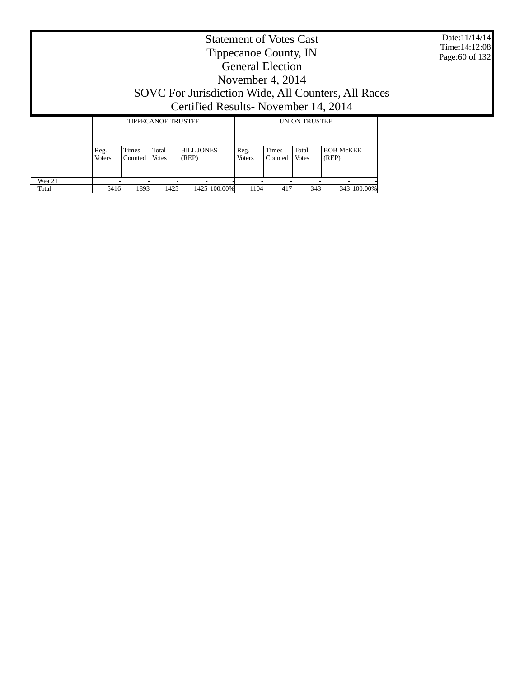Date:11/14/14 Time:14:12:08 Page:60 of 132

# Statement of Votes Cast Tippecanoe County, IN General Election November 4, 2014 SOVC For Jurisdiction Wide, All Counters, All Races Certified Results- November 14, 2014

|        |                       |                         | <b>TIPPECANOE TRUSTEE</b> |                            | <b>UNION TRUSTEE</b>  |                         |                       |                           |  |  |
|--------|-----------------------|-------------------------|---------------------------|----------------------------|-----------------------|-------------------------|-----------------------|---------------------------|--|--|
|        | Reg.<br><b>Voters</b> | <b>Times</b><br>Counted | Total<br><b>Votes</b>     | <b>BILL JONES</b><br>(REP) | Reg.<br><b>Voters</b> | <b>Times</b><br>Counted | Total<br><b>Votes</b> | <b>BOB McKEE</b><br>(REP) |  |  |
| Wea 21 |                       |                         |                           | -                          |                       |                         |                       |                           |  |  |
| Total  | 5416                  | 1893                    | 1425                      | 1425 100.00%               | 1104                  | 417                     | 343                   | 343 100,00%               |  |  |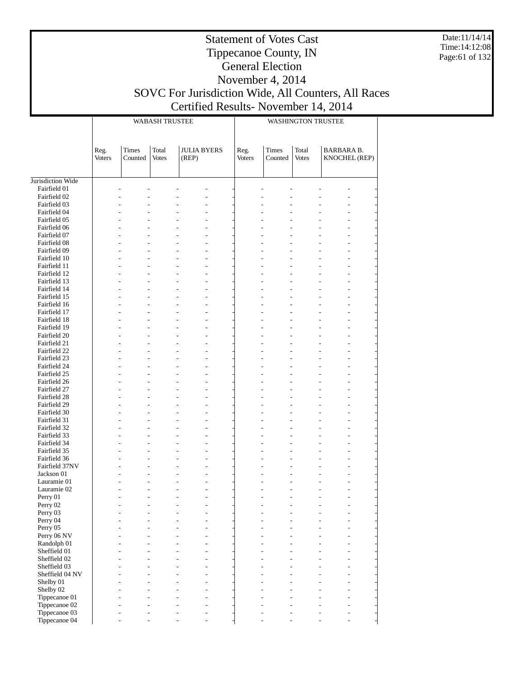Date:11/14/14 Time:14:12:08 Page:61 of 132

## Statement of Votes Cast Tippecanoe County, IN General Election November 4, 2014 SOVC For Jurisdiction Wide, All Counters, All Races

# Certified Results- November 14, 2014

|                              |                       |                  | <b>WABASH TRUSTEE</b> |                             |                |                  | <b>WASHINGTON TRUSTEE</b> |                                    |
|------------------------------|-----------------------|------------------|-----------------------|-----------------------------|----------------|------------------|---------------------------|------------------------------------|
|                              |                       |                  |                       |                             |                |                  |                           |                                    |
|                              | Reg.<br><b>Voters</b> | Times<br>Counted | Total<br><b>Votes</b> | <b>JULIA BYERS</b><br>(REP) | Reg.<br>Voters | Times<br>Counted | Total<br><b>Votes</b>     | <b>BARBARA B.</b><br>KNOCHEL (REP) |
| Jurisdiction Wide            |                       |                  |                       |                             |                |                  |                           |                                    |
| Fairfield 01                 |                       |                  |                       |                             |                |                  |                           |                                    |
| Fairfield 02                 |                       |                  |                       |                             |                |                  |                           |                                    |
| Fairfield 03                 |                       |                  |                       |                             |                |                  |                           |                                    |
| Fairfield 04                 |                       |                  |                       |                             |                |                  |                           |                                    |
| Fairfield 05                 |                       |                  |                       |                             |                |                  |                           |                                    |
| Fairfield 06                 |                       |                  |                       |                             |                |                  |                           |                                    |
| Fairfield 07                 |                       |                  |                       |                             |                |                  |                           |                                    |
| Fairfield 08                 |                       |                  |                       |                             |                |                  |                           |                                    |
| Fairfield 09<br>Fairfield 10 |                       |                  |                       |                             |                |                  |                           |                                    |
| Fairfield 11                 |                       |                  |                       |                             |                |                  |                           |                                    |
| Fairfield 12                 |                       |                  |                       | L,                          |                |                  |                           |                                    |
| Fairfield 13                 |                       |                  |                       |                             |                |                  |                           |                                    |
| Fairfield 14                 |                       |                  |                       |                             |                |                  |                           |                                    |
| Fairfield 15                 |                       |                  |                       |                             |                |                  |                           |                                    |
| Fairfield 16                 |                       |                  |                       | L,                          |                |                  |                           |                                    |
| Fairfield 17                 |                       |                  |                       |                             |                |                  |                           |                                    |
| Fairfield 18                 |                       |                  |                       |                             |                |                  |                           |                                    |
| Fairfield 19                 |                       |                  |                       |                             |                |                  |                           |                                    |
| Fairfield 20                 |                       |                  |                       | L,                          |                |                  |                           |                                    |
| Fairfield 21                 |                       |                  |                       |                             |                |                  |                           |                                    |
| Fairfield 22                 |                       |                  |                       |                             |                |                  |                           |                                    |
| Fairfield 23                 |                       |                  |                       |                             |                |                  |                           |                                    |
| Fairfield 24                 |                       |                  |                       | L,                          |                |                  |                           |                                    |
| Fairfield 25                 |                       |                  |                       |                             |                |                  |                           |                                    |
| Fairfield 26<br>Fairfield 27 |                       |                  |                       |                             |                |                  |                           |                                    |
| Fairfield 28                 |                       |                  |                       | L,                          |                |                  |                           |                                    |
| Fairfield 29                 |                       |                  |                       |                             |                |                  |                           |                                    |
| Fairfield 30                 |                       |                  |                       |                             |                |                  |                           |                                    |
| Fairfield 31                 |                       |                  |                       |                             |                |                  |                           |                                    |
| Fairfield 32                 |                       |                  |                       | L,                          |                |                  |                           |                                    |
| Fairfield 33                 |                       |                  |                       |                             |                |                  |                           |                                    |
| Fairfield 34                 |                       |                  |                       | L,                          |                |                  |                           |                                    |
| Fairfield 35                 |                       |                  |                       |                             |                |                  |                           |                                    |
| Fairfield 36                 |                       |                  |                       | L,                          |                |                  |                           |                                    |
| Fairfield 37NV               |                       |                  |                       |                             |                |                  |                           |                                    |
| Jackson 01                   |                       |                  |                       |                             |                |                  |                           |                                    |
| Lauramie 01                  |                       |                  |                       |                             |                |                  |                           |                                    |
| Lauramie 02                  |                       |                  |                       |                             |                |                  |                           |                                    |
| Perry 01                     |                       |                  |                       |                             |                |                  |                           |                                    |
| Perry 02<br>Perry 03         |                       |                  |                       |                             |                |                  |                           |                                    |
| Perry 04                     |                       |                  |                       |                             |                |                  |                           |                                    |
| Perry 05                     |                       |                  |                       |                             |                |                  |                           |                                    |
| Perry 06 NV                  |                       |                  |                       |                             |                |                  |                           |                                    |
| Randolph 01                  |                       |                  |                       |                             |                |                  |                           |                                    |
| Sheffield 01                 |                       |                  |                       |                             |                |                  |                           |                                    |
| Sheffield 02                 |                       |                  |                       |                             |                |                  |                           |                                    |
| Sheffield 03                 |                       |                  |                       |                             |                |                  |                           |                                    |
| Sheffield 04 NV              |                       |                  |                       |                             |                |                  |                           |                                    |
| Shelby 01                    |                       |                  |                       |                             |                |                  |                           |                                    |
| Shelby 02                    |                       |                  |                       |                             |                |                  |                           |                                    |
| Tippecanoe 01                |                       |                  |                       |                             |                |                  |                           |                                    |
| Tippecanoe 02                |                       |                  |                       |                             |                |                  |                           |                                    |
| Tippecanoe 03                |                       |                  |                       |                             |                |                  |                           |                                    |
| Tippecanoe 04                |                       |                  |                       |                             |                |                  |                           |                                    |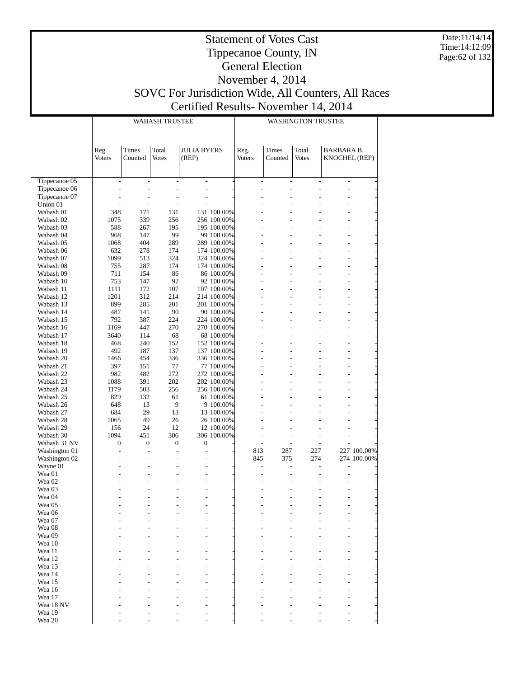Date:11/14/14 Time:14:12:09 Page:62 of 132

## Statement of Votes Cast Tippecanoe County, IN General Election November 4, 2014 SOVC For Jurisdiction Wide, All Counters, All Races

Certified Results- November 14, 2014

|                        |                                  |                                  | <b>WABASH TRUSTEE</b>            |                             |                            | <b>WASHINGTON TRUSTEE</b>        |                                  |                                  |                                    |             |
|------------------------|----------------------------------|----------------------------------|----------------------------------|-----------------------------|----------------------------|----------------------------------|----------------------------------|----------------------------------|------------------------------------|-------------|
|                        | Reg.<br><b>Voters</b>            | <b>Times</b><br>Counted          | Total<br><b>Votes</b>            | <b>JULIA BYERS</b><br>(REP) |                            | Reg.<br><b>Voters</b>            | Times<br>Counted                 | Total<br><b>Votes</b>            | BARBARA B.<br><b>KNOCHEL (REP)</b> |             |
| Tippecanoe 05          | $\overline{\phantom{a}}$         | $\overline{\phantom{a}}$         | $\qquad \qquad \blacksquare$     | $\frac{1}{2}$               |                            | $\overline{\phantom{a}}$         | $\overline{a}$                   | $\overline{a}$                   | $\overline{\phantom{a}}$           |             |
| Tippecanoe 06          | $\overline{a}$                   | $\overline{a}$                   | $\overline{a}$                   | Ĭ.                          |                            | $\overline{a}$                   | $\overline{a}$                   | $\overline{a}$                   | $\overline{a}$                     |             |
| Tippecanoe 07          | L,                               | $\overline{a}$                   | $\overline{a}$                   | $\frac{1}{2}$               |                            | Ĭ.                               | $\overline{a}$                   |                                  | $\overline{a}$                     |             |
| Union 01               |                                  | $\overline{a}$                   | $\overline{a}$                   | $\overline{a}$              |                            | $\overline{a}$                   | $\overline{a}$                   |                                  |                                    |             |
| Wabash 01              | 348                              | 171                              | 131                              |                             | 131 100.00%                | $\overline{a}$                   | $\overline{a}$                   |                                  | $\overline{a}$                     |             |
| Wabash 02              | 1075                             | 339                              | 256                              |                             | 256 100.00%                | $\overline{a}$                   | $\overline{a}$                   |                                  |                                    |             |
| Wabash 03              | 588                              | 267                              | 195                              |                             | 195 100.00%                | $\overline{a}$                   | $\overline{a}$                   | $\overline{a}$                   | $\overline{a}$                     |             |
| Wabash 04<br>Wabash 05 | 968<br>1068                      | 147<br>404                       | 99<br>289                        |                             | 99 100.00%<br>289 100.00%  | $\overline{a}$<br>$\overline{a}$ | $\overline{a}$<br>$\overline{a}$ | $\overline{a}$<br>$\overline{a}$ | $\overline{a}$                     |             |
| Wabash 06              | 632                              | 278                              | 174                              |                             | 174 100.00%                | $\overline{a}$                   | $\overline{a}$                   |                                  |                                    |             |
| Wabash 07              | 1099                             | 513                              | 324                              |                             | 324 100.00%                | $\overline{a}$                   | $\overline{a}$                   | $\overline{a}$                   | $\overline{a}$                     |             |
| Wabash 08              | 755                              | 287                              | 174                              |                             | 174 100.00%                | $\overline{a}$                   | $\overline{a}$                   | $\overline{a}$                   |                                    |             |
| Wabash 09              | 711                              | 154                              | 86                               |                             | 86 100.00%                 | $\overline{a}$                   | $\overline{a}$                   | $\overline{a}$                   | $\overline{a}$                     |             |
| Wabash 10              | 753                              | 147                              | 92                               |                             | 92 100.00%                 | $\overline{a}$                   | $\overline{a}$                   |                                  |                                    |             |
| Wabash 11              | 1111                             | 172                              | 107                              |                             | 107 100.00%                | $\overline{a}$                   | $\overline{a}$                   | $\overline{a}$                   | $\overline{a}$                     |             |
| Wabash 12              | 1201                             | 312                              | 214                              |                             | 214 100.00%                | $\overline{a}$                   | $\overline{a}$                   | $\overline{a}$                   |                                    |             |
| Wabash 13              | 899                              | 285                              | 201                              |                             | 201 100.00%                | $\overline{a}$                   | $\overline{a}$                   |                                  | $\overline{a}$                     |             |
| Wabash 14              | 487                              | 141                              | 90                               |                             | 90 100.00%                 | $\overline{a}$                   | $\overline{a}$                   |                                  |                                    |             |
| Wabash 15              | 792                              | 387                              | 224                              |                             | 224 100.00%                | $\overline{a}$                   | $\overline{a}$                   | $\overline{a}$                   | $\overline{a}$                     |             |
| Wabash 16              | 1169                             | 447                              | 270                              |                             | 270 100.00%                | $\overline{a}$                   | $\overline{a}$                   | $\overline{a}$                   |                                    |             |
| Wabash 17              | 3640                             | 114                              | 68                               |                             | 68 100.00%                 | $\overline{a}$                   | $\overline{a}$                   |                                  | $\overline{a}$                     |             |
| Wabash 18              | 468                              | 240                              | 152                              |                             | 152 100.00%                | $\overline{a}$                   | $\overline{a}$                   |                                  |                                    |             |
| Wabash 19<br>Wabash 20 | 492<br>1466                      | 187<br>454                       | 137<br>336                       |                             | 137 100.00%<br>336 100.00% | $\overline{a}$<br>$\overline{a}$ | $\overline{a}$<br>$\overline{a}$ | $\overline{a}$<br>$\overline{a}$ | $\overline{a}$                     |             |
| Wabash 21              | 397                              | 151                              | 77                               |                             | 77 100.00%                 | $\overline{a}$                   | $\overline{a}$                   |                                  | $\overline{a}$                     |             |
| Wabash 22              | 982                              | 482                              | 272                              |                             | 272 100.00%                | $\overline{a}$                   | $\overline{a}$                   |                                  |                                    |             |
| Wabash 23              | 1088                             | 391                              | 202                              |                             | 202 100.00%                | $\overline{a}$                   | $\overline{a}$                   | $\overline{a}$                   | $\overline{a}$                     |             |
| Wabash 24              | 1179                             | 503                              | 256                              |                             | 256 100.00%                | $\overline{a}$                   | $\overline{a}$                   | $\overline{a}$                   |                                    |             |
| Wabash 25              | 829                              | 132                              | 61                               |                             | 61 100.00%                 | $\overline{a}$                   | $\overline{a}$                   |                                  | $\overline{a}$                     |             |
| Wabash 26              | 648                              | 13                               | 9                                |                             | 9 100.00%                  | $\overline{a}$                   | $\overline{a}$                   |                                  |                                    |             |
| Wabash 27              | 684                              | 29                               | 13                               |                             | 13 100.00%                 | $\overline{a}$                   | $\overline{a}$                   | $\overline{a}$                   | $\overline{a}$                     |             |
| Wabash 28              | 1065                             | 49                               | 26                               |                             | 26 100.00%                 | L                                | $\overline{a}$                   |                                  |                                    |             |
| Wabash 29              | 156                              | 24                               | 12                               |                             | 12 100.00%                 | Ĭ.                               |                                  |                                  | $\overline{a}$                     |             |
| Wabash 30              | 1094                             | 451                              | 306                              |                             | 306 100.00%                | Ĭ.                               |                                  | $\overline{a}$                   | $\overline{a}$                     |             |
| Wabash 31 NV           | $\overline{0}$                   | $\mathbf{0}$                     | $\overline{0}$                   | $\boldsymbol{0}$            |                            | $\overline{a}$                   | $\overline{a}$                   | $\frac{1}{2}$                    |                                    |             |
| Washington 01          | $\overline{a}$                   | $\overline{a}$                   | $\overline{a}$                   | Ĭ.                          |                            | 813                              | 287                              | 227                              |                                    | 227 100.00% |
| Washington 02          | $\overline{a}$<br>$\overline{a}$ | $\overline{a}$<br>$\overline{a}$ | $\overline{a}$<br>$\overline{a}$ | Ĭ.<br>L                     |                            | 845                              | 375                              | 274                              |                                    | 274 100.00% |
| Wayne 01<br>Wea 01     | $\overline{a}$                   | $\overline{a}$                   | $\overline{a}$                   | Ĭ.                          |                            | Ĭ.                               | $\overline{a}$                   | $\overline{a}$                   | $\overline{a}$                     |             |
| Wea 02                 |                                  | $\overline{a}$                   |                                  | L                           |                            |                                  |                                  |                                  |                                    |             |
| Wea 03                 |                                  | L                                | L,                               | L,                          |                            |                                  |                                  |                                  | $\overline{a}$                     |             |
| Wea 04                 |                                  | $\overline{a}$                   | $\overline{a}$                   | Ĭ.                          |                            | L                                | $\overline{a}$                   | $\overline{a}$                   | $\overline{a}$                     |             |
| Wea 05                 |                                  |                                  |                                  |                             |                            |                                  |                                  |                                  |                                    |             |
| Wea 06                 |                                  |                                  |                                  |                             |                            |                                  |                                  |                                  |                                    |             |
| Wea 07                 |                                  |                                  |                                  |                             |                            |                                  |                                  |                                  |                                    |             |
| Wea 08                 |                                  |                                  |                                  |                             |                            |                                  |                                  |                                  |                                    |             |
| Wea 09                 |                                  |                                  |                                  |                             |                            |                                  |                                  |                                  |                                    |             |
| Wea 10                 |                                  |                                  |                                  |                             |                            |                                  |                                  |                                  |                                    |             |
| Wea 11                 |                                  |                                  |                                  |                             |                            |                                  |                                  |                                  |                                    |             |
| Wea 12                 |                                  |                                  |                                  |                             |                            |                                  |                                  |                                  |                                    |             |
| Wea 13<br>Wea 14       |                                  |                                  |                                  |                             |                            |                                  |                                  |                                  |                                    |             |
| Wea 15                 |                                  |                                  |                                  |                             |                            |                                  |                                  |                                  |                                    |             |
| Wea 16                 |                                  |                                  |                                  |                             |                            |                                  |                                  |                                  |                                    |             |
| Wea 17                 |                                  |                                  |                                  |                             |                            |                                  |                                  |                                  |                                    |             |
| Wea 18 NV              |                                  |                                  |                                  |                             |                            |                                  |                                  |                                  |                                    |             |
| Wea 19                 |                                  |                                  |                                  |                             |                            |                                  |                                  |                                  |                                    |             |
| Wea 20                 |                                  |                                  |                                  |                             |                            |                                  |                                  |                                  |                                    |             |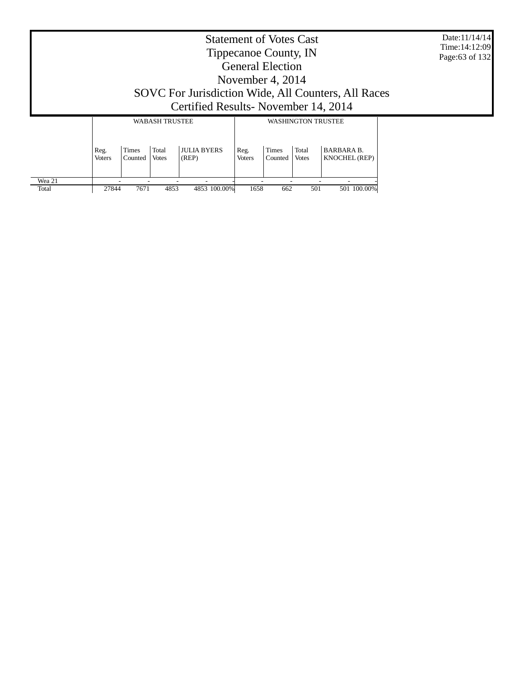Date:11/14/14 Time:14:12:09 Page:63 of 132

| <b>Statement of Votes Cast</b>                      |
|-----------------------------------------------------|
| Tippecanoe County, IN                               |
| <b>General Election</b>                             |
| November 4, 2014                                    |
| SOVC For Jurisdiction Wide, All Counters, All Races |
| Certified Results - November 14, 2014               |
| WA D A CIT TDI KEEL<br>WA STIINICTONI TRI ISTEE     |

|        |                       |                         | WABASH TRUSTEE        |                             | WASHINGTON TRUSTEE    |                         |                       |                                           |  |
|--------|-----------------------|-------------------------|-----------------------|-----------------------------|-----------------------|-------------------------|-----------------------|-------------------------------------------|--|
|        | Reg.<br><b>Voters</b> | <b>Times</b><br>Counted | Total<br><b>Votes</b> | <b>JULIA BYERS</b><br>(REP) | Reg.<br><b>Voters</b> | <b>Times</b><br>Counted | Total<br><b>Votes</b> | <b>BARBARA B.</b><br><b>KNOCHEL (REP)</b> |  |
| Wea 21 |                       |                         |                       |                             |                       |                         |                       |                                           |  |
| Total  | 27844                 | 7671                    | 4853                  | 4853 100.00%                | 1658                  | 662                     | 501                   | 501 100,00%                               |  |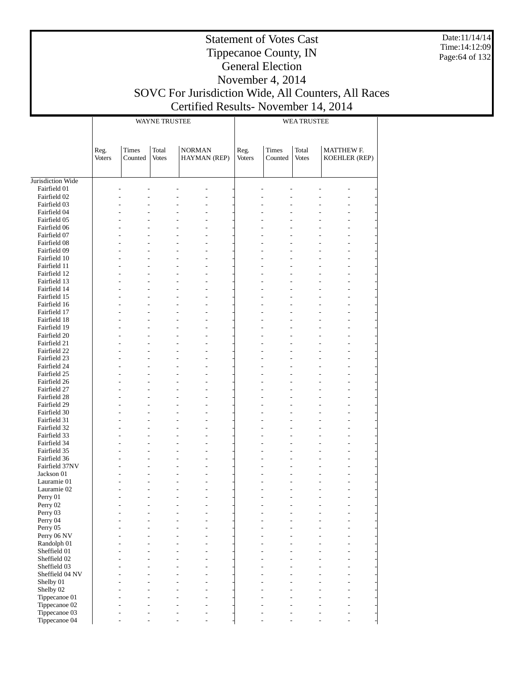Date:11/14/14 Time:14:12:09 Page:64 of 132

# Tippecanoe County, IN General Election November 4, 2014 SOVC For Jurisdiction Wide, All Counters, All Races

Statement of Votes Cast

Certified Results- November 14, 2014

|                              |                |                  | WAYNE TRUSTEE         |                               | <b>WEA TRUSTEE</b> |                         |                       |                                    |  |  |
|------------------------------|----------------|------------------|-----------------------|-------------------------------|--------------------|-------------------------|-----------------------|------------------------------------|--|--|
|                              | Reg.<br>Voters | Times<br>Counted | Total<br><b>Votes</b> | <b>NORMAN</b><br>HAYMAN (REP) | Reg.<br>Voters     | <b>Times</b><br>Counted | Total<br><b>Votes</b> | <b>MATTHEW F.</b><br>KOEHLER (REP) |  |  |
| Jurisdiction Wide            |                |                  |                       |                               |                    |                         |                       |                                    |  |  |
| Fairfield 01                 |                |                  |                       |                               |                    |                         |                       |                                    |  |  |
| Fairfield 02                 |                | $\overline{a}$   |                       |                               |                    |                         |                       |                                    |  |  |
| Fairfield 03                 |                |                  |                       |                               |                    |                         |                       |                                    |  |  |
| Fairfield 04                 |                |                  |                       |                               |                    |                         |                       |                                    |  |  |
| Fairfield 05                 |                |                  |                       |                               |                    |                         |                       |                                    |  |  |
| Fairfield 06                 |                |                  |                       |                               |                    |                         |                       |                                    |  |  |
| Fairfield 07                 |                |                  |                       |                               |                    |                         |                       |                                    |  |  |
| Fairfield 08                 |                |                  |                       |                               |                    |                         |                       |                                    |  |  |
| Fairfield 09                 |                |                  |                       |                               |                    |                         |                       |                                    |  |  |
| Fairfield 10<br>Fairfield 11 |                |                  |                       |                               |                    |                         |                       |                                    |  |  |
| Fairfield 12                 |                |                  |                       |                               |                    |                         |                       |                                    |  |  |
| Fairfield 13                 |                |                  |                       |                               |                    |                         |                       |                                    |  |  |
| Fairfield 14                 |                |                  |                       |                               |                    |                         |                       |                                    |  |  |
| Fairfield 15                 |                |                  |                       |                               |                    |                         |                       |                                    |  |  |
| Fairfield 16                 |                |                  |                       |                               |                    |                         |                       |                                    |  |  |
| Fairfield 17                 |                |                  |                       |                               |                    |                         |                       |                                    |  |  |
| Fairfield 18                 |                |                  |                       |                               |                    |                         |                       |                                    |  |  |
| Fairfield 19                 |                |                  |                       |                               |                    |                         |                       |                                    |  |  |
| Fairfield 20                 |                |                  |                       |                               |                    |                         |                       |                                    |  |  |
| Fairfield 21                 |                |                  |                       |                               |                    |                         |                       |                                    |  |  |
| Fairfield 22                 |                |                  |                       |                               |                    |                         |                       |                                    |  |  |
| Fairfield 23                 |                |                  |                       |                               |                    |                         |                       |                                    |  |  |
| Fairfield 24                 |                |                  |                       |                               |                    |                         |                       |                                    |  |  |
| Fairfield 25                 |                |                  |                       |                               |                    |                         |                       |                                    |  |  |
| Fairfield 26                 |                |                  |                       |                               |                    |                         |                       |                                    |  |  |
| Fairfield 27<br>Fairfield 28 |                |                  |                       |                               |                    |                         |                       |                                    |  |  |
| Fairfield 29                 |                |                  |                       |                               |                    |                         |                       |                                    |  |  |
| Fairfield 30                 |                |                  |                       |                               |                    |                         |                       |                                    |  |  |
| Fairfield 31                 |                |                  |                       |                               |                    |                         |                       |                                    |  |  |
| Fairfield 32                 |                |                  |                       |                               |                    |                         |                       |                                    |  |  |
| Fairfield 33                 |                |                  |                       |                               |                    |                         |                       |                                    |  |  |
| Fairfield 34                 |                |                  |                       |                               |                    |                         |                       |                                    |  |  |
| Fairfield 35                 |                |                  |                       |                               |                    |                         |                       |                                    |  |  |
| Fairfield 36                 |                |                  |                       |                               |                    |                         |                       |                                    |  |  |
| Fairfield 37NV               |                |                  |                       |                               |                    |                         |                       |                                    |  |  |
| Jackson 01                   |                | $\overline{a}$   |                       |                               |                    |                         |                       |                                    |  |  |
| Lauramie 01                  |                |                  |                       |                               |                    |                         |                       |                                    |  |  |
| Lauramie 02                  |                |                  |                       |                               |                    |                         |                       |                                    |  |  |
| Perry 01                     |                |                  |                       |                               |                    |                         |                       |                                    |  |  |
| Perry 02<br>Perry 03         |                |                  |                       |                               |                    |                         |                       |                                    |  |  |
| Perry 04                     |                |                  |                       |                               |                    |                         |                       |                                    |  |  |
| Perry 05                     |                |                  |                       |                               |                    |                         |                       |                                    |  |  |
| Perry 06 NV                  |                |                  |                       |                               |                    |                         |                       |                                    |  |  |
| Randolph 01                  |                |                  |                       |                               |                    |                         |                       |                                    |  |  |
| Sheffield 01                 |                |                  |                       |                               |                    |                         |                       |                                    |  |  |
| Sheffield 02                 |                |                  |                       |                               |                    |                         |                       |                                    |  |  |
| Sheffield 03                 |                |                  |                       |                               |                    |                         |                       |                                    |  |  |
| Sheffield 04 NV              |                |                  |                       |                               |                    |                         |                       |                                    |  |  |
| Shelby 01                    |                |                  |                       |                               |                    |                         |                       |                                    |  |  |
| Shelby 02                    |                |                  |                       |                               |                    |                         |                       |                                    |  |  |
| Tippecanoe 01                |                |                  |                       |                               |                    |                         |                       |                                    |  |  |
| Tippecanoe 02                |                |                  |                       |                               |                    |                         |                       |                                    |  |  |
| Tippecanoe 03                |                |                  |                       |                               |                    |                         |                       |                                    |  |  |
| Tippecanoe 04                |                |                  |                       |                               |                    |                         |                       |                                    |  |  |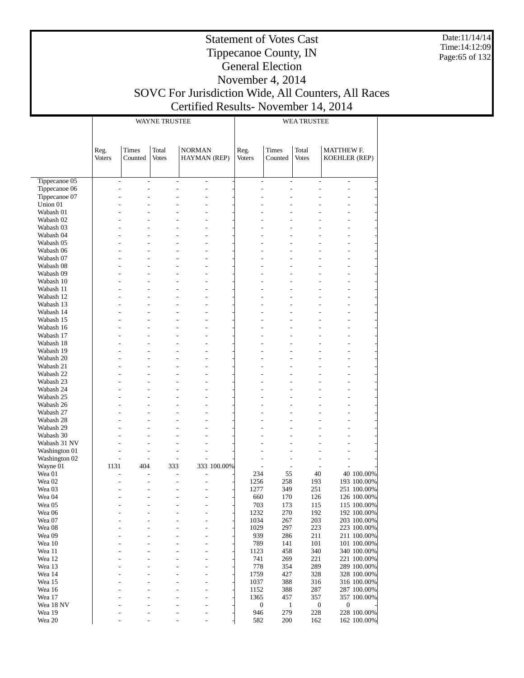Date:11/14/14 Time:14:12:09 Page:65 of 132

#### Statement of Votes Cast Tippecanoe County, IN General Election November 4, 2014 SOVC For Jurisdiction Wide, All Counters, All Races Certified Results- November 14, 2014

|                             |                              |                          | <b>WAYNE TRUSTEE</b>     |                               |             | <b>WEA TRUSTEE</b>    |                                  |                                                              |                                    |                            |
|-----------------------------|------------------------------|--------------------------|--------------------------|-------------------------------|-------------|-----------------------|----------------------------------|--------------------------------------------------------------|------------------------------------|----------------------------|
|                             | Reg.<br><b>Voters</b>        | Times<br>Counted         | Total<br><b>Votes</b>    | <b>NORMAN</b><br>HAYMAN (REP) |             | Reg.<br><b>Voters</b> | Times<br>Counted                 | Total<br><b>Votes</b>                                        | <b>MATTHEW F.</b><br>KOEHLER (REP) |                            |
| Tippecanoe 05               | $\qquad \qquad \blacksquare$ | $\overline{\phantom{0}}$ | $\overline{\phantom{0}}$ | $\frac{1}{2}$                 |             |                       | $\overline{\phantom{a}}$         | $\qquad \qquad \blacksquare$<br>$\qquad \qquad \blacksquare$ | $\overline{a}$                     |                            |
| Tippecanoe 06               | L,                           | Ĭ.                       | $\overline{a}$           | $\overline{a}$                |             |                       | L<br>$\overline{a}$              |                                                              | $\overline{a}$                     |                            |
| Tippecanoe 07               |                              | Ĭ.                       |                          | $\overline{a}$                |             |                       | Ĭ.                               |                                                              | $\overline{a}$                     |                            |
| Union 01                    |                              |                          |                          |                               |             |                       |                                  |                                                              |                                    |                            |
| Wabash 01                   |                              |                          |                          | L                             |             |                       |                                  |                                                              |                                    |                            |
| Wabash 02                   |                              |                          |                          |                               |             |                       |                                  |                                                              |                                    |                            |
| Wabash 03                   |                              | L                        |                          | $\overline{a}$                |             |                       | L                                |                                                              | $\overline{a}$                     |                            |
| Wabash 04                   |                              |                          |                          | L                             |             |                       |                                  |                                                              | $\overline{a}$                     |                            |
| Wabash 05<br>Wabash 06      |                              |                          |                          |                               |             |                       |                                  |                                                              |                                    |                            |
| Wabash 07                   |                              | L                        | $\overline{a}$           | $\overline{a}$                |             |                       | L                                |                                                              | $\overline{a}$                     |                            |
| Wabash 08                   |                              |                          |                          |                               |             |                       |                                  |                                                              |                                    |                            |
| Wabash 09                   |                              |                          |                          | L                             |             |                       |                                  |                                                              | $\overline{a}$                     |                            |
| Wabash 10                   |                              |                          |                          |                               |             |                       |                                  |                                                              |                                    |                            |
| Wabash 11                   |                              | L                        | $\overline{a}$           | $\overline{a}$                |             |                       | L                                |                                                              | $\overline{a}$                     |                            |
| Wabash 12                   |                              |                          |                          |                               |             |                       |                                  |                                                              |                                    |                            |
| Wabash 13                   |                              |                          |                          | L                             |             |                       |                                  |                                                              | $\overline{a}$                     |                            |
| Wabash 14                   |                              | L                        |                          | $\overline{a}$                |             |                       | L                                |                                                              | $\overline{a}$                     |                            |
| Wabash 15<br>Wabash 16      |                              |                          | $\overline{a}$           |                               |             |                       |                                  |                                                              |                                    |                            |
| Wabash 17                   |                              |                          |                          | L                             |             |                       |                                  |                                                              | $\overline{a}$                     |                            |
| Wabash 18                   |                              |                          |                          |                               |             |                       |                                  |                                                              |                                    |                            |
| Wabash 19                   |                              | L                        | $\overline{a}$           | $\overline{a}$                |             |                       | L                                |                                                              | $\overline{a}$                     |                            |
| Wabash 20                   |                              |                          |                          |                               |             |                       |                                  |                                                              |                                    |                            |
| Wabash 21                   |                              |                          |                          | L                             |             |                       |                                  |                                                              | $\overline{a}$                     |                            |
| Wabash 22                   |                              |                          |                          |                               |             |                       |                                  |                                                              |                                    |                            |
| Wabash 23                   |                              | L                        | $\overline{a}$           | $\overline{a}$                |             |                       | L                                |                                                              | $\overline{a}$                     |                            |
| Wabash 24                   |                              |                          |                          |                               |             |                       |                                  |                                                              |                                    |                            |
| Wabash 25                   |                              |                          |                          | L                             |             |                       |                                  |                                                              | $\overline{a}$                     |                            |
| Wabash 26<br>Wabash 27      |                              | Ĭ.                       | $\overline{a}$           | $\overline{a}$                |             |                       | L                                |                                                              | $\overline{a}$                     |                            |
| Wabash 28                   |                              |                          |                          |                               |             |                       |                                  |                                                              |                                    |                            |
| Wabash 29                   |                              |                          |                          | L                             |             |                       |                                  |                                                              | $\overline{a}$                     |                            |
| Wabash 30                   |                              |                          |                          |                               |             |                       |                                  |                                                              |                                    |                            |
| Wabash 31 NV                |                              | Ĭ.                       | $\overline{a}$           | $\overline{a}$                |             |                       |                                  |                                                              | $\overline{a}$                     |                            |
| Washington 01               |                              | L                        | $\overline{a}$           | $\overline{a}$                |             |                       |                                  |                                                              |                                    |                            |
| Washington 02               |                              | Ĭ.                       | $\overline{\phantom{0}}$ | Ĭ.                            |             |                       |                                  |                                                              |                                    |                            |
| Wayne 01                    | 1131                         | 404                      | 333                      |                               | 333 100.00% |                       | $\overline{a}$<br>Ĭ.             | L,                                                           |                                    |                            |
| Wea 01<br>Wea <sub>02</sub> |                              | Ĭ.<br>Ĭ.                 | $\overline{a}$<br>L,     | $\overline{a}$<br>L           |             | 234<br>1256           | 55<br>258                        | 40<br>193                                                    |                                    | 40 100.00%<br>193 100.00%  |
| Wea 03                      |                              |                          | L,                       | L,                            |             | 1277                  | 349                              | 251                                                          |                                    | 251 100.00%                |
| Wea 04                      |                              | $\overline{a}$           | L,                       | $\overline{a}$                |             | 660                   | 170                              | 126                                                          |                                    | 126 100.00%                |
| Wea 05                      | $\overline{a}$               |                          |                          | $\overline{\phantom{0}}$      |             | 703                   | 173                              | 115                                                          |                                    | 115 100.00%                |
| Wea 06                      |                              |                          |                          | L                             |             | 1232                  | 270                              | 192                                                          |                                    | 192 100.00%                |
| Wea 07                      |                              |                          |                          | L,                            |             | 1034                  | 267                              | 203                                                          |                                    | 203 100.00%                |
| Wea 08                      |                              |                          |                          | L                             |             | 1029                  | 297                              | 223                                                          |                                    | 223 100.00%                |
| Wea 09                      |                              |                          |                          | L                             |             | 939                   | 286                              | 211                                                          |                                    | 211 100.00%                |
| Wea 10                      |                              |                          |                          |                               |             | 789                   | 141                              | 101                                                          |                                    | 101 100.00%                |
| Wea 11<br>Wea 12            |                              |                          |                          | L,<br>L                       |             | 1123<br>741           | 458<br>269                       | 340<br>221                                                   |                                    | 340 100.00%<br>221 100.00% |
| Wea 13                      |                              |                          |                          | L                             |             | 778                   | 354                              | 289                                                          |                                    | 289 100.00%                |
| Wea 14                      |                              |                          |                          |                               |             | 1759                  | 427                              | 328                                                          |                                    | 328 100.00%                |
| Wea 15                      |                              |                          |                          | L,                            |             | 1037                  | 388                              | 316                                                          |                                    | 316 100.00%                |
| Wea 16                      |                              |                          |                          | L                             |             | 1152                  | 388                              | 287                                                          |                                    | 287 100.00%                |
| Wea 17                      |                              |                          |                          | L                             |             | 1365                  | 457                              | 357                                                          |                                    | 357 100.00%                |
| Wea 18 NV                   |                              |                          |                          | L                             |             |                       | $\mathbf{1}$<br>$\boldsymbol{0}$ | $\boldsymbol{0}$                                             | $\boldsymbol{0}$                   |                            |
| Wea 19                      |                              |                          | L,                       | $\overline{\phantom{0}}$      |             | 946                   | 279                              | 228                                                          |                                    | 228 100.00%                |
| Wea 20                      |                              |                          |                          | L                             |             | 582                   | 200                              | 162                                                          |                                    | 162 100.00%                |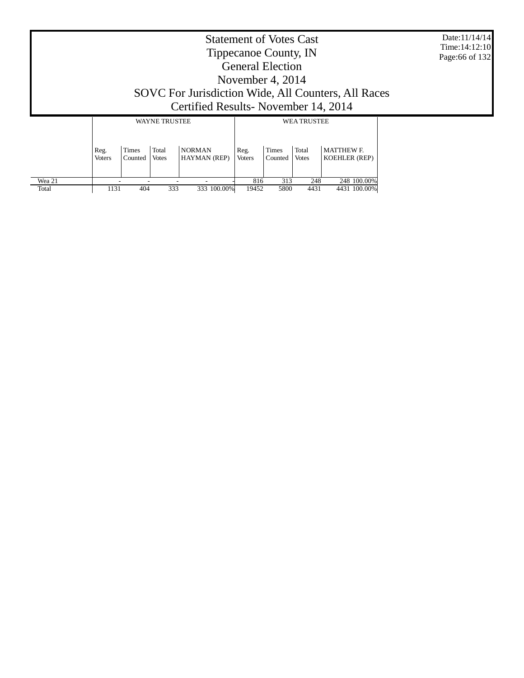Date:11/14/14 Time:14:12:10 Page:66 of 132

# Statement of Votes Cast Tippecanoe County, IN General Election November 4, 2014 SOVC For Jurisdiction Wide, All Counters, All Races Certified Results- November 14, 2014

|        |                       |                         | <b>WAYNE TRUSTEE</b>  |                                      | <b>WEA TRUSTEE</b>    |                         |                       |                                           |  |
|--------|-----------------------|-------------------------|-----------------------|--------------------------------------|-----------------------|-------------------------|-----------------------|-------------------------------------------|--|
|        | Reg.<br><b>Voters</b> | <b>Times</b><br>Counted | Total<br><b>Votes</b> | <b>NORMAN</b><br><b>HAYMAN</b> (REP) | Reg.<br><b>Voters</b> | <b>Times</b><br>Counted | Total<br><b>Votes</b> | <b>MATTHEW F.</b><br><b>KOEHLER (REP)</b> |  |
| Wea 21 |                       |                         |                       | -                                    | 816                   | 313                     | 248                   | 248 100.00%                               |  |
| Total  | 1131                  | 404                     | 333                   | 333 100.00%                          | 19452                 | 5800                    | 4431                  | 4431 100.00%                              |  |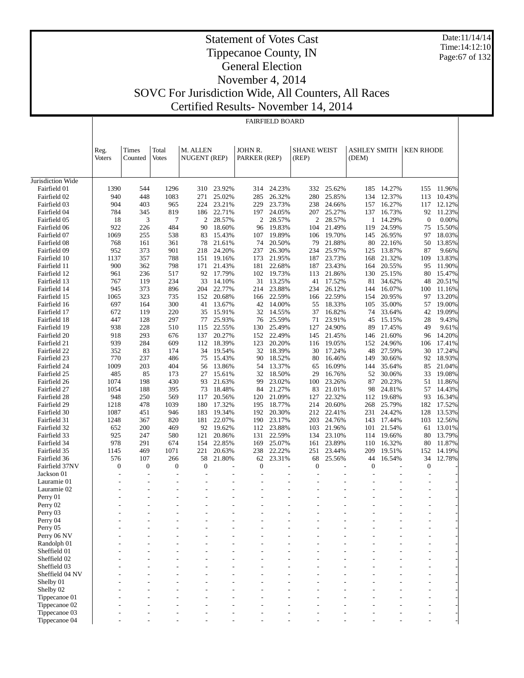Date:11/14/14 Time:14:12:10 Page:67 of 132

### Statement of Votes Cast Tippecanoe County, IN General Election November 4, 2014 SOVC For Jurisdiction Wide, All Counters, All Races

Certified Results- November 14, 2014

FAIRFIELD BOARD

|                   | Reg.<br><b>Voters</b> | Times<br>Counted | Total<br><b>Votes</b> | M. ALLEN<br>NUGENT (REP) |        | JOHN R.<br>PARKER (REP) |        | <b>SHANE WEIST</b><br>(REP) |                | <b>ASHLEY SMITH</b><br>(DEM) |        | <b>KEN RHODE</b> |        |
|-------------------|-----------------------|------------------|-----------------------|--------------------------|--------|-------------------------|--------|-----------------------------|----------------|------------------------------|--------|------------------|--------|
| Jurisdiction Wide |                       |                  |                       |                          |        |                         |        |                             |                |                              |        |                  |        |
| Fairfield 01      | 1390                  | 544              | 1296                  | 310                      | 23.92% | 314                     | 24.23% | 332                         | 25.62%         | 185                          | 14.27% | 155              | 11.96% |
| Fairfield 02      | 940                   | 448              | 1083                  | 271                      | 25.02% | 285                     | 26.32% | 280                         | 25.85%         | 134                          | 12.37% | 113              | 10.43% |
| Fairfield 03      | 904                   | 403              | 965                   | 224                      | 23.21% | 229                     | 23.73% | 238                         | 24.66%         | 157                          | 16.27% | 117              | 12.12% |
| Fairfield 04      | 784                   | 345              | 819                   | 186                      | 22.71% | 197                     | 24.05% | 207                         | 25.27%         | 137                          | 16.73% | 92               | 11.23% |
| Fairfield 05      | 18                    | 3                | 7                     | $\overline{2}$           | 28.57% | $\overline{c}$          | 28.57% | $\overline{2}$              | 28.57%         | 1                            | 14.29% | $\mathbf{0}$     | 0.00%  |
| Fairfield 06      | 922                   | 226              | 484                   | 90                       | 18.60% | 96                      | 19.83% | 104                         | 21.49%         | 119                          | 24.59% | 75               | 15.50% |
| Fairfield 07      | 1069                  | 255              | 538                   | 83                       | 15.43% | 107                     | 19.89% | 106                         | 19.70%         | 145                          | 26.95% | 97               | 18.03% |
| Fairfield 08      | 768                   | 161              | 361                   | 78                       | 21.61% | 74                      | 20.50% | 79                          | 21.88%         | 80                           | 22.16% | 50               | 13.85% |
| Fairfield 09      | 952                   | 373              | 901                   | 218                      | 24.20% | 237                     | 26.30% | 234                         | 25.97%         | 125                          | 13.87% | 87               | 9.66%  |
| Fairfield 10      | 1137                  | 357              | 788                   | 151                      | 19.16% | 173                     | 21.95% | 187                         | 23.73%         | 168                          | 21.32% | 109              | 13.83% |
| Fairfield 11      | 900                   | 362              | 798                   | 171                      | 21.43% | 181                     | 22.68% | 187                         | 23.43%         | 164                          | 20.55% | 95               | 11.90% |
| Fairfield 12      | 961                   | 236              | 517                   | 92                       | 17.79% | 102                     | 19.73% | 113                         | 21.86%         | 130                          | 25.15% | 80               | 15.47% |
| Fairfield 13      | 767                   | 119              | 234                   | 33                       | 14.10% | 31                      | 13.25% | 41                          | 17.52%         | 81                           | 34.62% | 48               | 20.51% |
| Fairfield 14      | 945                   | 373              | 896                   | 204                      | 22.77% | 214                     | 23.88% | 234                         | 26.12%         | 144                          | 16.07% | 100              | 11.16% |
| Fairfield 15      | 1065                  | 323              | 735                   | 152                      | 20.68% | 166                     | 22.59% | 166                         | 22.59%         | 154                          | 20.95% | 97               | 13.20% |
| Fairfield 16      | 697                   | 164              | 300                   | 41                       | 13.67% | 42                      | 14.00% | 55                          | 18.33%         | 105                          | 35.00% | 57               | 19.00% |
| Fairfield 17      | 672                   | 119              | 220                   | 35                       | 15.91% | 32                      | 14.55% | 37                          | 16.82%         | 74                           | 33.64% | 42               | 19.09% |
| Fairfield 18      | 447                   | 128              | 297                   | 77                       | 25.93% | 76                      | 25.59% | 71                          | 23.91%         | 45                           | 15.15% | 28               | 9.43%  |
| Fairfield 19      | 938                   | 228              | 510                   | 115                      | 22.55% | 130                     | 25.49% | 127                         | 24.90%         | 89                           | 17.45% | 49               | 9.61%  |
| Fairfield 20      | 918                   | 293              | 676                   | 137                      | 20.27% | 152                     | 22.49% | 145                         | 21.45%         | 146                          | 21.60% | 96               | 14.20% |
| Fairfield 21      | 939                   | 284              | 609                   | 112                      | 18.39% | 123                     | 20.20% | 116                         | 19.05%         | 152                          | 24.96% | 106              | 17.41% |
| Fairfield 22      | 352                   | 83               | 174                   | 34                       | 19.54% | 32                      | 18.39% | 30                          | 17.24%         | 48                           | 27.59% | 30               | 17.24% |
| Fairfield 23      | 770                   | 237              | 486                   | 75                       | 15.43% | 90                      | 18.52% | 80                          | 16.46%         | 149                          | 30.66% | 92               | 18.93% |
| Fairfield 24      | 1009                  | 203              | 404                   | 56                       | 13.86% | 54                      | 13.37% | 65                          | 16.09%         | 144                          | 35.64% | 85               | 21.04% |
| Fairfield 25      | 485                   | 85               | 173                   | 27                       | 15.61% | 32                      | 18.50% | 29                          | 16.76%         | 52                           | 30.06% | 33               | 19.08% |
| Fairfield 26      | 1074                  | 198              | 430                   | 93                       | 21.63% | 99                      | 23.02% | 100                         | 23.26%         | 87                           | 20.23% | 51               | 11.86% |
| Fairfield 27      | 1054                  | 188              | 395                   | 73                       | 18.48% | 84                      | 21.27% | 83                          | 21.01%         | 98                           | 24.81% | 57               | 14.43% |
| Fairfield 28      | 948                   | 250              | 569                   | 117                      | 20.56% | 120                     | 21.09% | 127                         | 22.32%         | 112                          | 19.68% | 93               | 16.34% |
| Fairfield 29      | 1218                  | 478              | 1039                  | 180                      | 17.32% | 195                     | 18.77% | 214                         | 20.60%         | 268                          | 25.79% | 182              | 17.52% |
| Fairfield 30      | 1087                  | 451              | 946                   | 183                      | 19.34% | 192                     | 20.30% | 212                         | 22.41%         | 231                          | 24.42% | 128              | 13.53% |
| Fairfield 31      | 1248                  | 367              | 820                   | 181                      | 22.07% | 190                     | 23.17% | 203                         | 24.76%         | 143                          | 17.44% | 103              | 12.56% |
| Fairfield 32      | 652                   | 200              | 469                   | 92                       | 19.62% | 112                     | 23.88% | 103                         | 21.96%         | 101                          | 21.54% | 61               | 13.01% |
| Fairfield 33      | 925                   | 247              | 580                   | 121                      | 20.86% | 131                     | 22.59% | 134                         | 23.10%         | 114                          | 19.66% | 80               | 13.79% |
| Fairfield 34      | 978                   | 291              | 674                   | 154                      | 22.85% | 169                     | 25.07% | 161                         | 23.89%         | 110                          | 16.32% | 80               | 11.87% |
| Fairfield 35      | 1145                  | 469              | 1071                  | 221                      | 20.63% | 238                     | 22.22% | 251                         | 23.44%         | 209                          | 19.51% | 152              | 14.19% |
| Fairfield 36      | 576                   | 107              | 266                   | 58                       | 21.80% | 62                      | 23.31% | 68                          | 25.56%         | 44                           | 16.54% | 34               | 12.78% |
| Fairfield 37NV    | $\overline{0}$        | $\boldsymbol{0}$ | $\mathbf{0}$          | $\mathbf{0}$             |        | $\boldsymbol{0}$        | Ĭ.     | $\mathbf{0}$                | $\overline{a}$ | $\mathbf{0}$                 |        | $\overline{0}$   |        |
| Jackson 01        | $\overline{a}$        | $\overline{a}$   | $\overline{a}$        | $\overline{a}$           |        | L,                      | L,     |                             | $\overline{a}$ |                              |        |                  |        |
| Lauramie 01       |                       | $\overline{a}$   | $\overline{a}$        |                          |        |                         |        |                             |                |                              |        |                  |        |
| Lauramie 02       |                       |                  | $\overline{a}$        |                          |        |                         | Ĭ.     |                             |                |                              |        |                  |        |
| Perry 01          |                       |                  |                       |                          |        |                         | L,     |                             |                |                              |        |                  |        |
| Perry 02          |                       |                  |                       |                          |        |                         |        |                             |                |                              |        |                  |        |
| Perry 03          |                       |                  |                       |                          |        |                         |        |                             |                |                              |        |                  |        |
| Perry 04          |                       |                  |                       |                          |        |                         |        |                             |                |                              |        |                  |        |
| Perry 05          |                       |                  |                       |                          |        |                         |        |                             |                |                              |        |                  |        |
| Perry 06 NV       |                       |                  |                       |                          |        |                         |        |                             |                |                              |        |                  |        |
| Randolph 01       |                       |                  |                       |                          |        |                         |        |                             |                |                              |        |                  |        |
| Sheffield 01      |                       |                  |                       |                          |        |                         |        |                             |                |                              |        |                  |        |
| Sheffield 02      |                       |                  |                       |                          |        |                         |        |                             |                |                              |        |                  |        |
| Sheffield 03      |                       |                  |                       |                          |        |                         |        |                             |                |                              |        |                  |        |
| Sheffield 04 NV   |                       |                  |                       |                          |        |                         |        |                             |                |                              |        |                  |        |
| Shelby 01         |                       |                  |                       |                          |        |                         |        |                             |                |                              |        |                  |        |
| Shelby 02         |                       |                  |                       |                          |        |                         |        |                             |                |                              |        |                  |        |
| Tippecanoe 01     |                       |                  |                       |                          |        |                         |        |                             |                |                              |        |                  |        |
| Tippecanoe 02     |                       |                  |                       |                          |        |                         |        |                             |                |                              |        |                  |        |
| Tippecanoe 03     |                       |                  |                       |                          |        |                         |        |                             |                |                              |        |                  |        |

- - - - - - - - - - - - -

Tippecanoe 04

 $\overline{1}$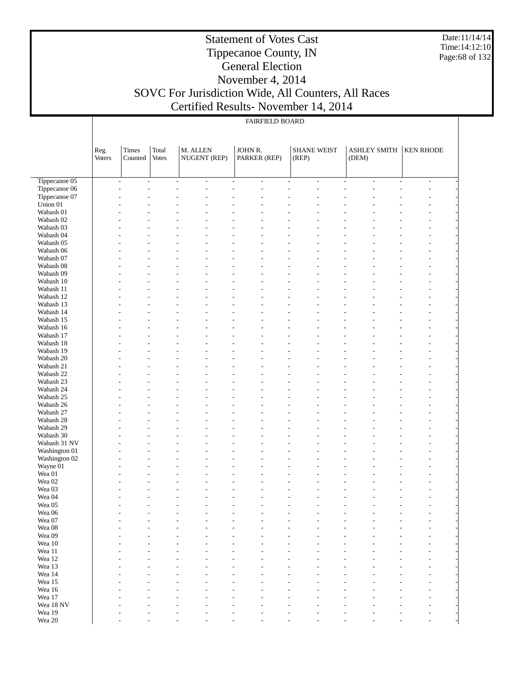Date:11/14/14 Time:14:12:10 Page:68 of 132

#### Statement of Votes Cast Tippecanoe County, IN General Election November 4, 2014 SOVC For Jurisdiction Wide, All Counters, All Races Certified Results- November 14, 2014

|                                |        | <b>FAIRFIELD BOARD</b>   |                |                                    |                                  |                                                      |                                |                                           |  |  |  |  |  |  |  |
|--------------------------------|--------|--------------------------|----------------|------------------------------------|----------------------------------|------------------------------------------------------|--------------------------------|-------------------------------------------|--|--|--|--|--|--|--|
|                                |        |                          |                |                                    |                                  |                                                      |                                |                                           |  |  |  |  |  |  |  |
|                                | Reg.   | <b>Times</b>             | Total          | M. ALLEN                           | JOHN R.                          | <b>SHANE WEIST</b>                                   | <b>ASHLEY SMITH</b>            | <b>KEN RHODE</b>                          |  |  |  |  |  |  |  |
|                                | Voters | Counted                  | <b>Votes</b>   | NUGENT (REP)                       | PARKER (REP)                     | (REP)                                                | (DEM)                          |                                           |  |  |  |  |  |  |  |
|                                |        |                          |                |                                    |                                  |                                                      |                                |                                           |  |  |  |  |  |  |  |
| Tippecanoe 05                  |        | $\overline{\phantom{a}}$ | $\overline{a}$ | $\overline{\phantom{a}}$<br>$\sim$ | $\overline{a}$<br>$\overline{a}$ | $\overline{\phantom{a}}$<br>$\overline{\phantom{a}}$ | $\overline{\phantom{a}}$<br>L. | $\overline{\phantom{a}}$<br>$\frac{1}{2}$ |  |  |  |  |  |  |  |
| Tippecanoe 06<br>Tippecanoe 07 |        |                          |                |                                    |                                  |                                                      |                                |                                           |  |  |  |  |  |  |  |
| Union 01                       |        |                          |                |                                    |                                  |                                                      |                                |                                           |  |  |  |  |  |  |  |
| Wabash 01                      |        |                          |                |                                    |                                  |                                                      |                                |                                           |  |  |  |  |  |  |  |
| Wabash 02                      |        |                          |                |                                    |                                  |                                                      |                                |                                           |  |  |  |  |  |  |  |
| Wabash 03<br>Wabash 04         |        |                          |                |                                    |                                  |                                                      |                                |                                           |  |  |  |  |  |  |  |
| Wabash 05                      |        |                          |                |                                    |                                  |                                                      |                                |                                           |  |  |  |  |  |  |  |
| Wabash 06                      |        |                          |                |                                    |                                  |                                                      |                                |                                           |  |  |  |  |  |  |  |
| Wabash 07                      |        |                          |                |                                    |                                  |                                                      |                                |                                           |  |  |  |  |  |  |  |
| Wabash 08<br>Wabash 09         |        |                          |                |                                    |                                  |                                                      |                                |                                           |  |  |  |  |  |  |  |
| Wabash 10                      |        |                          |                |                                    |                                  |                                                      |                                |                                           |  |  |  |  |  |  |  |
| Wabash 11                      |        |                          |                |                                    |                                  |                                                      |                                |                                           |  |  |  |  |  |  |  |
| Wabash 12                      |        |                          |                |                                    |                                  |                                                      |                                |                                           |  |  |  |  |  |  |  |
| Wabash 13<br>Wabash 14         |        |                          |                |                                    |                                  |                                                      |                                |                                           |  |  |  |  |  |  |  |
| Wabash 15                      |        |                          |                |                                    |                                  |                                                      |                                |                                           |  |  |  |  |  |  |  |
| Wabash 16                      |        |                          |                |                                    |                                  |                                                      |                                |                                           |  |  |  |  |  |  |  |
| Wabash 17                      |        |                          |                |                                    |                                  |                                                      |                                |                                           |  |  |  |  |  |  |  |
| Wabash 18                      |        |                          |                |                                    |                                  |                                                      |                                |                                           |  |  |  |  |  |  |  |
| Wabash 19<br>Wabash 20         |        |                          |                |                                    |                                  |                                                      |                                |                                           |  |  |  |  |  |  |  |
| Wabash 21                      |        |                          |                |                                    |                                  |                                                      |                                |                                           |  |  |  |  |  |  |  |
| Wabash 22                      |        |                          |                |                                    |                                  |                                                      |                                |                                           |  |  |  |  |  |  |  |
| Wabash 23                      |        |                          |                |                                    |                                  |                                                      |                                |                                           |  |  |  |  |  |  |  |
| Wabash 24<br>Wabash 25         |        |                          |                |                                    |                                  |                                                      |                                |                                           |  |  |  |  |  |  |  |
| Wabash 26                      |        |                          |                |                                    |                                  |                                                      |                                |                                           |  |  |  |  |  |  |  |
| Wabash 27                      |        |                          |                |                                    |                                  |                                                      |                                |                                           |  |  |  |  |  |  |  |
| Wabash 28                      |        |                          |                |                                    |                                  |                                                      |                                |                                           |  |  |  |  |  |  |  |
| Wabash 29<br>Wabash 30         |        |                          |                |                                    |                                  |                                                      |                                |                                           |  |  |  |  |  |  |  |
| Wabash 31 NV                   |        |                          |                |                                    |                                  |                                                      |                                |                                           |  |  |  |  |  |  |  |
| Washington 01                  |        |                          |                |                                    |                                  |                                                      |                                |                                           |  |  |  |  |  |  |  |
| Washington 02                  |        |                          |                |                                    |                                  |                                                      |                                |                                           |  |  |  |  |  |  |  |
| Wayne 01<br>Wea 01             |        |                          |                |                                    |                                  |                                                      |                                |                                           |  |  |  |  |  |  |  |
| Wea 02                         |        |                          |                |                                    |                                  |                                                      |                                |                                           |  |  |  |  |  |  |  |
| Wea 03                         |        |                          |                |                                    |                                  |                                                      |                                |                                           |  |  |  |  |  |  |  |
| Wea 04                         |        |                          |                |                                    |                                  |                                                      |                                |                                           |  |  |  |  |  |  |  |
| Wea $05\,$<br>Wea 06           |        |                          |                |                                    |                                  |                                                      |                                |                                           |  |  |  |  |  |  |  |
| Wea 07                         |        |                          |                |                                    |                                  |                                                      |                                |                                           |  |  |  |  |  |  |  |
| Wea 08                         |        |                          |                |                                    |                                  |                                                      |                                |                                           |  |  |  |  |  |  |  |
| Wea 09                         |        |                          |                |                                    |                                  |                                                      |                                |                                           |  |  |  |  |  |  |  |
| Wea $10\,$<br>Wea 11           |        |                          |                |                                    |                                  |                                                      |                                |                                           |  |  |  |  |  |  |  |
| Wea 12                         |        |                          |                |                                    |                                  |                                                      |                                |                                           |  |  |  |  |  |  |  |
| Wea 13                         |        |                          |                |                                    |                                  |                                                      |                                |                                           |  |  |  |  |  |  |  |
| Wea 14                         |        |                          |                |                                    |                                  |                                                      |                                |                                           |  |  |  |  |  |  |  |
| Wea 15<br>Wea 16               |        |                          |                |                                    |                                  |                                                      |                                |                                           |  |  |  |  |  |  |  |
| Wea 17                         |        |                          |                |                                    |                                  |                                                      |                                |                                           |  |  |  |  |  |  |  |
| Wea 18 NV                      |        |                          |                |                                    |                                  |                                                      |                                |                                           |  |  |  |  |  |  |  |
| Wea 19                         |        |                          |                |                                    |                                  |                                                      |                                |                                           |  |  |  |  |  |  |  |
| Wea 20                         |        |                          |                |                                    |                                  |                                                      |                                |                                           |  |  |  |  |  |  |  |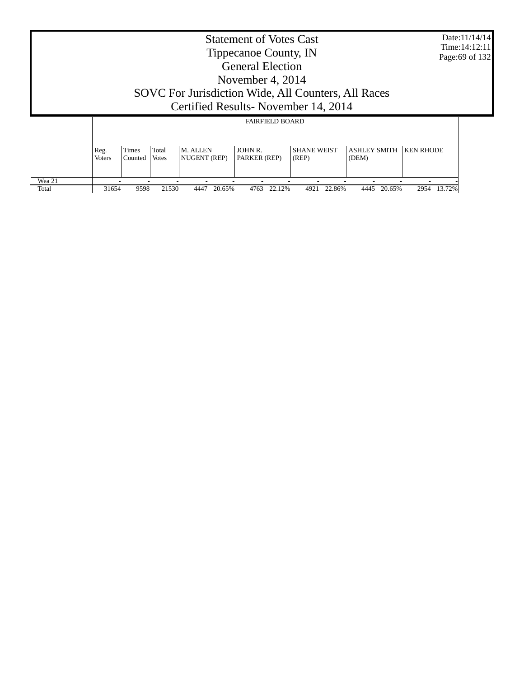|                 | Date:11/14/14<br><b>Statement of Votes Cast</b><br>Time: 14:12:11<br>Tippecanoe County, IN<br>Page: 69 of 132<br><b>General Election</b><br>November 4, 2014<br>SOVC For Jurisdiction Wide, All Counters, All Races<br>Certified Results - November 14, 2014 |                  |                       |                          |                         |                             |                              |                  |  |  |
|-----------------|--------------------------------------------------------------------------------------------------------------------------------------------------------------------------------------------------------------------------------------------------------------|------------------|-----------------------|--------------------------|-------------------------|-----------------------------|------------------------------|------------------|--|--|
|                 |                                                                                                                                                                                                                                                              |                  |                       |                          | <b>FAIRFIELD BOARD</b>  |                             |                              |                  |  |  |
|                 | Reg.<br><b>Voters</b>                                                                                                                                                                                                                                        | Times<br>Counted | Total<br><b>Votes</b> | M. ALLEN<br>NUGENT (REP) | JOHN R.<br>PARKER (REP) | <b>SHANE WEIST</b><br>(REP) | <b>ASHLEY SMITH</b><br>(DEM) | <b>KEN RHODE</b> |  |  |
| Wea 21<br>Total | 31654                                                                                                                                                                                                                                                        | 9598             | 21530                 | 20.65%<br>4447           | 4763<br>22.12%          | 22.86%<br>4921              | 20.65%<br>4445               | 13.72%<br>2954   |  |  |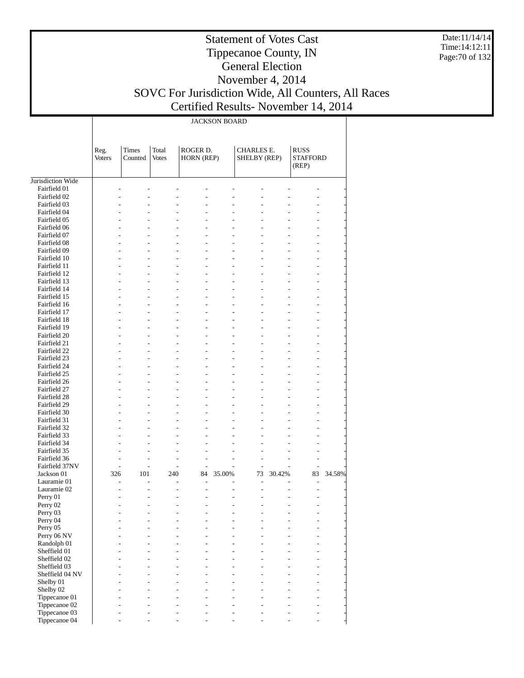Date:11/14/14 Time:14:12:11 Page:70 of 132

# Statement of Votes Cast Tippecanoe County, IN General Election November 4, 2014 SOVC For Jurisdiction Wide, All Counters, All Races

т

Certified Results- November 14, 2014

|                                |                       | <b>JACKSON BOARD</b> |                       |                                  |                                  |                                   |                                  |                                         |        |  |  |  |  |
|--------------------------------|-----------------------|----------------------|-----------------------|----------------------------------|----------------------------------|-----------------------------------|----------------------------------|-----------------------------------------|--------|--|--|--|--|
|                                | Reg.<br><b>Voters</b> | Times<br>Counted     | Total<br><b>Votes</b> | ROGER D.<br>HORN (REP)           |                                  | <b>CHARLES E.</b><br>SHELBY (REP) |                                  | <b>RUSS</b><br><b>STAFFORD</b><br>(REP) |        |  |  |  |  |
| Jurisdiction Wide              |                       |                      |                       |                                  |                                  |                                   |                                  |                                         |        |  |  |  |  |
| Fairfield 01                   |                       |                      |                       |                                  |                                  |                                   |                                  |                                         |        |  |  |  |  |
| Fairfield 02                   |                       | L.                   |                       | $\overline{a}$                   | $\overline{a}$                   |                                   |                                  |                                         |        |  |  |  |  |
| Fairfield 03                   |                       |                      |                       | $\overline{a}$                   | L                                |                                   |                                  |                                         |        |  |  |  |  |
| Fairfield 04<br>Fairfield 05   |                       | L.                   |                       | $\overline{a}$<br>$\overline{a}$ | $\overline{a}$<br>$\overline{a}$ |                                   |                                  | $\overline{a}$                          |        |  |  |  |  |
| Fairfield 06                   |                       | L.                   |                       | $\overline{a}$                   | $\overline{a}$                   |                                   |                                  | L                                       |        |  |  |  |  |
| Fairfield 07                   |                       |                      |                       | $\overline{a}$                   | $\overline{a}$                   |                                   |                                  |                                         |        |  |  |  |  |
| Fairfield 08                   |                       | L                    | L,                    | $\overline{a}$                   | $\overline{a}$                   |                                   | $\overline{a}$                   | $\overline{a}$                          |        |  |  |  |  |
| Fairfield 09                   |                       | $\overline{a}$       |                       | $\overline{a}$                   | $\overline{a}$                   |                                   | $\overline{a}$                   | L                                       |        |  |  |  |  |
| Fairfield 10                   |                       | L                    |                       | $\overline{a}$                   | $\overline{a}$                   |                                   | $\overline{a}$                   | $\overline{a}$                          |        |  |  |  |  |
| Fairfield 11<br>Fairfield 12   |                       | L                    | L,                    | $\overline{a}$<br>$\overline{a}$ | $\overline{a}$<br>$\overline{a}$ |                                   | $\overline{a}$<br>L.             | L<br>$\overline{a}$                     |        |  |  |  |  |
| Fairfield 13                   |                       | $\overline{a}$       |                       | $\overline{a}$                   | $\overline{a}$                   |                                   | $\overline{a}$                   | L                                       |        |  |  |  |  |
| Fairfield 14                   |                       | L                    |                       | $\overline{a}$                   | $\overline{a}$                   |                                   | $\overline{a}$                   | $\overline{a}$                          |        |  |  |  |  |
| Fairfield 15                   |                       |                      |                       | $\overline{a}$                   | $\overline{a}$                   |                                   | $\overline{a}$                   | L                                       |        |  |  |  |  |
| Fairfield 16                   |                       | L                    | L,                    | $\overline{a}$                   | $\overline{a}$                   |                                   | L.                               | $\overline{a}$                          |        |  |  |  |  |
| Fairfield 17                   |                       | $\overline{a}$       |                       | $\overline{a}$                   | $\overline{a}$                   |                                   | $\overline{a}$                   | L                                       |        |  |  |  |  |
| Fairfield 18                   |                       | L                    |                       | $\overline{a}$<br>$\overline{a}$ | $\overline{a}$<br>$\overline{a}$ |                                   | $\overline{a}$                   | L                                       |        |  |  |  |  |
| Fairfield 19<br>Fairfield 20   |                       | L                    | L,                    | $\overline{a}$                   | $\overline{a}$                   |                                   | $\overline{a}$<br>L.             | L<br>$\overline{a}$                     |        |  |  |  |  |
| Fairfield 21                   |                       | $\overline{a}$       |                       | $\overline{a}$                   | $\overline{a}$                   |                                   | $\overline{a}$                   | L                                       |        |  |  |  |  |
| Fairfield 22                   |                       | L                    |                       | $\overline{a}$                   | $\overline{a}$                   |                                   | $\overline{a}$                   | L                                       |        |  |  |  |  |
| Fairfield 23                   |                       |                      |                       | $\overline{a}$                   | $\overline{a}$                   |                                   | $\overline{a}$                   | L                                       |        |  |  |  |  |
| Fairfield 24                   |                       | L                    | L,                    | $\overline{a}$                   | $\overline{a}$                   |                                   | L.                               | $\overline{a}$                          |        |  |  |  |  |
| Fairfield 25                   |                       | $\overline{a}$       |                       | $\overline{a}$                   | $\overline{a}$                   |                                   | $\overline{a}$                   | L                                       |        |  |  |  |  |
| Fairfield 26                   |                       | L                    |                       | $\overline{a}$<br>$\overline{a}$ | $\overline{a}$<br>$\overline{a}$ |                                   | $\overline{a}$                   | L                                       |        |  |  |  |  |
| Fairfield 27<br>Fairfield 28   |                       | L                    | L,                    | $\overline{a}$                   | $\overline{a}$                   |                                   | $\overline{a}$<br>$\overline{a}$ | L<br>$\overline{a}$                     |        |  |  |  |  |
| Fairfield 29                   |                       | $\overline{a}$       |                       | $\overline{a}$                   | $\overline{a}$                   |                                   | $\overline{a}$                   | L                                       |        |  |  |  |  |
| Fairfield 30                   | L.                    | L.                   |                       | $\overline{a}$                   | $\overline{a}$                   |                                   | $\overline{a}$                   | $\overline{a}$                          |        |  |  |  |  |
| Fairfield 31                   | L,                    |                      |                       | $\overline{a}$                   | $\overline{a}$                   |                                   |                                  | L                                       |        |  |  |  |  |
| Fairfield 32                   | L.                    | L                    | L,                    | $\overline{a}$                   | $\overline{a}$                   |                                   | $\overline{a}$                   | $\overline{a}$                          |        |  |  |  |  |
| Fairfield 33                   |                       |                      |                       | $\overline{a}$                   | $\overline{a}$                   |                                   |                                  | L                                       |        |  |  |  |  |
| Fairfield 34<br>Fairfield 35   | L,                    | L,<br>L,             |                       | $\overline{a}$<br>$\overline{a}$ | $\overline{a}$<br>$\overline{a}$ |                                   |                                  | L<br>L                                  |        |  |  |  |  |
| Fairfield 36                   | L.                    | L,                   | L,                    | $\overline{a}$                   | $\overline{a}$                   | L,                                | L.                               | $\overline{a}$                          |        |  |  |  |  |
| Fairfield 37NV                 | $\overline{a}$        | L,                   | L,                    | $\overline{a}$                   | $\overline{a}$                   | L,                                | L.                               | $\overline{a}$                          |        |  |  |  |  |
| Jackson 01                     | 326                   | 101                  | 240                   | 84                               | 35.00%                           | 73                                | 30.42%                           | 83                                      | 34.58% |  |  |  |  |
| Lauramie 01                    | L.                    | ٠                    | ٠                     | $\overline{a}$                   |                                  | L,                                |                                  | $\overline{\phantom{a}}$                |        |  |  |  |  |
| Lauramie 02                    | L.                    | L                    | L,                    | $\overline{a}$                   | $\overline{a}$                   | L                                 | L,                               | $\overline{a}$                          |        |  |  |  |  |
| Perry 01                       |                       |                      |                       |                                  |                                  |                                   |                                  |                                         |        |  |  |  |  |
| Perry 02<br>Perry 03           |                       |                      |                       |                                  |                                  |                                   |                                  |                                         |        |  |  |  |  |
| Perry 04                       |                       |                      |                       | $\overline{a}$                   |                                  |                                   |                                  |                                         |        |  |  |  |  |
| Perry 05                       |                       |                      |                       |                                  |                                  |                                   |                                  |                                         |        |  |  |  |  |
| Perry 06 NV                    |                       |                      |                       | $\overline{a}$                   |                                  |                                   |                                  | L                                       |        |  |  |  |  |
| Randolph 01                    |                       |                      |                       |                                  |                                  |                                   |                                  |                                         |        |  |  |  |  |
| Sheffield 01                   |                       |                      |                       |                                  |                                  |                                   |                                  | $\overline{a}$                          |        |  |  |  |  |
| Sheffield 02<br>Sheffield 03   |                       |                      |                       |                                  |                                  |                                   |                                  | L                                       |        |  |  |  |  |
| Sheffield 04 NV                |                       |                      |                       |                                  |                                  |                                   |                                  |                                         |        |  |  |  |  |
| Shelby 01                      |                       |                      |                       |                                  |                                  |                                   |                                  |                                         |        |  |  |  |  |
| Shelby 02                      |                       |                      |                       |                                  |                                  |                                   |                                  |                                         |        |  |  |  |  |
| Tippecanoe 01                  |                       |                      |                       |                                  |                                  |                                   |                                  | $\overline{a}$                          |        |  |  |  |  |
| Tippecanoe 02                  |                       |                      |                       | ÷,                               |                                  |                                   |                                  | $\overline{a}$                          |        |  |  |  |  |
| Tippecanoe 03<br>Tippecanoe 04 |                       |                      |                       |                                  |                                  |                                   |                                  |                                         |        |  |  |  |  |
|                                |                       |                      |                       |                                  |                                  |                                   |                                  |                                         |        |  |  |  |  |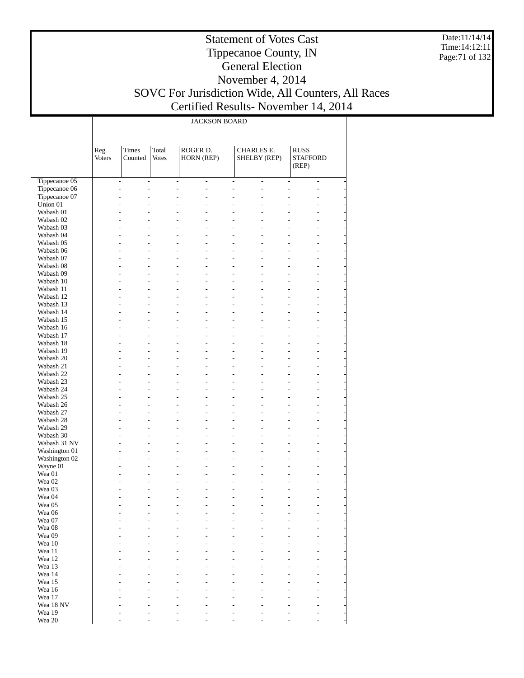Date:11/14/14 Time:14:12:11 Page:71 of 132

#### Statement of Votes Cast Tippecanoe County, IN General Election November 4, 2014 SOVC For Jurisdiction Wide, All Counters, All Races Certified Results- November 14, 2014

Τ

JACKSON BOARD

|                        | Reg.<br>Voters | <b>Times</b><br>Counted | Total<br><b>Votes</b> | ROGER D.<br>HORN (REP)                 | <b>CHARLES E.</b><br>SHELBY (REP) | <b>RUSS</b><br><b>STAFFORD</b>                           |
|------------------------|----------------|-------------------------|-----------------------|----------------------------------------|-----------------------------------|----------------------------------------------------------|
|                        |                |                         |                       |                                        |                                   | (REP)                                                    |
| Tippecanoe 05          |                | $\overline{a}$          | $\overline{a}$        | $\overline{a}$<br>$\overline{a}$       | $\overline{a}$<br>$\overline{a}$  | $\overline{a}$<br>$\overline{\phantom{a}}$               |
| Tippecanoe 06          |                | $\overline{a}$          | $\overline{a}$        | $\overline{a}$<br>L                    | $\overline{a}$<br>L,              | $\overline{a}$<br>$\overline{a}$                         |
| Tippecanoe 07          |                | L.                      |                       | L,                                     | L                                 | $\overline{a}$<br>L.                                     |
| Union 01               |                | L<br>L.                 |                       | L,<br>L.                               | $\overline{a}$                    | ÷<br>$\overline{a}$                                      |
| Wabash 01              |                | L.                      |                       | $\overline{a}$                         | $\overline{a}$                    | L<br>$\overline{a}$                                      |
| Wabash 02              |                | L.<br>L,                |                       | L,                                     | L                                 | ÷<br>$\overline{a}$                                      |
| Wabash 03              |                |                         |                       | $\overline{a}$                         | ۳                                 | $\overline{a}$<br>$\overline{a}$                         |
| Wabash 04              |                | L.<br>L.                |                       | $\overline{a}$<br>L,                   | $\overline{a}$                    | L,<br>$\overline{a}$                                     |
| Wabash 05              |                | L.                      |                       | $\overline{a}$                         | $\overline{a}$                    | $\overline{a}$<br>$\overline{a}$                         |
| Wabash 06              |                | L.<br>L.                |                       | L,                                     | $\overline{a}$                    | $\overline{a}$<br>$\overline{a}$                         |
| Wabash 07              |                | ÷<br>L,                 |                       | L,                                     | L                                 | $\overline{a}$<br>$\overline{a}$                         |
| Wabash 08              |                | L.<br>L.                |                       | $\overline{a}$<br>L,                   | $\overline{a}$                    | L,<br>$\overline{a}$                                     |
| Wabash 09              |                | L.                      |                       | $\overline{a}$                         | $\overline{a}$                    | $\overline{a}$<br>$\overline{a}$                         |
| Wabash 10              |                | L.<br>L,                |                       | L,                                     | $\overline{a}$                    | $\overline{a}$<br>$\overline{a}$                         |
| Wabash 11              |                | ÷                       |                       | L,                                     | $\overline{a}$                    | $\overline{a}$<br>$\overline{a}$                         |
| Wabash 12              |                | L.<br>L.                |                       | $\overline{a}$<br>L,                   | $\overline{a}$                    | L,<br>$\overline{a}$                                     |
| Wabash 13              |                | L.                      |                       | $\overline{a}$                         | $\overline{a}$                    | $\overline{a}$<br>$\overline{a}$                         |
| Wabash 14              |                | L.<br>L,                |                       | L,                                     | $\overline{a}$                    | $\overline{a}$<br>$\overline{a}$                         |
| Wabash 15              |                | ÷                       |                       | L,                                     | $\overline{a}$                    | $\overline{a}$<br>$\overline{a}$                         |
| Wabash 16<br>Wabash 17 |                | L.<br>L.<br>L.          |                       | $\overline{a}$<br>L,<br>$\overline{a}$ | $\overline{a}$<br>$\overline{a}$  | L,<br>$\overline{a}$<br>$\overline{a}$<br>$\overline{a}$ |
| Wabash 18              |                | L.<br>L,                |                       | L,                                     | $\overline{a}$                    | $\overline{a}$<br>$\overline{a}$                         |
| Wabash 19              |                | ÷                       |                       | L,                                     | $\overline{a}$                    | $\overline{a}$<br>$\overline{a}$                         |
| Wabash 20              |                | L.<br>L.                |                       | $\overline{a}$<br>L,                   | $\overline{a}$                    | L,<br>$\overline{a}$                                     |
| Wabash 21              |                | L.                      |                       | $\overline{a}$                         | $\overline{a}$                    | $\overline{a}$<br>$\overline{a}$                         |
| Wabash 22              |                | L.<br>L,                |                       | L,                                     | $\overline{a}$                    | $\overline{a}$<br>$\overline{a}$                         |
| Wabash 23              |                | L,                      |                       | L,                                     | $\overline{a}$                    | $\overline{a}$<br>$\overline{a}$                         |
| Wabash 24              |                | L.<br>L.                |                       | $\overline{a}$<br>L,                   | $\overline{a}$                    | L,<br>$\overline{a}$                                     |
| Wabash 25              |                | L.                      |                       | $\overline{a}$                         | $\overline{a}$                    | $\overline{a}$<br>$\overline{a}$                         |
| Wabash 26              |                | L.<br>L,                |                       | L,                                     | $\overline{a}$                    | $\overline{a}$<br>$\overline{a}$                         |
| Wabash 27              |                | L,                      |                       | L,                                     | $\overline{a}$                    | $\overline{a}$<br>$\overline{a}$                         |
| Wabash 28              |                | L.<br>L.                |                       | $\overline{a}$<br>٠                    | $\overline{a}$                    | L,<br>$\overline{a}$                                     |
| Wabash 29              |                | L.                      |                       | $\overline{a}$                         | $\overline{a}$                    | $\overline{a}$<br>$\overline{a}$                         |
| Wabash 30              |                | L.<br>L,                |                       | L,                                     | $\overline{a}$                    | L.<br>$\overline{a}$                                     |
| Wabash 31 NV           |                | $\overline{a}$          |                       | L,                                     | $\overline{a}$                    | L.<br>$\overline{a}$                                     |
| Washington 01          |                | $\overline{a}$<br>L.    |                       | $\overline{a}$                         | $\overline{a}$                    | L,<br>$\overline{a}$                                     |
| Washington 02          |                | L.<br>L,                |                       | $\overline{a}$                         | $\overline{a}$                    | $\overline{a}$<br>$\overline{a}$                         |
| Wayne 01               |                | L.<br>L,                |                       | L,                                     | $\overline{a}$                    | $\overline{a}$<br>$\overline{a}$                         |
| Wea 01                 |                | L,                      |                       | L,                                     | $\overline{a}$                    | $\overline{a}$<br>$\overline{a}$                         |
| Wea 02                 |                | L                       |                       | $\overline{a}$<br>٠                    | $\overline{a}$                    | L,<br>$\overline{a}$                                     |
| Wea <sub>03</sub>      |                | L.                      |                       | $\overline{a}$                         | $\overline{a}$                    | $\overline{a}$<br>$\overline{a}$                         |
| Wea 04                 |                | L,                      |                       | $\overline{a}$                         | $\overline{a}$                    | $\overline{a}$<br>L.                                     |
| Wea 05                 |                | L.<br>L,                |                       | L,<br>L,                               | $\overline{a}$<br>٠               | $\overline{a}$<br>L,                                     |
| Wea 06                 |                |                         |                       |                                        |                                   |                                                          |
| Wea 07                 |                |                         |                       |                                        |                                   |                                                          |
| Wea 08                 |                |                         |                       |                                        |                                   |                                                          |
| Wea 09                 |                |                         |                       |                                        |                                   |                                                          |
| Wea 10                 |                |                         |                       |                                        |                                   |                                                          |
| Wea 11<br>Wea 12       |                |                         |                       |                                        |                                   |                                                          |
| Wea 13                 |                |                         |                       |                                        |                                   |                                                          |
| Wea 14                 |                |                         |                       |                                        |                                   |                                                          |
| Wea 15                 |                |                         |                       |                                        |                                   |                                                          |
| Wea 16                 |                |                         |                       |                                        |                                   |                                                          |
| Wea 17                 |                |                         |                       |                                        |                                   |                                                          |

- - - - - - - - - - - - - - - - - - - - - - - - - - - - - - - - - - - -

 Wea 18 NV Wea 19 Wea 20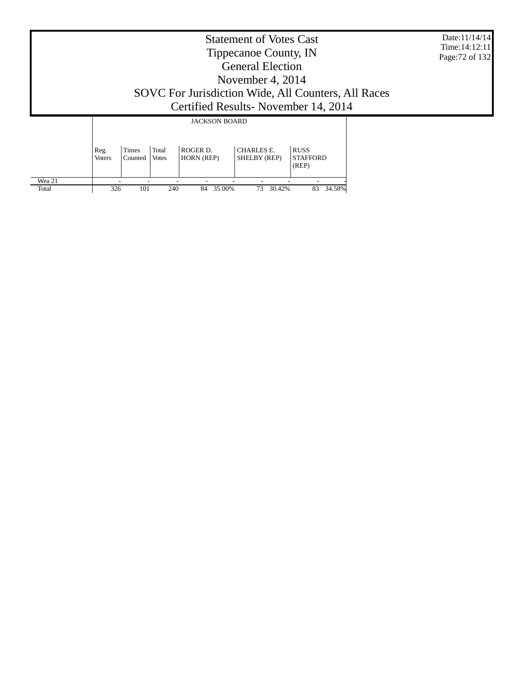|                 | Date:11/14/14<br>Time: $14:12:11$<br>Page: 72 of 132 |                  |                       |                               |                                   |                                                                                              |  |  |
|-----------------|------------------------------------------------------|------------------|-----------------------|-------------------------------|-----------------------------------|----------------------------------------------------------------------------------------------|--|--|
|                 |                                                      |                  |                       |                               |                                   | SOVC For Jurisdiction Wide, All Counters, All Races<br>Certified Results - November 14, 2014 |  |  |
|                 |                                                      |                  |                       | <b>JACKSON BOARD</b>          |                                   |                                                                                              |  |  |
|                 | Reg.<br><b>Voters</b>                                | Times<br>Counted | Total<br><b>Votes</b> | ROGER D.<br><b>HORN</b> (REP) | <b>CHARLES E.</b><br>SHELBY (REP) | <b>RUSS</b><br><b>STAFFORD</b><br>(REP)                                                      |  |  |
| Wea 21<br>Total | 326                                                  | 101              | 240                   | 84<br>35.00%                  | 73<br>30.42%                      | 83<br>34.58%                                                                                 |  |  |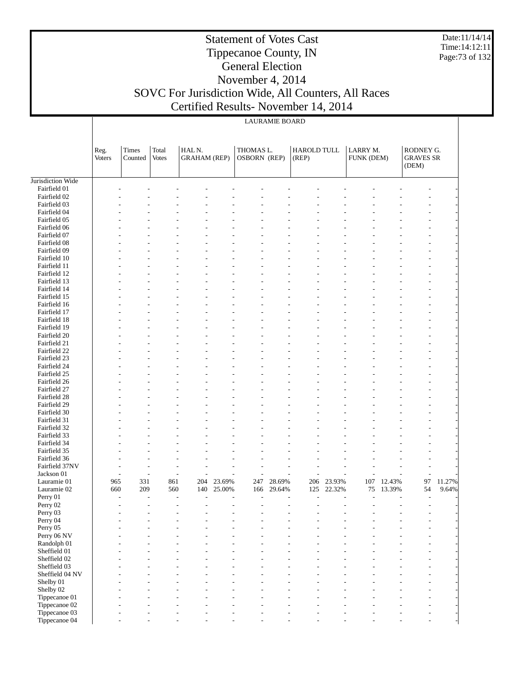Date:11/14/14 Time:14:12:11 Page:73 of 132

# Statement of Votes Cast Tippecanoe County, IN General Election November 4, 2014 SOVC For Jurisdiction Wide, All Counters, All Races

# Certified Results- November 14, 2014

|                              | Reg.<br><b>Voters</b> | Times<br>Counted                 | Total<br><b>Votes</b> | HALN.<br><b>GRAHAM</b> (REP) |        | THOMAS L.<br>OSBORN (REP) |        | HAROLD TULL<br>(REP) |        | LARRY M.<br>FUNK (DEM) |        | RODNEY G.<br><b>GRAVES SR</b><br>(DEM) |        |
|------------------------------|-----------------------|----------------------------------|-----------------------|------------------------------|--------|---------------------------|--------|----------------------|--------|------------------------|--------|----------------------------------------|--------|
| Jurisdiction Wide            |                       |                                  |                       |                              |        |                           |        |                      |        |                        |        |                                        |        |
| Fairfield 01                 |                       |                                  |                       |                              |        |                           |        |                      |        |                        |        |                                        |        |
| Fairfield 02                 |                       |                                  |                       |                              |        |                           |        |                      |        |                        |        |                                        |        |
| Fairfield 03                 |                       |                                  |                       |                              |        |                           |        |                      |        |                        |        |                                        |        |
| Fairfield 04                 |                       |                                  |                       |                              |        |                           |        |                      |        |                        |        |                                        |        |
| Fairfield 05                 |                       |                                  |                       |                              |        |                           |        |                      |        |                        |        |                                        |        |
| Fairfield 06                 |                       |                                  |                       |                              |        |                           |        |                      |        |                        |        |                                        |        |
| Fairfield 07                 |                       |                                  |                       |                              |        |                           |        |                      |        |                        |        |                                        |        |
| Fairfield 08                 |                       |                                  |                       |                              |        |                           |        |                      |        |                        |        |                                        |        |
| Fairfield 09                 |                       |                                  |                       |                              |        |                           |        |                      |        |                        |        |                                        |        |
| Fairfield 10                 |                       |                                  |                       |                              |        |                           |        |                      |        |                        |        |                                        |        |
| Fairfield 11                 |                       |                                  |                       |                              |        |                           |        |                      |        |                        |        |                                        |        |
| Fairfield 12                 |                       |                                  |                       |                              |        |                           |        |                      |        |                        |        |                                        |        |
| Fairfield 13                 |                       |                                  |                       |                              |        |                           |        |                      |        |                        |        |                                        |        |
| Fairfield 14                 |                       |                                  |                       |                              |        |                           |        |                      |        |                        |        |                                        |        |
| Fairfield 15                 |                       |                                  |                       |                              |        |                           |        |                      |        |                        |        |                                        |        |
| Fairfield 16                 |                       |                                  |                       |                              |        |                           |        |                      |        |                        |        |                                        |        |
| Fairfield 17                 |                       |                                  |                       |                              |        |                           |        |                      |        |                        |        |                                        |        |
| Fairfield 18                 |                       |                                  |                       |                              |        |                           |        |                      |        |                        |        |                                        |        |
| Fairfield 19<br>Fairfield 20 |                       |                                  |                       |                              |        |                           |        |                      |        |                        |        |                                        |        |
| Fairfield 21                 |                       |                                  |                       |                              |        |                           |        |                      |        |                        |        |                                        |        |
| Fairfield 22                 |                       |                                  |                       |                              |        |                           |        |                      |        |                        |        |                                        |        |
| Fairfield 23                 |                       |                                  |                       |                              |        |                           |        |                      |        |                        |        |                                        |        |
| Fairfield 24                 |                       |                                  |                       |                              |        |                           |        |                      |        |                        |        |                                        |        |
| Fairfield 25                 |                       |                                  |                       |                              |        |                           |        |                      |        |                        |        |                                        |        |
| Fairfield 26                 |                       |                                  |                       |                              |        |                           |        |                      |        |                        |        |                                        |        |
| Fairfield 27                 |                       |                                  |                       |                              |        |                           |        |                      |        |                        |        |                                        |        |
| Fairfield 28                 |                       |                                  |                       |                              |        |                           |        |                      |        |                        |        |                                        |        |
| Fairfield 29                 |                       |                                  |                       |                              |        |                           |        |                      |        |                        |        |                                        |        |
| Fairfield 30                 |                       |                                  |                       |                              |        |                           |        |                      |        |                        |        |                                        |        |
| Fairfield 31                 |                       |                                  |                       |                              |        |                           |        |                      |        |                        |        |                                        |        |
| Fairfield 32                 |                       |                                  |                       |                              |        |                           |        |                      |        |                        |        |                                        |        |
| Fairfield 33                 |                       |                                  |                       |                              |        |                           |        |                      |        |                        |        |                                        |        |
| Fairfield 34                 |                       |                                  |                       |                              |        |                           |        |                      |        |                        |        |                                        |        |
| Fairfield 35                 |                       |                                  |                       |                              |        |                           |        |                      |        |                        |        |                                        |        |
| Fairfield 36                 |                       |                                  |                       |                              |        |                           |        |                      |        |                        |        |                                        |        |
| Fairfield 37NV               |                       |                                  |                       |                              |        |                           |        |                      |        |                        |        |                                        |        |
| Jackson 01                   |                       | $\overline{a}$<br>$\overline{a}$ | $\overline{a}$        |                              |        |                           |        |                      |        |                        |        | Ĭ.                                     |        |
| Lauramie 01                  | 965                   | 331                              | 861                   | 204                          | 23.69% | 247                       | 28.69% | 206                  | 23.93% | 107                    | 12.43% | 97                                     | 11.27% |
| Lauramie 02                  | 660                   | 209                              | 560                   | 140                          | 25.00% | 166                       | 29.64% | 125                  | 22.32% | 75                     | 13.39% | 54                                     | 9.64%  |
| Perry 01                     |                       | $\overline{a}$<br>Ĭ.             | $\overline{a}$        | Ĭ.                           | L,     |                           |        |                      |        | $\overline{a}$         |        | $\overline{a}$                         |        |
| Perry 02                     |                       |                                  |                       |                              |        |                           |        |                      |        |                        |        |                                        |        |
| Perry 03                     |                       |                                  |                       |                              |        |                           |        |                      |        |                        |        |                                        |        |
| Perry 04                     |                       |                                  |                       |                              |        |                           |        |                      |        |                        |        |                                        |        |
| Perry 05                     |                       |                                  |                       |                              |        |                           |        |                      |        |                        |        |                                        |        |
| Perry 06 NV                  |                       |                                  |                       |                              |        |                           |        |                      |        |                        |        |                                        |        |
| Randolph 01                  |                       |                                  |                       |                              |        |                           |        |                      |        |                        |        |                                        |        |
| Sheffield 01<br>Sheffield 02 |                       |                                  |                       |                              |        |                           |        |                      |        |                        |        |                                        |        |
| Sheffield 03                 |                       |                                  |                       |                              |        |                           |        |                      |        |                        |        |                                        |        |
| Sheffield 04 NV              |                       |                                  |                       |                              |        |                           |        |                      |        |                        |        |                                        |        |
| Shelby 01                    |                       |                                  |                       |                              |        |                           |        |                      |        |                        |        |                                        |        |
| Shelby 02                    |                       |                                  |                       |                              |        |                           |        |                      |        |                        |        |                                        |        |
| Tippecanoe 01                |                       |                                  |                       |                              |        |                           |        |                      |        |                        |        |                                        |        |
| Tippecanoe 02                |                       |                                  |                       |                              |        |                           |        |                      |        |                        |        |                                        |        |
| Tippecanoe 03                |                       |                                  |                       |                              |        |                           |        |                      |        |                        |        |                                        |        |
| Tippecanoe 04                |                       |                                  |                       |                              |        |                           |        |                      |        |                        |        |                                        |        |
|                              |                       |                                  |                       |                              |        |                           |        |                      |        |                        |        |                                        |        |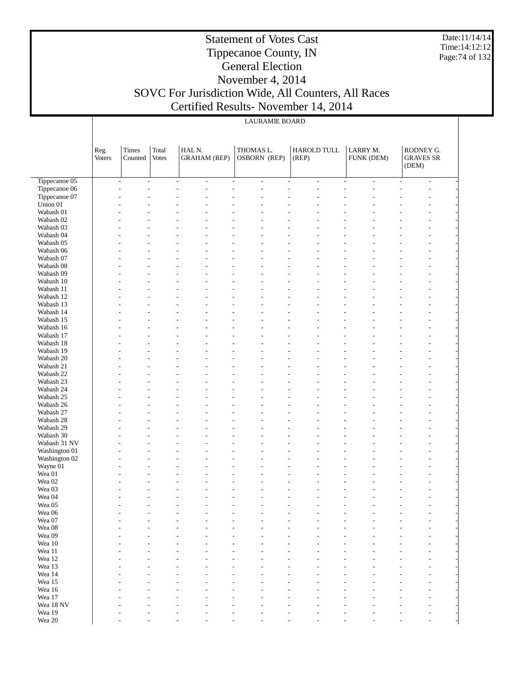Date:11/14/14 Time:14:12:12 Page:74 of 132

#### Statement of Votes Cast Tippecanoe County, IN General Election November 4, 2014 SOVC For Jurisdiction Wide, All Counters, All Races Certified Results- November 14, 2014

| <b>LAURAMIE BOARD</b> |  |
|-----------------------|--|
|-----------------------|--|

|                        | Reg.<br>Voters | <b>Times</b><br>Counted                              | Total<br><b>Votes</b> | HALN.<br><b>GRAHAM</b> (REP)               | THOMAS L.<br>OSBORN (REP)        | <b>HAROLD TULL</b><br>(REP)                | LARRY M.<br>FUNK (DEM)                     | RODNEY G.<br><b>GRAVES SR</b><br>(DEM) |
|------------------------|----------------|------------------------------------------------------|-----------------------|--------------------------------------------|----------------------------------|--------------------------------------------|--------------------------------------------|----------------------------------------|
| Tippecanoe 05          |                | $\overline{\phantom{a}}$<br>$\overline{\phantom{a}}$ |                       | $\overline{a}$<br>$\overline{\phantom{a}}$ | $\overline{a}$<br>$\overline{a}$ | $\overline{\phantom{a}}$<br>$\overline{a}$ | $\overline{\phantom{a}}$<br>$\overline{a}$ | $\overline{\phantom{a}}$               |
| Tippecanoe 06          |                |                                                      |                       | ÷,<br>ä,                                   | ٠                                |                                            | $\overline{a}$                             |                                        |
| Tippecanoe 07          |                |                                                      |                       |                                            |                                  |                                            |                                            |                                        |
| Union 01               |                |                                                      |                       |                                            |                                  |                                            |                                            |                                        |
| Wabash 01              |                |                                                      |                       |                                            |                                  |                                            |                                            |                                        |
| Wabash 02              |                |                                                      |                       |                                            |                                  |                                            |                                            |                                        |
| Wabash 03              |                |                                                      |                       |                                            |                                  |                                            |                                            |                                        |
| Wabash 04              |                |                                                      |                       |                                            |                                  |                                            |                                            |                                        |
| Wabash 05              |                |                                                      |                       |                                            |                                  |                                            |                                            |                                        |
| Wabash 06<br>Wabash 07 |                |                                                      |                       |                                            |                                  |                                            |                                            |                                        |
| Wabash 08              |                |                                                      |                       |                                            |                                  |                                            |                                            |                                        |
| Wabash 09              |                |                                                      |                       |                                            |                                  |                                            |                                            |                                        |
| Wabash 10              |                |                                                      |                       |                                            |                                  |                                            |                                            |                                        |
| Wabash 11              |                |                                                      |                       |                                            |                                  |                                            |                                            |                                        |
| Wabash 12              |                |                                                      |                       |                                            |                                  |                                            |                                            |                                        |
| Wabash 13              |                |                                                      |                       |                                            |                                  |                                            |                                            |                                        |
| Wabash 14              |                |                                                      |                       |                                            |                                  |                                            |                                            |                                        |
| Wabash 15              |                |                                                      |                       |                                            |                                  |                                            |                                            |                                        |
| Wabash 16              |                |                                                      |                       |                                            |                                  |                                            |                                            |                                        |
| Wabash 17              |                |                                                      |                       |                                            |                                  |                                            |                                            |                                        |
| Wabash 18              |                |                                                      |                       |                                            |                                  |                                            |                                            |                                        |
| Wabash 19              |                |                                                      |                       |                                            |                                  |                                            |                                            |                                        |
| Wabash 20              |                |                                                      |                       |                                            |                                  |                                            |                                            |                                        |
| Wabash 21              |                |                                                      |                       |                                            |                                  |                                            |                                            |                                        |
| Wabash 22              |                |                                                      |                       |                                            |                                  |                                            |                                            |                                        |
| Wabash 23              |                |                                                      |                       |                                            |                                  |                                            |                                            |                                        |
| Wabash 24              |                |                                                      |                       |                                            |                                  |                                            |                                            |                                        |
| Wabash 25<br>Wabash 26 |                |                                                      |                       |                                            |                                  |                                            |                                            |                                        |
| Wabash 27              |                |                                                      |                       |                                            |                                  |                                            |                                            |                                        |
| Wabash 28              |                |                                                      |                       |                                            |                                  |                                            |                                            |                                        |
| Wabash 29              |                |                                                      |                       |                                            |                                  |                                            |                                            |                                        |
| Wabash 30              |                |                                                      |                       |                                            |                                  |                                            |                                            |                                        |
| Wabash 31 NV           |                |                                                      |                       |                                            |                                  |                                            |                                            |                                        |
| Washington 01          |                |                                                      |                       |                                            |                                  |                                            |                                            |                                        |
| Washington 02          |                |                                                      |                       |                                            |                                  |                                            |                                            |                                        |
| Wayne 01               |                |                                                      |                       |                                            |                                  |                                            |                                            |                                        |
| Wea 01                 |                |                                                      |                       |                                            |                                  |                                            |                                            |                                        |
| Wea 02                 |                |                                                      |                       |                                            |                                  |                                            |                                            |                                        |
| Wea 03                 |                |                                                      |                       |                                            |                                  |                                            |                                            |                                        |
| Wea 04                 |                |                                                      |                       |                                            |                                  |                                            |                                            |                                        |
| Wea 05                 |                |                                                      |                       |                                            |                                  |                                            |                                            |                                        |
| Wea 06<br>Wea 07       |                |                                                      |                       |                                            |                                  |                                            |                                            |                                        |
| Wea 08                 |                |                                                      |                       |                                            |                                  |                                            |                                            |                                        |
| Wea 09                 |                |                                                      |                       |                                            |                                  |                                            |                                            |                                        |
| Wea $10\,$             |                |                                                      |                       |                                            |                                  |                                            |                                            |                                        |
| Wea 11                 |                |                                                      |                       |                                            |                                  |                                            |                                            |                                        |
| Wea 12                 |                |                                                      |                       |                                            |                                  |                                            |                                            |                                        |
| Wea 13                 |                |                                                      |                       |                                            |                                  |                                            |                                            |                                        |
| Wea 14                 |                |                                                      |                       |                                            |                                  |                                            |                                            |                                        |
| Wea 15                 |                |                                                      |                       |                                            |                                  |                                            |                                            |                                        |
| Wea 16                 |                |                                                      |                       |                                            |                                  |                                            |                                            |                                        |
| Wea 17                 |                |                                                      |                       |                                            |                                  |                                            |                                            |                                        |
| Wea 18 NV              |                |                                                      |                       |                                            |                                  |                                            |                                            |                                        |
| Wea 19                 |                |                                                      |                       |                                            |                                  |                                            |                                            |                                        |
| Wea $20\,$             |                |                                                      |                       |                                            |                                  |                                            |                                            |                                        |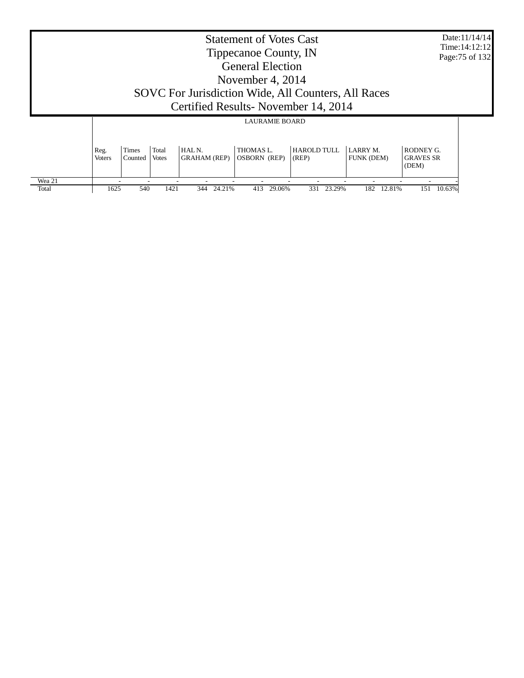|                 | <b>Statement of Votes Cast</b><br>Tippecanoe County, IN<br><b>General Election</b><br>November 4, 2014<br>SOVC For Jurisdiction Wide, All Counters, All Races<br>Certified Results - November 14, 2014 |                  |                       |                                         |                                                           |                      |                                      |                               |  |
|-----------------|--------------------------------------------------------------------------------------------------------------------------------------------------------------------------------------------------------|------------------|-----------------------|-----------------------------------------|-----------------------------------------------------------|----------------------|--------------------------------------|-------------------------------|--|
|                 | Reg.<br><b>Voters</b>                                                                                                                                                                                  | Times<br>Counted | Total<br><b>Votes</b> | HAL <sub>N</sub><br><b>GRAHAM (REP)</b> | <b>LAURAMIE BOARD</b><br>THOMAS L.<br><b>OSBORN</b> (REP) | HAROLD TULL<br>(REP) | <b>LARRY M.</b><br><b>FUNK (DEM)</b> | RODNEY G.<br><b>GRAVES SR</b> |  |
| Wea 21<br>Total | 1625                                                                                                                                                                                                   | 540              | 1421                  | 24.21%<br>344                           | 413<br>29.06%                                             | 23.29%<br>331        | 182<br>12.81%                        | (DEM)<br>151<br>10.63%        |  |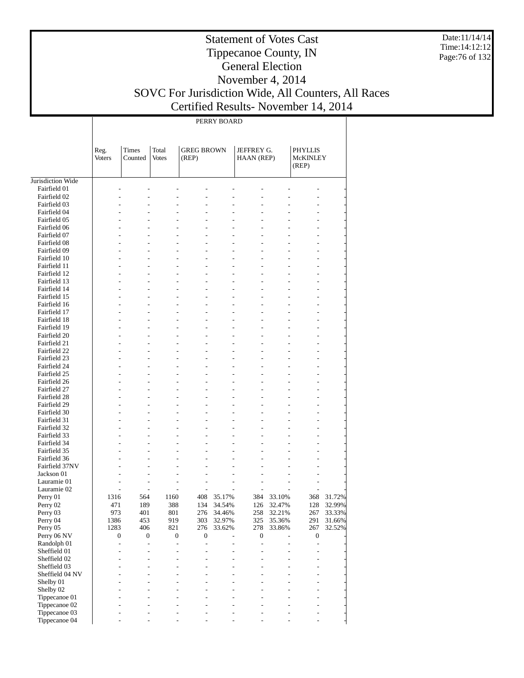Date:11/14/14 Time:14:12:12 Page:76 of 132

# Statement of Votes Cast Tippecanoe County, IN General Election November 4, 2014 SOVC For Jurisdiction Wide, All Counters, All Races

Т

Certified Results- November 14, 2014

|                              |                       |                          |                       |                            | PERRY BOARD |                          |                |                                  |        |
|------------------------------|-----------------------|--------------------------|-----------------------|----------------------------|-------------|--------------------------|----------------|----------------------------------|--------|
|                              | Reg.<br><b>Voters</b> | Times<br>Counted         | Total<br><b>Votes</b> | <b>GREG BROWN</b><br>(REP) |             | JEFFREY G.<br>HAAN (REP) |                | PHYLLIS<br>McKINLEY<br>(REP)     |        |
| Jurisdiction Wide            |                       |                          |                       |                            |             |                          |                |                                  |        |
| Fairfield 01                 |                       |                          |                       |                            |             |                          |                |                                  |        |
| Fairfield 02<br>Fairfield 03 |                       |                          |                       |                            |             |                          |                |                                  |        |
| Fairfield 04                 |                       |                          |                       |                            |             |                          |                |                                  |        |
| Fairfield 05                 |                       |                          |                       |                            |             |                          |                |                                  |        |
| Fairfield 06                 |                       |                          |                       |                            |             |                          |                |                                  |        |
| Fairfield 07                 |                       |                          |                       |                            |             |                          |                |                                  |        |
| Fairfield 08                 |                       |                          |                       |                            |             |                          |                |                                  |        |
| Fairfield 09<br>Fairfield 10 |                       |                          |                       |                            |             |                          |                |                                  |        |
| Fairfield 11                 |                       |                          |                       |                            |             |                          |                |                                  |        |
| Fairfield 12                 |                       |                          |                       |                            |             |                          |                |                                  |        |
| Fairfield 13                 |                       |                          |                       |                            |             |                          |                |                                  |        |
| Fairfield 14                 |                       |                          |                       |                            |             |                          |                |                                  |        |
| Fairfield 15                 |                       |                          |                       |                            |             |                          |                |                                  |        |
| Fairfield 16                 |                       |                          |                       |                            |             |                          |                |                                  |        |
| Fairfield 17                 |                       |                          |                       |                            |             |                          |                |                                  |        |
| Fairfield 18<br>Fairfield 19 |                       |                          |                       |                            |             |                          |                |                                  |        |
| Fairfield 20                 |                       |                          |                       |                            |             |                          |                |                                  |        |
| Fairfield 21                 |                       |                          |                       |                            |             |                          |                |                                  |        |
| Fairfield 22                 |                       |                          |                       |                            |             |                          |                |                                  |        |
| Fairfield 23                 |                       |                          |                       |                            |             |                          |                |                                  |        |
| Fairfield 24                 |                       |                          |                       |                            |             |                          |                |                                  |        |
| Fairfield 25                 |                       |                          |                       |                            |             |                          |                |                                  |        |
| Fairfield 26                 |                       |                          |                       |                            |             |                          |                |                                  |        |
| Fairfield 27                 |                       |                          |                       |                            |             |                          |                |                                  |        |
| Fairfield 28                 |                       |                          |                       |                            |             |                          |                |                                  |        |
| Fairfield 29<br>Fairfield 30 |                       |                          |                       |                            |             |                          |                |                                  |        |
| Fairfield 31                 |                       |                          |                       |                            |             |                          |                |                                  |        |
| Fairfield 32                 |                       |                          |                       |                            |             |                          |                |                                  |        |
| Fairfield 33                 |                       |                          |                       |                            |             |                          |                |                                  |        |
| Fairfield 34                 |                       |                          |                       |                            |             |                          |                |                                  |        |
| Fairfield 35                 |                       |                          |                       |                            |             |                          |                |                                  |        |
| Fairfield 36                 |                       |                          |                       |                            |             |                          |                |                                  |        |
| Fairfield 37NV               |                       |                          |                       |                            |             |                          |                |                                  |        |
| Jackson 01<br>Lauramie 01    |                       |                          |                       |                            |             |                          |                |                                  |        |
| Lauramie 02                  |                       |                          |                       | L,                         |             |                          |                |                                  |        |
| Perry 01                     | 1316                  | 564                      | 1160                  | 408                        | 35.17%      | 384                      | 33.10%         | 368                              | 31.72% |
| Perry 02                     | 471                   | 189                      | 388                   | 134                        | 34.54%      | 126                      | 32.47%         | 128                              | 32.99% |
| Perry 03                     | 973                   | 401                      | 801                   | 276                        | 34.46%      | 258                      | 32.21%         | 267                              | 33.33% |
| Perry 04                     | 1386                  | 453                      | 919                   | 303                        | 32.97%      | 325                      | 35.36%         | 291                              | 31.66% |
| Perry 05                     | 1283                  | 406                      | 821                   | 276                        | 33.62%      | 278                      | 33.86%         | 267                              | 32.52% |
| Perry 06 NV                  | 0                     | $\boldsymbol{0}$         | $\boldsymbol{0}$      | $\boldsymbol{0}$           |             | $\boldsymbol{0}$         | L              | $\boldsymbol{0}$                 |        |
| Randolph 01                  | $\overline{a}$        | $\overline{\phantom{0}}$ | $\frac{1}{2}$         | $\overline{a}$             |             | $\overline{\phantom{0}}$ | $\overline{a}$ | $\overline{\phantom{a}}$         |        |
| Sheffield 01<br>Sheffield 02 |                       |                          | L,<br>L,              |                            |             |                          |                | $\overline{a}$<br>$\overline{a}$ |        |
| Sheffield 03                 |                       |                          |                       |                            |             |                          |                | -                                |        |
| Sheffield 04 NV              |                       |                          |                       |                            |             |                          |                | $\overline{a}$                   |        |
| Shelby 01                    |                       |                          |                       |                            |             |                          |                | $\overline{a}$                   |        |
| Shelby 02                    |                       |                          |                       |                            |             |                          |                | $\overline{a}$                   |        |
| Tippecanoe 01                |                       |                          |                       |                            |             |                          |                | $\overline{a}$                   |        |
| Tippecanoe 02                |                       |                          |                       |                            |             |                          |                | $\overline{a}$                   |        |
| Tippecanoe 03                |                       |                          |                       |                            |             |                          |                | -                                |        |
| Tippecanoe 04                |                       |                          | L,                    | $\overline{a}$             |             |                          |                | $\overline{a}$                   |        |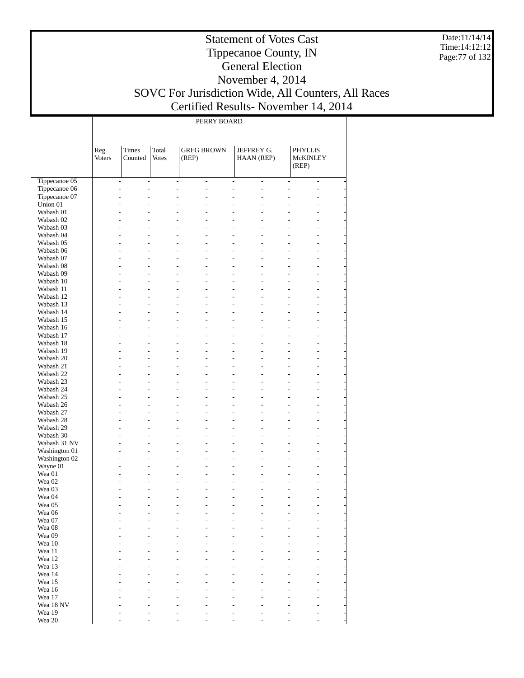Date:11/14/14 Time:14:12:12 Page:77 of 132

#### Statement of Votes Cast Tippecanoe County, IN General Election November 4, 2014 SOVC For Jurisdiction Wide, All Counters, All Races Certified Results- November 14, 2014

PERRY BOARD

|                        | Reg.<br>Voters | Times<br>Counted                       | Total<br>Votes | <b>GREG BROWN</b><br>(REP)                              |                | JEFFREY G.<br>HAAN (REP) |                                  | <b>PHYLLIS</b><br>McKINLEY<br>(REP) |                                  |  |
|------------------------|----------------|----------------------------------------|----------------|---------------------------------------------------------|----------------|--------------------------|----------------------------------|-------------------------------------|----------------------------------|--|
| Tippecanoe 05          |                | $\frac{1}{2}$<br>$\overline{a}$        |                | $\overline{\phantom{a}}$<br>$\overline{\phantom{0}}$    |                | $\overline{\phantom{a}}$ | $\overline{\phantom{a}}$         | $\overline{\phantom{a}}$            | $\overline{\phantom{a}}$         |  |
| Tippecanoe 06          |                | $\overline{a}$<br>$\overline{a}$       |                | $\overline{a}$<br>$\overline{a}$                        |                | $\overline{a}$           | $\overline{a}$                   | ÷.                                  | $\overline{a}$                   |  |
| Tippecanoe 07          |                | L.<br>$\overline{a}$                   |                | $\overline{a}$<br>$\overline{a}$                        | $\overline{a}$ |                          | $\overline{a}$                   | L.                                  | $\overline{a}$                   |  |
| Union 01               |                | L.<br>$\overline{a}$                   |                | ÷<br>$\overline{a}$                                     | $\overline{a}$ |                          | $\overline{a}$                   | $\overline{a}$                      | $\overline{a}$                   |  |
| Wabash 01              |                | L.<br>$\overline{a}$                   |                | $\overline{a}$<br>$\overline{a}$                        |                | $\overline{a}$           | L.                               | L.                                  | $\overline{a}$                   |  |
| Wabash 02              |                | $\overline{a}$<br>L.                   |                | ÷<br>$\overline{a}$                                     |                | $\overline{a}$           | $\overline{a}$                   | ÷                                   | $\overline{a}$                   |  |
| Wabash 03              |                | L.<br>$\overline{a}$                   |                | $\overline{a}$<br>$\overline{a}$                        | $\overline{a}$ |                          | $\overline{a}$                   | $\overline{a}$                      | $\overline{a}$                   |  |
| Wabash 04              |                | L.<br>$\overline{a}$                   |                | ÷<br>$\overline{a}$                                     |                | $\overline{a}$           | $\overline{a}$                   | ÷                                   | $\overline{a}$                   |  |
| Wabash 05              |                | L.<br>$\overline{a}$                   |                | $\overline{a}$<br>$\overline{a}$                        |                | $\overline{a}$           | L.                               | L.                                  | $\overline{a}$                   |  |
| Wabash 06              |                | L.<br>$\overline{a}$                   |                | ÷<br>$\overline{a}$                                     |                | $\overline{a}$           | $\overline{a}$                   | ÷                                   | $\overline{a}$                   |  |
| Wabash 07              |                | L.<br>$\overline{a}$                   |                | $\overline{a}$<br>$\overline{a}$                        | $\overline{a}$ |                          | $\overline{a}$                   | $\overline{a}$                      | $\overline{a}$                   |  |
| Wabash 08              |                | L.<br>$\overline{a}$                   |                | ÷<br>$\overline{a}$                                     |                | $\overline{a}$           | $\overline{a}$                   | ÷                                   | $\overline{a}$                   |  |
| Wabash 09              |                | L.<br>$\overline{a}$                   |                | $\overline{a}$<br>$\overline{a}$                        |                | $\overline{a}$           | L.                               | L.                                  | $\overline{a}$                   |  |
| Wabash 10              |                | L.<br>$\overline{a}$<br>L.             |                | ÷<br>$\overline{a}$<br>$\overline{a}$<br>$\overline{a}$ | $\overline{a}$ | $\overline{a}$           | $\overline{a}$<br>$\overline{a}$ | ÷<br>$\overline{a}$                 | $\overline{a}$<br>$\overline{a}$ |  |
| Wabash 11              |                | $\overline{a}$<br>L.<br>$\overline{a}$ |                | ÷<br>$\overline{a}$                                     |                | $\overline{a}$           | $\overline{a}$                   | ÷                                   | $\overline{a}$                   |  |
| Wabash 12              |                | L.<br>$\overline{a}$                   |                | $\overline{a}$<br>$\overline{a}$                        |                | $\overline{a}$           | L.                               | ÷.                                  | $\overline{a}$                   |  |
| Wabash 13<br>Wabash 14 |                | L.<br>$\overline{a}$                   |                | ÷<br>$\overline{a}$                                     |                | $\overline{a}$           | $\overline{a}$                   | ÷                                   | $\overline{a}$                   |  |
| Wabash 15              |                | L.<br>$\overline{a}$                   |                | $\overline{a}$<br>$\overline{a}$                        | $\overline{a}$ |                          | $\overline{a}$                   | $\overline{a}$                      | $\overline{a}$                   |  |
| Wabash 16              |                | L.<br>$\overline{a}$                   |                | ÷<br>$\overline{a}$                                     |                | $\overline{a}$           | $\overline{a}$                   | ÷                                   | $\overline{a}$                   |  |
| Wabash 17              |                | L.<br>$\overline{a}$                   |                | $\overline{a}$<br>$\overline{a}$                        |                | $\overline{a}$           | L.                               | ÷.                                  | $\overline{a}$                   |  |
| Wabash 18              |                | L.<br>$\overline{a}$                   |                | ÷<br>$\overline{a}$                                     |                | $\overline{a}$           | $\overline{a}$                   | ÷                                   | $\overline{a}$                   |  |
| Wabash 19              |                | L.<br>$\overline{a}$                   |                | $\overline{a}$<br>$\overline{a}$                        | $\overline{a}$ |                          | $\overline{a}$                   | $\overline{a}$                      | $\overline{a}$                   |  |
| Wabash 20              |                | L.<br>$\overline{a}$                   |                | ÷<br>$\overline{a}$                                     |                | $\overline{a}$           | $\overline{a}$                   | ÷                                   | $\overline{a}$                   |  |
| Wabash 21              |                | L.<br>$\overline{a}$                   |                | $\overline{a}$<br>$\overline{a}$                        |                | $\overline{a}$           | L.                               | ÷                                   | $\overline{a}$                   |  |
| Wabash 22              |                | L.<br>$\overline{a}$                   |                | ÷<br>$\overline{a}$                                     |                | $\overline{a}$           | $\overline{a}$                   | ÷                                   | $\overline{a}$                   |  |
| Wabash 23              |                | L.<br>$\overline{a}$                   |                | $\overline{a}$<br>$\overline{a}$                        | $\overline{a}$ |                          | $\overline{a}$                   | $\overline{a}$                      | $\overline{a}$                   |  |
| Wabash 24              |                | L.<br>$\overline{a}$                   |                | ÷<br>$\overline{a}$                                     |                | $\overline{a}$           | $\overline{a}$                   | ÷                                   | $\overline{a}$                   |  |
| Wabash 25              |                | L.<br>$\overline{a}$                   |                | $\overline{a}$<br>$\overline{a}$                        |                | $\overline{a}$           | L.                               | ÷                                   | $\overline{a}$                   |  |
| Wabash 26              |                | L.<br>$\overline{a}$                   |                | ÷<br>$\overline{a}$                                     |                | $\overline{a}$           | $\overline{a}$                   | ÷                                   | $\overline{a}$                   |  |
| Wabash 27              |                | L.<br>$\overline{a}$                   |                | $\overline{a}$<br>$\overline{a}$                        | $\overline{a}$ |                          | $\overline{a}$                   | $\overline{a}$                      | $\overline{a}$                   |  |
| Wabash 28              |                | L.<br>$\overline{a}$                   |                | ÷<br>$\overline{a}$                                     |                | $\overline{a}$           | $\overline{a}$                   | ÷                                   | $\overline{a}$                   |  |
| Wabash 29              |                | L.<br>$\overline{a}$                   |                | $\overline{a}$<br>$\overline{a}$                        |                | $\overline{a}$           | L.                               | ÷                                   | $\overline{a}$                   |  |
| Wabash 30              |                | L.<br>$\overline{a}$                   |                | ÷<br>$\overline{a}$                                     |                | $\overline{a}$           | $\overline{a}$                   | ÷                                   | $\overline{a}$                   |  |
| Wabash 31 NV           |                | L.<br>$\overline{a}$                   |                | $\overline{a}$<br>$\overline{a}$                        | $\overline{a}$ |                          | $\overline{a}$                   | ÷                                   | $\overline{a}$                   |  |
| Washington 01          |                | L.<br>$\overline{a}$                   |                | ÷<br>$\overline{a}$                                     |                | $\overline{a}$           | $\overline{a}$                   | ÷                                   | $\overline{a}$                   |  |
| Washington 02          |                | L.<br>$\overline{a}$                   |                | $\overline{a}$<br>$\overline{a}$                        | $\overline{a}$ |                          | L.                               | ÷                                   | $\overline{a}$                   |  |
| Wayne 01               |                | L.<br>$\overline{a}$                   |                | ÷<br>$\overline{a}$                                     |                | $\overline{a}$           | $\overline{a}$                   | ÷                                   | $\overline{a}$                   |  |
| Wea 01                 |                | L.<br>$\overline{a}$                   |                | $\overline{a}$<br>$\overline{a}$                        | $\overline{a}$ |                          | $\overline{a}$                   | $\overline{a}$                      | $\overline{a}$                   |  |
| Wea 02                 |                | $\overline{a}$<br>$\overline{a}$       |                | $\overline{a}$<br>$\overline{a}$                        |                | $\overline{a}$           | $\overline{a}$                   | ÷                                   | $\overline{a}$                   |  |
| Wea 03                 |                | L.<br>$\overline{a}$                   |                | $\overline{a}$<br>$\overline{a}$                        | $\overline{a}$ |                          | $\overline{a}$                   | $\overline{a}$                      | $\overline{a}$                   |  |
| Wea 04                 |                | ÷<br>÷                                 |                | ÷<br>$\overline{a}$                                     | $\overline{a}$ |                          | $\overline{a}$                   | ÷                                   | $\overline{a}$                   |  |
| Wea 05                 |                | ÷.<br>$\overline{a}$                   |                | $\overline{a}$<br>$\overline{a}$                        | $\overline{a}$ |                          | L.                               | L.                                  | $\overline{a}$                   |  |
| Wea 06                 |                |                                        |                |                                                         |                |                          |                                  |                                     |                                  |  |
| Wea 07                 |                |                                        |                |                                                         |                |                          |                                  |                                     |                                  |  |
| Wea 08<br>Wea 09       |                |                                        |                |                                                         |                |                          |                                  |                                     |                                  |  |
| Wea 10                 |                |                                        |                |                                                         |                |                          |                                  |                                     |                                  |  |
| Wea 11                 |                |                                        |                |                                                         |                |                          |                                  |                                     |                                  |  |
| Wea 12                 |                |                                        |                |                                                         |                |                          |                                  |                                     |                                  |  |
| Wea 13                 |                |                                        |                |                                                         |                |                          |                                  |                                     |                                  |  |
| Wea 14                 |                |                                        |                |                                                         |                |                          |                                  |                                     |                                  |  |
| Wea 15                 |                |                                        |                |                                                         |                |                          |                                  |                                     |                                  |  |
| Wea 16                 |                |                                        |                |                                                         |                |                          |                                  |                                     |                                  |  |
| Wea 17                 |                |                                        |                |                                                         |                |                          |                                  |                                     |                                  |  |
| Wea 18 NV              |                |                                        |                |                                                         |                |                          |                                  |                                     |                                  |  |
| Wea 19                 |                |                                        |                |                                                         |                |                          |                                  |                                     |                                  |  |
| Wea 20                 |                |                                        |                |                                                         |                |                          |                                  |                                     |                                  |  |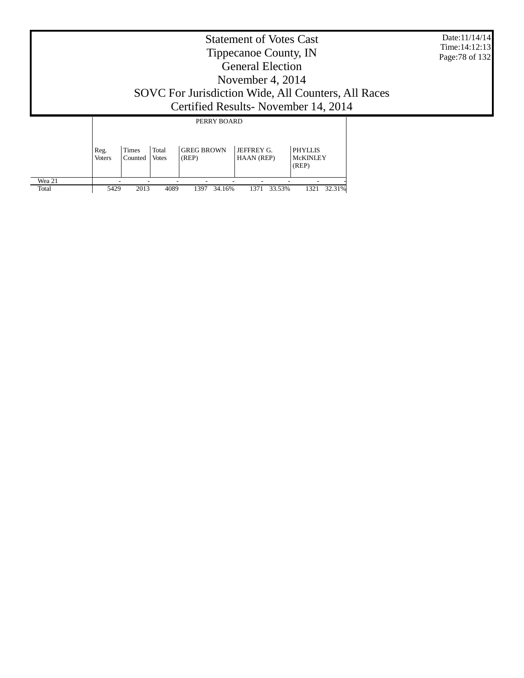|                 | <b>Statement of Votes Cast</b><br>Tippecanoe County, IN<br><b>General Election</b><br>November 4, $2014$<br>SOVC For Jurisdiction Wide, All Counters, All Races<br>Certified Results - November 14, 2014 |      |      |                |                |                |  |  |  |  |  |
|-----------------|----------------------------------------------------------------------------------------------------------------------------------------------------------------------------------------------------------|------|------|----------------|----------------|----------------|--|--|--|--|--|
|                 |                                                                                                                                                                                                          |      |      | PERRY BOARD    |                |                |  |  |  |  |  |
|                 | <b>GREG BROWN</b><br><b>JEFFREY G.</b><br>Times<br>Total<br><b>PHYLLIS</b><br>Reg.<br><b>McKINLEY</b><br>Counted<br>Votes<br>(REP)<br>HAAN (REP)<br><b>Voters</b><br>(REP)                               |      |      |                |                |                |  |  |  |  |  |
| Wea 21<br>Total | 5429                                                                                                                                                                                                     | 2013 | 4089 | 34.16%<br>1397 | 33.53%<br>1371 | 32.31%<br>1321 |  |  |  |  |  |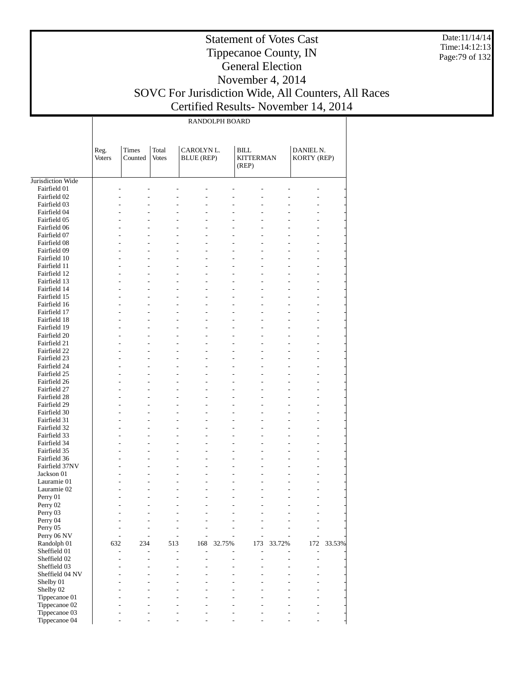Date:11/14/14 Time:14:12:13 Page:79 of 132

### Tippecanoe County, IN General Election November 4, 2014 SOVC For Jurisdiction Wide, All Counters, All Races

Statement of Votes Cast

Certified Results- November 14, 2014

|                                |                       |                                            |                                  |                                                                 | RANDOLPH BOARD                   |                                   |                |                              |        |
|--------------------------------|-----------------------|--------------------------------------------|----------------------------------|-----------------------------------------------------------------|----------------------------------|-----------------------------------|----------------|------------------------------|--------|
|                                | Reg.<br><b>Voters</b> | Times<br>Counted                           | Total<br><b>Votes</b>            | CAROLYN L.<br><b>BLUE</b> (REP)                                 |                                  | BILL<br><b>KITTERMAN</b><br>(REP) |                | DANIEL N.<br>KORTY (REP)     |        |
| Jurisdiction Wide              |                       |                                            |                                  |                                                                 |                                  |                                   |                |                              |        |
| Fairfield 01                   |                       |                                            |                                  |                                                                 |                                  |                                   |                |                              |        |
| Fairfield 02                   |                       |                                            | $\overline{a}$                   | L,                                                              | $\overline{a}$                   |                                   |                |                              |        |
| Fairfield 03                   |                       |                                            |                                  | L,                                                              |                                  |                                   |                |                              |        |
| Fairfield 04                   |                       | $\overline{a}$                             | $\overline{a}$                   | $\overline{\phantom{0}}$                                        | $\overline{a}$                   |                                   |                | $\overline{a}$               |        |
| Fairfield 05                   |                       |                                            |                                  | $\overline{a}$                                                  | $\overline{a}$                   |                                   |                |                              |        |
| Fairfield 06                   |                       | $\overline{a}$                             | $\overline{a}$                   | $\overline{a}$                                                  | $\overline{a}$                   |                                   |                | $\overline{a}$               |        |
| Fairfield 07                   |                       | $\overline{\phantom{0}}$                   |                                  | $\overline{a}$                                                  | $\overline{a}$                   |                                   |                |                              |        |
| Fairfield 08<br>Fairfield 09   |                       | $\overline{a}$<br>$\overline{\phantom{0}}$ | $\overline{a}$                   | $\overline{\phantom{m}}$<br>$\overline{a}$                      | $\overline{a}$<br>$\overline{a}$ |                                   | L,             | $\overline{a}$               |        |
| Fairfield 10                   |                       | $\overline{a}$                             | $\overline{a}$                   | $\overline{a}$                                                  | $\overline{a}$                   |                                   | L,             | $\overline{a}$               |        |
| Fairfield 11                   |                       | $\overline{a}$                             | $\overline{a}$                   | $\frac{1}{2}$                                                   | $\overline{a}$                   |                                   |                |                              |        |
| Fairfield 12                   |                       | $\overline{a}$                             | $\overline{a}$                   | $\overline{\phantom{m}}$<br>$\overline{a}$                      | $\overline{a}$                   | $\overline{a}$                    | L,             | $\overline{a}$               |        |
| Fairfield 13                   |                       | $\overline{\phantom{0}}$                   |                                  | $\frac{1}{2}$                                                   | $\overline{a}$                   |                                   |                |                              |        |
| Fairfield 14                   |                       | $\overline{a}$                             | $\overline{a}$                   | $\overline{a}$                                                  | $\overline{\phantom{0}}$         |                                   | L,             | $\overline{a}$               |        |
| Fairfield 15                   |                       | $\overline{a}$                             | $\overline{a}$                   | $\frac{1}{2}$                                                   | $\overline{a}$                   |                                   |                |                              |        |
| Fairfield 16                   |                       | $\overline{a}$                             | $\overline{\phantom{0}}$         | $\qquad \qquad \blacksquare$<br>$\overline{a}$                  | $\overline{a}$                   | $\overline{a}$                    | L,             | $\overline{\phantom{0}}$     |        |
| Fairfield 17                   |                       | L                                          |                                  | $\overline{a}$                                                  | $\overline{a}$                   |                                   |                |                              |        |
| Fairfield 18                   |                       | $\overline{a}$                             | $\overline{a}$                   | $\overline{a}$                                                  | $\overline{\phantom{0}}$         |                                   | L,             | $\overline{a}$               |        |
| Fairfield 19                   |                       | $\overline{a}$                             | $\overline{a}$                   | $\frac{1}{2}$                                                   | $\overline{a}$                   |                                   |                |                              |        |
| Fairfield 20                   |                       | $\overline{a}$                             | $\overline{a}$                   | $\qquad \qquad \blacksquare$<br>$\overline{a}$                  | $\overline{a}$                   | $\overline{a}$                    | L,             | $\overline{\phantom{0}}$     |        |
| Fairfield 21                   |                       | $\overline{\phantom{0}}$                   |                                  | $\overline{a}$                                                  | $\overline{a}$                   |                                   |                |                              |        |
| Fairfield 22                   |                       | $\overline{a}$                             | $\overline{a}$                   | $\overline{a}$                                                  | $\overline{\phantom{0}}$         |                                   |                | $\overline{a}$               |        |
| Fairfield 23                   |                       | $\overline{a}$                             | $\overline{a}$                   | $\frac{1}{2}$                                                   | $\overline{a}$                   |                                   |                |                              |        |
| Fairfield 24                   |                       | $\overline{a}$                             | $\overline{a}$                   | $\qquad \qquad \blacksquare$<br>$\overline{a}$                  | $\overline{a}$                   | $\overline{a}$                    | L,             | $\overline{\phantom{0}}$     |        |
| Fairfield 25                   |                       | L                                          |                                  | $\overline{a}$                                                  | $\overline{a}$                   |                                   |                |                              |        |
| Fairfield 26                   |                       | $\overline{a}$                             | $\overline{a}$                   | $\overline{a}$                                                  | $\overline{\phantom{0}}$         |                                   | L,             | $\overline{a}$               |        |
| Fairfield 27                   |                       | $\overline{a}$                             | $\overline{a}$                   | $\frac{1}{2}$                                                   | $\overline{a}$                   |                                   |                |                              |        |
| Fairfield 28                   |                       | $\overline{a}$                             | $\overline{a}$                   | $\qquad \qquad \blacksquare$<br>$\overline{a}$                  | $\overline{a}$                   | $\overline{a}$                    | L,             | $\overline{\phantom{0}}$     |        |
| Fairfield 29                   |                       | L                                          |                                  | $\overline{a}$                                                  | $\overline{a}$                   |                                   |                |                              |        |
| Fairfield 30                   |                       | $\overline{a}$                             | $\overline{a}$                   | $\qquad \qquad \blacksquare$                                    | $\overline{\phantom{0}}$         |                                   | L,             | $\overline{a}$               |        |
| Fairfield 31                   |                       | $\overline{a}$                             | $\overline{a}$                   | $\overline{a}$                                                  | $\overline{a}$                   |                                   |                |                              |        |
| Fairfield 32                   |                       | $\overline{a}$                             | $\overline{a}$                   | $\qquad \qquad \blacksquare$<br>$\overline{a}$                  | $\overline{\phantom{0}}$         | -                                 | L,             | $\overline{a}$               |        |
| Fairfield 33                   |                       | $\overline{\phantom{0}}$                   |                                  | $\overline{a}$                                                  | $\overline{a}$                   |                                   |                |                              |        |
| Fairfield 34                   |                       | $\overline{a}$                             | $\overline{a}$                   | $\qquad \qquad \blacksquare$                                    | $\overline{a}$                   |                                   | L,             | $\overline{a}$               |        |
| Fairfield 35                   |                       | $\overline{a}$                             | $\overline{a}$                   | $\frac{1}{2}$                                                   | $\overline{a}$                   |                                   |                |                              |        |
| Fairfield 36<br>Fairfield 37NV |                       | $\overline{a}$<br>$\overline{a}$           | $\overline{a}$<br>$\overline{a}$ | $\qquad \qquad \blacksquare$<br>$\overline{a}$<br>$\frac{1}{2}$ | $\overline{a}$<br>$\overline{a}$ | $\overline{a}$                    | L,             | $\overline{a}$               |        |
| Jackson 01                     |                       |                                            | $\overline{a}$                   | $\qquad \qquad \blacksquare$                                    | $\overline{a}$                   |                                   | L,             |                              |        |
| Lauramie 01                    |                       |                                            |                                  | L,                                                              |                                  |                                   |                |                              |        |
| Lauramie 02                    |                       |                                            |                                  | $\overline{a}$                                                  | $\overline{a}$                   |                                   | $\overline{a}$ | $\overline{a}$               |        |
| Perry 01                       |                       |                                            |                                  |                                                                 |                                  |                                   |                |                              |        |
| Perry 02                       |                       |                                            |                                  |                                                                 |                                  |                                   |                |                              |        |
| Perry 03                       |                       |                                            |                                  |                                                                 |                                  |                                   |                |                              |        |
| Perry 04                       |                       |                                            |                                  |                                                                 |                                  |                                   |                |                              |        |
| Perry 05                       |                       |                                            |                                  |                                                                 |                                  |                                   |                |                              |        |
| Perry 06 NV                    |                       |                                            |                                  |                                                                 |                                  |                                   |                |                              |        |
| Randolph 01                    | 632                   | 234                                        | 513                              | 168                                                             | 32.75%                           | 173                               | 33.72%         | 172                          | 33.53% |
| Sheffield 01                   |                       |                                            | $\overline{a}$                   | Ĭ.                                                              |                                  |                                   |                | $\qquad \qquad \blacksquare$ |        |
| Sheffield 02                   |                       |                                            |                                  |                                                                 |                                  |                                   |                |                              |        |
| Sheffield 03                   |                       |                                            |                                  |                                                                 |                                  |                                   |                |                              |        |
| Sheffield 04 NV                |                       |                                            |                                  |                                                                 |                                  |                                   |                |                              |        |
| Shelby 01                      |                       |                                            |                                  |                                                                 |                                  |                                   |                |                              |        |
| Shelby 02                      |                       |                                            |                                  |                                                                 |                                  |                                   |                |                              |        |
| Tippecanoe 01                  |                       |                                            |                                  |                                                                 |                                  |                                   |                |                              |        |
| Tippecanoe 02                  |                       |                                            |                                  |                                                                 |                                  |                                   |                |                              |        |
| Tippecanoe 03                  |                       |                                            |                                  |                                                                 |                                  |                                   |                |                              |        |

- - - - - - - - -

Tippecanoe 04

 $\perp$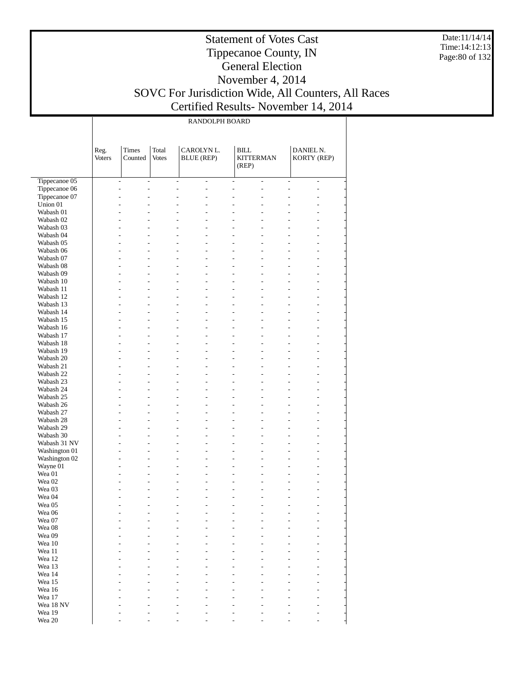Date:11/14/14 Time:14:12:13 Page:80 of 132

### Statement of Votes Cast Tippecanoe County, IN General Election November 4, 2014 SOVC For Jurisdiction Wide, All Counters, All Races

т

Certified Results- November 14, 2014

|                           | RANDOLPH BOARD |                                                          |                       |                                 |                                  |                                          |                                              |                          |                                  |  |  |  |
|---------------------------|----------------|----------------------------------------------------------|-----------------------|---------------------------------|----------------------------------|------------------------------------------|----------------------------------------------|--------------------------|----------------------------------|--|--|--|
|                           |                |                                                          |                       |                                 |                                  |                                          |                                              |                          |                                  |  |  |  |
|                           | Reg.<br>Voters | <b>Times</b><br>Counted                                  | Total<br><b>Votes</b> | CAROLYN L.<br><b>BLUE</b> (REP) |                                  | <b>BILL</b><br><b>KITTERMAN</b><br>(REP) |                                              | DANIEL N.<br>KORTY (REP) |                                  |  |  |  |
| Tippecanoe 05             |                | $\overline{\phantom{a}}$<br>$\overline{a}$               |                       | $\overline{a}$                  | $\overline{a}$                   | $\overline{a}$                           | $\overline{a}$                               | $\overline{a}$           | $\overline{a}$                   |  |  |  |
| Tippecanoe 06             | L,             | $\overline{a}$                                           | L.                    |                                 | $\overline{a}$                   | $\overline{a}$                           | $\overline{a}$<br>L,                         |                          | $\overline{a}$                   |  |  |  |
| Tippecanoe 07             | L.             | $\overline{a}$                                           |                       | $\overline{a}$                  | $\overline{a}$                   | $\overline{a}$                           | L,<br>$\overline{a}$                         |                          | $\overline{a}$                   |  |  |  |
| Union 01                  |                | $\overline{a}$<br>$\overline{a}$                         |                       |                                 | $\overline{a}$                   | $\overline{a}$                           | L.<br>۳                                      |                          | $\overline{a}$                   |  |  |  |
| Wabash 01                 |                | $\overline{a}$<br>L.                                     |                       | $\overline{a}$                  | $\overline{a}$                   | $\overline{a}$                           | L,<br>$\overline{a}$                         |                          | ÷,                               |  |  |  |
| Wabash 02                 |                | $\overline{a}$<br>$\overline{a}$                         |                       |                                 | $\overline{a}$                   | $\overline{a}$                           | L,                                           |                          | $\overline{a}$                   |  |  |  |
| Wabash 03<br>Wabash 04    | L.             | $\overline{a}$<br>L.<br>$\overline{a}$                   |                       | $\overline{a}$                  | $\overline{a}$<br>$\overline{a}$ | $\overline{a}$<br>$\overline{a}$         | L,<br>$\overline{a}$<br>L,<br>L              |                          | ÷,<br>$\overline{a}$             |  |  |  |
| Wabash 05                 |                | $\overline{a}$<br>L.                                     |                       | $\overline{a}$                  | $\overline{a}$                   | $\overline{a}$                           | $\overline{a}$<br>L,                         |                          | $\overline{a}$                   |  |  |  |
| Wabash 06                 |                | $\overline{a}$<br>$\overline{a}$                         | L.                    |                                 | $\overline{a}$                   | $\overline{a}$                           | L,<br>$\overline{a}$                         |                          | $\overline{a}$                   |  |  |  |
| Wabash 07                 |                | $\overline{a}$<br>L.                                     |                       | $\overline{a}$                  | $\overline{a}$                   | $\overline{a}$                           | L,<br>$\overline{a}$                         |                          | $\overline{a}$                   |  |  |  |
| Wabash 08                 | L.             | $\overline{a}$                                           |                       |                                 | $\overline{a}$                   | $\overline{a}$                           | L,<br>$\overline{a}$                         |                          | $\overline{a}$                   |  |  |  |
| Wabash 09                 |                | $\overline{a}$<br>L.                                     |                       | $\overline{a}$                  | $\overline{a}$                   | $\overline{a}$                           | $\overline{a}$<br>L,                         |                          | $\overline{a}$                   |  |  |  |
| Wabash 10<br>Wabash 11    |                | $\overline{a}$<br>$\overline{a}$<br>$\overline{a}$<br>L. | L.                    | $\overline{a}$                  | $\overline{a}$<br>$\overline{a}$ | $\overline{a}$<br>$\overline{a}$         | L,<br>$\overline{a}$<br>L,<br>$\overline{a}$ |                          | $\overline{a}$<br>$\overline{a}$ |  |  |  |
| Wabash 12                 | L.             | $\overline{a}$                                           | L.                    |                                 | $\overline{a}$                   | $\overline{a}$                           | L,<br>$\overline{a}$                         |                          | $\overline{a}$                   |  |  |  |
| Wabash 13                 |                | $\overline{a}$<br>L.                                     |                       | $\overline{a}$                  | $\overline{a}$                   | $\overline{a}$                           | $\overline{a}$<br>L,                         |                          | $\overline{a}$                   |  |  |  |
| Wabash 14                 |                | $\overline{a}$<br>$\overline{a}$                         | L.                    |                                 | $\overline{a}$                   | $\overline{a}$                           | L,<br>$\overline{a}$                         |                          | $\overline{a}$                   |  |  |  |
| Wabash 15                 | L.             | $\overline{a}$                                           |                       | $\overline{a}$                  | $\overline{a}$                   | $\overline{a}$                           | L,<br>$\overline{a}$                         |                          | $\overline{a}$                   |  |  |  |
| Wabash 16                 | L.             | $\overline{a}$                                           | L.                    |                                 | $\overline{a}$                   | $\overline{a}$                           | L,<br>$\overline{a}$                         |                          | $\overline{a}$                   |  |  |  |
| Wabash 17<br>Wabash 18    |                | $\overline{a}$<br>L.<br>$\overline{a}$<br>$\overline{a}$ | L.                    | $\overline{a}$                  | $\overline{a}$<br>$\overline{a}$ | $\overline{a}$<br>$\overline{a}$         | $\overline{a}$<br>L,<br>L,<br>$\overline{a}$ |                          | $\overline{a}$<br>$\overline{a}$ |  |  |  |
| Wabash 19                 | L.             | $\overline{a}$                                           |                       | $\overline{a}$                  | $\overline{a}$                   | $\overline{a}$                           | L,<br>$\overline{a}$                         |                          | $\overline{a}$                   |  |  |  |
| Wabash 20                 | L.             | $\overline{a}$                                           | L.                    |                                 | $\overline{a}$                   | $\overline{a}$                           | L,<br>$\overline{a}$                         |                          | $\overline{a}$                   |  |  |  |
| Wabash 21                 |                | $\overline{a}$<br>L.                                     |                       | $\overline{a}$                  | $\overline{a}$                   | $\overline{a}$                           | $\overline{a}$<br>L,                         |                          | $\overline{a}$                   |  |  |  |
| Wabash 22                 |                | $\overline{a}$<br>$\overline{a}$                         | L.                    |                                 | $\overline{a}$                   | $\overline{a}$                           | L,<br>$\overline{a}$                         |                          | $\overline{a}$                   |  |  |  |
| Wabash 23                 | L.             | $\overline{a}$<br>L.<br>$\overline{a}$                   | L.                    | $\overline{a}$                  | $\overline{a}$<br>$\overline{a}$ | $\overline{a}$<br>$\overline{a}$         | L,<br>$\overline{a}$<br>L,<br>$\overline{a}$ |                          | $\overline{a}$                   |  |  |  |
| Wabash 24<br>Wabash 25    |                | $\overline{a}$<br>L.                                     |                       | $\overline{a}$                  | $\overline{a}$                   | $\overline{a}$                           | $\overline{a}$<br>L,                         |                          | $\overline{a}$<br>$\overline{a}$ |  |  |  |
| Wabash 26                 |                | $\overline{a}$<br>$\overline{a}$                         |                       |                                 | $\overline{a}$                   | $\overline{a}$                           | L,<br>$\overline{a}$                         |                          | $\overline{a}$                   |  |  |  |
| Wabash 27                 |                | $\overline{a}$<br>L.                                     |                       | $\overline{a}$                  | $\overline{a}$                   | $\overline{a}$                           | L,<br>$\overline{a}$                         |                          | $\overline{a}$                   |  |  |  |
| Wabash 28                 | L.             | $\overline{a}$                                           |                       |                                 | $\overline{a}$                   | $\overline{a}$                           | L,<br>$\overline{a}$                         |                          | $\overline{a}$                   |  |  |  |
| Wabash 29                 |                | $\overline{a}$<br>L.<br>$\overline{a}$<br>$\overline{a}$ |                       | $\overline{a}$                  | $\overline{a}$<br>$\overline{a}$ | $\overline{a}$<br>$\overline{a}$         | $\overline{a}$<br>L,<br>L,<br>L              |                          | $\overline{a}$                   |  |  |  |
| Wabash 30<br>Wabash 31 NV |                | $\overline{a}$<br>L.                                     | L,                    |                                 | $\overline{a}$                   | $\overline{a}$                           | L,<br>$\overline{a}$                         |                          | $\overline{a}$<br>$\overline{a}$ |  |  |  |
| Washington 01             | L.             | $\overline{a}$                                           |                       |                                 | $\overline{a}$                   | $\overline{a}$                           | L,<br>$\overline{a}$                         |                          | $\overline{a}$                   |  |  |  |
| Washington 02             |                | $\overline{a}$<br>L.                                     |                       | $\overline{a}$                  | $\overline{a}$                   | $\overline{a}$                           | L,<br>$\overline{a}$                         |                          | $\overline{a}$                   |  |  |  |
| Wayne 01                  |                | $\overline{a}$<br>$\overline{a}$                         |                       |                                 | $\overline{a}$                   | $\overline{a}$                           | L,                                           |                          | $\overline{a}$                   |  |  |  |
| Wea 01                    |                | $\overline{a}$<br>L,                                     |                       | $\overline{a}$                  | $\overline{a}$                   | $\overline{a}$                           | L,<br>L                                      |                          | $\overline{a}$                   |  |  |  |
| Wea 02<br>Wea 03          |                | $\overline{a}$<br>$\overline{a}$<br>L,                   | L,                    |                                 | $\overline{a}$<br>$\overline{a}$ | $\overline{a}$<br>$\overline{a}$         | L,<br>$\overline{a}$                         |                          | $\overline{a}$<br>$\overline{a}$ |  |  |  |
| Wea 04                    |                |                                                          |                       |                                 |                                  |                                          |                                              |                          |                                  |  |  |  |
| Wea 05                    |                |                                                          |                       |                                 |                                  |                                          |                                              |                          |                                  |  |  |  |
| Wea 06                    |                |                                                          |                       |                                 |                                  |                                          |                                              |                          |                                  |  |  |  |
| Wea 07                    |                |                                                          |                       |                                 |                                  |                                          |                                              |                          |                                  |  |  |  |
| Wea 08<br>Wea 09          |                |                                                          |                       |                                 |                                  |                                          |                                              |                          |                                  |  |  |  |
| Wea 10                    |                |                                                          |                       |                                 |                                  |                                          |                                              |                          |                                  |  |  |  |
| Wea 11                    |                |                                                          |                       |                                 |                                  |                                          |                                              |                          |                                  |  |  |  |
| Wea 12                    |                |                                                          |                       |                                 |                                  |                                          |                                              |                          |                                  |  |  |  |
| Wea 13                    |                |                                                          |                       |                                 |                                  |                                          |                                              |                          |                                  |  |  |  |
| Wea 14                    |                |                                                          |                       |                                 |                                  |                                          |                                              |                          |                                  |  |  |  |
| Wea 15<br>Wea 16          |                |                                                          |                       |                                 |                                  |                                          |                                              |                          |                                  |  |  |  |
| Wea 17                    |                |                                                          |                       |                                 |                                  |                                          |                                              |                          |                                  |  |  |  |
| Wea 18 NV                 |                |                                                          |                       |                                 |                                  |                                          |                                              |                          |                                  |  |  |  |
| Wea 19                    |                |                                                          |                       |                                 |                                  |                                          |                                              |                          |                                  |  |  |  |
| Wea 20                    |                |                                                          |                       |                                 |                                  |                                          |                                              |                          |                                  |  |  |  |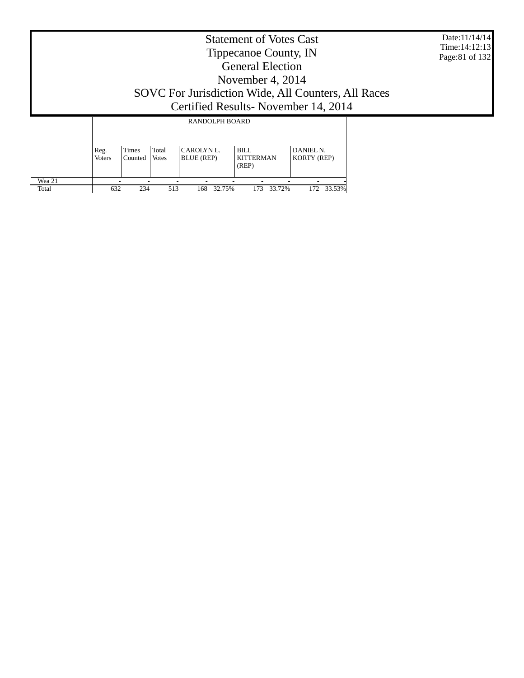|                 | <b>Statement of Votes Cast</b><br>Tippecanoe County, IN<br><b>General Election</b><br>November 4, $2014$<br>SOVC For Jurisdiction Wide, All Counters, All Races<br>Certified Results - November 14, 2014 |                  |                       |                               |                                   |                                 |  |  |  |  |
|-----------------|----------------------------------------------------------------------------------------------------------------------------------------------------------------------------------------------------------|------------------|-----------------------|-------------------------------|-----------------------------------|---------------------------------|--|--|--|--|
|                 |                                                                                                                                                                                                          |                  |                       | RANDOLPH BOARD                |                                   |                                 |  |  |  |  |
|                 | Reg.<br><b>Voters</b>                                                                                                                                                                                    | Times<br>Counted | Total<br><b>Votes</b> | <b>CAROLYNL</b><br>BLUE (REP) | BILL<br><b>KITTERMAN</b><br>(REP) | DANIEL N.<br><b>KORTY (REP)</b> |  |  |  |  |
| Wea 21<br>Total | 632                                                                                                                                                                                                      | 234              | 513                   | 32.75%<br>168                 | 33.72%<br>173                     | 172 33.53%                      |  |  |  |  |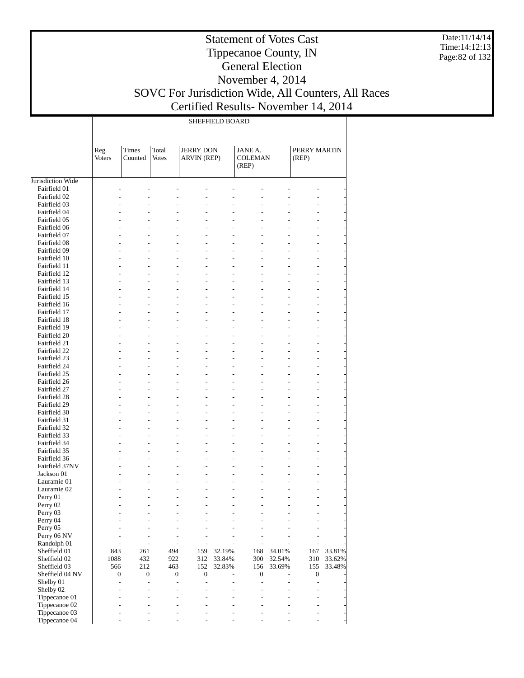Date:11/14/14 Time:14:12:13 Page:82 of 132

#### Statement of Votes Cast Tippecanoe County, IN General Election November 4, 2014 SOVC For Jurisdiction Wide, All Counters, All Races

Certified Results- November 14, 2014

|                              |                       |                         |                       |                                        | <b>SHEFFIELD BOARD</b> |                                    |                          |                          |        |
|------------------------------|-----------------------|-------------------------|-----------------------|----------------------------------------|------------------------|------------------------------------|--------------------------|--------------------------|--------|
|                              | Reg.<br><b>Voters</b> | <b>Times</b><br>Counted | Total<br><b>Votes</b> | <b>JERRY DON</b><br><b>ARVIN (REP)</b> |                        | JANE A.<br><b>COLEMAN</b><br>(REP) |                          | PERRY MARTIN<br>(REP)    |        |
| Jurisdiction Wide            |                       |                         |                       |                                        |                        |                                    |                          |                          |        |
| Fairfield 01                 |                       |                         |                       |                                        |                        |                                    |                          |                          |        |
| Fairfield 02                 |                       | Ĭ.                      |                       |                                        | L,                     |                                    |                          |                          |        |
| Fairfield 03<br>Fairfield 04 |                       | L,                      |                       |                                        |                        |                                    |                          |                          |        |
| Fairfield 05                 |                       |                         |                       |                                        | $\overline{a}$         |                                    |                          |                          |        |
| Fairfield 06                 |                       | L,                      |                       |                                        | $\overline{a}$         |                                    |                          |                          |        |
| Fairfield 07                 |                       |                         |                       |                                        |                        |                                    |                          |                          |        |
| Fairfield 08                 |                       | $\overline{a}$          |                       | $\overline{a}$                         | $\overline{a}$         |                                    | $\overline{a}$           |                          |        |
| Fairfield 09                 |                       |                         |                       |                                        |                        |                                    |                          |                          |        |
| Fairfield 10                 |                       | L,                      |                       | $\overline{a}$                         | $\overline{a}$         |                                    |                          |                          |        |
| Fairfield 11                 |                       |                         |                       |                                        |                        |                                    |                          |                          |        |
| Fairfield 12<br>Fairfield 13 |                       | $\overline{a}$          |                       | $\overline{a}$<br>L                    | $\overline{a}$         |                                    | $\overline{\phantom{0}}$ |                          |        |
| Fairfield 14                 |                       | L,                      |                       | $\overline{a}$                         | $\overline{a}$         |                                    |                          |                          |        |
| Fairfield 15                 |                       |                         |                       |                                        |                        |                                    |                          |                          |        |
| Fairfield 16                 |                       | $\overline{a}$          |                       | $\overline{a}$<br>L                    | $\overline{a}$         |                                    | $\overline{\phantom{0}}$ |                          |        |
| Fairfield 17                 |                       |                         |                       |                                        |                        |                                    |                          |                          |        |
| Fairfield 18                 |                       | L,                      |                       | $\overline{a}$                         | $\overline{a}$         |                                    |                          |                          |        |
| Fairfield 19                 |                       |                         |                       |                                        |                        |                                    |                          |                          |        |
| Fairfield 20                 |                       | $\overline{a}$          |                       | $\overline{a}$<br>L                    | $\overline{a}$         |                                    | $\overline{\phantom{0}}$ |                          |        |
| Fairfield 21                 |                       |                         |                       |                                        |                        |                                    |                          |                          |        |
| Fairfield 22<br>Fairfield 23 |                       | L,                      |                       | $\overline{a}$                         | $\overline{a}$         |                                    |                          |                          |        |
| Fairfield 24                 |                       | $\overline{a}$          |                       | $\overline{a}$<br>L                    | $\overline{a}$         |                                    | $\overline{\phantom{0}}$ |                          |        |
| Fairfield 25                 |                       |                         |                       |                                        |                        |                                    |                          |                          |        |
| Fairfield 26                 |                       | L,                      |                       | $\overline{a}$                         | $\overline{a}$         |                                    |                          |                          |        |
| Fairfield 27                 |                       |                         |                       |                                        |                        |                                    |                          |                          |        |
| Fairfield 28                 |                       | $\overline{a}$          |                       | $\overline{a}$<br>L                    | $\overline{a}$         |                                    | $\overline{a}$           |                          |        |
| Fairfield 29                 |                       |                         |                       |                                        |                        |                                    |                          |                          |        |
| Fairfield 30                 |                       | L,                      |                       | $\overline{a}$                         | $\overline{a}$         |                                    |                          |                          |        |
| Fairfield 31                 |                       |                         |                       |                                        |                        |                                    |                          |                          |        |
| Fairfield 32                 |                       | $\overline{a}$          |                       | L<br>$\overline{a}$                    | $\overline{a}$         |                                    | $\overline{a}$           | L,                       |        |
| Fairfield 33<br>Fairfield 34 |                       | L,                      |                       | $\overline{a}$                         | $\overline{a}$         |                                    |                          |                          |        |
| Fairfield 35                 |                       |                         |                       |                                        |                        |                                    |                          |                          |        |
| Fairfield 36                 |                       | $\overline{a}$          |                       | $\overline{a}$<br>-                    | $\overline{a}$         |                                    | $\overline{\phantom{0}}$ | L,                       |        |
| Fairfield 37NV               |                       |                         |                       |                                        |                        |                                    |                          |                          |        |
| Jackson 01                   |                       |                         |                       | $\overline{a}$                         | L,                     |                                    |                          |                          |        |
| Lauramie 01                  |                       |                         |                       |                                        |                        |                                    |                          |                          |        |
| Lauramie 02                  |                       |                         |                       |                                        |                        |                                    |                          |                          |        |
| Perry 01                     |                       |                         |                       |                                        |                        |                                    |                          |                          |        |
| Perry 02                     |                       | $\overline{a}$          |                       |                                        |                        |                                    |                          | $\overline{\phantom{0}}$ |        |
| Perry 03<br>Perry 04         |                       |                         |                       |                                        |                        |                                    |                          |                          |        |
| Perry 05                     |                       |                         |                       |                                        |                        |                                    |                          |                          |        |
| Perry 06 NV                  |                       |                         |                       |                                        |                        |                                    |                          |                          |        |
| Randolph 01                  |                       |                         |                       | $\overline{\phantom{0}}$               |                        |                                    |                          |                          |        |
| Sheffield 01                 | 843                   | 261                     | 494                   | 159                                    | 32.19%                 | 168                                | 34.01%                   | 167                      | 33.81% |
| Sheffield 02                 | 1088                  | 432                     | 922                   | 312                                    | 33.84%                 | 300                                | 32.54%                   | 310                      | 33.62% |
| Sheffield 03                 | 566                   | 212                     | 463                   | 152                                    | 32.83%                 | 156                                | 33.69%                   | 155                      | 33.48% |
| Sheffield 04 NV              |                       | 0<br>$\boldsymbol{0}$   | $\boldsymbol{0}$      | $\boldsymbol{0}$                       |                        | $\boldsymbol{0}$                   |                          | $\boldsymbol{0}$         |        |
| Shelby 01                    |                       | $\overline{a}$          |                       | $\overline{a}$<br>$\overline{a}$       |                        | L,                                 |                          | $\overline{a}$           |        |
| Shelby 02<br>Tippecanoe 01   |                       | L,                      |                       |                                        |                        |                                    |                          |                          |        |
| Tippecanoe 02                |                       |                         |                       |                                        |                        |                                    |                          |                          |        |
| Tippecanoe 03                |                       |                         |                       |                                        |                        |                                    |                          |                          |        |
| Tippecanoe 04                |                       |                         |                       |                                        |                        |                                    |                          |                          |        |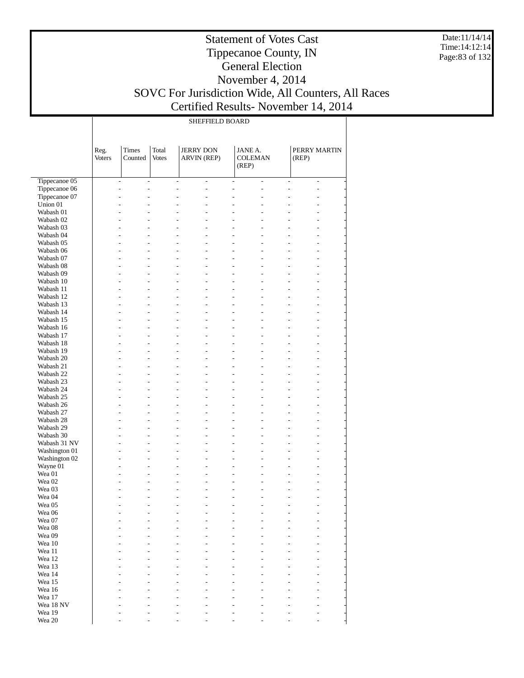Date:11/14/14 Time:14:12:14 Page:83 of 132

#### Statement of Votes Cast Tippecanoe County, IN General Election November 4, 2014 SOVC For Jurisdiction Wide, All Counters, All Races Certified Results- November 14, 2014

 $\mathbb{R}$ 

SHEFFIELD BOARD

|                        | Reg.<br><b>Voters</b> | Times<br>Counted                                     | Total<br><b>Votes</b> | <b>JERRY DON</b><br>ARVIN (REP)                          | <b>JANE A.</b><br><b>COLEMAN</b><br>(REP) |                          | PERRY MARTIN<br>(REP)                                                |                |
|------------------------|-----------------------|------------------------------------------------------|-----------------------|----------------------------------------------------------|-------------------------------------------|--------------------------|----------------------------------------------------------------------|----------------|
| Tippecanoe 05          |                       | $\overline{\phantom{a}}$<br>$\overline{\phantom{a}}$ |                       | $\overline{\phantom{a}}$<br>$\overline{\phantom{a}}$     | $\overline{\phantom{a}}$                  | $\overline{\phantom{a}}$ | $\overline{\phantom{a}}$                                             | $\overline{a}$ |
| Tippecanoe 06          |                       | L.<br>$\overline{a}$                                 |                       | $\overline{a}$<br>$\overline{a}$                         | $\overline{a}$                            | $\overline{a}$           | $\overline{a}$<br>$\overline{a}$                                     |                |
| Tippecanoe 07          |                       | L.<br>L.                                             |                       | $\overline{a}$<br>$\overline{a}$                         | $\overline{a}$                            | $\overline{a}$           | $\overline{a}$<br>$\overline{a}$                                     |                |
| Union 01               |                       | $\overline{a}$<br>L.                                 |                       | L.<br>$\overline{a}$                                     | $\overline{a}$                            | L.                       | $\overline{a}$<br>L.                                                 |                |
| Wabash 01              |                       | $\overline{a}$<br>L.                                 |                       | $\overline{a}$<br>$\overline{a}$                         | $\overline{a}$                            | $\overline{a}$           | $\overline{a}$<br>L.                                                 |                |
| Wabash 02              |                       | $\overline{a}$<br>L.                                 |                       | L<br>$\overline{a}$                                      | $\overline{a}$                            | L                        | L,<br>$\overline{a}$                                                 |                |
| Wabash 03              |                       | L.<br>L.                                             |                       | $\overline{a}$<br>$\overline{a}$                         | $\overline{a}$                            | $\overline{a}$           | $\overline{a}$<br>L.                                                 |                |
| Wabash 04              |                       | u<br>L.                                              |                       | L.<br>L.                                                 | $\overline{a}$                            | L.                       | u<br>$\overline{a}$                                                  |                |
| Wabash 05              |                       | $\overline{a}$<br>L.                                 |                       | $\overline{a}$<br>$\overline{a}$                         | $\overline{a}$                            | $\overline{a}$           | $\overline{a}$<br>$\overline{a}$                                     |                |
| Wabash 06              |                       | L.<br>L.<br>L.<br>L.                                 |                       | $\overline{a}$<br>L<br>$\overline{a}$<br>$\overline{a}$  | $\overline{a}$<br>$\overline{a}$          | L.<br>$\overline{a}$     | $\overline{a}$<br>$\overline{a}$<br>L.<br>$\overline{a}$             |                |
| Wabash 07<br>Wabash 08 |                       | u<br>L.                                              |                       | L.<br>L.                                                 | $\overline{a}$                            | $\overline{a}$           | $\overline{a}$<br>$\overline{a}$                                     |                |
| Wabash 09              |                       | $\overline{a}$<br>L.                                 |                       | $\overline{a}$<br>$\overline{a}$                         | $\overline{a}$                            | $\overline{a}$           | $\overline{a}$<br>$\overline{a}$                                     |                |
| Wabash 10              |                       | L.<br>L.                                             |                       | $\overline{a}$<br>L                                      | $\overline{a}$                            | L.                       | $\overline{a}$<br>$\overline{a}$                                     |                |
| Wabash 11              |                       | L.<br>L.                                             |                       | $\overline{a}$<br>$\overline{a}$                         | $\overline{a}$                            | $\overline{a}$           | L.<br>$\overline{a}$                                                 |                |
| Wabash 12              |                       | $\overline{a}$<br>L.                                 |                       | L.<br>L.                                                 | $\overline{a}$                            | $\overline{a}$           | $\overline{a}$<br>$\overline{a}$                                     |                |
| Wabash 13              |                       | L.<br>L.                                             |                       | $\overline{a}$<br>$\overline{a}$                         | $\overline{a}$                            | $\overline{a}$           | $\overline{a}$<br>$\overline{a}$                                     |                |
| Wabash 14              |                       | L.<br>L.                                             |                       | $\overline{a}$<br>L                                      | $\overline{a}$                            | L.                       | $\overline{a}$<br>$\overline{a}$                                     |                |
| Wabash 15              |                       | L.<br>L.                                             |                       | $\overline{a}$<br>$\overline{a}$                         | $\overline{a}$                            | $\overline{a}$           | L.<br>$\overline{a}$                                                 |                |
| Wabash 16              |                       | u<br>L.                                              |                       | L.<br>L.                                                 | $\overline{a}$                            | $\overline{a}$           | $\overline{a}$<br>$\overline{a}$                                     |                |
| Wabash 17              |                       | $\overline{a}$<br>L.                                 |                       | $\overline{a}$<br>$\overline{a}$                         | $\overline{a}$                            | $\overline{a}$           | $\overline{a}$<br>$\overline{a}$                                     |                |
| Wabash 18              |                       | L.<br>L.                                             |                       | $\overline{a}$<br>L.                                     | $\overline{a}$                            | L.                       | $\overline{a}$<br>$\overline{a}$                                     |                |
| Wabash 19              |                       | L.<br>L.                                             |                       | $\overline{a}$<br>$\overline{a}$                         | $\overline{a}$                            | $\overline{a}$           | L.<br>$\overline{a}$                                                 |                |
| Wabash 20              |                       | u<br>L.                                              |                       | L.<br>L.                                                 | $\overline{a}$                            | $\overline{a}$           | $\overline{a}$<br>$\overline{a}$                                     |                |
| Wabash 21              |                       | L.<br>L.<br>L.<br>L.                                 |                       | $\overline{a}$<br>$\overline{a}$<br>$\overline{a}$<br>L. | $\overline{a}$<br>$\overline{a}$          | $\overline{a}$<br>L.     | $\overline{a}$<br>$\overline{a}$<br>$\overline{a}$<br>$\overline{a}$ |                |
| Wabash 22<br>Wabash 23 |                       | L.<br>L.                                             |                       | $\overline{a}$<br>$\overline{a}$                         | $\overline{a}$                            | $\overline{a}$           | L.<br>$\overline{a}$                                                 |                |
| Wabash 24              |                       | u<br>L.                                              |                       | L.<br>$\overline{a}$                                     | $\overline{a}$                            | L.                       | u<br>$\overline{a}$                                                  |                |
| Wabash 25              |                       | L.<br>L.                                             |                       | $\overline{a}$<br>$\overline{a}$                         | $\overline{a}$                            | $\overline{a}$           | $\overline{a}$<br>$\overline{a}$                                     |                |
| Wabash 26              |                       | L.<br>L.                                             |                       | $\overline{a}$<br>L                                      | $\overline{a}$                            | L.                       | $\overline{a}$<br>$\overline{a}$                                     |                |
| Wabash 27              |                       | L.<br>L.                                             |                       | $\overline{a}$<br>$\overline{a}$                         | $\overline{a}$                            | $\overline{a}$           | $\overline{a}$<br>L.                                                 |                |
| Wabash 28              |                       | $\overline{a}$<br>L.                                 |                       | L.<br>$\overline{a}$                                     | $\overline{a}$                            | L.                       | $\overline{a}$<br>$\overline{a}$                                     |                |
| Wabash 29              |                       | L.<br>L.                                             |                       | $\overline{a}$<br>$\overline{a}$                         | $\overline{a}$                            | $\overline{a}$           | $\overline{a}$<br>$\overline{a}$                                     |                |
| Wabash 30              |                       | L.<br>L.                                             |                       | L<br>L.                                                  | $\overline{a}$                            | L.                       | $\overline{a}$<br>$\overline{a}$                                     |                |
| Wabash 31 NV           |                       | L.<br>L.                                             |                       | $\overline{a}$<br>÷                                      | $\overline{a}$                            | $\overline{a}$           | $\overline{a}$<br>L.                                                 |                |
| Washington 01          |                       | L,<br>L.                                             |                       | L.<br>$\overline{a}$                                     | $\overline{a}$                            | L.                       | $\overline{a}$<br>$\overline{a}$                                     |                |
| Washington 02          |                       | L.<br>L.                                             |                       | $\overline{a}$<br>$\overline{a}$                         | $\overline{a}$                            | $\overline{a}$           | $\overline{a}$<br>$\overline{a}$                                     |                |
| Wayne 01               |                       | L.<br>L.                                             |                       | $\overline{a}$<br>L                                      | $\overline{a}$                            | L.                       | $\overline{a}$<br>$\overline{a}$                                     |                |
| Wea 01<br>Wea 02       |                       | L.<br>L.<br>L,<br>L.                                 |                       | $\overline{a}$<br>$\overline{a}$<br>$\overline{a}$<br>L. | $\overline{a}$<br>$\overline{a}$          | $\overline{a}$<br>L.     | L.<br>$\overline{a}$<br>$\overline{a}$<br>$\overline{a}$             |                |
| Wea 03                 |                       | L.<br>L,                                             |                       | $\overline{a}$<br>÷                                      | $\overline{a}$                            | $\overline{a}$           | $\overline{a}$<br>L.                                                 |                |
| Wea 04                 |                       | ÷,                                                   |                       | $\overline{a}$<br>٠                                      | $\overline{a}$                            | ٠                        | L.<br>$\overline{a}$                                                 |                |
| Wea 05                 |                       | L.<br>L,                                             |                       | $\overline{a}$<br>$\overline{a}$                         | $\overline{a}$                            | $\overline{a}$           | L.<br>L,                                                             |                |
| Wea 06                 |                       |                                                      |                       |                                                          |                                           |                          |                                                                      |                |
| Wea 07                 |                       |                                                      |                       |                                                          |                                           |                          |                                                                      |                |
| Wea 08                 |                       |                                                      |                       |                                                          |                                           |                          |                                                                      |                |
| Wea 09                 |                       |                                                      |                       |                                                          |                                           |                          |                                                                      |                |
| Wea 10                 |                       |                                                      |                       |                                                          |                                           |                          |                                                                      |                |
| Wea 11                 |                       |                                                      |                       |                                                          |                                           |                          |                                                                      |                |
| Wea 12                 |                       |                                                      |                       |                                                          |                                           |                          |                                                                      |                |
| Wea 13                 |                       |                                                      |                       |                                                          |                                           |                          |                                                                      |                |
| Wea 14                 |                       |                                                      |                       |                                                          |                                           |                          |                                                                      |                |
| Wea 15                 |                       |                                                      |                       |                                                          |                                           |                          |                                                                      |                |
| Wea 16                 |                       |                                                      |                       |                                                          |                                           |                          |                                                                      |                |
| Wea 17<br>Wea 18 NV    |                       |                                                      |                       |                                                          |                                           |                          |                                                                      |                |
| Wea 19                 |                       |                                                      |                       |                                                          |                                           |                          |                                                                      |                |
| Wea 20                 |                       |                                                      |                       |                                                          |                                           |                          |                                                                      |                |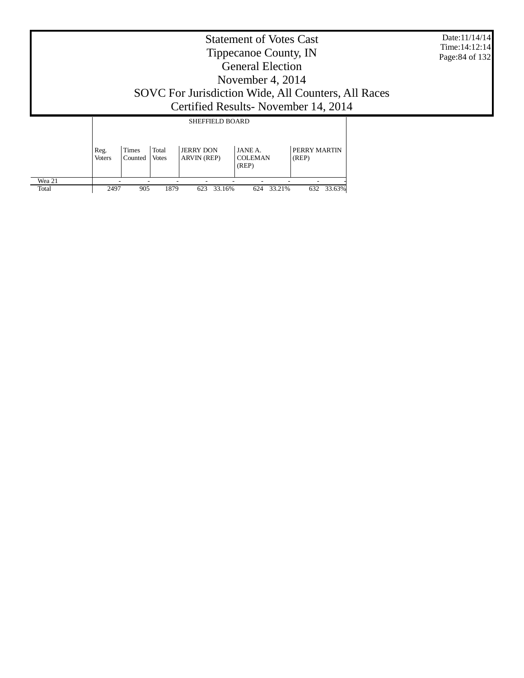|                 |                       |                  |                |                                 | <b>Statement of Votes Cast</b><br>Tippecanoe County, IN<br><b>General Election</b><br>November 4, 2014 |                                                                                              | Date:11/14/14<br>Time: 14:12:14<br>Page: 84 of 132 |
|-----------------|-----------------------|------------------|----------------|---------------------------------|--------------------------------------------------------------------------------------------------------|----------------------------------------------------------------------------------------------|----------------------------------------------------|
|                 |                       |                  |                |                                 |                                                                                                        | SOVC For Jurisdiction Wide, All Counters, All Races<br>Certified Results - November 14, 2014 |                                                    |
|                 |                       |                  |                | <b>SHEFFIELD BOARD</b>          |                                                                                                        |                                                                                              |                                                    |
|                 | Reg.<br><b>Voters</b> | Times<br>Counted | Total<br>Votes | <b>JERRY DON</b><br>ARVIN (REP) | JANE A.<br><b>COLEMAN</b><br>(REP)                                                                     | PERRY MARTIN<br>(REP)                                                                        |                                                    |
| Wea 21<br>Total | 2497                  | 905              | 1879           | 33.16%<br>623                   | 624<br>33.21%                                                                                          | 33.63%<br>632                                                                                |                                                    |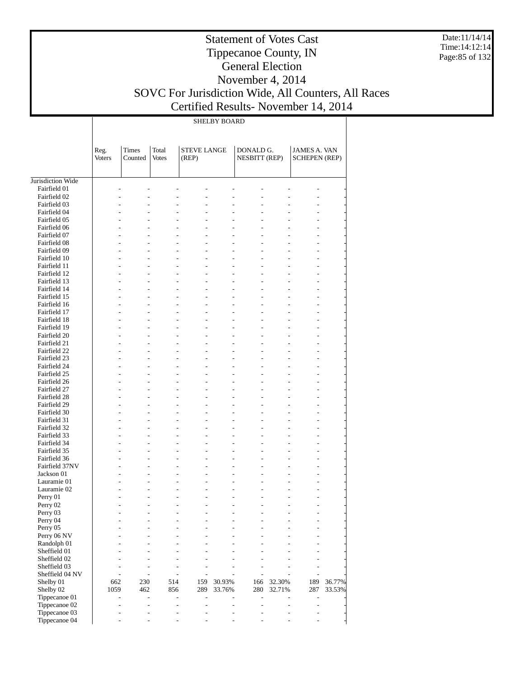Date:11/14/14 Time:14:12:14 Page:85 of 132

# Statement of Votes Cast Tippecanoe County, IN General Election November 4, 2014 SOVC For Jurisdiction Wide, All Counters, All Races

Certified Results- November 14, 2014

|                                | <b>SHELBY BOARD</b>   |                          |                                  |                                  |                                            |                                   |        |                                             |        |  |
|--------------------------------|-----------------------|--------------------------|----------------------------------|----------------------------------|--------------------------------------------|-----------------------------------|--------|---------------------------------------------|--------|--|
|                                | Reg.<br><b>Voters</b> | Times<br>Counted         | Total<br><b>Votes</b>            | <b>STEVE LANGE</b><br>(REP)      |                                            | DONALD G.<br><b>NESBITT (REP)</b> |        | <b>JAMES A. VAN</b><br><b>SCHEPEN (REP)</b> |        |  |
| Jurisdiction Wide              |                       |                          |                                  |                                  |                                            |                                   |        |                                             |        |  |
| Fairfield 01                   |                       |                          |                                  |                                  |                                            |                                   |        |                                             |        |  |
| Fairfield 02                   |                       |                          |                                  |                                  |                                            |                                   |        |                                             |        |  |
| Fairfield 03                   |                       | L.                       | $\overline{a}$                   | $\overline{a}$                   | $\overline{a}$                             |                                   |        |                                             |        |  |
| Fairfield 04                   |                       |                          | L.                               |                                  | $\overline{a}$                             |                                   |        |                                             |        |  |
| Fairfield 05                   |                       |                          | L                                | $\overline{a}$                   | $\overline{a}$                             |                                   |        | L                                           |        |  |
| Fairfield 06                   |                       |                          | $\overline{a}$                   | $\overline{a}$                   | $\overline{a}$                             |                                   |        | L                                           |        |  |
| Fairfield 07                   | L,                    | $\overline{a}$           | $\overline{a}$                   | $\overline{a}$                   | $\overline{\phantom{a}}$                   | $\overline{a}$                    |        | ÷,                                          |        |  |
| Fairfield 08<br>Fairfield 09   |                       | L,                       | $\overline{a}$<br>$\overline{a}$ | $\overline{a}$<br>$\overline{a}$ | $\overline{a}$<br>÷,                       | $\overline{a}$                    |        | L<br>÷,                                     |        |  |
| Fairfield 10                   | L,                    |                          | $\overline{a}$                   | $\overline{a}$                   | $\overline{a}$                             |                                   |        | ÷,                                          |        |  |
| Fairfield 11                   | L,                    | $\overline{a}$           | $\overline{a}$                   | $\overline{a}$                   | $\overline{\phantom{a}}$                   | $\overline{a}$                    |        | ÷,                                          |        |  |
| Fairfield 12                   |                       |                          | $\overline{a}$                   | $\overline{a}$                   | $\overline{a}$                             |                                   |        | $\overline{a}$                              |        |  |
| Fairfield 13                   | L,                    | L,                       | $\overline{a}$                   | $\overline{a}$                   | ÷,                                         | $\overline{a}$                    |        | ÷,                                          |        |  |
| Fairfield 14                   | L,                    |                          | $\overline{a}$                   | $\overline{a}$                   | $\overline{a}$                             |                                   |        | ÷,                                          |        |  |
| Fairfield 15                   | L,                    | $\overline{a}$           | $\overline{a}$                   | $\overline{a}$                   | $\overline{\phantom{a}}$                   | $\overline{a}$                    |        | ÷,                                          |        |  |
| Fairfield 16                   |                       |                          | $\overline{a}$                   | $\overline{a}$                   | $\overline{a}$                             |                                   |        | $\overline{a}$                              |        |  |
| Fairfield 17                   | L,                    | L,                       | $\overline{a}$                   | $\overline{a}$                   | ÷,                                         | $\overline{a}$                    |        | ÷,                                          |        |  |
| Fairfield 18                   | L,                    |                          | $\overline{a}$                   | $\overline{a}$                   | $\overline{a}$                             |                                   |        | ÷,                                          |        |  |
| Fairfield 19                   | L,                    | $\overline{a}$           | $\overline{a}$                   | $\overline{a}$                   | $\overline{\phantom{a}}$                   | $\overline{a}$                    |        | ÷,                                          |        |  |
| Fairfield 20                   |                       |                          | $\overline{a}$                   | $\overline{a}$                   | $\overline{a}$                             |                                   |        | L                                           |        |  |
| Fairfield 21                   | L,<br>L,              | L,                       | $\overline{a}$<br>$\overline{a}$ | $\overline{a}$<br>$\overline{a}$ | ÷,                                         | $\overline{a}$                    |        | ÷,                                          |        |  |
| Fairfield 22<br>Fairfield 23   | L,                    | $\overline{a}$           | $\overline{a}$                   | $\overline{a}$                   | $\overline{a}$<br>$\overline{\phantom{a}}$ | $\overline{a}$                    |        | ÷,<br>÷,                                    |        |  |
| Fairfield 24                   |                       |                          | $\overline{a}$                   | $\overline{a}$                   | $\overline{a}$                             |                                   |        | L                                           |        |  |
| Fairfield 25                   | L,                    | L,                       | $\overline{a}$                   | $\overline{a}$                   | ÷,                                         | $\overline{a}$                    |        | ÷,                                          |        |  |
| Fairfield 26                   | L,                    |                          | $\overline{a}$                   | $\overline{a}$                   | $\overline{a}$                             |                                   |        | ÷,                                          |        |  |
| Fairfield 27                   | L,                    | $\overline{a}$           | $\overline{a}$                   | $\overline{a}$                   | $\overline{\phantom{a}}$                   | $\overline{a}$                    |        | ÷,                                          |        |  |
| Fairfield 28                   |                       |                          | $\overline{a}$                   | $\overline{a}$                   | $\overline{a}$                             |                                   |        | L                                           |        |  |
| Fairfield 29                   | L,                    | L,                       | $\overline{a}$                   | $\overline{a}$                   | ÷,                                         | $\overline{a}$                    |        | ÷,                                          |        |  |
| Fairfield 30                   | L.                    |                          | $\overline{a}$                   | $\overline{a}$                   | $\overline{a}$                             |                                   |        | ÷,                                          |        |  |
| Fairfield 31                   | L,                    | $\overline{a}$           | $\overline{a}$                   | $\overline{a}$                   | $\overline{\phantom{a}}$                   | $\overline{a}$                    |        | ÷,                                          |        |  |
| Fairfield 32                   |                       |                          | $\overline{a}$                   | $\overline{a}$                   | $\overline{a}$                             |                                   |        | $\overline{a}$                              |        |  |
| Fairfield 33                   | L.                    | L,                       | $\overline{a}$                   | $\overline{a}$                   | ÷,                                         | $\overline{a}$                    |        | ÷,                                          |        |  |
| Fairfield 34<br>Fairfield 35   | L.<br>L.              | $\overline{a}$           | $\overline{a}$<br>$\overline{a}$ | $\overline{a}$<br>$\overline{a}$ | $\overline{a}$<br>$\overline{\phantom{a}}$ | $\overline{a}$                    |        | ÷,                                          |        |  |
| Fairfield 36                   |                       |                          | $\overline{a}$                   | $\overline{a}$                   | $\overline{a}$                             |                                   |        | ÷,<br>$\overline{a}$                        |        |  |
| Fairfield 37NV                 |                       | L,                       | L,                               | $\overline{a}$                   | $\overline{\phantom{a}}$                   |                                   |        | ÷,                                          |        |  |
| Jackson 01                     |                       |                          | $\overline{a}$                   | $\overline{a}$                   | $\overline{a}$                             |                                   |        |                                             |        |  |
| Lauramie 01                    |                       | L.                       | L,                               | L,                               | $\overline{a}$                             |                                   |        | $\overline{a}$                              |        |  |
| Lauramie 02                    |                       |                          |                                  | $\overline{a}$                   | $\overline{a}$                             |                                   |        |                                             |        |  |
| Perry 01                       |                       |                          |                                  |                                  | ۰                                          |                                   |        |                                             |        |  |
| Perry 02                       |                       |                          |                                  |                                  |                                            |                                   |        | $\overline{a}$                              |        |  |
| Perry 03                       |                       |                          | ٠                                |                                  | $\overline{\phantom{a}}$                   |                                   |        | $\overline{a}$                              |        |  |
| Perry 04                       |                       |                          | L,                               |                                  |                                            |                                   |        |                                             |        |  |
| Perry 05                       |                       |                          | ٠                                | L.                               | $\overline{a}$                             | $\overline{a}$                    |        | $\overline{a}$                              |        |  |
| Perry 06 NV                    |                       |                          | L.<br>L.                         |                                  |                                            |                                   |        |                                             |        |  |
| Randolph 01<br>Sheffield 01    |                       |                          |                                  |                                  |                                            |                                   |        |                                             |        |  |
| Sheffield 02                   |                       |                          | L.                               |                                  | $\overline{\phantom{a}}$                   |                                   |        | $\overline{a}$                              |        |  |
| Sheffield 03                   |                       | $\overline{a}$           | ٠                                |                                  | $\overline{\phantom{a}}$                   |                                   |        | $\overline{a}$                              |        |  |
| Sheffield 04 NV                |                       | $\overline{\phantom{a}}$ | ٠                                | $\overline{\phantom{a}}$         | $\overline{\phantom{a}}$                   | $\overline{a}$                    | ٠      | $\overline{\phantom{a}}$                    |        |  |
| Shelby 01                      | 662                   | 230                      | 514                              | 159                              | 30.93%                                     | 166                               | 32.30% | 189                                         | 36.77% |  |
| Shelby 02                      | 1059                  | 462                      | 856                              | 289                              | 33.76%                                     | 280                               | 32.71% | 287                                         | 33.53% |  |
| Tippecanoe 01                  |                       | $\overline{a}$           | $\overline{a}$                   | L,                               |                                            | $\overline{a}$                    |        | $\overline{a}$                              |        |  |
| Tippecanoe 02                  |                       | ٠                        | L,                               |                                  | $\overline{a}$                             |                                   | ٠      | $\overline{a}$                              |        |  |
| Tippecanoe 03<br>Tippecanoe 04 |                       |                          | L.                               |                                  | $\overline{\phantom{a}}$                   |                                   |        |                                             |        |  |
|                                | ٠                     | ٠                        | $\overline{a}$                   | ٠                                | $\overline{a}$                             | $\overline{\phantom{a}}$          | ٠      | $\overline{a}$                              |        |  |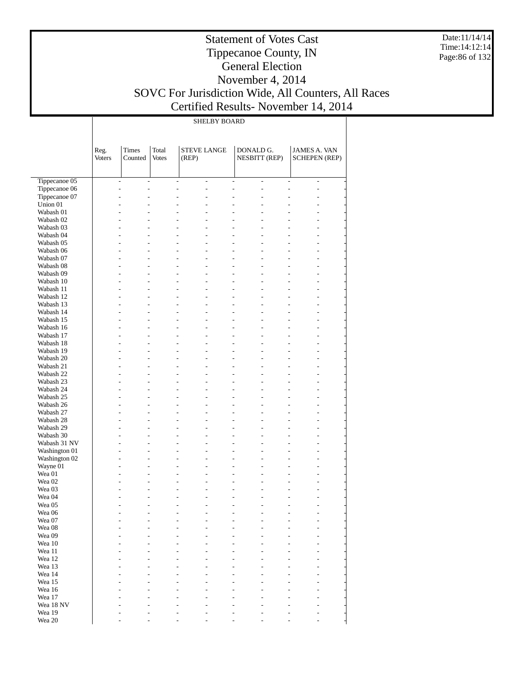Date:11/14/14 Time:14:12:14 Page:86 of 132

#### Statement of Votes Cast Tippecanoe County, IN General Election November 4, 2014 SOVC For Jurisdiction Wide, All Counters, All Races Certified Results- November 14, 2014

SHELBY BOARD

|                                | Reg.<br><b>Voters</b> | Times<br>Counted                                                               | Total<br><b>Votes</b> | <b>STEVE LANGE</b><br>(REP)                                        |                                            | DONALD G.<br><b>NESBITT (REP)</b> | <b>JAMES A. VAN</b><br><b>SCHEPEN (REP)</b> |                                                      |
|--------------------------------|-----------------------|--------------------------------------------------------------------------------|-----------------------|--------------------------------------------------------------------|--------------------------------------------|-----------------------------------|---------------------------------------------|------------------------------------------------------|
|                                |                       |                                                                                |                       |                                                                    |                                            |                                   |                                             |                                                      |
|                                |                       |                                                                                |                       |                                                                    |                                            |                                   |                                             |                                                      |
| Tippecanoe 05                  |                       | $\overline{\phantom{a}}$<br>$\overline{\phantom{0}}$                           |                       | $\qquad \qquad \blacksquare$<br>$\qquad \qquad \blacksquare$       | $\overline{\phantom{a}}$                   | $\overline{\phantom{a}}$          | L,                                          | $\qquad \qquad \blacksquare$                         |
| Tippecanoe 06                  |                       | $\overline{a}$<br>$\frac{1}{2}$                                                |                       | $\overline{a}$<br>$\overline{a}$                                   | $\frac{1}{2}$                              | $\overline{\phantom{a}}$          | L,                                          | $\overline{\phantom{m}}$                             |
| Tippecanoe 07                  |                       | $\overline{a}$<br>$\overline{a}$                                               |                       | L<br>$\overline{a}$                                                | $\overline{a}$                             | $\overline{a}$                    | $\overline{a}$                              | $\overline{a}$                                       |
| Union 01                       |                       | $\overline{a}$<br>$\overline{a}$                                               |                       | L,<br>$\overline{a}$                                               | $\overline{a}$                             | L                                 | L                                           | $\overline{\phantom{0}}$                             |
| Wabash 01                      |                       | $\overline{a}$<br>$\overline{a}$                                               |                       | $\overline{a}$                                                     | $\overline{a}$                             |                                   | $\overline{a}$                              | $\overline{a}$                                       |
| Wabash 02                      |                       | $\overline{a}$<br>$\overline{\phantom{0}}$                                     |                       | $\overline{a}$<br>$\overline{a}$                                   | $\overline{\phantom{0}}$                   | $\overline{\phantom{0}}$          | $\overline{\phantom{0}}$                    | $\overline{\phantom{0}}$                             |
| Wabash 03<br>Wabash 04         |                       | $\overline{a}$<br>$\overline{a}$<br>$\overline{a}$<br>$\overline{a}$           |                       | L<br>$\overline{a}$<br>$\overline{a}$<br>$\overline{a}$            | $\overline{a}$<br>$\overline{a}$           | $\overline{a}$<br>$\overline{a}$  | $\overline{a}$<br>$\overline{\phantom{0}}$  | $\overline{a}$<br>$\overline{\phantom{0}}$           |
| Wabash 05                      |                       | L,<br>$\overline{a}$                                                           |                       | L<br>$\overline{a}$                                                | $\overline{a}$                             | $\overline{a}$                    | L,                                          | $\overline{a}$                                       |
| Wabash 06                      |                       | $\overline{a}$<br>$\overline{\phantom{0}}$                                     |                       | $\overline{a}$<br>$\overline{a}$                                   | $\overline{\phantom{0}}$                   | $\overline{\phantom{0}}$          | $\overline{\phantom{0}}$                    | $\overline{\phantom{0}}$                             |
| Wabash 07                      |                       | $\overline{a}$<br>$\overline{\phantom{0}}$                                     |                       | L<br>$\overline{a}$                                                | $\overline{a}$                             | $\overline{a}$                    | L,                                          | $\overline{a}$                                       |
| Wabash 08                      |                       | $\overline{a}$<br>$\overline{\phantom{0}}$                                     |                       | $\overline{a}$<br>$\overline{a}$                                   | $\overline{\phantom{0}}$                   | $\overline{\phantom{0}}$          | $\overline{\phantom{0}}$                    | $\overline{\phantom{0}}$                             |
| Wabash 09                      |                       | L,<br>$\overline{a}$                                                           |                       | L,<br>$\overline{a}$                                               | $\overline{a}$                             | $\overline{a}$                    | L,                                          | $\overline{a}$                                       |
| Wabash 10                      |                       | $\overline{a}$<br>$\overline{\phantom{0}}$                                     |                       | $\overline{a}$<br>$\overline{\phantom{0}}$                         | $\overline{\phantom{0}}$                   | $\overline{\phantom{0}}$          | $\overline{\phantom{0}}$                    | $\overline{\phantom{0}}$                             |
| Wabash 11                      |                       | $\overline{a}$<br>$\overline{\phantom{0}}$                                     |                       | L<br>$\overline{a}$                                                | $\overline{a}$                             | $\overline{a}$                    | L,                                          | $\overline{a}$                                       |
| Wabash 12                      |                       | $\overline{a}$<br>$\overline{\phantom{0}}$                                     |                       | $\overline{a}$<br>$\overline{a}$                                   | $\overline{\phantom{0}}$                   | L,                                | $\overline{\phantom{0}}$                    | $\overline{\phantom{0}}$                             |
| Wabash 13                      |                       | L,<br>$\overline{\phantom{0}}$                                                 |                       | L,<br>$\overline{a}$                                               | $\overline{a}$                             | $\overline{a}$                    | L,                                          | $\overline{a}$                                       |
| Wabash 14                      |                       | $\overline{a}$<br>$\overline{\phantom{0}}$                                     |                       | $\overline{a}$<br>$\overline{a}$                                   | $\overline{\phantom{0}}$                   | $\overline{\phantom{0}}$          | $\overline{\phantom{0}}$                    | $\overline{\phantom{0}}$                             |
| Wabash 15                      |                       | $\overline{a}$<br>$\overline{\phantom{0}}$                                     |                       | L<br>$\overline{a}$                                                | $\overline{a}$                             | $\overline{a}$                    | L,                                          | $\overline{a}$                                       |
| Wabash 16                      |                       | $\overline{a}$<br>$\overline{a}$                                               |                       | $\overline{a}$<br>$\overline{a}$                                   | $\overline{a}$                             | L,                                | $\overline{\phantom{0}}$                    | $\overline{\phantom{0}}$                             |
| Wabash 17                      |                       | L,<br>$\overline{\phantom{0}}$                                                 |                       | L,<br>$\overline{a}$                                               | $\overline{a}$                             | $\overline{a}$                    | L,                                          | $\overline{a}$                                       |
| Wabash 18                      |                       | $\overline{a}$<br>$\overline{\phantom{0}}$                                     |                       | $\overline{a}$<br>$\overline{a}$                                   | $\overline{\phantom{0}}$                   | $\overline{\phantom{0}}$          | $\overline{\phantom{0}}$                    | $\overline{\phantom{0}}$                             |
| Wabash 19<br>Wabash 20         |                       | $\overline{a}$<br>$\overline{\phantom{0}}$<br>$\overline{a}$<br>$\overline{a}$ |                       | L<br>$\overline{a}$<br>$\overline{a}$<br>$\overline{a}$            | $\overline{a}$<br>$\overline{a}$           | $\overline{a}$<br>L,              | L,<br>$\overline{\phantom{0}}$              | $\overline{a}$<br>$\overline{\phantom{0}}$           |
| Wabash 21                      |                       | L,<br>$\overline{\phantom{0}}$                                                 |                       | L,<br>$\overline{a}$                                               | $\overline{a}$                             | $\overline{a}$                    | L,                                          | $\overline{a}$                                       |
| Wabash 22                      |                       | $\overline{a}$<br>$\overline{\phantom{0}}$                                     |                       | $\overline{a}$<br>$\overline{a}$                                   | $\overline{\phantom{0}}$                   | $\overline{\phantom{0}}$          | $\overline{\phantom{0}}$                    | $\overline{\phantom{0}}$                             |
| Wabash 23                      |                       | $\overline{a}$<br>$\overline{\phantom{0}}$                                     |                       | L<br>$\overline{a}$                                                | $\overline{a}$                             | $\overline{a}$                    | L,                                          | $\overline{a}$                                       |
| Wabash 24                      |                       | $\overline{a}$<br>$\overline{a}$                                               |                       | $\overline{a}$<br>$\overline{a}$                                   | $\overline{a}$                             | L,                                | $\overline{\phantom{0}}$                    | $\overline{\phantom{0}}$                             |
| Wabash 25                      |                       | L,<br>$\overline{\phantom{0}}$                                                 |                       | L,<br>$\overline{a}$                                               | $\overline{a}$                             | $\overline{a}$                    | L,                                          | $\overline{a}$                                       |
| Wabash 26                      |                       | $\overline{a}$<br>$\overline{\phantom{0}}$                                     |                       | $\overline{a}$<br>$\overline{\phantom{0}}$                         | $\overline{\phantom{0}}$                   | $\overline{\phantom{0}}$          | $\overline{\phantom{0}}$                    | $\overline{\phantom{0}}$                             |
| Wabash 27                      |                       | $\overline{a}$<br>$\overline{\phantom{0}}$                                     |                       | L<br>$\overline{a}$                                                | $\overline{a}$                             | $\overline{a}$                    | L,                                          | $\overline{a}$                                       |
| Wabash 28                      |                       | $\overline{a}$<br>$\overline{\phantom{0}}$                                     |                       | $\overline{a}$<br>$\overline{a}$                                   | $\overline{\phantom{0}}$                   | L,                                | $\overline{\phantom{0}}$                    | $\overline{\phantom{0}}$                             |
| Wabash 29                      |                       | L,<br>$\overline{\phantom{0}}$                                                 |                       | L,<br>$\overline{a}$                                               | $\overline{\phantom{0}}$                   | $\overline{\phantom{0}}$          | L,                                          | $\overline{a}$                                       |
| Wabash 30                      |                       | $\overline{a}$<br>$\overline{\phantom{0}}$                                     |                       | $\overline{a}$<br>$\overline{\phantom{0}}$                         | $\overline{\phantom{0}}$                   | $\overline{\phantom{0}}$          | $\overline{\phantom{0}}$                    | $\qquad \qquad \blacksquare$                         |
| Wabash 31 NV                   |                       | $\overline{a}$<br>$\overline{a}$                                               |                       | L<br>$\overline{a}$                                                | $\overline{a}$                             | $\overline{a}$<br>L,              | L,                                          | $\overline{\phantom{0}}$                             |
| Washington 01<br>Washington 02 |                       | $\overline{a}$<br>$\overline{\phantom{0}}$<br>L,<br>$\overline{\phantom{0}}$   |                       | $\overline{a}$<br>$\overline{\phantom{0}}$<br>L,<br>$\overline{a}$ | $\overline{\phantom{0}}$<br>$\overline{a}$ | $\overline{a}$                    | $\overline{\phantom{0}}$<br>L,              | $\overline{\phantom{0}}$<br>$\overline{\phantom{0}}$ |
| Wayne 01                       |                       | $\overline{a}$<br>$\overline{\phantom{0}}$                                     |                       | $\overline{a}$<br>$\overline{a}$                                   | $\overline{\phantom{0}}$                   | $\overline{\phantom{0}}$          | $\overline{\phantom{0}}$                    | $\qquad \qquad \blacksquare$                         |
| Wea 01                         |                       | $\overline{a}$<br>$\overline{a}$                                               |                       | L<br>$\overline{a}$                                                | $\overline{a}$                             | $\overline{a}$                    | L,                                          | $\overline{a}$                                       |
| Wea 02                         |                       | $\overline{a}$<br>$\overline{a}$                                               |                       | L,<br>$\overline{a}$                                               | $\overline{a}$                             | L,                                | $\overline{\phantom{0}}$                    | $\overline{\phantom{0}}$                             |
| Wea 03                         |                       |                                                                                |                       | L,<br>$\overline{a}$                                               |                                            | $\overline{a}$                    | $\overline{\phantom{0}}$                    |                                                      |
| Wea 04                         |                       |                                                                                |                       | L,<br>$\overline{\phantom{0}}$                                     |                                            | L,                                | L                                           |                                                      |
| Wea 05                         |                       |                                                                                |                       |                                                                    |                                            |                                   | L                                           |                                                      |
| Wea 06                         |                       |                                                                                |                       |                                                                    |                                            |                                   |                                             |                                                      |
| Wea 07                         |                       |                                                                                |                       |                                                                    |                                            |                                   |                                             |                                                      |
| Wea 08                         |                       |                                                                                |                       |                                                                    |                                            |                                   |                                             |                                                      |
| Wea 09                         |                       |                                                                                |                       |                                                                    |                                            |                                   |                                             |                                                      |
| Wea 10<br>Wea 11               |                       |                                                                                |                       |                                                                    |                                            |                                   |                                             |                                                      |
| Wea 12                         |                       |                                                                                |                       |                                                                    |                                            |                                   |                                             |                                                      |
| Wea 13                         |                       |                                                                                |                       |                                                                    |                                            |                                   |                                             |                                                      |
| Wea 14                         |                       |                                                                                |                       |                                                                    |                                            |                                   |                                             |                                                      |
| Wea 15                         |                       |                                                                                |                       |                                                                    |                                            |                                   |                                             |                                                      |
| Wea 16                         |                       |                                                                                |                       |                                                                    |                                            |                                   |                                             |                                                      |
| Wea 17                         |                       |                                                                                |                       |                                                                    |                                            |                                   |                                             |                                                      |
| Wea 18 NV                      |                       |                                                                                |                       |                                                                    |                                            |                                   |                                             |                                                      |
| Wea 19                         |                       |                                                                                |                       |                                                                    |                                            |                                   |                                             |                                                      |
| Wea 20                         |                       |                                                                                |                       |                                                                    |                                            |                                   |                                             | $\overline{a}$                                       |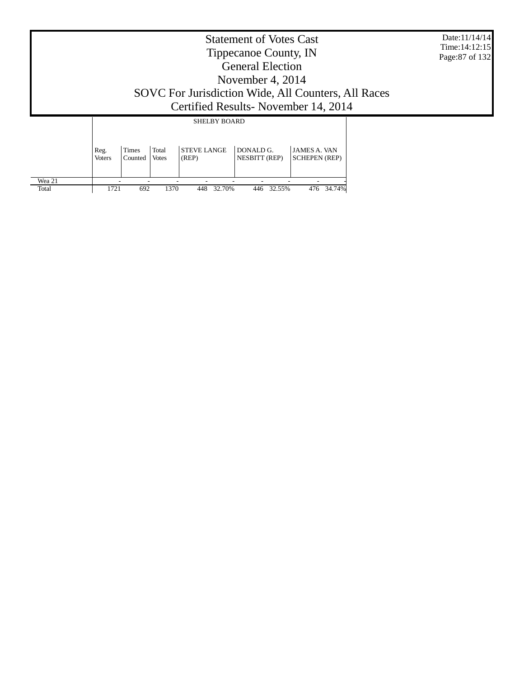|                 | <b>Statement of Votes Cast</b><br>Tippecanoe County, IN<br><b>General Election</b><br>November 4, 2014<br>SOVC For Jurisdiction Wide, All Counters, All Races<br>Certified Results - November 14, 2014 |                |                      |                                           |                                       |                                    |  |  |  |
|-----------------|--------------------------------------------------------------------------------------------------------------------------------------------------------------------------------------------------------|----------------|----------------------|-------------------------------------------|---------------------------------------|------------------------------------|--|--|--|
|                 | Reg.                                                                                                                                                                                                   | Times          | Total                | <b>SHELBY BOARD</b><br><b>STEVE LANGE</b> | DONALD G.                             | <b>JAMES A. VAN</b>                |  |  |  |
| Wea 21<br>Total | <b>Voters</b><br>1721                                                                                                                                                                                  | Counted<br>692 | <b>Votes</b><br>1370 | (REP)<br>32.70%<br>448                    | <b>NESBITT (REP)</b><br>32.55%<br>446 | <b>SCHEPEN</b> (REP)<br>476 34.74% |  |  |  |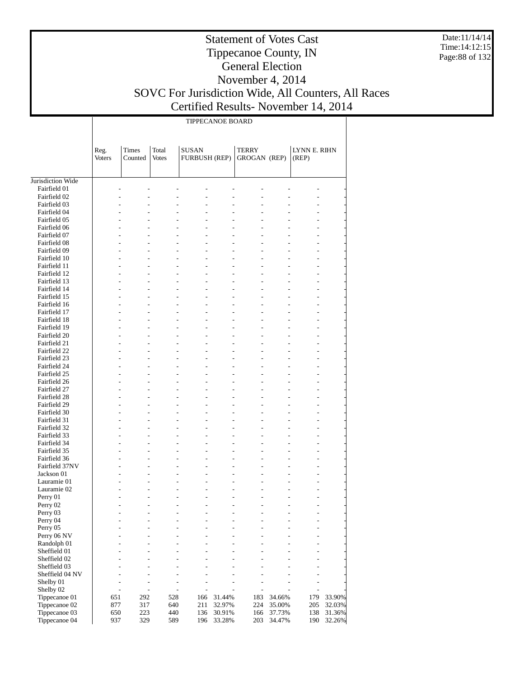Date:11/14/14 Time:14:12:15 Page:88 of 132

# Statement of Votes Cast Tippecanoe County, IN General Election November 4, 2014 SOVC For Jurisdiction Wide, All Counters, All Races

# Certified Results- November 14, 2014

|                                   | TIPPECANOE BOARD      |                                                                                |                       |                                                         |                                 |                                     |                |                                            |        |  |
|-----------------------------------|-----------------------|--------------------------------------------------------------------------------|-----------------------|---------------------------------------------------------|---------------------------------|-------------------------------------|----------------|--------------------------------------------|--------|--|
|                                   | Reg.<br><b>Voters</b> | Times<br>Counted                                                               | Total<br><b>Votes</b> | <b>SUSAN</b><br><b>FURBUSH (REP)</b>                    |                                 | <b>TERRY</b><br><b>GROGAN (REP)</b> |                | LYNN E. RIHN<br>(REP)                      |        |  |
|                                   |                       |                                                                                |                       |                                                         |                                 |                                     |                |                                            |        |  |
| Jurisdiction Wide<br>Fairfield 01 |                       |                                                                                |                       |                                                         |                                 |                                     |                |                                            |        |  |
| Fairfield 02                      |                       |                                                                                |                       |                                                         |                                 |                                     |                |                                            |        |  |
| Fairfield 03                      |                       |                                                                                |                       |                                                         |                                 |                                     |                |                                            |        |  |
| Fairfield 04                      |                       |                                                                                |                       | L                                                       |                                 |                                     | $\overline{a}$ |                                            |        |  |
| Fairfield 05                      |                       |                                                                                |                       |                                                         |                                 |                                     |                |                                            |        |  |
| Fairfield 06                      |                       |                                                                                |                       | L                                                       |                                 |                                     |                |                                            |        |  |
| Fairfield 07                      |                       |                                                                                |                       |                                                         |                                 |                                     |                |                                            |        |  |
| Fairfield 08                      |                       |                                                                                | $\overline{a}$        | L                                                       | $\overline{a}$                  |                                     | $\overline{a}$ |                                            |        |  |
| Fairfield 09                      |                       |                                                                                |                       |                                                         |                                 |                                     |                |                                            |        |  |
| Fairfield 10                      |                       |                                                                                |                       | L                                                       |                                 |                                     |                |                                            |        |  |
| Fairfield 11                      |                       |                                                                                |                       |                                                         |                                 |                                     |                |                                            |        |  |
| Fairfield 12                      |                       | $\overline{a}$                                                                 | $\overline{a}$        | L                                                       | $\overline{a}$                  |                                     | $\overline{a}$ |                                            |        |  |
| Fairfield 13                      |                       |                                                                                |                       |                                                         |                                 |                                     |                |                                            |        |  |
| Fairfield 14                      |                       |                                                                                |                       | L                                                       |                                 |                                     |                |                                            |        |  |
| Fairfield 15<br>Fairfield 16      |                       | $\overline{a}$                                                                 |                       | L                                                       | $\overline{a}$                  |                                     | $\overline{a}$ |                                            |        |  |
| Fairfield 17                      |                       |                                                                                |                       |                                                         |                                 |                                     |                |                                            |        |  |
| Fairfield 18                      |                       |                                                                                |                       | L                                                       |                                 |                                     |                |                                            |        |  |
| Fairfield 19                      |                       |                                                                                |                       |                                                         |                                 |                                     |                |                                            |        |  |
| Fairfield 20                      |                       | $\overline{a}$                                                                 |                       | L                                                       | $\overline{a}$                  |                                     | $\overline{a}$ |                                            |        |  |
| Fairfield 21                      |                       |                                                                                |                       |                                                         |                                 |                                     |                |                                            |        |  |
| Fairfield 22                      |                       |                                                                                |                       | L                                                       |                                 |                                     |                |                                            |        |  |
| Fairfield 23                      |                       |                                                                                |                       |                                                         |                                 |                                     |                |                                            |        |  |
| Fairfield 24                      |                       | $\overline{a}$                                                                 |                       | L                                                       | $\overline{a}$                  |                                     | $\overline{a}$ |                                            |        |  |
| Fairfield 25                      |                       |                                                                                |                       |                                                         |                                 |                                     |                |                                            |        |  |
| Fairfield 26                      |                       |                                                                                |                       | L                                                       |                                 |                                     |                |                                            |        |  |
| Fairfield 27                      |                       |                                                                                |                       |                                                         |                                 |                                     |                |                                            |        |  |
| Fairfield 28                      |                       |                                                                                | $\overline{a}$        | L                                                       | $\overline{a}$                  |                                     | $\overline{a}$ |                                            |        |  |
| Fairfield 29                      |                       |                                                                                |                       |                                                         |                                 |                                     |                |                                            |        |  |
| Fairfield 30<br>Fairfield 31      |                       |                                                                                |                       | L                                                       |                                 |                                     |                |                                            |        |  |
| Fairfield 32                      |                       | $\overline{a}$                                                                 |                       | $\overline{a}$<br>L                                     | $\overline{a}$                  |                                     | $\overline{a}$ | $\overline{a}$                             |        |  |
| Fairfield 33                      |                       |                                                                                |                       |                                                         |                                 |                                     |                |                                            |        |  |
| Fairfield 34                      |                       |                                                                                |                       | L                                                       |                                 |                                     | l,             |                                            |        |  |
| Fairfield 35                      |                       |                                                                                |                       |                                                         |                                 |                                     | $\overline{a}$ |                                            |        |  |
| Fairfield 36                      |                       | $\overline{a}$                                                                 |                       | $\overline{a}$<br>L                                     | $\overline{a}$                  | $\overline{a}$                      | $\overline{a}$ | $\overline{a}$                             |        |  |
| Fairfield 37NV                    |                       |                                                                                |                       |                                                         |                                 |                                     |                |                                            |        |  |
| Jackson 01                        |                       |                                                                                |                       | L                                                       |                                 |                                     | L,             |                                            |        |  |
| Lauramie 01                       |                       |                                                                                |                       |                                                         |                                 |                                     |                |                                            |        |  |
| Lauramie 02                       |                       |                                                                                |                       |                                                         |                                 |                                     |                |                                            |        |  |
| Perry 01                          |                       |                                                                                |                       |                                                         |                                 |                                     |                |                                            |        |  |
| Perry 02                          |                       | $\overline{\phantom{0}}$<br>$\overline{\phantom{0}}$                           |                       | $\qquad \qquad \blacksquare$<br>$\overline{a}$          | $\overline{\phantom{0}}$        | $\overline{a}$                      | $\overline{a}$ | $\qquad \qquad \blacksquare$               |        |  |
| Perry 03                          |                       | $\overline{a}$                                                                 | $\overline{a}$        | L<br>$\overline{a}$                                     | $\overline{a}$                  |                                     | $\overline{a}$ | $\overline{a}$                             |        |  |
| Perry 04<br>Perry 05              |                       | $\overline{a}$<br>$\overline{\phantom{0}}$<br>$\overline{a}$<br>$\overline{a}$ |                       | $\overline{a}$<br>$\overline{a}$<br>L<br>$\overline{a}$ | $\frac{1}{2}$<br>$\overline{a}$ | $\overline{a}$                      | L,             | $\overline{\phantom{0}}$<br>$\overline{a}$ |        |  |
| Perry 06 NV                       |                       | $\overline{a}$<br>$\overline{a}$                                               |                       | $\overline{a}$<br>$\overline{a}$                        | $\overline{a}$                  | $\overline{a}$                      | $\overline{a}$ | $\overline{a}$                             |        |  |
| Randolph 01                       |                       | $\overline{a}$<br>$\overline{a}$                                               |                       | L<br>$\overline{a}$                                     | $\overline{a}$                  |                                     | $\overline{a}$ | $\overline{\phantom{0}}$                   |        |  |
| Sheffield 01                      |                       | $\overline{a}$<br>$\overline{a}$                                               |                       | $\overline{a}$<br>$\overline{a}$                        | $\overline{a}$                  |                                     | L              | $\overline{a}$                             |        |  |
| Sheffield 02                      |                       | $\overline{a}$<br>$\overline{a}$                                               |                       |                                                         |                                 |                                     |                | $\overline{a}$                             |        |  |
| Sheffield 03                      |                       | $\overline{a}$<br>$\overline{a}$                                               |                       | $\overline{a}$<br>$\overline{a}$                        | L                               | $\overline{a}$                      | $\overline{a}$ | $\overline{a}$                             |        |  |
| Sheffield 04 NV                   |                       | $\overline{a}$<br>L,                                                           |                       | L<br>L,                                                 |                                 | $\overline{a}$                      | L              | $\overline{a}$                             |        |  |
| Shelby 01                         |                       | $\overline{a}$<br>L,                                                           |                       | $\overline{a}$<br>$\overline{a}$                        | L                               | L,                                  | Ĭ.             | $\overline{\phantom{0}}$                   |        |  |
| Shelby 02                         |                       | $\overline{a}$<br>$\overline{a}$                                               |                       | ÷,<br>L                                                 |                                 | $\overline{a}$                      | l,             | $\overline{a}$                             |        |  |
| Tippecanoe 01                     | 651                   | 292                                                                            | 528                   | 166                                                     | 31.44%                          | 183                                 | 34.66%         | 179                                        | 33.90% |  |
| Tippecanoe 02                     | 877                   | 317                                                                            | 640                   | 211                                                     | 32.97%                          | 224                                 | 35.00%         | 205                                        | 32.03% |  |
| Tippecanoe 03                     | 650                   | 223                                                                            | 440                   | 136                                                     | 30.91%                          | 166                                 | 37.73%         | 138                                        | 31.36% |  |
| Tippecanoe 04                     | 937                   | 329                                                                            | 589                   | 196                                                     | 33.28%                          | 203                                 | 34.47%         | 190                                        | 32.26% |  |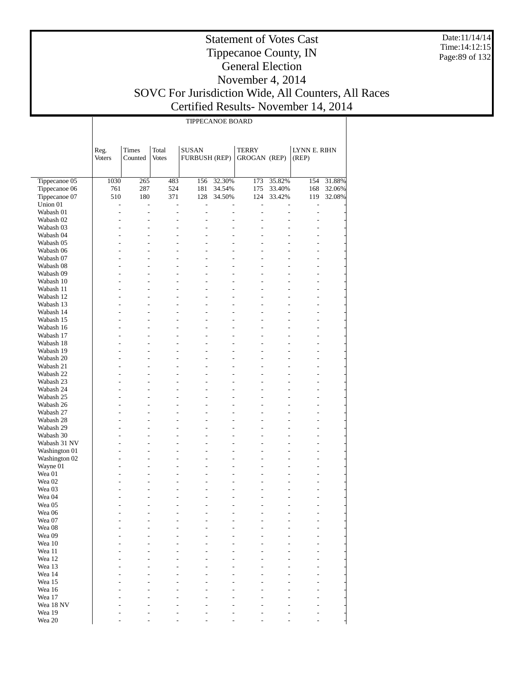Date:11/14/14 Time:14:12:15 Page:89 of 132

#### Statement of Votes Cast Tippecanoe County, IN General Election November 4, 2014 SOVC For Jurisdiction Wide, All Counters, All Races Certified Results- November 14, 2014

| <b>TIPPECANOE BOARD</b> |  |
|-------------------------|--|

|                                        | Reg.<br>Voters        | Times<br>Counted                 | Total<br><b>Votes</b>            | <b>SUSAN</b><br><b>FURBUSH (REP)</b> |                                  | TERRY<br>GROGAN (REP)            |                                  | LYNN E. RIHN<br>(REP)            |        |
|----------------------------------------|-----------------------|----------------------------------|----------------------------------|--------------------------------------|----------------------------------|----------------------------------|----------------------------------|----------------------------------|--------|
|                                        |                       |                                  |                                  |                                      |                                  |                                  |                                  |                                  |        |
| Tippecanoe 05                          | 1030                  | 265                              | 483                              | 156                                  | 32.30%                           | 173                              | 35.82%                           | 154                              | 31.88% |
| Tippecanoe 06                          | 761                   | 287                              | 524                              | 181                                  | 34.54%                           | 175                              | 33.40%                           | 168                              | 32.06% |
| Tippecanoe 07<br>Union 01              | 510<br>$\overline{a}$ | 180<br>$\overline{a}$            | 371<br>$\overline{a}$            | 128<br>$\overline{a}$                | 34.50%<br>$\overline{a}$         | 124<br>$\overline{a}$            | 33.42%<br>L,                     | 119<br>$\overline{a}$            | 32.08% |
| Wabash 01                              | $\overline{a}$        | ÷,                               | $\overline{a}$                   | $\overline{a}$                       | $\overline{a}$                   | $\overline{a}$                   | $\overline{a}$                   | $\overline{a}$                   |        |
| Wabash 02                              | $\overline{a}$        | $\overline{a}$                   | $\overline{a}$                   | $\overline{a}$                       | $\overline{a}$                   | $\overline{a}$                   | $\overline{a}$                   | $\overline{a}$                   |        |
| Wabash 03                              | $\overline{a}$        | $\overline{a}$                   | $\overline{a}$                   | $\overline{a}$                       | $\overline{a}$                   | $\overline{a}$                   |                                  | $\overline{a}$                   |        |
| Wabash 04                              | $\overline{a}$        | $\overline{a}$                   | $\overline{a}$                   | $\overline{a}$                       | $\overline{a}$                   | $\overline{a}$                   |                                  | $\overline{a}$                   |        |
| Wabash 05                              |                       | $\overline{a}$                   | $\overline{a}$                   | $\overline{a}$                       | $\overline{a}$                   | $\overline{a}$                   |                                  | $\overline{a}$                   |        |
| Wabash 06                              |                       | L                                | $\overline{a}$                   | $\overline{a}$                       | $\overline{a}$                   | $\overline{a}$                   |                                  | $\overline{a}$                   |        |
| Wabash 07                              |                       | $\overline{a}$                   | $\overline{a}$                   | $\overline{a}$                       | $\overline{a}$                   | $\overline{a}$                   |                                  | $\overline{a}$                   |        |
| Wabash 08                              |                       | $\overline{a}$                   |                                  | $\overline{a}$                       | $\overline{a}$                   |                                  |                                  | $\overline{a}$                   |        |
| Wabash 09                              |                       | $\overline{a}$                   | $\overline{a}$                   | $\overline{a}$                       | $\overline{a}$                   | $\overline{a}$                   | $\overline{a}$                   | $\overline{a}$                   |        |
| Wabash 10                              |                       | $\overline{a}$<br>$\overline{a}$ | $\overline{a}$<br>$\overline{a}$ | $\overline{a}$<br>$\overline{a}$     | $\overline{a}$<br>$\overline{a}$ | $\overline{a}$<br>$\overline{a}$ | $\overline{a}$                   | $\overline{a}$<br>$\overline{a}$ |        |
| Wabash 11<br>Wabash 12                 |                       | $\overline{a}$                   |                                  | $\overline{a}$                       | $\overline{a}$                   |                                  |                                  | $\overline{a}$                   |        |
| Wabash 13                              |                       | $\overline{a}$                   | $\overline{a}$                   | $\overline{a}$                       | $\overline{a}$                   | $\overline{a}$                   | $\overline{a}$                   | $\overline{a}$                   |        |
| Wabash 14                              |                       | $\overline{a}$                   | $\overline{a}$                   | $\overline{a}$                       | $\overline{a}$                   | $\overline{a}$                   |                                  | $\overline{a}$                   |        |
| Wabash 15                              |                       | $\overline{a}$                   | $\overline{a}$                   | $\overline{a}$                       | $\overline{a}$                   | $\overline{a}$                   | $\overline{a}$                   | $\overline{a}$                   |        |
| Wabash 16                              |                       | $\overline{a}$                   |                                  | $\overline{a}$                       | $\overline{a}$                   |                                  | $\overline{a}$                   | $\overline{a}$                   |        |
| Wabash 17                              |                       | $\overline{a}$                   | $\overline{a}$                   | $\overline{a}$                       | $\overline{a}$                   | $\overline{a}$                   | $\overline{a}$                   | $\overline{a}$                   |        |
| Wabash 18                              |                       | $\overline{a}$                   | $\overline{a}$                   | $\overline{a}$                       | $\overline{a}$                   | $\overline{a}$                   |                                  | $\overline{a}$                   |        |
| Wabash 19                              |                       | $\overline{a}$                   | $\overline{a}$                   | $\overline{a}$                       | $\overline{a}$                   | $\overline{a}$                   | $\overline{a}$                   | $\overline{a}$                   |        |
| Wabash 20                              |                       | $\overline{a}$                   |                                  | $\overline{a}$                       | $\overline{a}$                   |                                  | $\overline{a}$                   | $\overline{a}$                   |        |
| Wabash 21                              |                       | $\overline{a}$                   | $\overline{a}$                   | $\overline{a}$                       | $\overline{a}$                   | $\overline{a}$                   | $\overline{a}$                   | $\overline{a}$                   |        |
| Wabash 22                              |                       | $\overline{a}$                   | $\overline{a}$                   | $\overline{a}$                       | $\overline{a}$                   | $\overline{a}$                   |                                  | $\overline{a}$                   |        |
| Wabash 23                              |                       | $\overline{a}$                   | $\overline{a}$                   | $\overline{a}$                       | $\overline{a}$                   | $\overline{a}$                   | $\overline{a}$                   | $\overline{a}$                   |        |
| Wabash 24<br>Wabash 25                 |                       | $\overline{a}$<br>$\overline{a}$ | $\overline{a}$                   | $\overline{a}$<br>$\overline{a}$     | $\overline{a}$<br>$\overline{a}$ | $\overline{a}$                   | $\overline{a}$<br>$\overline{a}$ | $\overline{a}$<br>$\overline{a}$ |        |
| Wabash 26                              |                       | L                                | $\overline{a}$                   | $\overline{a}$                       | $\overline{a}$                   | $\overline{a}$                   |                                  | $\overline{a}$                   |        |
| Wabash 27                              |                       | $\overline{a}$                   | $\overline{a}$                   | $\overline{a}$                       | $\overline{a}$                   | $\overline{a}$                   |                                  | $\overline{a}$                   |        |
| Wabash 28                              |                       | $\overline{a}$                   |                                  | $\overline{a}$                       | $\overline{a}$                   |                                  |                                  | $\overline{a}$                   |        |
| Wabash 29                              |                       | $\overline{a}$                   | $\overline{a}$                   | $\overline{a}$                       | $\overline{a}$                   | $\overline{a}$                   | $\overline{a}$                   | $\overline{a}$                   |        |
| Wabash 30                              |                       | L                                | $\overline{a}$                   | $\overline{a}$                       | $\overline{a}$                   | $\overline{a}$                   |                                  | $\overline{a}$                   |        |
| Wabash 31 NV                           |                       | $\overline{a}$                   | $\overline{a}$                   | $\overline{a}$                       | $\overline{a}$                   | $\overline{a}$                   |                                  | $\overline{a}$                   |        |
| Washington 01                          |                       | $\overline{a}$                   | $\overline{a}$                   | $\overline{a}$                       | $\overline{a}$                   |                                  |                                  | $\overline{a}$                   |        |
| Washington 02                          |                       | $\overline{a}$                   | $\overline{a}$                   | $\overline{a}$                       | $\overline{a}$                   | $\overline{a}$                   | $\overline{a}$                   | $\overline{a}$                   |        |
| Wayne 01                               |                       | L                                | $\overline{a}$                   | $\overline{a}$                       | $\overline{a}$                   | $\overline{a}$                   |                                  | $\overline{a}$                   |        |
| Wea 01                                 |                       | $\overline{a}$                   | $\overline{a}$                   | $\overline{a}$                       | $\overline{a}$                   | $\overline{a}$                   |                                  | $\overline{a}$                   |        |
| Wea <sub>02</sub><br>Wea <sub>03</sub> |                       | L<br>$\overline{a}$              | $\overline{a}$                   | $\overline{a}$<br>$\overline{a}$     | $\overline{a}$<br>$\overline{a}$ |                                  | $\overline{a}$<br>$\overline{a}$ | $\overline{a}$<br>$\overline{a}$ |        |
| Wea 04                                 |                       | L                                | $\overline{a}$                   | $\overline{a}$                       | L                                |                                  |                                  | $\overline{a}$                   |        |
| Wea 05                                 |                       |                                  | $\overline{a}$                   | $\overline{a}$                       | L                                |                                  |                                  |                                  |        |
| Wea 06                                 |                       |                                  |                                  | $\overline{a}$                       |                                  |                                  |                                  |                                  |        |
| Wea 07                                 |                       |                                  |                                  |                                      |                                  |                                  |                                  |                                  |        |
| Wea 08                                 |                       |                                  |                                  |                                      |                                  |                                  |                                  |                                  |        |
| Wea 09                                 |                       |                                  |                                  |                                      |                                  |                                  |                                  |                                  |        |
| Wea 10                                 |                       |                                  |                                  |                                      |                                  |                                  |                                  |                                  |        |
| Wea 11                                 |                       |                                  |                                  |                                      |                                  |                                  |                                  |                                  |        |
| Wea 12                                 |                       |                                  |                                  |                                      |                                  |                                  |                                  |                                  |        |
| Wea 13                                 |                       |                                  |                                  |                                      |                                  |                                  |                                  |                                  |        |
| Wea 14                                 |                       |                                  |                                  |                                      |                                  |                                  |                                  |                                  |        |
| Wea 15<br>Wea 16                       |                       |                                  |                                  |                                      |                                  |                                  |                                  |                                  |        |
| Wea 17                                 |                       |                                  |                                  |                                      |                                  |                                  |                                  |                                  |        |
| Wea 18 NV                              |                       |                                  |                                  |                                      |                                  |                                  |                                  |                                  |        |
| Wea 19                                 |                       |                                  |                                  |                                      |                                  |                                  |                                  |                                  |        |
| Wea 20                                 |                       |                                  |                                  |                                      |                                  |                                  |                                  |                                  |        |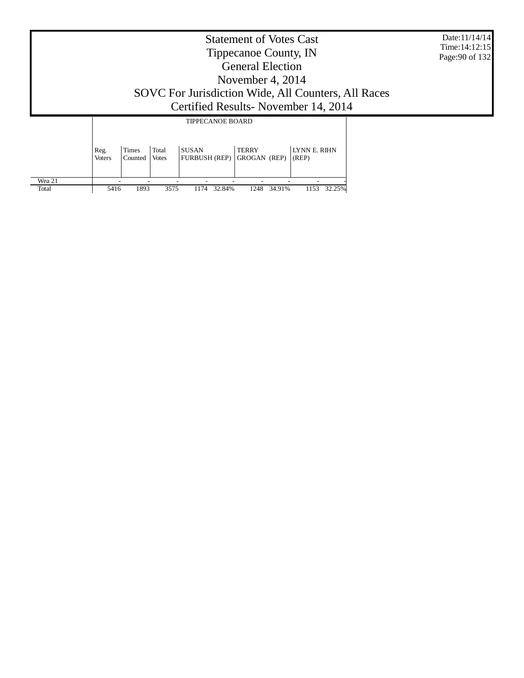|                 |                       |                         |                       |                                                                                              | <b>Statement of Votes Cast</b><br>Tippecanoe County, IN<br><b>General Election</b><br>November 4, $2014$ |                       | Date:11/14/14<br>Time: 14:12:15<br>Page: 90 of 132 |
|-----------------|-----------------------|-------------------------|-----------------------|----------------------------------------------------------------------------------------------|----------------------------------------------------------------------------------------------------------|-----------------------|----------------------------------------------------|
|                 |                       |                         |                       | SOVC For Jurisdiction Wide, All Counters, All Races<br>Certified Results - November 14, 2014 |                                                                                                          |                       |                                                    |
|                 |                       |                         |                       | <b>TIPPECANOE BOARD</b>                                                                      |                                                                                                          |                       |                                                    |
|                 | Reg.<br><b>Voters</b> | <b>Times</b><br>Counted | Total<br><b>Votes</b> | <b>SUSAN</b><br><b>FURBUSH (REP)</b>                                                         | <b>TERRY</b><br>GROGAN (REP)                                                                             | LYNN E. RIHN<br>(REP) |                                                    |
| Wea 21<br>Total | 5416                  | 1893                    | 3575                  | 32.84%<br>1174                                                                               | 34.91%<br>1248                                                                                           | 1153 32.25%           |                                                    |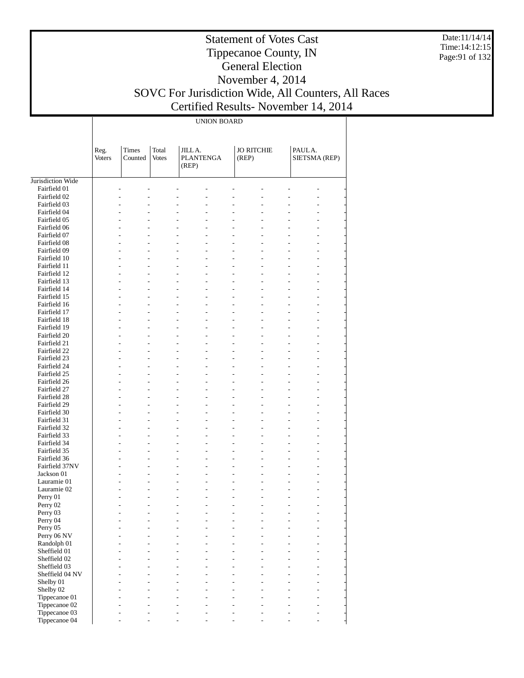Date:11/14/14 Time:14:12:15 Page:91 of 132

#### Statement of Votes Cast Tippecanoe County, IN General Election November 4, 2014 SOVC For Jurisdiction Wide, All Counters, All Races

т

Certified Results- November 14, 2014

|                              | <b>UNION BOARD</b>    |                  |                       |                                     |  |                            |                |                                  |  |  |
|------------------------------|-----------------------|------------------|-----------------------|-------------------------------------|--|----------------------------|----------------|----------------------------------|--|--|
|                              | Reg.<br><b>Voters</b> | Times<br>Counted | Total<br><b>Votes</b> | JILLA.<br><b>PLANTENGA</b><br>(REP) |  | <b>JO RITCHIE</b><br>(REP) |                | PAULA.<br>SIETSMA (REP)          |  |  |
| Jurisdiction Wide            |                       |                  |                       |                                     |  |                            |                |                                  |  |  |
| Fairfield 01                 |                       |                  |                       |                                     |  |                            |                |                                  |  |  |
| Fairfield 02                 |                       |                  |                       |                                     |  |                            |                |                                  |  |  |
| Fairfield 03                 |                       |                  |                       |                                     |  |                            |                |                                  |  |  |
| Fairfield 04                 |                       |                  |                       | L.                                  |  | L,                         |                |                                  |  |  |
| Fairfield 05                 |                       |                  |                       |                                     |  | L.                         |                |                                  |  |  |
| Fairfield 06                 |                       |                  |                       | ۷<br>L.                             |  | L,                         |                |                                  |  |  |
| Fairfield 07                 |                       |                  |                       |                                     |  | L.                         |                |                                  |  |  |
| Fairfield 08                 |                       | ÷,               |                       | L<br>$\overline{a}$                 |  | $\overline{a}$             | $\overline{a}$ | $\overline{a}$                   |  |  |
| Fairfield 09                 |                       | L.<br>L,         |                       |                                     |  | L.<br>L,                   |                | $\overline{a}$                   |  |  |
| Fairfield 10<br>Fairfield 11 |                       |                  |                       | ۷<br>L.                             |  | L.                         | L.             |                                  |  |  |
| Fairfield 12                 |                       | ÷,               |                       | $\overline{a}$<br>$\overline{a}$    |  | $\overline{a}$             | $\overline{a}$ | $\overline{a}$                   |  |  |
| Fairfield 13                 |                       | L.               |                       |                                     |  | L.                         |                | $\overline{a}$                   |  |  |
| Fairfield 14                 |                       | L,               |                       | ۳<br>L.                             |  | L,                         | L.             |                                  |  |  |
| Fairfield 15                 |                       |                  |                       |                                     |  | L.                         |                |                                  |  |  |
| Fairfield 16                 |                       | ÷,               |                       | $\overline{a}$<br>$\overline{a}$    |  | $\overline{a}$             | $\overline{a}$ | $\overline{a}$                   |  |  |
| Fairfield 17                 |                       | L.               |                       |                                     |  | L.                         |                | $\overline{a}$                   |  |  |
| Fairfield 18                 |                       | L,               |                       | ۷<br>L.                             |  | L,                         | L.             |                                  |  |  |
| Fairfield 19                 |                       |                  |                       |                                     |  | L.                         |                |                                  |  |  |
| Fairfield 20                 |                       | ÷,               |                       | $\overline{a}$<br>$\overline{a}$    |  | $\overline{a}$             | $\overline{a}$ | $\overline{a}$                   |  |  |
| Fairfield 21                 |                       | L.               |                       |                                     |  | L.                         |                | $\overline{a}$                   |  |  |
| Fairfield 22                 |                       | L,               |                       | ۷<br>L.                             |  | L,                         |                |                                  |  |  |
| Fairfield 23                 |                       |                  |                       |                                     |  | L.                         |                |                                  |  |  |
| Fairfield 24                 |                       | ÷,               |                       | $\overline{a}$<br>$\overline{a}$    |  | $\overline{a}$             | $\overline{a}$ | $\overline{a}$                   |  |  |
| Fairfield 25                 |                       | L.               |                       |                                     |  | L.                         |                | $\overline{a}$                   |  |  |
| Fairfield 26                 |                       | L,               |                       | ۷<br>L.                             |  | L,                         | L.             |                                  |  |  |
| Fairfield 27                 |                       |                  |                       |                                     |  | L.                         |                |                                  |  |  |
| Fairfield 28                 |                       | ÷,               |                       | $\overline{a}$<br>$\overline{a}$    |  | $\overline{a}$             | $\overline{a}$ | $\overline{a}$                   |  |  |
| Fairfield 29                 |                       | L.               |                       |                                     |  | L.                         |                | $\overline{a}$                   |  |  |
| Fairfield 30                 |                       | L,               |                       | L<br>L.                             |  | L,                         | L.             | $\overline{a}$                   |  |  |
| Fairfield 31                 |                       |                  |                       |                                     |  | L.                         |                |                                  |  |  |
| Fairfield 32<br>Fairfield 33 |                       | ÷,<br>L.         |                       | $\overline{a}$<br>$\overline{a}$    |  | $\overline{a}$<br>L.       | $\overline{a}$ | $\overline{a}$<br>$\overline{a}$ |  |  |
| Fairfield 34                 |                       | L,               |                       | ۷<br>L.                             |  | L,                         | $\overline{a}$ | $\overline{a}$                   |  |  |
| Fairfield 35                 |                       |                  |                       | L.                                  |  | L,                         |                | $\overline{a}$                   |  |  |
| Fairfield 36                 |                       | ÷,               |                       | $\overline{a}$<br>$\overline{a}$    |  | $\overline{a}$             | $\overline{a}$ | ÷<br>$\overline{a}$              |  |  |
| Fairfield 37NV               |                       | L.               |                       | L,                                  |  | L.                         |                |                                  |  |  |
| Jackson 01                   |                       |                  |                       | L,<br>۷                             |  |                            | $\overline{a}$ |                                  |  |  |
| Lauramie 01                  |                       |                  |                       |                                     |  |                            |                |                                  |  |  |
| Lauramie 02                  |                       |                  |                       | ۷                                   |  |                            |                | $\overline{a}$                   |  |  |
| Perry 01                     |                       |                  |                       |                                     |  |                            |                |                                  |  |  |
| Perry 02                     |                       |                  |                       |                                     |  |                            |                |                                  |  |  |
| Perry 03                     |                       |                  |                       |                                     |  |                            |                |                                  |  |  |
| Perry 04                     |                       |                  |                       |                                     |  |                            |                |                                  |  |  |
| Perry 05                     |                       |                  |                       |                                     |  |                            |                |                                  |  |  |
| Perry 06 NV                  |                       |                  |                       |                                     |  |                            |                | $\overline{a}$                   |  |  |
| Randolph 01                  |                       |                  |                       |                                     |  |                            |                |                                  |  |  |
| Sheffield 01                 |                       |                  |                       |                                     |  |                            |                |                                  |  |  |
| Sheffield 02                 |                       |                  |                       |                                     |  |                            |                |                                  |  |  |
| Sheffield 03                 |                       |                  |                       |                                     |  |                            |                | $\overline{a}$                   |  |  |
| Sheffield 04 NV              |                       |                  |                       |                                     |  |                            |                |                                  |  |  |
| Shelby 01<br>Shelby 02       |                       |                  |                       |                                     |  |                            |                | $\overline{a}$                   |  |  |
| Tippecanoe 01                |                       |                  |                       |                                     |  |                            |                | $\overline{a}$                   |  |  |
| Tippecanoe 02                |                       |                  |                       |                                     |  |                            |                |                                  |  |  |
| Tippecanoe 03                |                       |                  |                       |                                     |  |                            |                |                                  |  |  |

- - - - - - - - -

Tippecanoe 04

 $\overline{1}$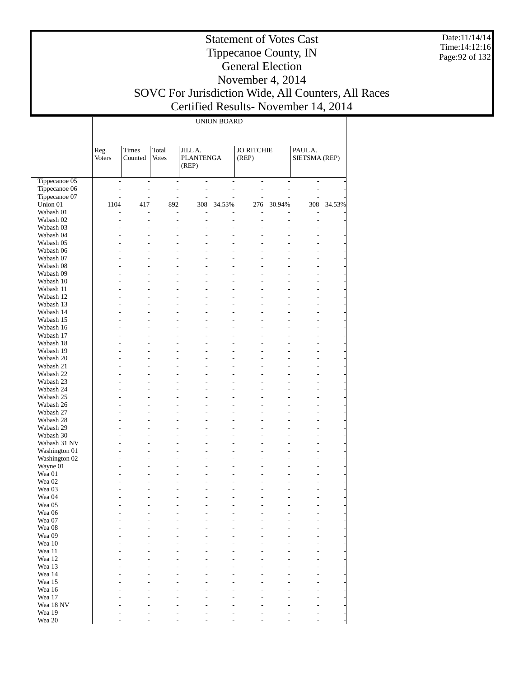Date:11/14/14 Time:14:12:16 Page:92 of 132

#### Statement of Votes Cast Tippecanoe County, IN General Election November 4, 2014 SOVC For Jurisdiction Wide, All Counters, All Races Certified Results- November 14, 2014

UNION BOARD

|                           | Reg.<br><b>Voters</b>                                | Times<br>Counted                          | Total<br><b>Votes</b>    | JILL A.<br><b>PLANTENGA</b><br>(REP)                                                     |                                  | <b>JO RITCHIE</b><br>(REP)       |                                                      | PAULA.<br>SIETSMA (REP)                              |        |
|---------------------------|------------------------------------------------------|-------------------------------------------|--------------------------|------------------------------------------------------------------------------------------|----------------------------------|----------------------------------|------------------------------------------------------|------------------------------------------------------|--------|
| Tippecanoe 05             | $\overline{\phantom{0}}$                             | $\overline{\phantom{a}}$                  | $\overline{\phantom{a}}$ | $\qquad \qquad \blacksquare$                                                             | $\qquad \qquad \blacksquare$     | $\overline{\phantom{a}}$         | $\qquad \qquad \blacksquare$                         | $\overline{\phantom{0}}$                             |        |
| Tippecanoe 06             | $\overline{\phantom{m}}$                             | $\overline{\phantom{m}}$                  |                          | $\overline{\phantom{m}}$<br>$\overline{\phantom{a}}$                                     | $\qquad \qquad \blacksquare$     | $\overline{\phantom{a}}$         | $\overline{a}$                                       | $\overline{\phantom{0}}$                             |        |
| Tippecanoe 07             | $\overline{a}$                                       | $\frac{1}{2}$                             | $\frac{1}{2}$            | $\frac{1}{2}$                                                                            | L,                               | $\overline{a}$                   | L,                                                   |                                                      |        |
| Union 01                  | 1104                                                 | 417                                       | 892                      | 308                                                                                      | 34.53%                           | 276                              | 30.94%                                               | 308                                                  | 34.53% |
| Wabash 01                 | $\overline{a}$                                       | $\overline{\phantom{0}}$                  | $\overline{\phantom{0}}$ | $\overline{a}$                                                                           |                                  | L,                               |                                                      | $\overline{\phantom{0}}$                             |        |
| Wabash 02                 | $\overline{\phantom{0}}$                             | $\qquad \qquad \blacksquare$              |                          | $\frac{1}{2}$<br>$\overline{\phantom{0}}$                                                | $\overline{a}$                   | $\frac{1}{2}$                    | $\overline{\phantom{0}}$                             | $\overline{a}$                                       |        |
| Wabash 03                 | $\overline{a}$                                       | $\overline{\phantom{0}}$                  | $\overline{a}$           | $\overline{a}$                                                                           | L,                               |                                  | $\overline{a}$                                       | $\overline{\phantom{0}}$                             |        |
| Wabash 04                 | $\overline{\phantom{0}}$                             | $\overline{\phantom{0}}$                  | $\overline{a}$           | $\overline{\phantom{0}}$                                                                 | $\overline{a}$                   | $\overline{a}$                   | $\overline{\phantom{0}}$                             | $\overline{\phantom{0}}$                             |        |
| Wabash 05<br>Wabash 06    | $\overline{\phantom{0}}$                             | $\overline{\phantom{0}}$<br>$\frac{1}{2}$ |                          | $\overline{a}$<br>$\overline{\phantom{0}}$                                               | $\overline{a}$<br>$\overline{a}$ | $\overline{a}$<br>$\overline{a}$ | $\overline{\phantom{0}}$                             | $\overline{a}$                                       |        |
| Wabash 07                 | $\overline{a}$<br>$\overline{a}$                     | $\overline{\phantom{0}}$                  |                          | $\overline{\phantom{0}}$<br>$\overline{\phantom{0}}$<br>$\overline{a}$<br>$\overline{a}$ | $\overline{a}$                   | $\overline{a}$                   | $\overline{\phantom{0}}$<br>$\overline{\phantom{0}}$ | $\overline{\phantom{0}}$<br>$\overline{a}$           |        |
| Wabash 08                 | $\overline{\phantom{0}}$                             | $\overline{\phantom{0}}$                  | $\overline{a}$           | $\overline{\phantom{0}}$                                                                 | $\overline{a}$                   | $\overline{a}$                   | $\overline{\phantom{0}}$                             | $\overline{\phantom{0}}$                             |        |
| Wabash 09                 | $\overline{\phantom{0}}$                             | $\overline{\phantom{0}}$                  |                          | $\overline{a}$<br>$\overline{\phantom{0}}$                                               | $\overline{a}$                   | $\overline{a}$                   | $\overline{\phantom{0}}$                             | $\overline{a}$                                       |        |
| Wabash 10                 | $\overline{a}$                                       | $\frac{1}{2}$                             | $\overline{a}$           | $\overline{\phantom{0}}$                                                                 | $\overline{a}$                   | $\overline{a}$                   | $\overline{\phantom{0}}$                             | $\overline{\phantom{0}}$                             |        |
| Wabash 11                 | $\overline{a}$                                       | $\overline{\phantom{0}}$                  | $\overline{a}$           | $\overline{\phantom{0}}$                                                                 | $\overline{a}$                   | $\overline{a}$                   | $\overline{\phantom{0}}$                             | $\overline{a}$                                       |        |
| Wabash 12                 | $\overline{\phantom{0}}$                             | $\overline{\phantom{0}}$                  | $\overline{a}$           | $\overline{\phantom{0}}$                                                                 | $\overline{a}$                   | $\overline{a}$                   | $\overline{\phantom{0}}$                             | $\overline{\phantom{0}}$                             |        |
| Wabash 13                 | $\overline{\phantom{0}}$                             | $\overline{\phantom{0}}$                  |                          | $\overline{a}$<br>$\overline{\phantom{0}}$                                               | $\overline{a}$                   | $\overline{a}$                   | $\overline{\phantom{0}}$                             | $\overline{a}$                                       |        |
| Wabash 14                 | $\overline{a}$                                       | $\frac{1}{2}$                             |                          | $\overline{\phantom{0}}$<br>$\overline{\phantom{0}}$                                     | $\frac{1}{2}$                    | $\overline{a}$                   | $\overline{a}$                                       | $\overline{\phantom{0}}$                             |        |
| Wabash 15                 | $\overline{a}$                                       | $\overline{\phantom{0}}$                  | $\overline{a}$           | $\overline{\phantom{0}}$                                                                 | $\overline{a}$                   | $\overline{a}$                   | $\overline{\phantom{0}}$                             | $\overline{\phantom{0}}$                             |        |
| Wabash 16                 | $\overline{\phantom{0}}$                             | $\frac{1}{2}$                             | $\overline{a}$           | $\overline{\phantom{0}}$                                                                 | $\overline{a}$                   | $\overline{a}$                   | $\overline{\phantom{0}}$                             | $\overline{\phantom{0}}$                             |        |
| Wabash 17                 | $\overline{\phantom{0}}$                             | $\overline{\phantom{0}}$                  |                          | $\overline{a}$<br>$\overline{\phantom{0}}$                                               | $\overline{a}$                   | $\overline{a}$                   | $\overline{\phantom{0}}$                             | $\overline{a}$                                       |        |
| Wabash 18                 | $\overline{\phantom{0}}$                             | $\frac{1}{2}$                             |                          | $\overline{\phantom{0}}$<br>$\overline{\phantom{0}}$                                     | $\frac{1}{2}$                    | $\overline{a}$                   | $\overline{\phantom{0}}$                             | $\overline{\phantom{0}}$                             |        |
| Wabash 19                 | $\overline{a}$                                       | $\overline{\phantom{0}}$                  |                          | $\overline{a}$<br>$\overline{\phantom{0}}$                                               | $\overline{a}$                   | $\overline{a}$                   | $\overline{\phantom{0}}$                             | $\overline{a}$                                       |        |
| Wabash 20                 | $\overline{\phantom{0}}$                             | $\overline{\phantom{0}}$                  | $\overline{a}$           | $\overline{\phantom{0}}$<br>$\overline{a}$                                               | $\overline{a}$                   | $\overline{a}$<br>$\overline{a}$ | $\overline{\phantom{0}}$                             | $\overline{a}$                                       |        |
| Wabash 21<br>Wabash 22    | $\overline{\phantom{0}}$<br>$\overline{\phantom{0}}$ | $\overline{a}$<br>$\frac{1}{2}$           |                          | $\overline{\phantom{0}}$<br>$\overline{a}$<br>$\overline{\phantom{0}}$                   | $\overline{a}$<br>$\frac{1}{2}$  | $\overline{a}$                   | $\overline{\phantom{0}}$<br>$\overline{\phantom{0}}$ | $\overline{a}$<br>$\overline{a}$                     |        |
| Wabash 23                 | $\overline{a}$                                       | $\overline{a}$                            |                          | $\overline{a}$<br>$\overline{\phantom{0}}$                                               | $\overline{a}$                   | $\overline{a}$                   | $\overline{\phantom{0}}$                             | $\overline{a}$                                       |        |
| Wabash 24                 | $\overline{\phantom{0}}$                             | $\overline{\phantom{0}}$                  | $\overline{a}$           | $\overline{\phantom{0}}$                                                                 | $\overline{a}$                   | $\overline{a}$                   | $\overline{\phantom{0}}$                             | $\overline{a}$                                       |        |
| Wabash 25                 | $\overline{\phantom{0}}$                             | $\overline{a}$                            |                          | $\overline{a}$<br>$\overline{\phantom{0}}$                                               | $\overline{a}$                   | $\overline{a}$                   | $\overline{\phantom{0}}$                             | $\overline{a}$                                       |        |
| Wabash 26                 | $\overline{\phantom{0}}$                             | $\frac{1}{2}$                             | $\overline{a}$           | $\overline{\phantom{0}}$                                                                 | $\frac{1}{2}$                    | $\overline{a}$                   | $\overline{\phantom{0}}$                             | $\overline{\phantom{0}}$                             |        |
| Wabash 27                 | $\overline{a}$                                       | $\overline{\phantom{0}}$                  |                          | $\overline{a}$<br>$\overline{\phantom{0}}$                                               | $\overline{a}$                   | $\overline{a}$                   | $\overline{\phantom{0}}$                             | $\overline{a}$                                       |        |
| Wabash 28                 | $\overline{\phantom{0}}$                             | $\overline{\phantom{0}}$                  | $\overline{a}$           | $\overline{\phantom{0}}$                                                                 | $\overline{a}$                   | $\overline{a}$                   | $\overline{\phantom{0}}$                             | $\overline{\phantom{0}}$                             |        |
| Wabash 29                 | $\overline{\phantom{0}}$                             | $\overline{\phantom{0}}$                  |                          | $\overline{a}$<br>$\overline{\phantom{0}}$                                               | $\overline{a}$                   | $\overline{a}$                   | $\overline{\phantom{0}}$                             | $\overline{\phantom{0}}$                             |        |
| Wabash 30                 | $\overline{\phantom{0}}$                             | $\frac{1}{2}$                             | $\overline{a}$           | $\overline{\phantom{0}}$                                                                 | $\overline{a}$                   | $\overline{a}$                   | $\overline{a}$                                       | $\overline{\phantom{0}}$                             |        |
| Wabash 31 NV              | $\overline{a}$                                       | $\overline{\phantom{0}}$                  |                          | $\overline{a}$<br>$\overline{\phantom{0}}$                                               | $\overline{a}$                   | $\overline{a}$                   | $\overline{\phantom{0}}$                             | $\overline{\phantom{0}}$                             |        |
| Washington 01             | $\overline{\phantom{0}}$                             | $\frac{1}{2}$                             | $\overline{a}$           | $\overline{\phantom{0}}$<br>$\overline{a}$                                               | $\overline{a}$                   | $\overline{a}$<br>$\overline{a}$ | $\overline{\phantom{0}}$                             | $\overline{\phantom{0}}$                             |        |
| Washington 02<br>Wayne 01 | $\overline{\phantom{0}}$<br>$\overline{\phantom{0}}$ | $\overline{\phantom{0}}$<br>$\frac{1}{2}$ | $\overline{a}$           | $\overline{\phantom{0}}$<br>$\overline{\phantom{0}}$                                     | $\overline{a}$<br>$\overline{a}$ | $\overline{a}$                   | $\overline{\phantom{0}}$<br>$\overline{a}$           | $\overline{\phantom{0}}$<br>$\overline{\phantom{0}}$ |        |
| Wea 01                    | $\overline{a}$                                       | $\overline{\phantom{0}}$                  |                          | $\overline{\phantom{0}}$                                                                 | $\overline{a}$                   |                                  | $\overline{\phantom{0}}$                             | $\overline{a}$                                       |        |
| Wea 02                    | $\overline{\phantom{0}}$                             | $\frac{1}{2}$                             |                          | $\overline{a}$<br>$\overline{\phantom{0}}$                                               | $\overline{a}$                   | $\overline{a}$                   | $\overline{\phantom{0}}$                             | $\overline{\phantom{0}}$                             |        |
| Wea 03                    |                                                      | $\overline{\phantom{0}}$                  |                          | $\overline{\phantom{0}}$                                                                 | $\overline{a}$                   |                                  | $\overline{\phantom{0}}$                             |                                                      |        |
| Wea 04                    |                                                      | $\overline{a}$                            |                          | $\overline{a}$<br>$\overline{\phantom{0}}$                                               | $\overline{a}$                   | $\overline{a}$                   | $\overline{\phantom{0}}$                             |                                                      |        |
| Wea 05                    |                                                      |                                           |                          | $\overline{\phantom{0}}$                                                                 | $\overline{a}$                   |                                  |                                                      |                                                      |        |
| Wea 06                    |                                                      |                                           |                          |                                                                                          |                                  |                                  |                                                      |                                                      |        |
| Wea 07                    |                                                      |                                           |                          |                                                                                          |                                  |                                  |                                                      |                                                      |        |
| Wea 08                    |                                                      |                                           |                          |                                                                                          |                                  |                                  |                                                      |                                                      |        |
| Wea 09                    |                                                      |                                           |                          |                                                                                          |                                  |                                  |                                                      |                                                      |        |
| Wea 10                    |                                                      |                                           |                          |                                                                                          |                                  |                                  |                                                      |                                                      |        |
| Wea 11<br>Wea 12          |                                                      |                                           |                          |                                                                                          |                                  |                                  |                                                      |                                                      |        |
| Wea 13                    |                                                      |                                           |                          |                                                                                          |                                  |                                  |                                                      |                                                      |        |
| Wea 14                    |                                                      |                                           |                          |                                                                                          |                                  |                                  |                                                      |                                                      |        |
| Wea 15                    |                                                      |                                           |                          |                                                                                          |                                  |                                  |                                                      |                                                      |        |
| Wea 16                    |                                                      |                                           |                          |                                                                                          |                                  |                                  |                                                      |                                                      |        |
| Wea 17                    |                                                      |                                           |                          |                                                                                          |                                  |                                  |                                                      |                                                      |        |
| Wea 18 NV                 |                                                      |                                           |                          |                                                                                          |                                  |                                  |                                                      |                                                      |        |
| Wea 19                    |                                                      |                                           |                          |                                                                                          |                                  |                                  |                                                      |                                                      |        |
| Wea 20                    |                                                      |                                           |                          |                                                                                          |                                  |                                  |                                                      | $\overline{\phantom{0}}$                             |        |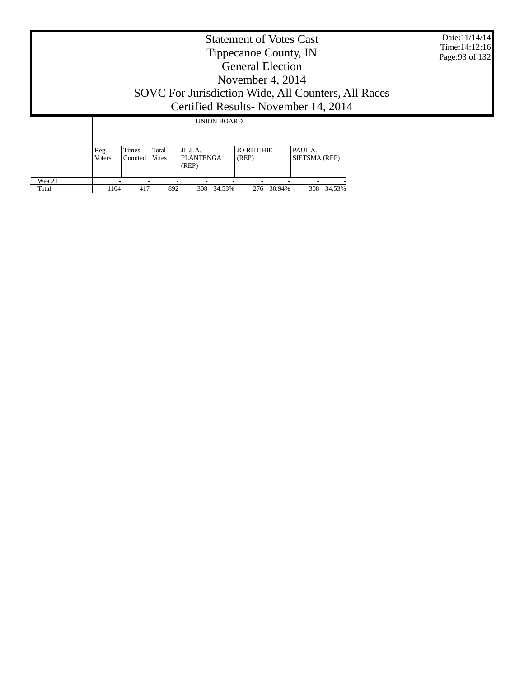|                 |                       |                  |                |                                     | <b>Statement of Votes Cast</b><br>Tippecanoe County, IN<br><b>General Election</b><br>November 4, 2014 |                                                                                            | Date:11/14/14<br>Time: 14:12:16<br>Page: 93 of 132 |
|-----------------|-----------------------|------------------|----------------|-------------------------------------|--------------------------------------------------------------------------------------------------------|--------------------------------------------------------------------------------------------|----------------------------------------------------|
|                 |                       |                  |                |                                     |                                                                                                        | SOVC For Jurisdiction Wide, All Counters, All Races<br>Certified Results-November 14, 2014 |                                                    |
|                 |                       |                  |                | <b>UNION BOARD</b>                  |                                                                                                        |                                                                                            |                                                    |
|                 | Reg.<br><b>Voters</b> | Times<br>Counted | Total<br>Votes | JILLA.<br><b>PLANTENGA</b><br>(REP) | <b>JO RITCHIE</b><br>(REP)                                                                             | PAULA.<br>SIETSMA (REP)                                                                    |                                                    |
| Wea 21<br>Total | 1104                  | 417              | 892            | 308<br>34.53%                       | 276<br>30.94%                                                                                          | 34.53%<br>308                                                                              |                                                    |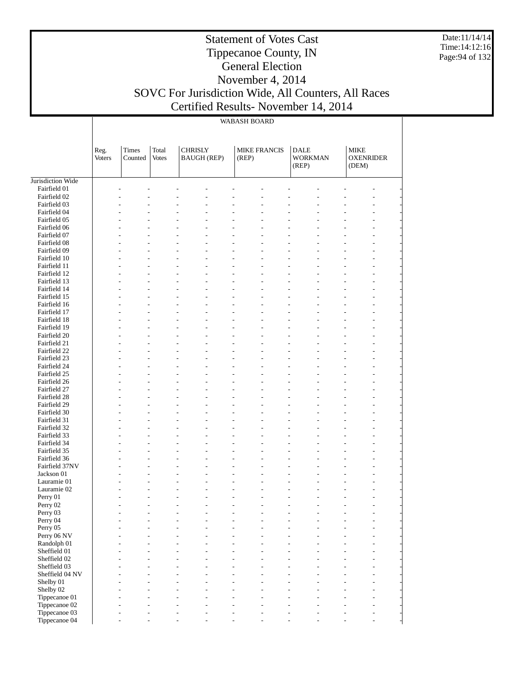Date:11/14/14 Time:14:12:16 Page:94 of 132

#### Statement of Votes Cast Tippecanoe County, IN General Election November 4, 2014 SOVC For Jurisdiction Wide, All Counters, All Races Certified Results- November 14, 2014

WABASH BOARD

 $\mathbf{I}$ 

|                            | Reg.<br><b>Voters</b> | Times<br>Counted                                     | Total<br><b>Votes</b> | <b>CHRISLY</b><br><b>BAUGH (REP)</b>                                           | <b>MIKE FRANCIS</b><br>(REP)                                                | <b>DALE</b><br><b>WORKMAN</b><br>(REP) | <b>MIKE</b><br><b>OXENRIDER</b><br>(DEM) |                                                      |  |
|----------------------------|-----------------------|------------------------------------------------------|-----------------------|--------------------------------------------------------------------------------|-----------------------------------------------------------------------------|----------------------------------------|------------------------------------------|------------------------------------------------------|--|
| Jurisdiction Wide          |                       |                                                      |                       |                                                                                |                                                                             |                                        |                                          |                                                      |  |
| Fairfield 01               |                       |                                                      |                       |                                                                                |                                                                             |                                        |                                          |                                                      |  |
| Fairfield 02               |                       |                                                      |                       |                                                                                |                                                                             |                                        |                                          |                                                      |  |
| Fairfield 03               |                       | ÷                                                    |                       | ۳                                                                              | $\overline{a}$<br>$\overline{a}$                                            | ÷                                      |                                          | $\overline{\phantom{a}}$                             |  |
| Fairfield 04               |                       |                                                      |                       |                                                                                |                                                                             |                                        |                                          | ÷,                                                   |  |
| Fairfield 05               |                       |                                                      |                       |                                                                                |                                                                             |                                        |                                          | $\overline{a}$                                       |  |
| Fairfield 06               |                       |                                                      |                       |                                                                                |                                                                             |                                        |                                          | ÷,                                                   |  |
| Fairfield 07               |                       | $\overline{a}$                                       |                       | $\overline{a}$<br>$\overline{a}$                                               | $\overline{a}$<br>$\overline{a}$                                            | ÷                                      |                                          | $\overline{\phantom{a}}$                             |  |
| Fairfield 08               |                       |                                                      |                       |                                                                                |                                                                             |                                        |                                          | $\overline{a}$                                       |  |
| Fairfield 09               |                       | ÷                                                    |                       | ۳                                                                              | $\overline{a}$<br>$\overline{a}$                                            | L                                      |                                          | $\overline{a}$                                       |  |
| Fairfield 10               |                       |                                                      |                       |                                                                                | $\overline{a}$                                                              |                                        |                                          | $\overline{a}$                                       |  |
| Fairfield 11               |                       | $\overline{a}$                                       |                       | $\overline{a}$<br>$\overline{a}$                                               | $\overline{a}$<br>$\overline{a}$                                            | ÷                                      |                                          | $\overline{\phantom{a}}$                             |  |
| Fairfield 12               |                       |                                                      |                       |                                                                                |                                                                             |                                        |                                          | $\overline{a}$                                       |  |
| Fairfield 13               |                       | ÷                                                    |                       | ۳                                                                              | $\overline{a}$<br>$\overline{\phantom{a}}$                                  | L                                      |                                          | $\overline{a}$                                       |  |
| Fairfield 14               |                       |                                                      |                       |                                                                                | $\overline{a}$                                                              |                                        |                                          | $\overline{a}$                                       |  |
| Fairfield 15               |                       | $\overline{a}$                                       |                       | $\overline{a}$<br>$\overline{a}$                                               | $\overline{a}$<br>$\overline{a}$                                            | L                                      |                                          | $\overline{\phantom{a}}$                             |  |
| Fairfield 16               |                       |                                                      |                       |                                                                                |                                                                             |                                        |                                          | $\overline{a}$                                       |  |
| Fairfield 17               |                       | ÷                                                    |                       | ۳                                                                              | $\overline{a}$<br>$\overline{a}$                                            | L                                      |                                          | $\overline{a}$                                       |  |
| Fairfield 18               |                       |                                                      |                       |                                                                                | $\overline{a}$                                                              |                                        |                                          | $\overline{a}$                                       |  |
| Fairfield 19               |                       | $\overline{a}$                                       |                       | $\overline{a}$<br>$\overline{a}$                                               | $\overline{a}$<br>$\overline{a}$                                            | L                                      |                                          | $\overline{\phantom{a}}$                             |  |
| Fairfield 20               |                       |                                                      |                       |                                                                                |                                                                             |                                        |                                          | $\overline{a}$                                       |  |
| Fairfield 21               |                       | ÷                                                    |                       | ۳                                                                              | $\overline{a}$<br>$\overline{\phantom{a}}$                                  | L                                      |                                          | $\overline{a}$                                       |  |
| Fairfield 22               |                       |                                                      |                       |                                                                                | $\overline{a}$                                                              |                                        |                                          | $\overline{a}$                                       |  |
| Fairfield 23               |                       | $\overline{a}$                                       |                       | $\overline{a}$<br>$\overline{a}$                                               | $\overline{a}$<br>$\overline{a}$                                            | L                                      |                                          | $\overline{\phantom{a}}$                             |  |
| Fairfield 24               |                       |                                                      |                       |                                                                                |                                                                             |                                        |                                          | $\overline{a}$                                       |  |
| Fairfield 25               |                       | ÷                                                    |                       | ۳                                                                              | $\overline{\phantom{a}}$<br>$\overline{\phantom{a}}$                        | L                                      |                                          | $\overline{a}$                                       |  |
| Fairfield 26               |                       |                                                      |                       |                                                                                | $\overline{a}$                                                              |                                        |                                          | $\overline{a}$                                       |  |
| Fairfield 27               |                       | $\overline{a}$                                       |                       | $\overline{a}$<br>$\overline{a}$                                               | $\overline{a}$<br>$\overline{a}$                                            | L                                      |                                          | $\overline{\phantom{a}}$                             |  |
| Fairfield 28               |                       |                                                      |                       |                                                                                |                                                                             |                                        |                                          | $\overline{a}$                                       |  |
| Fairfield 29               |                       | ÷                                                    |                       | ۳                                                                              | $\overline{\phantom{a}}$<br>$\overline{\phantom{a}}$                        | L                                      |                                          | $\overline{a}$                                       |  |
| Fairfield 30               |                       |                                                      |                       |                                                                                | $\overline{a}$                                                              |                                        |                                          | $\overline{a}$                                       |  |
| Fairfield 31               |                       | $\overline{a}$                                       |                       | $\overline{a}$<br>$\overline{a}$                                               | $\overline{a}$<br>$\overline{a}$                                            | L                                      |                                          | $\overline{\phantom{a}}$                             |  |
| Fairfield 32               |                       |                                                      |                       |                                                                                |                                                                             |                                        |                                          | $\overline{a}$                                       |  |
| Fairfield 33               |                       | ÷                                                    |                       | ۳                                                                              | $\overline{\phantom{a}}$<br>$\overline{\phantom{a}}$                        | L                                      |                                          | $\overline{a}$                                       |  |
| Fairfield 34               |                       | ÷,                                                   |                       |                                                                                | $\overline{a}$                                                              |                                        |                                          | $\overline{a}$                                       |  |
| Fairfield 35               |                       | $\overline{a}$                                       |                       | $\overline{a}$<br>$\overline{a}$                                               | $\overline{a}$<br>$\overline{a}$                                            | L                                      |                                          | $\overline{\phantom{a}}$                             |  |
| Fairfield 36               |                       |                                                      |                       |                                                                                |                                                                             |                                        |                                          | $\overline{a}$                                       |  |
| Fairfield 37NV             |                       | ÷,                                                   |                       | ۳<br>$\overline{a}$                                                            | $\overline{\phantom{a}}$<br>$\overline{\phantom{a}}$                        | ٠                                      |                                          | $\overline{\phantom{a}}$                             |  |
| Jackson 01                 |                       | ÷,                                                   |                       |                                                                                | $\overline{a}$                                                              |                                        |                                          | $\overline{\phantom{a}}$                             |  |
| Lauramie 01<br>Lauramie 02 |                       | $\overline{\phantom{a}}$                             |                       | $\overline{a}$<br>$\overline{a}$                                               | $\overline{a}$<br>$\overline{\phantom{a}}$                                  | L                                      |                                          | $\overline{\phantom{a}}$                             |  |
|                            |                       |                                                      |                       |                                                                                |                                                                             |                                        |                                          | ۰                                                    |  |
| Perry 01                   |                       | ÷                                                    |                       | ۷                                                                              | $\overline{a}$<br>$\overline{a}$                                            |                                        |                                          | $\overline{\phantom{a}}$                             |  |
| Perry 02                   |                       |                                                      |                       | ۷<br>$\overline{a}$                                                            | $\overline{a}$<br>$\overline{a}$                                            |                                        |                                          | $\overline{\phantom{a}}$                             |  |
| Perry 03<br>Perry 04       |                       | $\overline{\phantom{0}}$<br>$\overline{\phantom{a}}$ |                       | $\overline{a}$<br>$\overline{a}$<br>$\overline{a}$<br>$\overline{\phantom{a}}$ | ٠<br>$\overline{a}$<br>$\overline{\phantom{a}}$<br>$\overline{\phantom{a}}$ | $\overline{a}$<br>L,                   |                                          | $\overline{\phantom{a}}$<br>$\overline{\phantom{a}}$ |  |
| Perry 05                   |                       | $\overline{a}$                                       |                       | $\overline{a}$<br>$\overline{\phantom{a}}$                                     | $\overline{\phantom{a}}$<br>$\overline{a}$                                  | ÷,                                     |                                          | $\overline{\phantom{a}}$                             |  |
| Perry 06 NV                |                       | $\overline{\phantom{a}}$                             |                       | $\overline{a}$<br>$\overline{a}$                                               | $\overline{a}$<br>$\overline{a}$                                            | L,                                     |                                          | $\overline{a}$                                       |  |
| Randolph 01                |                       | $\overline{a}$                                       |                       | $\overline{a}$<br>$\overline{a}$                                               | $\overline{a}$<br>$\overline{a}$                                            | ÷,                                     |                                          | $\overline{a}$                                       |  |
| Sheffield 01               |                       | $\overline{a}$                                       |                       |                                                                                | $\overline{a}$<br>$\overline{a}$                                            |                                        |                                          | $\overline{a}$                                       |  |
| Sheffield 02               |                       | L,                                                   |                       |                                                                                | $\overline{a}$<br>$\overline{a}$                                            | ٠                                      |                                          | $\overline{\phantom{a}}$                             |  |
| Sheffield 03               |                       | $\overline{a}$                                       |                       |                                                                                | $\overline{a}$<br>÷                                                         |                                        |                                          | ÷,                                                   |  |
| Sheffield 04 NV            |                       | $\overline{a}$                                       |                       |                                                                                | $\overline{a}$<br>$\overline{a}$                                            | L.                                     |                                          | $\overline{a}$                                       |  |
| Shelby 01                  |                       |                                                      |                       |                                                                                | $\overline{a}$                                                              |                                        |                                          | ÷,                                                   |  |
| Shelby 02                  |                       | $\overline{a}$                                       |                       |                                                                                | $\overline{a}$<br>$\overline{a}$                                            |                                        |                                          | $\overline{a}$                                       |  |
| Tippecanoe 01              |                       |                                                      |                       |                                                                                | $\overline{a}$                                                              |                                        |                                          | $\overline{a}$                                       |  |
| Tippecanoe 02              |                       | $\overline{\phantom{a}}$                             |                       | $\overline{a}$<br>$\overline{a}$                                               | $\overline{a}$<br>$\overline{\phantom{a}}$                                  | L,                                     |                                          | $\overline{a}$                                       |  |
| Tippecanoe 03              |                       |                                                      |                       |                                                                                |                                                                             |                                        |                                          | $\overline{a}$                                       |  |
| Tippecanoe 04              |                       | $\overline{\phantom{a}}$                             |                       | $\overline{a}$<br>$\overline{\phantom{a}}$                                     | $\overline{a}$<br>$\overline{\phantom{a}}$                                  | $\overline{a}$                         | $\overline{\phantom{a}}$                 | $\overline{\phantom{a}}$                             |  |
|                            |                       |                                                      |                       |                                                                                |                                                                             |                                        |                                          |                                                      |  |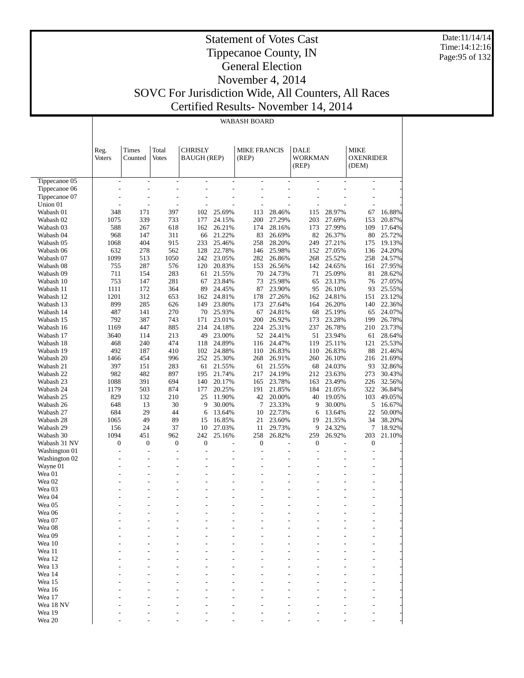Date:11/14/14 Time:14:12:16 Page:95 of 132

#### Statement of Votes Cast Tippecanoe County, IN General Election November 4, 2014 SOVC For Jurisdiction Wide, All Counters, All Races Certified Results- November 14, 2014

WABASH BOARD

 Tippecanoe 05 Tippecanoe 06 Tippecanoe 07 Union 01 Wabash 01 Wabash 02 Wabash 03 Wabash 04 Wabash 05 Wabash 06 Wabash 07 Wabash 08 Wabash 09 Wabash 10 Wabash 11 Wabash 12 Wabash 13 Wabash 14 Wabash 15 Wabash 16 Wabash 17 Wabash 18 Wabash 19 Wabash 20 Wabash 21 Wabash 22 Wabash 23 Wabash 24 Wabash 25 Wabash 26 Wabash 27 Wabash 28 Wabash 29 Wabash 30 Wabash 31 NV Washington 01 Washington 02 Wayne 01 Wea 01 Wea 02 Wea 03 Wea 04 Wea 05 Wea 06 Wea 07 Wea 08 Wea 09 Wea 10 Wea 11 Wea 12 Wea 13 Wea 14 Reg. Voters Times Counted Total Votes **CHRISLY** BAUGH (REP) MIKE FRANCIS (REP) DALE WORKMAN (REP) MIKE OXENRIDER (DEM) - - - - - - - - - - - - - - - - - - - - - - - - - - - - - - - - - - - - - - - - - - - - 348 171 397 102 25.69% 113 28.46% 115 28.97% 67 16.88% 1075 339 733 177 24.15% 200 27.29% 203 27.69% 153 20.87% 588 267 618 162 26.21% 174 28.16% 173 27.99% 109 17.64% 968 147 311 66 21.22% 83 26.69% 82 26.37% 80 25.72% 1068 404 915 233 25.46% 258 28.20% 249 27.21% 175 19.13% 632 278 562 128 22.78% 146 25.98% 152 27.05% 136 24.20% 1099 513 1050 242 23.05% 282 26.86% 268 25.52% 258 24.57% 755 287 576 120 20.83% 153 26.56% 142 24.65% 161 27.95% 711 154 283 61 21.55% 70 24.73% 71 25.09% 81 28.62% 753 147 281 67 23.84% 73 25.98% 65 23.13% 76 27.05% 1111 172 364 89 24.45% 87 23.90% 95 26.10% 93 25.55% 1201 312 653 162 24.81% 178 27.26% 162 24.81% 151 23.12% 899 285 626 149 23.80% 173 27.64% 164 26.20% 140 22.36% 487 141 270 70 25.93% 67 24.81% 68 25.19% 65 24.07% 792 387 743 171 23.01% 200 26.92% 173 23.28% 199 26.78% 1169 447 885 214 24.18% 224 25.31% 237 26.78% 210 23.73% 3640 114 213 49 23.00% 52 24.41% 51 23.94% 61 28.64% 468 240 474 118 24.89% 116 24.47% 119 25.11% 121 25.53% 492 187 410 102 24.88% 110 26.83% 110 26.83% 88 21.46% 1466 454 996 252 25.30% 268 26.91% 260 26.10% 216 21.69% 397 151 283 61 21.55% 61 21.55% 68 24.03% 93 32.86% 982 482 897 195 21.74% 217 24.19% 212 23.63% 273 30.43% 1088 391 694 140 20.17% 165 23.78% 163 23.49% 226 32.56% 1179 503 874 177 20.25% 191 21.85% 184 21.05% 322 36.84% 829 132 210 25 11.90% 42 20.00% 40 19.05% 103 49.05% 648 13 30 9 30.00% 7 23.33% 9 30.00% 5 16.67% 684 29 44 6 13.64% 10 22.73% 6 13.64% 22 50.00% 1065 49 89 15 16.85% 21 23.60% 19 21.35% 34 38.20% 156 24 37 10 27.03% 11 29.73% 9 24.32% 7 18.92% 1094 451 962 242 25.16% 258 26.82% 259 26.92% 203 21.10%  $0 \hspace{0.5cm} 0 \hspace{0.5cm} 0 \hspace{0.5cm} 0 \hspace{0.5cm} 0 \hspace{0.5cm} 0 \hspace{0.5cm} 0 \hspace{0.5cm} 0 \hspace{0.5cm} 0 \hspace{0.5cm} 0 \hspace{0.5cm} 0 \hspace{0.5cm} 0 \hspace{0.5cm} 0 \hspace{0.5cm} 0 \hspace{0.5cm} 0 \hspace{0.5cm} 0 \hspace{0.5cm} 0 \hspace{0.5cm} 0 \hspace{0.5cm} 0 \hspace{0.5cm} 0 \hspace{0.5cm}$ - - - - - - - - - - - - - - - - - - - - - - - - - - - - - - - - - - - - - - - - - - - - - - - - - - - - - - - - - - - - - - - - - - - - - - - - - - - - - - - - - - - - - - - - - - - - - - - - - - - - - - - - - - - - - - - - - - - - - - - - - - - - - - - - - - - - - - - - - - - - - - - - - - - - - - - - - - - - - - - - - - - - - - - - - - - - - - - - - - - - - - - - - - -

> - - - - - - - - - - - - - - - - - - - - - - - - - - - - - - - - - - - - - - - - - - - - - - - - - - - - - - - - - - - - - - - - - -

 Wea 15 Wea 16 Wea 17 Wea 18 NV Wea 19 Wea 20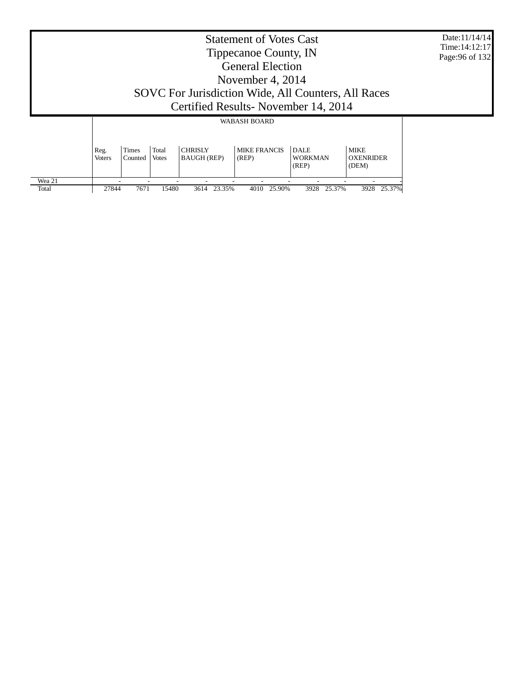|                 |                       |                  |                       |                               | <b>Statement of Votes Cast</b><br>Tippecanoe County, IN<br><b>General Election</b><br>November 4, 2014<br>SOVC For Jurisdiction Wide, All Counters, All Races |                                        |                                          | Date:11/14/14<br>Time: $14:12:17$<br>Page: 96 of 132 |
|-----------------|-----------------------|------------------|-----------------------|-------------------------------|---------------------------------------------------------------------------------------------------------------------------------------------------------------|----------------------------------------|------------------------------------------|------------------------------------------------------|
|                 |                       |                  |                       |                               | Certified Results - November 14, 2014<br><b>WABASH BOARD</b>                                                                                                  |                                        |                                          |                                                      |
|                 | Reg.<br><b>Voters</b> | Times<br>Counted | Total<br><b>Votes</b> | <b>CHRISLY</b><br>BAUGH (REP) | <b>MIKE FRANCIS</b><br>(REP)                                                                                                                                  | <b>DALE</b><br><b>WORKMAN</b><br>(REP) | <b>MIKE</b><br><b>OXENRIDER</b><br>(DEM) |                                                      |
| Wea 21<br>Total | 27844                 | 7671             | 15480                 | 23.35%<br>3614                | 25.90%<br>4010                                                                                                                                                | 25.37%<br>3928                         | 3928 25.37%                              |                                                      |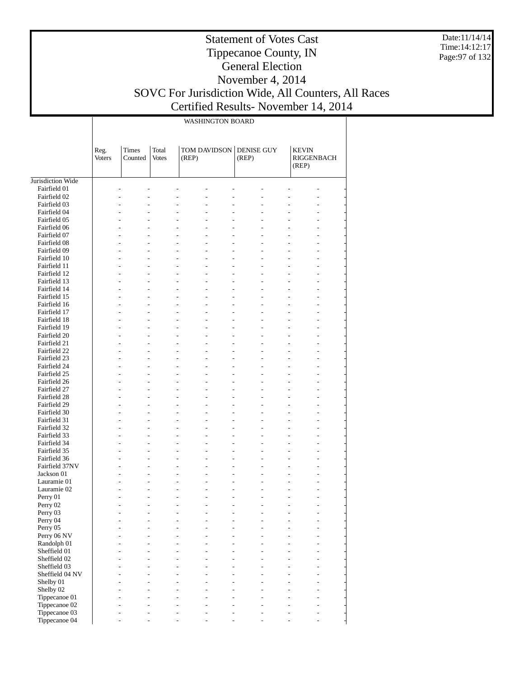Date:11/14/14 Time:14:12:17 Page:97 of 132

# Statement of Votes Cast Tippecanoe County, IN General Election November 4, 2014 SOVC For Jurisdiction Wide, All Counters, All Races

т

Certified Results- November 14, 2014

|                                |                       | <b>WASHINGTON BOARD</b> |                       |                                                    |                            |                                            |  |  |  |  |  |
|--------------------------------|-----------------------|-------------------------|-----------------------|----------------------------------------------------|----------------------------|--------------------------------------------|--|--|--|--|--|
|                                | Reg.<br><b>Voters</b> | Times<br>Counted        | Total<br><b>Votes</b> | TOM DAVIDSON<br>(REP)                              | <b>DENISE GUY</b><br>(REP) | <b>KEVIN</b><br><b>RIGGENBACH</b><br>(REP) |  |  |  |  |  |
| Jurisdiction Wide              |                       |                         |                       |                                                    |                            |                                            |  |  |  |  |  |
| Fairfield 01                   |                       |                         |                       |                                                    |                            |                                            |  |  |  |  |  |
| Fairfield 02                   |                       |                         |                       | L,                                                 |                            |                                            |  |  |  |  |  |
| Fairfield 03                   |                       |                         |                       |                                                    |                            |                                            |  |  |  |  |  |
| Fairfield 04<br>Fairfield 05   |                       |                         |                       | L.<br>L.<br>L,                                     |                            |                                            |  |  |  |  |  |
| Fairfield 06                   |                       |                         |                       | $\overline{a}$<br>$\overline{a}$<br>L.             |                            |                                            |  |  |  |  |  |
| Fairfield 07                   |                       |                         |                       | L,<br>L.                                           |                            |                                            |  |  |  |  |  |
| Fairfield 08                   |                       | L.                      |                       | L,<br>$\overline{a}$<br>$\overline{a}$             |                            | ٠                                          |  |  |  |  |  |
| Fairfield 09                   |                       |                         |                       | $\overline{a}$<br>L,<br>$\overline{a}$             |                            |                                            |  |  |  |  |  |
| Fairfield 10                   |                       |                         |                       | $\overline{a}$<br>$\overline{a}$<br>L.             |                            |                                            |  |  |  |  |  |
| Fairfield 11<br>Fairfield 12   |                       | L.                      |                       | L,<br>L,<br>L,<br>$\overline{a}$                   | L.                         | ÷                                          |  |  |  |  |  |
| Fairfield 13                   |                       |                         |                       | $\overline{a}$<br>L,<br>$\overline{a}$             |                            |                                            |  |  |  |  |  |
| Fairfield 14                   |                       |                         |                       | $\overline{a}$<br>$\overline{a}$<br>L.             |                            |                                            |  |  |  |  |  |
| Fairfield 15                   |                       |                         |                       | L,<br>L,                                           |                            |                                            |  |  |  |  |  |
| Fairfield 16                   |                       | L.                      |                       | L,<br>$\overline{a}$<br>$\overline{a}$             | L.                         | ÷                                          |  |  |  |  |  |
| Fairfield 17                   |                       |                         |                       | L,<br>L,                                           |                            |                                            |  |  |  |  |  |
| Fairfield 18                   |                       |                         |                       | $\overline{a}$<br>$\overline{a}$<br>L.             |                            |                                            |  |  |  |  |  |
| Fairfield 19                   |                       |                         |                       | L,<br>L,                                           |                            |                                            |  |  |  |  |  |
| Fairfield 20                   |                       | L.                      |                       | L,<br>$\overline{a}$<br>$\overline{a}$<br>L,<br>L, | ٠                          | L.                                         |  |  |  |  |  |
| Fairfield 21<br>Fairfield 22   |                       |                         |                       | $\overline{a}$<br>$\overline{a}$<br>٠              |                            |                                            |  |  |  |  |  |
| Fairfield 23                   |                       |                         |                       | L,<br>L,                                           |                            |                                            |  |  |  |  |  |
| Fairfield 24                   |                       | ٠                       |                       | L,<br>$\overline{a}$<br>$\overline{a}$             | ٠                          | L.                                         |  |  |  |  |  |
| Fairfield 25                   |                       |                         |                       | L,<br>L,                                           |                            |                                            |  |  |  |  |  |
| Fairfield 26                   |                       |                         |                       | $\overline{a}$<br>$\overline{a}$<br>٠              |                            |                                            |  |  |  |  |  |
| Fairfield 27                   |                       |                         |                       | L,<br>L,                                           |                            |                                            |  |  |  |  |  |
| Fairfield 28                   |                       | ٠                       |                       | L,<br>$\overline{a}$<br>$\overline{a}$             | ٠                          | L.                                         |  |  |  |  |  |
| Fairfield 29                   |                       |                         |                       | L,<br>L,<br>$\overline{a}$                         |                            |                                            |  |  |  |  |  |
| Fairfield 30<br>Fairfield 31   |                       |                         |                       | $\overline{a}$<br>L,<br>L,<br>L,                   |                            | L.                                         |  |  |  |  |  |
| Fairfield 32                   |                       | ٠                       |                       | L,<br>$\overline{a}$<br>$\overline{a}$             | ٠                          | L.                                         |  |  |  |  |  |
| Fairfield 33                   |                       |                         |                       | L,<br>L,                                           |                            |                                            |  |  |  |  |  |
| Fairfield 34                   |                       |                         |                       | $\overline{a}$<br>L,<br>٠                          |                            | L.                                         |  |  |  |  |  |
| Fairfield 35                   |                       |                         |                       | L,<br>L,                                           |                            |                                            |  |  |  |  |  |
| Fairfield 36                   |                       | ٠                       |                       | $\overline{a}$<br>$\overline{a}$<br>$\overline{a}$ | ٠                          | ۳                                          |  |  |  |  |  |
| Fairfield 37NV                 |                       |                         |                       | $\overline{a}$<br>L,<br>L,                         |                            | L.                                         |  |  |  |  |  |
| Jackson 01<br>Lauramie 01      |                       |                         |                       | L,<br>$\overline{a}$<br>L.                         |                            | L.                                         |  |  |  |  |  |
| Lauramie 02                    |                       |                         |                       | $\overline{a}$<br>۷                                |                            |                                            |  |  |  |  |  |
| Perry 01                       |                       |                         |                       |                                                    |                            |                                            |  |  |  |  |  |
| Perry 02                       |                       |                         |                       |                                                    |                            |                                            |  |  |  |  |  |
| Perry 03                       |                       |                         |                       |                                                    |                            |                                            |  |  |  |  |  |
| Perry 04                       |                       |                         |                       |                                                    |                            |                                            |  |  |  |  |  |
| Perry 05                       |                       |                         |                       |                                                    |                            |                                            |  |  |  |  |  |
| Perry 06 NV                    |                       |                         |                       | $\overline{a}$                                     |                            |                                            |  |  |  |  |  |
| Randolph 01<br>Sheffield 01    |                       |                         |                       |                                                    |                            |                                            |  |  |  |  |  |
| Sheffield 02                   |                       |                         |                       |                                                    |                            |                                            |  |  |  |  |  |
| Sheffield 03                   |                       |                         |                       |                                                    |                            |                                            |  |  |  |  |  |
| Sheffield 04 NV                |                       |                         |                       |                                                    |                            |                                            |  |  |  |  |  |
| Shelby 01                      |                       |                         |                       |                                                    |                            |                                            |  |  |  |  |  |
| Shelby 02                      |                       |                         |                       |                                                    |                            |                                            |  |  |  |  |  |
| Tippecanoe 01                  |                       |                         |                       | $\overline{a}$                                     | L,                         |                                            |  |  |  |  |  |
| Tippecanoe 02                  |                       |                         |                       | $\overline{a}$                                     |                            |                                            |  |  |  |  |  |
| Tippecanoe 03<br>Tippecanoe 04 |                       |                         |                       |                                                    |                            |                                            |  |  |  |  |  |
|                                |                       |                         |                       |                                                    |                            |                                            |  |  |  |  |  |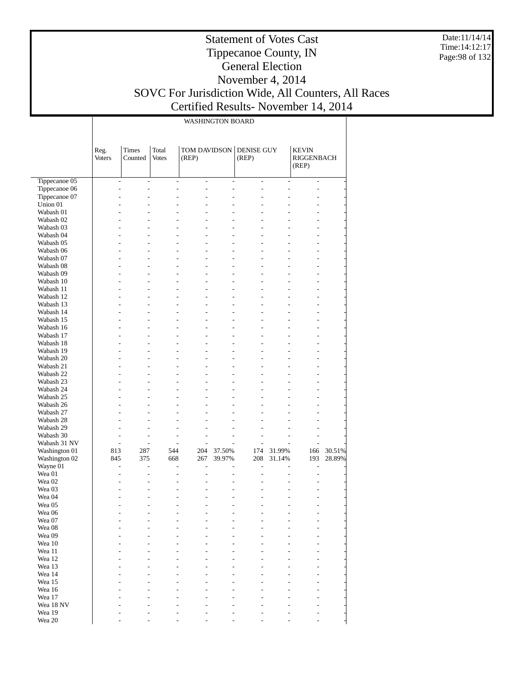Date:11/14/14 Time:14:12:17 Page:98 of 132

#### Statement of Votes Cast Tippecanoe County, IN General Election November 4, 2014 SOVC For Jurisdiction Wide, All Counters, All Races Certified Results- November 14, 2014

|                           |                |                      |                       | <b>WASHINGTON BOARD</b>          |                      |                          |                     |                                     |        |
|---------------------------|----------------|----------------------|-----------------------|----------------------------------|----------------------|--------------------------|---------------------|-------------------------------------|--------|
|                           | Reg.<br>Voters | Times<br>Counted     | Total<br><b>Votes</b> | TOM DAVIDSON<br>(REP)            |                      | DENISE GUY<br>(REP)      |                     | <b>KEVIN</b><br>RIGGENBACH<br>(REP) |        |
| Tippecanoe 05             | $\overline{a}$ | $\overline{a}$       | L,                    | $\overline{a}$                   | $\overline{a}$       | $\overline{\phantom{a}}$ | $\overline{a}$      | $\overline{\phantom{a}}$            |        |
| Tippecanoe 06             | L,             | $\overline{a}$       | L,                    | $\overline{a}$                   | L,                   | $\overline{a}$           | $\overline{a}$      | $\overline{a}$                      |        |
| Tippecanoe 07             | ٠              | $\overline{a}$       | L,                    | $\overline{a}$                   | $\overline{a}$       | L,                       | L,                  | $\overline{a}$                      |        |
| Union 01                  |                | $\overline{a}$       | ÷,                    | $\overline{a}$                   | L.                   |                          |                     | $\overline{a}$                      |        |
| Wabash 01                 |                |                      | L,                    | $\overline{a}$                   |                      |                          | ٠                   | L                                   |        |
| Wabash 02                 |                |                      | ÷,                    | L,                               |                      |                          | ٠                   | $\overline{a}$                      |        |
| Wabash 03<br>Wabash 04    |                | $\overline{a}$       | L,<br>L.              | $\overline{a}$<br>$\overline{a}$ | $\overline{a}$<br>L. | L,<br>L,                 | L<br>L,             | $\overline{a}$<br>$\overline{a}$    |        |
| Wabash 05                 |                |                      | ÷,                    | $\overline{a}$                   | L.                   |                          | L                   | $\overline{a}$                      |        |
| Wabash 06                 |                |                      | ÷,                    | $\overline{a}$                   |                      | L,                       | L,                  | $\overline{a}$                      |        |
| Wabash 07                 |                | $\overline{a}$       | L,                    | $\overline{a}$                   | $\overline{a}$       | L,                       | L                   | $\overline{a}$                      |        |
| Wabash 08                 |                |                      | L.                    | $\overline{a}$                   | $\overline{a}$       | L,                       | L,                  | $\overline{a}$                      |        |
| Wabash 09                 |                |                      | ÷,                    | $\overline{a}$                   | L.                   |                          | L                   | $\overline{a}$                      |        |
| Wabash 10                 |                |                      | ÷,                    | $\overline{a}$                   |                      | L,                       | L,                  | $\overline{a}$                      |        |
| Wabash 11                 |                | $\overline{a}$       | L,                    | $\overline{a}$                   | $\overline{a}$       | L,                       | L                   | $\overline{a}$                      |        |
| Wabash 12                 |                |                      | L.                    | $\overline{a}$                   | L,                   | L,                       | ÷                   | $\overline{a}$                      |        |
| Wabash 13                 |                |                      | ÷,                    | $\overline{a}$                   | L.                   |                          | L                   | $\overline{a}$                      |        |
| Wabash 14                 |                |                      | ÷,                    | $\overline{a}$                   |                      | L,                       | ÷                   | $\overline{a}$                      |        |
| Wabash 15                 |                | $\overline{a}$       | L,<br>L.              | $\overline{a}$                   | $\overline{a}$       | L,                       | L                   | $\overline{a}$                      |        |
| Wabash 16<br>Wabash 17    |                |                      | ÷,                    | $\overline{a}$<br>$\overline{a}$ | L.<br>L.             | L,                       | ÷<br>L              | $\overline{a}$<br>$\overline{a}$    |        |
| Wabash 18                 |                |                      | ÷,                    | $\overline{a}$                   |                      | L,                       | ÷                   | $\overline{a}$                      |        |
| Wabash 19                 |                | $\overline{a}$       | L,                    | $\overline{a}$                   | $\overline{a}$       | L,                       | L                   | $\overline{a}$                      |        |
| Wabash 20                 |                |                      | L.                    | $\overline{a}$                   | L.                   | L,                       | ÷                   | $\overline{a}$                      |        |
| Wabash 21                 |                |                      | ÷,                    | $\overline{a}$                   | L.                   |                          | ÷                   | $\overline{a}$                      |        |
| Wabash 22                 |                |                      | ÷,                    | $\overline{a}$                   |                      | L,                       | ÷                   | $\overline{a}$                      |        |
| Wabash 23                 |                | $\overline{a}$       | L,                    | $\overline{a}$                   | $\overline{a}$       | L,                       | L                   | $\overline{a}$                      |        |
| Wabash 24                 |                |                      | L.                    | $\overline{a}$                   |                      |                          | ÷                   | $\overline{a}$                      |        |
| Wabash 25                 | ÷              |                      | ÷,                    | $\overline{a}$                   |                      |                          | ÷                   | $\overline{a}$                      |        |
| Wabash 26                 | ÷              |                      | ÷,                    | $\overline{a}$                   |                      | L,                       |                     | $\overline{a}$                      |        |
| Wabash 27                 | ٠              |                      | L,                    | $\overline{a}$                   |                      | L,                       | ÷                   | $\overline{a}$                      |        |
| Wabash 28                 |                |                      | ÷,                    | L,                               |                      | Ĭ.                       |                     | ۳                                   |        |
| Wabash 29                 | ٠<br>÷.        |                      | ÷                     | $\overline{a}$                   |                      | ÷,<br>J.                 |                     |                                     |        |
| Wabash 30<br>Wabash 31 NV | L.             | L.<br>$\overline{a}$ | ٠<br>L,               | $\overline{a}$<br>$\overline{a}$ |                      | L,                       | ÷<br>$\overline{a}$ |                                     |        |
| Washington 01             | 813            | 287                  | 544                   | 204                              | 37.50%               | 174                      | 31.99%              | 166                                 | 30.51% |
| Washington 02             | 845            | 375                  | 668                   | 267                              | 39.97%               | 208                      | 31.14%              | 193                                 | 28.89% |
| Wayne 01                  | ÷,             | $\overline{a}$       | L,                    | $\overline{a}$                   |                      | L,                       |                     | $\overline{a}$                      |        |
| Wea 01                    | ٠              | $\overline{a}$       | L,                    | $\overline{a}$                   |                      | L.                       | $\overline{a}$      | $\overline{a}$                      |        |
| Wea 02                    |                |                      | ÷,                    | L,                               |                      |                          | ÷                   |                                     |        |
| Wea 03                    |                |                      | ٠                     | $\overline{a}$                   |                      |                          | ÷                   |                                     |        |
| Wea 04                    | ÷,             | $\overline{a}$       | L,                    | $\overline{a}$                   | $\overline{a}$       | ÷,                       | L                   | $\overline{a}$                      |        |
| Wea 05                    |                |                      |                       |                                  |                      |                          |                     |                                     |        |
| Wea 06                    |                |                      |                       |                                  |                      |                          |                     |                                     |        |
| Wea 07                    |                |                      |                       |                                  |                      |                          |                     |                                     |        |
| Wea 08                    |                |                      |                       |                                  |                      |                          |                     |                                     |        |
| Wea 09<br>Wea 10          |                |                      |                       |                                  |                      |                          |                     |                                     |        |
| Wea 11                    |                |                      |                       |                                  |                      |                          |                     |                                     |        |
| Wea 12                    |                |                      |                       |                                  |                      |                          |                     |                                     |        |
| Wea 13                    |                |                      |                       |                                  |                      |                          |                     |                                     |        |
| Wea 14                    |                |                      |                       |                                  |                      |                          |                     |                                     |        |
| Wea 15                    |                |                      |                       |                                  |                      |                          |                     |                                     |        |
| Wea 16                    |                |                      |                       |                                  |                      |                          |                     |                                     |        |
| Wea 17                    |                |                      |                       |                                  |                      |                          |                     |                                     |        |
| Wea 18 NV                 |                |                      |                       |                                  |                      |                          |                     |                                     |        |
| Wea 19                    |                |                      |                       |                                  |                      |                          |                     |                                     |        |

- - - - - - - - -

Wea 20

 $\mathbf{I}$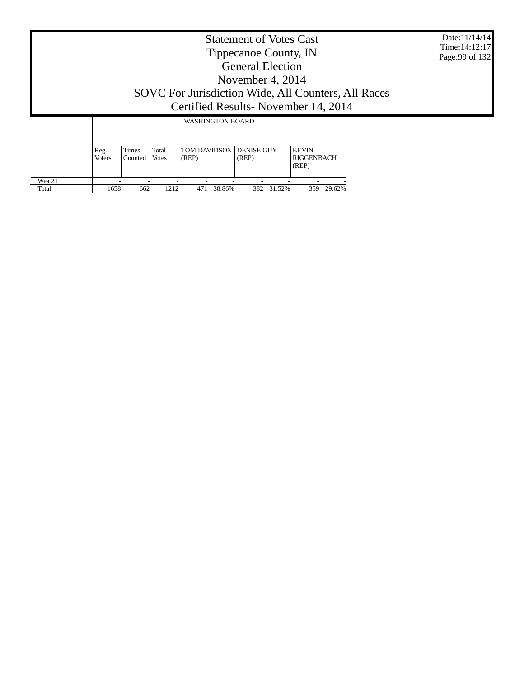| Time: 14:12:17<br>Page: 99 of 132 |
|-----------------------------------|
|                                   |
|                                   |
|                                   |
|                                   |
|                                   |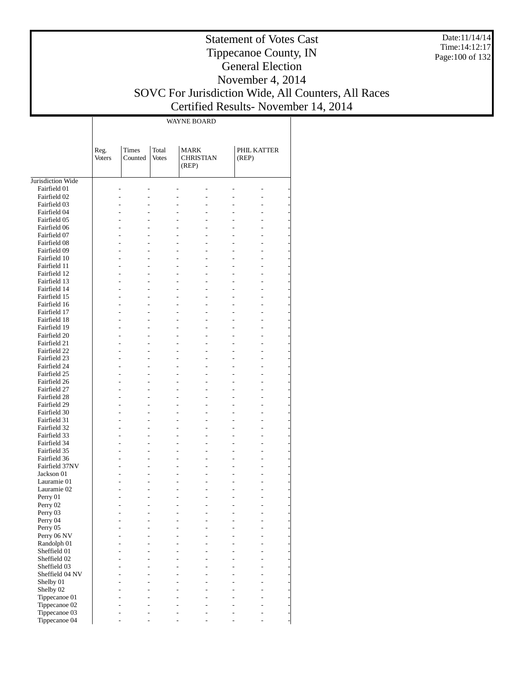Date:11/14/14 Time:14:12:17 Page:100 of 132

# Statement of Votes Cast Tippecanoe County, IN General Election November 4, 2014 SOVC For Jurisdiction Wide, All Counters, All Races

### Certified Results- November 14, 2014

WAYNE BOARD

Jurisdiction Wide Fairfield 01 Fairfield 02 Fairfield 03 Fairfield 04 Fairfield 05 Fairfield 06 Fairfield 07 Fairfield 08 Fairfield 09 Fairfield 10 Fairfield 11 Fairfield 12 Fairfield 13 Fairfield 14 Fairfield 15 Fairfield 16 Fairfield 17 Fairfield 18 Fairfield 19 Fairfield 20 Fairfield 21 Fairfield 22 Fairfield 23 Fairfield 24 Fairfield 25 Fairfield 26 Fairfield 27 Fairfield 28 Fairfield 29 Fairfield 30 Fairfield 31 Fairfield 32 Fairfield 33 Fairfield 34 Fairfield 35 Fairfield 36 Fairfield 37NV Jackson 01 Lauramie 01 Lauramie 02 Perry 01 Perry 02 Perry 03 Perry 04 Perry 05 Perry 06 NV Randolph 01 Sheffield 01 Sheffield 02 Sheffield 03 Sheffield 04 NV Shelby 01 Shelby 02 Tippecanoe 01 Tippecanoe 02 Tippecanoe 03 Reg. Voters Times Counted Total Votes MARK CHRISTIAN (REP) PHIL KATTER (REP) - - - - - - - - - - - - - - - - - - - - - - - - - - - - - - - - - - - - - - - - - - - - - - - - - - - - - - - - - - - - - - - - - - - - - - - - - - - - - - - - - - - - - - - - - - - - - - - - - - - - - - - - - - - - - - - - - - - - - - - - - - - - - - - - - - - - - - - - - - - - - - - - - - - - - - - - - - - - - - - - - - - - - - - - - - - - - - - - - - - - - - - - - - - - - - - - - - - - - - - - - - - - - - - - - - - - - - - - - - - - - - - - - - - - - - - - - - - - - - - - - - - - - - - - - - - - - - - - - - - - - - - - - - - - - - - - - - - - - - - - - - - - - - - - - - - - - - - - - - - - - - - - - - - - - - - - - - - - - - - - - - - - - - - - - - - - - - - - - - - - - - - - - - - - - - - - - - - - - - - - - - - - - - - - - - - - - - - - - - - - - - - - - - - - - - - -

- - - - - - -

Tippecanoe 04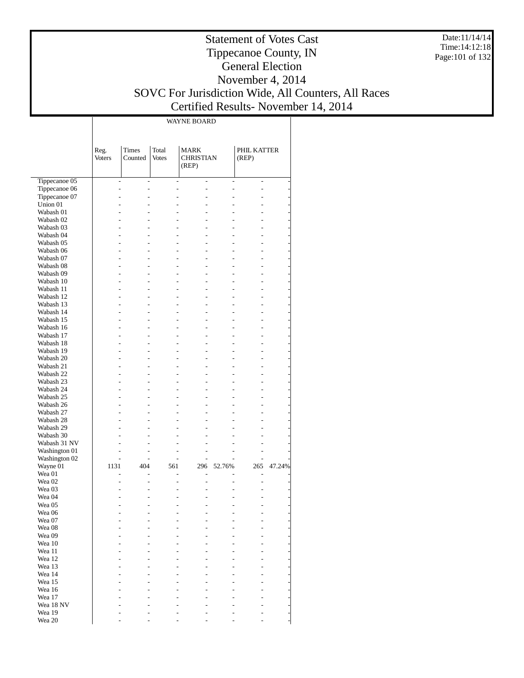Date:11/14/14 Time:14:12:18 Page:101 of 132

#### Statement of Votes Cast Tippecanoe County, IN General Election November 4, 2014 SOVC For Jurisdiction Wide, All Counters, All Races Certified Results- November 14, 2014

WAYNE BOARD

|                   | Reg.<br>Voters           | Times<br>Counted | Total<br><b>Votes</b>                      | <b>MARK</b><br><b>CHRISTIAN</b><br>(REP) |                | PHIL KATTER<br>(REP) |        |
|-------------------|--------------------------|------------------|--------------------------------------------|------------------------------------------|----------------|----------------------|--------|
| Tippecanoe 05     | $\overline{\phantom{a}}$ |                  | $\overline{a}$<br>$\overline{\phantom{a}}$ | $\overline{\phantom{a}}$                 | $\overline{a}$ | $\overline{a}$       |        |
| Tippecanoe 06     | L.                       |                  | $\overline{a}$<br>$\overline{a}$           | $\overline{a}$                           | $\overline{a}$ | $\overline{a}$       |        |
| Tippecanoe 07     | L.                       |                  | $\overline{a}$<br>$\overline{a}$           | $\overline{a}$                           | $\overline{a}$ | $\overline{a}$       |        |
| Union 01          | $\overline{a}$           |                  | $\overline{a}$<br>$\overline{a}$           | $\overline{a}$                           | $\overline{a}$ | $\overline{a}$       |        |
| Wabash 01         | L.                       |                  | $\overline{a}$<br>$\overline{a}$           | $\overline{a}$                           | $\overline{a}$ | $\overline{a}$       |        |
| Wabash 02         | u                        |                  | $\overline{a}$<br>$\overline{a}$           | $\overline{a}$                           | $\overline{a}$ | $\overline{a}$       |        |
| Wabash 03         | L.                       |                  | $\overline{a}$<br>$\overline{a}$           | $\overline{a}$                           | $\overline{a}$ | $\overline{a}$       |        |
| Wabash 04         | L.                       |                  | $\overline{a}$<br>$\overline{a}$           | $\overline{a}$                           | $\overline{a}$ | $\overline{a}$       |        |
| Wabash 05         | L.                       |                  | $\overline{a}$<br>$\overline{a}$           | $\overline{a}$                           | $\overline{a}$ | $\overline{a}$       |        |
| Wabash 06         | L.                       |                  | $\overline{a}$<br>$\overline{a}$           | $\overline{a}$                           | $\overline{a}$ | $\overline{a}$       |        |
| Wabash 07         | L.                       |                  | $\overline{a}$<br>$\overline{a}$           | $\overline{a}$                           | $\overline{a}$ | $\overline{a}$       |        |
| Wabash 08         | L.                       |                  | $\overline{a}$<br>$\overline{a}$           | $\overline{a}$                           | $\overline{a}$ | $\overline{a}$       |        |
| Wabash 09         | L.                       |                  | $\overline{a}$<br>$\overline{a}$           | $\overline{a}$                           | $\overline{a}$ | $\overline{a}$       |        |
| Wabash 10         | L.                       |                  | $\overline{a}$<br>$\overline{a}$           | $\overline{a}$                           | $\overline{a}$ | $\overline{a}$       |        |
| Wabash 11         | L.                       |                  | $\overline{a}$<br>$\overline{a}$           | $\overline{a}$                           | $\overline{a}$ | $\overline{a}$       |        |
| Wabash 12         | L.                       |                  | $\overline{a}$<br>$\overline{a}$           | $\overline{a}$                           | $\overline{a}$ | $\overline{a}$       |        |
| Wabash 13         | L.                       |                  | $\overline{a}$<br>$\overline{a}$           | $\overline{a}$                           | $\overline{a}$ | $\overline{a}$       |        |
| Wabash 14         | $\overline{a}$           |                  | $\overline{a}$<br>$\overline{a}$           | $\overline{a}$                           | $\overline{a}$ | $\overline{a}$       |        |
| Wabash 15         | L.                       |                  | $\overline{a}$<br>$\overline{a}$           | $\overline{a}$                           | $\overline{a}$ | $\overline{a}$       |        |
| Wabash 16         | L.                       |                  | $\overline{a}$<br>$\overline{a}$           | $\overline{a}$                           | $\overline{a}$ | $\overline{a}$       |        |
| Wabash 17         | L.                       |                  | $\overline{a}$<br>$\overline{a}$           | $\overline{a}$                           | $\overline{a}$ | $\overline{a}$       |        |
| Wabash 18         | $\overline{a}$           |                  | $\overline{a}$<br>$\overline{a}$           | $\overline{a}$                           | $\overline{a}$ | $\overline{a}$       |        |
| Wabash 19         | L.                       |                  | $\overline{a}$<br>$\overline{a}$           | $\overline{a}$                           | $\overline{a}$ | $\overline{a}$       |        |
| Wabash 20         | L.                       |                  | $\overline{a}$<br>$\overline{a}$           | $\overline{a}$                           | $\overline{a}$ | $\overline{a}$       |        |
| Wabash 21         | L.                       |                  | $\overline{a}$<br>$\overline{a}$           | $\overline{a}$                           | $\overline{a}$ | $\overline{a}$       |        |
| Wabash 22         | $\overline{a}$           |                  | $\overline{a}$<br>$\overline{a}$           | $\overline{a}$                           | $\overline{a}$ | $\overline{a}$       |        |
| Wabash 23         | L.                       |                  | $\overline{a}$<br>$\overline{a}$           | $\overline{a}$                           | $\overline{a}$ | $\overline{a}$       |        |
| Wabash 24         | L.                       |                  | $\overline{a}$<br>$\overline{a}$           | $\overline{a}$                           | $\overline{a}$ | $\overline{a}$       |        |
| Wabash 25         | L.                       |                  | $\overline{a}$<br>$\overline{a}$           | $\overline{a}$                           | $\overline{a}$ | $\overline{a}$       |        |
| Wabash 26         | $\overline{a}$           |                  | $\overline{a}$<br>$\overline{a}$           | $\overline{a}$                           | $\overline{a}$ | $\overline{a}$       |        |
| Wabash 27         | L.                       |                  | $\overline{a}$<br>$\overline{a}$           | $\overline{a}$                           | $\overline{a}$ | $\overline{a}$       |        |
| Wabash 28         | L.                       |                  | $\overline{a}$<br>$\overline{a}$           | $\overline{a}$                           | $\overline{a}$ | $\overline{a}$       |        |
| Wabash 29         | L.                       |                  | $\overline{a}$<br>$\overline{a}$           | $\overline{a}$                           | $\overline{a}$ | $\overline{a}$       |        |
| Wabash 30         | u                        |                  | $\overline{a}$<br>$\overline{a}$           | $\overline{a}$                           | $\overline{a}$ | $\overline{a}$       |        |
| Wabash 31 NV      | $\overline{a}$           | $\overline{a}$   | $\overline{a}$                             | $\overline{a}$                           | $\overline{a}$ | $\overline{a}$       |        |
| Washington 01     | L.                       |                  | $\overline{a}$<br>L.                       | $\overline{a}$                           | $\overline{a}$ | $\overline{a}$       |        |
| Washington 02     | $\overline{a}$           |                  | $\overline{a}$<br>L.                       | $\overline{a}$                           | $\overline{a}$ | $\overline{a}$       |        |
| Wayne 01          | 1131                     | 404              | 561                                        | 296                                      | 52.76%         | 265                  | 47.24% |
| Wea 01            | L.                       |                  | $\overline{a}$<br>$\overline{a}$           | $\overline{a}$                           | L.             | L,                   |        |
| Wea <sub>02</sub> | L.                       |                  | $\overline{a}$<br>$\overline{a}$           | $\overline{a}$                           | $\overline{a}$ | $\overline{a}$       |        |
| Wea 03            | L.                       | $\overline{a}$   | $\overline{a}$                             | $\overline{a}$                           | $\overline{a}$ | $\overline{a}$       |        |
| Wea 04            |                          | $\overline{a}$   | $\overline{a}$                             | $\overline{a}$                           | $\overline{a}$ | $\overline{a}$       |        |
| Wea <sub>05</sub> | L.                       | $\overline{a}$   | L.                                         | $\overline{a}$                           | $\overline{a}$ | $\overline{a}$       |        |
| Wea 06            | ٠                        | ٠                | L.                                         | $\overline{a}$                           | $\overline{a}$ | $\overline{a}$       |        |
| Wea 07            |                          |                  |                                            |                                          |                |                      |        |
| Wea 08            |                          |                  |                                            |                                          |                |                      |        |
| Wea 09            |                          |                  |                                            |                                          |                |                      |        |
| Wea 10            |                          |                  |                                            |                                          |                |                      |        |
| Wea 11            |                          |                  |                                            |                                          |                |                      |        |
| Wea 12            |                          |                  |                                            |                                          |                |                      |        |
| Wea 13            |                          |                  |                                            |                                          |                |                      |        |
| Wea 14            |                          |                  |                                            |                                          |                |                      |        |
| Wea 15            |                          |                  |                                            |                                          |                |                      |        |
| Wea 16            |                          |                  |                                            |                                          |                |                      |        |
| Wea 17            |                          |                  |                                            |                                          |                |                      |        |
| Wea 18 NV         |                          |                  |                                            |                                          |                |                      |        |
| Wea 19            |                          |                  |                                            |                                          |                |                      |        |
| Wea 20            |                          |                  |                                            |                                          |                |                      |        |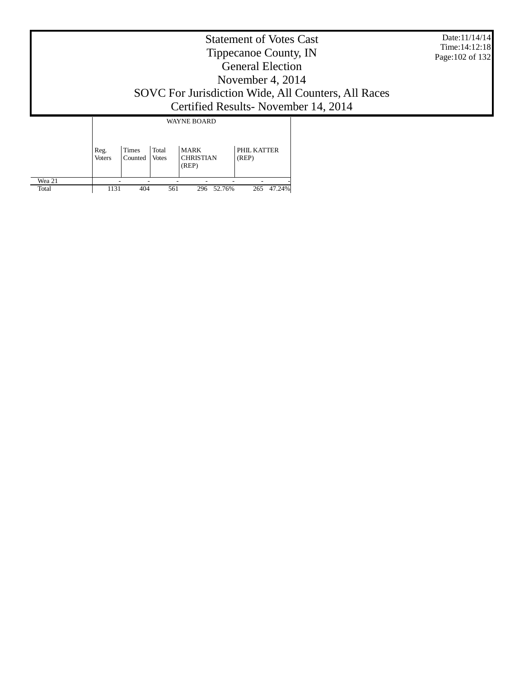|                 |                       |                  |                |                                          | <b>Statement of Votes Cast</b><br>Tippecanoe County, IN<br><b>General Election</b><br>November 4, 2014 |                                                                                              | Date:11/14/14<br>Time: 14:12:18<br>Page: 102 of 132 |
|-----------------|-----------------------|------------------|----------------|------------------------------------------|--------------------------------------------------------------------------------------------------------|----------------------------------------------------------------------------------------------|-----------------------------------------------------|
|                 |                       |                  |                |                                          |                                                                                                        | SOVC For Jurisdiction Wide, All Counters, All Races<br>Certified Results - November 14, 2014 |                                                     |
|                 |                       |                  |                | <b>WAYNE BOARD</b>                       |                                                                                                        |                                                                                              |                                                     |
|                 | Reg.<br><b>Voters</b> | Times<br>Counted | Total<br>Votes | <b>MARK</b><br><b>CHRISTIAN</b><br>(REP) | PHIL KATTER<br>(REP)                                                                                   |                                                                                              |                                                     |
| Wea 21<br>Total | 1131                  | 404              | 561            | 296 52.76%                               | 265 47.24%                                                                                             |                                                                                              |                                                     |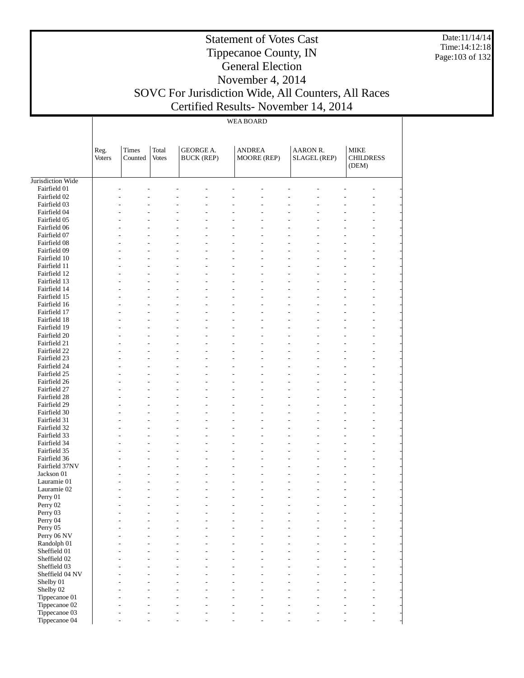Date:11/14/14 Time:14:12:18 Page:103 of 132

#### Statement of Votes Cast Tippecanoe County, IN General Election November 4, 2014 SOVC For Jurisdiction Wide, All Counters, All Races Certified Results- November 14, 2014

WEA BOARD

|                              | Reg.<br><b>Voters</b> | Times<br>Counted         | Total<br><b>Votes</b> | <b>GEORGE A.</b><br><b>BUCK (REP)</b>                                |                                  | <b>ANDREA</b><br>MOORE (REP)     | AARON R.<br><b>SLAGEL (REP)</b>  | <b>MIKE</b><br><b>CHILDRESS</b><br>(DEM)                     |
|------------------------------|-----------------------|--------------------------|-----------------------|----------------------------------------------------------------------|----------------------------------|----------------------------------|----------------------------------|--------------------------------------------------------------|
| Jurisdiction Wide            |                       |                          |                       |                                                                      |                                  |                                  |                                  |                                                              |
| Fairfield 01                 |                       |                          |                       |                                                                      |                                  |                                  |                                  |                                                              |
| Fairfield 02                 |                       |                          |                       |                                                                      |                                  |                                  |                                  |                                                              |
| Fairfield 03                 |                       | L.                       | $\overline{a}$        | $\overline{a}$<br>L,                                                 | $\overline{a}$                   | $\overline{a}$                   | Ĭ.<br>۳                          | ÷,                                                           |
| Fairfield 04                 |                       |                          |                       |                                                                      | $\overline{a}$                   | $\overline{a}$                   |                                  | $\overline{a}$                                               |
| Fairfield 05                 |                       |                          |                       | $\overline{a}$<br>$\overline{a}$                                     | $\overline{a}$                   | $\overline{a}$                   | Ĭ.<br>۳                          | $\overline{\phantom{a}}$                                     |
| Fairfield 06                 |                       |                          |                       |                                                                      | $\overline{a}$                   | $\overline{a}$                   |                                  | ÷,                                                           |
| Fairfield 07                 |                       |                          | $\overline{a}$        | $\overline{a}$<br>L,                                                 | $\overline{a}$                   | $\overline{a}$                   | L,<br>$\overline{a}$             | $\overline{a}$<br>$\overline{\phantom{a}}$                   |
| Fairfield 08                 |                       |                          |                       |                                                                      | $\overline{a}$                   | $\overline{a}$                   |                                  | ÷,                                                           |
| Fairfield 09                 |                       | L.                       | $\overline{a}$        | $\overline{a}$<br>$\overline{a}$                                     | $\overline{a}$                   | $\overline{a}$                   | L,<br>$\overline{a}$             | $\overline{a}$<br>$\overline{\phantom{a}}$                   |
| Fairfield 10                 |                       |                          |                       |                                                                      | $\overline{a}$                   | $\overline{a}$                   |                                  | ÷,                                                           |
| Fairfield 11                 |                       | $\overline{\phantom{a}}$ | $\overline{a}$        | $\overline{a}$<br>L,                                                 | $\overline{a}$<br>$\overline{a}$ | $\overline{a}$<br>$\overline{a}$ | L,<br>$\overline{a}$             | $\overline{a}$<br>$\overline{\phantom{a}}$                   |
| Fairfield 12<br>Fairfield 13 |                       | L.                       | $\overline{a}$        | $\overline{a}$<br>$\overline{a}$                                     | $\overline{a}$                   | $\overline{a}$                   | $\overline{a}$<br>L,             | $\overline{a}$<br>$\overline{a}$<br>$\overline{\phantom{a}}$ |
| Fairfield 14                 |                       |                          |                       |                                                                      | $\overline{a}$                   | $\overline{a}$                   |                                  | ÷,                                                           |
| Fairfield 15                 |                       | $\overline{\phantom{a}}$ | $\overline{a}$        | $\overline{a}$<br>L,                                                 | $\overline{a}$                   | $\overline{a}$                   | L,<br>$\overline{a}$             | $\overline{a}$<br>$\overline{\phantom{a}}$                   |
| Fairfield 16                 |                       |                          |                       | $\overline{a}$<br>$\overline{a}$                                     | $\overline{a}$                   | $\overline{a}$                   |                                  | $\overline{a}$                                               |
| Fairfield 17                 |                       | L.                       | $\overline{a}$        | $\overline{a}$<br>$\overline{a}$                                     | $\overline{a}$                   | $\overline{a}$                   | L,<br>$\overline{a}$             | $\overline{a}$<br>$\overline{\phantom{a}}$                   |
| Fairfield 18                 |                       |                          |                       |                                                                      | $\overline{a}$                   | $\overline{a}$                   |                                  | ÷,                                                           |
| Fairfield 19                 |                       | $\overline{\phantom{a}}$ | $\overline{a}$        | $\overline{a}$<br>L,                                                 | $\overline{a}$                   | $\overline{a}$                   | L,<br>$\overline{a}$             | $\overline{a}$<br>$\overline{\phantom{a}}$                   |
| Fairfield 20                 |                       |                          |                       | $\overline{a}$<br>$\overline{a}$                                     | $\overline{a}$                   | $\overline{a}$                   |                                  | $\overline{a}$                                               |
| Fairfield 21                 |                       | L.                       | $\overline{a}$        | $\overline{a}$<br>$\overline{a}$                                     | $\overline{a}$                   | $\overline{a}$                   | L,<br>$\overline{a}$             | $\overline{a}$<br>$\overline{\phantom{a}}$                   |
| Fairfield 22                 |                       |                          |                       |                                                                      | $\overline{a}$                   | $\overline{a}$                   |                                  | ÷,                                                           |
| Fairfield 23                 |                       | $\overline{\phantom{a}}$ | $\overline{a}$        | $\overline{a}$<br>L,                                                 | $\overline{a}$                   | $\overline{a}$                   | L,<br>$\overline{a}$             | $\overline{a}$<br>$\overline{\phantom{a}}$                   |
| Fairfield 24                 |                       |                          |                       | $\overline{a}$<br>$\overline{a}$                                     | $\overline{a}$                   | $\overline{a}$                   |                                  | $\overline{a}$                                               |
| Fairfield 25                 |                       | L.                       | $\overline{a}$        | $\overline{a}$<br>$\overline{a}$                                     | $\overline{a}$                   | $\overline{a}$                   | L,<br>$\overline{a}$             | $\overline{a}$<br>$\overline{\phantom{a}}$                   |
| Fairfield 26                 |                       |                          |                       |                                                                      | $\overline{a}$                   | $\overline{a}$                   |                                  | ÷,                                                           |
| Fairfield 27                 |                       | $\overline{\phantom{a}}$ | $\overline{a}$        | $\overline{a}$<br>L,                                                 | $\overline{a}$                   | $\overline{a}$                   | L,<br>$\overline{a}$             | $\overline{a}$<br>$\overline{\phantom{a}}$                   |
| Fairfield 28                 |                       |                          |                       | $\overline{a}$<br>$\overline{a}$                                     | $\overline{a}$                   | $\overline{a}$                   |                                  | $\overline{a}$                                               |
| Fairfield 29                 |                       | L.                       | $\overline{a}$        | $\overline{a}$<br>$\overline{a}$                                     | $\overline{a}$                   | $\overline{a}$                   | L,<br>$\overline{a}$             | $\overline{a}$<br>$\overline{\phantom{a}}$                   |
| Fairfield 30                 |                       |                          |                       |                                                                      | $\overline{a}$                   | $\overline{a}$                   |                                  | ÷,                                                           |
| Fairfield 31                 |                       | $\overline{\phantom{a}}$ | $\overline{a}$        | $\overline{a}$<br>L,                                                 | $\overline{a}$                   | $\overline{a}$                   | L,<br>$\overline{a}$             | $\overline{a}$<br>$\overline{\phantom{a}}$                   |
| Fairfield 32                 |                       |                          |                       | $\overline{a}$<br>$\overline{a}$                                     | $\overline{a}$                   | $\overline{a}$                   |                                  | $\overline{a}$                                               |
| Fairfield 33                 |                       | $\overline{\phantom{a}}$ | $\overline{a}$        | $\overline{a}$<br>$\overline{a}$                                     | $\overline{a}$                   | $\overline{a}$                   | L,<br>$\overline{a}$             | $\overline{a}$<br>$\overline{\phantom{a}}$                   |
| Fairfield 34                 |                       |                          |                       |                                                                      | $\overline{a}$                   | $\overline{a}$                   |                                  | ÷,                                                           |
| Fairfield 35                 |                       | $\overline{\phantom{a}}$ | $\overline{a}$        | $\overline{a}$<br>L,                                                 | $\overline{a}$                   | $\overline{a}$                   | L,<br>$\overline{a}$             | $\overline{a}$<br>$\overline{\phantom{a}}$                   |
| Fairfield 36                 |                       |                          |                       | $\overline{a}$<br>$\overline{a}$                                     | $\overline{a}$                   | $\overline{a}$                   |                                  | $\overline{a}$                                               |
| Fairfield 37NV               |                       |                          | $\overline{a}$        | $\overline{a}$<br>$\overline{a}$                                     | $\overline{a}$                   | $\overline{a}$                   | L,<br>$\overline{a}$             | $\overline{a}$<br>$\overline{\phantom{a}}$                   |
| Jackson 01                   |                       |                          |                       |                                                                      | $\overline{a}$                   | $\overline{a}$                   |                                  | ÷,                                                           |
| Lauramie 01                  |                       |                          | $\overline{a}$        | $\overline{a}$<br>$\overline{a}$<br>$\overline{a}$<br>$\overline{a}$ | $\overline{a}$<br>$\overline{a}$ | $\overline{a}$<br>$\overline{a}$ | L,<br>$\overline{a}$             | $\overline{a}$<br>$\overline{\phantom{a}}$                   |
| Lauramie 02                  |                       |                          |                       | $\overline{a}$<br>L,                                                 | $\overline{a}$                   | $\overline{a}$                   | ÷.                               | ÷,<br>$\overline{a}$<br>$\overline{a}$                       |
| Perry 01<br>Perry 02         |                       |                          |                       | $\overline{a}$                                                       | L.                               | $\overline{a}$                   |                                  | $\overline{a}$                                               |
|                              |                       |                          |                       |                                                                      |                                  |                                  |                                  | ٠                                                            |
| Perry 03<br>Perry 04         |                       | ٠                        | $\overline{a}$        | $\overline{a}$<br>$\overline{a}$                                     | $\overline{a}$                   |                                  | L<br>÷                           | ÷,                                                           |
| Perry 05                     |                       | ۰                        | $\overline{a}$        | $\overline{a}$<br>$\sim$                                             | $\overline{a}$                   | $\overline{a}$                   | $\overline{a}$<br>$\overline{a}$ | $\overline{a}$                                               |
| Perry 06 NV                  |                       |                          | $\overline{a}$        | $\overline{a}$<br>$\overline{a}$                                     | $\overline{a}$                   | $\overline{a}$                   | $\overline{a}$<br>$\overline{a}$ | ÷,                                                           |
| Randolph 01                  |                       |                          | $\overline{a}$        | $\overline{a}$<br>$\overline{a}$                                     | $\overline{a}$                   | $\overline{a}$                   | ÷,<br>$\overline{a}$             | $\overline{\phantom{a}}$                                     |
| Sheffield 01                 |                       |                          |                       | $\overline{a}$                                                       |                                  | L.                               | ÷<br>L                           | ÷,                                                           |
| Sheffield 02                 |                       |                          | $\overline{a}$        | $\overline{a}$                                                       | $\overline{a}$                   |                                  | L,<br>$\overline{a}$             | $\overline{a}$                                               |
| Sheffield 03                 |                       |                          |                       |                                                                      | $\overline{a}$                   |                                  |                                  | L,                                                           |
| Sheffield 04 NV              |                       |                          | $\overline{a}$        | $\overline{a}$<br>$\overline{a}$                                     | $\overline{a}$                   | $\overline{\phantom{a}}$         | ÷.<br>$\overline{a}$             | $\overline{a}$                                               |
| Shelby 01                    |                       |                          |                       |                                                                      | $\overline{a}$                   |                                  | ۳                                | $\overline{a}$                                               |
| Shelby 02                    |                       |                          |                       |                                                                      | $\overline{a}$                   |                                  |                                  | $\overline{a}$                                               |
| Tippecanoe 01                |                       |                          |                       |                                                                      | $\overline{a}$                   |                                  |                                  | ÷,                                                           |
| Tippecanoe 02                |                       |                          | $\overline{a}$        | L,                                                                   | $\overline{a}$                   | $\overline{a}$                   | L,<br>۳                          | $\overline{\phantom{a}}$                                     |
| Tippecanoe 03                |                       | ٠                        |                       | $\overline{a}$                                                       | $\overline{a}$                   |                                  | ÷.                               | $\overline{\phantom{a}}$                                     |
| Tippecanoe 04                |                       | L,                       | $\overline{a}$        | L,<br>$\overline{a}$                                                 | $\overline{a}$                   | $\overline{\phantom{a}}$         | L,<br>$\overline{a}$             | $\overline{\phantom{a}}$<br>$\overline{a}$                   |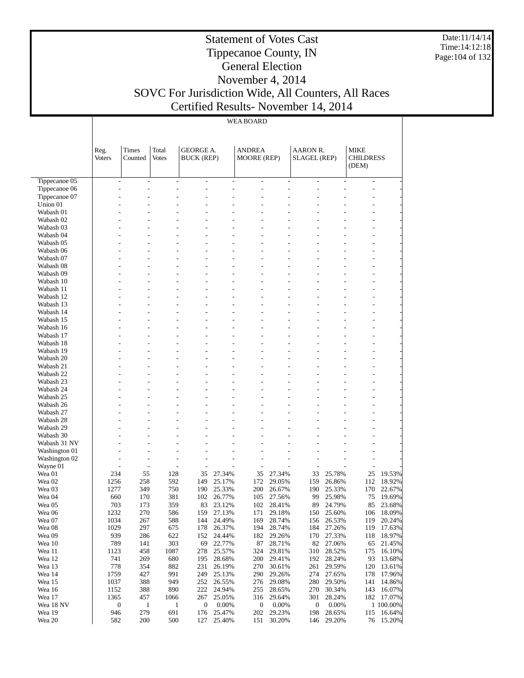Date:11/14/14 Time:14:12:18 Page:104 of 132

#### Statement of Votes Cast Tippecanoe County, IN General Election November 4, 2014 SOVC For Jurisdiction Wide, All Counters, All Races Certified Results- November 14, 2014

WEA BOARD

|                        | Reg.          | Times                            | Total                            | <b>GEORGE A.</b>  |                      | <b>ANDREA</b>      |                  | AARON R.            |                  | MIKE                      |                  |
|------------------------|---------------|----------------------------------|----------------------------------|-------------------|----------------------|--------------------|------------------|---------------------|------------------|---------------------------|------------------|
|                        | <b>Voters</b> | Counted                          | <b>Votes</b>                     | <b>BUCK (REP)</b> |                      | <b>MOORE</b> (REP) |                  | <b>SLAGEL</b> (REP) |                  | <b>CHILDRESS</b><br>(DEM) |                  |
| Tippecanoe 05          |               | $\overline{a}$                   | $\overline{a}$                   |                   | $\overline{a}$       |                    |                  |                     |                  | ÷.                        |                  |
| Tippecanoe 06          |               | L.                               | L,<br>$\overline{a}$             | $\overline{a}$    | $\overline{a}$       | $\overline{a}$     | $\overline{a}$   |                     |                  | ÷.                        |                  |
| Tippecanoe 07          |               |                                  |                                  |                   |                      |                    |                  |                     |                  | L,                        |                  |
| Union 01               |               |                                  | J.<br>L.                         |                   |                      |                    |                  |                     |                  | L.                        |                  |
| Wabash 01              |               |                                  |                                  |                   |                      |                    |                  |                     |                  | L,                        |                  |
| Wabash 02              |               |                                  | L,                               |                   | $\overline{a}$       |                    |                  |                     |                  | ÷.                        |                  |
| Wabash 03              |               |                                  | ۳                                |                   |                      |                    |                  |                     |                  | L.<br>L.                  |                  |
| Wabash 04<br>Wabash 05 |               |                                  |                                  |                   |                      |                    |                  |                     |                  | L.                        |                  |
| Wabash 06              |               |                                  | L.<br>L.                         |                   | $\overline{a}$       | $\overline{a}$     | ÷                |                     |                  | $\overline{a}$            |                  |
| Wabash 07              |               |                                  |                                  |                   | L.                   |                    |                  |                     |                  | L.                        |                  |
| Wabash 08              |               |                                  | ۳                                |                   | $\overline{a}$       |                    |                  |                     |                  | L.                        |                  |
| Wabash 09              |               |                                  |                                  |                   | L.                   |                    |                  |                     |                  | L.                        |                  |
| Wabash 10              |               |                                  | L.<br>L.                         |                   | $\overline{a}$       | $\overline{a}$     | ÷                |                     |                  | ÷.                        |                  |
| Wabash 11              |               |                                  |                                  |                   | L.                   |                    |                  |                     |                  | L.                        |                  |
| Wabash 12              |               |                                  | ۳                                |                   | $\overline{a}$       |                    |                  |                     |                  | L.                        |                  |
| Wabash 13              |               |                                  |                                  |                   | L.                   |                    |                  |                     |                  | L.                        |                  |
| Wabash 14              |               |                                  | L.<br>L.                         |                   | $\overline{a}$<br>L. | $\overline{a}$     | ÷                |                     |                  | ÷.<br>L.                  |                  |
| Wabash 15<br>Wabash 16 |               |                                  | ۳                                |                   |                      |                    |                  |                     |                  | L.                        |                  |
| Wabash 17              |               |                                  |                                  |                   | L.                   |                    |                  |                     |                  | L.                        |                  |
| Wabash 18              |               |                                  | L.<br>L.                         |                   | $\overline{a}$       | $\overline{a}$     | ÷                |                     |                  | $\overline{a}$            |                  |
| Wabash 19              |               |                                  |                                  |                   | L.                   |                    |                  |                     |                  | L.                        |                  |
| Wabash 20              |               |                                  | ۳                                |                   |                      |                    |                  |                     |                  | L.                        |                  |
| Wabash 21              |               |                                  |                                  |                   | L.                   |                    |                  |                     |                  | L.                        |                  |
| Wabash 22              |               |                                  | L.<br>L.                         |                   | $\overline{a}$       | $\overline{a}$     | ÷                |                     |                  | ÷.                        |                  |
| Wabash 23              |               |                                  |                                  |                   | L.                   |                    |                  |                     |                  | L.                        |                  |
| Wabash 24              |               |                                  | ۳                                |                   |                      |                    |                  |                     |                  | L.                        |                  |
| Wabash 25              |               |                                  |                                  |                   |                      |                    |                  |                     |                  | L.                        |                  |
| Wabash 26              |               |                                  | L.<br>L.                         |                   | $\overline{a}$       | $\overline{a}$     | ÷                |                     |                  | ÷.<br>L.                  |                  |
| Wabash 27<br>Wabash 28 |               |                                  | ۳                                |                   |                      |                    |                  |                     |                  | L.                        |                  |
| Wabash 29              |               |                                  |                                  |                   |                      |                    |                  |                     |                  | L.                        |                  |
| Wabash 30              |               |                                  | J.<br>L.                         |                   |                      |                    |                  |                     |                  | ÷.                        |                  |
| Wabash 31 NV           |               |                                  |                                  |                   |                      |                    |                  |                     |                  | L.                        |                  |
| Washington 01          |               |                                  | L,                               |                   |                      |                    |                  |                     |                  | ÷.                        |                  |
| Washington 02          |               |                                  | L.<br>L.                         | $\overline{a}$    |                      |                    |                  |                     |                  | L.                        |                  |
| Wayne 01               |               |                                  | $\overline{a}$<br>$\overline{a}$ | $\overline{a}$    |                      | L,                 |                  |                     |                  | L,                        |                  |
| Wea 01                 | 234           | 55                               | 128                              | 35                | 27.34%               | 35                 | 27.34%           | 33                  | 25.78%           | 25                        | 19.53%           |
| Wea <sub>02</sub>      | 1256          | 258                              | 592                              | 149               | 25.17%               | 172                | 29.05%           | 159                 | 26.86%           | 112                       | 18.92%           |
| Wea 03<br>Wea 04       | 1277          | 349                              | 750                              | 190               | 25.33%               | 200                | 26.67%<br>27.56% | 190                 | 25.33%<br>25.98% | 170                       | 22.67%<br>19.69% |
| Wea 05                 | 660<br>703    | 170<br>173                       | 381<br>359                       | 102<br>83         | 26.77%<br>23.12%     | 105<br>102         | 28.41%           | 99<br>89            | 24.79%           | 75<br>85                  | 23.68%           |
| Wea 06                 | 1232          | 270                              | 586                              | 159               | 27.13%               | 171                | 29.18%           | 150                 | 25.60%           | 106                       | 18.09%           |
| Wea 07                 | 1034          | 267                              | 588                              | 144               | 24.49%               | 169                | 28.74%           | 156                 | 26.53%           | 119                       | 20.24%           |
| Wea 08                 | 1029          | 297                              | 675                              | 178               | 26.37%               | 194                | 28.74%           | 184                 | 27.26%           | 119                       | 17.63%           |
| Wea 09                 | 939           | 286                              | 622                              | 152               | 24.44%               | 182                | 29.26%           | 170                 | 27.33%           | 118                       | 18.97%           |
| Wea 10                 | 789           | 141                              | 303                              | 69                | 22.77%               | 87                 | 28.71%           | 82                  | 27.06%           | 65                        | 21.45%           |
| Wea 11                 | 1123          | 458                              | 1087                             | 278               | 25.57%               | 324                | 29.81%           | 310                 | 28.52%           | 175                       | 16.10%           |
| Wea 12                 | 741           | 269                              | 680                              | 195               | 28.68%               | 200                | 29.41%           | 192                 | 28.24%           | 93                        | 13.68%           |
| Wea 13                 | 778           | 354                              | 882                              | 231               | 26.19%               | 270                | 30.61%           | 261                 | 29.59%           | 120                       | 13.61%           |
| Wea 14                 | 1759          | 427                              | 991                              | 249               | 25.13%               | 290                | 29.26%           | 274                 | 27.65%           | 178                       | 17.96%           |
| Wea 15<br>Wea 16       | 1037<br>1152  | 388<br>388                       | 949<br>890                       | 252<br>222        | 26.55%<br>24.94%     | 276<br>255         | 29.08%<br>28.65% | 280<br>270          | 29.50%<br>30.34% | 141<br>143                | 14.86%<br>16.07% |
| Wea 17                 | 1365          | 457                              | 1066                             | 267               | 25.05%               | 316                | 29.64%           | 301                 | 28.24%           | 182                       | 17.07%           |
| Wea 18 NV              |               | $\boldsymbol{0}$<br>$\mathbf{1}$ | $\mathbf{1}$                     | 0                 | 0.00%                | $\boldsymbol{0}$   | 0.00%            | 0                   | 0.00%            |                           | 1 100.00%        |
| Wea 19                 | 946           | 279                              | 691                              | 176               | 25.47%               | 202                | 29.23%           | 198                 | 28.65%           | 115                       | 16.64%           |
| Wea 20                 | 582           | 200                              | 500                              | 127               | 25.40%               | 151                | 30.20%           | 146                 | 29.20%           | 76                        | 15.20%           |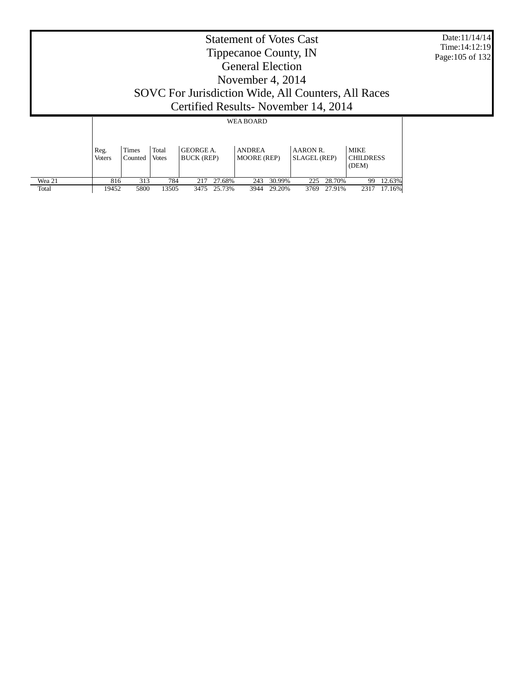|                                                                                                                                                                                                                     | <b>Statement of Votes Cast</b><br>Tippecanoe County, IN<br><b>General Election</b><br>November 4, $2014$<br>SOVC For Jurisdiction Wide, All Counters, All Races<br>Certified Results-November 14, 2014<br><b>WEA BOARD</b> |      |       |     |             |     |             |     |             |    |             |  |  |
|---------------------------------------------------------------------------------------------------------------------------------------------------------------------------------------------------------------------|----------------------------------------------------------------------------------------------------------------------------------------------------------------------------------------------------------------------------|------|-------|-----|-------------|-----|-------------|-----|-------------|----|-------------|--|--|
|                                                                                                                                                                                                                     |                                                                                                                                                                                                                            |      |       |     |             |     |             |     |             |    |             |  |  |
| Total<br><b>GEORGE A.</b><br><b>MIKE</b><br>Times<br><b>ANDREA</b><br>AARON R.<br>Reg.<br><b>CHILDRESS</b><br><b>BUCK (REP)</b><br><b>MOORE</b> (REP)<br>SLAGEL (REP)<br>Votes<br><b>Voters</b><br>Counted<br>(DEM) |                                                                                                                                                                                                                            |      |       |     |             |     |             |     |             |    |             |  |  |
| Wea 21                                                                                                                                                                                                              | 816                                                                                                                                                                                                                        | 313  | 784   | 217 | 27.68%      | 243 | 30.99%      | 225 | 28.70%      | 99 | 12.63%      |  |  |
| Total                                                                                                                                                                                                               | 19452                                                                                                                                                                                                                      | 5800 | 13505 |     | 3475 25.73% |     | 3944 29.20% |     | 3769 27.91% |    | 2317 17.16% |  |  |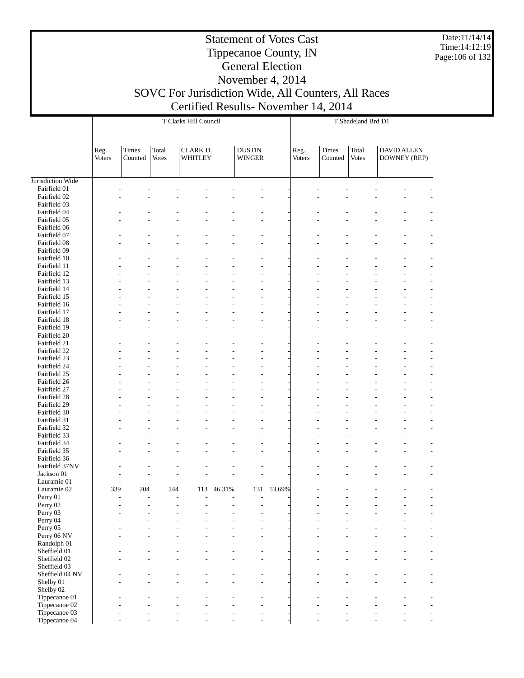Date:11/14/14 Time:14:12:19 Page:106 of 132

т

# General Election

# November 4, 2014

Statement of Votes Cast Tippecanoe County, IN

# SOVC For Jurisdiction Wide, All Counters, All Races

Certified Results- November 14, 2014 T Clarks Hill Council T

|                                   |                |                  |                       | T Clarks Hill Council |        |                                | T Shadeland Brd D1 |                |                  |                       |                                    |  |  |  |
|-----------------------------------|----------------|------------------|-----------------------|-----------------------|--------|--------------------------------|--------------------|----------------|------------------|-----------------------|------------------------------------|--|--|--|
|                                   |                |                  |                       |                       |        |                                |                    |                |                  |                       |                                    |  |  |  |
|                                   |                |                  |                       |                       |        |                                |                    |                |                  |                       |                                    |  |  |  |
|                                   | Reg.<br>Voters | Times<br>Counted | Total<br><b>Votes</b> | CLARK D.<br>WHITLEY   |        | <b>DUSTIN</b><br><b>WINGER</b> |                    | Reg.<br>Voters | Times<br>Counted | Total<br><b>Votes</b> | <b>DAVID ALLEN</b><br>DOWNEY (REP) |  |  |  |
|                                   |                |                  |                       |                       |        |                                |                    |                |                  |                       |                                    |  |  |  |
|                                   |                |                  |                       |                       |        |                                |                    |                |                  |                       |                                    |  |  |  |
| Jurisdiction Wide<br>Fairfield 01 |                |                  |                       |                       |        |                                |                    |                |                  |                       |                                    |  |  |  |
| Fairfield 02                      |                |                  |                       |                       |        |                                |                    |                |                  |                       |                                    |  |  |  |
| Fairfield 03                      |                |                  |                       |                       |        |                                |                    |                |                  |                       |                                    |  |  |  |
| Fairfield 04                      |                |                  |                       |                       |        |                                |                    |                |                  |                       |                                    |  |  |  |
| Fairfield 05                      |                |                  |                       |                       |        |                                |                    |                |                  |                       |                                    |  |  |  |
| Fairfield 06                      |                |                  |                       |                       |        |                                |                    |                |                  |                       |                                    |  |  |  |
| Fairfield 07                      |                |                  |                       |                       |        |                                |                    |                |                  |                       |                                    |  |  |  |
| Fairfield 08                      |                |                  |                       |                       |        |                                |                    |                |                  |                       |                                    |  |  |  |
| Fairfield 09                      |                |                  |                       |                       |        |                                |                    |                |                  |                       |                                    |  |  |  |
| Fairfield 10                      |                |                  |                       |                       |        |                                |                    |                |                  |                       |                                    |  |  |  |
| Fairfield 11<br>Fairfield 12      |                |                  |                       |                       |        |                                |                    |                |                  |                       |                                    |  |  |  |
| Fairfield 13                      |                |                  |                       |                       |        |                                |                    |                |                  |                       |                                    |  |  |  |
| Fairfield 14                      |                |                  |                       |                       |        |                                |                    |                |                  |                       |                                    |  |  |  |
| Fairfield 15                      |                |                  |                       |                       |        |                                |                    |                |                  |                       |                                    |  |  |  |
| Fairfield 16                      |                |                  |                       |                       |        |                                |                    |                |                  |                       |                                    |  |  |  |
| Fairfield 17                      |                |                  |                       |                       |        |                                |                    |                |                  |                       |                                    |  |  |  |
| Fairfield 18                      |                |                  |                       |                       |        |                                |                    |                |                  |                       |                                    |  |  |  |
| Fairfield 19                      |                |                  |                       |                       |        |                                |                    |                |                  |                       |                                    |  |  |  |
| Fairfield 20                      |                |                  |                       |                       |        |                                |                    |                |                  |                       |                                    |  |  |  |
| Fairfield 21                      |                |                  |                       |                       |        |                                |                    |                |                  |                       |                                    |  |  |  |
| Fairfield 22                      |                |                  |                       |                       |        |                                |                    |                |                  |                       |                                    |  |  |  |
| Fairfield 23<br>Fairfield 24      |                |                  |                       |                       |        |                                |                    |                |                  |                       |                                    |  |  |  |
| Fairfield 25                      |                |                  |                       |                       |        |                                |                    |                |                  |                       |                                    |  |  |  |
| Fairfield 26                      |                |                  |                       |                       |        |                                |                    |                |                  |                       |                                    |  |  |  |
| Fairfield 27                      |                |                  |                       |                       |        |                                |                    |                |                  |                       |                                    |  |  |  |
| Fairfield 28                      |                |                  |                       |                       |        |                                |                    |                |                  |                       |                                    |  |  |  |
| Fairfield 29                      |                |                  |                       |                       |        |                                |                    |                |                  |                       |                                    |  |  |  |
| Fairfield 30                      |                |                  |                       |                       |        |                                |                    |                |                  |                       |                                    |  |  |  |
| Fairfield 31                      |                |                  |                       |                       |        |                                |                    |                |                  |                       |                                    |  |  |  |
| Fairfield 32                      |                |                  |                       |                       |        |                                |                    |                |                  |                       |                                    |  |  |  |
| Fairfield 33                      |                |                  |                       |                       |        |                                |                    |                |                  |                       |                                    |  |  |  |
| Fairfield 34                      |                |                  |                       |                       |        |                                |                    |                |                  |                       |                                    |  |  |  |
| Fairfield 35<br>Fairfield 36      |                |                  |                       |                       |        |                                |                    |                |                  |                       |                                    |  |  |  |
| Fairfield 37NV                    |                |                  |                       |                       |        |                                |                    |                |                  |                       |                                    |  |  |  |
| Jackson 01                        |                |                  |                       |                       |        |                                |                    |                |                  |                       |                                    |  |  |  |
| Lauramie 01                       |                |                  |                       |                       |        |                                |                    |                |                  |                       |                                    |  |  |  |
| Lauramie 02                       | 339            | 204              | 244                   | 113                   | 46.31% | 131                            | 53.69%             |                |                  |                       |                                    |  |  |  |
| Perry 01                          |                |                  |                       |                       |        |                                |                    |                |                  |                       |                                    |  |  |  |
| Perry 02                          |                |                  |                       |                       |        |                                |                    |                |                  |                       |                                    |  |  |  |
| Perry 03                          |                |                  |                       |                       |        | L,                             |                    |                |                  |                       |                                    |  |  |  |
| Perry 04                          |                |                  |                       |                       |        | L,                             |                    |                |                  |                       |                                    |  |  |  |
| Perry 05<br>Perry 06 NV           |                |                  |                       |                       |        | L.                             |                    |                |                  |                       | $\overline{a}$                     |  |  |  |
| Randolph 01                       |                |                  |                       |                       |        |                                |                    |                |                  |                       |                                    |  |  |  |
| Sheffield 01                      |                |                  |                       |                       |        |                                |                    |                |                  |                       |                                    |  |  |  |
| Sheffield 02                      |                |                  |                       |                       |        |                                |                    |                |                  |                       |                                    |  |  |  |
| Sheffield 03                      |                |                  |                       |                       |        | L.                             |                    |                |                  |                       |                                    |  |  |  |
| Sheffield 04 NV                   |                |                  |                       |                       |        |                                |                    |                |                  |                       |                                    |  |  |  |
| Shelby 01                         |                |                  |                       |                       |        |                                |                    |                |                  |                       |                                    |  |  |  |
| Shelby 02                         |                |                  |                       |                       |        |                                |                    |                |                  |                       |                                    |  |  |  |
| Tippecanoe 01                     |                |                  |                       |                       |        | L.                             |                    |                |                  |                       | $\overline{a}$                     |  |  |  |
| Tippecanoe 02                     |                |                  |                       |                       |        | L.                             |                    |                |                  |                       |                                    |  |  |  |
| Tippecanoe 03<br>Tippecanoe 04    |                |                  |                       |                       |        |                                |                    |                |                  |                       |                                    |  |  |  |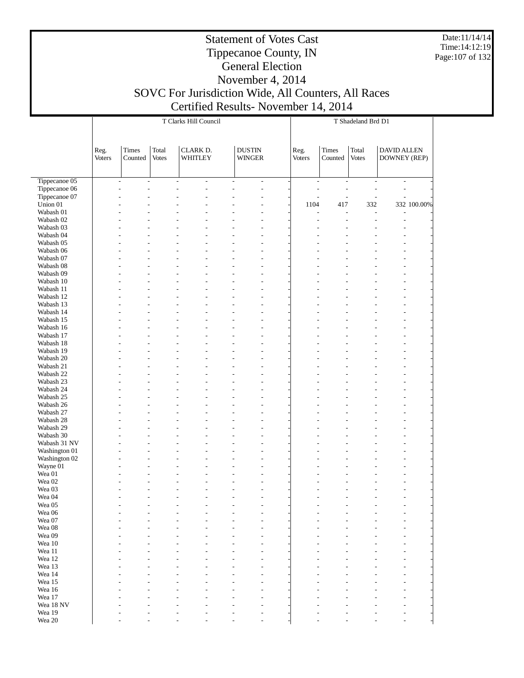Date:11/14/14 Time:14:12:19 Page:107 of 132

#### Statement of Votes Cast Tippecanoe County, IN General Election November 4, 2014

# SOVC For Jurisdiction Wide, All Counters, All Races Certified Results- November 14, 2014

|                             |                |                  |                       | T Clarks Hill Council                         |                                |                          | T Shadeland Brd D1       |                          |                          |                                    |             |  |  |
|-----------------------------|----------------|------------------|-----------------------|-----------------------------------------------|--------------------------------|--------------------------|--------------------------|--------------------------|--------------------------|------------------------------------|-------------|--|--|
|                             | Reg.<br>Voters | Times<br>Counted | Total<br><b>Votes</b> | CLARK D.<br>WHITLEY                           | <b>DUSTIN</b><br><b>WINGER</b> |                          | Reg.<br><b>Voters</b>    | Times<br>Counted         | Total<br><b>Votes</b>    | DAVID ALLEN<br><b>DOWNEY (REP)</b> |             |  |  |
| Tippecanoe 05               |                | $\blacksquare$   | $\frac{1}{2}$         | $\frac{1}{2}$<br>$\qquad \qquad \blacksquare$ | $\frac{1}{2}$                  | $\overline{\phantom{a}}$ | $\overline{\phantom{a}}$ | $\overline{\phantom{a}}$ | $\overline{\phantom{a}}$ | $\overline{\phantom{a}}$           |             |  |  |
| Tippecanoe 06               |                | L,               |                       | L                                             | $\overline{a}$                 |                          | $\overline{a}$           | $\overline{a}$           | Ĭ.                       | $\overline{a}$                     |             |  |  |
| Tippecanoe 07               |                |                  |                       | Ĭ.                                            | ÷,                             |                          | L,                       | $\overline{a}$           | $\overline{a}$           | $\overline{a}$                     |             |  |  |
| Union 01                    |                |                  |                       |                                               |                                |                          | 1104                     | 417                      | 332                      |                                    | 332 100.00% |  |  |
| Wabash 01<br>Wabash 02      |                |                  |                       |                                               |                                |                          | L                        | $\overline{a}$           | L,<br>L,                 | L,<br>$\overline{a}$               |             |  |  |
| Wabash 03                   |                |                  |                       | Ĭ.                                            |                                |                          |                          |                          | Ĭ.                       | $\overline{a}$                     |             |  |  |
| Wabash 04                   |                |                  |                       |                                               |                                |                          |                          |                          |                          |                                    |             |  |  |
| Wabash 05                   |                |                  |                       | Ĭ.                                            |                                |                          |                          |                          |                          |                                    |             |  |  |
| Wabash 06                   |                |                  |                       |                                               |                                |                          |                          |                          |                          |                                    |             |  |  |
| Wabash 07                   |                |                  |                       | Ĭ.                                            |                                |                          |                          |                          |                          | L,                                 |             |  |  |
| Wabash 08                   |                |                  |                       |                                               |                                |                          |                          |                          |                          |                                    |             |  |  |
| Wabash 09                   |                |                  |                       | Ĭ.                                            |                                |                          |                          |                          |                          |                                    |             |  |  |
| Wabash 10                   |                |                  |                       |                                               |                                |                          |                          |                          |                          |                                    |             |  |  |
| Wabash 11                   |                |                  |                       | L                                             |                                |                          |                          |                          |                          | L,                                 |             |  |  |
| Wabash 12<br>Wabash 13      |                |                  |                       |                                               |                                |                          |                          |                          |                          |                                    |             |  |  |
| Wabash 14                   |                |                  |                       |                                               |                                |                          |                          |                          |                          |                                    |             |  |  |
| Wabash 15                   |                |                  |                       | L                                             |                                |                          |                          |                          |                          | $\overline{a}$                     |             |  |  |
| Wabash 16                   |                |                  |                       |                                               |                                |                          |                          |                          |                          |                                    |             |  |  |
| Wabash 17                   |                |                  |                       |                                               |                                |                          |                          |                          |                          |                                    |             |  |  |
| Wabash 18                   |                |                  |                       |                                               |                                |                          |                          |                          |                          |                                    |             |  |  |
| Wabash 19                   |                |                  |                       | Ĭ.                                            |                                |                          |                          |                          |                          | $\overline{a}$                     |             |  |  |
| Wabash 20                   |                |                  |                       |                                               |                                |                          |                          |                          |                          |                                    |             |  |  |
| Wabash 21                   |                |                  |                       |                                               |                                |                          |                          |                          |                          |                                    |             |  |  |
| Wabash 22                   |                |                  |                       |                                               |                                |                          |                          |                          |                          |                                    |             |  |  |
| Wabash 23                   |                |                  |                       | Ĭ.                                            |                                |                          |                          |                          |                          | $\overline{a}$                     |             |  |  |
| Wabash 24<br>Wabash 25      |                |                  |                       | Ĭ.                                            |                                |                          |                          |                          |                          | L,                                 |             |  |  |
| Wabash 26                   |                |                  |                       |                                               |                                |                          |                          |                          |                          |                                    |             |  |  |
| Wabash 27                   |                |                  |                       | Ĭ.                                            |                                |                          |                          |                          |                          | L,                                 |             |  |  |
| Wabash 28                   |                |                  |                       |                                               |                                |                          |                          |                          |                          |                                    |             |  |  |
| Wabash 29                   |                |                  |                       | Ĭ.                                            |                                |                          |                          |                          |                          | ٠                                  |             |  |  |
| Wabash 30                   |                |                  |                       |                                               |                                |                          |                          |                          |                          |                                    |             |  |  |
| Wabash 31 NV                |                |                  |                       | L                                             |                                |                          |                          |                          |                          | L,                                 |             |  |  |
| Washington 01               |                |                  |                       |                                               |                                |                          |                          |                          |                          |                                    |             |  |  |
| Washington 02               |                |                  |                       | Ĭ.                                            |                                |                          |                          |                          |                          |                                    |             |  |  |
| Wayne 01                    |                |                  |                       | Ĭ.                                            |                                |                          |                          |                          |                          |                                    |             |  |  |
| Wea 01<br>Wea <sub>02</sub> |                |                  |                       | L,                                            |                                |                          |                          |                          |                          |                                    |             |  |  |
| Wea 03                      |                |                  |                       |                                               |                                |                          |                          |                          |                          |                                    |             |  |  |
| Wea 04                      |                |                  |                       | L,                                            | $\overline{\phantom{a}}$       |                          |                          |                          |                          | $\overline{a}$                     |             |  |  |
| Wea 05                      |                |                  |                       |                                               |                                |                          |                          |                          |                          |                                    |             |  |  |
| Wea 06                      |                |                  |                       |                                               | ٠                              |                          |                          |                          |                          |                                    |             |  |  |
| Wea 07                      |                |                  |                       |                                               | ÷,                             |                          |                          |                          |                          |                                    |             |  |  |
| Wea 08                      |                |                  |                       |                                               |                                |                          |                          |                          |                          |                                    |             |  |  |
| Wea 09                      |                |                  |                       |                                               |                                |                          |                          |                          |                          |                                    |             |  |  |
| Wea 10                      |                |                  |                       |                                               |                                |                          |                          |                          |                          |                                    |             |  |  |
| Wea $11\,$                  |                |                  |                       |                                               |                                |                          |                          |                          |                          |                                    |             |  |  |
| Wea 12<br>Wea 13            |                |                  |                       |                                               |                                |                          |                          |                          |                          |                                    |             |  |  |
| Wea 14                      |                |                  |                       |                                               |                                |                          |                          |                          |                          |                                    |             |  |  |
| Wea 15                      |                |                  |                       |                                               |                                |                          |                          |                          |                          |                                    |             |  |  |
| Wea 16                      |                |                  |                       |                                               |                                |                          |                          |                          |                          |                                    |             |  |  |
| Wea 17                      |                |                  |                       |                                               |                                |                          |                          |                          |                          |                                    |             |  |  |
| Wea 18 NV                   |                |                  |                       |                                               |                                |                          |                          |                          |                          |                                    |             |  |  |
| Wea 19                      |                |                  |                       |                                               |                                |                          |                          |                          |                          |                                    |             |  |  |
| Wea $20\,$                  |                |                  |                       |                                               |                                |                          |                          |                          |                          |                                    |             |  |  |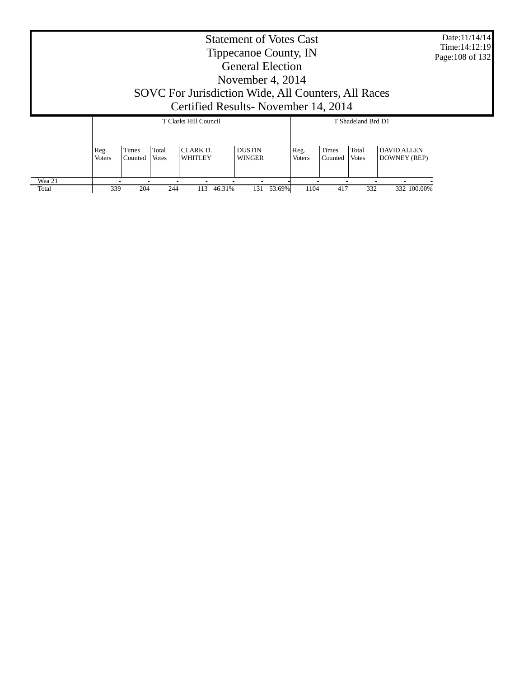| <b>Statement of Votes Cast</b><br>Tippecanoe County, IN<br><b>General Election</b><br>November 4, 2014 |                       |                       |                |                                 |                                |                       |                  |                       |                                    | Date:11/14/14<br>Time: 14:12:19<br>Page: 108 of 132 |  |
|--------------------------------------------------------------------------------------------------------|-----------------------|-----------------------|----------------|---------------------------------|--------------------------------|-----------------------|------------------|-----------------------|------------------------------------|-----------------------------------------------------|--|
| SOVC For Jurisdiction Wide, All Counters, All Races<br>Certified Results - November 14, 2014           |                       |                       |                |                                 |                                |                       |                  |                       |                                    |                                                     |  |
|                                                                                                        |                       | T Clarks Hill Council |                |                                 |                                |                       |                  | T Shadeland Brd D1    |                                    |                                                     |  |
|                                                                                                        | Reg.<br><b>Voters</b> | Times<br>Counted      | Total<br>Votes | CLARK <sub>D</sub> .<br>WHITLEY | <b>DUSTIN</b><br><b>WINGER</b> | Reg.<br><b>Voters</b> | Times<br>Counted | Total<br><b>Votes</b> | <b>DAVID ALLEN</b><br>DOWNEY (REP) |                                                     |  |
| Wea 21<br>Total                                                                                        | 339                   | 204                   | 244            | 113<br>46.31%                   | 131<br>53.69%                  | 1104                  | 417              | 332                   | 332 100.00%                        |                                                     |  |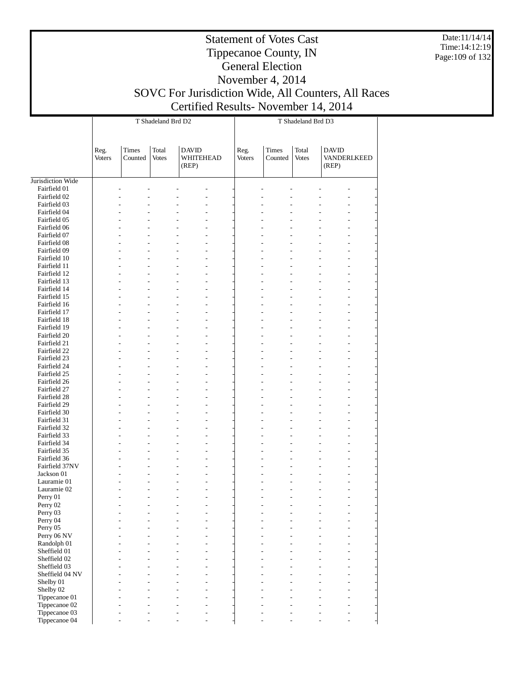Date:11/14/14 Time:14:12:19 Page:109 of 132

## Tippecanoe County, IN General Election November 4, 2014 SOVC For Jurisdiction Wide, All Counters, All Races Certified Results- November 14, 2014

|                                |                |                  | T Shadeland Brd D2    |                                    | T Shadeland Brd D3    |                  |                       |                                      |  |  |
|--------------------------------|----------------|------------------|-----------------------|------------------------------------|-----------------------|------------------|-----------------------|--------------------------------------|--|--|
|                                | Reg.<br>Voters | Times<br>Counted | Total<br><b>Votes</b> | <b>DAVID</b><br>WHITEHEAD<br>(REP) | Reg.<br><b>Voters</b> | Times<br>Counted | Total<br><b>Votes</b> | <b>DAVID</b><br>VANDERLKEED<br>(REP) |  |  |
| Jurisdiction Wide              |                |                  |                       |                                    |                       |                  |                       |                                      |  |  |
| Fairfield 01                   |                |                  |                       |                                    |                       |                  |                       |                                      |  |  |
| Fairfield 02                   |                | $\overline{a}$   |                       |                                    |                       |                  |                       |                                      |  |  |
| Fairfield 03                   |                |                  |                       |                                    |                       |                  |                       |                                      |  |  |
| Fairfield 04                   |                |                  |                       |                                    |                       |                  |                       |                                      |  |  |
| Fairfield 05                   |                |                  |                       |                                    |                       |                  |                       |                                      |  |  |
| Fairfield 06                   |                |                  | $\overline{a}$        |                                    |                       |                  |                       |                                      |  |  |
| Fairfield 07                   |                |                  |                       |                                    |                       |                  |                       |                                      |  |  |
| Fairfield 08<br>Fairfield 09   |                |                  |                       |                                    |                       |                  |                       |                                      |  |  |
| Fairfield 10                   |                | $\overline{a}$   |                       |                                    |                       |                  |                       |                                      |  |  |
| Fairfield 11                   |                |                  |                       |                                    |                       |                  |                       |                                      |  |  |
| Fairfield 12                   |                |                  |                       |                                    |                       |                  |                       |                                      |  |  |
| Fairfield 13                   |                |                  |                       |                                    |                       |                  |                       |                                      |  |  |
| Fairfield 14                   |                | $\overline{a}$   |                       |                                    |                       |                  |                       |                                      |  |  |
| Fairfield 15                   |                |                  |                       |                                    |                       |                  |                       |                                      |  |  |
| Fairfield 16                   |                |                  |                       |                                    |                       |                  |                       |                                      |  |  |
| Fairfield 17                   |                |                  |                       |                                    |                       |                  |                       |                                      |  |  |
| Fairfield 18                   |                | $\overline{a}$   |                       |                                    |                       |                  |                       |                                      |  |  |
| Fairfield 19                   |                |                  |                       |                                    |                       |                  |                       |                                      |  |  |
| Fairfield 20                   |                |                  |                       |                                    |                       |                  |                       |                                      |  |  |
| Fairfield 21                   |                |                  |                       |                                    |                       |                  |                       |                                      |  |  |
| Fairfield 22                   |                | $\overline{a}$   |                       |                                    |                       |                  |                       |                                      |  |  |
| Fairfield 23                   |                |                  |                       |                                    |                       |                  |                       |                                      |  |  |
| Fairfield 24                   |                |                  |                       |                                    |                       |                  |                       |                                      |  |  |
| Fairfield 25<br>Fairfield 26   |                | $\overline{a}$   |                       |                                    |                       |                  |                       |                                      |  |  |
| Fairfield 27                   |                |                  |                       |                                    |                       |                  |                       |                                      |  |  |
| Fairfield 28                   |                |                  |                       |                                    |                       |                  |                       |                                      |  |  |
| Fairfield 29                   |                |                  |                       |                                    |                       |                  |                       |                                      |  |  |
| Fairfield 30                   |                | $\overline{a}$   |                       |                                    |                       |                  |                       |                                      |  |  |
| Fairfield 31                   |                |                  |                       |                                    |                       |                  |                       |                                      |  |  |
| Fairfield 32                   |                |                  |                       |                                    |                       |                  |                       |                                      |  |  |
| Fairfield 33                   |                |                  |                       |                                    |                       |                  |                       |                                      |  |  |
| Fairfield 34                   |                | $\overline{a}$   |                       | $\overline{a}$                     |                       |                  |                       |                                      |  |  |
| Fairfield 35                   |                |                  |                       |                                    |                       |                  |                       |                                      |  |  |
| Fairfield 36                   |                |                  |                       |                                    |                       |                  |                       |                                      |  |  |
| Fairfield 37NV                 |                |                  |                       |                                    |                       |                  |                       |                                      |  |  |
| Jackson 01                     |                | $\overline{a}$   |                       |                                    |                       |                  |                       |                                      |  |  |
| Lauramie 01                    |                |                  |                       |                                    |                       |                  |                       |                                      |  |  |
| Lauramie 02                    |                | $\overline{a}$   |                       | $\overline{a}$                     |                       |                  |                       | L,                                   |  |  |
| Perry 01<br>Perry 02           |                |                  |                       |                                    |                       |                  |                       |                                      |  |  |
| Perry 03                       |                |                  |                       |                                    |                       |                  |                       |                                      |  |  |
| Perry 04                       |                |                  |                       |                                    |                       |                  |                       |                                      |  |  |
| Perry 05                       |                |                  |                       |                                    |                       |                  |                       |                                      |  |  |
| Perry 06 NV                    |                |                  |                       |                                    |                       |                  |                       |                                      |  |  |
| Randolph 01                    |                |                  |                       |                                    |                       |                  |                       |                                      |  |  |
| Sheffield 01                   |                |                  |                       |                                    |                       |                  |                       |                                      |  |  |
| Sheffield 02                   |                |                  |                       |                                    |                       |                  |                       |                                      |  |  |
| Sheffield 03                   |                |                  |                       |                                    |                       |                  |                       |                                      |  |  |
| Sheffield 04 NV                |                |                  |                       |                                    |                       |                  |                       |                                      |  |  |
| Shelby 01                      |                |                  |                       |                                    |                       |                  |                       |                                      |  |  |
| Shelby 02                      |                |                  |                       |                                    |                       |                  |                       |                                      |  |  |
| Tippecanoe 01                  |                |                  |                       |                                    |                       |                  |                       |                                      |  |  |
| Tippecanoe 02<br>Tippecanoe 03 |                |                  |                       |                                    |                       |                  |                       |                                      |  |  |
| Tippecanoe 04                  |                |                  |                       |                                    |                       |                  |                       |                                      |  |  |
|                                |                |                  |                       |                                    |                       |                  |                       |                                      |  |  |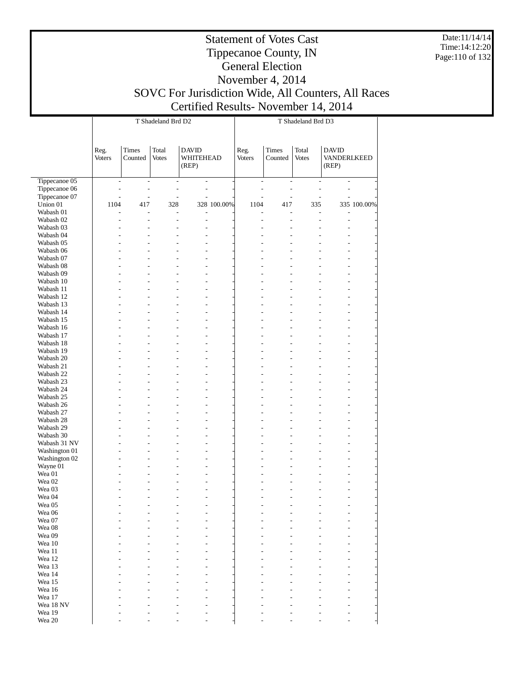Date:11/14/14 Time:14:12:20 Page:110 of 132

#### Statement of Votes Cast Tippecanoe County, IN General Election November 4, 2014 SOVC For Jurisdiction Wide, All Counters, All Races Certified Results- November 14, 2014

|                        |                                  |                                           | T Shadeland Brd D2              |                                                |             | T Shadeland Brd D3               |                          |                          |                                      |             |  |  |
|------------------------|----------------------------------|-------------------------------------------|---------------------------------|------------------------------------------------|-------------|----------------------------------|--------------------------|--------------------------|--------------------------------------|-------------|--|--|
|                        |                                  |                                           |                                 |                                                |             |                                  |                          |                          |                                      |             |  |  |
|                        | Reg.<br>Voters                   | <b>Times</b><br>Counted                   | Total<br>Votes                  | <b>DAVID</b><br>WHITEHEAD<br>(REP)             |             | Reg.<br>Voters                   | Times<br>Counted         | Total<br><b>Votes</b>    | <b>DAVID</b><br>VANDERLKEED<br>(REP) |             |  |  |
| Tippecanoe 05          | $\overline{\phantom{a}}$         | $\overline{\phantom{a}}$                  | $\overline{\phantom{a}}$        | $\frac{1}{2}$                                  |             | $\overline{\phantom{a}}$         | $\overline{\phantom{a}}$ | $\overline{\phantom{a}}$ | $\overline{\phantom{a}}$             |             |  |  |
| Tippecanoe 06          | $\overline{a}$                   | $\overline{a}$                            | $\overline{\phantom{0}}$        | $\overline{\phantom{0}}$                       |             | $\overline{\phantom{0}}$         | L,                       | $\overline{a}$           | $\overline{a}$                       |             |  |  |
| Tippecanoe 07          | $\overline{a}$                   | $\overline{a}$                            | $\overline{a}$                  | $\overline{a}$                                 |             | $\overline{a}$                   | $\overline{a}$           |                          |                                      |             |  |  |
| Union 01               | 1104                             | 417                                       | 328                             |                                                | 328 100.00% | 1104                             | 417                      | 335                      |                                      | 335 100.00% |  |  |
| Wabash 01<br>Wabash 02 | $\overline{a}$<br>$\overline{a}$ | $\overline{\phantom{a}}$<br>$\frac{1}{2}$ | $\frac{1}{2}$<br>$\overline{a}$ | $\qquad \qquad \blacksquare$<br>$\overline{a}$ |             | $\overline{a}$<br>$\overline{a}$ | $\overline{a}$<br>L,     | $\overline{a}$           | $\overline{a}$<br>$\overline{a}$     |             |  |  |
| Wabash 03              |                                  | $\overline{a}$                            |                                 | $\overline{a}$                                 |             | $\overline{a}$                   | L,                       |                          |                                      |             |  |  |
| Wabash 04              |                                  | L,                                        |                                 |                                                |             |                                  |                          |                          |                                      |             |  |  |
| Wabash 05              |                                  | L,                                        |                                 | $\overline{a}$                                 |             |                                  |                          |                          | $\overline{a}$                       |             |  |  |
| Wabash 06              |                                  | L,                                        |                                 | $\overline{a}$                                 |             |                                  |                          |                          | $\overline{a}$                       |             |  |  |
| Wabash 07              |                                  | L,                                        |                                 | $\overline{a}$                                 |             |                                  |                          |                          | $\overline{a}$                       |             |  |  |
| Wabash 08              |                                  | L,                                        |                                 | $\overline{a}$                                 |             |                                  |                          |                          | $\overline{a}$                       |             |  |  |
| Wabash 09<br>Wabash 10 |                                  | L,<br>L,                                  |                                 | $\overline{a}$<br>$\overline{a}$               |             |                                  |                          |                          | $\overline{a}$                       |             |  |  |
| Wabash 11              |                                  | L,                                        |                                 | $\overline{a}$                                 |             |                                  |                          |                          | $\overline{a}$                       |             |  |  |
| Wabash 12              |                                  | L,                                        |                                 | $\overline{a}$                                 |             |                                  |                          |                          | $\overline{a}$                       |             |  |  |
| Wabash 13              |                                  | L,                                        |                                 | $\overline{a}$                                 |             |                                  |                          |                          | $\overline{a}$                       |             |  |  |
| Wabash 14              |                                  | L,                                        |                                 | $\overline{a}$                                 |             |                                  |                          |                          | $\overline{a}$                       |             |  |  |
| Wabash 15              |                                  | L,                                        |                                 | $\overline{a}$                                 |             |                                  |                          |                          | $\overline{a}$                       |             |  |  |
| Wabash 16              |                                  | L,                                        |                                 | $\overline{a}$                                 |             |                                  |                          |                          | $\overline{a}$                       |             |  |  |
| Wabash 17<br>Wabash 18 |                                  | L,<br>L,                                  |                                 | $\overline{a}$                                 |             |                                  |                          |                          | $\overline{a}$                       |             |  |  |
| Wabash 19              |                                  | L,                                        |                                 | $\overline{a}$<br>$\overline{a}$               |             |                                  |                          |                          | $\overline{a}$                       |             |  |  |
| Wabash 20              |                                  | L,                                        |                                 | $\overline{a}$                                 |             |                                  |                          |                          | $\overline{a}$                       |             |  |  |
| Wabash 21              |                                  | L,                                        |                                 | $\overline{a}$                                 |             |                                  |                          |                          | $\overline{a}$                       |             |  |  |
| Wabash 22              |                                  | L,                                        |                                 | $\overline{a}$                                 |             |                                  |                          |                          |                                      |             |  |  |
| Wabash 23              |                                  | L,                                        |                                 | $\overline{a}$                                 |             |                                  |                          |                          | $\overline{a}$                       |             |  |  |
| Wabash 24              |                                  | L,                                        |                                 | $\overline{a}$                                 |             |                                  |                          |                          | $\overline{a}$                       |             |  |  |
| Wabash 25              |                                  | L,                                        |                                 | $\overline{a}$                                 |             |                                  |                          |                          | $\overline{a}$                       |             |  |  |
| Wabash 26<br>Wabash 27 |                                  | L,<br>L,                                  |                                 | $\overline{a}$<br>$\overline{a}$               |             |                                  |                          |                          | $\overline{a}$                       |             |  |  |
| Wabash 28              |                                  | L,                                        |                                 | $\overline{a}$                                 |             |                                  |                          |                          | $\overline{a}$                       |             |  |  |
| Wabash 29              |                                  | L,                                        |                                 | $\overline{a}$                                 |             |                                  |                          |                          | $\overline{a}$                       |             |  |  |
| Wabash 30              |                                  | L,                                        |                                 | $\overline{a}$                                 |             |                                  |                          |                          | $\overline{a}$                       |             |  |  |
| Wabash 31 NV           |                                  | L,                                        |                                 | $\overline{a}$                                 |             |                                  |                          |                          | $\overline{a}$                       |             |  |  |
| Washington 01          |                                  | L,                                        |                                 | $\overline{a}$                                 |             |                                  |                          |                          | $\overline{a}$                       |             |  |  |
| Washington 02          |                                  | L,                                        |                                 | $\overline{a}$                                 |             |                                  |                          |                          | $\overline{a}$                       |             |  |  |
| Wayne 01<br>Wea 01     |                                  | L,<br>L,                                  |                                 | $\overline{a}$<br>$\overline{a}$               |             |                                  |                          |                          |                                      |             |  |  |
| Wea <sub>02</sub>      |                                  | L,                                        |                                 | $\overline{a}$                                 |             |                                  |                          |                          |                                      |             |  |  |
| Wea 03                 |                                  |                                           |                                 | $\overline{a}$                                 |             |                                  |                          |                          | $\overline{a}$                       |             |  |  |
| Wea 04                 |                                  |                                           |                                 | $\overline{a}$                                 |             |                                  |                          |                          | $\overline{a}$                       |             |  |  |
| Wea 05                 |                                  |                                           |                                 |                                                |             |                                  |                          |                          |                                      |             |  |  |
| Wea 06                 |                                  |                                           |                                 |                                                |             |                                  |                          |                          |                                      |             |  |  |
| Wea 07                 |                                  |                                           |                                 |                                                |             |                                  |                          |                          |                                      |             |  |  |
| Wea 08<br>Wea 09       |                                  |                                           |                                 |                                                |             |                                  |                          |                          |                                      |             |  |  |
| Wea 10                 |                                  |                                           |                                 |                                                |             |                                  |                          |                          |                                      |             |  |  |
| Wea 11                 |                                  |                                           |                                 |                                                |             |                                  |                          |                          |                                      |             |  |  |
| Wea 12                 |                                  |                                           |                                 |                                                |             |                                  |                          |                          |                                      |             |  |  |
| Wea 13                 |                                  |                                           |                                 |                                                |             |                                  |                          |                          |                                      |             |  |  |
| Wea 14                 |                                  |                                           |                                 |                                                |             |                                  |                          |                          |                                      |             |  |  |
| Wea 15                 |                                  |                                           |                                 |                                                |             |                                  |                          |                          |                                      |             |  |  |
| Wea 16<br>Wea 17       |                                  |                                           |                                 |                                                |             |                                  |                          |                          |                                      |             |  |  |
| Wea 18 NV              |                                  |                                           |                                 |                                                |             |                                  |                          |                          |                                      |             |  |  |
| Wea 19                 |                                  |                                           |                                 |                                                |             |                                  |                          |                          |                                      |             |  |  |
| Wea 20                 |                                  |                                           |                                 |                                                |             |                                  |                          |                          |                                      |             |  |  |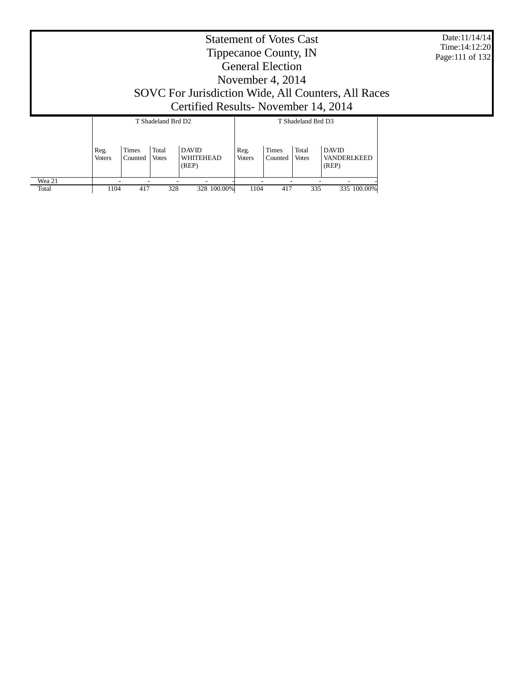Date:11/14/14 Time:14:12:20 Page:111 of 132

# Tippecanoe County, IN General Election November 4, 2014 SOVC For Jurisdiction Wide, All Counters, All Races Certified Results- November 14, 2014

|        |                       |                         | T Shadeland Brd D2    |                                    | T Shadeland Brd D3    |                         |                       |                                      |  |  |
|--------|-----------------------|-------------------------|-----------------------|------------------------------------|-----------------------|-------------------------|-----------------------|--------------------------------------|--|--|
|        | Reg.<br><b>Voters</b> | <b>Times</b><br>Counted | Total<br><b>Votes</b> | <b>DAVID</b><br>WHITEHEAD<br>(REP) | Reg.<br><b>Voters</b> | <b>Times</b><br>Counted | Total<br><b>Votes</b> | <b>DAVID</b><br>VANDERLKEED<br>(REP) |  |  |
| Wea 21 |                       |                         |                       | -                                  |                       |                         |                       |                                      |  |  |
| Total  | 1104                  | 417                     | 328                   | 328 100.00%                        | 1104                  | 417                     | 335                   | 335 100.00%                          |  |  |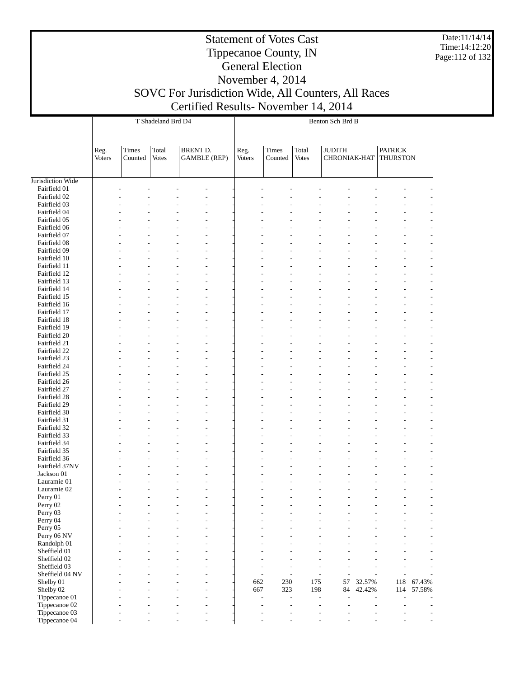Date:11/14/14 Time:14:12:20 Page:112 of 132

#### Statement of Votes Cast Tippecanoe County, IN General Election November 4, 2014

|                              |                       |                  | T Shadeland Brd D4    |                                 | Benton Sch Brd B |                                            |                       |                               |                |                                   |        |  |  |
|------------------------------|-----------------------|------------------|-----------------------|---------------------------------|------------------|--------------------------------------------|-----------------------|-------------------------------|----------------|-----------------------------------|--------|--|--|
|                              |                       |                  |                       |                                 |                  |                                            |                       |                               |                |                                   |        |  |  |
|                              | Reg.<br><b>Voters</b> | Times<br>Counted | Total<br><b>Votes</b> | BRENT D.<br><b>GAMBLE</b> (REP) | Reg.<br>Voters   | <b>Times</b><br>Counted                    | Total<br><b>Votes</b> | <b>JUDITH</b><br>CHRONIAK-HAT |                | <b>PATRICK</b><br><b>THURSTON</b> |        |  |  |
|                              |                       |                  |                       |                                 |                  |                                            |                       |                               |                |                                   |        |  |  |
| Jurisdiction Wide            |                       |                  |                       |                                 |                  |                                            |                       |                               |                |                                   |        |  |  |
| Fairfield 01                 |                       |                  |                       |                                 |                  |                                            |                       |                               |                |                                   |        |  |  |
| Fairfield 02                 |                       |                  |                       |                                 |                  |                                            |                       |                               |                |                                   |        |  |  |
| Fairfield 03                 |                       |                  |                       |                                 |                  |                                            |                       |                               |                |                                   |        |  |  |
| Fairfield 04                 |                       |                  |                       |                                 |                  |                                            |                       |                               |                |                                   |        |  |  |
| Fairfield 05                 |                       |                  |                       |                                 |                  |                                            |                       |                               |                |                                   |        |  |  |
| Fairfield 06<br>Fairfield 07 |                       |                  |                       |                                 |                  |                                            |                       |                               |                |                                   |        |  |  |
| Fairfield 08                 |                       |                  |                       |                                 |                  |                                            |                       |                               |                |                                   |        |  |  |
| Fairfield 09                 |                       |                  |                       |                                 |                  |                                            |                       |                               |                |                                   |        |  |  |
| Fairfield 10                 |                       |                  |                       |                                 |                  |                                            |                       |                               |                |                                   |        |  |  |
| Fairfield 11                 |                       |                  |                       |                                 |                  |                                            |                       |                               |                |                                   |        |  |  |
| Fairfield 12                 |                       |                  |                       |                                 |                  |                                            |                       |                               |                |                                   |        |  |  |
| Fairfield 13                 |                       |                  |                       |                                 |                  |                                            |                       |                               |                |                                   |        |  |  |
| Fairfield 14                 |                       |                  |                       |                                 |                  |                                            |                       |                               |                |                                   |        |  |  |
| Fairfield 15                 |                       |                  |                       |                                 |                  |                                            |                       |                               |                |                                   |        |  |  |
| Fairfield 16<br>Fairfield 17 |                       |                  |                       |                                 |                  |                                            |                       |                               |                |                                   |        |  |  |
| Fairfield 18                 |                       |                  |                       |                                 |                  |                                            |                       |                               |                |                                   |        |  |  |
| Fairfield 19                 |                       |                  |                       |                                 |                  |                                            |                       |                               |                |                                   |        |  |  |
| Fairfield 20                 |                       |                  |                       |                                 |                  |                                            |                       |                               |                |                                   |        |  |  |
| Fairfield 21                 |                       |                  |                       |                                 |                  |                                            |                       |                               |                |                                   |        |  |  |
| Fairfield 22                 |                       |                  |                       |                                 |                  |                                            |                       |                               |                |                                   |        |  |  |
| Fairfield 23                 |                       |                  |                       |                                 |                  |                                            |                       |                               |                |                                   |        |  |  |
| Fairfield 24                 |                       |                  |                       |                                 |                  |                                            |                       |                               |                |                                   |        |  |  |
| Fairfield 25                 |                       |                  |                       |                                 |                  |                                            |                       |                               |                |                                   |        |  |  |
| Fairfield 26                 |                       |                  |                       |                                 |                  |                                            |                       |                               |                |                                   |        |  |  |
| Fairfield 27<br>Fairfield 28 |                       |                  |                       |                                 |                  |                                            |                       |                               |                |                                   |        |  |  |
| Fairfield 29                 |                       |                  |                       |                                 |                  |                                            |                       |                               |                |                                   |        |  |  |
| Fairfield 30                 |                       |                  |                       |                                 |                  |                                            |                       |                               |                |                                   |        |  |  |
| Fairfield 31                 |                       |                  |                       |                                 |                  |                                            |                       |                               |                |                                   |        |  |  |
| Fairfield 32                 |                       |                  |                       |                                 |                  |                                            |                       |                               |                |                                   |        |  |  |
| Fairfield 33                 |                       |                  |                       |                                 |                  |                                            |                       |                               |                |                                   |        |  |  |
| Fairfield 34                 |                       |                  |                       |                                 |                  |                                            |                       |                               |                |                                   |        |  |  |
| Fairfield 35                 |                       |                  |                       |                                 |                  |                                            |                       |                               |                |                                   |        |  |  |
| Fairfield 36                 |                       |                  |                       |                                 |                  |                                            |                       |                               |                |                                   |        |  |  |
| Fairfield 37NV<br>Jackson 01 |                       |                  |                       |                                 |                  |                                            |                       |                               |                |                                   |        |  |  |
| Lauramie 01                  |                       |                  |                       |                                 |                  |                                            |                       |                               |                |                                   |        |  |  |
| Lauramie 02                  |                       |                  |                       |                                 |                  |                                            |                       |                               |                |                                   |        |  |  |
| Perry 01                     |                       |                  |                       |                                 |                  |                                            |                       |                               |                |                                   |        |  |  |
| Perry 02                     |                       |                  |                       |                                 |                  |                                            |                       |                               |                |                                   |        |  |  |
| Perry 03                     |                       |                  |                       |                                 |                  |                                            |                       |                               |                |                                   |        |  |  |
| Perry 04                     |                       |                  |                       |                                 |                  |                                            |                       |                               |                |                                   |        |  |  |
| Perry 05                     |                       |                  |                       |                                 |                  |                                            |                       |                               |                |                                   |        |  |  |
| Perry 06 NV                  |                       |                  |                       |                                 |                  |                                            |                       |                               |                |                                   |        |  |  |
| Randolph 01                  |                       |                  |                       |                                 |                  |                                            |                       |                               |                |                                   |        |  |  |
| Sheffield 01<br>Sheffield 02 |                       |                  |                       |                                 |                  |                                            |                       |                               |                |                                   |        |  |  |
| Sheffield 03                 |                       |                  |                       |                                 |                  |                                            |                       |                               |                |                                   |        |  |  |
| Sheffield 04 NV              |                       |                  |                       |                                 |                  | $\overline{a}$                             |                       | $\overline{a}$                |                |                                   |        |  |  |
| Shelby 01                    |                       |                  |                       |                                 | 662              | 230                                        | 175                   | 57                            | 32.57%         | 118                               | 67.43% |  |  |
| Shelby 02                    |                       |                  |                       |                                 | 667              | 323                                        | 198                   | 84                            | 42.42%         | 114                               | 57.58% |  |  |
| Tippecanoe 01                |                       |                  |                       |                                 |                  | $\overline{\phantom{a}}$<br>$\overline{a}$ | $\overline{a}$        | $\overline{a}$                | $\overline{a}$ | $\qquad \qquad \blacksquare$      |        |  |  |
| Tippecanoe 02                |                       |                  |                       |                                 |                  |                                            |                       |                               |                |                                   |        |  |  |
| Tippecanoe 03                |                       |                  |                       |                                 |                  |                                            |                       |                               |                |                                   |        |  |  |
| Tippecanoe 04                |                       |                  |                       |                                 |                  |                                            |                       |                               |                |                                   |        |  |  |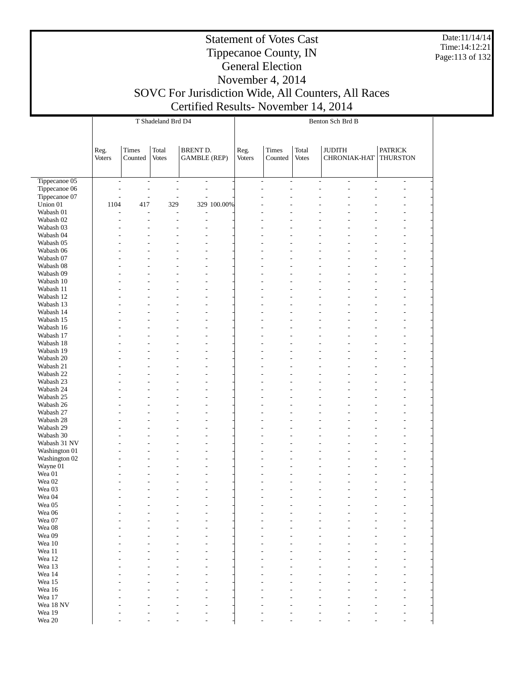Date:11/14/14 Time:14:12:21 Page:113 of 132

#### Statement of Votes Cast Tippecanoe County, IN General Election November 4, 2014

|                                |                          |                | T Shadeland Brd D4       |                                 |             | Benton Sch Brd B |               |               |                                                      |                          |                 |  |  |
|--------------------------------|--------------------------|----------------|--------------------------|---------------------------------|-------------|------------------|---------------|---------------|------------------------------------------------------|--------------------------|-----------------|--|--|
|                                |                          |                |                          |                                 |             |                  |               |               |                                                      |                          |                 |  |  |
|                                |                          |                |                          |                                 |             |                  |               |               |                                                      |                          |                 |  |  |
|                                | Reg.                     | Times          | Total                    | <b>BRENT D.</b>                 |             | Reg.             | Times         | Total         | <b>JUDITH</b>                                        |                          | <b>PATRICK</b>  |  |  |
|                                | Voters                   | Counted        | <b>Votes</b>             | <b>GAMBLE</b> (REP)             |             | <b>Voters</b>    | Counted       | <b>Votes</b>  | CHRONIAK-HAT                                         |                          | <b>THURSTON</b> |  |  |
|                                |                          |                |                          |                                 |             |                  |               |               |                                                      |                          |                 |  |  |
| Tippecanoe 05                  | $\overline{\phantom{a}}$ | $\overline{a}$ | $\overline{\phantom{a}}$ | $\overline{\phantom{a}}$        |             |                  | $\frac{1}{2}$ | $\frac{1}{2}$ | $\overline{\phantom{a}}$<br>$\overline{\phantom{a}}$ | $\overline{\phantom{a}}$ | $\frac{1}{2}$   |  |  |
| Tippecanoe 06<br>Tippecanoe 07 |                          |                | Ĭ.<br>Ĭ.                 | $\frac{1}{2}$<br>$\overline{a}$ |             |                  | L             |               | L                                                    | L                        |                 |  |  |
| Union 01                       | 1104                     | 417            | 329                      |                                 | 329 100.00% |                  |               |               |                                                      |                          |                 |  |  |
| Wabash 01                      | L,                       | $\overline{a}$ | $\overline{\phantom{a}}$ | $\overline{a}$                  |             |                  |               |               |                                                      |                          |                 |  |  |
| Wabash 02                      |                          |                | L                        | $\overline{a}$                  |             |                  |               |               |                                                      |                          |                 |  |  |
| Wabash 03<br>Wabash 04         |                          |                | L                        |                                 |             |                  |               |               |                                                      |                          |                 |  |  |
| Wabash 05                      |                          |                |                          |                                 |             |                  |               |               |                                                      |                          |                 |  |  |
| Wabash 06                      |                          |                |                          |                                 |             |                  |               |               |                                                      |                          |                 |  |  |
| Wabash 07                      |                          |                |                          |                                 |             |                  |               |               |                                                      |                          |                 |  |  |
| Wabash 08                      |                          |                |                          |                                 |             |                  |               |               |                                                      |                          |                 |  |  |
| Wabash 09                      |                          |                |                          |                                 |             |                  |               |               |                                                      |                          |                 |  |  |
| Wabash 10<br>Wabash 11         |                          |                |                          |                                 |             |                  |               |               |                                                      |                          |                 |  |  |
| Wabash 12                      |                          |                |                          |                                 |             |                  |               |               |                                                      |                          |                 |  |  |
| Wabash 13                      |                          |                |                          |                                 |             |                  |               |               |                                                      |                          |                 |  |  |
| Wabash 14                      |                          |                |                          |                                 |             |                  |               |               |                                                      |                          |                 |  |  |
| Wabash 15                      |                          |                |                          |                                 |             |                  |               |               |                                                      |                          |                 |  |  |
| Wabash 16                      |                          |                |                          |                                 |             |                  |               |               |                                                      |                          |                 |  |  |
| Wabash 17<br>Wabash 18         |                          |                |                          |                                 |             |                  |               |               |                                                      |                          |                 |  |  |
| Wabash 19                      |                          |                |                          |                                 |             |                  |               |               |                                                      |                          |                 |  |  |
| Wabash 20                      |                          |                |                          |                                 |             |                  |               |               |                                                      |                          |                 |  |  |
| Wabash 21                      |                          |                |                          |                                 |             |                  |               |               |                                                      |                          |                 |  |  |
| Wabash 22                      |                          |                |                          |                                 |             |                  |               |               |                                                      |                          |                 |  |  |
| Wabash 23                      |                          |                |                          |                                 |             |                  |               |               |                                                      |                          |                 |  |  |
| Wabash 24<br>Wabash 25         |                          |                |                          |                                 |             |                  |               |               |                                                      |                          |                 |  |  |
| Wabash 26                      |                          |                |                          |                                 |             |                  |               |               |                                                      |                          |                 |  |  |
| Wabash 27                      |                          |                |                          |                                 |             |                  |               |               |                                                      |                          |                 |  |  |
| Wabash 28                      |                          |                |                          |                                 |             |                  |               |               |                                                      |                          |                 |  |  |
| Wabash 29                      |                          |                |                          |                                 |             |                  |               |               |                                                      |                          |                 |  |  |
| Wabash 30<br>Wabash 31 NV      |                          |                |                          |                                 |             |                  |               |               |                                                      |                          |                 |  |  |
| Washington 01                  |                          |                |                          |                                 |             |                  |               |               |                                                      |                          |                 |  |  |
| Washington 02                  |                          |                |                          |                                 |             |                  |               |               |                                                      |                          |                 |  |  |
| Wayne 01                       |                          |                |                          |                                 |             |                  |               |               |                                                      |                          |                 |  |  |
| Wea 01                         |                          |                |                          |                                 |             |                  |               |               |                                                      |                          |                 |  |  |
| Wea <sub>02</sub><br>Wea 03    |                          |                |                          |                                 |             |                  |               |               |                                                      |                          |                 |  |  |
| Wea 04                         |                          |                |                          |                                 |             |                  |               |               |                                                      |                          |                 |  |  |
| Wea 05                         |                          |                |                          |                                 |             |                  |               |               |                                                      |                          |                 |  |  |
| Wea 06                         |                          |                |                          |                                 |             |                  |               |               |                                                      |                          |                 |  |  |
| Wea 07                         |                          |                |                          |                                 |             |                  |               |               |                                                      |                          |                 |  |  |
| Wea 08<br>Wea 09               |                          |                |                          |                                 |             |                  |               |               |                                                      |                          |                 |  |  |
| Wea 10                         |                          |                |                          |                                 |             |                  |               |               |                                                      |                          |                 |  |  |
| Wea 11                         |                          |                |                          |                                 |             |                  |               |               |                                                      |                          |                 |  |  |
| Wea 12                         |                          |                |                          |                                 |             |                  |               |               |                                                      |                          |                 |  |  |
| Wea 13                         |                          |                |                          |                                 |             |                  |               |               |                                                      |                          |                 |  |  |
| Wea 14                         |                          |                |                          |                                 |             |                  |               |               |                                                      |                          |                 |  |  |
| Wea 15<br>Wea 16               |                          |                |                          |                                 |             |                  |               |               |                                                      |                          |                 |  |  |
| Wea 17                         |                          |                |                          |                                 |             |                  |               |               |                                                      |                          |                 |  |  |
| Wea 18 NV                      |                          |                |                          |                                 |             |                  |               |               |                                                      |                          |                 |  |  |
| Wea 19                         |                          |                |                          |                                 |             |                  |               |               |                                                      |                          |                 |  |  |
| Wea 20                         |                          |                |                          |                                 |             |                  |               |               |                                                      |                          |                 |  |  |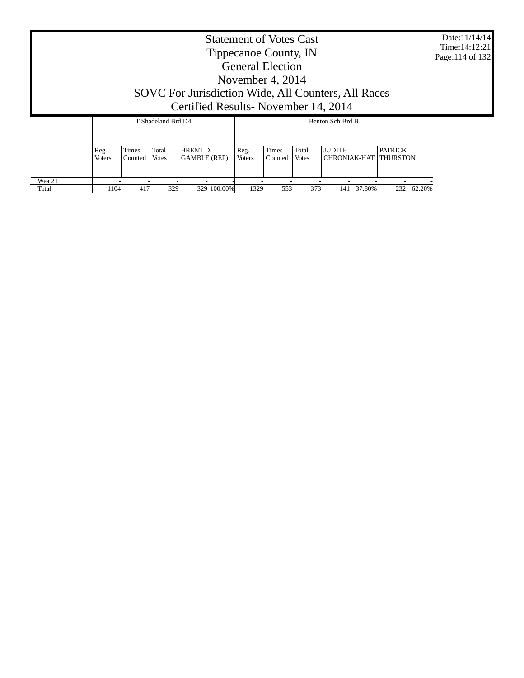| Tippecanoe County, IN<br><b>General Election</b><br>November 4, $2014$<br>SOVC For Jurisdiction Wide, All Counters, All Races<br>Certified Results-November 14, 2014                                                                                            | Time: 14:12:21<br>Page: 114 of 132 |
|-----------------------------------------------------------------------------------------------------------------------------------------------------------------------------------------------------------------------------------------------------------------|------------------------------------|
| Benton Sch Brd B<br>T Shadeland Brd D4                                                                                                                                                                                                                          |                                    |
| <b>BRENT D.</b><br><b>PATRICK</b><br>Total<br>Total<br><b>JUDITH</b><br><b>Times</b><br>Times<br>Reg.<br>Reg.<br><b>GAMBLE</b> (REP)<br><b>CHRONIAK-HAT</b><br><b>THURSTON</b><br><b>Voters</b><br>Votes<br>Counted<br><b>Votes</b><br><b>Voters</b><br>Counted |                                    |
| Wea 21<br>329 100.00%<br>553<br>1104<br>417<br>329<br>1329<br>373<br>37.80%<br>232 62.20%<br>Total<br>141                                                                                                                                                       |                                    |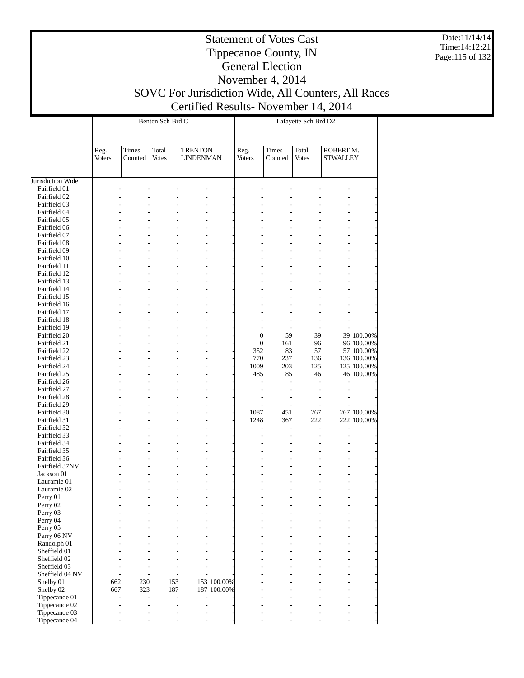Date:11/14/14 Time:14:12:21 Page:115 of 132

## Tippecanoe County, IN General Election November 4, 2014 SOVC For Jurisdiction Wide, All Counters, All Races Certified Results- November 14, 2014

|                                |                |                  | Benton Sch Brd C                 |                                    |             | Lafayette Sch Brd D2 |                  |                       |                              |             |  |  |
|--------------------------------|----------------|------------------|----------------------------------|------------------------------------|-------------|----------------------|------------------|-----------------------|------------------------------|-------------|--|--|
|                                | Reg.<br>Voters | Times<br>Counted | Total<br><b>Votes</b>            | <b>TRENTON</b><br><b>LINDENMAN</b> |             | Reg.<br>Voters       | Times<br>Counted | Total<br><b>Votes</b> | ROBERT M.<br><b>STWALLEY</b> |             |  |  |
| Jurisdiction Wide              |                |                  |                                  |                                    |             |                      |                  |                       |                              |             |  |  |
| Fairfield 01                   |                |                  |                                  |                                    |             |                      |                  |                       |                              |             |  |  |
| Fairfield 02                   |                |                  |                                  |                                    |             |                      |                  |                       |                              |             |  |  |
| Fairfield 03                   |                |                  |                                  |                                    |             |                      |                  |                       |                              |             |  |  |
| Fairfield 04                   |                |                  |                                  |                                    |             |                      |                  |                       |                              |             |  |  |
| Fairfield 05                   |                |                  |                                  |                                    |             |                      |                  |                       |                              |             |  |  |
| Fairfield 06                   |                |                  |                                  |                                    |             |                      |                  |                       |                              |             |  |  |
| Fairfield 07                   |                |                  |                                  | ÷,                                 |             |                      |                  |                       |                              |             |  |  |
| Fairfield 08                   |                |                  |                                  |                                    |             |                      |                  |                       |                              |             |  |  |
| Fairfield 09                   |                |                  |                                  |                                    |             |                      |                  |                       |                              |             |  |  |
| Fairfield 10                   |                |                  |                                  | ÷,<br>÷,                           |             |                      |                  |                       |                              |             |  |  |
| Fairfield 11<br>Fairfield 12   |                |                  |                                  |                                    |             |                      |                  |                       |                              |             |  |  |
| Fairfield 13                   |                |                  |                                  |                                    |             |                      |                  |                       |                              |             |  |  |
| Fairfield 14                   |                |                  |                                  | ÷,                                 |             |                      |                  |                       |                              |             |  |  |
| Fairfield 15                   |                |                  |                                  | ÷,                                 |             |                      |                  |                       |                              |             |  |  |
| Fairfield 16                   |                |                  |                                  |                                    |             |                      |                  |                       |                              |             |  |  |
| Fairfield 17                   |                |                  |                                  |                                    |             |                      |                  |                       |                              |             |  |  |
| Fairfield 18                   |                |                  |                                  | ٠                                  |             |                      |                  |                       |                              |             |  |  |
| Fairfield 19                   |                |                  |                                  |                                    |             | L,                   |                  |                       |                              |             |  |  |
| Fairfield 20                   |                |                  |                                  |                                    |             | $\boldsymbol{0}$     | 59               | 39                    |                              | 39 100.00%  |  |  |
| Fairfield 21                   |                |                  |                                  |                                    |             | $\boldsymbol{0}$     | 161              | 96                    |                              | 96 100.00%  |  |  |
| Fairfield 22                   |                |                  |                                  | ÷,                                 |             | 352                  | 83               | 57                    |                              | 57 100.00%  |  |  |
| Fairfield 23                   |                |                  |                                  | ÷,                                 |             | 770                  | 237              | 136                   |                              | 136 100.00% |  |  |
| Fairfield 24                   |                |                  |                                  | L,                                 |             | 1009<br>485          | 203<br>85        | 125<br>46             |                              | 125 100.00% |  |  |
| Fairfield 25<br>Fairfield 26   |                |                  |                                  | ÷,                                 |             |                      |                  | L.                    |                              | 46 100.00%  |  |  |
| Fairfield 27                   |                |                  |                                  |                                    |             |                      |                  | $\overline{a}$        |                              |             |  |  |
| Fairfield 28                   |                |                  |                                  |                                    |             |                      |                  |                       |                              |             |  |  |
| Fairfield 29                   |                |                  |                                  |                                    |             |                      |                  | $\overline{a}$        |                              |             |  |  |
| Fairfield 30                   |                |                  |                                  | ÷,                                 |             | 1087                 | 451              | 267                   |                              | 267 100.00% |  |  |
| Fairfield 31                   |                |                  |                                  | ÷,                                 |             | 1248                 | 367              | 222                   |                              | 222 100.00% |  |  |
| Fairfield 32                   |                |                  |                                  |                                    |             | $\overline{a}$       |                  | $\overline{a}$        | $\overline{a}$               |             |  |  |
| Fairfield 33                   |                |                  |                                  |                                    |             |                      |                  |                       |                              |             |  |  |
| Fairfield 34                   |                |                  |                                  | ÷,                                 |             |                      |                  |                       |                              |             |  |  |
| Fairfield 35                   |                |                  |                                  | ÷,                                 |             |                      |                  |                       |                              |             |  |  |
| Fairfield 36<br>Fairfield 37NV |                |                  |                                  | ٠<br>÷,                            |             |                      |                  |                       |                              |             |  |  |
| Jackson 01                     |                |                  |                                  | ÷,                                 |             |                      |                  |                       |                              |             |  |  |
| Lauramie 01                    |                |                  |                                  |                                    |             |                      |                  |                       |                              |             |  |  |
| Lauramie 02                    |                |                  |                                  |                                    |             |                      |                  |                       |                              |             |  |  |
| Perry 01                       |                |                  | $\overline{a}$                   | ÷,                                 |             |                      |                  |                       | L,                           |             |  |  |
| Perry 02                       |                |                  |                                  |                                    |             |                      |                  |                       |                              |             |  |  |
| Perry 03                       |                |                  |                                  |                                    |             |                      |                  |                       |                              |             |  |  |
| Perry 04                       |                |                  |                                  |                                    |             |                      |                  |                       |                              |             |  |  |
| Perry 05                       |                |                  |                                  |                                    |             |                      |                  |                       |                              |             |  |  |
| Perry 06 NV                    |                |                  |                                  |                                    |             |                      |                  |                       |                              |             |  |  |
| Randolph 01                    |                |                  |                                  |                                    |             |                      |                  |                       |                              |             |  |  |
| Sheffield 01<br>Sheffield 02   |                |                  |                                  |                                    |             |                      |                  |                       |                              |             |  |  |
| Sheffield 03                   |                |                  |                                  |                                    |             |                      |                  |                       |                              |             |  |  |
| Sheffield 04 NV                |                | ÷.               | ٠<br>٠                           |                                    |             |                      |                  |                       |                              |             |  |  |
| Shelby 01                      | 662            | 230              | 153                              |                                    | 153 100.00% |                      |                  |                       |                              |             |  |  |
| Shelby 02                      | 667            | 323              | 187                              |                                    | 187 100.00% |                      |                  |                       |                              |             |  |  |
| Tippecanoe 01                  |                | L,               | $\overline{a}$<br>$\overline{a}$ | J.                                 |             |                      |                  |                       |                              |             |  |  |
| Tippecanoe 02                  |                | ٠                | L,<br>$\overline{a}$             | L,                                 |             |                      |                  |                       |                              |             |  |  |
| Tippecanoe 03                  |                |                  | $\overline{a}$<br>۷              | ÷                                  |             |                      |                  |                       |                              |             |  |  |
| Tippecanoe 04                  |                |                  | ٠                                |                                    |             |                      |                  |                       |                              |             |  |  |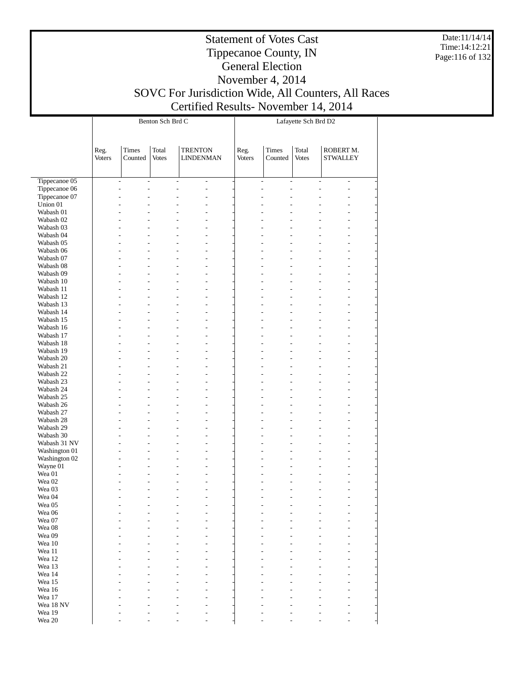Date:11/14/14 Time:14:12:21 Page:116 of 132

## Tippecanoe County, IN General Election November 4, 2014 SOVC For Jurisdiction Wide, All Counters, All Races Certified Results- November 14, 2014

|                             |                |                                           | Benton Sch Brd C      |                                            |                          | Lafayette Sch Brd D2 |                                                      |                       |                                |  |  |
|-----------------------------|----------------|-------------------------------------------|-----------------------|--------------------------------------------|--------------------------|----------------------|------------------------------------------------------|-----------------------|--------------------------------|--|--|
|                             | Reg.<br>Voters | Times<br>Counted                          | Total<br><b>Votes</b> | <b>TRENTON</b><br><b>LINDENMAN</b>         |                          | Reg.<br>Voters       | Times<br>Counted                                     | Total<br><b>Votes</b> | ROBERT M.<br><b>STWALLEY</b>   |  |  |
| Tippecanoe 05               |                | $\frac{1}{2}$<br>$\overline{\phantom{a}}$ |                       | $\frac{1}{2}$                              | $\overline{\phantom{a}}$ |                      | $\overline{\phantom{a}}$<br>$\overline{\phantom{a}}$ |                       | $\frac{1}{2}$<br>$\frac{1}{2}$ |  |  |
| Tippecanoe 06               |                | $\overline{a}$<br>$\overline{a}$          |                       | $\overline{a}$                             | $\overline{\phantom{a}}$ |                      | $\overline{a}$<br>$\overline{a}$                     | $\overline{a}$        | L,                             |  |  |
| Tippecanoe 07               |                | L,<br>L.                                  |                       | $\overline{a}$<br>$\overline{\phantom{a}}$ |                          |                      | $\overline{a}$                                       |                       |                                |  |  |
| Union 01                    |                | L,                                        |                       |                                            | L,                       |                      |                                                      |                       |                                |  |  |
| Wabash 01                   |                | ٠<br>٠                                    |                       |                                            | L,                       |                      |                                                      |                       |                                |  |  |
| Wabash 02                   |                | L.                                        |                       | $\overline{a}$                             | L,                       |                      |                                                      |                       |                                |  |  |
| Wabash 03<br>Wabash 04      |                | L,<br>L,<br>L.<br>L,                      |                       | $\overline{a}$                             | L,                       |                      | $\overline{a}$                                       | $\overline{a}$        |                                |  |  |
| Wabash 05                   |                | L,<br>L,                                  |                       | $\overline{a}$                             |                          |                      |                                                      |                       |                                |  |  |
| Wabash 06                   |                | $\overline{a}$<br>L,                      |                       |                                            | L,                       |                      |                                                      |                       |                                |  |  |
| Wabash 07                   |                | $\overline{a}$<br>L,                      |                       | $\overline{a}$<br>$\overline{a}$           |                          |                      | $\overline{a}$                                       | $\overline{a}$        |                                |  |  |
| Wabash 08                   |                | L.<br>L,                                  |                       |                                            | L,                       |                      |                                                      |                       |                                |  |  |
| Wabash 09                   |                | L,<br>L,                                  |                       | $\overline{a}$                             |                          |                      |                                                      |                       |                                |  |  |
| Wabash 10                   |                | $\overline{a}$<br>L,                      |                       |                                            | L,                       |                      |                                                      |                       |                                |  |  |
| Wabash 11                   |                | $\overline{a}$<br>$\overline{a}$          |                       | $\overline{a}$<br>$\overline{a}$           |                          |                      | $\overline{a}$                                       | $\overline{a}$        |                                |  |  |
| Wabash 12                   |                | L.<br>L,                                  |                       |                                            | L,                       |                      |                                                      |                       |                                |  |  |
| Wabash 13<br>Wabash 14      |                | L,<br>L,<br>$\overline{a}$                |                       | $\overline{a}$                             |                          |                      |                                                      |                       |                                |  |  |
| Wabash 15                   |                | L,<br>L,<br>$\overline{a}$                |                       | $\overline{a}$<br>$\overline{a}$           | L,                       |                      | $\overline{a}$                                       | $\overline{a}$        |                                |  |  |
| Wabash 16                   |                | L.<br>L,                                  |                       |                                            | L,                       |                      |                                                      |                       |                                |  |  |
| Wabash 17                   |                | L,<br>L,                                  |                       | $\overline{a}$                             |                          |                      |                                                      |                       |                                |  |  |
| Wabash 18                   |                | $\overline{a}$<br>L,                      |                       |                                            | L,                       |                      |                                                      |                       |                                |  |  |
| Wabash 19                   |                | L,<br>$\overline{a}$                      |                       | $\overline{a}$<br>$\overline{a}$           |                          |                      | $\overline{a}$                                       | $\overline{a}$        |                                |  |  |
| Wabash 20                   |                | L.<br>L,                                  |                       |                                            | L,                       |                      |                                                      |                       |                                |  |  |
| Wabash 21                   |                | L,<br>L,                                  |                       | $\overline{a}$                             |                          |                      |                                                      |                       |                                |  |  |
| Wabash 22                   |                | $\overline{a}$<br>L,                      |                       |                                            | L,                       |                      |                                                      |                       |                                |  |  |
| Wabash 23                   |                | L,<br>$\overline{a}$                      |                       | $\overline{a}$<br>$\overline{a}$           |                          |                      | $\overline{a}$                                       | $\overline{a}$        |                                |  |  |
| Wabash 24                   |                | L.                                        |                       |                                            | L,                       |                      |                                                      |                       |                                |  |  |
| Wabash 25<br>Wabash 26      |                | L,<br>L,<br>$\overline{a}$<br>L,          |                       | $\overline{a}$                             | L,                       |                      |                                                      |                       |                                |  |  |
| Wabash 27                   |                | L,<br>$\overline{a}$                      |                       | $\overline{a}$<br>$\overline{a}$           |                          |                      | ٠                                                    | $\overline{a}$        |                                |  |  |
| Wabash 28                   |                | L.                                        |                       |                                            | L,                       |                      |                                                      |                       |                                |  |  |
| Wabash 29                   |                | L,<br>L,                                  |                       | $\overline{a}$                             |                          |                      |                                                      |                       |                                |  |  |
| Wabash 30                   |                | L,<br>L,                                  |                       |                                            | L,                       |                      |                                                      |                       |                                |  |  |
| Wabash 31 NV                |                | L,<br>$\overline{a}$                      |                       | $\overline{a}$                             | $\overline{\phantom{a}}$ |                      |                                                      | ÷                     |                                |  |  |
| Washington 01               |                | L.<br>L,                                  |                       |                                            | L,                       |                      |                                                      |                       |                                |  |  |
| Washington 02               |                | L,<br>L,                                  |                       | $\overline{a}$                             |                          |                      |                                                      |                       |                                |  |  |
| Wayne 01                    |                | L.<br>L,                                  |                       |                                            | L,                       |                      |                                                      |                       |                                |  |  |
| Wea 01<br>Wea <sub>02</sub> |                | L,<br>٠<br>L,                             |                       | ÷                                          | $\sim$                   |                      |                                                      |                       |                                |  |  |
| Wea 03                      |                | ٠                                         |                       | $\overline{a}$<br>$\overline{\phantom{a}}$ | $\overline{a}$           |                      |                                                      |                       |                                |  |  |
| Wea 04                      |                | $\overline{a}$<br>٠                       |                       | $\overline{a}$                             | $\overline{\phantom{a}}$ |                      | $\overline{a}$<br>$\overline{a}$                     | $\overline{a}$        | $\overline{a}$                 |  |  |
| Wea 05                      |                |                                           |                       |                                            |                          |                      |                                                      |                       |                                |  |  |
| Wea 06                      |                |                                           |                       |                                            |                          |                      |                                                      |                       |                                |  |  |
| Wea 07                      |                |                                           |                       |                                            |                          |                      |                                                      |                       |                                |  |  |
| Wea 08                      |                |                                           |                       |                                            |                          |                      |                                                      |                       |                                |  |  |
| Wea 09                      |                |                                           |                       |                                            |                          |                      |                                                      |                       |                                |  |  |
| Wea 10                      |                |                                           |                       |                                            |                          |                      |                                                      |                       |                                |  |  |
| Wea 11                      |                |                                           |                       |                                            |                          |                      |                                                      |                       |                                |  |  |
| Wea 12                      |                |                                           |                       |                                            |                          |                      |                                                      |                       |                                |  |  |
| Wea 13<br>Wea 14            |                |                                           |                       |                                            |                          |                      |                                                      |                       |                                |  |  |
| Wea 15                      |                |                                           |                       |                                            |                          |                      |                                                      |                       |                                |  |  |
| Wea 16                      |                |                                           |                       |                                            |                          |                      |                                                      |                       |                                |  |  |
| Wea 17                      |                |                                           |                       |                                            |                          |                      |                                                      |                       |                                |  |  |
| Wea 18 NV                   |                |                                           |                       |                                            |                          |                      |                                                      |                       |                                |  |  |
| Wea 19                      |                |                                           |                       |                                            |                          |                      |                                                      |                       |                                |  |  |
| Wea 20                      |                |                                           |                       |                                            |                          |                      |                                                      |                       |                                |  |  |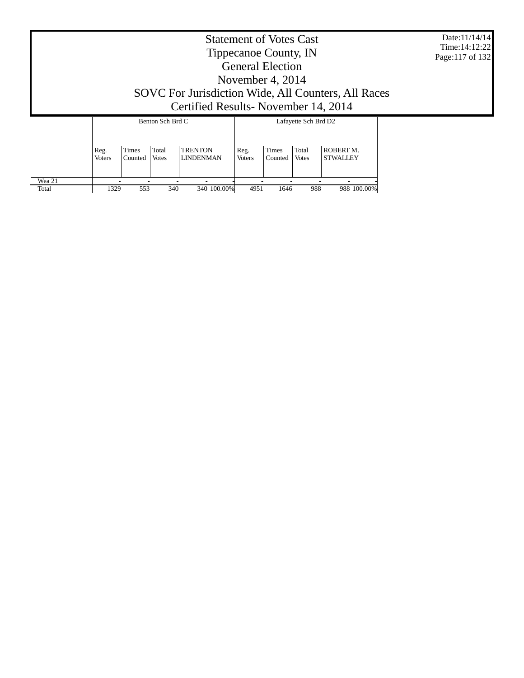Date:11/14/14 Time:14:12:22 Page:117 of 132

# Tippecanoe County, IN General Election November 4, 2014 SOVC For Jurisdiction Wide, All Counters, All Races Certified Results- November 14, 2014

|                 |                |                         | Benton Sch Brd C      |                                    | Lafayette Sch Brd D2  |                         |                       |                              |  |  |
|-----------------|----------------|-------------------------|-----------------------|------------------------------------|-----------------------|-------------------------|-----------------------|------------------------------|--|--|
|                 | Reg.<br>Voters | <b>Times</b><br>Counted | Total<br><b>Votes</b> | <b>TRENTON</b><br><b>LINDENMAN</b> | Reg.<br><b>Voters</b> | <b>Times</b><br>Counted | Total<br><b>Votes</b> | ROBERT M.<br><b>STWALLEY</b> |  |  |
| Wea 21<br>Total | 1329           | 553                     | 340                   | 340 100.00%                        | 4951                  | 1646                    | 988                   | 988 100,00%                  |  |  |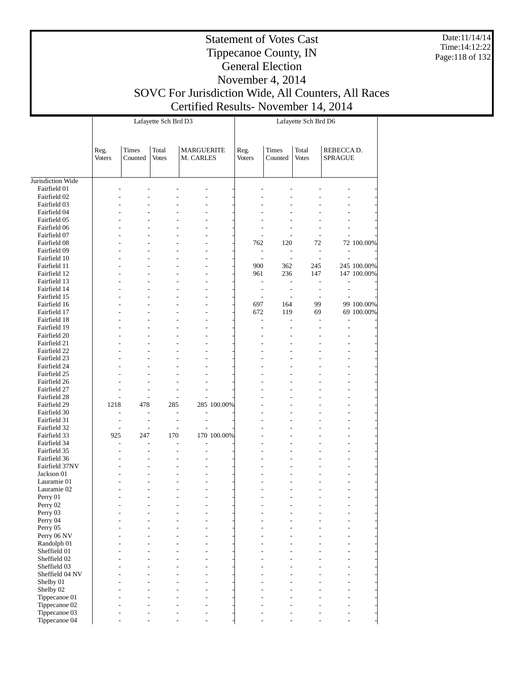Date:11/14/14 Time:14:12:22 Page:118 of 132

## Tippecanoe County, IN General Election November 4, 2014 SOVC For Jurisdiction Wide, All Counters, All Races Certified Results- November 14, 2014

|                              |                          |                          | Lafayette Sch Brd D3  |                                |             | Lafayette Sch Brd D6     |                          |                                 |                          |             |  |  |
|------------------------------|--------------------------|--------------------------|-----------------------|--------------------------------|-------------|--------------------------|--------------------------|---------------------------------|--------------------------|-------------|--|--|
|                              | Reg.<br>Voters           | Times<br>Counted         | Total<br><b>Votes</b> | <b>MARGUERITE</b><br>M. CARLES |             | Reg.<br><b>Voters</b>    | Times<br>Counted         | Total<br><b>Votes</b>           | REBECCA D.<br>SPRAGUE    |             |  |  |
| Jurisdiction Wide            |                          |                          |                       |                                |             |                          |                          |                                 |                          |             |  |  |
| Fairfield 01                 |                          |                          |                       |                                |             |                          |                          |                                 |                          |             |  |  |
| Fairfield 02                 |                          | Ĭ.                       |                       |                                |             |                          |                          |                                 |                          |             |  |  |
| Fairfield 03                 |                          |                          |                       |                                |             |                          |                          |                                 |                          |             |  |  |
| Fairfield 04                 |                          |                          |                       |                                |             |                          |                          |                                 |                          |             |  |  |
| Fairfield 05                 |                          |                          |                       |                                |             |                          |                          |                                 |                          |             |  |  |
| Fairfield 06                 |                          |                          |                       |                                |             |                          |                          |                                 |                          |             |  |  |
| Fairfield 07                 |                          |                          |                       |                                |             |                          | $\overline{\phantom{a}}$ | $\overline{\phantom{a}}$        |                          |             |  |  |
| Fairfield 08                 |                          |                          |                       |                                |             | 762                      | 120                      | 72                              |                          | 72 100.00%  |  |  |
| Fairfield 09                 |                          |                          |                       |                                |             | $\overline{\phantom{a}}$ | $\overline{\phantom{a}}$ | $\overline{a}$                  | $\overline{a}$           |             |  |  |
| Fairfield 10<br>Fairfield 11 |                          | L.                       |                       |                                |             | $\overline{a}$<br>900    | $\sim$<br>362            | $\overline{\phantom{a}}$<br>245 | $\overline{a}$           | 245 100.00% |  |  |
| Fairfield 12                 |                          |                          |                       | $\overline{a}$                 |             | 961                      | 236                      | 147                             |                          | 147 100.00% |  |  |
| Fairfield 13                 |                          |                          |                       |                                |             | $\overline{a}$           | $\overline{\phantom{a}}$ |                                 |                          |             |  |  |
| Fairfield 14                 |                          | L.                       |                       |                                |             | $\overline{\phantom{a}}$ | $\overline{\phantom{a}}$ | $\overline{a}$                  | $\overline{\phantom{a}}$ |             |  |  |
| Fairfield 15                 |                          |                          |                       |                                |             |                          |                          | $\overline{\phantom{a}}$        |                          |             |  |  |
| Fairfield 16                 |                          |                          |                       |                                |             | 697                      | 164                      | 99                              |                          | 99 100.00%  |  |  |
| Fairfield 17                 |                          |                          |                       |                                |             | 672                      | 119                      | 69                              |                          | 69 100.00%  |  |  |
| Fairfield 18                 |                          | L.                       |                       |                                |             | $\overline{a}$           | $\overline{a}$           | L,                              | $\overline{a}$           |             |  |  |
| Fairfield 19                 |                          |                          |                       |                                |             |                          |                          |                                 | L,                       |             |  |  |
| Fairfield 20                 |                          |                          |                       |                                |             |                          |                          |                                 |                          |             |  |  |
| Fairfield 21                 |                          |                          |                       |                                |             |                          |                          |                                 |                          |             |  |  |
| Fairfield 22                 |                          | ÷,                       |                       |                                |             |                          |                          |                                 |                          |             |  |  |
| Fairfield 23                 |                          |                          |                       |                                |             |                          |                          |                                 |                          |             |  |  |
| Fairfield 24                 |                          |                          |                       |                                |             |                          |                          |                                 |                          |             |  |  |
| Fairfield 25<br>Fairfield 26 |                          |                          |                       |                                |             |                          |                          |                                 |                          |             |  |  |
| Fairfield 27                 |                          |                          |                       |                                |             |                          |                          |                                 |                          |             |  |  |
| Fairfield 28                 |                          | $\overline{\phantom{a}}$ |                       | $\overline{\phantom{a}}$       |             |                          |                          |                                 |                          |             |  |  |
| Fairfield 29                 | 1218                     | 478                      | 285                   |                                | 285 100.00% |                          |                          |                                 |                          |             |  |  |
| Fairfield 30                 |                          | $\overline{a}$           | $\overline{a}$        |                                |             |                          |                          |                                 | ÷                        |             |  |  |
| Fairfield 31                 | $\overline{a}$           | $\overline{a}$           | $\overline{a}$        | L,                             |             |                          |                          |                                 |                          |             |  |  |
| Fairfield 32                 | $\overline{\phantom{a}}$ | $\overline{a}$           | $\overline{a}$        | $\overline{a}$                 |             |                          |                          |                                 |                          |             |  |  |
| Fairfield 33                 | 925                      | 247                      | 170                   |                                | 170 100.00% |                          |                          |                                 |                          |             |  |  |
| Fairfield 34                 | ÷,                       | $\overline{a}$           | $\overline{a}$        |                                |             |                          |                          |                                 | ÷                        |             |  |  |
| Fairfield 35                 |                          | $\overline{a}$           |                       |                                |             |                          |                          |                                 |                          |             |  |  |
| Fairfield 36                 |                          | L,                       |                       |                                |             |                          |                          |                                 |                          |             |  |  |
| Fairfield 37NV               |                          | ÷,                       |                       |                                |             |                          |                          |                                 |                          |             |  |  |
| Jackson 01<br>Lauramie 01    |                          | ÷,                       |                       |                                |             |                          |                          |                                 |                          |             |  |  |
| Lauramie 02                  |                          |                          |                       |                                |             |                          |                          |                                 |                          |             |  |  |
| Perry 01                     |                          | $\overline{a}$           |                       | $\overline{a}$                 |             |                          | $\overline{a}$           | $\overline{a}$                  | ÷                        |             |  |  |
| Perry 02                     |                          |                          |                       |                                |             |                          |                          |                                 |                          |             |  |  |
| Perry 03                     |                          |                          |                       |                                |             |                          |                          |                                 |                          |             |  |  |
| Perry 04                     |                          |                          |                       |                                |             |                          |                          |                                 |                          |             |  |  |
| Perry 05                     |                          |                          |                       |                                |             |                          |                          |                                 |                          |             |  |  |
| Perry 06 NV                  |                          |                          |                       |                                |             |                          |                          |                                 |                          |             |  |  |
| Randolph 01                  |                          |                          |                       |                                |             |                          |                          |                                 |                          |             |  |  |
| Sheffield 01                 |                          |                          |                       |                                |             |                          |                          |                                 |                          |             |  |  |
| Sheffield 02                 |                          |                          |                       |                                |             |                          |                          |                                 |                          |             |  |  |
| Sheffield 03                 |                          |                          |                       |                                |             |                          |                          |                                 |                          |             |  |  |
| Sheffield 04 NV              |                          |                          |                       |                                |             |                          |                          |                                 |                          |             |  |  |
| Shelby 01                    |                          |                          |                       |                                |             |                          |                          |                                 |                          |             |  |  |
| Shelby 02<br>Tippecanoe 01   |                          |                          |                       |                                |             |                          |                          |                                 |                          |             |  |  |
| Tippecanoe 02                |                          |                          |                       |                                |             |                          |                          |                                 |                          |             |  |  |
| Tippecanoe 03                |                          |                          |                       |                                |             |                          |                          |                                 |                          |             |  |  |
| Tippecanoe 04                |                          |                          |                       |                                |             |                          |                          |                                 |                          |             |  |  |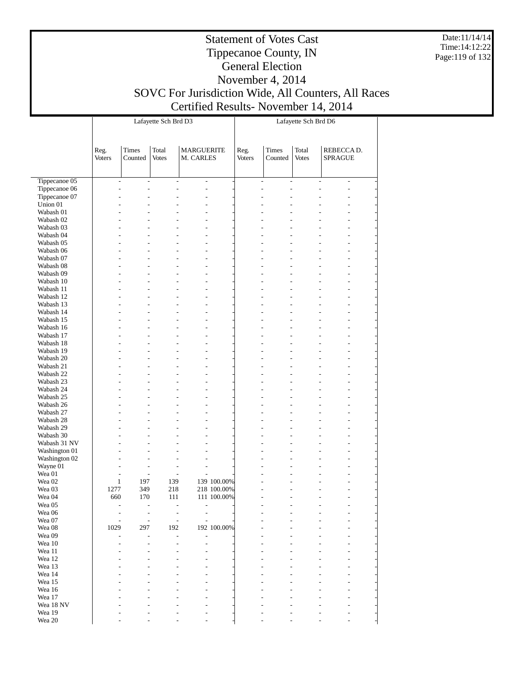Date:11/14/14 Time:14:12:22 Page:119 of 132

## Tippecanoe County, IN General Election November 4, 2014 SOVC For Jurisdiction Wide, All Counters, All Races Certified Results- November 14, 2014

|                        |                                  |                          | Lafayette Sch Brd D3     |                                |                            | Lafayette Sch Brd D6  |                                                      |                       |                                                      |  |  |
|------------------------|----------------------------------|--------------------------|--------------------------|--------------------------------|----------------------------|-----------------------|------------------------------------------------------|-----------------------|------------------------------------------------------|--|--|
|                        | Reg.<br><b>Voters</b>            | Times<br>Counted         | Total<br><b>Votes</b>    | <b>MARGUERITE</b><br>M. CARLES |                            | Reg.<br><b>Voters</b> | <b>Times</b><br>Counted                              | Total<br><b>Votes</b> | REBECCA D.<br><b>SPRAGUE</b>                         |  |  |
| Tippecanoe 05          | $\overline{\phantom{0}}$         | $\overline{\phantom{a}}$ | $\overline{\phantom{a}}$ | $\overline{\phantom{a}}$       |                            |                       | $\overline{\phantom{a}}$<br>$\overline{\phantom{0}}$ |                       | $\overline{\phantom{0}}$<br>$\overline{\phantom{0}}$ |  |  |
| Tippecanoe 06          | $\overline{a}$                   | $\overline{\phantom{0}}$ | $\overline{a}$           | $\overline{a}$                 |                            |                       | $\overline{a}$<br>$\overline{a}$                     |                       | $\overline{a}$                                       |  |  |
| Tippecanoe 07          |                                  |                          | $\overline{a}$           |                                |                            |                       |                                                      |                       | $\overline{a}$                                       |  |  |
| Union 01               |                                  |                          |                          |                                |                            |                       |                                                      |                       |                                                      |  |  |
| Wabash 01              |                                  |                          |                          |                                |                            |                       |                                                      |                       |                                                      |  |  |
| Wabash 02              |                                  |                          |                          |                                |                            |                       |                                                      |                       |                                                      |  |  |
| Wabash 03<br>Wabash 04 | $\overline{a}$                   |                          |                          | $\overline{a}$                 |                            |                       |                                                      |                       |                                                      |  |  |
| Wabash 05              |                                  |                          |                          | $\overline{a}$                 |                            |                       |                                                      |                       |                                                      |  |  |
| Wabash 06              |                                  |                          |                          |                                |                            |                       |                                                      |                       |                                                      |  |  |
| Wabash 07              | $\overline{a}$                   |                          |                          | $\overline{a}$                 |                            |                       |                                                      |                       | $\overline{a}$                                       |  |  |
| Wabash 08              |                                  |                          |                          |                                |                            |                       |                                                      |                       |                                                      |  |  |
| Wabash 09              |                                  |                          |                          | $\overline{a}$                 |                            |                       |                                                      |                       |                                                      |  |  |
| Wabash 10              |                                  |                          |                          |                                |                            |                       |                                                      |                       |                                                      |  |  |
| Wabash 11              | $\overline{a}$                   |                          |                          | $\overline{a}$                 |                            |                       |                                                      |                       | $\overline{a}$                                       |  |  |
| Wabash 12              |                                  |                          |                          |                                |                            |                       |                                                      |                       |                                                      |  |  |
| Wabash 13              |                                  |                          |                          | $\overline{a}$                 |                            |                       |                                                      |                       |                                                      |  |  |
| Wabash 14              |                                  |                          |                          |                                |                            |                       |                                                      |                       |                                                      |  |  |
| Wabash 15<br>Wabash 16 | $\overline{a}$                   |                          |                          | $\overline{a}$                 |                            |                       |                                                      |                       | $\overline{a}$                                       |  |  |
| Wabash 17              |                                  |                          |                          | $\overline{a}$                 |                            |                       |                                                      |                       |                                                      |  |  |
| Wabash 18              |                                  |                          |                          |                                |                            |                       |                                                      |                       |                                                      |  |  |
| Wabash 19              | $\overline{a}$                   |                          | $\overline{a}$           | $\overline{a}$                 |                            |                       |                                                      |                       | $\overline{a}$                                       |  |  |
| Wabash 20              |                                  |                          |                          |                                |                            |                       |                                                      |                       |                                                      |  |  |
| Wabash 21              |                                  |                          |                          | $\overline{a}$                 |                            |                       |                                                      |                       |                                                      |  |  |
| Wabash 22              |                                  |                          |                          |                                |                            |                       |                                                      |                       |                                                      |  |  |
| Wabash 23              | $\overline{a}$                   |                          | $\overline{a}$           | $\overline{a}$                 |                            |                       |                                                      |                       | $\overline{a}$                                       |  |  |
| Wabash 24              |                                  |                          |                          |                                |                            |                       |                                                      |                       |                                                      |  |  |
| Wabash 25              |                                  |                          |                          | $\overline{a}$                 |                            |                       |                                                      |                       |                                                      |  |  |
| Wabash 26<br>Wabash 27 | $\overline{a}$<br>$\overline{a}$ |                          | $\overline{a}$           | $\overline{a}$                 |                            |                       |                                                      |                       | $\overline{a}$                                       |  |  |
| Wabash 28              |                                  |                          |                          |                                |                            |                       |                                                      |                       |                                                      |  |  |
| Wabash 29              |                                  |                          |                          | $\overline{a}$                 |                            |                       |                                                      |                       |                                                      |  |  |
| Wabash 30              | $\overline{a}$                   |                          |                          |                                |                            |                       |                                                      |                       |                                                      |  |  |
| Wabash 31 NV           | $\overline{a}$                   |                          |                          | $\overline{a}$                 |                            |                       |                                                      |                       | $\overline{a}$                                       |  |  |
| Washington 01          |                                  |                          |                          |                                |                            |                       |                                                      |                       |                                                      |  |  |
| Washington 02          |                                  |                          |                          |                                |                            |                       |                                                      |                       |                                                      |  |  |
| Wayne 01               | $\overline{a}$                   | $\overline{a}$           | $\overline{a}$           |                                |                            |                       |                                                      |                       |                                                      |  |  |
| Wea 01                 | -                                | $\overline{\phantom{a}}$ | $\overline{a}$           | $\overline{\phantom{0}}$       |                            |                       |                                                      |                       |                                                      |  |  |
| Wea <sub>02</sub>      | $\mathbf{1}$<br>1277             | 197<br>349               | 139<br>218               |                                | 139 100.00%<br>218 100.00% |                       |                                                      |                       |                                                      |  |  |
| Wea 03<br>Wea 04       | 660                              | 170                      | 111                      |                                | 111 100.00%                |                       | $\overline{a}$                                       | $\overline{a}$        | $\overline{a}$                                       |  |  |
| Wea 05                 |                                  |                          |                          |                                |                            |                       |                                                      |                       |                                                      |  |  |
| Wea 06                 |                                  |                          |                          |                                |                            |                       |                                                      |                       |                                                      |  |  |
| Wea 07                 |                                  | $\overline{a}$           |                          |                                |                            |                       |                                                      |                       |                                                      |  |  |
| Wea 08                 | 1029                             | 297                      | 192                      |                                | 192 100.00%                |                       |                                                      |                       |                                                      |  |  |
| Wea 09                 |                                  |                          |                          |                                |                            |                       |                                                      |                       |                                                      |  |  |
| Wea 10                 |                                  |                          |                          |                                |                            |                       |                                                      |                       |                                                      |  |  |
| Wea 11                 |                                  |                          |                          |                                |                            |                       |                                                      |                       |                                                      |  |  |
| Wea 12                 |                                  |                          |                          |                                |                            |                       |                                                      |                       |                                                      |  |  |
| Wea 13<br>Wea 14       |                                  |                          |                          |                                |                            |                       |                                                      |                       |                                                      |  |  |
| Wea 15                 |                                  |                          |                          |                                |                            |                       |                                                      |                       |                                                      |  |  |
| Wea 16                 |                                  |                          |                          |                                |                            |                       |                                                      |                       |                                                      |  |  |
| Wea 17                 |                                  |                          |                          |                                |                            |                       |                                                      |                       |                                                      |  |  |
| Wea 18 NV              |                                  |                          |                          |                                |                            |                       |                                                      |                       |                                                      |  |  |
| Wea 19                 |                                  |                          |                          |                                |                            |                       |                                                      |                       |                                                      |  |  |
| Wea 20                 |                                  |                          |                          |                                |                            |                       |                                                      |                       |                                                      |  |  |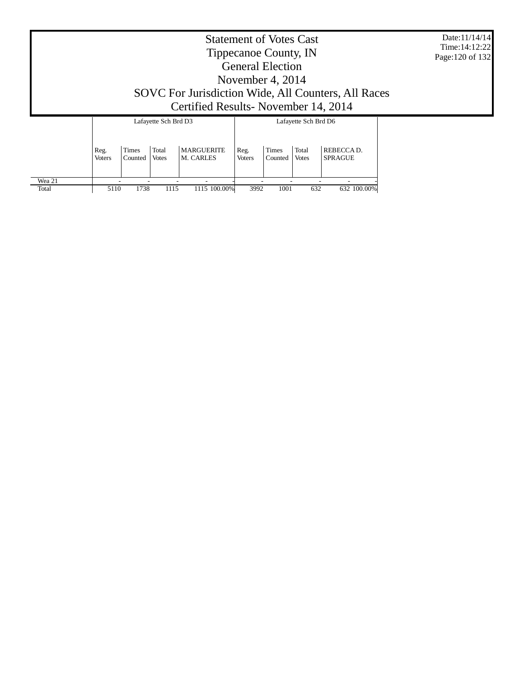| Date:11/14/14   |
|-----------------|
| Time:14:12:22   |
| Page:120 of 132 |

# Statement of Votes Cast Tippecanoe County, IN General Election November 4, 2014 SOVC For Jurisdiction Wide, All Counters, All Races Certified Results- November 14, 2014

|        |                |                         | Lafayette Sch Brd D3  |                                |                       |                         | Lafayette Sch Brd D6  |                              |
|--------|----------------|-------------------------|-----------------------|--------------------------------|-----------------------|-------------------------|-----------------------|------------------------------|
|        | Reg.<br>Voters | <b>Times</b><br>Counted | Total<br><b>Votes</b> | <b>MARGUERITE</b><br>M. CARLES | Reg.<br><b>Voters</b> | <b>Times</b><br>Counted | Total<br><b>Votes</b> | REBECCA D.<br><b>SPRAGUE</b> |
| Wea 21 |                |                         |                       | -                              |                       |                         |                       |                              |
| Total  | 5110           | 1738                    | 1115                  | 1115 100.00%                   | 3992                  | 1001                    | 632                   | 632 100.00%                  |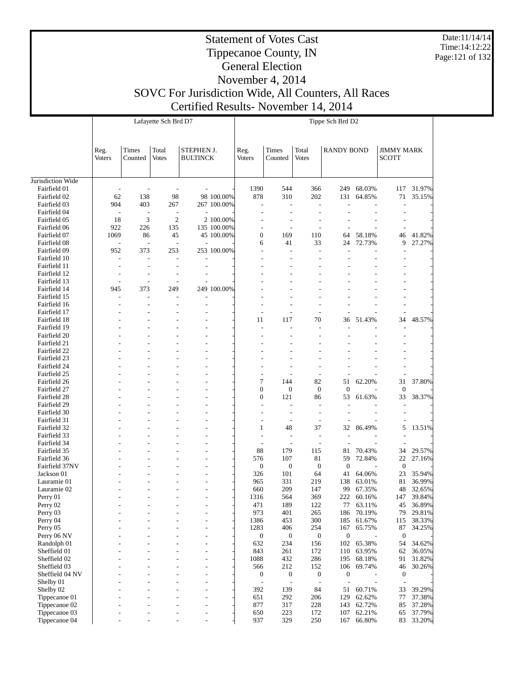Date:11/14/14 Time:14:12:22 Page:121 of 132

# Statement of Votes Cast Tippecanoe County, IN General Election

|                                |                                 |                       | Lafayette Sch Brd D7            |                               |             |                          |                                                      |                                  | Tippe Sch Brd D2        |                  |                                   |                  |
|--------------------------------|---------------------------------|-----------------------|---------------------------------|-------------------------------|-------------|--------------------------|------------------------------------------------------|----------------------------------|-------------------------|------------------|-----------------------------------|------------------|
|                                | Reg.<br><b>Voters</b>           | Times<br>Counted      | Total<br><b>Votes</b>           | STEPHEN J.<br><b>BULTINCK</b> |             | Reg.<br><b>Voters</b>    | Times<br>Counted                                     | Total<br><b>Votes</b>            | <b>RANDY BOND</b>       |                  | <b>JIMMY MARK</b><br><b>SCOTT</b> |                  |
| Jurisdiction Wide              |                                 |                       |                                 |                               |             |                          |                                                      |                                  |                         |                  |                                   |                  |
| Fairfield 01                   | $\overline{a}$                  |                       | $\overline{a}$                  |                               |             | 1390                     | 544                                                  | 366                              | 249                     | 68.03%           | 117                               | 31.97%           |
| Fairfield 02                   | 62                              | 138                   | 98                              |                               | 98 100.00%  | 878                      | 310                                                  | 202                              | 131                     | 64.85%           | 71                                | 35.15%           |
| Fairfield 03<br>Fairfield 04   | 904<br>$\overline{\phantom{a}}$ | 403<br>$\overline{a}$ | 267<br>$\overline{\phantom{a}}$ |                               | 267 100.00% |                          | $\overline{\phantom{a}}$<br>$\overline{\phantom{a}}$ | $\overline{a}$<br>L,             |                         |                  |                                   |                  |
| Fairfield 05                   | 18                              | 3                     | $\overline{c}$                  |                               | 2 100.00%   |                          |                                                      |                                  |                         |                  |                                   |                  |
| Fairfield 06                   | 922                             | 226                   | 135                             |                               | 135 100.00% |                          | $\overline{\phantom{0}}$                             | $\overline{a}$                   |                         |                  |                                   |                  |
| Fairfield 07                   | 1069                            | 86                    | 45                              |                               | 45 100.00%  | $\boldsymbol{0}$         | 169                                                  | 110                              | 64                      | 58.18%           | 46                                | 41.82%           |
| Fairfield 08                   |                                 |                       | $\overline{\phantom{a}}$        |                               |             | 6                        | 41                                                   | 33                               | 24                      | 72.73%           | 9                                 | 27.27%           |
| Fairfield 09                   | 952                             | 373                   | 253                             |                               | 253 100.00% |                          | $\overline{a}$                                       | L,                               |                         |                  |                                   |                  |
| Fairfield 10                   | $\overline{a}$                  |                       | $\overline{\phantom{a}}$        |                               |             |                          | $\overline{\phantom{a}}$                             | $\overline{a}$                   |                         |                  |                                   |                  |
| Fairfield 11                   |                                 |                       | $\overline{\phantom{a}}$        | $\overline{\phantom{a}}$      |             |                          |                                                      |                                  |                         |                  |                                   |                  |
| Fairfield 12<br>Fairfield 13   | $\overline{\phantom{a}}$        |                       | $\overline{a}$                  |                               |             |                          |                                                      |                                  |                         |                  |                                   |                  |
| Fairfield 14                   | 945                             | 373                   | 249                             |                               | 249 100.00% |                          |                                                      |                                  |                         |                  |                                   |                  |
| Fairfield 15                   |                                 |                       | $\overline{a}$                  |                               |             |                          |                                                      |                                  |                         |                  |                                   |                  |
| Fairfield 16                   |                                 |                       | $\overline{\phantom{a}}$        |                               |             |                          |                                                      |                                  |                         |                  |                                   |                  |
| Fairfield 17                   |                                 |                       |                                 |                               |             |                          |                                                      |                                  |                         |                  |                                   |                  |
| Fairfield 18                   |                                 |                       |                                 |                               |             | 11                       | 117                                                  | 70                               | 36                      | 51.43%           | 34                                | 48.57%           |
| Fairfield 19                   |                                 |                       |                                 |                               |             |                          |                                                      | L,                               |                         |                  |                                   |                  |
| Fairfield 20<br>Fairfield 21   |                                 |                       |                                 |                               |             |                          |                                                      | L,                               |                         |                  |                                   |                  |
| Fairfield 22                   |                                 |                       |                                 |                               |             |                          |                                                      |                                  |                         |                  |                                   |                  |
| Fairfield 23                   |                                 |                       |                                 |                               |             |                          |                                                      |                                  |                         |                  |                                   |                  |
| Fairfield 24                   |                                 |                       |                                 |                               |             |                          |                                                      |                                  |                         |                  |                                   |                  |
| Fairfield 25                   |                                 |                       |                                 |                               |             |                          |                                                      |                                  |                         |                  |                                   |                  |
| Fairfield 26                   |                                 |                       |                                 |                               |             | $\tau$                   | 144                                                  | 82                               | 51                      | 62.20%           | 31                                | 37.80%           |
| Fairfield 27                   |                                 |                       |                                 |                               |             | $\mathbf{0}$             | $\boldsymbol{0}$                                     | $\boldsymbol{0}$                 | $\boldsymbol{0}$        |                  | $\boldsymbol{0}$                  |                  |
| Fairfield 28                   |                                 |                       |                                 |                               |             | $\boldsymbol{0}$         | 121                                                  | 86                               | 53                      | 61.63%           | 33                                | 38.37%           |
| Fairfield 29<br>Fairfield 30   |                                 |                       |                                 |                               |             |                          | $\overline{\phantom{a}}$<br>$\overline{\phantom{a}}$ | $\overline{a}$<br>$\overline{a}$ |                         |                  |                                   |                  |
| Fairfield 31                   |                                 |                       |                                 |                               |             |                          | $\overline{\phantom{0}}$                             | $\overline{a}$                   |                         |                  |                                   |                  |
| Fairfield 32                   |                                 |                       |                                 |                               |             | 1                        | 48                                                   | 37                               | 32                      | 86.49%           | 5                                 | 13.51%           |
| Fairfield 33                   |                                 |                       |                                 |                               |             |                          | $\overline{\phantom{a}}$                             | $\overline{a}$                   |                         |                  |                                   |                  |
| Fairfield 34                   |                                 |                       |                                 |                               |             | $\overline{\phantom{0}}$ | $\overline{\phantom{0}}$                             | $\qquad \qquad \blacksquare$     |                         |                  |                                   |                  |
| Fairfield 35                   |                                 |                       |                                 |                               |             | 88                       | 179                                                  | 115                              | 81                      | 70.43%           | 34                                | 29.57%           |
| Fairfield 36                   |                                 |                       |                                 |                               |             | 576                      | 107                                                  | 81                               | 59                      | 72.84%           | 22                                | 27.16%           |
| Fairfield 37NV<br>Jackson 01   |                                 |                       |                                 |                               |             | $\boldsymbol{0}$<br>326  | $\boldsymbol{0}$<br>101                              | $\boldsymbol{0}$<br>64           | $\boldsymbol{0}$<br>41  | 64.06%           | $\boldsymbol{0}$<br>23            | 35.94%           |
| Lauramie 01                    |                                 |                       |                                 |                               |             | 965                      | 331                                                  | 219                              | 138                     | 63.01%           | 81                                | 36.99%           |
| Lauramie 02                    |                                 |                       |                                 |                               |             | 660                      | 209                                                  | 147                              | 99                      | 67.35%           | 48                                | 32.65%           |
| Perry 01                       |                                 |                       |                                 |                               |             | 1316                     | 564                                                  | 369                              | 222                     | 60.16%           | 147                               | 39.84%           |
| Perry 02                       |                                 |                       |                                 |                               |             | 471                      | 189                                                  | 122                              | 77                      | 63.11%           | 45                                | 36.89%           |
| Perry 03                       |                                 |                       |                                 |                               |             | 973                      | 401                                                  | 265                              | 186                     | 70.19%           | 79                                | 29.81%           |
| Perry 04                       |                                 |                       |                                 | $\overline{\phantom{a}}$      |             | 1386                     | 453                                                  | 300                              | 185                     | 61.67%           | 115                               | 38.33%           |
| Perry 05                       |                                 |                       |                                 | ٠                             |             | 1283                     | 406                                                  | 254                              | 167<br>$\boldsymbol{0}$ | 65.75%           | 87<br>$\mathbf{0}$                | 34.25%           |
| Perry 06 NV<br>Randolph 01     |                                 |                       |                                 | $\overline{\phantom{a}}$<br>٠ |             | $\boldsymbol{0}$<br>632  | $\boldsymbol{0}$<br>234                              | 0<br>156                         | 102                     | 65.38%           | 54                                | 34.62%           |
| Sheffield 01                   |                                 |                       | $\overline{\phantom{a}}$        | $\overline{a}$                |             | 843                      | 261                                                  | 172                              | 110                     | 63.95%           | 62                                | 36.05%           |
| Sheffield 02                   |                                 |                       |                                 | $\overline{\phantom{a}}$      |             | 1088                     | 432                                                  | 286                              | 195                     | 68.18%           | 91                                | 31.82%           |
| Sheffield 03                   |                                 |                       | $\overline{a}$                  | $\overline{\phantom{a}}$      |             | 566                      | 212                                                  | 152                              | 106                     | 69.74%           | 46                                | 30.26%           |
| Sheffield 04 NV                |                                 |                       |                                 | ٠                             |             | $\boldsymbol{0}$         | $\boldsymbol{0}$                                     | $\boldsymbol{0}$                 | $\boldsymbol{0}$        |                  | $\boldsymbol{0}$                  |                  |
| Shelby 01                      |                                 |                       | $\overline{a}$                  | $\overline{a}$                |             | $\overline{a}$           | $\overline{\phantom{a}}$                             | $\qquad \qquad \blacksquare$     | Ĭ.                      |                  | $\overline{a}$                    |                  |
| Shelby 02                      |                                 |                       |                                 | $\overline{\phantom{a}}$      |             | 392                      | 139                                                  | 84                               | 51                      | 60.71%           | 33                                | 39.29%           |
| Tippecanoe 01<br>Tippecanoe 02 |                                 |                       | $\overline{a}$                  | $\overline{a}$<br>٠           |             | 651<br>877               | 292<br>317                                           | 206<br>228                       | 129<br>143              | 62.62%<br>62.72% | 77<br>85                          | 37.38%<br>37.28% |
| Tippecanoe 03                  |                                 |                       | $\overline{a}$                  | $\overline{a}$                |             | 650                      | 223                                                  | 172                              | 107                     | 62.21%           | 65                                | 37.79%           |
| Tippecanoe 04                  |                                 |                       | J.                              | ÷,                            |             | 937                      | 329                                                  | 250                              | 167                     | 66.80%           | 83                                | 33.20%           |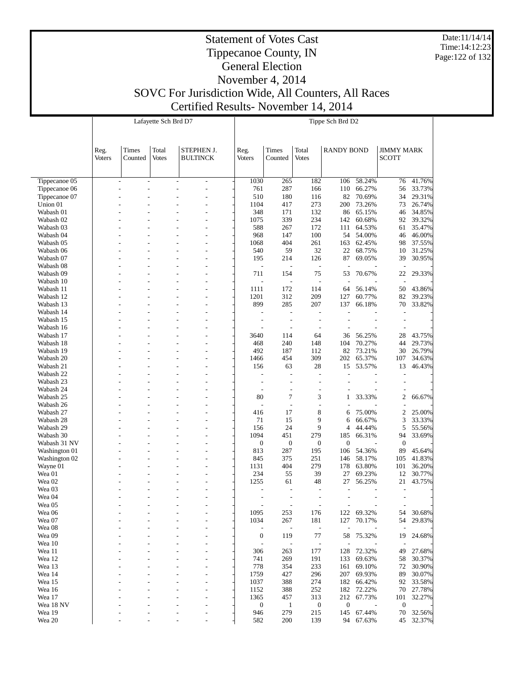Date:11/14/14 Time:14:12:23 Page:122 of 132

# Statement of Votes Cast Tippecanoe County, IN General Election November 4, 2014

|                                |                |                              | Lafayette Sch Brd D7 |                          |                          |                                  |                                  | Tippe Sch Brd D2         |                  |                          |                  |
|--------------------------------|----------------|------------------------------|----------------------|--------------------------|--------------------------|----------------------------------|----------------------------------|--------------------------|------------------|--------------------------|------------------|
|                                |                |                              |                      |                          |                          |                                  |                                  |                          |                  |                          |                  |
|                                |                |                              |                      |                          |                          |                                  |                                  |                          |                  |                          |                  |
|                                | Reg.           | Times                        | Total                | STEPHEN J.               | Reg.                     | Times                            | Total                            | <b>RANDY BOND</b>        |                  | <b>JIMMY MARK</b>        |                  |
|                                | <b>Voters</b>  | Counted                      | <b>Votes</b>         | <b>BULTINCK</b>          | <b>Voters</b>            | Counted                          | <b>Votes</b>                     |                          |                  | <b>SCOTT</b>             |                  |
|                                |                |                              |                      |                          |                          |                                  |                                  |                          |                  |                          |                  |
|                                |                |                              |                      |                          |                          |                                  |                                  |                          |                  |                          |                  |
| Tippecanoe 05                  | $\overline{a}$ | $\qquad \qquad \blacksquare$ | $\overline{a}$<br>L, | $\overline{\phantom{a}}$ | 1030<br>761              | 265<br>287                       | 182<br>166                       | 106<br>110               | 58.24%<br>66.27% | 76                       | 41.76%<br>33.73% |
| Tippecanoe 06<br>Tippecanoe 07 |                |                              |                      | L,                       | 510                      | 180                              | 116                              | 82                       | 70.69%           | 56<br>34                 | 29.31%           |
| Union 01                       |                |                              |                      | L,                       | 1104                     | 417                              | 273                              | 200                      | 73.26%           | 73                       | 26.74%           |
| Wabash 01                      |                |                              |                      |                          | 348                      | 171                              | 132                              | 86                       | 65.15%           | 46                       | 34.85%           |
| Wabash 02                      |                |                              |                      | L,                       | 1075                     | 339                              | 234                              | 142                      | 60.68%           | 92                       | 39.32%           |
| Wabash 03                      |                |                              |                      |                          | 588                      | 267                              | 172                              | 111                      | 64.53%           | 61                       | 35.47%           |
| Wabash 04                      |                |                              |                      | L,                       | 968                      | 147                              | 100                              | 54                       | 54.00%           | 46                       | 46.00%           |
| Wabash 05                      |                |                              |                      | L,                       | 1068                     | 404                              | 261                              | 163                      | 62.45%           | 98                       | 37.55%           |
| Wabash 06<br>Wabash 07         |                |                              |                      | L,                       | 540<br>195               | 59<br>214                        | 32<br>126                        | 22<br>87                 | 68.75%<br>69.05% | 10<br>39                 | 31.25%<br>30.95% |
| Wabash 08                      |                |                              |                      | L,                       | Ĭ.                       | $\overline{\phantom{a}}$         | $\overline{\phantom{a}}$         | $\overline{a}$           |                  |                          |                  |
| Wabash 09                      |                |                              |                      |                          | 711                      | 154                              | 75                               | 53                       | 70.67%           | 22                       | 29.33%           |
| Wabash 10                      |                |                              |                      | L,                       |                          | $\overline{\phantom{a}}$         | $\overline{a}$                   | $\overline{a}$           |                  | $\overline{a}$           |                  |
| Wabash 11                      |                |                              |                      |                          | 1111                     | 172                              | 114                              | 64                       | 56.14%           | 50                       | 43.86%           |
| Wabash 12                      |                |                              |                      | L,                       | 1201                     | 312                              | 209                              | 127                      | 60.77%           | 82                       | 39.23%           |
| Wabash 13                      |                |                              |                      |                          | 899                      | 285                              | 207                              | 137                      | 66.18%           | 70                       | 33.82%           |
| Wabash 14                      |                |                              |                      | L,                       | L,                       | L,                               | $\overline{a}$                   | L,                       |                  |                          |                  |
| Wabash 15<br>Wabash 16         |                |                              | ÷,                   | L,                       | ÷,                       | ÷<br>÷                           | $\overline{a}$<br>$\overline{a}$ | $\overline{a}$           |                  |                          |                  |
| Wabash 17                      |                |                              |                      | L,                       | 3640                     | 114                              | 64                               | 36                       | 56.25%           | 28                       | 43.75%           |
| Wabash 18                      |                |                              |                      | L,                       | 468                      | 240                              | 148                              | 104                      | 70.27%           | 44                       | 29.73%           |
| Wabash 19                      |                |                              |                      |                          | 492                      | 187                              | 112                              | 82                       | 73.21%           | 30                       | 26.79%           |
| Wabash 20                      |                |                              |                      | L,                       | 1466                     | 454                              | 309                              | 202                      | 65.37%           | 107                      | 34.63%           |
| Wabash 21                      |                |                              |                      |                          | 156                      | 63                               | 28                               | 15                       | 53.57%           | 13                       | 46.43%           |
| Wabash 22                      |                |                              |                      |                          | $\overline{a}$           | $\overline{a}$                   | $\overline{a}$                   | $\overline{a}$           |                  |                          |                  |
| Wabash 23                      |                |                              |                      |                          | L,                       | $\overline{a}$                   | $\overline{\phantom{a}}$         |                          |                  |                          |                  |
| Wabash 24<br>Wabash 25         |                |                              |                      | L,                       | $\overline{a}$<br>80     | $\overline{a}$<br>$\overline{7}$ | $\overline{a}$<br>3              | 1                        | 33.33%           | $\overline{2}$           | 66.67%           |
| Wabash 26                      |                |                              |                      | L,                       | L,                       | $\frac{1}{2}$                    | $\overline{a}$                   |                          |                  |                          |                  |
| Wabash 27                      |                |                              |                      |                          | 416                      | 17                               | 8                                | 6                        | 75.00%           | $\overline{2}$           | 25.00%           |
| Wabash 28                      |                |                              | ÷,                   | ÷,                       | 71                       | 15                               | 9                                | 6                        | 66.67%           | 3                        | 33.33%           |
| Wabash 29                      |                |                              |                      | L,                       | 156                      | 24                               | 9                                | 4                        | 44.44%           | 5                        | 55.56%           |
| Wabash 30                      |                |                              |                      | L,                       | 1094                     | 451                              | 279                              | 185                      | 66.31%           | 94                       | 33.69%           |
| Wabash 31 NV                   |                |                              |                      |                          | $\boldsymbol{0}$         | $\mathbf{0}$                     | $\mathbf{0}$                     | $\mathbf{0}$             |                  | $\mathbf{0}$             |                  |
| Washington 01                  |                |                              |                      | L,                       | 813<br>845               | 287<br>375                       | 195<br>251                       | 106                      | 54.36%<br>58.17% | 89                       | 45.64%<br>41.83% |
| Washington 02<br>Wayne 01      |                |                              |                      | L,                       | 1131                     | 404                              | 279                              | 146<br>178               | 63.80%           | 105<br>101               | 36.20%           |
| Wea 01                         |                |                              |                      |                          | 234                      | 55                               | 39                               | 27                       | 69.23%           | 12                       | 30.77%           |
| Wea <sub>02</sub>              |                |                              |                      |                          | 1255                     | 61                               | 48                               | 27                       | 56.25%           | 21                       | 43.75%           |
| Wea 03                         |                |                              |                      |                          |                          | $\overline{\phantom{a}}$         | $\overline{a}$                   | $\overline{a}$           |                  | $\overline{\phantom{a}}$ |                  |
| Wea 04                         |                |                              |                      |                          |                          |                                  |                                  |                          |                  |                          |                  |
| Wea 05                         |                |                              |                      | L,                       | $\overline{a}$           | $\overline{\phantom{a}}$         | $\overline{\phantom{a}}$         | $\overline{\phantom{a}}$ |                  | $\overline{a}$           |                  |
| Wea 06                         |                |                              |                      | L,                       | 1095                     | 253                              | 176                              | 122                      | 69.32%           | 54                       | 30.68%           |
| Wea 07<br>Wea 08               |                |                              |                      | L,<br>L,                 | 1034                     | 267                              | 181<br>$\overline{\phantom{a}}$  | 127                      | 70.17%           | 54                       | 29.83%           |
| Wea 09                         |                |                              |                      |                          | $\boldsymbol{0}$         | $\overline{\phantom{a}}$<br>119  | 77                               | 58                       | 75.32%           | 19                       | 24.68%           |
| Wea 10                         |                |                              |                      |                          |                          | $\overline{\phantom{a}}$         | $\overline{\phantom{a}}$         |                          |                  |                          |                  |
| Wea 11                         |                |                              |                      |                          | 306                      | 263                              | 177                              | 128                      | 72.32%           | 49                       | 27.68%           |
| Wea 12                         |                |                              |                      | Ĭ.                       | 741                      | 269                              | 191                              | 133                      | 69.63%           | 58                       | 30.37%           |
| Wea 13                         |                |                              |                      |                          | 778                      | 354                              | 233                              | 161                      | 69.10%           | 72                       | 30.90%           |
| Wea 14                         |                |                              |                      |                          | 1759                     | 427                              | 296                              | 207                      | 69.93%           | 89                       | 30.07%           |
| Wea 15                         |                |                              |                      |                          | 1037                     | 388                              | 274                              | 182                      | 66.42%           | 92                       | 33.58%           |
| Wea 16<br>Wea 17               |                |                              |                      | Ĭ.                       | 1152                     | 388                              | 252                              | 182<br>212               | 72.22%           | 70                       | 27.78%           |
| Wea 18 NV                      |                |                              |                      | L,                       | 1365<br>$\boldsymbol{0}$ | 457<br>$\mathbf{1}$              | 313<br>$\boldsymbol{0}$          | $\boldsymbol{0}$         | 67.73%           | 101<br>$\boldsymbol{0}$  | 32.27%           |
| Wea 19                         |                |                              |                      | L,                       | 946                      | 279                              | 215                              | 145                      | 67.44%           | 70                       | 32.56%           |
| Wea 20                         |                |                              |                      | Ĭ.                       | 582                      | 200                              | 139                              | 94                       | 67.63%           | 45                       | 32.37%           |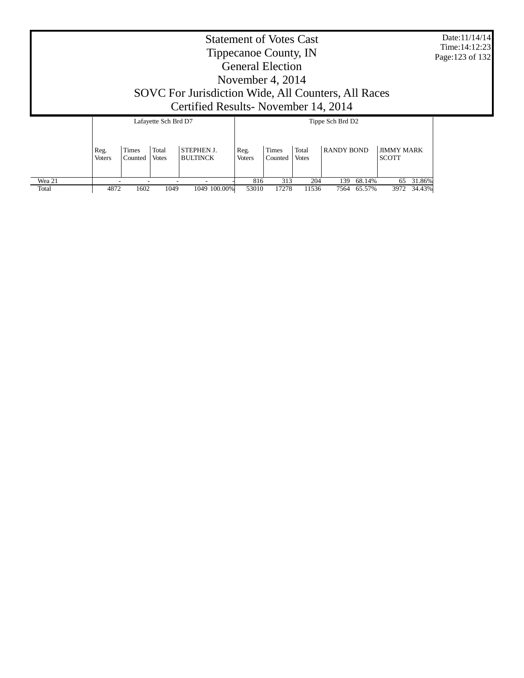| <b>Statement of Votes Cast</b><br>Tippecanoe County, IN<br>Page: 123 of 132<br><b>General Election</b><br>November 4, 2014<br>SOVC For Jurisdiction Wide, All Counters, All Races<br>Certified Results - November 14, 2014<br>Lafayette Sch Brd D7<br>Tippe Sch Brd D2<br><b>RANDY BOND</b><br>Times<br><b>JIMMY MARK</b><br>Total<br><b>STEPHEN J.</b><br>Times<br>Total<br>Reg.<br>Reg. |         |              |                 |               |         |              |  |              |  |  |  |  |
|-------------------------------------------------------------------------------------------------------------------------------------------------------------------------------------------------------------------------------------------------------------------------------------------------------------------------------------------------------------------------------------------|---------|--------------|-----------------|---------------|---------|--------------|--|--------------|--|--|--|--|
| <b>Voters</b>                                                                                                                                                                                                                                                                                                                                                                             | Counted | <b>Votes</b> | <b>BULTINCK</b> | <b>Voters</b> | Counted | <b>Votes</b> |  | <b>SCOTT</b> |  |  |  |  |

- - - - - 816 313 204 139 68.14% 65 31.86% 4872 1602 1049 1049 100.00% 53010 17278 11536 7564 65.57% 3972 34.43%

 Wea 21 Total

 $\overline{\phantom{a}}$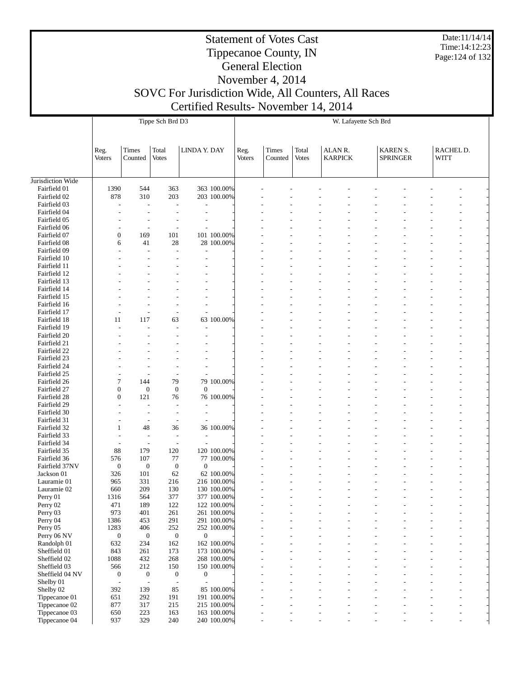Date:11/14/14 Time:14:12:23 Page:124 of 132

#### Statement of Votes Cast Tippecanoe County, IN General Election

November 4, 2014

# SOVC For Jurisdiction Wide, All Counters, All Races

Certified Results- November 14, 2014

|                                |                       |                          | Tippe Sch Brd D3         |                  |                            |                       |                  |                       |                           | W. Lafayette Sch Brd |                                    |                          |  |
|--------------------------------|-----------------------|--------------------------|--------------------------|------------------|----------------------------|-----------------------|------------------|-----------------------|---------------------------|----------------------|------------------------------------|--------------------------|--|
|                                |                       |                          |                          |                  |                            |                       |                  |                       |                           |                      |                                    |                          |  |
|                                | Reg.<br><b>Voters</b> | Times<br>Counted         | Total<br><b>Votes</b>    | LINDA Y. DAY     |                            | Reg.<br><b>Voters</b> | Times<br>Counted | Total<br><b>Votes</b> | ALAN R.<br><b>KARPICK</b> |                      | <b>KAREN S.</b><br><b>SPRINGER</b> | RACHEL D.<br><b>WITT</b> |  |
| Jurisdiction Wide              |                       |                          |                          |                  |                            |                       |                  |                       |                           |                      |                                    |                          |  |
| Fairfield 01                   | 1390                  | 544                      | 363                      |                  | 363 100.00%                |                       |                  |                       |                           |                      |                                    |                          |  |
| Fairfield 02                   | 878                   | 310                      | 203                      |                  | 203 100.00%                |                       |                  |                       |                           |                      |                                    |                          |  |
| Fairfield 03                   |                       |                          | $\overline{a}$           |                  |                            |                       |                  |                       |                           |                      |                                    |                          |  |
| Fairfield 04                   |                       |                          |                          |                  |                            |                       |                  |                       |                           |                      |                                    |                          |  |
| Fairfield 05                   |                       |                          |                          |                  |                            |                       |                  |                       |                           |                      |                                    |                          |  |
| Fairfield 06                   |                       |                          |                          |                  |                            |                       |                  |                       |                           |                      |                                    |                          |  |
| Fairfield 07                   | $\mathbf{0}$          | 169                      | 101                      |                  | 101 100.00%                |                       |                  |                       |                           |                      |                                    |                          |  |
| Fairfield 08<br>Fairfield 09   | 6                     | 41<br>L,                 | 28<br>$\overline{a}$     |                  | 28 100.00%                 |                       |                  |                       |                           |                      |                                    |                          |  |
| Fairfield 10                   |                       |                          |                          |                  |                            |                       |                  |                       |                           |                      |                                    |                          |  |
| Fairfield 11                   |                       |                          |                          |                  |                            |                       |                  |                       |                           |                      |                                    |                          |  |
| Fairfield 12                   |                       |                          |                          |                  |                            |                       |                  |                       |                           |                      |                                    |                          |  |
| Fairfield 13                   |                       |                          |                          |                  |                            |                       |                  |                       |                           |                      |                                    |                          |  |
| Fairfield 14                   |                       |                          |                          |                  |                            |                       |                  |                       |                           |                      |                                    |                          |  |
| Fairfield 15                   |                       |                          |                          |                  |                            |                       |                  |                       |                           |                      |                                    |                          |  |
| Fairfield 16                   |                       |                          |                          |                  |                            |                       |                  |                       |                           |                      |                                    |                          |  |
| Fairfield 17                   |                       |                          |                          |                  |                            |                       |                  |                       |                           |                      |                                    |                          |  |
| Fairfield 18                   | 11                    | 117                      | 63                       |                  | 63 100.00%                 |                       |                  |                       |                           |                      |                                    |                          |  |
| Fairfield 19<br>Fairfield 20   |                       |                          |                          |                  |                            |                       |                  |                       |                           |                      |                                    |                          |  |
| Fairfield 21                   |                       |                          |                          |                  |                            |                       |                  |                       |                           |                      |                                    |                          |  |
| Fairfield 22                   |                       |                          |                          |                  |                            |                       |                  |                       |                           |                      |                                    |                          |  |
| Fairfield 23                   |                       |                          |                          |                  |                            |                       |                  |                       |                           |                      |                                    |                          |  |
| Fairfield 24                   |                       |                          |                          |                  |                            |                       |                  |                       |                           |                      |                                    |                          |  |
| Fairfield 25                   |                       |                          |                          |                  |                            |                       |                  |                       |                           |                      |                                    |                          |  |
| Fairfield 26                   | 7                     | 144                      | 79                       |                  | 79 100.00%                 |                       |                  |                       |                           |                      |                                    |                          |  |
| Fairfield 27                   | $\boldsymbol{0}$      | $\boldsymbol{0}$         | $\mathbf{0}$             | $\mathbf{0}$     |                            |                       |                  |                       |                           |                      |                                    |                          |  |
| Fairfield 28                   | $\mathbf{0}$          | 121                      | 76                       |                  | 76 100.00%                 |                       |                  |                       |                           |                      |                                    |                          |  |
| Fairfield 29<br>Fairfield 30   |                       |                          |                          |                  |                            |                       |                  |                       |                           |                      |                                    |                          |  |
| Fairfield 31                   |                       | $\overline{a}$           |                          |                  |                            |                       |                  |                       |                           |                      |                                    |                          |  |
| Fairfield 32                   | 1                     | 48                       | 36                       |                  | 36 100.00%                 |                       |                  |                       |                           |                      |                                    |                          |  |
| Fairfield 33                   |                       | $\overline{a}$           | $\overline{a}$           |                  |                            |                       |                  |                       |                           |                      |                                    |                          |  |
| Fairfield 34                   |                       | $\overline{a}$           | $\overline{a}$           |                  |                            |                       |                  |                       |                           |                      |                                    |                          |  |
| Fairfield 35                   | 88                    | 179                      | 120                      |                  | 120 100.00%                |                       |                  |                       |                           |                      |                                    |                          |  |
| Fairfield 36                   | 576                   | 107                      | 77                       |                  | 77 100.00%                 |                       |                  |                       |                           |                      |                                    |                          |  |
| Fairfield 37NV                 | $\mathbf{0}$          | $\boldsymbol{0}$         | $\mathbf{0}$             | $\theta$         |                            |                       |                  |                       |                           |                      |                                    |                          |  |
| Jackson 01<br>Lauramie 01      | 326<br>965            | 101<br>331               | 62<br>216                |                  | 62 100.00%<br>216 100.00%  |                       |                  |                       |                           |                      |                                    |                          |  |
| Lauramie 02                    | 660                   | 209                      | 130                      |                  | 130 100.00%                |                       |                  |                       |                           |                      |                                    |                          |  |
| Perry 01                       | 1316                  | 564                      | 377                      |                  | 377 100.00%                |                       |                  |                       |                           |                      |                                    |                          |  |
| Perry 02                       | 471                   | 189                      | 122                      |                  | 122 100.00%                |                       |                  |                       |                           |                      |                                    |                          |  |
| Perry 03                       | 973                   | 401                      | 261                      |                  | 261 100.00%                |                       |                  |                       |                           |                      |                                    |                          |  |
| Perry 04                       | 1386                  | 453                      | 291                      |                  | 291 100.00%                |                       |                  |                       |                           |                      |                                    |                          |  |
| Perry 05                       | 1283                  | 406                      | 252                      |                  | 252 100.00%                |                       |                  |                       |                           |                      |                                    |                          |  |
| Perry 06 NV                    | $\boldsymbol{0}$      | $\boldsymbol{0}$         | $\boldsymbol{0}$         | $\mathbf{0}$     |                            |                       |                  |                       |                           |                      |                                    |                          |  |
| Randolph 01                    | 632                   | 234                      | 162                      |                  | 162 100.00%                |                       |                  |                       |                           |                      |                                    |                          |  |
| Sheffield 01<br>Sheffield 02   | 843<br>1088           | 261<br>432               | 173<br>268               |                  | 173 100.00%<br>268 100.00% |                       |                  |                       |                           |                      |                                    |                          |  |
| Sheffield 03                   | 566                   | 212                      | 150                      |                  | 150 100.00%                |                       |                  |                       |                           |                      |                                    |                          |  |
| Sheffield 04 NV                | $\boldsymbol{0}$      | $\boldsymbol{0}$         | $\boldsymbol{0}$         | $\boldsymbol{0}$ |                            |                       |                  |                       |                           |                      |                                    |                          |  |
| Shelby 01                      | Ĭ.                    | $\overline{\phantom{a}}$ | $\overline{\phantom{a}}$ |                  |                            |                       |                  |                       |                           |                      |                                    |                          |  |
| Shelby 02                      | 392                   | 139                      | 85                       |                  | 85 100.00%                 |                       |                  |                       |                           |                      |                                    |                          |  |
| Tippecanoe 01                  | 651                   | 292                      | 191                      |                  | 191 100.00%                |                       |                  |                       |                           |                      |                                    |                          |  |
| Tippecanoe 02<br>Tippecanoe 03 | 877<br>650            | 317<br>223               | 215<br>163               |                  | 215 100.00%<br>163 100.00% |                       |                  |                       |                           |                      |                                    |                          |  |
| Tippecanoe 04                  | 937                   | 329                      | 240                      |                  | 240 100.00%                |                       | $\overline{a}$   |                       | $\overline{a}$            |                      | $\overline{a}$                     | $\overline{\phantom{a}}$ |  |
|                                |                       |                          |                          |                  |                            |                       |                  |                       |                           |                      |                                    |                          |  |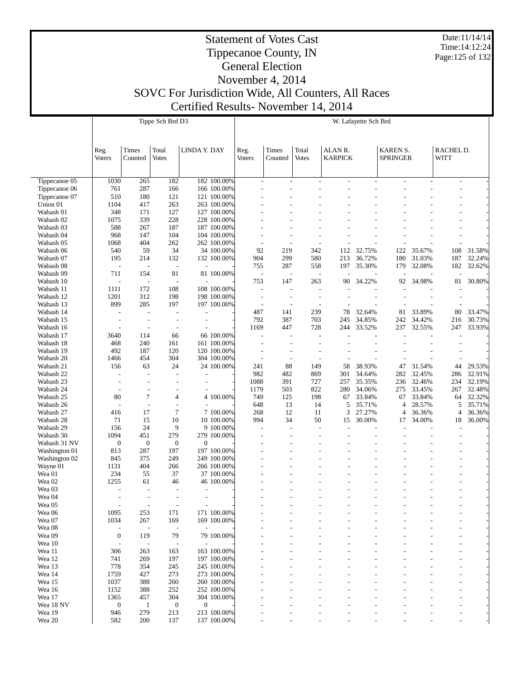Date:11/14/14 Time:14:12:24 Page:125 of 132

#### Statement of Votes Cast Tippecanoe County, IN General Election November 4, 2014

|                        |                  |                                 | Tippe Sch Brd D3         |                                                      |                            |                                 |                                 |                                                      |                | W. Lafayette Sch Brd     |                 |                          |                          |        |
|------------------------|------------------|---------------------------------|--------------------------|------------------------------------------------------|----------------------------|---------------------------------|---------------------------------|------------------------------------------------------|----------------|--------------------------|-----------------|--------------------------|--------------------------|--------|
|                        |                  |                                 |                          |                                                      |                            |                                 |                                 |                                                      |                |                          |                 |                          |                          |        |
|                        |                  |                                 |                          |                                                      |                            |                                 |                                 |                                                      |                |                          |                 |                          |                          |        |
|                        | Reg.             | Times                           | Total                    | LINDA Y. DAY                                         |                            | Reg.                            | Times                           | Total                                                | ALAN R.        |                          | KAREN S.        |                          | RACHEL D.                |        |
|                        | Voters           | Counted                         | <b>Votes</b>             |                                                      |                            | <b>Voters</b>                   | Counted                         | <b>Votes</b>                                         | <b>KARPICK</b> |                          | <b>SPRINGER</b> |                          | WITT                     |        |
|                        |                  |                                 |                          |                                                      |                            |                                 |                                 |                                                      |                |                          |                 |                          |                          |        |
|                        |                  |                                 |                          |                                                      |                            |                                 |                                 |                                                      |                |                          |                 |                          |                          |        |
| Tippecanoe 05          | 1030             | 265                             | 182                      |                                                      | 182 100.00%                | $\overline{\phantom{a}}$        | $\overline{\phantom{a}}$        | $\overline{\phantom{a}}$                             |                | $\overline{\phantom{a}}$ | $\overline{a}$  | $\overline{\phantom{a}}$ | $\overline{\phantom{a}}$ |        |
| Tippecanoe 06          | 761              | 287                             | 166                      |                                                      | 166 100.00%                |                                 |                                 |                                                      |                |                          |                 |                          |                          |        |
| Tippecanoe 07          | 510              | 180                             | 121                      |                                                      | 121 100.00%                |                                 |                                 |                                                      |                |                          |                 |                          |                          |        |
| Union 01<br>Wabash 01  | 1104<br>348      | 417<br>171                      | 263<br>127               |                                                      | 263 100.00%                |                                 |                                 |                                                      |                |                          |                 |                          |                          |        |
| Wabash 02              | 1075             | 339                             | 228                      |                                                      | 127 100.00%<br>228 100.00% |                                 |                                 |                                                      |                |                          |                 |                          |                          |        |
| Wabash 03              | 588              | 267                             | 187                      |                                                      | 187 100,00%                |                                 |                                 |                                                      |                |                          |                 |                          |                          |        |
| Wabash 04              | 968              | 147                             | 104                      |                                                      | 104 100.00%                |                                 |                                 |                                                      |                |                          |                 |                          |                          |        |
| Wabash 05              | 1068             | 404                             | 262                      |                                                      | 262 100.00%                |                                 |                                 | $\overline{\phantom{a}}$                             |                |                          |                 |                          |                          |        |
| Wabash 06              | 540              | 59                              | 34                       |                                                      | 34 100.00%                 | 92                              | 219                             | 342                                                  | 112            | 32.75%                   | 122             | 35.67%                   | 108                      | 31.58% |
| Wabash 07              | 195              | 214                             | 132                      |                                                      | 132 100.00%                | 904                             | 299                             | 580                                                  | 213            | 36.72%                   | 180             | 31.03%                   | 187                      | 32.24% |
| Wabash 08              | $\overline{a}$   | $\overline{\phantom{a}}$        | $\overline{\phantom{a}}$ |                                                      |                            | 755                             | 287                             | 558                                                  | 197            | 35.30%                   | 179             | 32.08%                   | 182                      | 32.62% |
| Wabash 09<br>Wabash 10 | 711              | 154<br>$\overline{\phantom{a}}$ | 81<br>$\overline{a}$     |                                                      | 81 100.00%                 | $\overline{\phantom{a}}$<br>753 | $\overline{\phantom{a}}$<br>147 | ÷,<br>263                                            | 90             |                          |                 | 34.98%                   | 81                       | 30.80% |
| Wabash 11              | 1111             | 172                             | 108                      |                                                      | 108 100.00%                | $\overline{\phantom{a}}$        |                                 | $\overline{\phantom{a}}$                             |                | 34.22%                   | 92              |                          |                          |        |
| Wabash 12              | 1201             | 312                             | 198                      |                                                      | 198 100.00%                |                                 |                                 | $\overline{\phantom{a}}$                             |                |                          |                 |                          |                          |        |
| Wabash 13              | 899              | 285                             | 197                      |                                                      | 197 100.00%                |                                 |                                 | $\overline{a}$                                       |                |                          |                 |                          |                          |        |
| Wabash 14              |                  |                                 |                          |                                                      |                            | 487                             | 141                             | 239                                                  | 78             | 32.64%                   | 81              | 33.89%                   | 80                       | 33.47% |
| Wabash 15              |                  | $\overline{\phantom{a}}$        |                          | $\overline{a}$                                       |                            | 792                             | 387                             | 703                                                  | 245            | 34.85%                   | 242             | 34.42%                   | 216                      | 30.73% |
| Wabash 16              |                  | $\overline{\phantom{a}}$        | $\overline{\phantom{a}}$ |                                                      |                            | 1169                            | 447                             | 728                                                  | 244            | 33.52%                   | 237             | 32.55%                   | 247                      | 33.93% |
| Wabash 17              | 3640             | 114                             | 66                       |                                                      | 66 100.00%                 | $\overline{a}$                  |                                 | ÷,                                                   |                |                          |                 |                          |                          |        |
| Wabash 18              | 468              | 240                             | 161                      |                                                      | 161 100.00%                |                                 |                                 |                                                      |                |                          |                 |                          |                          |        |
| Wabash 19<br>Wabash 20 | 492<br>1466      | 187<br>454                      | 120<br>304               |                                                      | 120 100.00%<br>304 100.00% |                                 |                                 | $\overline{\phantom{a}}$<br>$\overline{\phantom{a}}$ |                |                          |                 |                          |                          |        |
| Wabash 21              | 156              | 63                              | 24                       |                                                      | 24 100.00%                 | 241                             | 88                              | 149                                                  | 58             | 38.93%                   | 47              | 31.54%                   | 44                       | 29.53% |
| Wabash 22              |                  |                                 |                          |                                                      |                            | 982                             | 482                             | 869                                                  | 301            | 34.64%                   | 282             | 32.45%                   | 286                      | 32.91% |
| Wabash 23              |                  | $\overline{\phantom{a}}$        |                          |                                                      |                            | 1088                            | 391                             | 727                                                  | 257            | 35.35%                   | 236             | 32.46%                   | 234                      | 32.19% |
| Wabash 24              |                  | $\overline{\phantom{a}}$        |                          |                                                      |                            | 1179                            | 503                             | 822                                                  | 280            | 34.06%                   | 275             | 33.45%                   | 267                      | 32.48% |
| Wabash 25              | 80               | $\overline{7}$                  | $\overline{4}$           |                                                      | 4 100.00%                  | 749                             | 125                             | 198                                                  | 67             | 33.84%                   | 67              | 33.84%                   | 64                       | 32.32% |
| Wabash 26              | $\overline{a}$   | $\overline{\phantom{a}}$        | $\overline{a}$           |                                                      |                            | 648                             | 13                              | 14                                                   | 5              | 35.71%                   | 4               | 28.57%                   | 5                        | 35.71% |
| Wabash 27              | 416              | 17                              | 7                        |                                                      | 7 100.00%                  | 268                             | 12                              | 11                                                   | 3              | 27.27%                   | $\overline{4}$  | 36.36%                   | $\overline{4}$           | 36.36% |
| Wabash 28<br>Wabash 29 | 71<br>156        | 15<br>24                        | 10<br>9                  |                                                      | 10 100.00%                 | 994                             | 34                              | 50<br>÷,                                             | 15             | 30.00%                   | 17              | 34.00%                   | 18                       | 36.00% |
| Wabash 30              | 1094             | 451                             | 279                      |                                                      | 9 100.00%<br>279 100.00%   |                                 |                                 |                                                      |                |                          |                 |                          |                          |        |
| Wabash 31 NV           | $\mathbf{0}$     | $\boldsymbol{0}$                | $\mathbf{0}$             | $\mathbf{0}$                                         |                            |                                 |                                 |                                                      |                |                          |                 |                          |                          |        |
| Washington 01          | 813              | 287                             | 197                      |                                                      | 197 100,00%                |                                 |                                 |                                                      |                |                          |                 |                          |                          |        |
| Washington 02          | 845              | 375                             | 249                      |                                                      | 249 100.00%                |                                 |                                 |                                                      |                |                          |                 |                          |                          |        |
| Wayne 01               | 1131             | 404                             | 266                      |                                                      | 266 100.00%                |                                 |                                 |                                                      |                |                          |                 |                          |                          |        |
| Wea 01                 | 234              | 55                              | 37                       |                                                      | 37 100.00%                 |                                 |                                 |                                                      |                |                          |                 |                          |                          |        |
| Wea 02                 | 1255             | 61                              | 46                       |                                                      | 46 100.00%                 |                                 |                                 |                                                      |                |                          |                 |                          |                          |        |
| Wea 03<br>Wea 04       |                  | $\overline{\phantom{a}}$        |                          | $\overline{a}$                                       |                            |                                 |                                 |                                                      |                |                          |                 |                          |                          |        |
| Wea 05                 |                  | $\overline{\phantom{a}}$        | $\overline{\phantom{a}}$ | $\overline{\phantom{a}}$<br>$\overline{\phantom{a}}$ |                            |                                 |                                 |                                                      |                |                          |                 |                          |                          |        |
| Wea 06                 | 1095             | 253                             | 171                      |                                                      | 171 100.00%                |                                 |                                 |                                                      |                |                          |                 |                          |                          |        |
| Wea 07                 | 1034             | 267                             | 169                      |                                                      | 169 100.00%                |                                 |                                 |                                                      |                |                          |                 |                          |                          |        |
| Wea 08                 |                  |                                 | $\overline{\phantom{a}}$ |                                                      |                            |                                 |                                 |                                                      |                |                          |                 |                          |                          |        |
| Wea 09                 | $\mathbf{0}$     | 119                             | 79                       |                                                      | 79 100.00%                 |                                 |                                 |                                                      |                |                          |                 |                          |                          |        |
| Wea 10                 | $\overline{a}$   |                                 |                          |                                                      |                            |                                 |                                 |                                                      |                |                          |                 |                          |                          |        |
| Wea 11                 | 306              | 263                             | 163                      |                                                      | 163 100.00%                |                                 |                                 |                                                      |                |                          |                 |                          |                          |        |
| Wea 12                 | 741              | 269                             | 197                      |                                                      | 197 100.00%                |                                 |                                 |                                                      |                |                          |                 |                          |                          |        |
| Wea 13<br>Wea 14       | 778<br>1759      | 354<br>427                      | 245<br>273               |                                                      | 245 100.00%<br>273 100.00% |                                 |                                 |                                                      |                |                          |                 |                          |                          |        |
| Wea 15                 | 1037             | 388                             | 260                      |                                                      | 260 100.00%                |                                 |                                 |                                                      |                |                          |                 |                          |                          |        |
| Wea 16                 | 1152             | 388                             | 252                      |                                                      | 252 100.00%                |                                 |                                 |                                                      |                |                          |                 |                          |                          |        |
| Wea 17                 | 1365             | 457                             | 304                      |                                                      | 304 100.00%                |                                 |                                 |                                                      |                |                          |                 |                          |                          |        |
| Wea 18 NV              | $\boldsymbol{0}$ | -1                              | $\boldsymbol{0}$         | $\boldsymbol{0}$                                     |                            |                                 |                                 |                                                      |                |                          |                 |                          |                          |        |
| Wea 19                 | 946              | 279                             | 213                      |                                                      | 213 100.00%                |                                 |                                 |                                                      |                |                          |                 |                          |                          |        |
| Wea 20                 | 582              | 200                             | 137                      |                                                      | 137 100.00%                |                                 |                                 |                                                      |                |                          |                 |                          |                          |        |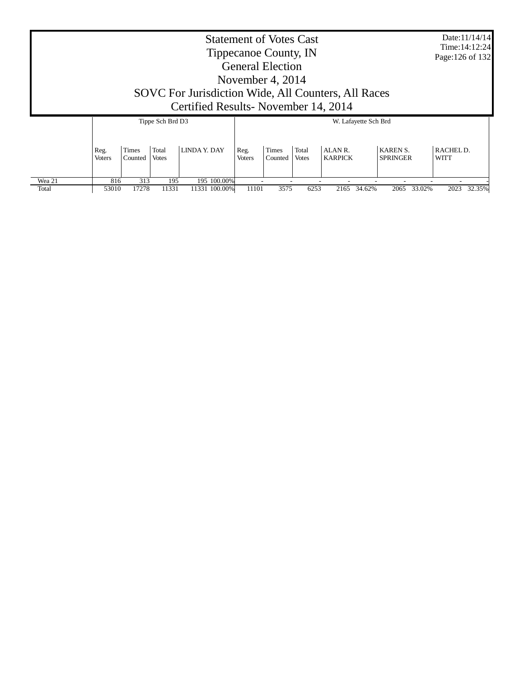|                 |                       |                  |                       | SOVC For Jurisdiction Wide, All Counters, All Races<br>Certified Results - November 14, 2014 |                | <b>Statement of Votes Cast</b><br>Tippecanoe County, IN<br><b>General Election</b><br>November 4, $2014$ |                       |                                     |                                    | Date:11/14/14<br>Time: 14:12:24<br>Page: 126 of 132 |
|-----------------|-----------------------|------------------|-----------------------|----------------------------------------------------------------------------------------------|----------------|----------------------------------------------------------------------------------------------------------|-----------------------|-------------------------------------|------------------------------------|-----------------------------------------------------|
|                 |                       |                  | Tippe Sch Brd D3      |                                                                                              |                |                                                                                                          |                       | W. Lafayette Sch Brd                |                                    |                                                     |
|                 | Reg.<br><b>Voters</b> | Times<br>Counted | Total<br><b>Votes</b> | LINDA Y. DAY                                                                                 | Reg.<br>Voters | <b>Times</b><br>Counted                                                                                  | Total<br><b>Votes</b> | ALAN <sub>R</sub><br><b>KARPICK</b> | <b>KAREN S.</b><br><b>SPRINGER</b> | RACHEL D.<br>WITT                                   |
| Wea 21<br>Total | 816<br>53010          | 313<br>17278     | 195<br>11331          | 195 100.00%<br>11331 100.00%                                                                 | 11101          | 3575                                                                                                     | 6253                  | 34.62%<br>2165                      | 33.02%<br>2065                     | 2023<br>32.35%                                      |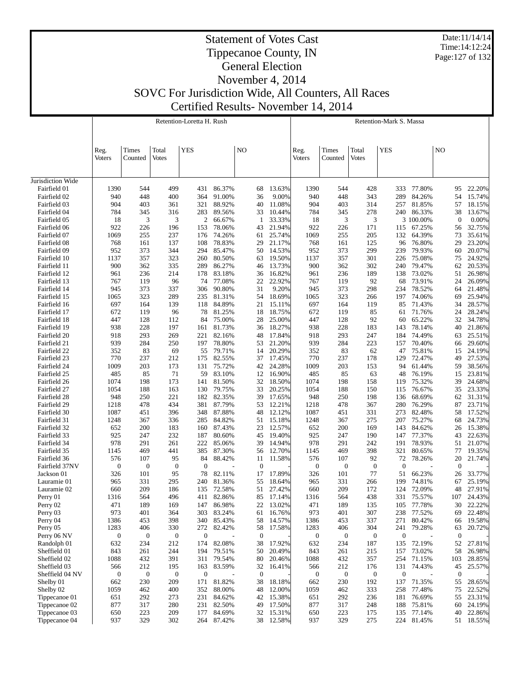Date:11/14/14 Time:14:12:24 Page:127 of 132

#### Statement of Votes Cast Tippecanoe County, IN General Election November 4, 2014

SOVC For Jurisdiction Wide, All Counters, All Races

Certified Results- November 14, 2014

|                              |                  |                  |                       | Retention-Loretta H. Rush |                  |                  |                  |                  |                  |                       | Retention-Mark S. Massa |                  |                  |                  |
|------------------------------|------------------|------------------|-----------------------|---------------------------|------------------|------------------|------------------|------------------|------------------|-----------------------|-------------------------|------------------|------------------|------------------|
|                              | Reg.<br>Voters   | Times<br>Counted | Total<br><b>Votes</b> | <b>YES</b>                |                  | NO               |                  | Reg.<br>Voters   | Times<br>Counted | Total<br><b>Votes</b> | <b>YES</b>              |                  | NO               |                  |
| Jurisdiction Wide            |                  |                  |                       |                           |                  |                  |                  |                  |                  |                       |                         |                  |                  |                  |
| Fairfield 01                 | 1390             | 544              | 499                   | 431                       | 86.37%           | 68               | 13.63%           | 1390             | 544              | 428                   | 333                     | 77.80%           | 95               | 22.20%           |
| Fairfield 02                 | 940              | 448              | 400                   | 364                       | 91.00%           | 36               | 9.00%            | 940              | 448              | 343                   | 289                     | 84.26%           | 54               | 15.74%           |
| Fairfield 03                 | 904              | 403              | 361                   | 321                       | 88.92%           | 40               | 11.08%           | 904              | 403              | 314                   | 257                     | 81.85%           | 57               | 18.15%           |
| Fairfield 04                 | 784              | 345              | 316                   | 283                       | 89.56%           | 33               | 10.44%           | 784              | 345              | 278                   | 240                     | 86.33%           | 38               | 13.67%           |
| Fairfield 05                 | 18               | 3                | 3                     | 2                         | 66.67%           | 1                | 33.33%           | 18               | 3                | 3                     |                         | 3 100.00%        | $\theta$         | 0.00%            |
| Fairfield 06                 | 922              | 226              | 196                   | 153                       | 78.06%           | 43               | 21.94%           | 922              | 226              | 171                   | 115                     | 67.25%           | 56               | 32.75%           |
| Fairfield 07                 | 1069             | 255              | 237                   | 176                       | 74.26%           | 61               | 25.74%           | 1069             | 255              | 205                   | 132                     | 64.39%           | 73               | 35.61%           |
| Fairfield 08                 | 768              | 161              | 137                   | 108                       | 78.83%           | 29               | 21.17%           | 768              | 161              | 125                   | 96                      | 76.80%           | 29               | 23.20%           |
| Fairfield 09                 | 952              | 373              | 344                   | 294                       | 85.47%           | 50               | 14.53%           | 952              | 373              | 299                   | 239                     | 79.93%           | 60               | 20.07%           |
| Fairfield 10                 | 1137             | 357              | 323                   | 260                       | 80.50%           | 63               | 19.50%           | 1137             | 357              | 301                   | 226                     | 75.08%           | 75               | 24.92%           |
| Fairfield 11                 | 900              | 362              | 335                   | 289                       | 86.27%           | 46               | 13.73%           | 900              | 362              | 302                   | 240                     | 79.47%           | 62               | 20.53%           |
| Fairfield 12                 | 961              | 236              | 214                   | 178                       | 83.18%           | 36               | 16.82%           | 961              | 236              | 189                   | 138                     | 73.02%           | 51               | 26.98%           |
| Fairfield 13                 | 767              | 119              | 96                    | 74                        | 77.08%           | 22               | 22.92%           | 767              | 119              | 92                    | 68                      | 73.91%           | 24               | 26.09%           |
| Fairfield 14                 | 945              | 373              | 337                   | 306                       | 90.80%           | 31               | 9.20%            | 945              | 373              | 298                   | 234                     | 78.52%           | 64               | 21.48%           |
| Fairfield 15                 | 1065             | 323              | 289                   | 235                       | 81.31%           | 54<br>21         | 18.69%           | 1065             | 323<br>164       | 266                   | 197                     | 74.06%           | 69               | 25.94%           |
| Fairfield 16<br>Fairfield 17 | 697<br>672       | 164<br>119       | 139<br>96             | 118<br>78                 | 84.89%<br>81.25% | 18               | 15.11%<br>18.75% | 697<br>672       | 119              | 119<br>85             | 85<br>61                | 71.43%<br>71.76% | 34<br>24         | 28.57%<br>28.24% |
| Fairfield 18                 | 447              | 128              | 112                   | 84                        | 75.00%           | 28               | 25.00%           | 447              | 128              | 92                    | 60                      | 65.22%           | 32               | 34.78%           |
| Fairfield 19                 | 938              | 228              | 197                   | 161                       | 81.73%           | 36               | 18.27%           | 938              | 228              | 183                   | 143                     | 78.14%           | 40               | 21.86%           |
| Fairfield 20                 | 918              | 293              | 269                   | 221                       | 82.16%           | 48               | 17.84%           | 918              | 293              | 247                   | 184                     | 74.49%           | 63               | 25.51%           |
| Fairfield 21                 | 939              | 284              | 250                   | 197                       | 78.80%           | 53               | 21.20%           | 939              | 284              | 223                   | 157                     | 70.40%           | 66               | 29.60%           |
| Fairfield 22                 | 352              | 83               | 69                    | 55                        | 79.71%           | 14               | 20.29%           | 352              | 83               | 62                    | 47                      | 75.81%           | 15               | 24.19%           |
| Fairfield 23                 | 770              | 237              | 212                   | 175                       | 82.55%           | 37               | 17.45%           | 770              | 237              | 178                   | 129                     | 72.47%           | 49               | 27.53%           |
| Fairfield 24                 | 1009             | 203              | 173                   | 131                       | 75.72%           | 42               | 24.28%           | 1009             | 203              | 153                   | 94                      | 61.44%           | 59               | 38.56%           |
| Fairfield 25                 | 485              | 85               | 71                    | 59                        | 83.10%           | 12               | 16.90%           | 485              | 85               | 63                    | 48                      | 76.19%           | 15               | 23.81%           |
| Fairfield 26                 | 1074             | 198              | 173                   | 141                       | 81.50%           | 32               | 18.50%           | 1074             | 198              | 158                   | 119                     | 75.32%           | 39               | 24.68%           |
| Fairfield 27                 | 1054             | 188              | 163                   | 130                       | 79.75%           | 33               | 20.25%           | 1054             | 188              | 150                   | 115                     | 76.67%           | 35               | 23.33%           |
| Fairfield 28                 | 948              | 250              | 221                   | 182                       | 82.35%           | 39               | 17.65%           | 948              | 250              | 198                   | 136                     | 68.69%           | 62               | 31.31%           |
| Fairfield 29                 | 1218             | 478              | 434                   | 381                       | 87.79%           | 53               | 12.21%           | 1218             | 478              | 367                   | 280                     | 76.29%           | 87               | 23.71%           |
| Fairfield 30                 | 1087             | 451              | 396                   | 348                       | 87.88%           | 48               | 12.12%           | 1087             | 451              | 331                   | 273                     | 82.48%           | 58               | 17.52%           |
| Fairfield 31                 | 1248             | 367              | 336                   | 285                       | 84.82%           | 51               | 15.18%           | 1248             | 367              | 275                   | 207                     | 75.27%           | 68               | 24.73%           |
| Fairfield 32                 | 652              | 200              | 183                   | 160                       | 87.43%           | 23               | 12.57%           | 652              | 200              | 169                   | 143                     | 84.62%           | 26               | 15.38%           |
| Fairfield 33                 | 925              | 247              | 232                   | 187                       | 80.60%           | 45               | 19.40%           | 925              | 247              | 190                   | 147                     | 77.37%           | 43               | 22.63%           |
| Fairfield 34                 | 978              | 291              | 261                   | 222                       | 85.06%           | 39               | 14.94%           | 978              | 291              | 242                   | 191                     | 78.93%           | 51               | 21.07%           |
| Fairfield 35                 | 1145             | 469              | 441                   | 385                       | 87.30%           | 56               | 12.70%           | 1145             | 469              | 398                   | 321                     | 80.65%           | 77               | 19.35%           |
| Fairfield 36                 | 576              | 107              | 95                    | 84                        | 88.42%           | 11               | 11.58%           | 576              | 107              | 92                    | 72                      | 78.26%           | 20               | 21.74%           |
| Fairfield 37NV               | $\boldsymbol{0}$ | $\boldsymbol{0}$ | $\boldsymbol{0}$      | $\boldsymbol{0}$          |                  | $\mathbf{0}$     |                  | $\boldsymbol{0}$ | $\boldsymbol{0}$ | $\mathbf{0}$          | $\boldsymbol{0}$        |                  | $\mathbf{0}$     |                  |
| Jackson 01                   | 326<br>965       | 101<br>331       | 95<br>295             | 78<br>240                 | 82.11%<br>81.36% | 17<br>55         | 17.89%<br>18.64% | 326              | 101<br>331       | 77<br>266             | 51<br>199               | 66.23%<br>74.81% | 26<br>67         | 33.77%<br>25.19% |
| Lauramie 01<br>Lauramie 02   | 660              | 209              | 186                   | 135                       | 72.58%           | 51               | 27.42%           | 965<br>660       | 209              | 172                   | 124                     | 72.09%           | 48               | 27.91%           |
| Perry 01                     | 1316             | 564              | 496                   | 411                       | 82.86%           | 85               | 17.14%           | 1316             | 564              | 438                   | 331                     | 75.57%           | 107              | 24.43%           |
| Perry 02                     | 471              | 189              | 169                   | 147                       | 86.98%           | 22               | 13.02%           | 471              | 189              | 135                   | 105                     | 77.78%           | 30               | 22.22%           |
| Perry 03                     | 973              | 401              | 364                   | 303                       | 83.24%           | 61               | 16.76%           | 973              | 401              | 307                   | 238                     | 77.52%           | 69               | 22.48%           |
| Perry 04                     | 1386             | 453              | 398                   | 340                       | 85.43%           | 58               | 14.57%           | 1386             | 453              | 337                   | 271                     | 80.42%           | 66               | 19.58%           |
| Perry 05                     | 1283             | 406              | 330                   | 272                       | 82.42%           | 58               | 17.58%           | 1283             | 406              | 304                   | 241                     | 79.28%           | 63               | 20.72%           |
| Perry 06 NV                  | $\boldsymbol{0}$ | $\boldsymbol{0}$ | $\mathbf{0}$          | $\boldsymbol{0}$          |                  | $\boldsymbol{0}$ |                  | $\mathbf{0}$     | $\mathbf{0}$     | $\bf{0}$              | $\boldsymbol{0}$        |                  | $\boldsymbol{0}$ |                  |
| Randolph 01                  | 632              | 234              | 212                   | 174                       | 82.08%           | 38               | 17.92%           | 632              | 234              | 187                   | 135                     | 72.19%           | 52               | 27.81%           |
| Sheffield 01                 | 843              | 261              | 244                   | 194                       | 79.51%           | 50               | 20.49%           | 843              | 261              | 215                   | 157                     | 73.02%           | 58               | 26.98%           |
| Sheffield 02                 | 1088             | 432              | 391                   | 311                       | 79.54%           | 80               | 20.46%           | 1088             | 432              | 357                   | 254                     | 71.15%           | 103              | 28.85%           |
| Sheffield 03                 | 566              | 212              | 195                   | 163                       | 83.59%           | 32               | 16.41%           | 566              | 212              | 176                   | 131                     | 74.43%           | 45               | 25.57%           |
| Sheffield 04 NV              | $\boldsymbol{0}$ | $\boldsymbol{0}$ | $\mathbf{0}$          | $\boldsymbol{0}$          |                  | $\mathbf{0}$     |                  | $\mathbf{0}$     | $\boldsymbol{0}$ | $\boldsymbol{0}$      | $\mathbf{0}$            |                  | $\mathbf{0}$     |                  |
| Shelby 01                    | 662              | 230              | 209                   | 171                       | 81.82%           | 38               | 18.18%           | 662              | 230              | 192                   | 137                     | 71.35%           | 55               | 28.65%           |
| Shelby 02                    | 1059             | 462              | 400                   | 352                       | 88.00%           | 48               | 12.00%           | 1059             | 462              | 333                   | 258                     | 77.48%           | 75               | 22.52%           |
| Tippecanoe 01                | 651              | 292              | 273                   | 231                       | 84.62%           | 42               | 15.38%           | 651              | 292              | 236                   | 181                     | 76.69%           | 55               | 23.31%           |
| Tippecanoe 02                | 877              | 317              | 280                   | 231                       | 82.50%           | 49               | 17.50%           | 877              | 317              | 248                   | 188                     | 75.81%           | 60               | 24.19%           |
| Tippecanoe 03                | 650              | 223              | 209                   | 177                       | 84.69%           | 32               | 15.31%           | 650              | 223              | 175                   | 135                     | 77.14%           | 40               | 22.86%           |
| Tippecanoe 04                | 937              | 329              | 302                   | 264                       | 87.42%           | 38               | 12.58%           | 937              | 329              | 275                   |                         | 224 81.45%       |                  | 51 18.55%        |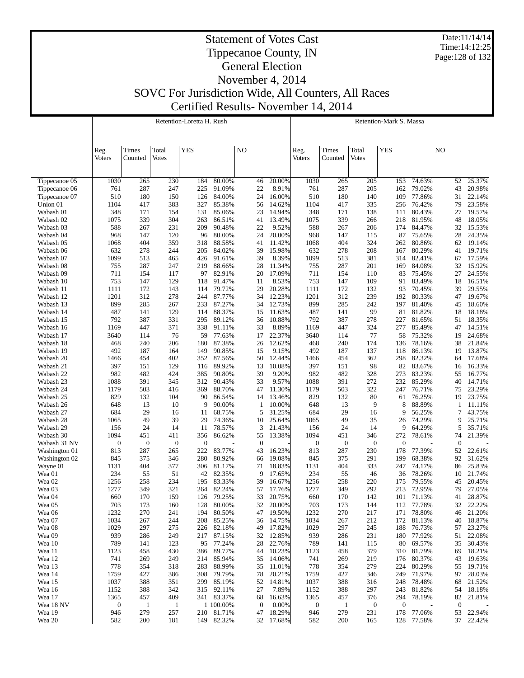Date:11/14/14 Time:14:12:25 Page:128 of 132

#### Statement of Votes Cast Tippecanoe County, IN General Election November 4, 2014 SOVC For Jurisdiction Wide, All Counters, All Races Certified Results- November 14, 2014

Retention-Loretta H. Rush Τ

|                        |                  |                  |              | Retention-Loretta H. Rush |                      |                  |                  |                  |                  |                  | <b>Retention-Mark S. Massa</b> |                      |                  |                     |
|------------------------|------------------|------------------|--------------|---------------------------|----------------------|------------------|------------------|------------------|------------------|------------------|--------------------------------|----------------------|------------------|---------------------|
|                        |                  |                  |              |                           |                      |                  |                  |                  |                  |                  |                                |                      |                  |                     |
|                        |                  |                  |              |                           |                      |                  |                  |                  |                  |                  |                                |                      |                  |                     |
|                        | Reg.             | Times            | Total        | <b>YES</b>                |                      | NO               |                  | Reg.             | Times            | Total            | <b>YES</b>                     |                      | N <sub>O</sub>   |                     |
|                        | Voters           | Counted          | <b>Votes</b> |                           |                      |                  |                  | Voters           | Counted          | <b>Votes</b>     |                                |                      |                  |                     |
|                        |                  |                  |              |                           |                      |                  |                  |                  |                  |                  |                                |                      |                  |                     |
|                        |                  |                  |              |                           |                      |                  |                  |                  |                  |                  |                                |                      |                  |                     |
| Tippecanoe 05          | 1030             | 265              | 230          | 184                       | 80.00%               | 46               | 20.00%           | 1030             | 265              | 205              | 153                            | 74.63%               | 52               | 25.37%              |
| Tippecanoe 06          | 761              | 287              | 247          | 225                       | 91.09%               | 22               | 8.91%            | 761              | 287              | 205              | 162                            | 79.02%               | 43               | 20.98%              |
| Tippecanoe 07          | 510              | 180              | 150          | 126                       | 84.00%               | 24               | 16.00%           | 510              | 180              | 140              | 109                            | 77.86%               | 31               | 22.14%              |
| Union 01<br>Wabash 01  | 1104<br>348      | 417<br>171       | 383<br>154   | 327<br>131                | 85.38%<br>85.06%     | 56<br>23         | 14.62%<br>14.94% | 1104<br>348      | 417<br>171       | 335<br>138       | 256<br>111                     | 76.42%<br>80.43%     | 79<br>27         | 23.58%<br>19.57%    |
| Wabash 02              | 1075             | 339              | 304          | 263                       | 86.51%               | 41               | 13.49%           | 1075             | 339              | 266              | 218                            | 81.95%               | 48               | 18.05%              |
| Wabash 03              | 588              | 267              | 231          | 209                       | 90.48%               | 22               | 9.52%            | 588              | 267              | 206              | 174                            | 84.47%               | 32               | 15.53%              |
| Wabash 04              | 968              | 147              | 120          | 96                        | 80.00%               | 24               | 20.00%           | 968              | 147              | 115              | 87                             | 75.65%               | 28               | 24.35%              |
| Wabash 05              | 1068             | 404              | 359          | 318                       | 88.58%               | 41               | 11.42%           | 1068             | 404              | 324              | 262                            | 80.86%               | 62               | 19.14%              |
| Wabash 06              | 632              | 278              | 244          | 205                       | 84.02%               | 39               | 15.98%           | 632              | 278              | 208              | 167                            | 80.29%               | 41               | 19.71%              |
| Wabash 07              | 1099             | 513              | 465          | 426                       | 91.61%               | 39               | 8.39%            | 1099             | 513              | 381              | 314                            | 82.41%               | 67               | 17.59%              |
| Wabash 08              | 755              | 287              | 247          | 219                       | 88.66%               | 28               | 11.34%           | 755              | 287              | 201              | 169                            | 84.08%               | 32               | 15.92%              |
| Wabash 09              | 711              | 154              | 117          | 97                        | 82.91%               | 20               | 17.09%           | 711              | 154              | 110              | 83                             | 75.45%               | 27               | 24.55%              |
| Wabash 10              | 753              | 147              | 129          | 118                       | 91.47%               | 11               | 8.53%            | 753              | 147              | 109              | 91                             | 83.49%               | 18               | 16.51%              |
| Wabash 11              | 1111             | 172              | 143          | 114                       | 79.72%               | 29               | 20.28%           | 1111             | 172              | 132              | 93                             | 70.45%               | 39               | 29.55%              |
| Wabash 12              | 1201<br>899      | 312<br>285       | 278<br>267   | 244<br>233                | 87.77%<br>87.27%     | 34<br>34         | 12.23%<br>12.73% | 1201<br>899      | 312<br>285       | 239<br>242       | 192<br>197                     | 80.33%<br>81.40%     | 47<br>45         | 19.67%              |
| Wabash 13<br>Wabash 14 | 487              | 141              | 129          | 114                       | 88.37%               | 15               | 11.63%           | 487              | 141              | 99               | 81                             | 81.82%               | 18               | 18.60%<br>18.18%    |
| Wabash 15              | 792              | 387              | 331          | 295                       | 89.12%               | 36               | 10.88%           | 792              | 387              | 278              | 227                            | 81.65%               | 51               | 18.35%              |
| Wabash 16              | 1169             | 447              | 371          | 338                       | 91.11%               | 33               | 8.89%            | 1169             | 447              | 324              | 277                            | 85.49%               | 47               | 14.51%              |
| Wabash 17              | 3640             | 114              | 76           | 59                        | 77.63%               | 17               | 22.37%           | 3640             | 114              | 77               | 58                             | 75.32%               | 19               | 24.68%              |
| Wabash 18              | 468              | 240              | 206          | 180                       | 87.38%               | 26               | 12.62%           | 468              | 240              | 174              | 136                            | 78.16%               | 38               | 21.84%              |
| Wabash 19              | 492              | 187              | 164          | 149                       | 90.85%               | 15               | 9.15%            | 492              | 187              | 137              | 118                            | 86.13%               | 19               | 13.87%              |
| Wabash 20              | 1466             | 454              | 402          | 352                       | 87.56%               | 50               | 12.44%           | 1466             | 454              | 362              | 298                            | 82.32%               | 64               | 17.68%              |
| Wabash 21              | 397              | 151              | 129          | 116                       | 89.92%               | 13               | 10.08%           | 397              | 151              | 98               | 82                             | 83.67%               | 16               | 16.33%              |
| Wabash 22              | 982              | 482              | 424          | 385                       | 90.80%               | 39               | 9.20%            | 982              | 482              | 328              | 273                            | 83.23%               | 55               | 16.77%              |
| Wabash 23              | 1088             | 391              | 345          | 312                       | 90.43%               | 33               | 9.57%            | 1088             | 391              | 272              | 232                            | 85.29%               | 40               | 14.71%              |
| Wabash 24              | 1179             | 503              | 416          | 369                       | 88.70%               | 47               | 11.30%           | 1179             | 503              | 322              | 247                            | 76.71%               | 75               | 23.29%              |
| Wabash 25              | 829              | 132              | 104          | 90<br>9                   | 86.54%               | 14               | 13.46%           | 829              | 132              | 80<br>9          | 61                             | 76.25%               | 19               | 23.75%              |
| Wabash 26<br>Wabash 27 | 648<br>684       | 13<br>29         | 10<br>16     | 11                        | 90.00%<br>68.75%     | 1<br>5           | 10.00%<br>31.25% | 648<br>684       | 13<br>29         | 16               | 8<br>9                         | 88.89%<br>56.25%     | 1<br>7           | 11.11%<br>43.75%    |
| Wabash 28              | 1065             | 49               | 39           | 29                        | 74.36%               | 10               | 25.64%           | 1065             | 49               | 35               | 26                             | 74.29%               | 9                | 25.71%              |
| Wabash 29              | 156              | 24               | 14           | 11                        | 78.57%               | 3                | 21.43%           | 156              | 24               | 14               | 9                              | 64.29%               | 5                | 35.71%              |
| Wabash 30              | 1094             | 451              | 411          | 356                       | 86.62%               | 55               | 13.38%           | 1094             | 451              | 346              | 272                            | 78.61%               | 74               | 21.39%              |
| Wabash 31 NV           | $\boldsymbol{0}$ | $\boldsymbol{0}$ | $\mathbf{0}$ | 0                         |                      | $\mathbf{0}$     |                  | $\boldsymbol{0}$ | $\boldsymbol{0}$ | $\mathbf{0}$     | $\boldsymbol{0}$               |                      | $\theta$         |                     |
| Washington 01          | 813              | 287              | 265          | 222                       | 83.77%               | 43               | 16.23%           | 813              | 287              | 230              | 178                            | 77.39%               | 52               | 22.61%              |
| Washington 02          | 845              | 375              | 346          | 280                       | 80.92%               | 66               | 19.08%           | 845              | 375              | 291              | 199                            | 68.38%               | 92               | 31.62%              |
| Wayne 01               | 1131             | 404              | 377          | 306                       | 81.17%               | 71               | 18.83%           | 1131             | 404              | 333              | 247                            | 74.17%               | 86               | 25.83%              |
| Wea 01                 | 234              | 55               | 51           | 42                        | 82.35%               | 9                | 17.65%           | 234              | 55               | 46               | 36                             | 78.26%               | 10               | 21.74%              |
| Wea 02                 | 1256             | 258              | 234          | 195                       | 83.33%               | 39               | 16.67%           | 1256             | 258              | 220              | 175                            | 79.55%               | 45               | 20.45%              |
| Wea 03                 | 1277             | 349              | 321          | 264                       | 82.24%               | 57               | 17.76%           | 1277             | 349              | 292              | 213                            | 72.95%               | 79               | 27.05%              |
| Wea 04                 | 660              | 170              | 159          | 126                       | 79.25%               | 33               | 20.75%           | 660              | 170              | 142              | 101                            | 71.13%               | 41               | 28.87%              |
| Wea 05<br>Wea 06       | 703<br>1232      | 173<br>270       | 160<br>241   | 128<br>194                | 80.00%<br>80.50%     | 32<br>47         | 20.00%<br>19.50% | 703<br>1232      | 173<br>270       | 144<br>217       | 112                            | 77.78%               | 32<br>46         | 22.22%<br>21.20%    |
| Wea 07                 | 1034             | 267              | 244          | 208                       | 85.25%               | 36               | 14.75%           | 1034             | 267              | 212              | 171<br>172                     | 78.80%<br>81.13%     | 40               | 18.87%              |
| Wea 08                 | 1029             | 297              | 275          |                           | 226 82.18%           | 49               | 17.82%           | 1029             | 297              | 245              | 188                            | 76.73%               | 57               | 23.27%              |
| Wea 09                 | 939              | 286              | 249          | 217                       | 87.15%               | 32               | 12.85%           | 939              | 286              | 231              | 180                            | 77.92%               | 51               | 22.08%              |
| Wea 10                 | 789              | 141              | 123          | 95                        | 77.24%               | 28               | 22.76%           | 789              | 141              | 115              | 80                             | 69.57%               | 35               | 30.43%              |
| Wea 11                 | 1123             | 458              | 430          | 386                       | 89.77%               | 44               | 10.23%           | 1123             | 458              | 379              | 310                            | 81.79%               | 69               | 18.21%              |
| Wea 12                 | 741              | 269              | 249          | 214                       | 85.94%               | 35               | 14.06%           | 741              | 269              | 219              | 176                            | 80.37%               | 43               | 19.63%              |
| Wea 13                 | 778              | 354              | 318          | 283                       | 88.99%               | 35               | 11.01%           | 778              | 354              | 279              | 224                            | 80.29%               | 55               | 19.71%              |
| Wea 14                 | 1759             | 427              | 386          | 308                       | 79.79%               | 78               | 20.21%           | 1759             | 427              | 346              | 249                            | 71.97%               | 97               | 28.03%              |
| Wea 15                 | 1037             | 388              | 351          | 299                       | 85.19%               | 52               | 14.81%           | 1037             | 388              | 316              | 248                            | 78.48%               | 68               | 21.52%              |
| Wea 16                 | 1152             | 388              | 342          | 315                       | 92.11%               | 27               | 7.89%            | 1152             | 388              | 297              | 243                            | 81.82%               | 54               | 18.18%              |
| Wea 17                 | 1365             | 457              | 409          |                           | 341 83.37%           | 68               | 16.63%           | 1365             | 457              | 376              | 294                            | 78.19%               | 82               | 21.81%              |
| Wea 18 NV              | $\bf{0}$         | $\mathbf{1}$     | $\mathbf{1}$ |                           | 1 100.00%            | $\boldsymbol{0}$ | 0.00%            | $\boldsymbol{0}$ | $\mathbf{1}$     | $\boldsymbol{0}$ | $\mathbf{0}$                   |                      | $\boldsymbol{0}$ |                     |
| Wea 19<br>Wea 20       | 946              | 279<br>200       | 257          | 210                       | 81.71%<br>149 82.32% | 47               | 18.29%<br>17.68% | 946              | 279              | 231              | 178                            | 77.06%<br>128 77.58% | 53               | 22.94%<br>37 22.42% |
|                        | 582              |                  | 181          |                           |                      | 32               |                  | 582              | 200              | 165              |                                |                      |                  |                     |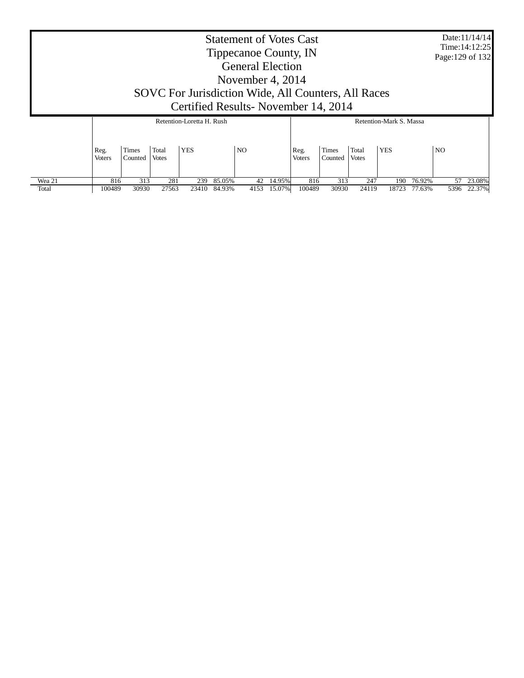|        |                                                                                                                                                      |                  |                       |            |        | <b>Statement of Votes Cast</b><br>Tippecanoe County, IN<br><b>General Election</b><br>November 4, $2014$ |        |                       |                         |                       |            |        | Page: 129 of 132 | Date:11/14/14<br>Time: 14:12:25 |
|--------|------------------------------------------------------------------------------------------------------------------------------------------------------|------------------|-----------------------|------------|--------|----------------------------------------------------------------------------------------------------------|--------|-----------------------|-------------------------|-----------------------|------------|--------|------------------|---------------------------------|
|        | SOVC For Jurisdiction Wide, All Counters, All Races<br>Certified Results - November 14, 2014<br>Retention-Loretta H. Rush<br>Retention-Mark S. Massa |                  |                       |            |        |                                                                                                          |        |                       |                         |                       |            |        |                  |                                 |
|        | Reg.<br><b>Voters</b>                                                                                                                                | Times<br>Counted | Total<br><b>Votes</b> | <b>YES</b> |        | NO.                                                                                                      |        | Reg.<br><b>Voters</b> | <b>Times</b><br>Counted | Total<br><b>Votes</b> | <b>YES</b> |        | N <sub>O</sub>   |                                 |
| Wea 21 | 816                                                                                                                                                  | 313              | 281                   | 239        | 85.05% | 42                                                                                                       | 14.95% | 816                   | 313                     | 247                   | 190        | 76.92% | 57               | 23.08%                          |
| Total  | 100489                                                                                                                                               | 30930            | 27563                 | 23410      | 84.93% | 4153                                                                                                     | 15.07% | 100489                | 30930                   | 24119                 | 18723      | 77.63% | 5396             | 22.37%                          |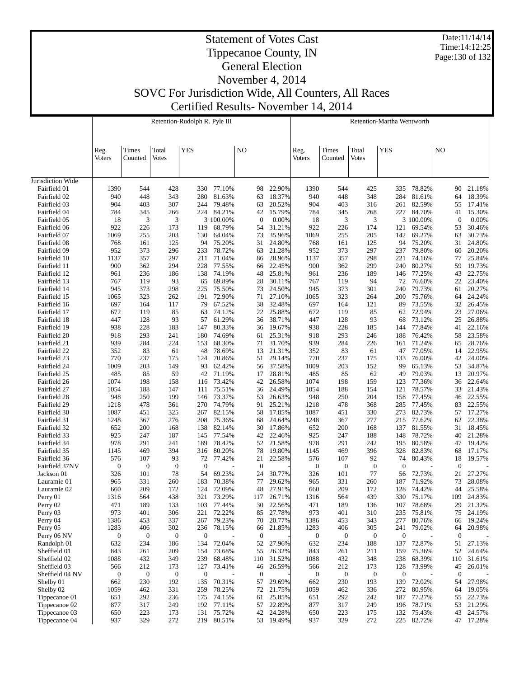Date:11/14/14 Time:14:12:25 Page:130 of 132

#### Statement of Votes Cast Tippecanoe County, IN General Election November 4, 2014

SOVC For Jurisdiction Wide, All Counters, All Races

Certified Results- November 14, 2014

|                              |               |                  |                  | Retention-Rudolph R. Pyle III |                  |                  |                      |               |                  |                  | Retention-Martha Wentworth |                      |                    |                      |
|------------------------------|---------------|------------------|------------------|-------------------------------|------------------|------------------|----------------------|---------------|------------------|------------------|----------------------------|----------------------|--------------------|----------------------|
|                              |               |                  |                  |                               |                  |                  |                      |               |                  |                  |                            |                      |                    |                      |
|                              | Reg.          | Times            | Total            | <b>YES</b>                    |                  | NO               |                      | Reg.          | <b>Times</b>     | Total            | <b>YES</b>                 |                      | NO                 |                      |
|                              | <b>Voters</b> | Counted          | Votes            |                               |                  |                  |                      | <b>Voters</b> | Counted          | <b>Votes</b>     |                            |                      |                    |                      |
|                              |               |                  |                  |                               |                  |                  |                      |               |                  |                  |                            |                      |                    |                      |
| Jurisdiction Wide            |               |                  |                  |                               |                  |                  |                      |               |                  |                  |                            |                      |                    |                      |
| Fairfield 01                 | 1390          | 544              | 428              | 330                           | 77.10%           | 98               | 22.90%               | 1390          | 544              | 425              | 335                        | 78.82%               | 90                 | 21.18%               |
| Fairfield 02                 | 940           | 448              | 343              | 280                           | 81.63%           | 63               | 18.37%               | 940           | 448              | 348              | 284                        | 81.61%               | 64                 | 18.39%               |
| Fairfield 03<br>Fairfield 04 | 904           | 403              | 307              | 244<br>224                    | 79.48%<br>84.21% | 63<br>42         | 20.52%<br>15.79%     | 904           | 403              | 316              | 261<br>227                 | 82.59%<br>84.70%     | 55                 | 17.41%<br>15.30%     |
| Fairfield 05                 | 784<br>18     | 345<br>3         | 266<br>3         |                               | 3 100.00%        | $\mathbf{0}$     | $0.00\%$             | 784<br>18     | 345<br>3         | 268<br>3         |                            | 3 100.00%            | 41<br>$\mathbf{0}$ | 0.00%                |
| Fairfield 06                 | 922           | 226              | 173              | 119                           | 68.79%           | 54               | 31.21%               | 922           | 226              | 174              | 121                        | 69.54%               | 53                 | 30.46%               |
| Fairfield 07                 | 1069          | 255              | 203              | 130                           | 64.04%           | 73               | 35.96%               | 1069          | 255              | 205              | 142                        | 69.27%               | 63                 | 30.73%               |
| Fairfield 08                 | 768           | 161              | 125              | 94                            | 75.20%           | 31               | 24.80%               | 768           | 161              | 125              | 94                         | 75.20%               | 31                 | 24.80%               |
| Fairfield 09                 | 952           | 373              | 296              | 233                           | 78.72%           | 63               | 21.28%               | 952           | 373              | 297              | 237                        | 79.80%               | 60                 | 20.20%               |
| Fairfield 10                 | 1137<br>900   | 357              | 297<br>294       | 211<br>228                    | 71.04%<br>77.55% | 86<br>66         | 28.96%<br>22.45%     | 1137          | 357<br>362       | 298<br>299       | 221<br>240                 | 74.16%<br>80.27%     | 77<br>59           | 25.84%<br>19.73%     |
| Fairfield 11<br>Fairfield 12 | 961           | 362<br>236       | 186              | 138                           | 74.19%           | 48               | 25.81%               | 900<br>961    | 236              | 189              | 146                        | 77.25%               | 43                 | 22.75%               |
| Fairfield 13                 | 767           | 119              | 93               | 65                            | 69.89%           | 28               | 30.11%               | 767           | 119              | 94               | 72                         | 76.60%               | 22                 | 23.40%               |
| Fairfield 14                 | 945           | 373              | 298              | 225                           | 75.50%           | 73               | 24.50%               | 945           | 373              | 301              | 240                        | 79.73%               | 61                 | 20.27%               |
| Fairfield 15                 | 1065          | 323              | 262              | 191                           | 72.90%           | 71               | 27.10%               | 1065          | 323              | 264              | 200                        | 75.76%               | 64                 | 24.24%               |
| Fairfield 16                 | 697           | 164              | 117              | 79                            | 67.52%           | 38               | 32.48%               | 697           | 164              | 121              | 89                         | 73.55%               | 32                 | 26.45%               |
| Fairfield 17                 | 672           | 119              | 85               | 63                            | 74.12%           | 22               | 25.88%               | 672           | 119              | 85               | 62                         | 72.94%               | 23                 | 27.06%               |
| Fairfield 18<br>Fairfield 19 | 447<br>938    | 128<br>228       | 93<br>183        | 57<br>147                     | 61.29%<br>80.33% | 36<br>36         | 38.71%<br>19.67%     | 447<br>938    | 128<br>228       | 93<br>185        | 68<br>144                  | 73.12%<br>77.84%     | 25<br>41           | 26.88%<br>22.16%     |
| Fairfield 20                 | 918           | 293              | 241              | 180                           | 74.69%           | 61               | 25.31%               | 918           | 293              | 246              | 188                        | 76.42%               | 58                 | 23.58%               |
| Fairfield 21                 | 939           | 284              | 224              | 153                           | 68.30%           | 71               | 31.70%               | 939           | 284              | 226              | 161                        | 71.24%               | 65                 | 28.76%               |
| Fairfield 22                 | 352           | 83               | 61               | 48                            | 78.69%           | 13               | 21.31%               | 352           | 83               | 61               | 47                         | 77.05%               | 14                 | 22.95%               |
| Fairfield 23                 | 770           | 237              | 175              | 124                           | 70.86%           | 51               | 29.14%               | 770           | 237              | 175              | 133                        | 76.00%               | 42                 | 24.00%               |
| Fairfield 24                 | 1009          | 203              | 149              | 93                            | 62.42%           | 56               | 37.58%               | 1009          | 203              | 152              | 99                         | 65.13%               | 53                 | 34.87%               |
| Fairfield 25                 | 485           | 85               | 59               | 42                            | 71.19%           | 17               | 28.81%               | 485           | 85               | 62               | 49                         | 79.03%               | 13                 | 20.97%               |
| Fairfield 26<br>Fairfield 27 | 1074<br>1054  | 198<br>188       | 158<br>147       | 116<br>111                    | 73.42%<br>75.51% | 42<br>36         | 26.58%<br>24.49%     | 1074<br>1054  | 198<br>188       | 159<br>154       | 123<br>121                 | 77.36%<br>78.57%     | 36<br>33           | 22.64%<br>21.43%     |
| Fairfield 28                 | 948           | 250              | 199              | 146                           | 73.37%           | 53               | 26.63%               | 948           | 250              | 204              | 158                        | 77.45%               | 46                 | 22.55%               |
| Fairfield 29                 | 1218          | 478              | 361              | 270                           | 74.79%           | 91               | 25.21%               | 1218          | 478              | 368              | 285                        | 77.45%               | 83                 | 22.55%               |
| Fairfield 30                 | 1087          | 451              | 325              | 267                           | 82.15%           | 58               | 17.85%               | 1087          | 451              | 330              | 273                        | 82.73%               | 57                 | 17.27%               |
| Fairfield 31                 | 1248          | 367              | 276              | 208                           | 75.36%           | 68               | 24.64%               | 1248          | 367              | 277              | 215                        | 77.62%               | 62                 | 22.38%               |
| Fairfield 32                 | 652           | 200              | 168              | 138                           | 82.14%           | 30               | 17.86%               | 652           | 200              | 168              | 137                        | 81.55%               | 31                 | 18.45%               |
| Fairfield 33<br>Fairfield 34 | 925<br>978    | 247<br>291       | 187<br>241       | 145<br>189                    | 77.54%<br>78.42% | 42<br>52         | 22.46%<br>21.58%     | 925<br>978    | 247<br>291       | 188<br>242       | 148<br>195                 | 78.72%<br>80.58%     | 40<br>47           | 21.28%<br>19.42%     |
| Fairfield 35                 | 1145          | 469              | 394              | 316                           | 80.20%           | 78               | 19.80%               | 1145          | 469              | 396              | 328                        | 82.83%               | 68                 | 17.17%               |
| Fairfield 36                 | 576           | 107              | 93               | 72                            | 77.42%           | 21               | 22.58%               | 576           | 107              | 92               | 74                         | 80.43%               | 18                 | 19.57%               |
| Fairfield 37NV               | $\mathbf{0}$  | $\boldsymbol{0}$ | $\mathbf{0}$     | $\boldsymbol{0}$              |                  | $\mathbf{0}$     |                      | $\mathbf{0}$  | $\mathbf{0}$     | $\boldsymbol{0}$ | $\overline{0}$             |                      | $\mathbf{0}$       |                      |
| Jackson 01                   | 326           | 101              | 78               | 54                            | 69.23%           | 24               | 30.77%               | 326           | 101              | 77               | 56                         | 72.73%               | 21                 | 27.27%               |
| Lauramie 01                  | 965           | 331              | 260              | 183                           | 70.38%           | 77               | 29.62%               | 965           | 331              | 260              | 187                        | 71.92%               | 73                 | 28.08%               |
| Lauramie 02                  | 660           | 209              | 172              | 124                           | 72.09%           | 48               | 27.91%               | 660           | 209              | 172              | 128                        | 74.42%               | 44                 | 25.58%               |
| Perry 01<br>Perry 02         | 1316<br>471   | 564<br>189       | 438<br>133       | 321<br>103                    | 73.29%<br>77.44% | 30               | 117 26.71%<br>22.56% | 1316<br>471   | 564<br>189       | 439<br>136       | 107                        | 330 75.17%<br>78.68% | 29                 | 109 24.83%<br>21.32% |
| Perry 03                     | 973           | 401              | 306              | 221                           | 72.22%           | 85               | 27.78%               | 973           | 401              | 310              | 235                        | 75.81%               | 75                 | 24.19%               |
| Perry 04                     | 1386          | 453              | 337              | 267                           | 79.23%           | 70               | 20.77%               | 1386          | 453              | 343              | 277                        | 80.76%               | 66                 | 19.24%               |
| Perry 05                     | 1283          | 406              | 302              | 236                           | 78.15%           | 66               | 21.85%               | 1283          | 406              | 305              | 241                        | 79.02%               | 64                 | 20.98%               |
| Perry 06 NV                  | $\mathbf{0}$  | $\mathbf{0}$     | $\mathbf{0}$     | $\boldsymbol{0}$              |                  | $\boldsymbol{0}$ |                      | $\mathbf{0}$  | $\mathbf{0}$     | $\mathbf{0}$     | $\boldsymbol{0}$           |                      | $\boldsymbol{0}$   |                      |
| Randolph 01                  | 632           | 234              | 186              | 134                           | 72.04%           | 52               | 27.96%               | 632           | 234              | 188              | 137                        | 72.87%               | 51                 | 27.13%               |
| Sheffield 01                 | 843           | 261              | 209              | 154                           | 73.68%           | 55               | 26.32%               | 843           | 261              | 211              | 159                        | 75.36%               | 52                 | 24.64%               |
| Sheffield 02<br>Sheffield 03 | 1088<br>566   | 432<br>212       | 349<br>173       | 239<br>127                    | 68.48%<br>73.41% | 110<br>46        | 31.52%<br>26.59%     | 1088<br>566   | 432<br>212       | 348<br>173       | 238<br>128                 | 68.39%<br>73.99%     | 110<br>45          | 31.61%<br>26.01%     |
| Sheffield 04 NV              | $\mathbf{0}$  | $\boldsymbol{0}$ | $\boldsymbol{0}$ | $\boldsymbol{0}$              |                  | $\mathbf{0}$     |                      | $\mathbf{0}$  | $\boldsymbol{0}$ | $\boldsymbol{0}$ | $\mathbf{0}$               |                      | $\bf{0}$           |                      |
| Shelby 01                    | 662           | 230              | 192              | 135                           | 70.31%           | 57               | 29.69%               | 662           | 230              | 193              | 139                        | 72.02%               | 54                 | 27.98%               |
| Shelby 02                    | 1059          | 462              | 331              | 259                           | 78.25%           | 72               | 21.75%               | 1059          | 462              | 336              | 272                        | 80.95%               | 64                 | 19.05%               |
| Tippecanoe 01                | 651           | 292              | 236              | 175                           | 74.15%           | 61               | 25.85%               | 651           | 292              | 242              | 187                        | 77.27%               | 55                 | 22.73%               |
| Tippecanoe 02                | 877           | 317              | 249              | 192                           | 77.11%           | 57               | 22.89%               | 877           | 317              | 249              | 196                        | 78.71%               | 53                 | 21.29%               |
| Tippecanoe 03                | 650           | 223              | 173              | 131                           | 75.72%           | 42               | 24.28%               | 650           | 223              | 175              | 132                        | 75.43%               | 43                 | 24.57%               |
| Tippecanoe 04                | 937           | 329              | 272              | 219                           | 80.51%           |                  | 53 19.49%            | 937           | 329              | 272              | 225                        | 82.72%               |                    | 47 17.28%            |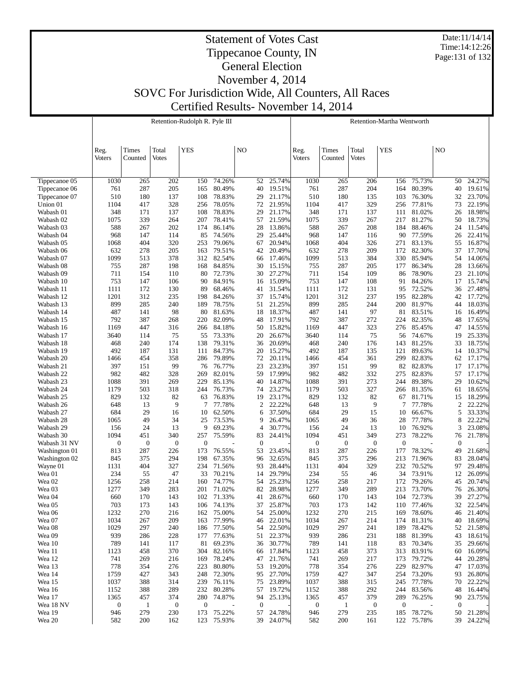Date:11/14/14 Time:14:12:26 Page:131 of 132

## Statement of Votes Cast Tippecanoe County, IN General Election November 4, 2014 SOVC For Jurisdiction Wide, All Counters, All Races Certified Results- November 14, 2014

Retention-Rudolph R. Pyle III

|                        |                  |                  |                  | Retention-Rudolph R. Pyle III |                  |                  |                  |                  |              |                  | Retention-Martha Wentworth |                  |                |                  |
|------------------------|------------------|------------------|------------------|-------------------------------|------------------|------------------|------------------|------------------|--------------|------------------|----------------------------|------------------|----------------|------------------|
|                        |                  |                  |                  |                               |                  |                  |                  |                  |              |                  |                            |                  |                |                  |
|                        |                  |                  |                  |                               |                  |                  |                  |                  |              |                  |                            |                  |                |                  |
|                        | Reg.             | Times            | Total            | <b>YES</b>                    |                  | N <sub>O</sub>   |                  | Reg.             | Times        | Total            | <b>YES</b>                 |                  | N <sub>O</sub> |                  |
|                        | Voters           | Counted          | <b>Votes</b>     |                               |                  |                  |                  | Voters           | Counted      | Votes            |                            |                  |                |                  |
|                        |                  |                  |                  |                               |                  |                  |                  |                  |              |                  |                            |                  |                |                  |
| Tippecanoe 05          | 1030             | 265              | 202              | 150                           | 74.26%           | 52               | 25.74%           | 1030             | 265          | 206              | 156                        | 75.73%           | 50             | 24.27%           |
| Tippecanoe 06          | 761              | 287              | 205              | 165                           | 80.49%           | 40               | 19.51%           | 761              | 287          | 204              | 164                        | 80.39%           | 40             | 19.61%           |
| Tippecanoe 07          | 510              | 180              | 137              | 108                           | 78.83%           | 29               | 21.17%           | 510              | 180          | 135              | 103                        | 76.30%           | 32             | 23.70%           |
| Union 01               | 1104             | 417              | 328              | 256                           | 78.05%           | 72               | 21.95%           | 1104             | 417          | 329              | 256                        | 77.81%           | 73             | 22.19%           |
| Wabash 01              | 348              | 171              | 137              | 108                           | 78.83%           | 29               | 21.17%           | 348              | 171          | 137              | 111                        | 81.02%           | 26             | 18.98%           |
| Wabash 02              | 1075             | 339              | 264              | 207                           | 78.41%           | 57               | 21.59%           | 1075             | 339          | 267              | 217                        | 81.27%           | 50             | 18.73%           |
| Wabash 03<br>Wabash 04 | 588<br>968       | 267<br>147       | 202<br>114       | 174<br>85                     | 86.14%<br>74.56% | 28<br>29         | 13.86%<br>25.44% | 588<br>968       | 267<br>147   | 208<br>116       | 184<br>90                  | 88.46%<br>77.59% | 24<br>26       | 11.54%<br>22.41% |
| Wabash 05              | 1068             | 404              | 320              | 253                           | 79.06%           | 67               | 20.94%           | 1068             | 404          | 326              | 271                        | 83.13%           | 55             | 16.87%           |
| Wabash 06              | 632              | 278              | 205              | 163                           | 79.51%           | 42               | 20.49%           | 632              | 278          | 209              | 172                        | 82.30%           | 37             | 17.70%           |
| Wabash 07              | 1099             | 513              | 378              | 312                           | 82.54%           | 66               | 17.46%           | 1099             | 513          | 384              | 330                        | 85.94%           | 54             | 14.06%           |
| Wabash 08              | 755              | 287              | 198              | 168                           | 84.85%           | 30               | 15.15%           | 755              | 287          | 205              | 177                        | 86.34%           | 28             | 13.66%           |
| Wabash 09              | 711              | 154              | 110              | 80                            | 72.73%           | 30               | 27.27%           | 711              | 154          | 109              | 86                         | 78.90%           | 23             | 21.10%           |
| Wabash 10              | 753              | 147              | 106              | 90                            | 84.91%           | 16               | 15.09%           | 753              | 147          | 108              | 91                         | 84.26%           | 17             | 15.74%           |
| Wabash 11<br>Wabash 12 | 1111<br>1201     | 172<br>312       | 130<br>235       | 89<br>198                     | 68.46%<br>84.26% | 41<br>37         | 31.54%<br>15.74% | 1111<br>1201     | 172<br>312   | 131<br>237       | 95<br>195                  | 72.52%<br>82.28% | 36<br>42       | 27.48%<br>17.72% |
| Wabash 13              | 899              | 285              | 240              | 189                           | 78.75%           | 51               | 21.25%           | 899              | 285          | 244              | 200                        | 81.97%           | 44             | 18.03%           |
| Wabash 14              | 487              | 141              | 98               | 80                            | 81.63%           | 18               | 18.37%           | 487              | 141          | 97               | 81                         | 83.51%           | 16             | 16.49%           |
| Wabash 15              | 792              | 387              | 268              | 220                           | 82.09%           | 48               | 17.91%           | 792              | 387          | 272              | 224                        | 82.35%           | 48             | 17.65%           |
| Wabash 16              | 1169             | 447              | 316              | 266                           | 84.18%           | 50               | 15.82%           | 1169             | 447          | 323              | 276                        | 85.45%           | 47             | 14.55%           |
| Wabash 17              | 3640             | 114              | 75               | 55                            | 73.33%           | 20               | 26.67%           | 3640             | 114          | 75               | 56                         | 74.67%           | 19             | 25.33%           |
| Wabash 18              | 468              | 240              | 174              | 138                           | 79.31%           | 36               | 20.69%           | 468              | 240          | 176              | 143                        | 81.25%           | 33             | 18.75%           |
| Wabash 19              | 492              | 187              | 131              | 111                           | 84.73%           | 20               | 15.27%           | 492              | 187          | 135              | 121                        | 89.63%           | 14             | 10.37%           |
| Wabash 20<br>Wabash 21 | 1466<br>397      | 454<br>151       | 358<br>99        | 286<br>76                     | 79.89%<br>76.77% | 72<br>23         | 20.11%<br>23.23% | 1466<br>397      | 454<br>151   | 361<br>99        | 299<br>82                  | 82.83%<br>82.83% | 62<br>17       | 17.17%<br>17.17% |
| Wabash 22              | 982              | 482              | 328              | 269                           | 82.01%           | 59               | 17.99%           | 982              | 482          | 332              | 275                        | 82.83%           | 57             | 17.17%           |
| Wabash 23              | 1088             | 391              | 269              | 229                           | 85.13%           | 40               | 14.87%           | 1088             | 391          | 273              | 244                        | 89.38%           | 29             | 10.62%           |
| Wabash 24              | 1179             | 503              | 318              | 244                           | 76.73%           | 74               | 23.27%           | 1179             | 503          | 327              | 266                        | 81.35%           | 61             | 18.65%           |
| Wabash 25              | 829              | 132              | 82               | 63                            | 76.83%           | 19               | 23.17%           | 829              | 132          | 82               | 67                         | 81.71%           | 15             | 18.29%           |
| Wabash 26              | 648              | 13               | 9                | 7                             | 77.78%           | 2                | 22.22%           | 648              | 13           | 9                | 7                          | 77.78%           | $\overline{2}$ | 22.22%           |
| Wabash 27              | 684              | 29               | 16               | 10                            | 62.50%           | 6                | 37.50%           | 684              | 29           | 15               | 10                         | 66.67%           | 5              | 33.33%           |
| Wabash 28              | 1065             | 49               | 34               | 25                            | 73.53%           | 9                | 26.47%           | 1065             | 49           | 36               | 28                         | 77.78%           | 8              | 22.22%           |
| Wabash 29<br>Wabash 30 | 156<br>1094      | 24<br>451        | 13<br>340        | 9<br>257                      | 69.23%<br>75.59% | 4<br>83          | 30.77%<br>24.41% | 156<br>1094      | 24<br>451    | 13<br>349        | 10<br>273                  | 76.92%<br>78.22% | 3<br>76        | 23.08%<br>21.78% |
| Wabash 31 NV           | $\boldsymbol{0}$ | $\boldsymbol{0}$ | $\boldsymbol{0}$ | $\mathbf{0}$                  |                  | $\boldsymbol{0}$ |                  | $\boldsymbol{0}$ | $\mathbf{0}$ | $\boldsymbol{0}$ | $\overline{0}$             |                  | $\mathbf{0}$   |                  |
| Washington 01          | 813              | 287              | 226              | 173                           | 76.55%           | 53               | 23.45%           | 813              | 287          | 226              | 177                        | 78.32%           | 49             | 21.68%           |
| Washington 02          | 845              | 375              | 294              | 198                           | 67.35%           | 96               | 32.65%           | 845              | 375          | 296              | 213                        | 71.96%           | 83             | 28.04%           |
| Wayne 01               | 1131             | 404              | 327              | 234                           | 71.56%           | 93               | 28.44%           | 1131             | 404          | 329              | 232                        | 70.52%           | 97             | 29.48%           |
| Wea 01                 | 234              | 55               | 47               | 33                            | 70.21%           | 14               | 29.79%           | 234              | 55           | 46               | 34                         | 73.91%           | 12             | 26.09%           |
| Wea 02                 | 1256             | 258              | 214              | 160                           | 74.77%           | 54               | 25.23%           | 1256             | 258          | 217              | 172                        | 79.26%           | 45             | 20.74%           |
| Wea 03                 | 1277<br>660      | 349<br>170       | 283<br>143       | 201<br>102                    | 71.02%<br>71.33% | 82<br>41         | 28.98%<br>28.67% | 1277<br>660      | 349<br>170   | 289<br>143       | 213                        | 73.70%           | 76<br>39       | 26.30%<br>27.27% |
| Wea 04<br>Wea 05       | 703              | 173              | 143              |                               | 106 74.13%       | 37               | 25.87%           | 703              | 173          | 142              | 104<br>110                 | 72.73%<br>77.46% | 32             | 22.54%           |
| Wea 06                 | 1232             | 270              | 216              | 162                           | 75.00%           | 54               | 25.00%           | 1232             | 270          | 215              | 169                        | 78.60%           | 46             | 21.40%           |
| Wea 07                 | 1034             | 267              | 209              | 163                           | 77.99%           | 46               | 22.01%           | 1034             | 267          | 214              | 174                        | 81.31%           | 40             | 18.69%           |
| Wea 08                 | 1029             | 297              | 240              |                               | 186 77.50%       | 54               | 22.50%           | 1029             | 297          | 241              | 189                        | 78.42%           | 52             | 21.58%           |
| Wea 09                 | 939              | 286              | 228              | 177                           | 77.63%           | 51               | 22.37%           | 939              | 286          | 231              | 188                        | 81.39%           | 43             | 18.61%           |
| Wea 10                 | 789              | 141              | 117              | 81                            | 69.23%           | 36               | 30.77%           | 789              | 141          | 118              | 83                         | 70.34%           | 35             | 29.66%           |
| Wea 11                 | 1123             | 458              | 370              | 304                           | 82.16%           | 66               | 17.84%           | 1123             | 458          | 373              | 313                        | 83.91%           | 60             | 16.09%           |
| Wea 12                 | 741              | 269              | 216              | 169                           | 78.24%           | 47               | 21.76%           | 741              | 269          | 217              | 173                        | 79.72%           | 44             | 20.28%           |
| Wea 13<br>Wea 14       | 778<br>1759      | 354<br>427       | 276<br>343       | 223<br>248                    | 80.80%<br>72.30% | 53<br>95         | 19.20%<br>27.70% | 778<br>1759      | 354<br>427   | 276<br>347       | 229<br>254                 | 82.97%<br>73.20% | 47<br>93       | 17.03%<br>26.80% |
| Wea 15                 | 1037             | 388              | 314              | 239                           | 76.11%           | 75               | 23.89%           | 1037             | 388          | 315              | 245                        | 77.78%           | 70             | 22.22%           |
| Wea 16                 | 1152             | 388              | 289              | 232                           | 80.28%           | 57               | 19.72%           | 1152             | 388          | 292              | 244                        | 83.56%           | 48             | 16.44%           |
| Wea 17                 | 1365             | 457              | 374              | 280                           | 74.87%           | 94               | 25.13%           | 1365             | 457          | 379              | 289                        | 76.25%           | 90             | 23.75%           |
| Wea 18 NV              | $\boldsymbol{0}$ | -1               | $\boldsymbol{0}$ | $\boldsymbol{0}$              |                  | $\boldsymbol{0}$ |                  | $\boldsymbol{0}$ | $\mathbf{1}$ | $\mathbf{0}$     | $\boldsymbol{0}$           |                  | $\bf{0}$       |                  |
| Wea 19                 | 946              | 279              | 230              | 173                           | 75.22%           | 57               | 24.78%           | 946              | 279          | 235              | 185                        | 78.72%           | 50             | 21.28%           |
| Wea 20                 | 582              | 200              | 162              |                               | 123 75.93%       | 39               | 24.07%           | 582              | 200          | 161              | 122                        | 75.78%           | 39             | 24.22%           |